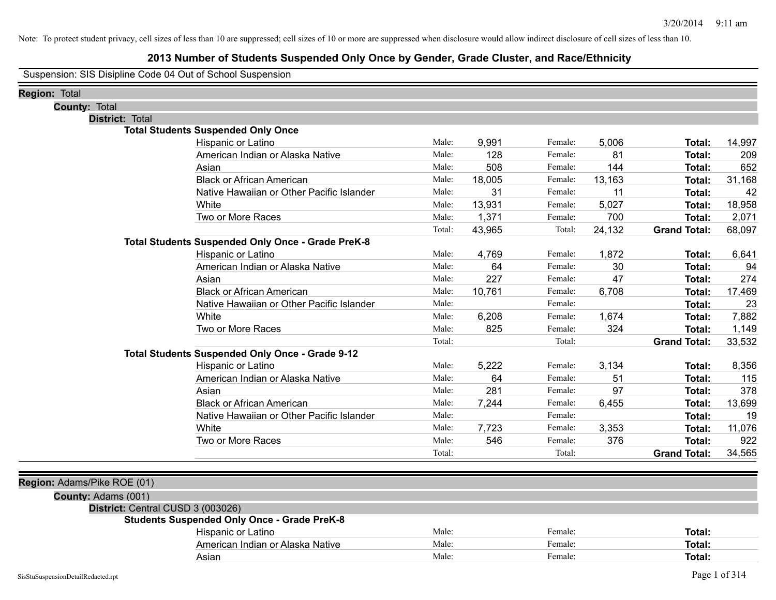## **2013 Number of Students Suspended Only Once by Gender, Grade Cluster, and Race/Ethnicity**

Suspension: SIS Disipline Code 04 Out of School Suspension

| <b>Region: Total</b>              |                                                    |        |        |         |        |                     |        |
|-----------------------------------|----------------------------------------------------|--------|--------|---------|--------|---------------------|--------|
| <b>County: Total</b>              |                                                    |        |        |         |        |                     |        |
| <b>District: Total</b>            |                                                    |        |        |         |        |                     |        |
|                                   | <b>Total Students Suspended Only Once</b>          |        |        |         |        |                     |        |
|                                   | Hispanic or Latino                                 | Male:  | 9,991  | Female: | 5,006  | Total:              | 14,997 |
|                                   | American Indian or Alaska Native                   | Male:  | 128    | Female: | 81     | Total:              | 209    |
|                                   | Asian                                              | Male:  | 508    | Female: | 144    | Total:              | 652    |
|                                   | <b>Black or African American</b>                   | Male:  | 18,005 | Female: | 13,163 | Total:              | 31,168 |
|                                   | Native Hawaiian or Other Pacific Islander          | Male:  | 31     | Female: | 11     | Total:              | 42     |
|                                   | White                                              | Male:  | 13,931 | Female: | 5,027  | Total:              | 18,958 |
|                                   | Two or More Races                                  | Male:  | 1,371  | Female: | 700    | Total:              | 2,071  |
|                                   |                                                    | Total: | 43,965 | Total:  | 24,132 | <b>Grand Total:</b> | 68,097 |
|                                   | Total Students Suspended Only Once - Grade PreK-8  |        |        |         |        |                     |        |
|                                   | Hispanic or Latino                                 | Male:  | 4,769  | Female: | 1,872  | Total:              | 6,641  |
|                                   | American Indian or Alaska Native                   | Male:  | 64     | Female: | 30     | Total:              | 94     |
|                                   | Asian                                              | Male:  | 227    | Female: | 47     | Total:              | 274    |
|                                   | <b>Black or African American</b>                   | Male:  | 10,761 | Female: | 6,708  | Total:              | 17,469 |
|                                   | Native Hawaiian or Other Pacific Islander          | Male:  |        | Female: |        | Total:              | 23     |
|                                   | White                                              | Male:  | 6,208  | Female: | 1,674  | Total:              | 7,882  |
|                                   | Two or More Races                                  | Male:  | 825    | Female: | 324    | Total:              | 1,149  |
|                                   |                                                    | Total: |        | Total:  |        | <b>Grand Total:</b> | 33,532 |
|                                   | Total Students Suspended Only Once - Grade 9-12    |        |        |         |        |                     |        |
|                                   | Hispanic or Latino                                 | Male:  | 5,222  | Female: | 3,134  | Total:              | 8,356  |
|                                   | American Indian or Alaska Native                   | Male:  | 64     | Female: | 51     | Total:              | 115    |
|                                   | Asian                                              | Male:  | 281    | Female: | 97     | Total:              | 378    |
|                                   | <b>Black or African American</b>                   | Male:  | 7,244  | Female: | 6,455  | Total:              | 13,699 |
|                                   | Native Hawaiian or Other Pacific Islander          | Male:  |        | Female: |        | Total:              | 19     |
|                                   | White                                              | Male:  | 7,723  | Female: | 3,353  | Total:              | 11,076 |
|                                   | Two or More Races                                  | Male:  | 546    | Female: | 376    | Total:              | 922    |
|                                   |                                                    | Total: |        | Total:  |        | <b>Grand Total:</b> | 34,565 |
|                                   |                                                    |        |        |         |        |                     |        |
| Region: Adams/Pike ROE (01)       |                                                    |        |        |         |        |                     |        |
| County: Adams (001)               |                                                    |        |        |         |        |                     |        |
| District: Central CUSD 3 (003026) |                                                    |        |        |         |        |                     |        |
|                                   | <b>Students Suspended Only Once - Grade PreK-8</b> |        |        |         |        |                     |        |
|                                   | Hispanic or Latino                                 | Male:  |        | Female: |        | Total:              |        |
|                                   | American Indian or Alaska Native                   | Male:  |        | Female: |        | Total:              |        |
|                                   | Asian                                              | Male:  |        | Female: |        | Total:              |        |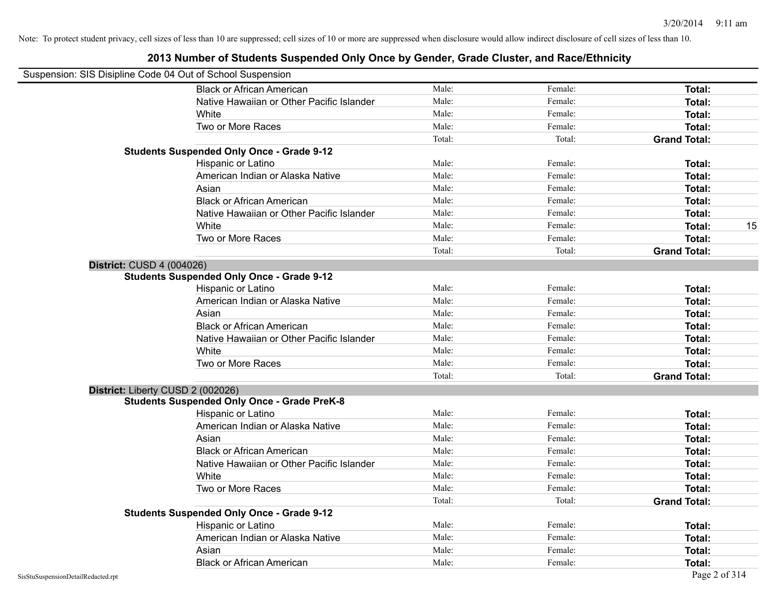| Suspension: SIS Disipline Code 04 Out of School Suspension |                                                    |        |         |                     |    |
|------------------------------------------------------------|----------------------------------------------------|--------|---------|---------------------|----|
|                                                            | <b>Black or African American</b>                   | Male:  | Female: | Total:              |    |
|                                                            | Native Hawaiian or Other Pacific Islander          | Male:  | Female: | Total:              |    |
|                                                            | White                                              | Male:  | Female: | Total:              |    |
|                                                            | Two or More Races                                  | Male:  | Female: | Total:              |    |
|                                                            |                                                    | Total: | Total:  | <b>Grand Total:</b> |    |
|                                                            | <b>Students Suspended Only Once - Grade 9-12</b>   |        |         |                     |    |
|                                                            | Hispanic or Latino                                 | Male:  | Female: | Total:              |    |
|                                                            | American Indian or Alaska Native                   | Male:  | Female: | Total:              |    |
|                                                            | Asian                                              | Male:  | Female: | Total:              |    |
|                                                            | <b>Black or African American</b>                   | Male:  | Female: | Total:              |    |
|                                                            | Native Hawaiian or Other Pacific Islander          | Male:  | Female: | Total:              |    |
|                                                            | White                                              | Male:  | Female: | Total:              | 15 |
|                                                            | Two or More Races                                  | Male:  | Female: | Total:              |    |
|                                                            |                                                    | Total: | Total:  | <b>Grand Total:</b> |    |
| District: CUSD 4 (004026)                                  |                                                    |        |         |                     |    |
|                                                            | <b>Students Suspended Only Once - Grade 9-12</b>   |        |         |                     |    |
|                                                            | Hispanic or Latino                                 | Male:  | Female: | Total:              |    |
|                                                            | American Indian or Alaska Native                   | Male:  | Female: | Total:              |    |
|                                                            | Asian                                              | Male:  | Female: | Total:              |    |
|                                                            | <b>Black or African American</b>                   | Male:  | Female: | Total:              |    |
|                                                            | Native Hawaiian or Other Pacific Islander          | Male:  | Female: | Total:              |    |
|                                                            | White                                              | Male:  | Female: | Total:              |    |
|                                                            | Two or More Races                                  | Male:  | Female: | <b>Total:</b>       |    |
|                                                            |                                                    | Total: | Total:  | <b>Grand Total:</b> |    |
|                                                            | District: Liberty CUSD 2 (002026)                  |        |         |                     |    |
|                                                            | <b>Students Suspended Only Once - Grade PreK-8</b> |        |         |                     |    |
|                                                            | Hispanic or Latino                                 | Male:  | Female: | Total:              |    |
|                                                            | American Indian or Alaska Native                   | Male:  | Female: | Total:              |    |
|                                                            | Asian                                              | Male:  | Female: | Total:              |    |
|                                                            | <b>Black or African American</b>                   | Male:  | Female: | Total:              |    |
|                                                            | Native Hawaiian or Other Pacific Islander          | Male:  | Female: | Total:              |    |
|                                                            | White                                              | Male:  | Female: | Total:              |    |
|                                                            | Two or More Races                                  | Male:  | Female: | Total:              |    |
|                                                            |                                                    | Total: | Total:  | <b>Grand Total:</b> |    |
|                                                            | <b>Students Suspended Only Once - Grade 9-12</b>   |        |         |                     |    |
|                                                            | Hispanic or Latino                                 | Male:  | Female: | Total:              |    |
|                                                            | American Indian or Alaska Native                   | Male:  | Female: | Total:              |    |
|                                                            | Asian                                              | Male:  | Female: | Total:              |    |
|                                                            | <b>Black or African American</b>                   | Male:  | Female: | Total:              |    |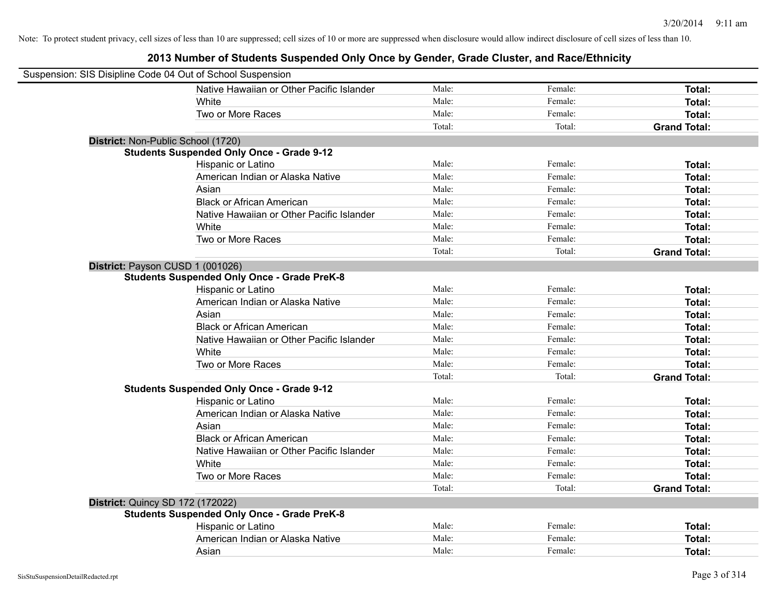| Suspension: SIS Disipline Code 04 Out of School Suspension |                                                    |        |         |                     |
|------------------------------------------------------------|----------------------------------------------------|--------|---------|---------------------|
|                                                            | Native Hawaiian or Other Pacific Islander          | Male:  | Female: | Total:              |
|                                                            | <b>White</b>                                       | Male:  | Female: | Total:              |
|                                                            | Two or More Races                                  | Male:  | Female: | Total:              |
|                                                            |                                                    | Total: | Total:  | <b>Grand Total:</b> |
| District: Non-Public School (1720)                         |                                                    |        |         |                     |
|                                                            | <b>Students Suspended Only Once - Grade 9-12</b>   |        |         |                     |
|                                                            | Hispanic or Latino                                 | Male:  | Female: | Total:              |
|                                                            | American Indian or Alaska Native                   | Male:  | Female: | Total:              |
|                                                            | Asian                                              | Male:  | Female: | Total:              |
|                                                            | <b>Black or African American</b>                   | Male:  | Female: | Total:              |
|                                                            | Native Hawaiian or Other Pacific Islander          | Male:  | Female: | Total:              |
|                                                            | White                                              | Male:  | Female: | Total:              |
|                                                            | Two or More Races                                  | Male:  | Female: | Total:              |
|                                                            |                                                    | Total: | Total:  | <b>Grand Total:</b> |
| District: Payson CUSD 1 (001026)                           |                                                    |        |         |                     |
|                                                            | <b>Students Suspended Only Once - Grade PreK-8</b> |        |         |                     |
|                                                            | Hispanic or Latino                                 | Male:  | Female: | Total:              |
|                                                            | American Indian or Alaska Native                   | Male:  | Female: | Total:              |
|                                                            | Asian                                              | Male:  | Female: | Total:              |
|                                                            | <b>Black or African American</b>                   | Male:  | Female: | Total:              |
|                                                            | Native Hawaiian or Other Pacific Islander          | Male:  | Female: | Total:              |
|                                                            | White                                              | Male:  | Female: | Total:              |
|                                                            | Two or More Races                                  | Male:  | Female: | Total:              |
|                                                            |                                                    | Total: | Total:  | <b>Grand Total:</b> |
|                                                            | <b>Students Suspended Only Once - Grade 9-12</b>   |        |         |                     |
|                                                            | Hispanic or Latino                                 | Male:  | Female: | Total:              |
|                                                            | American Indian or Alaska Native                   | Male:  | Female: | Total:              |
|                                                            | Asian                                              | Male:  | Female: | Total:              |
|                                                            | <b>Black or African American</b>                   | Male:  | Female: | Total:              |
|                                                            | Native Hawaiian or Other Pacific Islander          | Male:  | Female: | Total:              |
|                                                            | <b>White</b>                                       | Male:  | Female: | Total:              |
|                                                            | Two or More Races                                  | Male:  | Female: | Total:              |
|                                                            |                                                    | Total: | Total:  | <b>Grand Total:</b> |
| <b>District: Quincy SD 172 (172022)</b>                    |                                                    |        |         |                     |
|                                                            | <b>Students Suspended Only Once - Grade PreK-8</b> |        |         |                     |
|                                                            | Hispanic or Latino                                 | Male:  | Female: | Total:              |
|                                                            | American Indian or Alaska Native                   | Male:  | Female: | Total:              |
|                                                            | Asian                                              | Male:  | Female: | Total:              |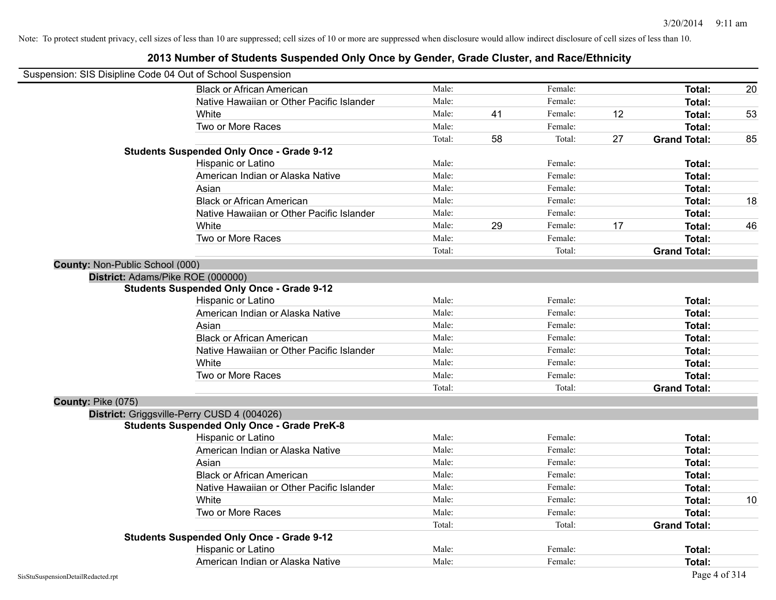|                                 | Suspension: SIS Disipline Code 04 Out of School Suspension |        |    |         |    |                     |    |
|---------------------------------|------------------------------------------------------------|--------|----|---------|----|---------------------|----|
|                                 | <b>Black or African American</b>                           | Male:  |    | Female: |    | <b>Total:</b>       | 20 |
|                                 | Native Hawaiian or Other Pacific Islander                  | Male:  |    | Female: |    | Total:              |    |
|                                 | White                                                      | Male:  | 41 | Female: | 12 | <b>Total:</b>       | 53 |
|                                 | Two or More Races                                          | Male:  |    | Female: |    | <b>Total:</b>       |    |
|                                 |                                                            | Total: | 58 | Total:  | 27 | <b>Grand Total:</b> | 85 |
|                                 | <b>Students Suspended Only Once - Grade 9-12</b>           |        |    |         |    |                     |    |
|                                 | Hispanic or Latino                                         | Male:  |    | Female: |    | Total:              |    |
|                                 | American Indian or Alaska Native                           | Male:  |    | Female: |    | <b>Total:</b>       |    |
|                                 | Asian                                                      | Male:  |    | Female: |    | Total:              |    |
|                                 | <b>Black or African American</b>                           | Male:  |    | Female: |    | <b>Total:</b>       | 18 |
|                                 | Native Hawaiian or Other Pacific Islander                  | Male:  |    | Female: |    | Total:              |    |
|                                 | White                                                      | Male:  | 29 | Female: | 17 | Total:              | 46 |
|                                 | Two or More Races                                          | Male:  |    | Female: |    | Total:              |    |
|                                 |                                                            | Total: |    | Total:  |    | <b>Grand Total:</b> |    |
| County: Non-Public School (000) |                                                            |        |    |         |    |                     |    |
|                                 | District: Adams/Pike ROE (000000)                          |        |    |         |    |                     |    |
|                                 | <b>Students Suspended Only Once - Grade 9-12</b>           |        |    |         |    |                     |    |
|                                 | Hispanic or Latino                                         | Male:  |    | Female: |    | Total:              |    |
|                                 | American Indian or Alaska Native                           | Male:  |    | Female: |    | <b>Total:</b>       |    |
|                                 | Asian                                                      | Male:  |    | Female: |    | <b>Total:</b>       |    |
|                                 | <b>Black or African American</b>                           | Male:  |    | Female: |    | Total:              |    |
|                                 | Native Hawaiian or Other Pacific Islander                  | Male:  |    | Female: |    | Total:              |    |
|                                 | White                                                      | Male:  |    | Female: |    | <b>Total:</b>       |    |
|                                 | Two or More Races                                          | Male:  |    | Female: |    | Total:              |    |
|                                 |                                                            | Total: |    | Total:  |    | <b>Grand Total:</b> |    |
| County: Pike (075)              |                                                            |        |    |         |    |                     |    |
|                                 | District: Griggsville-Perry CUSD 4 (004026)                |        |    |         |    |                     |    |
|                                 | <b>Students Suspended Only Once - Grade PreK-8</b>         |        |    |         |    |                     |    |
|                                 | Hispanic or Latino                                         | Male:  |    | Female: |    | Total:              |    |
|                                 | American Indian or Alaska Native                           | Male:  |    | Female: |    | Total:              |    |
|                                 | Asian                                                      | Male:  |    | Female: |    | <b>Total:</b>       |    |
|                                 | <b>Black or African American</b>                           | Male:  |    | Female: |    | <b>Total:</b>       |    |
|                                 | Native Hawaiian or Other Pacific Islander                  | Male:  |    | Female: |    | <b>Total:</b>       |    |
|                                 | White                                                      | Male:  |    | Female: |    | <b>Total:</b>       | 10 |
|                                 | Two or More Races                                          | Male:  |    | Female: |    | Total:              |    |
|                                 |                                                            | Total: |    | Total:  |    | <b>Grand Total:</b> |    |
|                                 | <b>Students Suspended Only Once - Grade 9-12</b>           |        |    |         |    |                     |    |
|                                 | Hispanic or Latino                                         | Male:  |    | Female: |    | Total:              |    |
|                                 | American Indian or Alaska Native                           | Male:  |    | Female: |    | Total:              |    |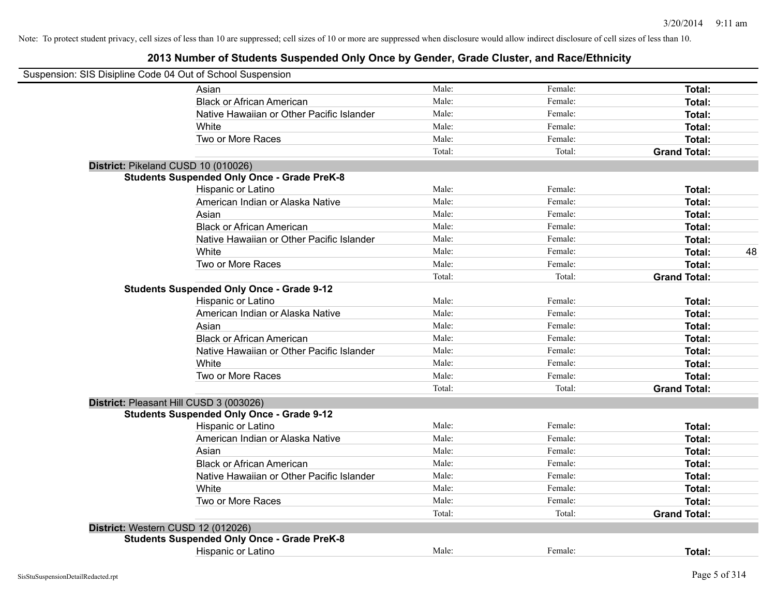| Suspension: SIS Disipline Code 04 Out of School Suspension |        |         |                     |    |
|------------------------------------------------------------|--------|---------|---------------------|----|
| Asian                                                      | Male:  | Female: | Total:              |    |
| <b>Black or African American</b>                           | Male:  | Female: | Total:              |    |
| Native Hawaiian or Other Pacific Islander                  | Male:  | Female: | Total:              |    |
| White                                                      | Male:  | Female: | Total:              |    |
| Two or More Races                                          | Male:  | Female: | Total:              |    |
|                                                            | Total: | Total:  | <b>Grand Total:</b> |    |
| District: Pikeland CUSD 10 (010026)                        |        |         |                     |    |
| <b>Students Suspended Only Once - Grade PreK-8</b>         |        |         |                     |    |
| Hispanic or Latino                                         | Male:  | Female: | Total:              |    |
| American Indian or Alaska Native                           | Male:  | Female: | Total:              |    |
| Asian                                                      | Male:  | Female: | Total:              |    |
| <b>Black or African American</b>                           | Male:  | Female: | Total:              |    |
| Native Hawaiian or Other Pacific Islander                  | Male:  | Female: | Total:              |    |
| White                                                      | Male:  | Female: | Total:              | 48 |
| Two or More Races                                          | Male:  | Female: | Total:              |    |
|                                                            | Total: | Total:  | <b>Grand Total:</b> |    |
| <b>Students Suspended Only Once - Grade 9-12</b>           |        |         |                     |    |
| Hispanic or Latino                                         | Male:  | Female: | Total:              |    |
| American Indian or Alaska Native                           | Male:  | Female: | Total:              |    |
| Asian                                                      | Male:  | Female: | Total:              |    |
| <b>Black or African American</b>                           | Male:  | Female: | Total:              |    |
| Native Hawaiian or Other Pacific Islander                  | Male:  | Female: | Total:              |    |
| White                                                      | Male:  | Female: | Total:              |    |
| Two or More Races                                          | Male:  | Female: | Total:              |    |
|                                                            | Total: | Total:  | <b>Grand Total:</b> |    |
| District: Pleasant Hill CUSD 3 (003026)                    |        |         |                     |    |
| <b>Students Suspended Only Once - Grade 9-12</b>           |        |         |                     |    |
| Hispanic or Latino                                         | Male:  | Female: | Total:              |    |
| American Indian or Alaska Native                           | Male:  | Female: | Total:              |    |
| Asian                                                      | Male:  | Female: | Total:              |    |
| <b>Black or African American</b>                           | Male:  | Female: | Total:              |    |
| Native Hawaiian or Other Pacific Islander                  | Male:  | Female: | Total:              |    |
| White                                                      | Male:  | Female: | Total:              |    |
| Two or More Races                                          | Male:  | Female: | Total:              |    |
|                                                            | Total: | Total:  | <b>Grand Total:</b> |    |
| District: Western CUSD 12 (012026)                         |        |         |                     |    |
| <b>Students Suspended Only Once - Grade PreK-8</b>         |        |         |                     |    |
| Hispanic or Latino                                         | Male:  | Female: | Total:              |    |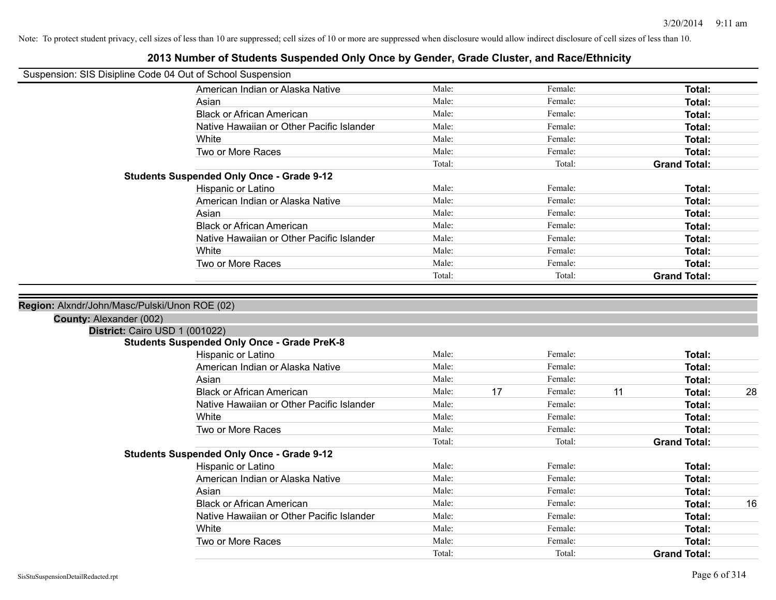| Suspension: SIS Disipline Code 04 Out of School Suspension |                                                    |        |    |         |    |                     |    |
|------------------------------------------------------------|----------------------------------------------------|--------|----|---------|----|---------------------|----|
|                                                            | American Indian or Alaska Native                   | Male:  |    | Female: |    | Total:              |    |
|                                                            | Asian                                              | Male:  |    | Female: |    | Total:              |    |
|                                                            | <b>Black or African American</b>                   | Male:  |    | Female: |    | <b>Total:</b>       |    |
|                                                            | Native Hawaiian or Other Pacific Islander          | Male:  |    | Female: |    | Total:              |    |
|                                                            | White                                              | Male:  |    | Female: |    | <b>Total:</b>       |    |
|                                                            | Two or More Races                                  | Male:  |    | Female: |    | <b>Total:</b>       |    |
|                                                            |                                                    | Total: |    | Total:  |    | <b>Grand Total:</b> |    |
|                                                            | <b>Students Suspended Only Once - Grade 9-12</b>   |        |    |         |    |                     |    |
|                                                            | Hispanic or Latino                                 | Male:  |    | Female: |    | Total:              |    |
|                                                            | American Indian or Alaska Native                   | Male:  |    | Female: |    | Total:              |    |
|                                                            | Asian                                              | Male:  |    | Female: |    | Total:              |    |
|                                                            | <b>Black or African American</b>                   | Male:  |    | Female: |    | <b>Total:</b>       |    |
|                                                            | Native Hawaiian or Other Pacific Islander          | Male:  |    | Female: |    | <b>Total:</b>       |    |
|                                                            | White                                              | Male:  |    | Female: |    | <b>Total:</b>       |    |
|                                                            | Two or More Races                                  | Male:  |    | Female: |    | <b>Total:</b>       |    |
|                                                            |                                                    | Total: |    | Total:  |    | <b>Grand Total:</b> |    |
| District: Cairo USD 1 (001022)                             | <b>Students Suspended Only Once - Grade PreK-8</b> |        |    |         |    |                     |    |
|                                                            | Hispanic or Latino                                 | Male:  |    | Female: |    | <b>Total:</b>       |    |
|                                                            | American Indian or Alaska Native                   | Male:  |    | Female: |    | <b>Total:</b>       |    |
|                                                            | Asian                                              | Male:  |    | Female: |    | Total:              |    |
|                                                            | <b>Black or African American</b>                   | Male:  | 17 | Female: | 11 | <b>Total:</b>       | 28 |
|                                                            | Native Hawaiian or Other Pacific Islander          | Male:  |    | Female: |    | Total:              |    |
|                                                            | White                                              | Male:  |    | Female: |    | Total:              |    |
|                                                            | Two or More Races                                  | Male:  |    | Female: |    | <b>Total:</b>       |    |
|                                                            |                                                    | Total: |    | Total:  |    | <b>Grand Total:</b> |    |
|                                                            | <b>Students Suspended Only Once - Grade 9-12</b>   |        |    |         |    |                     |    |
|                                                            | Hispanic or Latino                                 | Male:  |    | Female: |    | <b>Total:</b>       |    |
|                                                            | American Indian or Alaska Native                   | Male:  |    | Female: |    | Total:              |    |
|                                                            | Asian                                              | Male:  |    | Female: |    | Total:              |    |
|                                                            | <b>Black or African American</b>                   | Male:  |    | Female: |    | Total:              | 16 |
|                                                            | Native Hawaiian or Other Pacific Islander          | Male:  |    | Female: |    | Total:              |    |
|                                                            | White                                              | Male:  |    | Female: |    | Total:              |    |
|                                                            | Two or More Races                                  | Male:  |    | Female: |    | <b>Total:</b>       |    |
|                                                            |                                                    | Total: |    | Total:  |    | <b>Grand Total:</b> |    |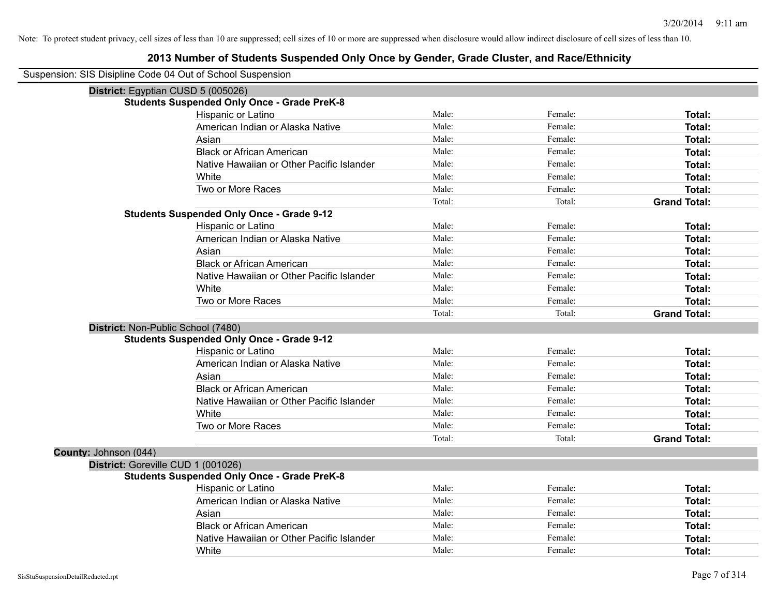| Suspension: SIS Disipline Code 04 Out of School Suspension |
|------------------------------------------------------------|
|------------------------------------------------------------|

| District: Egyptian CUSD 5 (005026) |                                                    |        |         |                     |
|------------------------------------|----------------------------------------------------|--------|---------|---------------------|
|                                    | <b>Students Suspended Only Once - Grade PreK-8</b> |        |         |                     |
|                                    | Hispanic or Latino                                 | Male:  | Female: | Total:              |
|                                    | American Indian or Alaska Native                   | Male:  | Female: | Total:              |
|                                    | Asian                                              | Male:  | Female: | Total:              |
|                                    | <b>Black or African American</b>                   | Male:  | Female: | <b>Total:</b>       |
|                                    | Native Hawaiian or Other Pacific Islander          | Male:  | Female: | Total:              |
|                                    | White                                              | Male:  | Female: | Total:              |
|                                    | Two or More Races                                  | Male:  | Female: | <b>Total:</b>       |
|                                    |                                                    | Total: | Total:  | <b>Grand Total:</b> |
|                                    | <b>Students Suspended Only Once - Grade 9-12</b>   |        |         |                     |
|                                    | Hispanic or Latino                                 | Male:  | Female: | Total:              |
|                                    | American Indian or Alaska Native                   | Male:  | Female: | <b>Total:</b>       |
|                                    | Asian                                              | Male:  | Female: | <b>Total:</b>       |
|                                    | <b>Black or African American</b>                   | Male:  | Female: | <b>Total:</b>       |
|                                    | Native Hawaiian or Other Pacific Islander          | Male:  | Female: | Total:              |
|                                    | White                                              | Male:  | Female: | <b>Total:</b>       |
|                                    | Two or More Races                                  | Male:  | Female: | <b>Total:</b>       |
|                                    |                                                    | Total: | Total:  | <b>Grand Total:</b> |
| District: Non-Public School (7480) |                                                    |        |         |                     |
|                                    | <b>Students Suspended Only Once - Grade 9-12</b>   |        |         |                     |
|                                    | Hispanic or Latino                                 | Male:  | Female: | Total:              |
|                                    | American Indian or Alaska Native                   | Male:  | Female: | <b>Total:</b>       |
|                                    | Asian                                              | Male:  | Female: | Total:              |
|                                    | <b>Black or African American</b>                   | Male:  | Female: | Total:              |
|                                    | Native Hawaiian or Other Pacific Islander          | Male:  | Female: | <b>Total:</b>       |
|                                    | White                                              | Male:  | Female: | Total:              |
|                                    | Two or More Races                                  | Male:  | Female: | <b>Total:</b>       |
|                                    |                                                    | Total: | Total:  | <b>Grand Total:</b> |
| County: Johnson (044)              |                                                    |        |         |                     |
| District: Goreville CUD 1 (001026) |                                                    |        |         |                     |
|                                    | <b>Students Suspended Only Once - Grade PreK-8</b> |        |         |                     |
|                                    | Hispanic or Latino                                 | Male:  | Female: | <b>Total:</b>       |
|                                    | American Indian or Alaska Native                   | Male:  | Female: | <b>Total:</b>       |
|                                    | Asian                                              | Male:  | Female: | <b>Total:</b>       |
|                                    | <b>Black or African American</b>                   | Male:  | Female: | Total:              |
|                                    | Native Hawaiian or Other Pacific Islander          | Male:  | Female: | Total:              |
|                                    | White                                              | Male:  | Female: | Total:              |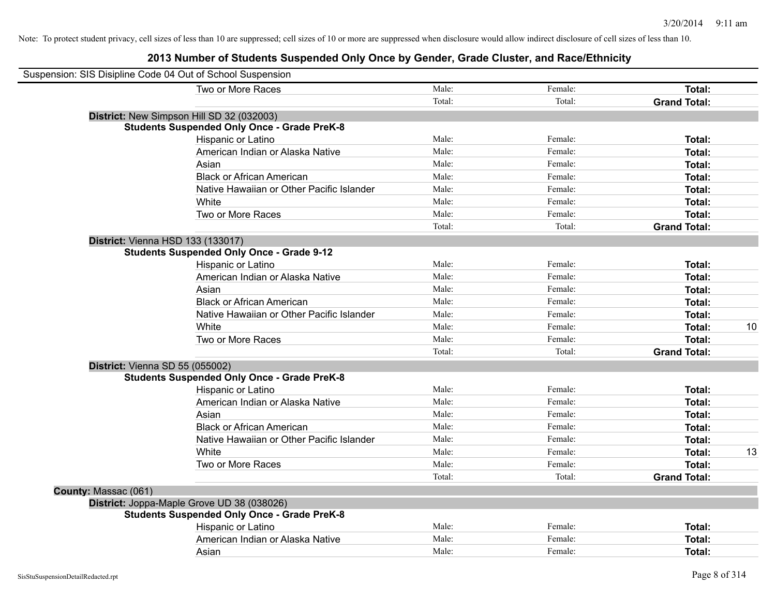|                      | Suspension: SIS Disipline Code 04 Out of School Suspension |        |         |                     |    |
|----------------------|------------------------------------------------------------|--------|---------|---------------------|----|
|                      | Two or More Races                                          | Male:  | Female: | Total:              |    |
|                      |                                                            | Total: | Total:  | <b>Grand Total:</b> |    |
|                      | District: New Simpson Hill SD 32 (032003)                  |        |         |                     |    |
|                      | <b>Students Suspended Only Once - Grade PreK-8</b>         |        |         |                     |    |
|                      | Hispanic or Latino                                         | Male:  | Female: | Total:              |    |
|                      | American Indian or Alaska Native                           | Male:  | Female: | Total:              |    |
|                      | Asian                                                      | Male:  | Female: | Total:              |    |
|                      | <b>Black or African American</b>                           | Male:  | Female: | Total:              |    |
|                      | Native Hawaiian or Other Pacific Islander                  | Male:  | Female: | Total:              |    |
|                      | White                                                      | Male:  | Female: | Total:              |    |
|                      | Two or More Races                                          | Male:  | Female: | Total:              |    |
|                      |                                                            | Total: | Total:  | <b>Grand Total:</b> |    |
|                      | District: Vienna HSD 133 (133017)                          |        |         |                     |    |
|                      | <b>Students Suspended Only Once - Grade 9-12</b>           |        |         |                     |    |
|                      | Hispanic or Latino                                         | Male:  | Female: | Total:              |    |
|                      | American Indian or Alaska Native                           | Male:  | Female: | Total:              |    |
|                      | Asian                                                      | Male:  | Female: | Total:              |    |
|                      | <b>Black or African American</b>                           | Male:  | Female: | Total:              |    |
|                      | Native Hawaiian or Other Pacific Islander                  | Male:  | Female: | Total:              |    |
|                      | White                                                      | Male:  | Female: | Total:              | 10 |
|                      | Two or More Races                                          | Male:  | Female: | Total:              |    |
|                      |                                                            | Total: | Total:  | <b>Grand Total:</b> |    |
|                      | District: Vienna SD 55 (055002)                            |        |         |                     |    |
|                      | <b>Students Suspended Only Once - Grade PreK-8</b>         |        |         |                     |    |
|                      | Hispanic or Latino                                         | Male:  | Female: | Total:              |    |
|                      | American Indian or Alaska Native                           | Male:  | Female: | Total:              |    |
|                      | Asian                                                      | Male:  | Female: | Total:              |    |
|                      | <b>Black or African American</b>                           | Male:  | Female: | Total:              |    |
|                      | Native Hawaiian or Other Pacific Islander                  | Male:  | Female: | Total:              |    |
|                      | White                                                      | Male:  | Female: | Total:              | 13 |
|                      | Two or More Races                                          | Male:  | Female: | Total:              |    |
|                      |                                                            | Total: | Total:  | <b>Grand Total:</b> |    |
| County: Massac (061) |                                                            |        |         |                     |    |
|                      | District: Joppa-Maple Grove UD 38 (038026)                 |        |         |                     |    |
|                      | <b>Students Suspended Only Once - Grade PreK-8</b>         |        |         |                     |    |
|                      | Hispanic or Latino                                         | Male:  | Female: | Total:              |    |
|                      | American Indian or Alaska Native                           | Male:  | Female: | Total:              |    |
|                      | Asian                                                      | Male:  | Female: | Total:              |    |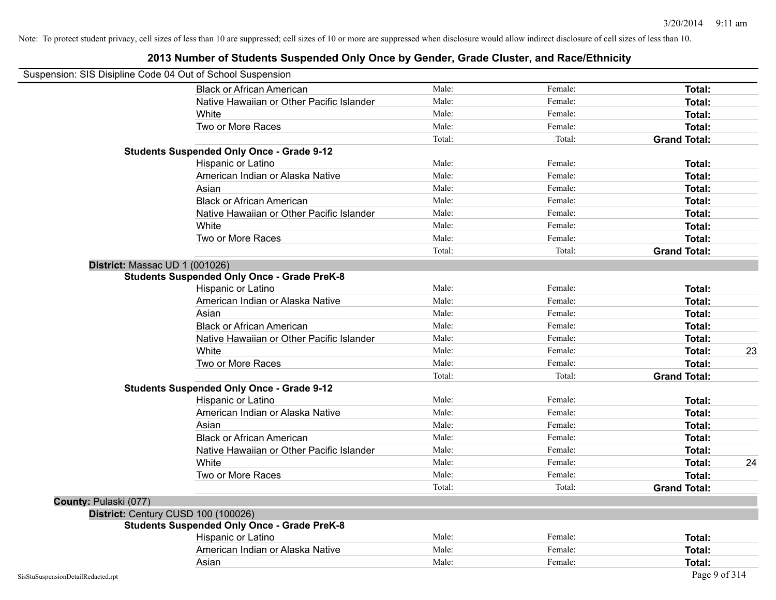| Suspension: SIS Disipline Code 04 Out of School Suspension |                                                    |        |         |                     |    |
|------------------------------------------------------------|----------------------------------------------------|--------|---------|---------------------|----|
|                                                            | <b>Black or African American</b>                   | Male:  | Female: | <b>Total:</b>       |    |
|                                                            | Native Hawaiian or Other Pacific Islander          | Male:  | Female: | <b>Total:</b>       |    |
|                                                            | White                                              | Male:  | Female: | Total:              |    |
|                                                            | Two or More Races                                  | Male:  | Female: | <b>Total:</b>       |    |
|                                                            |                                                    | Total: | Total:  | <b>Grand Total:</b> |    |
|                                                            | <b>Students Suspended Only Once - Grade 9-12</b>   |        |         |                     |    |
|                                                            | Hispanic or Latino                                 | Male:  | Female: | Total:              |    |
|                                                            | American Indian or Alaska Native                   | Male:  | Female: | <b>Total:</b>       |    |
|                                                            | Asian                                              | Male:  | Female: | Total:              |    |
|                                                            | <b>Black or African American</b>                   | Male:  | Female: | <b>Total:</b>       |    |
|                                                            | Native Hawaiian or Other Pacific Islander          | Male:  | Female: | <b>Total:</b>       |    |
|                                                            | White                                              | Male:  | Female: | Total:              |    |
|                                                            | Two or More Races                                  | Male:  | Female: | <b>Total:</b>       |    |
|                                                            |                                                    | Total: | Total:  | <b>Grand Total:</b> |    |
| District: Massac UD 1 (001026)                             |                                                    |        |         |                     |    |
|                                                            | <b>Students Suspended Only Once - Grade PreK-8</b> |        |         |                     |    |
|                                                            | Hispanic or Latino                                 | Male:  | Female: | Total:              |    |
|                                                            | American Indian or Alaska Native                   | Male:  | Female: | <b>Total:</b>       |    |
|                                                            | Asian                                              | Male:  | Female: | Total:              |    |
|                                                            | <b>Black or African American</b>                   | Male:  | Female: | Total:              |    |
|                                                            | Native Hawaiian or Other Pacific Islander          | Male:  | Female: | Total:              |    |
|                                                            | White                                              | Male:  | Female: | Total:              | 23 |
|                                                            | Two or More Races                                  | Male:  | Female: | <b>Total:</b>       |    |
|                                                            |                                                    | Total: | Total:  | <b>Grand Total:</b> |    |
|                                                            | <b>Students Suspended Only Once - Grade 9-12</b>   |        |         |                     |    |
|                                                            | Hispanic or Latino                                 | Male:  | Female: | Total:              |    |
|                                                            | American Indian or Alaska Native                   | Male:  | Female: | <b>Total:</b>       |    |
|                                                            | Asian                                              | Male:  | Female: | Total:              |    |
|                                                            | <b>Black or African American</b>                   | Male:  | Female: | Total:              |    |
|                                                            | Native Hawaiian or Other Pacific Islander          | Male:  | Female: | Total:              |    |
|                                                            | White                                              | Male:  | Female: | Total:              | 24 |
|                                                            | Two or More Races                                  | Male:  | Female: | <b>Total:</b>       |    |
|                                                            |                                                    | Total: | Total:  | <b>Grand Total:</b> |    |
| County: Pulaski (077)                                      |                                                    |        |         |                     |    |
|                                                            | District: Century CUSD 100 (100026)                |        |         |                     |    |
|                                                            | <b>Students Suspended Only Once - Grade PreK-8</b> |        |         |                     |    |
|                                                            | Hispanic or Latino                                 | Male:  | Female: | Total:              |    |
|                                                            | American Indian or Alaska Native                   | Male:  | Female: | <b>Total:</b>       |    |
|                                                            | Asian                                              | Male:  | Female: | Total:              |    |
| SisStuSuspensionDetailRedacted.rpt                         |                                                    |        |         | Page 9 of 314       |    |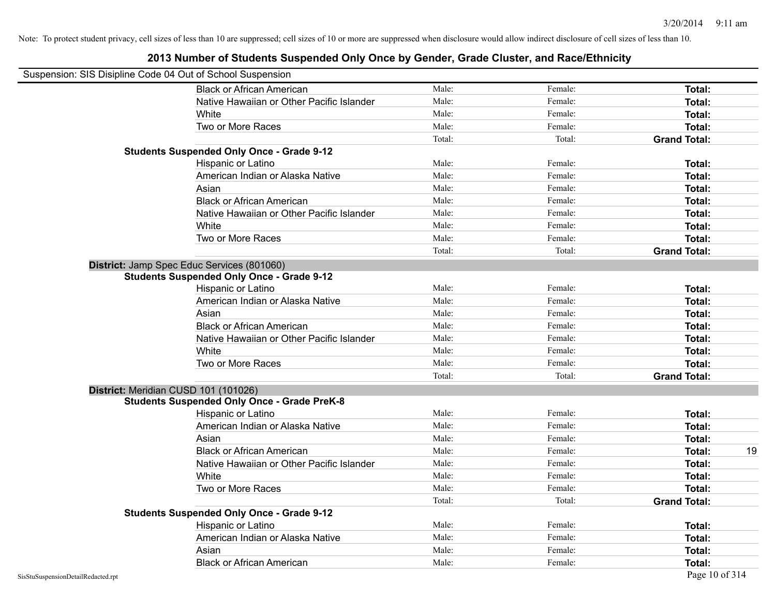| Suspension: SIS Disipline Code 04 Out of School Suspension |                                                    |        |         |                     |
|------------------------------------------------------------|----------------------------------------------------|--------|---------|---------------------|
|                                                            | <b>Black or African American</b>                   | Male:  | Female: | Total:              |
|                                                            | Native Hawaiian or Other Pacific Islander          | Male:  | Female: | Total:              |
|                                                            | White                                              | Male:  | Female: | Total:              |
|                                                            | Two or More Races                                  | Male:  | Female: | Total:              |
|                                                            |                                                    | Total: | Total:  | <b>Grand Total:</b> |
|                                                            | <b>Students Suspended Only Once - Grade 9-12</b>   |        |         |                     |
|                                                            | Hispanic or Latino                                 | Male:  | Female: | Total:              |
|                                                            | American Indian or Alaska Native                   | Male:  | Female: | Total:              |
|                                                            | Asian                                              | Male:  | Female: | Total:              |
|                                                            | <b>Black or African American</b>                   | Male:  | Female: | Total:              |
|                                                            | Native Hawaiian or Other Pacific Islander          | Male:  | Female: | Total:              |
|                                                            | White                                              | Male:  | Female: | Total:              |
|                                                            | Two or More Races                                  | Male:  | Female: | Total:              |
|                                                            |                                                    | Total: | Total:  | <b>Grand Total:</b> |
|                                                            | District: Jamp Spec Educ Services (801060)         |        |         |                     |
|                                                            | <b>Students Suspended Only Once - Grade 9-12</b>   |        |         |                     |
|                                                            | Hispanic or Latino                                 | Male:  | Female: | Total:              |
|                                                            | American Indian or Alaska Native                   | Male:  | Female: | Total:              |
|                                                            | Asian                                              | Male:  | Female: | Total:              |
|                                                            | <b>Black or African American</b>                   | Male:  | Female: | Total:              |
|                                                            | Native Hawaiian or Other Pacific Islander          | Male:  | Female: | Total:              |
|                                                            | White                                              | Male:  | Female: | Total:              |
|                                                            | Two or More Races                                  | Male:  | Female: | Total:              |
|                                                            |                                                    | Total: | Total:  | <b>Grand Total:</b> |
|                                                            | District: Meridian CUSD 101 (101026)               |        |         |                     |
|                                                            | <b>Students Suspended Only Once - Grade PreK-8</b> |        |         |                     |
|                                                            | Hispanic or Latino                                 | Male:  | Female: | Total:              |
|                                                            | American Indian or Alaska Native                   | Male:  | Female: | Total:              |
|                                                            | Asian                                              | Male:  | Female: | Total:              |
|                                                            | <b>Black or African American</b>                   | Male:  | Female: | 19<br>Total:        |
|                                                            | Native Hawaiian or Other Pacific Islander          | Male:  | Female: | Total:              |
|                                                            | White                                              | Male:  | Female: | Total:              |
|                                                            | Two or More Races                                  | Male:  | Female: | Total:              |
|                                                            |                                                    | Total: | Total:  | <b>Grand Total:</b> |
|                                                            | <b>Students Suspended Only Once - Grade 9-12</b>   |        |         |                     |
|                                                            | Hispanic or Latino                                 | Male:  | Female: | Total:              |
|                                                            | American Indian or Alaska Native                   | Male:  | Female: | Total:              |
|                                                            | Asian                                              | Male:  | Female: | Total:              |
|                                                            | <b>Black or African American</b>                   | Male:  | Female: | Total:              |
|                                                            |                                                    |        |         |                     |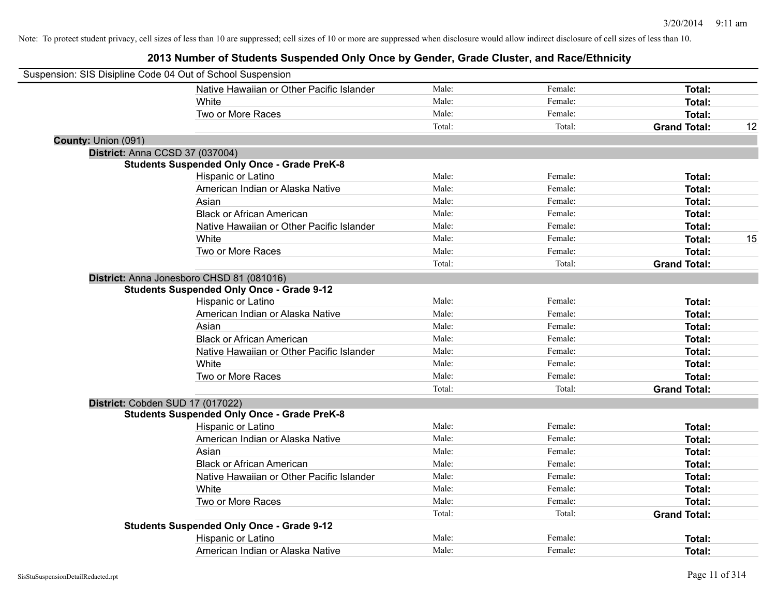| Suspension: SIS Disipline Code 04 Out of School Suspension |                                                    |        |         |                     |    |
|------------------------------------------------------------|----------------------------------------------------|--------|---------|---------------------|----|
|                                                            | Native Hawaiian or Other Pacific Islander          | Male:  | Female: | Total:              |    |
|                                                            | White                                              | Male:  | Female: | Total:              |    |
|                                                            | Two or More Races                                  | Male:  | Female: | Total:              |    |
|                                                            |                                                    | Total: | Total:  | <b>Grand Total:</b> | 12 |
| County: Union (091)                                        |                                                    |        |         |                     |    |
| District: Anna CCSD 37 (037004)                            |                                                    |        |         |                     |    |
|                                                            | <b>Students Suspended Only Once - Grade PreK-8</b> |        |         |                     |    |
|                                                            | Hispanic or Latino                                 | Male:  | Female: | Total:              |    |
|                                                            | American Indian or Alaska Native                   | Male:  | Female: | Total:              |    |
|                                                            | Asian                                              | Male:  | Female: | Total:              |    |
|                                                            | <b>Black or African American</b>                   | Male:  | Female: | Total:              |    |
|                                                            | Native Hawaiian or Other Pacific Islander          | Male:  | Female: | Total:              |    |
|                                                            | White                                              | Male:  | Female: | Total:              | 15 |
|                                                            | Two or More Races                                  | Male:  | Female: | Total:              |    |
|                                                            |                                                    | Total: | Total:  | <b>Grand Total:</b> |    |
|                                                            | District: Anna Jonesboro CHSD 81 (081016)          |        |         |                     |    |
|                                                            | <b>Students Suspended Only Once - Grade 9-12</b>   |        |         |                     |    |
|                                                            | Hispanic or Latino                                 | Male:  | Female: | Total:              |    |
|                                                            | American Indian or Alaska Native                   | Male:  | Female: | Total:              |    |
|                                                            | Asian                                              | Male:  | Female: | Total:              |    |
|                                                            | <b>Black or African American</b>                   | Male:  | Female: | Total:              |    |
|                                                            | Native Hawaiian or Other Pacific Islander          | Male:  | Female: | Total:              |    |
|                                                            | White                                              | Male:  | Female: | Total:              |    |
|                                                            | Two or More Races                                  | Male:  | Female: | Total:              |    |
|                                                            |                                                    | Total: | Total:  | <b>Grand Total:</b> |    |
| District: Cobden SUD 17 (017022)                           |                                                    |        |         |                     |    |
|                                                            | <b>Students Suspended Only Once - Grade PreK-8</b> |        |         |                     |    |
|                                                            | Hispanic or Latino                                 | Male:  | Female: | Total:              |    |
|                                                            | American Indian or Alaska Native                   | Male:  | Female: | Total:              |    |
|                                                            | Asian                                              | Male:  | Female: | Total:              |    |
|                                                            | <b>Black or African American</b>                   | Male:  | Female: | Total:              |    |
|                                                            | Native Hawaiian or Other Pacific Islander          | Male:  | Female: | Total:              |    |
|                                                            | <b>White</b>                                       | Male:  | Female: | Total:              |    |
|                                                            | Two or More Races                                  | Male:  | Female: | Total:              |    |
|                                                            |                                                    | Total: | Total:  | <b>Grand Total:</b> |    |
|                                                            | <b>Students Suspended Only Once - Grade 9-12</b>   |        |         |                     |    |
|                                                            | Hispanic or Latino                                 | Male:  | Female: | Total:              |    |
|                                                            | American Indian or Alaska Native                   | Male:  | Female: | Total:              |    |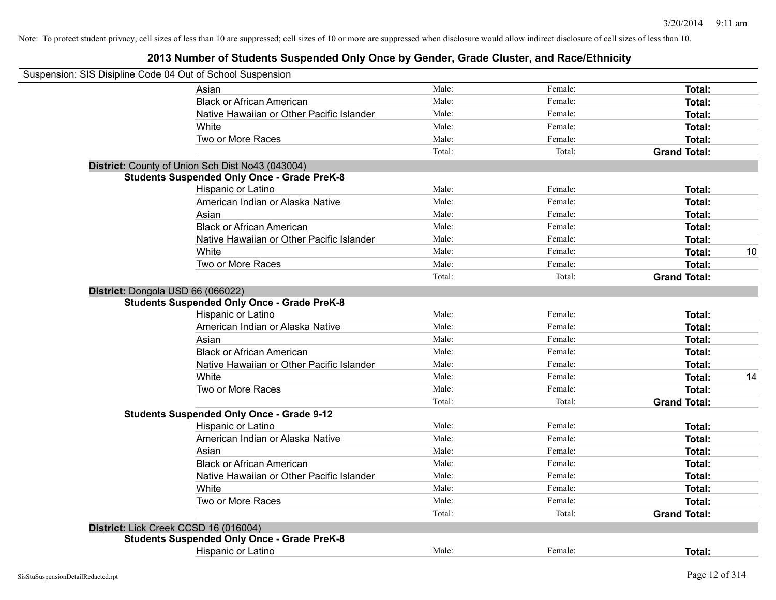| Suspension: SIS Disipline Code 04 Out of School Suspension |                                                    |        |         |                     |    |
|------------------------------------------------------------|----------------------------------------------------|--------|---------|---------------------|----|
|                                                            | Asian                                              | Male:  | Female: | Total:              |    |
|                                                            | <b>Black or African American</b>                   | Male:  | Female: | Total:              |    |
|                                                            | Native Hawaiian or Other Pacific Islander          | Male:  | Female: | Total:              |    |
|                                                            | White                                              | Male:  | Female: | Total:              |    |
|                                                            | Two or More Races                                  | Male:  | Female: | Total:              |    |
|                                                            |                                                    | Total: | Total:  | <b>Grand Total:</b> |    |
|                                                            | District: County of Union Sch Dist No43 (043004)   |        |         |                     |    |
|                                                            | <b>Students Suspended Only Once - Grade PreK-8</b> |        |         |                     |    |
|                                                            | Hispanic or Latino                                 | Male:  | Female: | Total:              |    |
|                                                            | American Indian or Alaska Native                   | Male:  | Female: | Total:              |    |
|                                                            | Asian                                              | Male:  | Female: | Total:              |    |
|                                                            | <b>Black or African American</b>                   | Male:  | Female: | Total:              |    |
|                                                            | Native Hawaiian or Other Pacific Islander          | Male:  | Female: | Total:              |    |
|                                                            | White                                              | Male:  | Female: | Total:              | 10 |
|                                                            | Two or More Races                                  | Male:  | Female: | Total:              |    |
|                                                            |                                                    | Total: | Total:  | <b>Grand Total:</b> |    |
| District: Dongola USD 66 (066022)                          | <b>Students Suspended Only Once - Grade PreK-8</b> |        |         |                     |    |
|                                                            | Hispanic or Latino                                 | Male:  | Female: | Total:              |    |
|                                                            | American Indian or Alaska Native                   | Male:  | Female: | Total:              |    |
|                                                            | Asian                                              | Male:  | Female: | Total:              |    |
|                                                            | <b>Black or African American</b>                   | Male:  | Female: | Total:              |    |
|                                                            | Native Hawaiian or Other Pacific Islander          | Male:  | Female: | Total:              |    |
|                                                            | White                                              | Male:  | Female: | Total:              | 14 |
|                                                            | Two or More Races                                  | Male:  | Female: | Total:              |    |
|                                                            |                                                    | Total: | Total:  | <b>Grand Total:</b> |    |
|                                                            | <b>Students Suspended Only Once - Grade 9-12</b>   |        |         |                     |    |
|                                                            | Hispanic or Latino                                 | Male:  | Female: | Total:              |    |
|                                                            | American Indian or Alaska Native                   | Male:  | Female: | Total:              |    |
|                                                            | Asian                                              | Male:  | Female: | Total:              |    |
|                                                            | <b>Black or African American</b>                   | Male:  | Female: | Total:              |    |
|                                                            | Native Hawaiian or Other Pacific Islander          | Male:  | Female: | Total:              |    |
|                                                            | White                                              | Male:  | Female: | Total:              |    |
|                                                            | Two or More Races                                  | Male:  | Female: | Total:              |    |
|                                                            |                                                    | Total: | Total:  | <b>Grand Total:</b> |    |
| District: Lick Creek CCSD 16 (016004)                      |                                                    |        |         |                     |    |
|                                                            | <b>Students Suspended Only Once - Grade PreK-8</b> |        |         |                     |    |
|                                                            | <b>Hispanic or Latino</b>                          | Male:  | Female: | Total:              |    |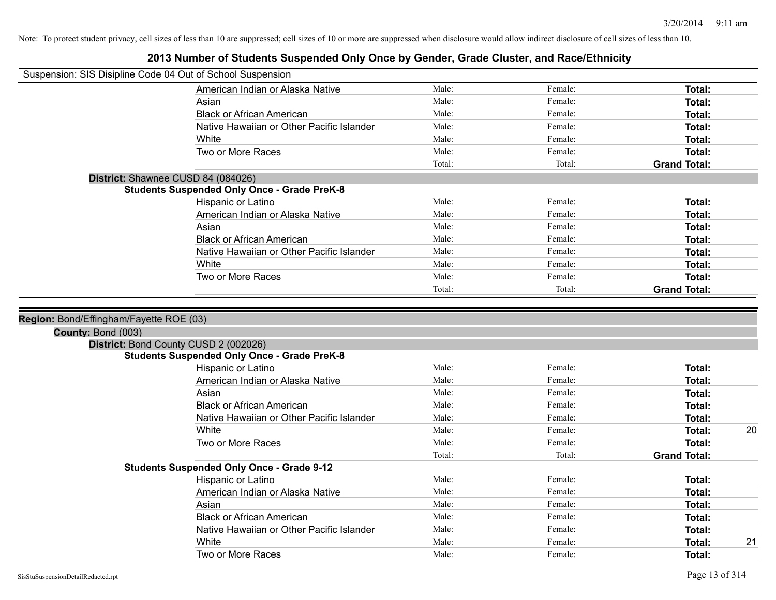| Suspension: SIS Disipline Code 04 Out of School Suspension |                                                                        |        |         |                     |    |
|------------------------------------------------------------|------------------------------------------------------------------------|--------|---------|---------------------|----|
|                                                            |                                                                        |        |         |                     |    |
|                                                            | American Indian or Alaska Native                                       | Male:  | Female: | Total:              |    |
|                                                            | Asian                                                                  | Male:  | Female: | Total:              |    |
|                                                            | <b>Black or African American</b>                                       | Male:  | Female: | Total:              |    |
|                                                            | Native Hawaiian or Other Pacific Islander                              | Male:  | Female: | Total:              |    |
|                                                            | White                                                                  | Male:  | Female: | Total:              |    |
|                                                            | Two or More Races                                                      | Male:  | Female: | Total:              |    |
|                                                            |                                                                        | Total: | Total:  | <b>Grand Total:</b> |    |
| District: Shawnee CUSD 84 (084026)                         |                                                                        |        |         |                     |    |
|                                                            | <b>Students Suspended Only Once - Grade PreK-8</b>                     |        |         |                     |    |
|                                                            | Hispanic or Latino                                                     | Male:  | Female: | Total:              |    |
|                                                            | American Indian or Alaska Native                                       | Male:  | Female: | Total:              |    |
|                                                            | Asian                                                                  | Male:  | Female: | Total:              |    |
|                                                            | <b>Black or African American</b>                                       | Male:  | Female: | Total:              |    |
|                                                            | Native Hawaiian or Other Pacific Islander                              | Male:  | Female: | Total:              |    |
|                                                            | White                                                                  | Male:  | Female: | Total:              |    |
|                                                            | Two or More Races                                                      | Male:  | Female: | Total:              |    |
|                                                            |                                                                        | Total: | Total:  | <b>Grand Total:</b> |    |
|                                                            |                                                                        |        |         |                     |    |
| Region: Bond/Effingham/Fayette ROE (03)                    |                                                                        |        |         |                     |    |
|                                                            |                                                                        |        |         |                     |    |
|                                                            |                                                                        |        |         |                     |    |
| County: Bond (003)                                         |                                                                        |        |         |                     |    |
|                                                            | District: Bond County CUSD 2 (002026)                                  |        |         |                     |    |
|                                                            | <b>Students Suspended Only Once - Grade PreK-8</b>                     | Male:  | Female: | Total:              |    |
|                                                            | Hispanic or Latino<br>American Indian or Alaska Native                 | Male:  | Female: | Total:              |    |
|                                                            | Asian                                                                  | Male:  | Female: | Total:              |    |
|                                                            | <b>Black or African American</b>                                       | Male:  | Female: |                     |    |
|                                                            | Native Hawaiian or Other Pacific Islander                              | Male:  | Female: | Total:<br>Total:    |    |
|                                                            | White                                                                  | Male:  | Female: | Total:              | 20 |
|                                                            | Two or More Races                                                      | Male:  | Female: | Total:              |    |
|                                                            |                                                                        | Total: | Total:  | <b>Grand Total:</b> |    |
|                                                            |                                                                        |        |         |                     |    |
|                                                            | <b>Students Suspended Only Once - Grade 9-12</b><br>Hispanic or Latino | Male:  | Female: | Total:              |    |
|                                                            | American Indian or Alaska Native                                       | Male:  | Female: | Total:              |    |
|                                                            | Asian                                                                  | Male:  | Female: | Total:              |    |
|                                                            | <b>Black or African American</b>                                       | Male:  | Female: | Total:              |    |
|                                                            | Native Hawaiian or Other Pacific Islander                              | Male:  | Female: | Total:              |    |
|                                                            | White                                                                  | Male:  | Female: | Total:              | 21 |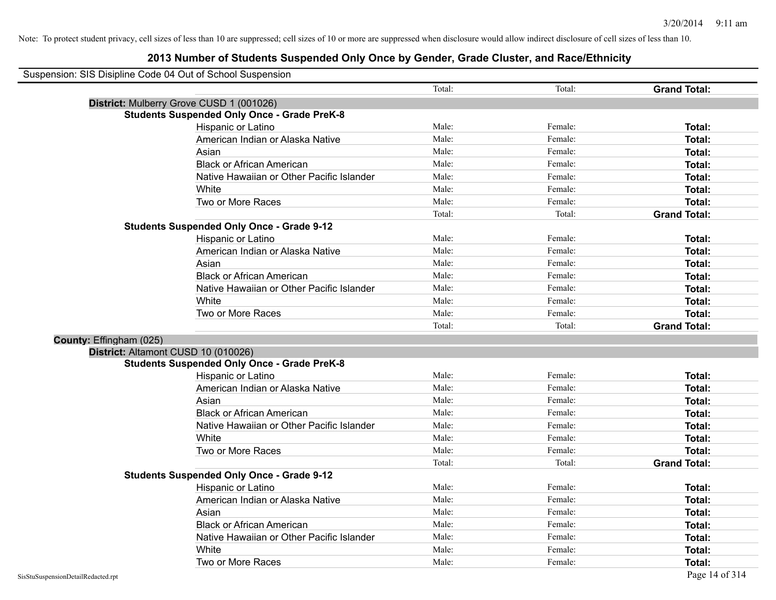| Suspension: SIS Disipline Code 04 Out of School Suspension |                                                    |        |         |                     |
|------------------------------------------------------------|----------------------------------------------------|--------|---------|---------------------|
|                                                            |                                                    | Total: | Total:  | <b>Grand Total:</b> |
|                                                            | District: Mulberry Grove CUSD 1 (001026)           |        |         |                     |
|                                                            | <b>Students Suspended Only Once - Grade PreK-8</b> |        |         |                     |
|                                                            | Hispanic or Latino                                 | Male:  | Female: | Total:              |
|                                                            | American Indian or Alaska Native                   | Male:  | Female: | Total:              |
|                                                            | Asian                                              | Male:  | Female: | Total:              |
|                                                            | <b>Black or African American</b>                   | Male:  | Female: | Total:              |
|                                                            | Native Hawaiian or Other Pacific Islander          | Male:  | Female: | Total:              |
|                                                            | White                                              | Male:  | Female: | Total:              |
|                                                            | Two or More Races                                  | Male:  | Female: | Total:              |
|                                                            |                                                    | Total: | Total:  | <b>Grand Total:</b> |
|                                                            | <b>Students Suspended Only Once - Grade 9-12</b>   |        |         |                     |
|                                                            | Hispanic or Latino                                 | Male:  | Female: | Total:              |
|                                                            | American Indian or Alaska Native                   | Male:  | Female: | Total:              |
|                                                            | Asian                                              | Male:  | Female: | Total:              |
|                                                            | <b>Black or African American</b>                   | Male:  | Female: | Total:              |
|                                                            | Native Hawaiian or Other Pacific Islander          | Male:  | Female: | Total:              |
|                                                            | White                                              | Male:  | Female: | Total:              |
|                                                            | Two or More Races                                  | Male:  | Female: | Total:              |
|                                                            |                                                    | Total: | Total:  | <b>Grand Total:</b> |
| County: Effingham (025)                                    |                                                    |        |         |                     |
|                                                            | District: Altamont CUSD 10 (010026)                |        |         |                     |
|                                                            | <b>Students Suspended Only Once - Grade PreK-8</b> |        |         |                     |
|                                                            | Hispanic or Latino                                 | Male:  | Female: | Total:              |
|                                                            | American Indian or Alaska Native                   | Male:  | Female: | Total:              |
|                                                            | Asian                                              | Male:  | Female: | Total:              |
|                                                            | <b>Black or African American</b>                   | Male:  | Female: | Total:              |
|                                                            | Native Hawaiian or Other Pacific Islander          | Male:  | Female: | Total:              |
|                                                            | White                                              | Male:  | Female: | Total:              |
|                                                            | Two or More Races                                  | Male:  | Female: | Total:              |
|                                                            |                                                    | Total: | Total:  | <b>Grand Total:</b> |
|                                                            | <b>Students Suspended Only Once - Grade 9-12</b>   |        |         |                     |
|                                                            | Hispanic or Latino                                 | Male:  | Female: | Total:              |
|                                                            | American Indian or Alaska Native                   | Male:  | Female: | Total:              |
|                                                            | Asian                                              | Male:  | Female: | Total:              |
|                                                            | <b>Black or African American</b>                   | Male:  | Female: | Total:              |
|                                                            | Native Hawaiian or Other Pacific Islander          | Male:  | Female: | Total:              |
|                                                            | White                                              | Male:  | Female: | Total:              |
|                                                            | Two or More Races                                  | Male:  | Female: | Total:              |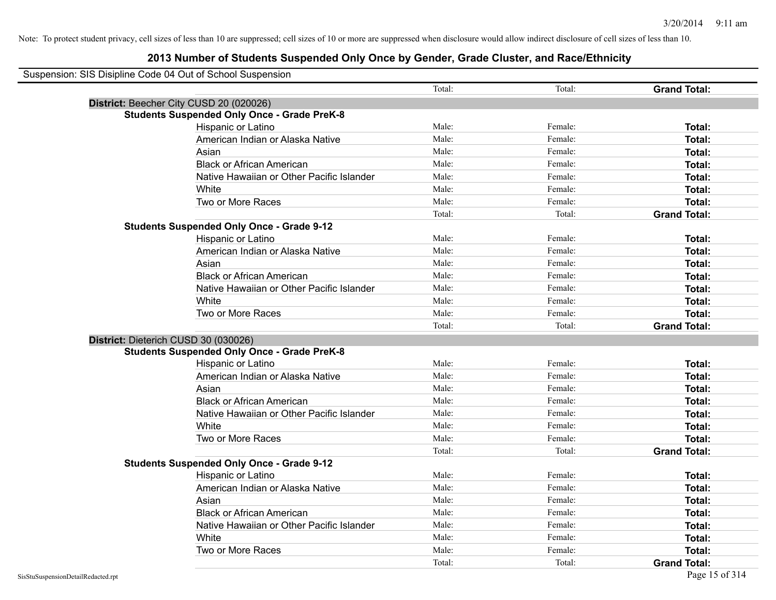| Suspension: SIS Disipline Code 04 Out of School Suspension |        |         |                     |
|------------------------------------------------------------|--------|---------|---------------------|
|                                                            | Total: | Total:  | <b>Grand Total:</b> |
| District: Beecher City CUSD 20 (020026)                    |        |         |                     |
| <b>Students Suspended Only Once - Grade PreK-8</b>         |        |         |                     |
| Hispanic or Latino                                         | Male:  | Female: | Total:              |
| American Indian or Alaska Native                           | Male:  | Female: | Total:              |
| Asian                                                      | Male:  | Female: | Total:              |
| <b>Black or African American</b>                           | Male:  | Female: | Total:              |
| Native Hawaiian or Other Pacific Islander                  | Male:  | Female: | Total:              |
| White                                                      | Male:  | Female: | Total:              |
| Two or More Races                                          | Male:  | Female: | Total:              |
|                                                            | Total: | Total:  | <b>Grand Total:</b> |
| <b>Students Suspended Only Once - Grade 9-12</b>           |        |         |                     |
| Hispanic or Latino                                         | Male:  | Female: | Total:              |
| American Indian or Alaska Native                           | Male:  | Female: | Total:              |
| Asian                                                      | Male:  | Female: | Total:              |
| <b>Black or African American</b>                           | Male:  | Female: | Total:              |
| Native Hawaiian or Other Pacific Islander                  | Male:  | Female: | Total:              |
| White                                                      | Male:  | Female: | Total:              |
| Two or More Races                                          | Male:  | Female: | Total:              |
|                                                            | Total: | Total:  | <b>Grand Total:</b> |
| District: Dieterich CUSD 30 (030026)                       |        |         |                     |
| <b>Students Suspended Only Once - Grade PreK-8</b>         |        |         |                     |
| Hispanic or Latino                                         | Male:  | Female: | Total:              |
| American Indian or Alaska Native                           | Male:  | Female: | Total:              |
| Asian                                                      | Male:  | Female: | Total:              |
| <b>Black or African American</b>                           | Male:  | Female: | Total:              |
| Native Hawaiian or Other Pacific Islander                  | Male:  | Female: | Total:              |
| White                                                      | Male:  | Female: | Total:              |
| Two or More Races                                          | Male:  | Female: | Total:              |
|                                                            | Total: | Total:  | <b>Grand Total:</b> |
| <b>Students Suspended Only Once - Grade 9-12</b>           |        |         |                     |
| Hispanic or Latino                                         | Male:  | Female: | Total:              |
| American Indian or Alaska Native                           | Male:  | Female: | Total:              |
| Asian                                                      | Male:  | Female: | Total:              |
| <b>Black or African American</b>                           | Male:  | Female: | Total:              |
| Native Hawaiian or Other Pacific Islander                  | Male:  | Female: | Total:              |
| White                                                      | Male:  | Female: | Total:              |
| Two or More Races                                          | Male:  | Female: | <b>Total:</b>       |
|                                                            | Total: | Total:  | <b>Grand Total:</b> |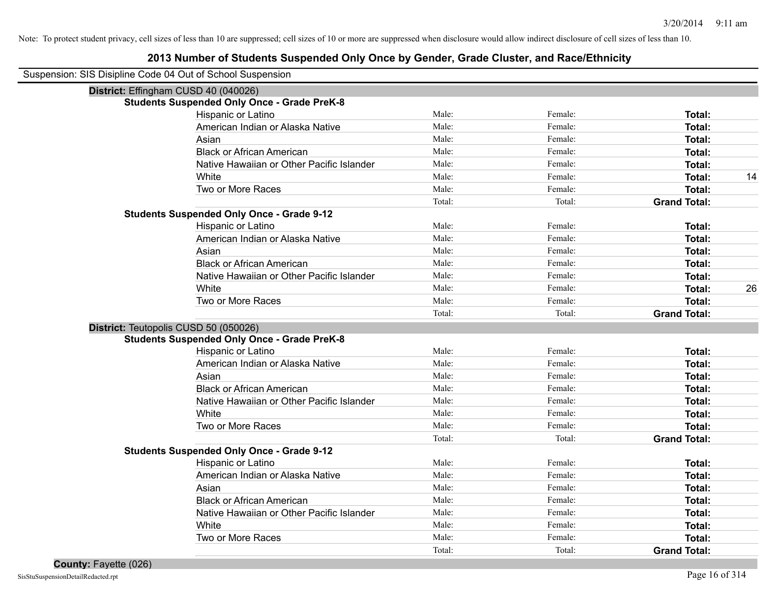## **2013 Number of Students Suspended Only Once by Gender, Grade Cluster, and Race/Ethnicity**

Suspension: SIS Disipline Code 04 Out of School Suspension

| District: Effingham CUSD 40 (040026)               |        |         |                     |    |
|----------------------------------------------------|--------|---------|---------------------|----|
| <b>Students Suspended Only Once - Grade PreK-8</b> |        |         |                     |    |
| Hispanic or Latino                                 | Male:  | Female: | Total:              |    |
| American Indian or Alaska Native                   | Male:  | Female: | Total:              |    |
| Asian                                              | Male:  | Female: | Total:              |    |
| <b>Black or African American</b>                   | Male:  | Female: | Total:              |    |
| Native Hawaiian or Other Pacific Islander          | Male:  | Female: | Total:              |    |
| White                                              | Male:  | Female: | Total:              | 14 |
| Two or More Races                                  | Male:  | Female: | Total:              |    |
|                                                    | Total: | Total:  | <b>Grand Total:</b> |    |
| <b>Students Suspended Only Once - Grade 9-12</b>   |        |         |                     |    |
| Hispanic or Latino                                 | Male:  | Female: | Total:              |    |
| American Indian or Alaska Native                   | Male:  | Female: | Total:              |    |
| Asian                                              | Male:  | Female: | Total:              |    |
| <b>Black or African American</b>                   | Male:  | Female: | Total:              |    |
| Native Hawaiian or Other Pacific Islander          | Male:  | Female: | Total:              |    |
| White                                              | Male:  | Female: | Total:              | 26 |
| Two or More Races                                  | Male:  | Female: | Total:              |    |
|                                                    | Total: | Total:  | <b>Grand Total:</b> |    |
| District: Teutopolis CUSD 50 (050026)              |        |         |                     |    |
| <b>Students Suspended Only Once - Grade PreK-8</b> |        |         |                     |    |
| Hispanic or Latino                                 | Male:  | Female: | <b>Total:</b>       |    |
| American Indian or Alaska Native                   | Male:  | Female: | Total:              |    |
| Asian                                              | Male:  | Female: | Total:              |    |
| <b>Black or African American</b>                   | Male:  | Female: | Total:              |    |
| Native Hawaiian or Other Pacific Islander          | Male:  | Female: | Total:              |    |
| White                                              | Male:  | Female: | Total:              |    |
| Two or More Races                                  | Male:  | Female: | Total:              |    |
|                                                    | Total: | Total:  | <b>Grand Total:</b> |    |
| <b>Students Suspended Only Once - Grade 9-12</b>   |        |         |                     |    |
| Hispanic or Latino                                 | Male:  | Female: | Total:              |    |
| American Indian or Alaska Native                   | Male:  | Female: | <b>Total:</b>       |    |
| Asian                                              | Male:  | Female: | Total:              |    |
| <b>Black or African American</b>                   | Male:  | Female: | Total:              |    |
| Native Hawaiian or Other Pacific Islander          | Male:  | Female: | Total:              |    |
| White                                              | Male:  | Female: | Total:              |    |
| Two or More Races                                  | Male:  | Female: | <b>Total:</b>       |    |
|                                                    | Total: | Total:  | <b>Grand Total:</b> |    |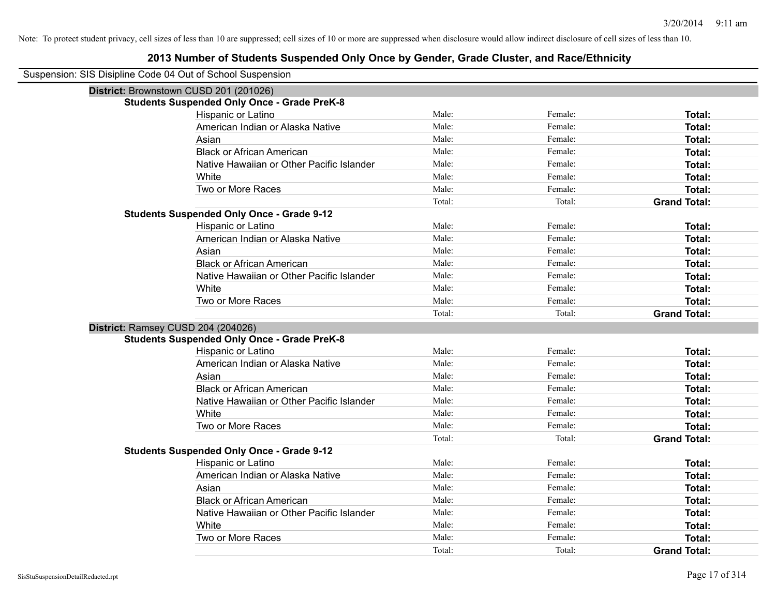| Suspension: SIS Disipline Code 04 Out of School Suspension |                                                    |        |         |                     |
|------------------------------------------------------------|----------------------------------------------------|--------|---------|---------------------|
| District: Brownstown CUSD 201 (201026)                     |                                                    |        |         |                     |
|                                                            | <b>Students Suspended Only Once - Grade PreK-8</b> |        |         |                     |
|                                                            | Hispanic or Latino                                 | Male:  | Female: | Total:              |
|                                                            | American Indian or Alaska Native                   | Male:  | Female: | Total:              |
|                                                            | Asian                                              | Male:  | Female: | Total:              |
|                                                            | <b>Black or African American</b>                   | Male:  | Female: | Total:              |
|                                                            | Native Hawaiian or Other Pacific Islander          | Male:  | Female: | Total:              |
|                                                            | White                                              | Male:  | Female: | Total:              |
|                                                            | Two or More Races                                  | Male:  | Female: | Total:              |
|                                                            |                                                    | Total: | Total:  | <b>Grand Total:</b> |
|                                                            | <b>Students Suspended Only Once - Grade 9-12</b>   |        |         |                     |
|                                                            | Hispanic or Latino                                 | Male:  | Female: | Total:              |
|                                                            | American Indian or Alaska Native                   | Male:  | Female: | Total:              |
|                                                            | Asian                                              | Male:  | Female: | Total:              |
|                                                            | <b>Black or African American</b>                   | Male:  | Female: | Total:              |
|                                                            | Native Hawaiian or Other Pacific Islander          | Male:  | Female: | Total:              |
|                                                            | White                                              | Male:  | Female: | Total:              |
|                                                            | Two or More Races                                  | Male:  | Female: | Total:              |
|                                                            |                                                    | Total: | Total:  | <b>Grand Total:</b> |
| District: Ramsey CUSD 204 (204026)                         |                                                    |        |         |                     |
|                                                            | <b>Students Suspended Only Once - Grade PreK-8</b> |        |         |                     |
|                                                            | Hispanic or Latino                                 | Male:  | Female: | Total:              |
|                                                            | American Indian or Alaska Native                   | Male:  | Female: | Total:              |
|                                                            | Asian                                              | Male:  | Female: | Total:              |
|                                                            | <b>Black or African American</b>                   | Male:  | Female: | Total:              |
|                                                            | Native Hawaiian or Other Pacific Islander          | Male:  | Female: | Total:              |
|                                                            | White                                              | Male:  | Female: | Total:              |
|                                                            | Two or More Races                                  | Male:  | Female: | Total:              |
|                                                            |                                                    | Total: | Total:  | <b>Grand Total:</b> |
|                                                            | <b>Students Suspended Only Once - Grade 9-12</b>   |        |         |                     |
|                                                            | Hispanic or Latino                                 | Male:  | Female: | Total:              |
|                                                            | American Indian or Alaska Native                   | Male:  | Female: | Total:              |
|                                                            | Asian                                              | Male:  | Female: | Total:              |
|                                                            | <b>Black or African American</b>                   | Male:  | Female: | Total:              |
|                                                            | Native Hawaiian or Other Pacific Islander          | Male:  | Female: | Total:              |
|                                                            | White                                              | Male:  | Female: | Total:              |
|                                                            | Two or More Races                                  | Male:  | Female: | Total:              |
|                                                            |                                                    | Total: | Total:  | <b>Grand Total:</b> |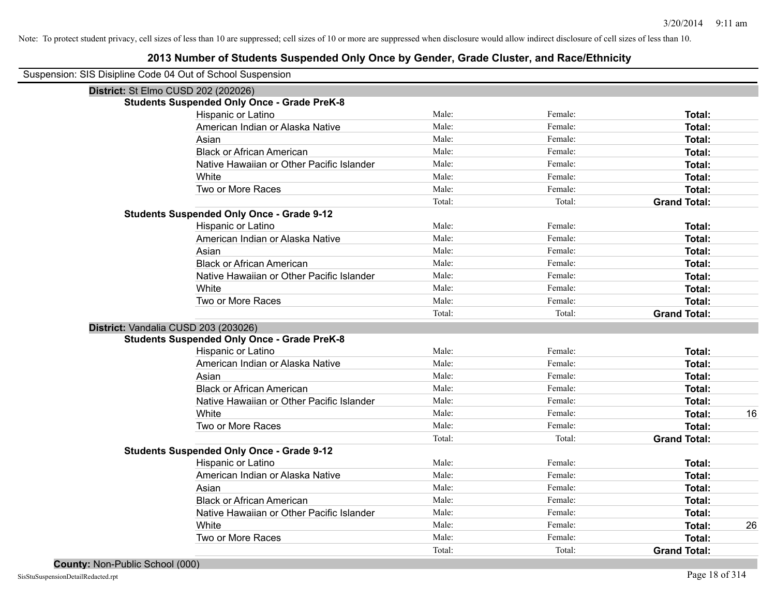### **2013 Number of Students Suspended Only Once by Gender, Grade Cluster, and Race/Ethnicity**

Suspension: SIS Disipline Code 04 Out of School Suspension

|                                     | $\frac{1}{2}$ . Signally consider the control of subset $\frac{1}{2}$ . Signally control of $\frac{1}{2}$ |        |         |                     |    |
|-------------------------------------|-----------------------------------------------------------------------------------------------------------|--------|---------|---------------------|----|
| District: St Elmo CUSD 202 (202026) |                                                                                                           |        |         |                     |    |
|                                     | <b>Students Suspended Only Once - Grade PreK-8</b>                                                        |        |         |                     |    |
|                                     | Hispanic or Latino                                                                                        | Male:  | Female: | <b>Total:</b>       |    |
|                                     | American Indian or Alaska Native                                                                          | Male:  | Female: | <b>Total:</b>       |    |
|                                     | Asian                                                                                                     | Male:  | Female: | <b>Total:</b>       |    |
|                                     | <b>Black or African American</b>                                                                          | Male:  | Female: | <b>Total:</b>       |    |
|                                     | Native Hawaiian or Other Pacific Islander                                                                 | Male:  | Female: | <b>Total:</b>       |    |
|                                     | White                                                                                                     | Male:  | Female: | <b>Total:</b>       |    |
|                                     | Two or More Races                                                                                         | Male:  | Female: | <b>Total:</b>       |    |
|                                     |                                                                                                           | Total: | Total:  | <b>Grand Total:</b> |    |
|                                     | <b>Students Suspended Only Once - Grade 9-12</b>                                                          |        |         |                     |    |
|                                     | Hispanic or Latino                                                                                        | Male:  | Female: | <b>Total:</b>       |    |
|                                     | American Indian or Alaska Native                                                                          | Male:  | Female: | <b>Total:</b>       |    |
|                                     | Asian                                                                                                     | Male:  | Female: | <b>Total:</b>       |    |
|                                     | <b>Black or African American</b>                                                                          | Male:  | Female: | <b>Total:</b>       |    |
|                                     | Native Hawaiian or Other Pacific Islander                                                                 | Male:  | Female: | <b>Total:</b>       |    |
|                                     | White                                                                                                     | Male:  | Female: | <b>Total:</b>       |    |
|                                     | Two or More Races                                                                                         | Male:  | Female: | Total:              |    |
|                                     |                                                                                                           | Total: | Total:  | <b>Grand Total:</b> |    |
|                                     | District: Vandalia CUSD 203 (203026)                                                                      |        |         |                     |    |
|                                     | <b>Students Suspended Only Once - Grade PreK-8</b>                                                        |        |         |                     |    |
|                                     | Hispanic or Latino                                                                                        | Male:  | Female: | <b>Total:</b>       |    |
|                                     | American Indian or Alaska Native                                                                          | Male:  | Female: | <b>Total:</b>       |    |
|                                     | Asian                                                                                                     | Male:  | Female: | <b>Total:</b>       |    |
|                                     | <b>Black or African American</b>                                                                          | Male:  | Female: | Total:              |    |
|                                     | Native Hawaiian or Other Pacific Islander                                                                 | Male:  | Female: | Total:              |    |
|                                     | White                                                                                                     | Male:  | Female: | <b>Total:</b>       | 16 |
|                                     | Two or More Races                                                                                         | Male:  | Female: | Total:              |    |
|                                     |                                                                                                           | Total: | Total:  | <b>Grand Total:</b> |    |
|                                     | <b>Students Suspended Only Once - Grade 9-12</b>                                                          |        |         |                     |    |
|                                     | Hispanic or Latino                                                                                        | Male:  | Female: | Total:              |    |
|                                     | American Indian or Alaska Native                                                                          | Male:  | Female: | Total:              |    |
|                                     | Asian                                                                                                     | Male:  | Female: | Total:              |    |
|                                     | <b>Black or African American</b>                                                                          | Male:  | Female: | Total:              |    |
|                                     | Native Hawaiian or Other Pacific Islander                                                                 | Male:  | Female: | Total:              |    |
|                                     | White                                                                                                     | Male:  | Female: | Total:              | 26 |
|                                     | Two or More Races                                                                                         | Male:  | Female: | Total:              |    |
|                                     |                                                                                                           | Total: | Total:  | <b>Grand Total:</b> |    |
|                                     |                                                                                                           |        |         |                     |    |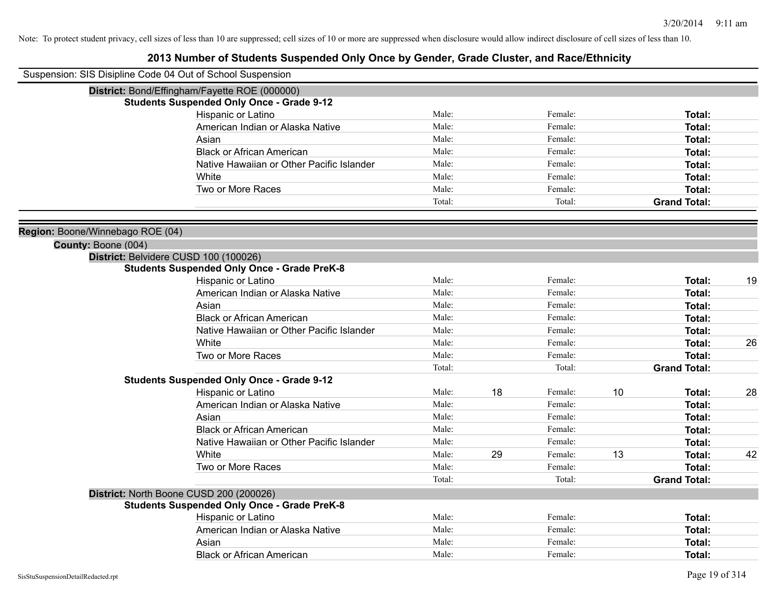| Suspension: SIS Disipline Code 04 Out of School Suspension |                                           |        |    |         |    |                     |    |
|------------------------------------------------------------|-------------------------------------------|--------|----|---------|----|---------------------|----|
| District: Bond/Effingham/Fayette ROE (000000)              |                                           |        |    |         |    |                     |    |
| <b>Students Suspended Only Once - Grade 9-12</b>           |                                           |        |    |         |    |                     |    |
| Hispanic or Latino                                         |                                           | Male:  |    | Female: |    | Total:              |    |
| American Indian or Alaska Native                           |                                           | Male:  |    | Female: |    | Total:              |    |
| Asian                                                      |                                           | Male:  |    | Female: |    | Total:              |    |
| <b>Black or African American</b>                           |                                           | Male:  |    | Female: |    | Total:              |    |
|                                                            | Native Hawaiian or Other Pacific Islander | Male:  |    | Female: |    | Total:              |    |
| White                                                      |                                           | Male:  |    | Female: |    | Total:              |    |
| Two or More Races                                          |                                           | Male:  |    | Female: |    | Total:              |    |
|                                                            |                                           | Total: |    | Total:  |    | <b>Grand Total:</b> |    |
| Region: Boone/Winnebago ROE (04)                           |                                           |        |    |         |    |                     |    |
| County: Boone (004)                                        |                                           |        |    |         |    |                     |    |
| District: Belvidere CUSD 100 (100026)                      |                                           |        |    |         |    |                     |    |
| <b>Students Suspended Only Once - Grade PreK-8</b>         |                                           |        |    |         |    |                     |    |
| Hispanic or Latino                                         |                                           | Male:  |    | Female: |    | Total:              | 19 |
| American Indian or Alaska Native                           |                                           | Male:  |    | Female: |    | Total:              |    |
| Asian                                                      |                                           | Male:  |    | Female: |    | Total:              |    |
| <b>Black or African American</b>                           |                                           | Male:  |    | Female: |    | Total:              |    |
|                                                            | Native Hawaiian or Other Pacific Islander | Male:  |    | Female: |    | Total:              |    |
| White                                                      |                                           | Male:  |    | Female: |    | Total:              | 26 |
| Two or More Races                                          |                                           | Male:  |    | Female: |    | <b>Total:</b>       |    |
|                                                            |                                           | Total: |    | Total:  |    | <b>Grand Total:</b> |    |
| <b>Students Suspended Only Once - Grade 9-12</b>           |                                           |        |    |         |    |                     |    |
| Hispanic or Latino                                         |                                           | Male:  | 18 | Female: | 10 | Total:              | 28 |
| American Indian or Alaska Native                           |                                           | Male:  |    | Female: |    | Total:              |    |
| Asian                                                      |                                           | Male:  |    | Female: |    | Total:              |    |
| <b>Black or African American</b>                           |                                           | Male:  |    | Female: |    | Total:              |    |
|                                                            | Native Hawaiian or Other Pacific Islander | Male:  |    | Female: |    | Total:              |    |
| White                                                      |                                           | Male:  | 29 | Female: | 13 | Total:              | 42 |
| Two or More Races                                          |                                           | Male:  |    | Female: |    | Total:              |    |
|                                                            |                                           | Total: |    | Total:  |    | <b>Grand Total:</b> |    |
| District: North Boone CUSD 200 (200026)                    |                                           |        |    |         |    |                     |    |
| <b>Students Suspended Only Once - Grade PreK-8</b>         |                                           |        |    |         |    |                     |    |
| Hispanic or Latino                                         |                                           | Male:  |    | Female: |    | Total:              |    |
| American Indian or Alaska Native                           |                                           | Male:  |    | Female: |    | Total:              |    |
| Asian                                                      |                                           | Male:  |    | Female: |    | Total:              |    |
| <b>Black or African American</b>                           |                                           | Male:  |    | Female: |    | Total:              |    |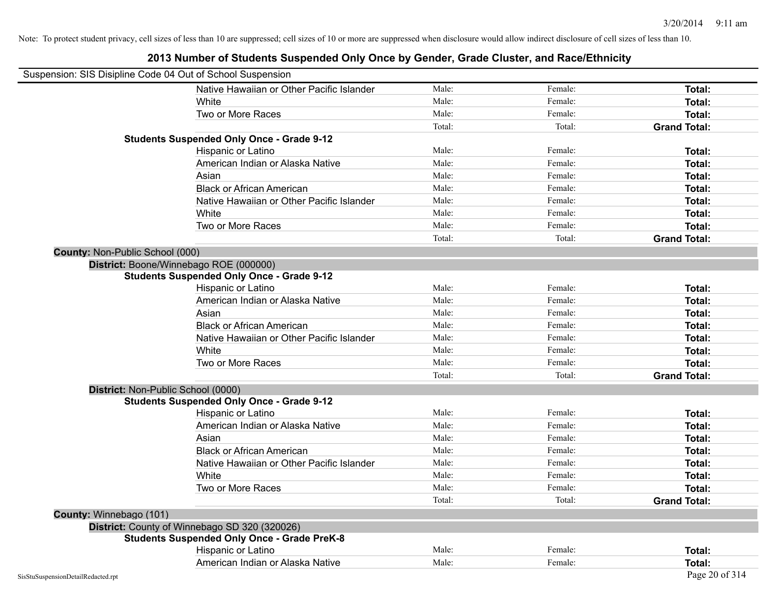| Suspension: SIS Disipline Code 04 Out of School Suspension |                                                    |        |         |                     |
|------------------------------------------------------------|----------------------------------------------------|--------|---------|---------------------|
|                                                            | Native Hawaiian or Other Pacific Islander          | Male:  | Female: | <b>Total:</b>       |
|                                                            | White                                              | Male:  | Female: | <b>Total:</b>       |
|                                                            | Two or More Races                                  | Male:  | Female: | Total:              |
|                                                            |                                                    | Total: | Total:  | <b>Grand Total:</b> |
|                                                            | <b>Students Suspended Only Once - Grade 9-12</b>   |        |         |                     |
|                                                            | Hispanic or Latino                                 | Male:  | Female: | Total:              |
|                                                            | American Indian or Alaska Native                   | Male:  | Female: | Total:              |
|                                                            | Asian                                              | Male:  | Female: | Total:              |
|                                                            | <b>Black or African American</b>                   | Male:  | Female: | Total:              |
|                                                            | Native Hawaiian or Other Pacific Islander          | Male:  | Female: | Total:              |
|                                                            | White                                              | Male:  | Female: | Total:              |
|                                                            | Two or More Races                                  | Male:  | Female: | <b>Total:</b>       |
|                                                            |                                                    | Total: | Total:  | <b>Grand Total:</b> |
| <b>County: Non-Public School (000)</b>                     |                                                    |        |         |                     |
|                                                            | District: Boone/Winnebago ROE (000000)             |        |         |                     |
|                                                            | <b>Students Suspended Only Once - Grade 9-12</b>   |        |         |                     |
|                                                            | Hispanic or Latino                                 | Male:  | Female: | Total:              |
|                                                            | American Indian or Alaska Native                   | Male:  | Female: | Total:              |
|                                                            | Asian                                              | Male:  | Female: | Total:              |
|                                                            | <b>Black or African American</b>                   | Male:  | Female: | Total:              |
|                                                            | Native Hawaiian or Other Pacific Islander          | Male:  | Female: | Total:              |
|                                                            | White                                              | Male:  | Female: | <b>Total:</b>       |
|                                                            | Two or More Races                                  | Male:  | Female: | <b>Total:</b>       |
|                                                            |                                                    | Total: | Total:  | <b>Grand Total:</b> |
| District: Non-Public School (0000)                         |                                                    |        |         |                     |
|                                                            | <b>Students Suspended Only Once - Grade 9-12</b>   |        |         |                     |
|                                                            | Hispanic or Latino                                 | Male:  | Female: | Total:              |
|                                                            | American Indian or Alaska Native                   | Male:  | Female: | Total:              |
|                                                            | Asian                                              | Male:  | Female: | Total:              |
|                                                            | <b>Black or African American</b>                   | Male:  | Female: | <b>Total:</b>       |
|                                                            | Native Hawaiian or Other Pacific Islander          | Male:  | Female: | Total:              |
|                                                            | White                                              | Male:  | Female: | <b>Total:</b>       |
|                                                            | Two or More Races                                  | Male:  | Female: | Total:              |
|                                                            |                                                    | Total: | Total:  | <b>Grand Total:</b> |
| County: Winnebago (101)                                    |                                                    |        |         |                     |
|                                                            | District: County of Winnebago SD 320 (320026)      |        |         |                     |
|                                                            | <b>Students Suspended Only Once - Grade PreK-8</b> |        |         |                     |
|                                                            | Hispanic or Latino                                 | Male:  | Female: | Total:              |
|                                                            | American Indian or Alaska Native                   | Male:  | Female: | Total:              |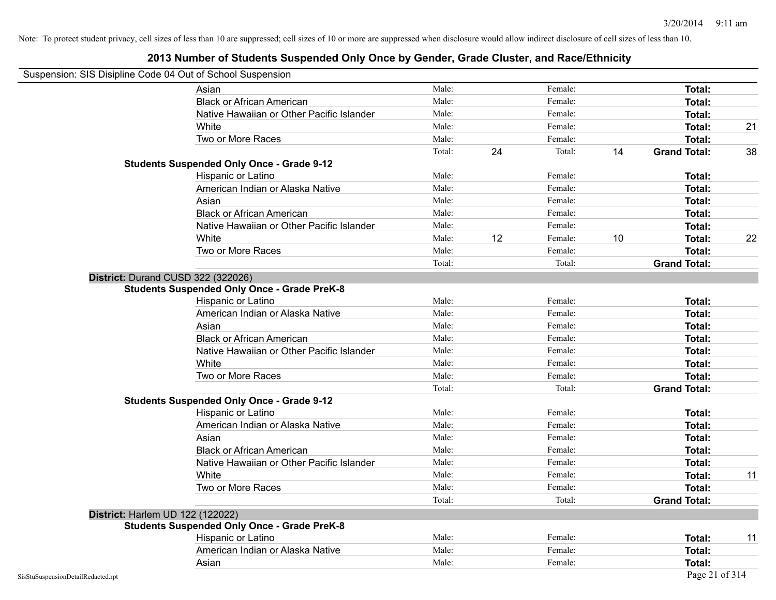|  | Suspension: SIS Disipline Code 04 Out of School Suspension |  |  |  |  |  |
|--|------------------------------------------------------------|--|--|--|--|--|
|--|------------------------------------------------------------|--|--|--|--|--|

|                                    | Asian                                              | Male:  |    | Female: |    | Total:              |    |
|------------------------------------|----------------------------------------------------|--------|----|---------|----|---------------------|----|
|                                    | <b>Black or African American</b>                   | Male:  |    | Female: |    | Total:              |    |
|                                    | Native Hawaiian or Other Pacific Islander          | Male:  |    | Female: |    | Total:              |    |
|                                    | White                                              | Male:  |    | Female: |    | <b>Total:</b>       | 21 |
|                                    | Two or More Races                                  | Male:  |    | Female: |    | <b>Total:</b>       |    |
|                                    |                                                    | Total: | 24 | Total:  | 14 | <b>Grand Total:</b> | 38 |
|                                    | <b>Students Suspended Only Once - Grade 9-12</b>   |        |    |         |    |                     |    |
|                                    | Hispanic or Latino                                 | Male:  |    | Female: |    | Total:              |    |
|                                    | American Indian or Alaska Native                   | Male:  |    | Female: |    | Total:              |    |
|                                    | Asian                                              | Male:  |    | Female: |    | <b>Total:</b>       |    |
|                                    | <b>Black or African American</b>                   | Male:  |    | Female: |    | Total:              |    |
|                                    | Native Hawaiian or Other Pacific Islander          | Male:  |    | Female: |    | Total:              |    |
|                                    | White                                              | Male:  | 12 | Female: | 10 | <b>Total:</b>       | 22 |
|                                    | Two or More Races                                  | Male:  |    | Female: |    | <b>Total:</b>       |    |
|                                    |                                                    | Total: |    | Total:  |    | <b>Grand Total:</b> |    |
| District: Durand CUSD 322 (322026) |                                                    |        |    |         |    |                     |    |
|                                    | <b>Students Suspended Only Once - Grade PreK-8</b> |        |    |         |    |                     |    |
|                                    | Hispanic or Latino                                 | Male:  |    | Female: |    | Total:              |    |
|                                    | American Indian or Alaska Native                   | Male:  |    | Female: |    | Total:              |    |
|                                    | Asian                                              | Male:  |    | Female: |    | Total:              |    |
|                                    | <b>Black or African American</b>                   | Male:  |    | Female: |    | Total:              |    |
|                                    | Native Hawaiian or Other Pacific Islander          | Male:  |    | Female: |    | Total:              |    |
|                                    | White                                              | Male:  |    | Female: |    | Total:              |    |
|                                    | Two or More Races                                  | Male:  |    | Female: |    | Total:              |    |
|                                    |                                                    | Total: |    | Total:  |    | <b>Grand Total:</b> |    |
|                                    | <b>Students Suspended Only Once - Grade 9-12</b>   |        |    |         |    |                     |    |
|                                    | Hispanic or Latino                                 | Male:  |    | Female: |    | <b>Total:</b>       |    |
|                                    | American Indian or Alaska Native                   | Male:  |    | Female: |    | Total:              |    |
|                                    | Asian                                              | Male:  |    | Female: |    | <b>Total:</b>       |    |
|                                    | <b>Black or African American</b>                   | Male:  |    | Female: |    | Total:              |    |
|                                    | Native Hawaiian or Other Pacific Islander          | Male:  |    | Female: |    | <b>Total:</b>       |    |
|                                    | White                                              | Male:  |    | Female: |    | Total:              | 11 |
|                                    | Two or More Races                                  | Male:  |    | Female: |    | Total:              |    |
|                                    |                                                    | Total: |    | Total:  |    | <b>Grand Total:</b> |    |
| District: Harlem UD 122 (122022)   |                                                    |        |    |         |    |                     |    |
|                                    | <b>Students Suspended Only Once - Grade PreK-8</b> |        |    |         |    |                     |    |
|                                    | Hispanic or Latino                                 | Male:  |    | Female: |    | Total:              | 11 |
|                                    | American Indian or Alaska Native                   | Male:  |    | Female: |    | <b>Total:</b>       |    |
|                                    | Asian                                              | Male:  |    | Female: |    | Total:              |    |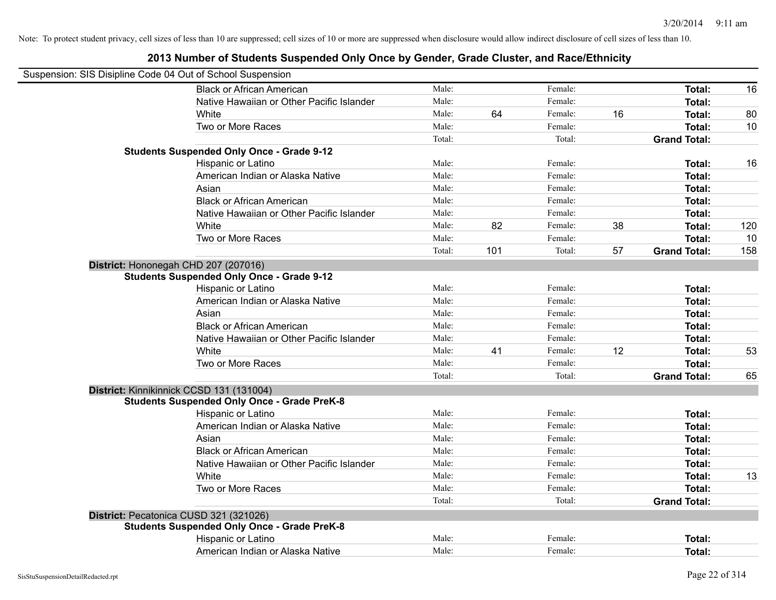| Suspension: SIS Disipline Code 04 Out of School Suspension |        |     |         |    |                     |     |
|------------------------------------------------------------|--------|-----|---------|----|---------------------|-----|
| <b>Black or African American</b>                           | Male:  |     | Female: |    | Total:              | 16  |
| Native Hawaiian or Other Pacific Islander                  | Male:  |     | Female: |    | Total:              |     |
| White                                                      | Male:  | 64  | Female: | 16 | Total:              | 80  |
| Two or More Races                                          | Male:  |     | Female: |    | Total:              | 10  |
|                                                            | Total: |     | Total:  |    | <b>Grand Total:</b> |     |
| <b>Students Suspended Only Once - Grade 9-12</b>           |        |     |         |    |                     |     |
| Hispanic or Latino                                         | Male:  |     | Female: |    | Total:              | 16  |
| American Indian or Alaska Native                           | Male:  |     | Female: |    | Total:              |     |
| Asian                                                      | Male:  |     | Female: |    | Total:              |     |
| <b>Black or African American</b>                           | Male:  |     | Female: |    | Total:              |     |
| Native Hawaiian or Other Pacific Islander                  | Male:  |     | Female: |    | Total:              |     |
| White                                                      | Male:  | 82  | Female: | 38 | Total:              | 120 |
| Two or More Races                                          | Male:  |     | Female: |    | Total:              | 10  |
|                                                            | Total: | 101 | Total:  | 57 | <b>Grand Total:</b> | 158 |
| District: Hononegah CHD 207 (207016)                       |        |     |         |    |                     |     |
| <b>Students Suspended Only Once - Grade 9-12</b>           |        |     |         |    |                     |     |
| Hispanic or Latino                                         | Male:  |     | Female: |    | Total:              |     |
| American Indian or Alaska Native                           | Male:  |     | Female: |    | Total:              |     |
| Asian                                                      | Male:  |     | Female: |    | Total:              |     |
| <b>Black or African American</b>                           | Male:  |     | Female: |    | Total:              |     |
| Native Hawaiian or Other Pacific Islander                  | Male:  |     | Female: |    | Total:              |     |
| White                                                      | Male:  | 41  | Female: | 12 | Total:              | 53  |
| Two or More Races                                          | Male:  |     | Female: |    | Total:              |     |
|                                                            | Total: |     | Total:  |    | <b>Grand Total:</b> | 65  |
| District: Kinnikinnick CCSD 131 (131004)                   |        |     |         |    |                     |     |
| <b>Students Suspended Only Once - Grade PreK-8</b>         |        |     |         |    |                     |     |
| Hispanic or Latino                                         | Male:  |     | Female: |    | Total:              |     |
| American Indian or Alaska Native                           | Male:  |     | Female: |    | Total:              |     |
| Asian                                                      | Male:  |     | Female: |    | Total:              |     |
| <b>Black or African American</b>                           | Male:  |     | Female: |    | Total:              |     |
| Native Hawaiian or Other Pacific Islander                  | Male:  |     | Female: |    | Total:              |     |
| White                                                      | Male:  |     | Female: |    | Total:              | 13  |
| Two or More Races                                          | Male:  |     | Female: |    | Total:              |     |
|                                                            | Total: |     | Total:  |    | <b>Grand Total:</b> |     |
| District: Pecatonica CUSD 321 (321026)                     |        |     |         |    |                     |     |
| <b>Students Suspended Only Once - Grade PreK-8</b>         |        |     |         |    |                     |     |
| Hispanic or Latino                                         | Male:  |     | Female: |    | Total:              |     |
| American Indian or Alaska Native                           | Male:  |     | Female: |    | Total:              |     |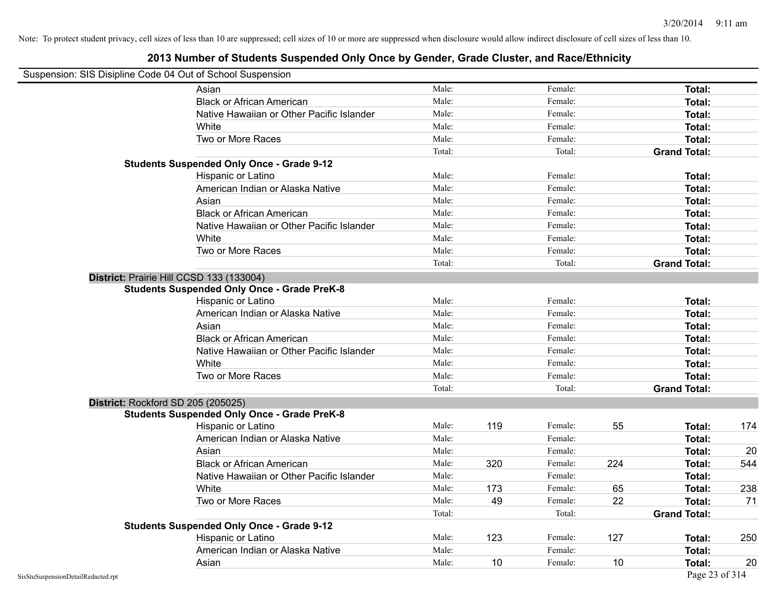| <b>Ousponsion.</b> Old Disipling Oode of Out of Ourloof Ousponsion | Asian                                              | Male:  |     | Female: |     | Total:              |     |
|--------------------------------------------------------------------|----------------------------------------------------|--------|-----|---------|-----|---------------------|-----|
|                                                                    | <b>Black or African American</b>                   | Male:  |     | Female: |     | Total:              |     |
|                                                                    | Native Hawaiian or Other Pacific Islander          | Male:  |     | Female: |     | Total:              |     |
|                                                                    | White                                              | Male:  |     | Female: |     | Total:              |     |
|                                                                    | Two or More Races                                  | Male:  |     | Female: |     | Total:              |     |
|                                                                    |                                                    | Total: |     | Total:  |     | <b>Grand Total:</b> |     |
|                                                                    | <b>Students Suspended Only Once - Grade 9-12</b>   |        |     |         |     |                     |     |
|                                                                    | Hispanic or Latino                                 | Male:  |     | Female: |     | Total:              |     |
|                                                                    | American Indian or Alaska Native                   | Male:  |     | Female: |     | Total:              |     |
|                                                                    | Asian                                              | Male:  |     | Female: |     | Total:              |     |
|                                                                    | <b>Black or African American</b>                   | Male:  |     | Female: |     | Total:              |     |
|                                                                    | Native Hawaiian or Other Pacific Islander          | Male:  |     | Female: |     | Total:              |     |
|                                                                    | White                                              | Male:  |     | Female: |     | Total:              |     |
|                                                                    | Two or More Races                                  | Male:  |     | Female: |     | Total:              |     |
|                                                                    |                                                    | Total: |     | Total:  |     | <b>Grand Total:</b> |     |
|                                                                    | District: Prairie Hill CCSD 133 (133004)           |        |     |         |     |                     |     |
|                                                                    | <b>Students Suspended Only Once - Grade PreK-8</b> |        |     |         |     |                     |     |
|                                                                    | Hispanic or Latino                                 | Male:  |     | Female: |     | Total:              |     |
|                                                                    | American Indian or Alaska Native                   | Male:  |     | Female: |     | Total:              |     |
|                                                                    | Asian                                              | Male:  |     | Female: |     | Total:              |     |
|                                                                    | <b>Black or African American</b>                   | Male:  |     | Female: |     | Total:              |     |
|                                                                    | Native Hawaiian or Other Pacific Islander          | Male:  |     | Female: |     | Total:              |     |
|                                                                    | White                                              | Male:  |     | Female: |     | Total:              |     |
|                                                                    | Two or More Races                                  | Male:  |     | Female: |     | Total:              |     |
|                                                                    |                                                    | Total: |     | Total:  |     | <b>Grand Total:</b> |     |
|                                                                    | District: Rockford SD 205 (205025)                 |        |     |         |     |                     |     |
|                                                                    | <b>Students Suspended Only Once - Grade PreK-8</b> |        |     |         |     |                     |     |
|                                                                    | Hispanic or Latino                                 | Male:  | 119 | Female: | 55  | Total:              | 174 |
|                                                                    | American Indian or Alaska Native                   | Male:  |     | Female: |     | Total:              |     |
|                                                                    | Asian                                              | Male:  |     | Female: |     | Total:              | 20  |
|                                                                    | <b>Black or African American</b>                   | Male:  | 320 | Female: | 224 | Total:              | 544 |
|                                                                    | Native Hawaiian or Other Pacific Islander          | Male:  |     | Female: |     | Total:              |     |
|                                                                    | White                                              | Male:  | 173 | Female: | 65  | Total:              | 238 |
|                                                                    | Two or More Races                                  | Male:  | 49  | Female: | 22  | Total:              | 71  |
|                                                                    |                                                    | Total: |     | Total:  |     | <b>Grand Total:</b> |     |
|                                                                    | <b>Students Suspended Only Once - Grade 9-12</b>   |        |     |         |     |                     |     |
|                                                                    | Hispanic or Latino                                 | Male:  | 123 | Female: | 127 | Total:              | 250 |
|                                                                    | American Indian or Alaska Native                   | Male:  |     | Female: |     | Total:              |     |
|                                                                    | Asian                                              | Male:  | 10  | Female: | 10  | Total:              | 20  |
| SisStuSuspensionDetailRedacted.rpt                                 |                                                    |        |     |         |     | Page 23 of 314      |     |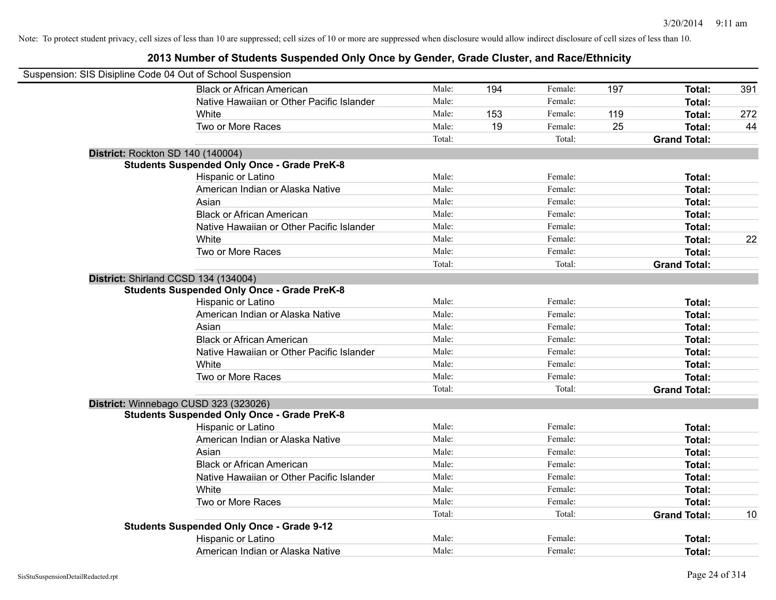| Suspension: SIS Disipline Code 04 Out of School Suspension |        |     |         |     |                     |     |
|------------------------------------------------------------|--------|-----|---------|-----|---------------------|-----|
| <b>Black or African American</b>                           | Male:  | 194 | Female: | 197 | Total:              | 391 |
| Native Hawaiian or Other Pacific Islander                  | Male:  |     | Female: |     | Total:              |     |
| White                                                      | Male:  | 153 | Female: | 119 | Total:              | 272 |
| Two or More Races                                          | Male:  | 19  | Female: | 25  | Total:              | 44  |
|                                                            | Total: |     | Total:  |     | <b>Grand Total:</b> |     |
| District: Rockton SD 140 (140004)                          |        |     |         |     |                     |     |
| <b>Students Suspended Only Once - Grade PreK-8</b>         |        |     |         |     |                     |     |
| Hispanic or Latino                                         | Male:  |     | Female: |     | Total:              |     |
| American Indian or Alaska Native                           | Male:  |     | Female: |     | Total:              |     |
| Asian                                                      | Male:  |     | Female: |     | Total:              |     |
| <b>Black or African American</b>                           | Male:  |     | Female: |     | Total:              |     |
| Native Hawaiian or Other Pacific Islander                  | Male:  |     | Female: |     | Total:              |     |
| White                                                      | Male:  |     | Female: |     | Total:              | 22  |
| Two or More Races                                          | Male:  |     | Female: |     | <b>Total:</b>       |     |
|                                                            | Total: |     | Total:  |     | <b>Grand Total:</b> |     |
| District: Shirland CCSD 134 (134004)                       |        |     |         |     |                     |     |
| <b>Students Suspended Only Once - Grade PreK-8</b>         |        |     |         |     |                     |     |
| Hispanic or Latino                                         | Male:  |     | Female: |     | Total:              |     |
| American Indian or Alaska Native                           | Male:  |     | Female: |     | Total:              |     |
| Asian                                                      | Male:  |     | Female: |     | Total:              |     |
| <b>Black or African American</b>                           | Male:  |     | Female: |     | Total:              |     |
| Native Hawaiian or Other Pacific Islander                  | Male:  |     | Female: |     | Total:              |     |
| White                                                      | Male:  |     | Female: |     | Total:              |     |
| Two or More Races                                          | Male:  |     | Female: |     | <b>Total:</b>       |     |
|                                                            | Total: |     | Total:  |     | <b>Grand Total:</b> |     |
| District: Winnebago CUSD 323 (323026)                      |        |     |         |     |                     |     |
| <b>Students Suspended Only Once - Grade PreK-8</b>         |        |     |         |     |                     |     |
| Hispanic or Latino                                         | Male:  |     | Female: |     | Total:              |     |
| American Indian or Alaska Native                           | Male:  |     | Female: |     | Total:              |     |
| Asian                                                      | Male:  |     | Female: |     | Total:              |     |
| <b>Black or African American</b>                           | Male:  |     | Female: |     | Total:              |     |
| Native Hawaiian or Other Pacific Islander                  | Male:  |     | Female: |     | Total:              |     |
| White                                                      | Male:  |     | Female: |     | Total:              |     |
| Two or More Races                                          | Male:  |     | Female: |     | Total:              |     |
|                                                            | Total: |     | Total:  |     | <b>Grand Total:</b> | 10  |
| <b>Students Suspended Only Once - Grade 9-12</b>           |        |     |         |     |                     |     |
| Hispanic or Latino                                         | Male:  |     | Female: |     | <b>Total:</b>       |     |
| American Indian or Alaska Native                           | Male:  |     | Female: |     | Total:              |     |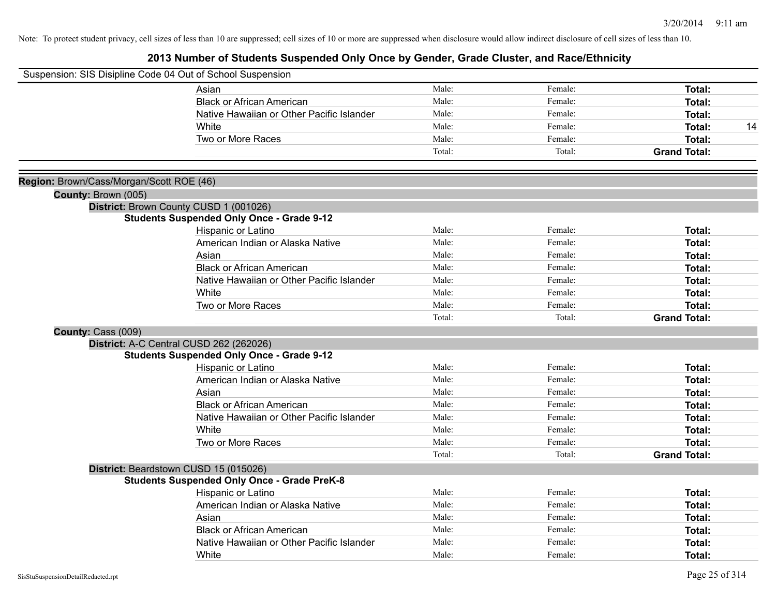| Suspension: SIS Disipline Code 04 Out of School Suspension |                                                    |        |         |                     |
|------------------------------------------------------------|----------------------------------------------------|--------|---------|---------------------|
|                                                            | Asian                                              | Male:  | Female: | Total:              |
|                                                            | <b>Black or African American</b>                   | Male:  | Female: | Total:              |
|                                                            | Native Hawaiian or Other Pacific Islander          | Male:  | Female: | Total:              |
|                                                            | White                                              | Male:  | Female: | <b>Total:</b><br>14 |
|                                                            | Two or More Races                                  | Male:  | Female: | <b>Total:</b>       |
|                                                            |                                                    | Total: | Total:  | <b>Grand Total:</b> |
|                                                            |                                                    |        |         |                     |
| Region: Brown/Cass/Morgan/Scott ROE (46)                   |                                                    |        |         |                     |
| County: Brown (005)                                        |                                                    |        |         |                     |
|                                                            | District: Brown County CUSD 1 (001026)             |        |         |                     |
|                                                            | <b>Students Suspended Only Once - Grade 9-12</b>   |        |         |                     |
|                                                            | Hispanic or Latino                                 | Male:  | Female: | Total:              |
|                                                            | American Indian or Alaska Native                   | Male:  | Female: | <b>Total:</b>       |
|                                                            | Asian                                              | Male:  | Female: | Total:              |
|                                                            | <b>Black or African American</b>                   | Male:  | Female: | Total:              |
|                                                            | Native Hawaiian or Other Pacific Islander          | Male:  | Female: | Total:              |
|                                                            | White                                              | Male:  | Female: | Total:              |
|                                                            | Two or More Races                                  | Male:  | Female: | Total:              |
|                                                            |                                                    | Total: | Total:  | <b>Grand Total:</b> |
| County: Cass (009)                                         |                                                    |        |         |                     |
|                                                            | District: A-C Central CUSD 262 (262026)            |        |         |                     |
|                                                            | <b>Students Suspended Only Once - Grade 9-12</b>   |        |         |                     |
|                                                            | Hispanic or Latino                                 | Male:  | Female: | Total:              |
|                                                            | American Indian or Alaska Native                   | Male:  | Female: | Total:              |
|                                                            | Asian                                              | Male:  | Female: | Total:              |
|                                                            | <b>Black or African American</b>                   | Male:  | Female: | Total:              |
|                                                            | Native Hawaiian or Other Pacific Islander          | Male:  | Female: | <b>Total:</b>       |
|                                                            | White                                              | Male:  | Female: | Total:              |
|                                                            | Two or More Races                                  | Male:  | Female: | Total:              |
|                                                            |                                                    | Total: | Total:  | <b>Grand Total:</b> |
|                                                            | District: Beardstown CUSD 15 (015026)              |        |         |                     |
|                                                            | <b>Students Suspended Only Once - Grade PreK-8</b> |        |         |                     |
|                                                            | Hispanic or Latino                                 | Male:  | Female: | Total:              |
|                                                            | American Indian or Alaska Native                   | Male:  | Female: | Total:              |
|                                                            | Asian                                              | Male:  | Female: | Total:              |
|                                                            | <b>Black or African American</b>                   | Male:  | Female: | <b>Total:</b>       |
|                                                            | Native Hawaiian or Other Pacific Islander          | Male:  | Female: | <b>Total:</b>       |
|                                                            | White                                              | Male:  | Female: | Total:              |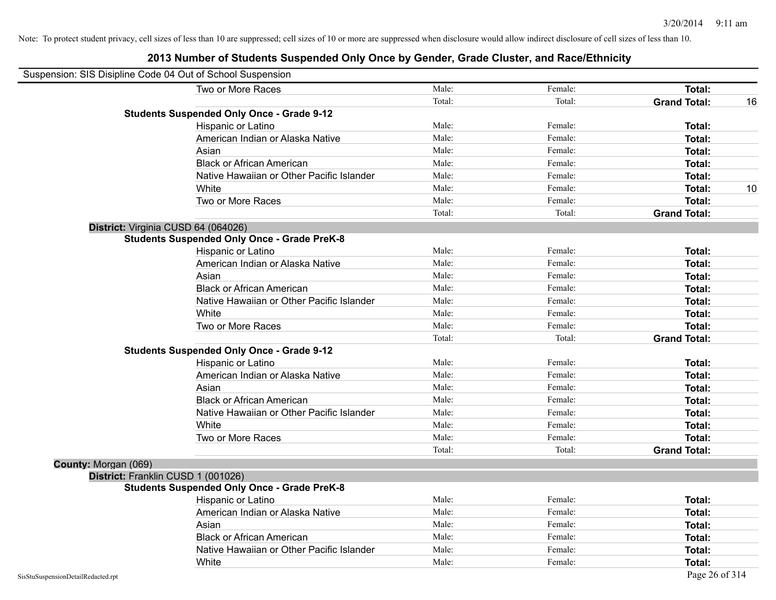| Suspension: SIS Disipline Code 04 Out of School Suspension |                                                    |        |         |                     |    |
|------------------------------------------------------------|----------------------------------------------------|--------|---------|---------------------|----|
|                                                            | Two or More Races                                  | Male:  | Female: | <b>Total:</b>       |    |
|                                                            |                                                    | Total: | Total:  | <b>Grand Total:</b> | 16 |
|                                                            | <b>Students Suspended Only Once - Grade 9-12</b>   |        |         |                     |    |
|                                                            | Hispanic or Latino                                 | Male:  | Female: | Total:              |    |
|                                                            | American Indian or Alaska Native                   | Male:  | Female: | Total:              |    |
|                                                            | Asian                                              | Male:  | Female: | Total:              |    |
|                                                            | <b>Black or African American</b>                   | Male:  | Female: | Total:              |    |
|                                                            | Native Hawaiian or Other Pacific Islander          | Male:  | Female: | Total:              |    |
|                                                            | White                                              | Male:  | Female: | Total:              | 10 |
|                                                            | Two or More Races                                  | Male:  | Female: | Total:              |    |
|                                                            |                                                    | Total: | Total:  | <b>Grand Total:</b> |    |
| District: Virginia CUSD 64 (064026)                        |                                                    |        |         |                     |    |
|                                                            | <b>Students Suspended Only Once - Grade PreK-8</b> |        |         |                     |    |
|                                                            | Hispanic or Latino                                 | Male:  | Female: | Total:              |    |
|                                                            | American Indian or Alaska Native                   | Male:  | Female: | Total:              |    |
|                                                            | Asian                                              | Male:  | Female: | Total:              |    |
|                                                            | <b>Black or African American</b>                   | Male:  | Female: | Total:              |    |
|                                                            | Native Hawaiian or Other Pacific Islander          | Male:  | Female: | Total:              |    |
|                                                            | White                                              | Male:  | Female: | Total:              |    |
|                                                            | Two or More Races                                  | Male:  | Female: | Total:              |    |
|                                                            |                                                    | Total: | Total:  | <b>Grand Total:</b> |    |
|                                                            | <b>Students Suspended Only Once - Grade 9-12</b>   |        |         |                     |    |
|                                                            | Hispanic or Latino                                 | Male:  | Female: | Total:              |    |
|                                                            | American Indian or Alaska Native                   | Male:  | Female: | Total:              |    |
|                                                            | Asian                                              | Male:  | Female: | Total:              |    |
|                                                            | <b>Black or African American</b>                   | Male:  | Female: | Total:              |    |
|                                                            | Native Hawaiian or Other Pacific Islander          | Male:  | Female: | Total:              |    |
|                                                            | White                                              | Male:  | Female: | Total:              |    |
|                                                            | Two or More Races                                  | Male:  | Female: | Total:              |    |
|                                                            |                                                    | Total: | Total:  | <b>Grand Total:</b> |    |
| County: Morgan (069)                                       |                                                    |        |         |                     |    |
| District: Franklin CUSD 1 (001026)                         |                                                    |        |         |                     |    |
|                                                            | <b>Students Suspended Only Once - Grade PreK-8</b> |        |         |                     |    |
|                                                            | Hispanic or Latino                                 | Male:  | Female: | Total:              |    |
|                                                            | American Indian or Alaska Native                   | Male:  | Female: | Total:              |    |
|                                                            | Asian                                              | Male:  | Female: | Total:              |    |
|                                                            | <b>Black or African American</b>                   | Male:  | Female: | Total:              |    |
|                                                            | Native Hawaiian or Other Pacific Islander          | Male:  | Female: | <b>Total:</b>       |    |
|                                                            | White                                              | Male:  | Female: | Total:              |    |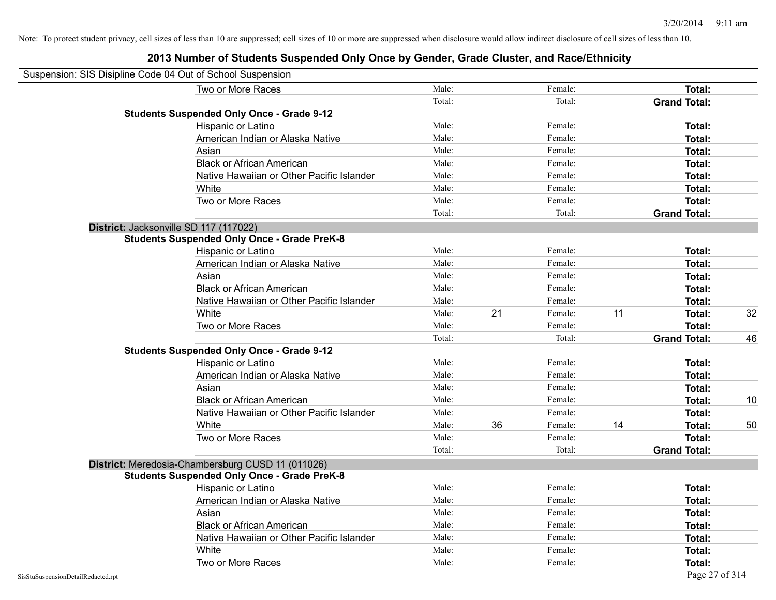| Suspension: SIS Disipline Code 04 Out of School Suspension |                                                    |        |    |         |    |                     |    |
|------------------------------------------------------------|----------------------------------------------------|--------|----|---------|----|---------------------|----|
|                                                            | Two or More Races                                  | Male:  |    | Female: |    | Total:              |    |
|                                                            |                                                    | Total: |    | Total:  |    | <b>Grand Total:</b> |    |
|                                                            | <b>Students Suspended Only Once - Grade 9-12</b>   |        |    |         |    |                     |    |
|                                                            | Hispanic or Latino                                 | Male:  |    | Female: |    | Total:              |    |
|                                                            | American Indian or Alaska Native                   | Male:  |    | Female: |    | Total:              |    |
|                                                            | Asian                                              | Male:  |    | Female: |    | Total:              |    |
|                                                            | <b>Black or African American</b>                   | Male:  |    | Female: |    | Total:              |    |
|                                                            | Native Hawaiian or Other Pacific Islander          | Male:  |    | Female: |    | Total:              |    |
|                                                            | White                                              | Male:  |    | Female: |    | Total:              |    |
|                                                            | Two or More Races                                  | Male:  |    | Female: |    | Total:              |    |
|                                                            |                                                    | Total: |    | Total:  |    | <b>Grand Total:</b> |    |
|                                                            | District: Jacksonville SD 117 (117022)             |        |    |         |    |                     |    |
|                                                            | <b>Students Suspended Only Once - Grade PreK-8</b> |        |    |         |    |                     |    |
|                                                            | Hispanic or Latino                                 | Male:  |    | Female: |    | Total:              |    |
|                                                            | American Indian or Alaska Native                   | Male:  |    | Female: |    | Total:              |    |
|                                                            | Asian                                              | Male:  |    | Female: |    | Total:              |    |
|                                                            | <b>Black or African American</b>                   | Male:  |    | Female: |    | Total:              |    |
|                                                            | Native Hawaiian or Other Pacific Islander          | Male:  |    | Female: |    | Total:              |    |
|                                                            | White                                              | Male:  | 21 | Female: | 11 | Total:              | 32 |
|                                                            | Two or More Races                                  | Male:  |    | Female: |    | Total:              |    |
|                                                            |                                                    | Total: |    | Total:  |    | <b>Grand Total:</b> | 46 |
|                                                            | <b>Students Suspended Only Once - Grade 9-12</b>   |        |    |         |    |                     |    |
|                                                            | Hispanic or Latino                                 | Male:  |    | Female: |    | Total:              |    |
|                                                            | American Indian or Alaska Native                   | Male:  |    | Female: |    | Total:              |    |
|                                                            | Asian                                              | Male:  |    | Female: |    | Total:              |    |
|                                                            | <b>Black or African American</b>                   | Male:  |    | Female: |    | Total:              | 10 |
|                                                            | Native Hawaiian or Other Pacific Islander          | Male:  |    | Female: |    | Total:              |    |
|                                                            | White                                              | Male:  | 36 | Female: | 14 | Total:              | 50 |
|                                                            | Two or More Races                                  | Male:  |    | Female: |    | Total:              |    |
|                                                            |                                                    | Total: |    | Total:  |    | <b>Grand Total:</b> |    |
|                                                            | District: Meredosia-Chambersburg CUSD 11 (011026)  |        |    |         |    |                     |    |
|                                                            | <b>Students Suspended Only Once - Grade PreK-8</b> |        |    |         |    |                     |    |
|                                                            | Hispanic or Latino                                 | Male:  |    | Female: |    | <b>Total:</b>       |    |
|                                                            | American Indian or Alaska Native                   | Male:  |    | Female: |    | Total:              |    |
|                                                            | Asian                                              | Male:  |    | Female: |    | Total:              |    |
|                                                            | <b>Black or African American</b>                   | Male:  |    | Female: |    | Total:              |    |
|                                                            | Native Hawaiian or Other Pacific Islander          | Male:  |    | Female: |    | Total:              |    |
|                                                            | White                                              | Male:  |    | Female: |    | Total:              |    |
|                                                            | Two or More Races                                  | Male:  |    | Female: |    | <b>Total:</b>       |    |
| SisStuSuspensionDetailRedacted.rpt                         |                                                    |        |    |         |    | Page 27 of 314      |    |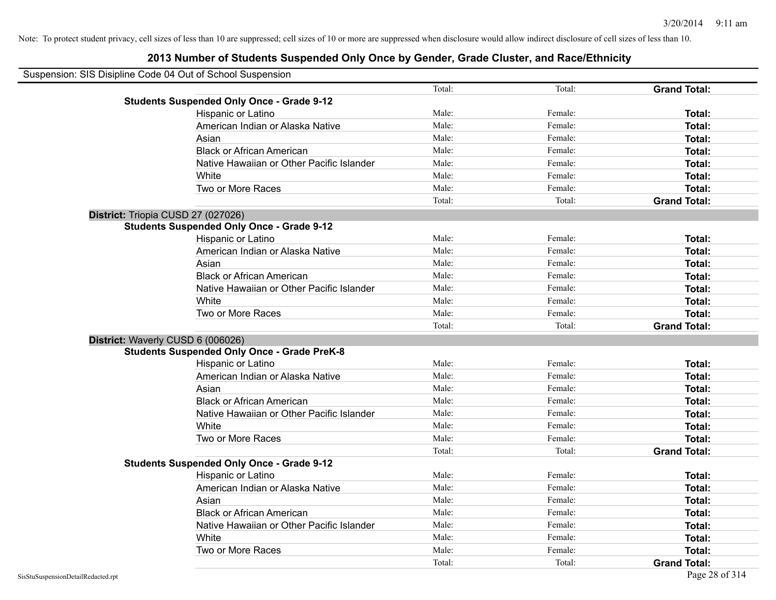| Suspension: SIS Disipline Code 04 Out of School Suspension |                                                    |        |         |                     |
|------------------------------------------------------------|----------------------------------------------------|--------|---------|---------------------|
|                                                            |                                                    | Total: | Total:  | <b>Grand Total:</b> |
|                                                            | <b>Students Suspended Only Once - Grade 9-12</b>   |        |         |                     |
|                                                            | Hispanic or Latino                                 | Male:  | Female: | Total:              |
|                                                            | American Indian or Alaska Native                   | Male:  | Female: | Total:              |
|                                                            | Asian                                              | Male:  | Female: | Total:              |
|                                                            | <b>Black or African American</b>                   | Male:  | Female: | Total:              |
|                                                            | Native Hawaiian or Other Pacific Islander          | Male:  | Female: | Total:              |
|                                                            | White                                              | Male:  | Female: | Total:              |
|                                                            | Two or More Races                                  | Male:  | Female: | Total:              |
|                                                            |                                                    | Total: | Total:  | <b>Grand Total:</b> |
|                                                            | District: Triopia CUSD 27 (027026)                 |        |         |                     |
|                                                            | <b>Students Suspended Only Once - Grade 9-12</b>   |        |         |                     |
|                                                            | Hispanic or Latino                                 | Male:  | Female: | Total:              |
|                                                            | American Indian or Alaska Native                   | Male:  | Female: | Total:              |
|                                                            | Asian                                              | Male:  | Female: | Total:              |
|                                                            | <b>Black or African American</b>                   | Male:  | Female: | Total:              |
|                                                            | Native Hawaiian or Other Pacific Islander          | Male:  | Female: | Total:              |
|                                                            | White                                              | Male:  | Female: | Total:              |
|                                                            | Two or More Races                                  | Male:  | Female: | Total:              |
|                                                            |                                                    | Total: | Total:  | <b>Grand Total:</b> |
|                                                            | District: Waverly CUSD 6 (006026)                  |        |         |                     |
|                                                            | <b>Students Suspended Only Once - Grade PreK-8</b> |        |         |                     |
|                                                            | Hispanic or Latino                                 | Male:  | Female: | Total:              |
|                                                            | American Indian or Alaska Native                   | Male:  | Female: | Total:              |
|                                                            | Asian                                              | Male:  | Female: | Total:              |
|                                                            | <b>Black or African American</b>                   | Male:  | Female: | Total:              |
|                                                            | Native Hawaiian or Other Pacific Islander          | Male:  | Female: | Total:              |
|                                                            | White                                              | Male:  | Female: | Total:              |
|                                                            | Two or More Races                                  | Male:  | Female: | Total:              |
|                                                            |                                                    | Total: | Total:  | <b>Grand Total:</b> |
|                                                            | <b>Students Suspended Only Once - Grade 9-12</b>   |        |         |                     |
|                                                            | Hispanic or Latino                                 | Male:  | Female: | Total:              |
|                                                            | American Indian or Alaska Native                   | Male:  | Female: | Total:              |
|                                                            | Asian                                              | Male:  | Female: | Total:              |
|                                                            | <b>Black or African American</b>                   | Male:  | Female: | Total:              |
|                                                            | Native Hawaiian or Other Pacific Islander          | Male:  | Female: | Total:              |
|                                                            | White                                              | Male:  | Female: | Total:              |
|                                                            | Two or More Races                                  | Male:  | Female: | Total:              |
|                                                            |                                                    | Total: | Total:  | <b>Grand Total:</b> |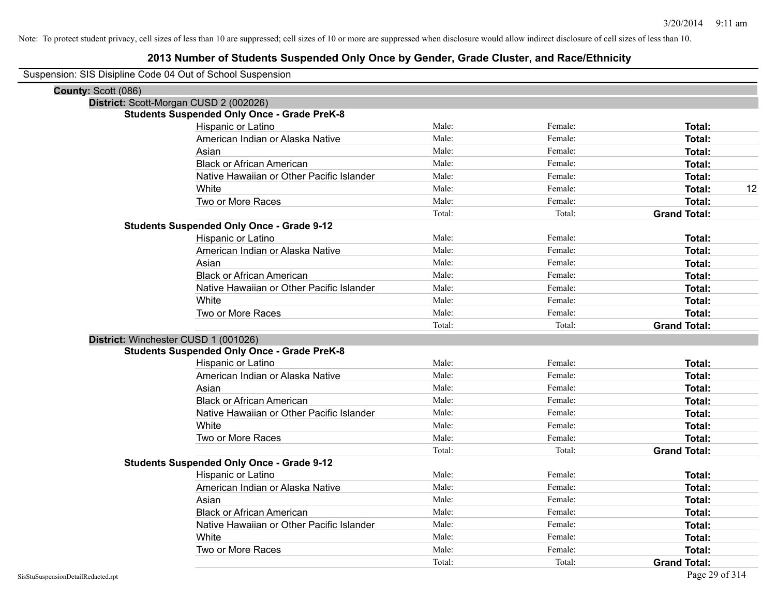## **2013 Number of Students Suspended Only Once by Gender, Grade Cluster, and Race/Ethnicity**

Suspension: SIS Disipline Code 04 Out of School Suspension

| County: Scott (086) |                                                    |        |         |                     |
|---------------------|----------------------------------------------------|--------|---------|---------------------|
|                     | District: Scott-Morgan CUSD 2 (002026)             |        |         |                     |
|                     | <b>Students Suspended Only Once - Grade PreK-8</b> |        |         |                     |
|                     | Hispanic or Latino                                 | Male:  | Female: | Total:              |
|                     | American Indian or Alaska Native                   | Male:  | Female: | <b>Total:</b>       |
|                     | Asian                                              | Male:  | Female: | <b>Total:</b>       |
|                     | <b>Black or African American</b>                   | Male:  | Female: | Total:              |
|                     | Native Hawaiian or Other Pacific Islander          | Male:  | Female: | <b>Total:</b>       |
|                     | White                                              | Male:  | Female: | 12<br><b>Total:</b> |
|                     | Two or More Races                                  | Male:  | Female: | <b>Total:</b>       |
|                     |                                                    | Total: | Total:  | <b>Grand Total:</b> |
|                     | <b>Students Suspended Only Once - Grade 9-12</b>   |        |         |                     |
|                     | Hispanic or Latino                                 | Male:  | Female: | Total:              |
|                     | American Indian or Alaska Native                   | Male:  | Female: | Total:              |
|                     | Asian                                              | Male:  | Female: | Total:              |
|                     | <b>Black or African American</b>                   | Male:  | Female: | Total:              |
|                     | Native Hawaiian or Other Pacific Islander          | Male:  | Female: | Total:              |
|                     | White                                              | Male:  | Female: | <b>Total:</b>       |
|                     | Two or More Races                                  | Male:  | Female: | <b>Total:</b>       |
|                     |                                                    | Total: | Total:  | <b>Grand Total:</b> |
|                     | District: Winchester CUSD 1 (001026)               |        |         |                     |
|                     | <b>Students Suspended Only Once - Grade PreK-8</b> |        |         |                     |
|                     | Hispanic or Latino                                 | Male:  | Female: | Total:              |
|                     | American Indian or Alaska Native                   | Male:  | Female: | Total:              |
|                     | Asian                                              | Male:  | Female: | Total:              |
|                     | <b>Black or African American</b>                   | Male:  | Female: | <b>Total:</b>       |
|                     | Native Hawaiian or Other Pacific Islander          | Male:  | Female: | <b>Total:</b>       |
|                     | White                                              | Male:  | Female: | <b>Total:</b>       |
|                     | Two or More Races                                  | Male:  | Female: | <b>Total:</b>       |
|                     |                                                    | Total: | Total:  | <b>Grand Total:</b> |
|                     | <b>Students Suspended Only Once - Grade 9-12</b>   |        |         |                     |
|                     | Hispanic or Latino                                 | Male:  | Female: | <b>Total:</b>       |
|                     | American Indian or Alaska Native                   | Male:  | Female: | Total:              |
|                     | Asian                                              | Male:  | Female: | Total:              |
|                     | <b>Black or African American</b>                   | Male:  | Female: | <b>Total:</b>       |
|                     | Native Hawaiian or Other Pacific Islander          | Male:  | Female: | Total:              |
|                     | White                                              | Male:  | Female: | <b>Total:</b>       |
|                     | Two or More Races                                  | Male:  | Female: | Total:              |
|                     |                                                    | Total: | Total:  | <b>Grand Total:</b> |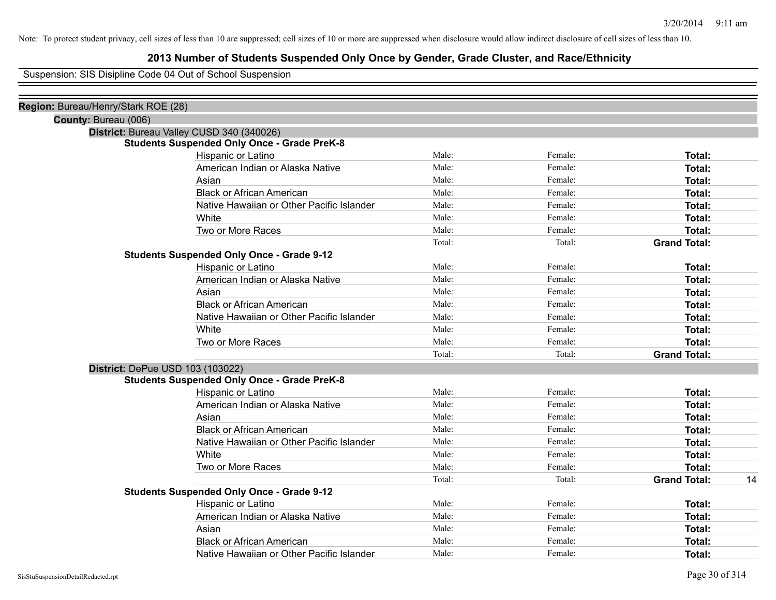## **2013 Number of Students Suspended Only Once by Gender, Grade Cluster, and Race/Ethnicity**

Suspension: SIS Disipline Code 04 Out of School Suspension

| Region: Bureau/Henry/Stark ROE (28)                |        |         |                     |    |
|----------------------------------------------------|--------|---------|---------------------|----|
| County: Bureau (006)                               |        |         |                     |    |
| District: Bureau Valley CUSD 340 (340026)          |        |         |                     |    |
| <b>Students Suspended Only Once - Grade PreK-8</b> |        |         |                     |    |
| Hispanic or Latino                                 | Male:  | Female: | Total:              |    |
| American Indian or Alaska Native                   | Male:  | Female: | Total:              |    |
| Asian                                              | Male:  | Female: | Total:              |    |
| <b>Black or African American</b>                   | Male:  | Female: | Total:              |    |
| Native Hawaiian or Other Pacific Islander          | Male:  | Female: | Total:              |    |
| White                                              | Male:  | Female: | Total:              |    |
| Two or More Races                                  | Male:  | Female: | Total:              |    |
|                                                    | Total: | Total:  | <b>Grand Total:</b> |    |
| <b>Students Suspended Only Once - Grade 9-12</b>   |        |         |                     |    |
| Hispanic or Latino                                 | Male:  | Female: | Total:              |    |
| American Indian or Alaska Native                   | Male:  | Female: | Total:              |    |
| Asian                                              | Male:  | Female: | Total:              |    |
| <b>Black or African American</b>                   | Male:  | Female: | Total:              |    |
| Native Hawaiian or Other Pacific Islander          | Male:  | Female: | Total:              |    |
| White                                              | Male:  | Female: | Total:              |    |
| Two or More Races                                  | Male:  | Female: | Total:              |    |
|                                                    | Total: | Total:  | <b>Grand Total:</b> |    |
| District: DePue USD 103 (103022)                   |        |         |                     |    |
| <b>Students Suspended Only Once - Grade PreK-8</b> |        |         |                     |    |
| Hispanic or Latino                                 | Male:  | Female: | Total:              |    |
| American Indian or Alaska Native                   | Male:  | Female: | Total:              |    |
| Asian                                              | Male:  | Female: | Total:              |    |
| <b>Black or African American</b>                   | Male:  | Female: | Total:              |    |
| Native Hawaiian or Other Pacific Islander          | Male:  | Female: | Total:              |    |
| White                                              | Male:  | Female: | Total:              |    |
| Two or More Races                                  | Male:  | Female: | Total:              |    |
|                                                    | Total: | Total:  | <b>Grand Total:</b> | 14 |
| <b>Students Suspended Only Once - Grade 9-12</b>   |        |         |                     |    |
| Hispanic or Latino                                 | Male:  | Female: | Total:              |    |
| American Indian or Alaska Native                   | Male:  | Female: | Total:              |    |
| Asian                                              | Male:  | Female: | Total:              |    |
| <b>Black or African American</b>                   | Male:  | Female: | Total:              |    |
| Native Hawaiian or Other Pacific Islander          | Male:  | Female: | Total:              |    |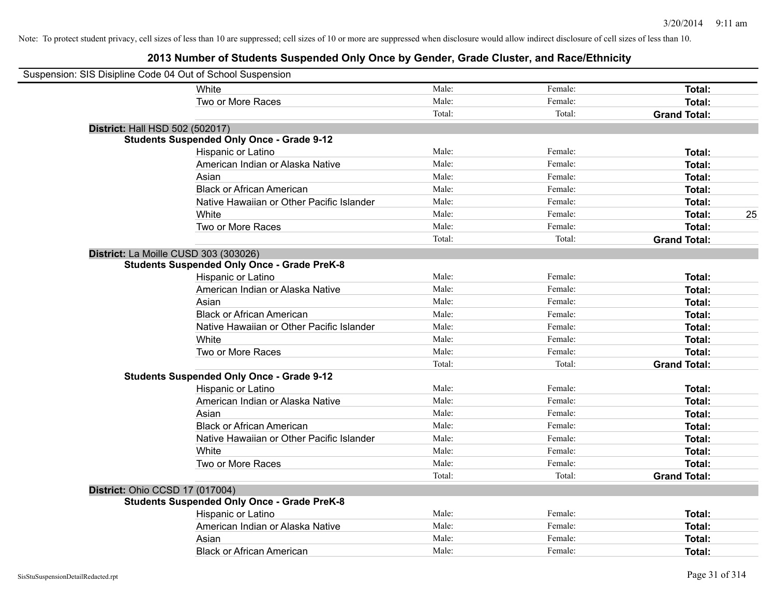| Suspension: SIS Disipline Code 04 Out of School Suspension |                                                    |        |         |                     |
|------------------------------------------------------------|----------------------------------------------------|--------|---------|---------------------|
|                                                            | White                                              | Male:  | Female: | Total:              |
|                                                            | Two or More Races                                  | Male:  | Female: | Total:              |
|                                                            |                                                    | Total: | Total:  | <b>Grand Total:</b> |
| <b>District: Hall HSD 502 (502017)</b>                     |                                                    |        |         |                     |
|                                                            | <b>Students Suspended Only Once - Grade 9-12</b>   |        |         |                     |
|                                                            | Hispanic or Latino                                 | Male:  | Female: | <b>Total:</b>       |
|                                                            | American Indian or Alaska Native                   | Male:  | Female: | Total:              |
|                                                            | Asian                                              | Male:  | Female: | Total:              |
|                                                            | <b>Black or African American</b>                   | Male:  | Female: | Total:              |
|                                                            | Native Hawaiian or Other Pacific Islander          | Male:  | Female: | <b>Total:</b>       |
|                                                            | White                                              | Male:  | Female: | 25<br><b>Total:</b> |
|                                                            | Two or More Races                                  | Male:  | Female: | Total:              |
|                                                            |                                                    | Total: | Total:  | <b>Grand Total:</b> |
| District: La Moille CUSD 303 (303026)                      |                                                    |        |         |                     |
|                                                            | <b>Students Suspended Only Once - Grade PreK-8</b> |        |         |                     |
|                                                            | Hispanic or Latino                                 | Male:  | Female: | Total:              |
|                                                            | American Indian or Alaska Native                   | Male:  | Female: | <b>Total:</b>       |
|                                                            | Asian                                              | Male:  | Female: | Total:              |
|                                                            | <b>Black or African American</b>                   | Male:  | Female: | Total:              |
|                                                            | Native Hawaiian or Other Pacific Islander          | Male:  | Female: | Total:              |
|                                                            | White                                              | Male:  | Female: | Total:              |
|                                                            | Two or More Races                                  | Male:  | Female: | <b>Total:</b>       |
|                                                            |                                                    | Total: | Total:  | <b>Grand Total:</b> |
|                                                            | <b>Students Suspended Only Once - Grade 9-12</b>   |        |         |                     |
|                                                            | Hispanic or Latino                                 | Male:  | Female: | <b>Total:</b>       |
|                                                            | American Indian or Alaska Native                   | Male:  | Female: | <b>Total:</b>       |
|                                                            | Asian                                              | Male:  | Female: | Total:              |
|                                                            | <b>Black or African American</b>                   | Male:  | Female: | Total:              |
|                                                            | Native Hawaiian or Other Pacific Islander          | Male:  | Female: | Total:              |
|                                                            | White                                              | Male:  | Female: | Total:              |
|                                                            | Two or More Races                                  | Male:  | Female: | <b>Total:</b>       |
|                                                            |                                                    | Total: | Total:  | <b>Grand Total:</b> |
| District: Ohio CCSD 17 (017004)                            |                                                    |        |         |                     |
|                                                            | <b>Students Suspended Only Once - Grade PreK-8</b> |        |         |                     |
|                                                            | Hispanic or Latino                                 | Male:  | Female: | Total:              |
|                                                            | American Indian or Alaska Native                   | Male:  | Female: | <b>Total:</b>       |
|                                                            | Asian                                              | Male:  | Female: | <b>Total:</b>       |
|                                                            | <b>Black or African American</b>                   | Male:  | Female: | Total:              |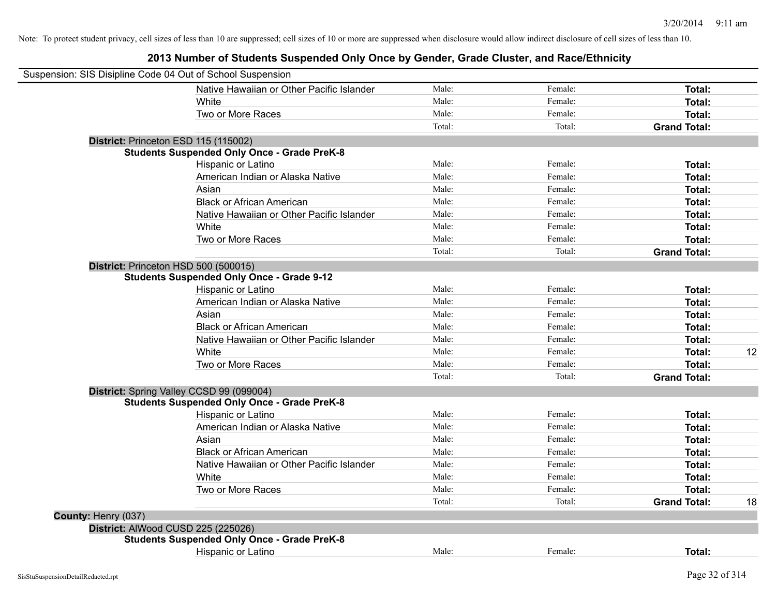| Suspension: SIS Disipline Code 04 Out of School Suspension |                                                    |        |         |                     |    |
|------------------------------------------------------------|----------------------------------------------------|--------|---------|---------------------|----|
|                                                            | Native Hawaiian or Other Pacific Islander          | Male:  | Female: | Total:              |    |
|                                                            | White                                              | Male:  | Female: | Total:              |    |
|                                                            | Two or More Races                                  | Male:  | Female: | Total:              |    |
|                                                            |                                                    | Total: | Total:  | <b>Grand Total:</b> |    |
| District: Princeton ESD 115 (115002)                       |                                                    |        |         |                     |    |
|                                                            | <b>Students Suspended Only Once - Grade PreK-8</b> |        |         |                     |    |
|                                                            | Hispanic or Latino                                 | Male:  | Female: | Total:              |    |
|                                                            | American Indian or Alaska Native                   | Male:  | Female: | Total:              |    |
|                                                            | Asian                                              | Male:  | Female: | Total:              |    |
|                                                            | <b>Black or African American</b>                   | Male:  | Female: | Total:              |    |
|                                                            | Native Hawaiian or Other Pacific Islander          | Male:  | Female: | Total:              |    |
|                                                            | White                                              | Male:  | Female: | <b>Total:</b>       |    |
|                                                            | Two or More Races                                  | Male:  | Female: | Total:              |    |
|                                                            |                                                    | Total: | Total:  | <b>Grand Total:</b> |    |
| District: Princeton HSD 500 (500015)                       |                                                    |        |         |                     |    |
|                                                            | <b>Students Suspended Only Once - Grade 9-12</b>   |        |         |                     |    |
|                                                            | Hispanic or Latino                                 | Male:  | Female: | Total:              |    |
|                                                            | American Indian or Alaska Native                   | Male:  | Female: | Total:              |    |
|                                                            | Asian                                              | Male:  | Female: | Total:              |    |
|                                                            | <b>Black or African American</b>                   | Male:  | Female: | Total:              |    |
|                                                            | Native Hawaiian or Other Pacific Islander          | Male:  | Female: | Total:              |    |
|                                                            | White                                              | Male:  | Female: | <b>Total:</b>       | 12 |
|                                                            | Two or More Races                                  | Male:  | Female: | <b>Total:</b>       |    |
|                                                            |                                                    | Total: | Total:  | <b>Grand Total:</b> |    |
|                                                            | District: Spring Valley CCSD 99 (099004)           |        |         |                     |    |
|                                                            | <b>Students Suspended Only Once - Grade PreK-8</b> |        |         |                     |    |
|                                                            | Hispanic or Latino                                 | Male:  | Female: | Total:              |    |
|                                                            | American Indian or Alaska Native                   | Male:  | Female: | Total:              |    |
|                                                            | Asian                                              | Male:  | Female: | Total:              |    |
|                                                            | <b>Black or African American</b>                   | Male:  | Female: | Total:              |    |
|                                                            | Native Hawaiian or Other Pacific Islander          | Male:  | Female: | Total:              |    |
|                                                            | White                                              | Male:  | Female: | Total:              |    |
|                                                            | Two or More Races                                  | Male:  | Female: | Total:              |    |
|                                                            |                                                    | Total: | Total:  | <b>Grand Total:</b> | 18 |
| County: Henry (037)                                        |                                                    |        |         |                     |    |
| District: AlWood CUSD 225 (225026)                         |                                                    |        |         |                     |    |
|                                                            | <b>Students Suspended Only Once - Grade PreK-8</b> |        |         |                     |    |
|                                                            | Hispanic or Latino                                 | Male:  | Female: | Total:              |    |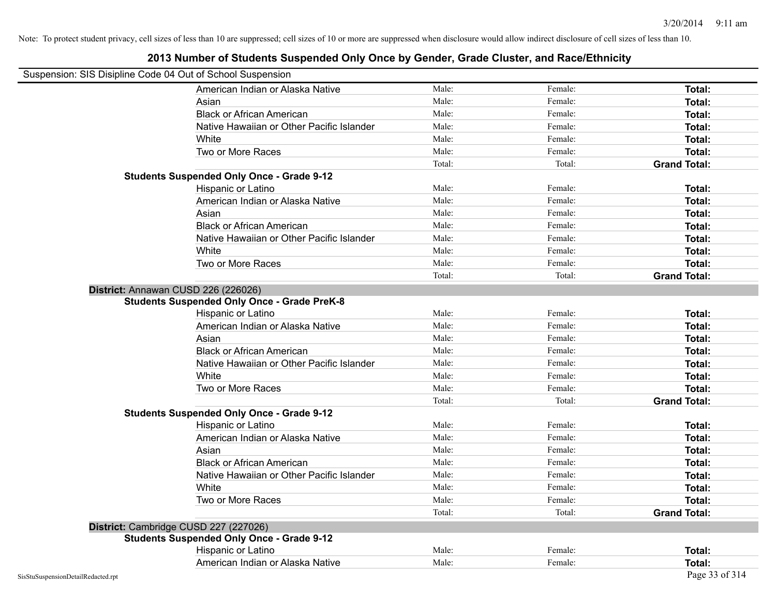| Suspension: SIS Disipline Code 04 Out of School Suspension |                                                    |        |         |                               |
|------------------------------------------------------------|----------------------------------------------------|--------|---------|-------------------------------|
|                                                            | American Indian or Alaska Native                   | Male:  | Female: | Total:                        |
|                                                            | Asian                                              | Male:  | Female: | Total:                        |
|                                                            | <b>Black or African American</b>                   | Male:  | Female: | Total:                        |
|                                                            | Native Hawaiian or Other Pacific Islander          | Male:  | Female: | Total:                        |
|                                                            | White                                              | Male:  | Female: | Total:                        |
|                                                            | Two or More Races                                  | Male:  | Female: | Total:                        |
|                                                            |                                                    | Total: | Total:  | <b>Grand Total:</b>           |
|                                                            | <b>Students Suspended Only Once - Grade 9-12</b>   |        |         |                               |
|                                                            | Hispanic or Latino                                 | Male:  | Female: | Total:                        |
|                                                            | American Indian or Alaska Native                   | Male:  | Female: | Total:                        |
|                                                            | Asian                                              | Male:  | Female: | Total:                        |
|                                                            | <b>Black or African American</b>                   | Male:  | Female: | Total:                        |
|                                                            | Native Hawaiian or Other Pacific Islander          | Male:  | Female: | Total:                        |
|                                                            | White                                              | Male:  | Female: | Total:                        |
|                                                            | Two or More Races                                  | Male:  | Female: | Total:                        |
|                                                            |                                                    | Total: | Total:  | <b>Grand Total:</b>           |
|                                                            | District: Annawan CUSD 226 (226026)                |        |         |                               |
|                                                            | <b>Students Suspended Only Once - Grade PreK-8</b> |        |         |                               |
|                                                            | Hispanic or Latino                                 | Male:  | Female: | Total:                        |
|                                                            | American Indian or Alaska Native                   | Male:  | Female: | Total:                        |
|                                                            | Asian                                              | Male:  | Female: | Total:                        |
|                                                            | <b>Black or African American</b>                   | Male:  | Female: | Total:                        |
|                                                            | Native Hawaiian or Other Pacific Islander          | Male:  | Female: | Total:                        |
|                                                            | White                                              | Male:  | Female: | Total:                        |
|                                                            | Two or More Races                                  | Male:  | Female: | Total:                        |
|                                                            |                                                    | Total: | Total:  | <b>Grand Total:</b>           |
|                                                            | <b>Students Suspended Only Once - Grade 9-12</b>   |        |         |                               |
|                                                            | Hispanic or Latino                                 | Male:  | Female: | Total:                        |
|                                                            | American Indian or Alaska Native                   | Male:  | Female: | Total:                        |
|                                                            | Asian                                              | Male:  | Female: | Total:                        |
|                                                            | <b>Black or African American</b>                   | Male:  | Female: | Total:                        |
|                                                            | Native Hawaiian or Other Pacific Islander          | Male:  | Female: | Total:                        |
|                                                            | White                                              | Male:  | Female: | Total:                        |
|                                                            | Two or More Races                                  | Male:  | Female: |                               |
|                                                            |                                                    | Total: | Total:  | Total:<br><b>Grand Total:</b> |
|                                                            |                                                    |        |         |                               |
|                                                            | District: Cambridge CUSD 227 (227026)              |        |         |                               |
|                                                            | <b>Students Suspended Only Once - Grade 9-12</b>   |        |         |                               |
|                                                            | Hispanic or Latino                                 | Male:  | Female: | Total:                        |
|                                                            | American Indian or Alaska Native                   | Male:  | Female: | Total:                        |
| SisStuSuspensionDetailRedacted.rpt                         |                                                    |        |         | Page 33 of 314                |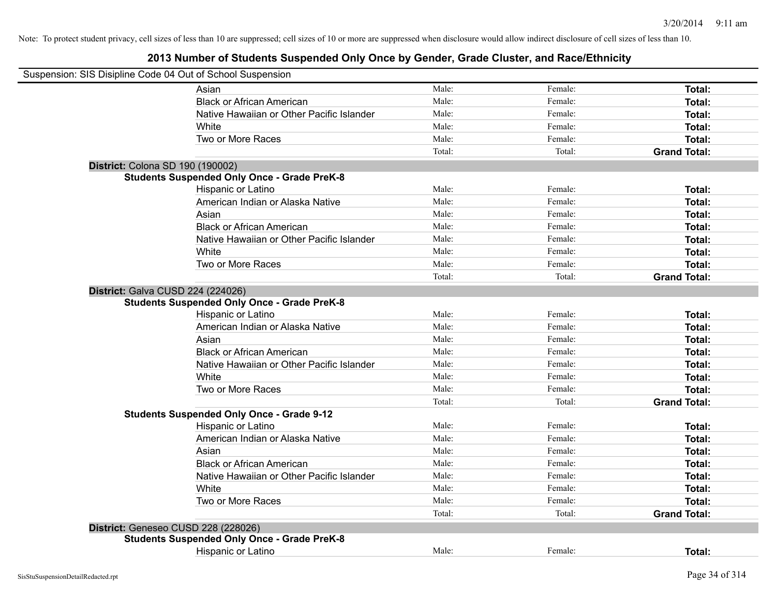| Suspension: SIS Disipline Code 04 Out of School Suspension |                                                                                           |                 |                   |                     |
|------------------------------------------------------------|-------------------------------------------------------------------------------------------|-----------------|-------------------|---------------------|
|                                                            | Asian                                                                                     | Male:           | Female:           | Total:              |
|                                                            | <b>Black or African American</b>                                                          | Male:           | Female:           | Total:              |
|                                                            | Native Hawaiian or Other Pacific Islander                                                 | Male:           | Female:           | Total:              |
|                                                            | White                                                                                     | Male:           | Female:           | Total:              |
|                                                            | Two or More Races                                                                         | Male:           | Female:           | Total:              |
|                                                            |                                                                                           | Total:          | Total:            | <b>Grand Total:</b> |
| District: Colona SD 190 (190002)                           |                                                                                           |                 |                   |                     |
|                                                            | <b>Students Suspended Only Once - Grade PreK-8</b>                                        |                 |                   |                     |
|                                                            | Hispanic or Latino                                                                        | Male:           | Female:           | Total:              |
|                                                            | American Indian or Alaska Native                                                          | Male:           | Female:           | Total:              |
|                                                            | Asian                                                                                     | Male:           | Female:           | Total:              |
|                                                            | <b>Black or African American</b>                                                          | Male:           | Female:           | Total:              |
|                                                            | Native Hawaiian or Other Pacific Islander                                                 | Male:           | Female:           | Total:              |
|                                                            | White                                                                                     | Male:           | Female:           | Total:              |
|                                                            | Two or More Races                                                                         | Male:           | Female:           | <b>Total:</b>       |
|                                                            |                                                                                           | Total:          | Total:            | <b>Grand Total:</b> |
| District: Galva CUSD 224 (224026)                          | <b>Students Suspended Only Once - Grade PreK-8</b>                                        |                 |                   |                     |
|                                                            | Hispanic or Latino                                                                        | Male:<br>Male:  | Female:           | Total:              |
|                                                            | American Indian or Alaska Native                                                          |                 | Female:           | Total:              |
|                                                            | Asian                                                                                     | Male:           | Female:           | Total:              |
|                                                            | <b>Black or African American</b>                                                          | Male:           | Female:           | Total:              |
|                                                            | Native Hawaiian or Other Pacific Islander                                                 | Male:           | Female:           | Total:              |
|                                                            | White                                                                                     | Male:           | Female:           | Total:              |
|                                                            | Two or More Races                                                                         | Male:<br>Total: | Female:<br>Total: | Total:              |
|                                                            |                                                                                           |                 |                   | <b>Grand Total:</b> |
|                                                            | <b>Students Suspended Only Once - Grade 9-12</b><br>Hispanic or Latino                    | Male:           | Female:           | Total:              |
|                                                            | American Indian or Alaska Native                                                          | Male:           | Female:           | Total:              |
|                                                            | Asian                                                                                     | Male:           | Female:           | Total:              |
|                                                            | <b>Black or African American</b>                                                          | Male:           | Female:           | Total:              |
|                                                            | Native Hawaiian or Other Pacific Islander                                                 | Male:           | Female:           | Total:              |
|                                                            | White                                                                                     | Male:           | Female:           | Total:              |
|                                                            | Two or More Races                                                                         | Male:           | Female:           | Total:              |
|                                                            |                                                                                           | Total:          | Total:            | <b>Grand Total:</b> |
|                                                            |                                                                                           |                 |                   |                     |
|                                                            | District: Geneseo CUSD 228 (228026)<br><b>Students Suspended Only Once - Grade PreK-8</b> |                 |                   |                     |
|                                                            | Hispanic or Latino                                                                        | Male:           | Female:           | <b>Total:</b>       |
|                                                            |                                                                                           |                 |                   |                     |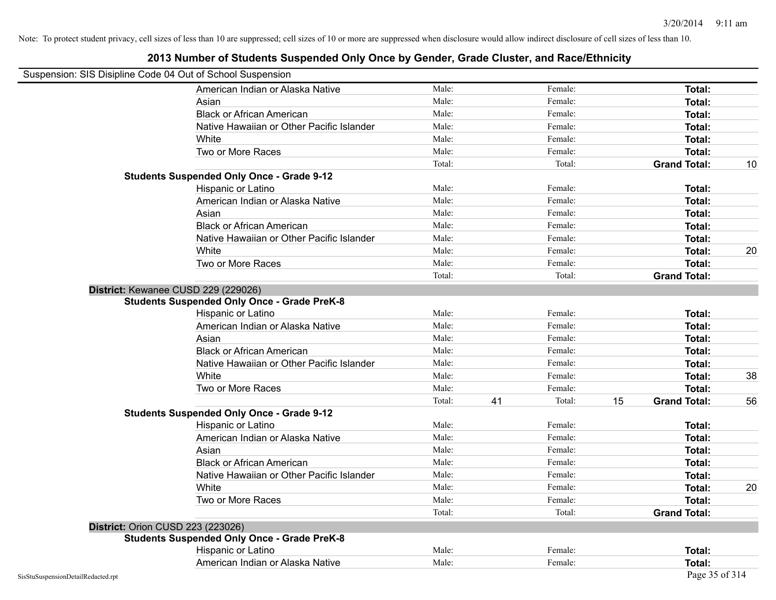| Suspension: SIS Disipline Code 04 Out of School Suspension |                                                    |        |    |         |    |                     |    |
|------------------------------------------------------------|----------------------------------------------------|--------|----|---------|----|---------------------|----|
|                                                            | American Indian or Alaska Native                   | Male:  |    | Female: |    | Total:              |    |
|                                                            | Asian                                              | Male:  |    | Female: |    | Total:              |    |
|                                                            | <b>Black or African American</b>                   | Male:  |    | Female: |    | Total:              |    |
|                                                            | Native Hawaiian or Other Pacific Islander          | Male:  |    | Female: |    | Total:              |    |
|                                                            | White                                              | Male:  |    | Female: |    | Total:              |    |
|                                                            | Two or More Races                                  | Male:  |    | Female: |    | Total:              |    |
|                                                            |                                                    | Total: |    | Total:  |    | <b>Grand Total:</b> | 10 |
|                                                            | <b>Students Suspended Only Once - Grade 9-12</b>   |        |    |         |    |                     |    |
|                                                            | Hispanic or Latino                                 | Male:  |    | Female: |    | Total:              |    |
|                                                            | American Indian or Alaska Native                   | Male:  |    | Female: |    | Total:              |    |
|                                                            | Asian                                              | Male:  |    | Female: |    | Total:              |    |
|                                                            | <b>Black or African American</b>                   | Male:  |    | Female: |    | Total:              |    |
|                                                            | Native Hawaiian or Other Pacific Islander          | Male:  |    | Female: |    | Total:              |    |
|                                                            | White                                              | Male:  |    | Female: |    | Total:              | 20 |
|                                                            | Two or More Races                                  | Male:  |    | Female: |    | Total:              |    |
|                                                            |                                                    | Total: |    | Total:  |    | <b>Grand Total:</b> |    |
|                                                            | District: Kewanee CUSD 229 (229026)                |        |    |         |    |                     |    |
|                                                            | <b>Students Suspended Only Once - Grade PreK-8</b> |        |    |         |    |                     |    |
|                                                            | Hispanic or Latino                                 | Male:  |    | Female: |    | Total:              |    |
|                                                            | American Indian or Alaska Native                   | Male:  |    | Female: |    | Total:              |    |
|                                                            | Asian                                              | Male:  |    | Female: |    | Total:              |    |
|                                                            | <b>Black or African American</b>                   | Male:  |    | Female: |    | Total:              |    |
|                                                            | Native Hawaiian or Other Pacific Islander          | Male:  |    | Female: |    | Total:              |    |
|                                                            | White                                              | Male:  |    | Female: |    | Total:              | 38 |
|                                                            | Two or More Races                                  | Male:  |    | Female: |    | <b>Total:</b>       |    |
|                                                            |                                                    | Total: | 41 | Total:  | 15 | <b>Grand Total:</b> | 56 |
|                                                            | <b>Students Suspended Only Once - Grade 9-12</b>   |        |    |         |    |                     |    |
|                                                            | Hispanic or Latino                                 | Male:  |    | Female: |    | Total:              |    |
|                                                            | American Indian or Alaska Native                   | Male:  |    | Female: |    | Total:              |    |
|                                                            | Asian                                              | Male:  |    | Female: |    | Total:              |    |
|                                                            | <b>Black or African American</b>                   | Male:  |    | Female: |    | Total:              |    |
|                                                            | Native Hawaiian or Other Pacific Islander          | Male:  |    | Female: |    | Total:              |    |
|                                                            | White                                              | Male:  |    | Female: |    | Total:              | 20 |
|                                                            | Two or More Races                                  | Male:  |    | Female: |    | Total:              |    |
|                                                            |                                                    | Total: |    | Total:  |    | <b>Grand Total:</b> |    |
|                                                            | <b>District: Orion CUSD 223 (223026)</b>           |        |    |         |    |                     |    |
|                                                            | <b>Students Suspended Only Once - Grade PreK-8</b> |        |    |         |    |                     |    |
|                                                            | Hispanic or Latino                                 | Male:  |    | Female: |    | Total:              |    |
|                                                            | American Indian or Alaska Native                   | Male:  |    | Female: |    | Total:              |    |
| SisStuSuspensionDetailRedacted.rpt                         |                                                    |        |    |         |    | Page 35 of 314      |    |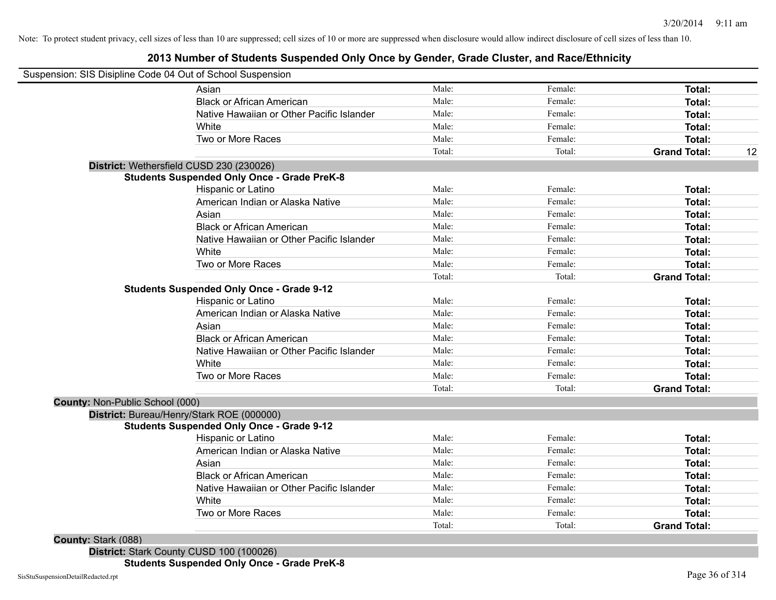## **2013 Number of Students Suspended Only Once by Gender, Grade Cluster, and Race/Ethnicity**

|                                 | Suspension: SIS Disipline Code 04 Out of School Suspension |        |         |                     |    |
|---------------------------------|------------------------------------------------------------|--------|---------|---------------------|----|
|                                 | Asian                                                      | Male:  | Female: | Total:              |    |
|                                 | <b>Black or African American</b>                           | Male:  | Female: | Total:              |    |
|                                 | Native Hawaiian or Other Pacific Islander                  | Male:  | Female: | Total:              |    |
|                                 | White                                                      | Male:  | Female: | Total:              |    |
|                                 | Two or More Races                                          | Male:  | Female: | Total:              |    |
|                                 |                                                            | Total: | Total:  | <b>Grand Total:</b> | 12 |
|                                 | District: Wethersfield CUSD 230 (230026)                   |        |         |                     |    |
|                                 | <b>Students Suspended Only Once - Grade PreK-8</b>         |        |         |                     |    |
|                                 | Hispanic or Latino                                         | Male:  | Female: | Total:              |    |
|                                 | American Indian or Alaska Native                           | Male:  | Female: | Total:              |    |
|                                 | Asian                                                      | Male:  | Female: | Total:              |    |
|                                 | <b>Black or African American</b>                           | Male:  | Female: | <b>Total:</b>       |    |
|                                 | Native Hawaiian or Other Pacific Islander                  | Male:  | Female: | <b>Total:</b>       |    |
|                                 | White                                                      | Male:  | Female: | <b>Total:</b>       |    |
|                                 | Two or More Races                                          | Male:  | Female: | Total:              |    |
|                                 |                                                            | Total: | Total:  | <b>Grand Total:</b> |    |
|                                 | <b>Students Suspended Only Once - Grade 9-12</b>           |        |         |                     |    |
|                                 | Hispanic or Latino                                         | Male:  | Female: | Total:              |    |
|                                 | American Indian or Alaska Native                           | Male:  | Female: | Total:              |    |
|                                 | Asian                                                      | Male:  | Female: | Total:              |    |
|                                 | <b>Black or African American</b>                           | Male:  | Female: | Total:              |    |
|                                 | Native Hawaiian or Other Pacific Islander                  | Male:  | Female: | Total:              |    |
|                                 | White                                                      | Male:  | Female: | Total:              |    |
|                                 | Two or More Races                                          | Male:  | Female: | Total:              |    |
|                                 |                                                            | Total: | Total:  | <b>Grand Total:</b> |    |
| County: Non-Public School (000) |                                                            |        |         |                     |    |
|                                 | District: Bureau/Henry/Stark ROE (000000)                  |        |         |                     |    |
|                                 | <b>Students Suspended Only Once - Grade 9-12</b>           |        |         |                     |    |
|                                 | Hispanic or Latino                                         | Male:  | Female: | Total:              |    |
|                                 | American Indian or Alaska Native                           | Male:  | Female: | Total:              |    |
|                                 | Asian                                                      | Male:  | Female: | Total:              |    |
|                                 | <b>Black or African American</b>                           | Male:  | Female: | Total:              |    |
|                                 | Native Hawaiian or Other Pacific Islander                  | Male:  | Female: | Total:              |    |
|                                 | White                                                      | Male:  | Female: | Total:              |    |
|                                 | Two or More Races                                          | Male:  | Female: | Total:              |    |
|                                 |                                                            | Total: | Total:  | <b>Grand Total:</b> |    |

**District:** Stark County CUSD 100 (100026) **Students Suspended Only Once - Grade PreK-8**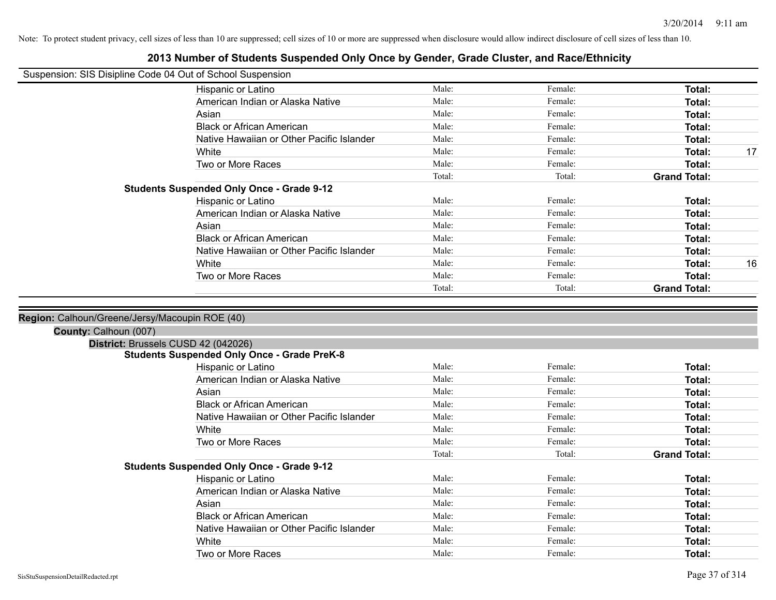|                       | Suspension: SIS Disipline Code 04 Out of School Suspension |        |         |                     |
|-----------------------|------------------------------------------------------------|--------|---------|---------------------|
|                       | Hispanic or Latino                                         | Male:  | Female: | Total:              |
|                       | American Indian or Alaska Native                           | Male:  | Female: | <b>Total:</b>       |
|                       | Asian                                                      | Male:  | Female: | <b>Total:</b>       |
|                       | <b>Black or African American</b>                           | Male:  | Female: | <b>Total:</b>       |
|                       | Native Hawaiian or Other Pacific Islander                  | Male:  | Female: | Total:              |
|                       | White                                                      | Male:  | Female: | Total:<br>17        |
|                       | Two or More Races                                          | Male:  | Female: | <b>Total:</b>       |
|                       |                                                            | Total: | Total:  | <b>Grand Total:</b> |
|                       | <b>Students Suspended Only Once - Grade 9-12</b>           |        |         |                     |
|                       | Hispanic or Latino                                         | Male:  | Female: | Total:              |
|                       | American Indian or Alaska Native                           | Male:  | Female: | <b>Total:</b>       |
|                       | Asian                                                      | Male:  | Female: | <b>Total:</b>       |
|                       | <b>Black or African American</b>                           | Male:  | Female: | <b>Total:</b>       |
|                       | Native Hawaiian or Other Pacific Islander                  | Male:  | Female: | Total:              |
|                       | White                                                      | Male:  | Female: | 16<br>Total:        |
|                       | Two or More Races                                          | Male:  | Female: | <b>Total:</b>       |
|                       |                                                            | Total: | Total:  | <b>Grand Total:</b> |
| County: Calhoun (007) | District: Brussels CUSD 42 (042026)                        |        |         |                     |
|                       | <b>Students Suspended Only Once - Grade PreK-8</b>         |        |         |                     |
|                       | Hispanic or Latino                                         | Male:  | Female: | <b>Total:</b>       |
|                       | American Indian or Alaska Native                           | Male:  | Female: | Total:              |
|                       | Asian                                                      | Male:  | Female: | <b>Total:</b>       |
|                       | <b>Black or African American</b>                           | Male:  | Female: | Total:              |
|                       | Native Hawaiian or Other Pacific Islander                  | Male:  | Female: | <b>Total:</b>       |
|                       | White                                                      | Male:  | Female: | <b>Total:</b>       |
|                       | Two or More Races                                          | Male:  | Female: | Total:              |
|                       |                                                            | Total: | Total:  | <b>Grand Total:</b> |
|                       | <b>Students Suspended Only Once - Grade 9-12</b>           |        |         |                     |
|                       | Hispanic or Latino                                         | Male:  | Female: | Total:              |
|                       | American Indian or Alaska Native                           | Male:  | Female: | Total:              |
|                       | Asian                                                      | Male:  | Female: | <b>Total:</b>       |
|                       | <b>Black or African American</b>                           | Male:  | Female: | Total:              |
|                       | Native Hawaiian or Other Pacific Islander                  | Male:  | Female: | <b>Total:</b>       |
|                       | White                                                      | Male:  | Female: | <b>Total:</b>       |
|                       | Two or More Races                                          | Male:  | Female: | Total:              |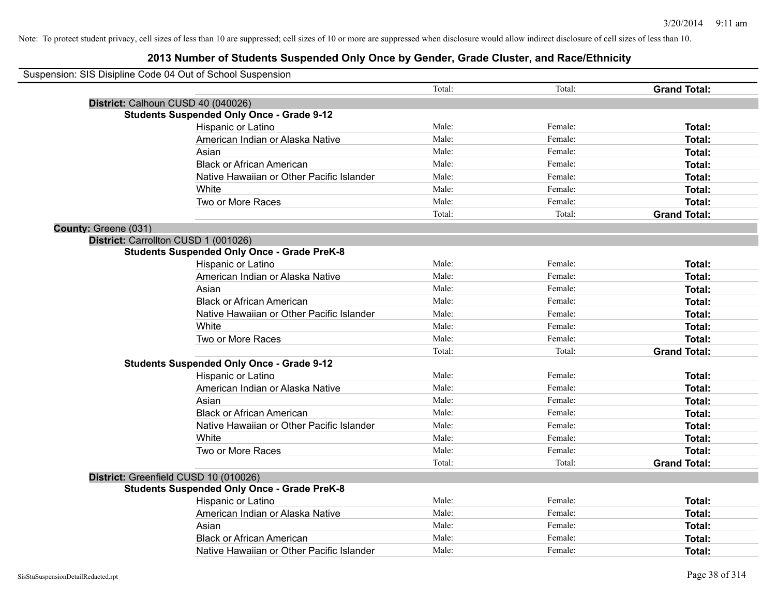| Suspension: SIS Disipline Code 04 Out of School Suspension |                                                    |        |         |                     |
|------------------------------------------------------------|----------------------------------------------------|--------|---------|---------------------|
|                                                            |                                                    | Total: | Total:  | <b>Grand Total:</b> |
|                                                            | District: Calhoun CUSD 40 (040026)                 |        |         |                     |
|                                                            | <b>Students Suspended Only Once - Grade 9-12</b>   |        |         |                     |
|                                                            | Hispanic or Latino                                 | Male:  | Female: | Total:              |
|                                                            | American Indian or Alaska Native                   | Male:  | Female: | Total:              |
|                                                            | Asian                                              | Male:  | Female: | Total:              |
|                                                            | <b>Black or African American</b>                   | Male:  | Female: | Total:              |
|                                                            | Native Hawaiian or Other Pacific Islander          | Male:  | Female: | Total:              |
|                                                            | White                                              | Male:  | Female: | Total:              |
|                                                            | Two or More Races                                  | Male:  | Female: | Total:              |
|                                                            |                                                    | Total: | Total:  | <b>Grand Total:</b> |
| County: Greene (031)                                       |                                                    |        |         |                     |
|                                                            | District: Carrollton CUSD 1 (001026)               |        |         |                     |
|                                                            | <b>Students Suspended Only Once - Grade PreK-8</b> |        |         |                     |
|                                                            | Hispanic or Latino                                 | Male:  | Female: | Total:              |
|                                                            | American Indian or Alaska Native                   | Male:  | Female: | Total:              |
|                                                            | Asian                                              | Male:  | Female: | Total:              |
|                                                            | <b>Black or African American</b>                   | Male:  | Female: | Total:              |
|                                                            | Native Hawaiian or Other Pacific Islander          | Male:  | Female: | Total:              |
|                                                            | White                                              | Male:  | Female: | Total:              |
|                                                            | Two or More Races                                  | Male:  | Female: | Total:              |
|                                                            |                                                    | Total: | Total:  | <b>Grand Total:</b> |
|                                                            | <b>Students Suspended Only Once - Grade 9-12</b>   |        |         |                     |
|                                                            | Hispanic or Latino                                 | Male:  | Female: | Total:              |
|                                                            | American Indian or Alaska Native                   | Male:  | Female: | <b>Total:</b>       |
|                                                            | Asian                                              | Male:  | Female: | Total:              |
|                                                            | <b>Black or African American</b>                   | Male:  | Female: | Total:              |
|                                                            | Native Hawaiian or Other Pacific Islander          | Male:  | Female: | Total:              |
|                                                            | White                                              | Male:  | Female: | Total:              |
|                                                            | Two or More Races                                  | Male:  | Female: | Total:              |
|                                                            |                                                    | Total: | Total:  | <b>Grand Total:</b> |
|                                                            | District: Greenfield CUSD 10 (010026)              |        |         |                     |
|                                                            | <b>Students Suspended Only Once - Grade PreK-8</b> |        |         |                     |
|                                                            | Hispanic or Latino                                 | Male:  | Female: | Total:              |
|                                                            | American Indian or Alaska Native                   | Male:  | Female: | Total:              |
|                                                            | Asian                                              | Male:  | Female: | Total:              |
|                                                            | <b>Black or African American</b>                   | Male:  | Female: | <b>Total:</b>       |
|                                                            | Native Hawaiian or Other Pacific Islander          | Male:  | Female: | Total:              |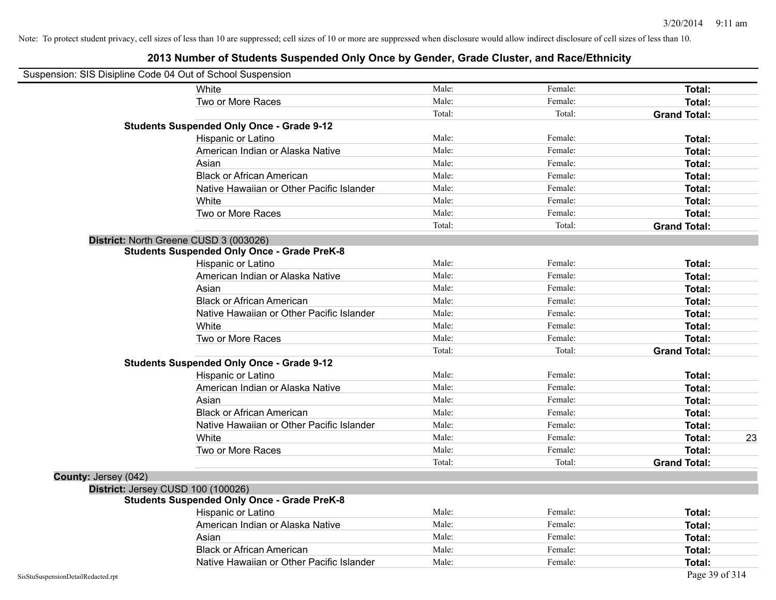| Suspension: SIS Disipline Code 04 Out of School Suspension |                                                    |        |         |                     |
|------------------------------------------------------------|----------------------------------------------------|--------|---------|---------------------|
|                                                            | White                                              | Male:  | Female: | <b>Total:</b>       |
|                                                            | Two or More Races                                  | Male:  | Female: | <b>Total:</b>       |
|                                                            |                                                    | Total: | Total:  | <b>Grand Total:</b> |
|                                                            | <b>Students Suspended Only Once - Grade 9-12</b>   |        |         |                     |
|                                                            | Hispanic or Latino                                 | Male:  | Female: | Total:              |
|                                                            | American Indian or Alaska Native                   | Male:  | Female: | Total:              |
|                                                            | Asian                                              | Male:  | Female: | Total:              |
|                                                            | <b>Black or African American</b>                   | Male:  | Female: | Total:              |
|                                                            | Native Hawaiian or Other Pacific Islander          | Male:  | Female: | Total:              |
|                                                            | White                                              | Male:  | Female: | <b>Total:</b>       |
|                                                            | Two or More Races                                  | Male:  | Female: | Total:              |
|                                                            |                                                    | Total: | Total:  | <b>Grand Total:</b> |
|                                                            | District: North Greene CUSD 3 (003026)             |        |         |                     |
|                                                            | <b>Students Suspended Only Once - Grade PreK-8</b> |        |         |                     |
|                                                            | Hispanic or Latino                                 | Male:  | Female: | <b>Total:</b>       |
|                                                            | American Indian or Alaska Native                   | Male:  | Female: | <b>Total:</b>       |
|                                                            | Asian                                              | Male:  | Female: | Total:              |
|                                                            | <b>Black or African American</b>                   | Male:  | Female: | Total:              |
|                                                            | Native Hawaiian or Other Pacific Islander          | Male:  | Female: | Total:              |
|                                                            | White                                              | Male:  | Female: | Total:              |
|                                                            | Two or More Races                                  | Male:  | Female: | <b>Total:</b>       |
|                                                            |                                                    | Total: | Total:  | <b>Grand Total:</b> |
|                                                            | <b>Students Suspended Only Once - Grade 9-12</b>   |        |         |                     |
|                                                            | Hispanic or Latino                                 | Male:  | Female: | Total:              |
|                                                            | American Indian or Alaska Native                   | Male:  | Female: | <b>Total:</b>       |
|                                                            | Asian                                              | Male:  | Female: | Total:              |
|                                                            | <b>Black or African American</b>                   | Male:  | Female: | Total:              |
|                                                            | Native Hawaiian or Other Pacific Islander          | Male:  | Female: | Total:              |
|                                                            | White                                              | Male:  | Female: | 23<br>Total:        |
|                                                            | Two or More Races                                  | Male:  | Female: | Total:              |
|                                                            |                                                    | Total: | Total:  | <b>Grand Total:</b> |
| County: Jersey (042)                                       |                                                    |        |         |                     |
|                                                            | District: Jersey CUSD 100 (100026)                 |        |         |                     |
|                                                            | <b>Students Suspended Only Once - Grade PreK-8</b> |        |         |                     |
|                                                            | Hispanic or Latino                                 | Male:  | Female: | <b>Total:</b>       |
|                                                            | American Indian or Alaska Native                   | Male:  | Female: | <b>Total:</b>       |
|                                                            | Asian                                              | Male:  | Female: | <b>Total:</b>       |
|                                                            | <b>Black or African American</b>                   | Male:  | Female: | <b>Total:</b>       |
|                                                            | Native Hawaiian or Other Pacific Islander          | Male:  | Female: | Total:              |
| SisStuSuspensionDetailRedacted.rpt                         |                                                    |        |         | Page 39 of 314      |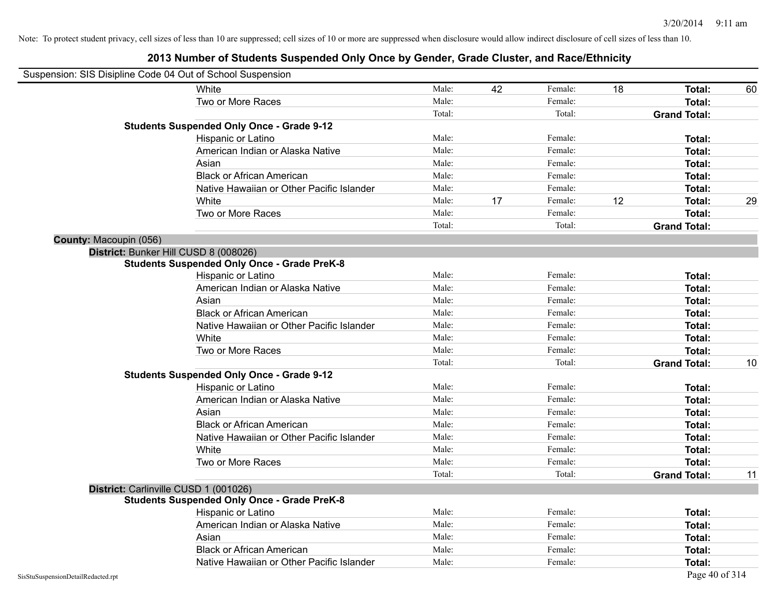| Suspension: SIS Disipline Code 04 Out of School Suspension |                                                    |        |    |         |    |                     |    |
|------------------------------------------------------------|----------------------------------------------------|--------|----|---------|----|---------------------|----|
|                                                            | White                                              | Male:  | 42 | Female: | 18 | Total:              | 60 |
|                                                            | Two or More Races                                  | Male:  |    | Female: |    | <b>Total:</b>       |    |
|                                                            |                                                    | Total: |    | Total:  |    | <b>Grand Total:</b> |    |
|                                                            | <b>Students Suspended Only Once - Grade 9-12</b>   |        |    |         |    |                     |    |
|                                                            | Hispanic or Latino                                 | Male:  |    | Female: |    | Total:              |    |
|                                                            | American Indian or Alaska Native                   | Male:  |    | Female: |    | <b>Total:</b>       |    |
|                                                            | Asian                                              | Male:  |    | Female: |    | <b>Total:</b>       |    |
|                                                            | <b>Black or African American</b>                   | Male:  |    | Female: |    | Total:              |    |
|                                                            | Native Hawaiian or Other Pacific Islander          | Male:  |    | Female: |    | Total:              |    |
|                                                            | White                                              | Male:  | 17 | Female: | 12 | Total:              | 29 |
|                                                            | Two or More Races                                  | Male:  |    | Female: |    | Total:              |    |
|                                                            |                                                    | Total: |    | Total:  |    | <b>Grand Total:</b> |    |
| County: Macoupin (056)                                     |                                                    |        |    |         |    |                     |    |
|                                                            | District: Bunker Hill CUSD 8 (008026)              |        |    |         |    |                     |    |
|                                                            | <b>Students Suspended Only Once - Grade PreK-8</b> |        |    |         |    |                     |    |
|                                                            | Hispanic or Latino                                 | Male:  |    | Female: |    | Total:              |    |
|                                                            | American Indian or Alaska Native                   | Male:  |    | Female: |    | <b>Total:</b>       |    |
|                                                            | Asian                                              | Male:  |    | Female: |    | <b>Total:</b>       |    |
|                                                            | <b>Black or African American</b>                   | Male:  |    | Female: |    | Total:              |    |
|                                                            | Native Hawaiian or Other Pacific Islander          | Male:  |    | Female: |    | Total:              |    |
|                                                            | White                                              | Male:  |    | Female: |    | Total:              |    |
|                                                            | Two or More Races                                  | Male:  |    | Female: |    | Total:              |    |
|                                                            |                                                    | Total: |    | Total:  |    | <b>Grand Total:</b> | 10 |
|                                                            | <b>Students Suspended Only Once - Grade 9-12</b>   |        |    |         |    |                     |    |
|                                                            | Hispanic or Latino                                 | Male:  |    | Female: |    | Total:              |    |
|                                                            | American Indian or Alaska Native                   | Male:  |    | Female: |    | Total:              |    |
|                                                            | Asian                                              | Male:  |    | Female: |    | Total:              |    |
|                                                            | <b>Black or African American</b>                   | Male:  |    | Female: |    | Total:              |    |
|                                                            | Native Hawaiian or Other Pacific Islander          | Male:  |    | Female: |    | <b>Total:</b>       |    |
|                                                            | White                                              | Male:  |    | Female: |    | Total:              |    |
|                                                            | Two or More Races                                  | Male:  |    | Female: |    | Total:              |    |
|                                                            |                                                    | Total: |    | Total:  |    | <b>Grand Total:</b> | 11 |
|                                                            | District: Carlinville CUSD 1 (001026)              |        |    |         |    |                     |    |
|                                                            | <b>Students Suspended Only Once - Grade PreK-8</b> |        |    |         |    |                     |    |
|                                                            | Hispanic or Latino                                 | Male:  |    | Female: |    | Total:              |    |
|                                                            | American Indian or Alaska Native                   | Male:  |    | Female: |    | Total:              |    |
|                                                            | Asian                                              | Male:  |    | Female: |    | Total:              |    |
|                                                            | <b>Black or African American</b>                   | Male:  |    | Female: |    | <b>Total:</b>       |    |
|                                                            | Native Hawaiian or Other Pacific Islander          | Male:  |    | Female: |    | Total:              |    |
| SisStuSuspensionDetailRedacted.rpt                         |                                                    |        |    |         |    | Page 40 of 314      |    |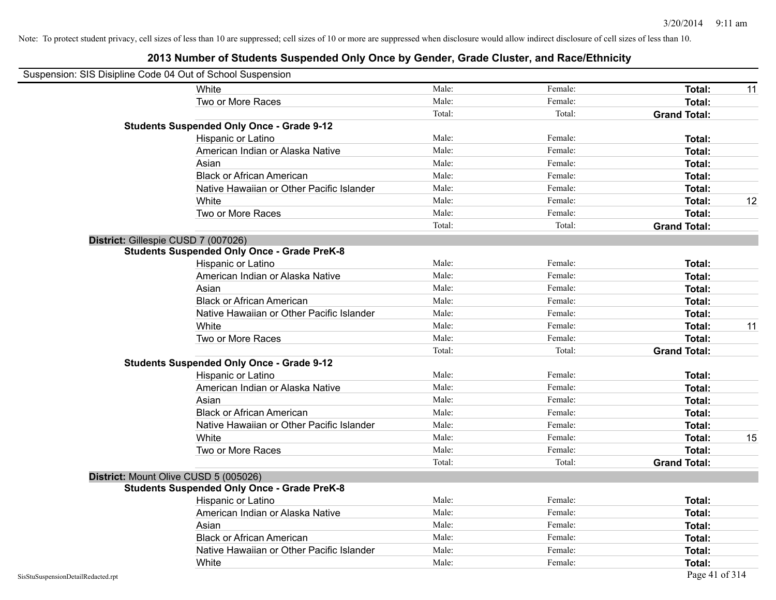| Suspension: SIS Disipline Code 04 Out of School Suspension |                                                    |        |         |                     |    |
|------------------------------------------------------------|----------------------------------------------------|--------|---------|---------------------|----|
|                                                            | White                                              | Male:  | Female: | <b>Total:</b>       | 11 |
|                                                            | Two or More Races                                  | Male:  | Female: | <b>Total:</b>       |    |
|                                                            |                                                    | Total: | Total:  | <b>Grand Total:</b> |    |
|                                                            | <b>Students Suspended Only Once - Grade 9-12</b>   |        |         |                     |    |
|                                                            | Hispanic or Latino                                 | Male:  | Female: | Total:              |    |
|                                                            | American Indian or Alaska Native                   | Male:  | Female: | <b>Total:</b>       |    |
|                                                            | Asian                                              | Male:  | Female: | Total:              |    |
|                                                            | <b>Black or African American</b>                   | Male:  | Female: | Total:              |    |
|                                                            | Native Hawaiian or Other Pacific Islander          | Male:  | Female: | Total:              |    |
|                                                            | White                                              | Male:  | Female: | <b>Total:</b>       | 12 |
|                                                            | Two or More Races                                  | Male:  | Female: | Total:              |    |
|                                                            |                                                    | Total: | Total:  | <b>Grand Total:</b> |    |
| District: Gillespie CUSD 7 (007026)                        |                                                    |        |         |                     |    |
|                                                            | <b>Students Suspended Only Once - Grade PreK-8</b> |        |         |                     |    |
|                                                            | Hispanic or Latino                                 | Male:  | Female: | Total:              |    |
|                                                            | American Indian or Alaska Native                   | Male:  | Female: | <b>Total:</b>       |    |
|                                                            | Asian                                              | Male:  | Female: | <b>Total:</b>       |    |
|                                                            | <b>Black or African American</b>                   | Male:  | Female: | <b>Total:</b>       |    |
|                                                            | Native Hawaiian or Other Pacific Islander          | Male:  | Female: | Total:              |    |
|                                                            | White                                              | Male:  | Female: | Total:              | 11 |
|                                                            | Two or More Races                                  | Male:  | Female: | <b>Total:</b>       |    |
|                                                            |                                                    | Total: | Total:  | <b>Grand Total:</b> |    |
|                                                            | <b>Students Suspended Only Once - Grade 9-12</b>   |        |         |                     |    |
|                                                            | Hispanic or Latino                                 | Male:  | Female: | Total:              |    |
|                                                            | American Indian or Alaska Native                   | Male:  | Female: | Total:              |    |
|                                                            | Asian                                              | Male:  | Female: | <b>Total:</b>       |    |
|                                                            | <b>Black or African American</b>                   | Male:  | Female: | Total:              |    |
|                                                            | Native Hawaiian or Other Pacific Islander          | Male:  | Female: | Total:              |    |
|                                                            | White                                              | Male:  | Female: | <b>Total:</b>       | 15 |
|                                                            | Two or More Races                                  | Male:  | Female: | <b>Total:</b>       |    |
|                                                            |                                                    | Total: | Total:  | <b>Grand Total:</b> |    |
| District: Mount Olive CUSD 5 (005026)                      |                                                    |        |         |                     |    |
|                                                            | <b>Students Suspended Only Once - Grade PreK-8</b> |        |         |                     |    |
|                                                            | Hispanic or Latino                                 | Male:  | Female: | Total:              |    |
|                                                            | American Indian or Alaska Native                   | Male:  | Female: | Total:              |    |
|                                                            | Asian                                              | Male:  | Female: | Total:              |    |
|                                                            | <b>Black or African American</b>                   | Male:  | Female: | <b>Total:</b>       |    |
|                                                            | Native Hawaiian or Other Pacific Islander          | Male:  | Female: | <b>Total:</b>       |    |
|                                                            | White                                              | Male:  | Female: | Total:              |    |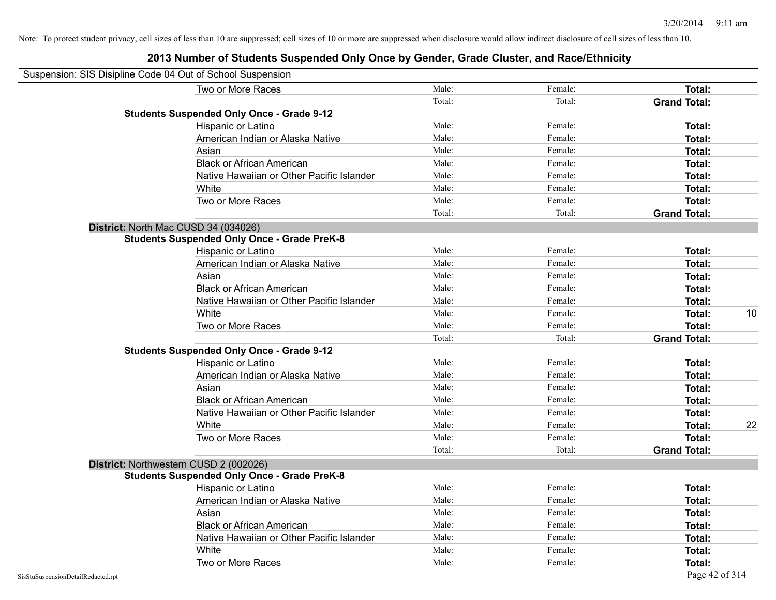| Suspension: SIS Disipline Code 04 Out of School Suspension |                                                    |        |         |                     |
|------------------------------------------------------------|----------------------------------------------------|--------|---------|---------------------|
|                                                            | Two or More Races                                  | Male:  | Female: | <b>Total:</b>       |
|                                                            |                                                    | Total: | Total:  | <b>Grand Total:</b> |
|                                                            | <b>Students Suspended Only Once - Grade 9-12</b>   |        |         |                     |
|                                                            | Hispanic or Latino                                 | Male:  | Female: | Total:              |
|                                                            | American Indian or Alaska Native                   | Male:  | Female: | Total:              |
|                                                            | Asian                                              | Male:  | Female: | Total:              |
|                                                            | <b>Black or African American</b>                   | Male:  | Female: | Total:              |
|                                                            | Native Hawaiian or Other Pacific Islander          | Male:  | Female: | Total:              |
|                                                            | White                                              | Male:  | Female: | Total:              |
|                                                            | Two or More Races                                  | Male:  | Female: | Total:              |
|                                                            |                                                    | Total: | Total:  | <b>Grand Total:</b> |
|                                                            | District: North Mac CUSD 34 (034026)               |        |         |                     |
|                                                            | <b>Students Suspended Only Once - Grade PreK-8</b> |        |         |                     |
|                                                            | Hispanic or Latino                                 | Male:  | Female: | Total:              |
|                                                            | American Indian or Alaska Native                   | Male:  | Female: | Total:              |
|                                                            | Asian                                              | Male:  | Female: | Total:              |
|                                                            | <b>Black or African American</b>                   | Male:  | Female: | Total:              |
|                                                            | Native Hawaiian or Other Pacific Islander          | Male:  | Female: | Total:              |
|                                                            | White                                              | Male:  | Female: | 10<br>Total:        |
|                                                            | Two or More Races                                  | Male:  | Female: | Total:              |
|                                                            |                                                    | Total: | Total:  | <b>Grand Total:</b> |
|                                                            | <b>Students Suspended Only Once - Grade 9-12</b>   |        |         |                     |
|                                                            | Hispanic or Latino                                 | Male:  | Female: | Total:              |
|                                                            | American Indian or Alaska Native                   | Male:  | Female: | Total:              |
|                                                            | Asian                                              | Male:  | Female: | Total:              |
|                                                            | <b>Black or African American</b>                   | Male:  | Female: | Total:              |
|                                                            | Native Hawaiian or Other Pacific Islander          | Male:  | Female: | Total:              |
|                                                            | White                                              | Male:  | Female: | 22<br>Total:        |
|                                                            | Two or More Races                                  | Male:  | Female: | Total:              |
|                                                            |                                                    | Total: | Total:  | <b>Grand Total:</b> |
|                                                            | District: Northwestern CUSD 2 (002026)             |        |         |                     |
|                                                            | <b>Students Suspended Only Once - Grade PreK-8</b> |        |         |                     |
|                                                            | Hispanic or Latino                                 | Male:  | Female: | Total:              |
|                                                            | American Indian or Alaska Native                   | Male:  | Female: | Total:              |
|                                                            | Asian                                              | Male:  | Female: | Total:              |
|                                                            | <b>Black or African American</b>                   | Male:  | Female: | Total:              |
|                                                            | Native Hawaiian or Other Pacific Islander          | Male:  | Female: | Total:              |
|                                                            | White                                              | Male:  | Female: | Total:              |
|                                                            | Two or More Races                                  | Male:  | Female: | <b>Total:</b>       |
| SisStuSuspensionDetailRedacted.rpt                         |                                                    |        |         | Page 42 of 314      |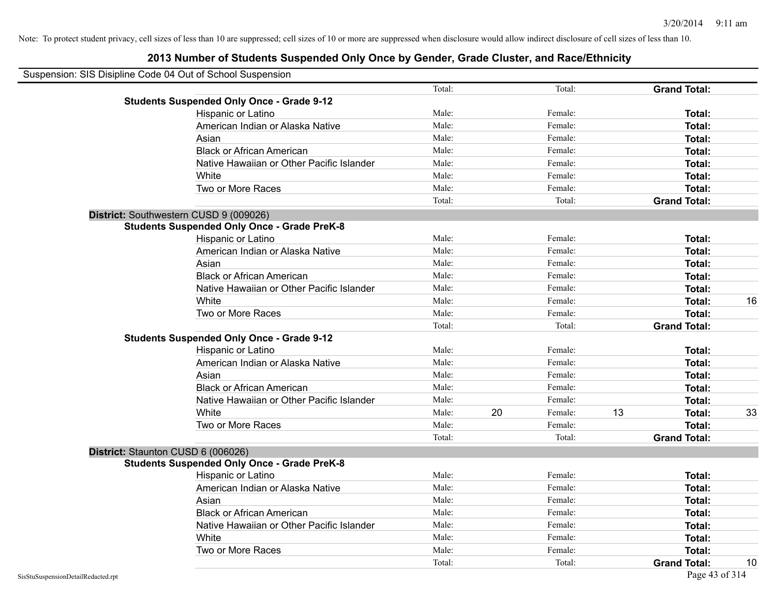| Suspension: SIS Disipline Code 04 Out of School Suspension |                                                    |        |    |         |    |                     |    |
|------------------------------------------------------------|----------------------------------------------------|--------|----|---------|----|---------------------|----|
|                                                            |                                                    | Total: |    | Total:  |    | <b>Grand Total:</b> |    |
|                                                            | <b>Students Suspended Only Once - Grade 9-12</b>   |        |    |         |    |                     |    |
|                                                            | Hispanic or Latino                                 | Male:  |    | Female: |    | Total:              |    |
|                                                            | American Indian or Alaska Native                   | Male:  |    | Female: |    | Total:              |    |
|                                                            | Asian                                              | Male:  |    | Female: |    | Total:              |    |
|                                                            | <b>Black or African American</b>                   | Male:  |    | Female: |    | Total:              |    |
|                                                            | Native Hawaiian or Other Pacific Islander          | Male:  |    | Female: |    | Total:              |    |
|                                                            | White                                              | Male:  |    | Female: |    | Total:              |    |
|                                                            | Two or More Races                                  | Male:  |    | Female: |    | Total:              |    |
|                                                            |                                                    | Total: |    | Total:  |    | <b>Grand Total:</b> |    |
|                                                            | District: Southwestern CUSD 9 (009026)             |        |    |         |    |                     |    |
|                                                            | <b>Students Suspended Only Once - Grade PreK-8</b> |        |    |         |    |                     |    |
|                                                            | Hispanic or Latino                                 | Male:  |    | Female: |    | Total:              |    |
|                                                            | American Indian or Alaska Native                   | Male:  |    | Female: |    | Total:              |    |
|                                                            | Asian                                              | Male:  |    | Female: |    | Total:              |    |
|                                                            | <b>Black or African American</b>                   | Male:  |    | Female: |    | Total:              |    |
|                                                            | Native Hawaiian or Other Pacific Islander          | Male:  |    | Female: |    | Total:              |    |
|                                                            | White                                              | Male:  |    | Female: |    | Total:              | 16 |
|                                                            | Two or More Races                                  | Male:  |    | Female: |    | Total:              |    |
|                                                            |                                                    | Total: |    | Total:  |    | <b>Grand Total:</b> |    |
|                                                            | <b>Students Suspended Only Once - Grade 9-12</b>   |        |    |         |    |                     |    |
|                                                            | Hispanic or Latino                                 | Male:  |    | Female: |    | Total:              |    |
|                                                            | American Indian or Alaska Native                   | Male:  |    | Female: |    | Total:              |    |
|                                                            | Asian                                              | Male:  |    | Female: |    | Total:              |    |
|                                                            | <b>Black or African American</b>                   | Male:  |    | Female: |    | Total:              |    |
|                                                            | Native Hawaiian or Other Pacific Islander          | Male:  |    | Female: |    | Total:              |    |
|                                                            | White                                              | Male:  | 20 | Female: | 13 | Total:              | 33 |
|                                                            | Two or More Races                                  | Male:  |    | Female: |    | Total:              |    |
|                                                            |                                                    | Total: |    | Total:  |    | <b>Grand Total:</b> |    |
|                                                            | District: Staunton CUSD 6 (006026)                 |        |    |         |    |                     |    |
|                                                            | <b>Students Suspended Only Once - Grade PreK-8</b> |        |    |         |    |                     |    |
|                                                            | Hispanic or Latino                                 | Male:  |    | Female: |    | Total:              |    |
|                                                            | American Indian or Alaska Native                   | Male:  |    | Female: |    | Total:              |    |
|                                                            | Asian                                              | Male:  |    | Female: |    | Total:              |    |
|                                                            | <b>Black or African American</b>                   | Male:  |    | Female: |    | Total:              |    |
|                                                            | Native Hawaiian or Other Pacific Islander          | Male:  |    | Female: |    | Total:              |    |
|                                                            | White                                              | Male:  |    | Female: |    | Total:              |    |
|                                                            | Two or More Races                                  | Male:  |    | Female: |    | Total:              |    |
|                                                            |                                                    | Total: |    | Total:  |    | <b>Grand Total:</b> | 10 |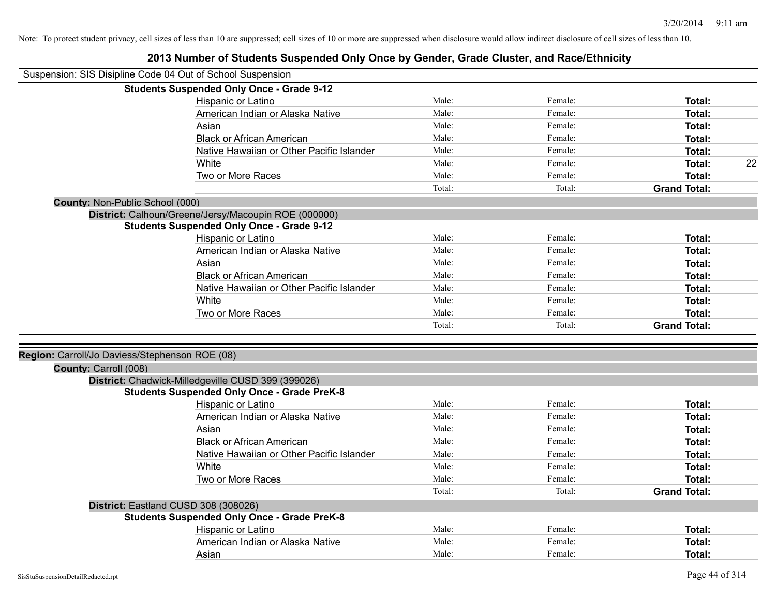| <b>Students Suspended Only Once - Grade 9-12</b><br>Male:<br>Female:<br>Hispanic or Latino<br>Total:<br>American Indian or Alaska Native<br>Male:<br>Female:<br>Total:<br>Male:<br>Female:<br>Asian<br>Total:<br>Male:<br>Female:<br><b>Black or African American</b><br>Total:<br>Native Hawaiian or Other Pacific Islander<br>Male:<br>Female:<br>Total:<br>Male:<br>Female:<br>22<br>White<br>Total:<br>Male:<br>Two or More Races<br>Female:<br>Total:<br>Total:<br>Total:<br><b>Grand Total:</b><br>County: Non-Public School (000)<br>District: Calhoun/Greene/Jersy/Macoupin ROE (000000)<br><b>Students Suspended Only Once - Grade 9-12</b><br>Male:<br>Hispanic or Latino<br>Female:<br>Total:<br>Male:<br>American Indian or Alaska Native<br>Female:<br>Total:<br>Male:<br>Female:<br>Asian<br><b>Total:</b><br>Male:<br>Female:<br><b>Black or African American</b><br>Total:<br>Native Hawaiian or Other Pacific Islander<br>Male:<br>Female:<br>Total:<br>Male:<br>Female:<br>White<br>Total:<br>Two or More Races<br>Male:<br>Female:<br>Total:<br>Total:<br>Total:<br><b>Grand Total:</b><br>Region: Carroll/Jo Daviess/Stephenson ROE (08)<br>County: Carroll (008)<br>District: Chadwick-Milledgeville CUSD 399 (399026)<br><b>Students Suspended Only Once - Grade PreK-8</b><br>Male:<br>Hispanic or Latino<br>Female:<br>Total:<br>American Indian or Alaska Native<br>Male:<br>Female:<br>Total:<br>Male:<br>Female:<br>Asian<br>Total:<br>Male:<br>Female:<br><b>Black or African American</b><br>Total:<br>Male:<br>Female:<br>Native Hawaiian or Other Pacific Islander<br>Total:<br>Male:<br>Female:<br>White<br>Total:<br>Two or More Races<br>Male:<br>Female:<br>Total:<br>Total:<br>Total:<br><b>Grand Total:</b><br>District: Eastland CUSD 308 (308026)<br><b>Students Suspended Only Once - Grade PreK-8</b><br>Hispanic or Latino<br>Male:<br>Female:<br>Total:<br>American Indian or Alaska Native<br>Male:<br>Female:<br><b>Total:</b> | Suspension: SIS Disipline Code 04 Out of School Suspension |       |         |        |
|-----------------------------------------------------------------------------------------------------------------------------------------------------------------------------------------------------------------------------------------------------------------------------------------------------------------------------------------------------------------------------------------------------------------------------------------------------------------------------------------------------------------------------------------------------------------------------------------------------------------------------------------------------------------------------------------------------------------------------------------------------------------------------------------------------------------------------------------------------------------------------------------------------------------------------------------------------------------------------------------------------------------------------------------------------------------------------------------------------------------------------------------------------------------------------------------------------------------------------------------------------------------------------------------------------------------------------------------------------------------------------------------------------------------------------------------------------------------------------------------------------------------------------------------------------------------------------------------------------------------------------------------------------------------------------------------------------------------------------------------------------------------------------------------------------------------------------------------------------------------------------------------------------------------------------------------------------------------------------|------------------------------------------------------------|-------|---------|--------|
|                                                                                                                                                                                                                                                                                                                                                                                                                                                                                                                                                                                                                                                                                                                                                                                                                                                                                                                                                                                                                                                                                                                                                                                                                                                                                                                                                                                                                                                                                                                                                                                                                                                                                                                                                                                                                                                                                                                                                                             |                                                            |       |         |        |
|                                                                                                                                                                                                                                                                                                                                                                                                                                                                                                                                                                                                                                                                                                                                                                                                                                                                                                                                                                                                                                                                                                                                                                                                                                                                                                                                                                                                                                                                                                                                                                                                                                                                                                                                                                                                                                                                                                                                                                             |                                                            |       |         |        |
|                                                                                                                                                                                                                                                                                                                                                                                                                                                                                                                                                                                                                                                                                                                                                                                                                                                                                                                                                                                                                                                                                                                                                                                                                                                                                                                                                                                                                                                                                                                                                                                                                                                                                                                                                                                                                                                                                                                                                                             |                                                            |       |         |        |
|                                                                                                                                                                                                                                                                                                                                                                                                                                                                                                                                                                                                                                                                                                                                                                                                                                                                                                                                                                                                                                                                                                                                                                                                                                                                                                                                                                                                                                                                                                                                                                                                                                                                                                                                                                                                                                                                                                                                                                             |                                                            |       |         |        |
|                                                                                                                                                                                                                                                                                                                                                                                                                                                                                                                                                                                                                                                                                                                                                                                                                                                                                                                                                                                                                                                                                                                                                                                                                                                                                                                                                                                                                                                                                                                                                                                                                                                                                                                                                                                                                                                                                                                                                                             |                                                            |       |         |        |
|                                                                                                                                                                                                                                                                                                                                                                                                                                                                                                                                                                                                                                                                                                                                                                                                                                                                                                                                                                                                                                                                                                                                                                                                                                                                                                                                                                                                                                                                                                                                                                                                                                                                                                                                                                                                                                                                                                                                                                             |                                                            |       |         |        |
|                                                                                                                                                                                                                                                                                                                                                                                                                                                                                                                                                                                                                                                                                                                                                                                                                                                                                                                                                                                                                                                                                                                                                                                                                                                                                                                                                                                                                                                                                                                                                                                                                                                                                                                                                                                                                                                                                                                                                                             |                                                            |       |         |        |
|                                                                                                                                                                                                                                                                                                                                                                                                                                                                                                                                                                                                                                                                                                                                                                                                                                                                                                                                                                                                                                                                                                                                                                                                                                                                                                                                                                                                                                                                                                                                                                                                                                                                                                                                                                                                                                                                                                                                                                             |                                                            |       |         |        |
|                                                                                                                                                                                                                                                                                                                                                                                                                                                                                                                                                                                                                                                                                                                                                                                                                                                                                                                                                                                                                                                                                                                                                                                                                                                                                                                                                                                                                                                                                                                                                                                                                                                                                                                                                                                                                                                                                                                                                                             |                                                            |       |         |        |
|                                                                                                                                                                                                                                                                                                                                                                                                                                                                                                                                                                                                                                                                                                                                                                                                                                                                                                                                                                                                                                                                                                                                                                                                                                                                                                                                                                                                                                                                                                                                                                                                                                                                                                                                                                                                                                                                                                                                                                             |                                                            |       |         |        |
|                                                                                                                                                                                                                                                                                                                                                                                                                                                                                                                                                                                                                                                                                                                                                                                                                                                                                                                                                                                                                                                                                                                                                                                                                                                                                                                                                                                                                                                                                                                                                                                                                                                                                                                                                                                                                                                                                                                                                                             |                                                            |       |         |        |
|                                                                                                                                                                                                                                                                                                                                                                                                                                                                                                                                                                                                                                                                                                                                                                                                                                                                                                                                                                                                                                                                                                                                                                                                                                                                                                                                                                                                                                                                                                                                                                                                                                                                                                                                                                                                                                                                                                                                                                             |                                                            |       |         |        |
|                                                                                                                                                                                                                                                                                                                                                                                                                                                                                                                                                                                                                                                                                                                                                                                                                                                                                                                                                                                                                                                                                                                                                                                                                                                                                                                                                                                                                                                                                                                                                                                                                                                                                                                                                                                                                                                                                                                                                                             |                                                            |       |         |        |
|                                                                                                                                                                                                                                                                                                                                                                                                                                                                                                                                                                                                                                                                                                                                                                                                                                                                                                                                                                                                                                                                                                                                                                                                                                                                                                                                                                                                                                                                                                                                                                                                                                                                                                                                                                                                                                                                                                                                                                             |                                                            |       |         |        |
|                                                                                                                                                                                                                                                                                                                                                                                                                                                                                                                                                                                                                                                                                                                                                                                                                                                                                                                                                                                                                                                                                                                                                                                                                                                                                                                                                                                                                                                                                                                                                                                                                                                                                                                                                                                                                                                                                                                                                                             |                                                            |       |         |        |
|                                                                                                                                                                                                                                                                                                                                                                                                                                                                                                                                                                                                                                                                                                                                                                                                                                                                                                                                                                                                                                                                                                                                                                                                                                                                                                                                                                                                                                                                                                                                                                                                                                                                                                                                                                                                                                                                                                                                                                             |                                                            |       |         |        |
|                                                                                                                                                                                                                                                                                                                                                                                                                                                                                                                                                                                                                                                                                                                                                                                                                                                                                                                                                                                                                                                                                                                                                                                                                                                                                                                                                                                                                                                                                                                                                                                                                                                                                                                                                                                                                                                                                                                                                                             |                                                            |       |         |        |
|                                                                                                                                                                                                                                                                                                                                                                                                                                                                                                                                                                                                                                                                                                                                                                                                                                                                                                                                                                                                                                                                                                                                                                                                                                                                                                                                                                                                                                                                                                                                                                                                                                                                                                                                                                                                                                                                                                                                                                             |                                                            |       |         |        |
|                                                                                                                                                                                                                                                                                                                                                                                                                                                                                                                                                                                                                                                                                                                                                                                                                                                                                                                                                                                                                                                                                                                                                                                                                                                                                                                                                                                                                                                                                                                                                                                                                                                                                                                                                                                                                                                                                                                                                                             |                                                            |       |         |        |
|                                                                                                                                                                                                                                                                                                                                                                                                                                                                                                                                                                                                                                                                                                                                                                                                                                                                                                                                                                                                                                                                                                                                                                                                                                                                                                                                                                                                                                                                                                                                                                                                                                                                                                                                                                                                                                                                                                                                                                             |                                                            |       |         |        |
|                                                                                                                                                                                                                                                                                                                                                                                                                                                                                                                                                                                                                                                                                                                                                                                                                                                                                                                                                                                                                                                                                                                                                                                                                                                                                                                                                                                                                                                                                                                                                                                                                                                                                                                                                                                                                                                                                                                                                                             |                                                            |       |         |        |
|                                                                                                                                                                                                                                                                                                                                                                                                                                                                                                                                                                                                                                                                                                                                                                                                                                                                                                                                                                                                                                                                                                                                                                                                                                                                                                                                                                                                                                                                                                                                                                                                                                                                                                                                                                                                                                                                                                                                                                             |                                                            |       |         |        |
|                                                                                                                                                                                                                                                                                                                                                                                                                                                                                                                                                                                                                                                                                                                                                                                                                                                                                                                                                                                                                                                                                                                                                                                                                                                                                                                                                                                                                                                                                                                                                                                                                                                                                                                                                                                                                                                                                                                                                                             |                                                            |       |         |        |
|                                                                                                                                                                                                                                                                                                                                                                                                                                                                                                                                                                                                                                                                                                                                                                                                                                                                                                                                                                                                                                                                                                                                                                                                                                                                                                                                                                                                                                                                                                                                                                                                                                                                                                                                                                                                                                                                                                                                                                             |                                                            |       |         |        |
|                                                                                                                                                                                                                                                                                                                                                                                                                                                                                                                                                                                                                                                                                                                                                                                                                                                                                                                                                                                                                                                                                                                                                                                                                                                                                                                                                                                                                                                                                                                                                                                                                                                                                                                                                                                                                                                                                                                                                                             |                                                            |       |         |        |
|                                                                                                                                                                                                                                                                                                                                                                                                                                                                                                                                                                                                                                                                                                                                                                                                                                                                                                                                                                                                                                                                                                                                                                                                                                                                                                                                                                                                                                                                                                                                                                                                                                                                                                                                                                                                                                                                                                                                                                             |                                                            |       |         |        |
|                                                                                                                                                                                                                                                                                                                                                                                                                                                                                                                                                                                                                                                                                                                                                                                                                                                                                                                                                                                                                                                                                                                                                                                                                                                                                                                                                                                                                                                                                                                                                                                                                                                                                                                                                                                                                                                                                                                                                                             |                                                            |       |         |        |
|                                                                                                                                                                                                                                                                                                                                                                                                                                                                                                                                                                                                                                                                                                                                                                                                                                                                                                                                                                                                                                                                                                                                                                                                                                                                                                                                                                                                                                                                                                                                                                                                                                                                                                                                                                                                                                                                                                                                                                             |                                                            |       |         |        |
|                                                                                                                                                                                                                                                                                                                                                                                                                                                                                                                                                                                                                                                                                                                                                                                                                                                                                                                                                                                                                                                                                                                                                                                                                                                                                                                                                                                                                                                                                                                                                                                                                                                                                                                                                                                                                                                                                                                                                                             |                                                            |       |         |        |
|                                                                                                                                                                                                                                                                                                                                                                                                                                                                                                                                                                                                                                                                                                                                                                                                                                                                                                                                                                                                                                                                                                                                                                                                                                                                                                                                                                                                                                                                                                                                                                                                                                                                                                                                                                                                                                                                                                                                                                             |                                                            |       |         |        |
|                                                                                                                                                                                                                                                                                                                                                                                                                                                                                                                                                                                                                                                                                                                                                                                                                                                                                                                                                                                                                                                                                                                                                                                                                                                                                                                                                                                                                                                                                                                                                                                                                                                                                                                                                                                                                                                                                                                                                                             |                                                            |       |         |        |
|                                                                                                                                                                                                                                                                                                                                                                                                                                                                                                                                                                                                                                                                                                                                                                                                                                                                                                                                                                                                                                                                                                                                                                                                                                                                                                                                                                                                                                                                                                                                                                                                                                                                                                                                                                                                                                                                                                                                                                             |                                                            |       |         |        |
|                                                                                                                                                                                                                                                                                                                                                                                                                                                                                                                                                                                                                                                                                                                                                                                                                                                                                                                                                                                                                                                                                                                                                                                                                                                                                                                                                                                                                                                                                                                                                                                                                                                                                                                                                                                                                                                                                                                                                                             |                                                            |       |         |        |
|                                                                                                                                                                                                                                                                                                                                                                                                                                                                                                                                                                                                                                                                                                                                                                                                                                                                                                                                                                                                                                                                                                                                                                                                                                                                                                                                                                                                                                                                                                                                                                                                                                                                                                                                                                                                                                                                                                                                                                             |                                                            |       |         |        |
|                                                                                                                                                                                                                                                                                                                                                                                                                                                                                                                                                                                                                                                                                                                                                                                                                                                                                                                                                                                                                                                                                                                                                                                                                                                                                                                                                                                                                                                                                                                                                                                                                                                                                                                                                                                                                                                                                                                                                                             |                                                            |       |         |        |
|                                                                                                                                                                                                                                                                                                                                                                                                                                                                                                                                                                                                                                                                                                                                                                                                                                                                                                                                                                                                                                                                                                                                                                                                                                                                                                                                                                                                                                                                                                                                                                                                                                                                                                                                                                                                                                                                                                                                                                             |                                                            |       |         |        |
|                                                                                                                                                                                                                                                                                                                                                                                                                                                                                                                                                                                                                                                                                                                                                                                                                                                                                                                                                                                                                                                                                                                                                                                                                                                                                                                                                                                                                                                                                                                                                                                                                                                                                                                                                                                                                                                                                                                                                                             | Asian                                                      | Male: | Female: | Total: |

# **2013 Number of Students Suspended Only Once by Gender, Grade Cluster, and Race/Ethnicity**

 $\blacksquare$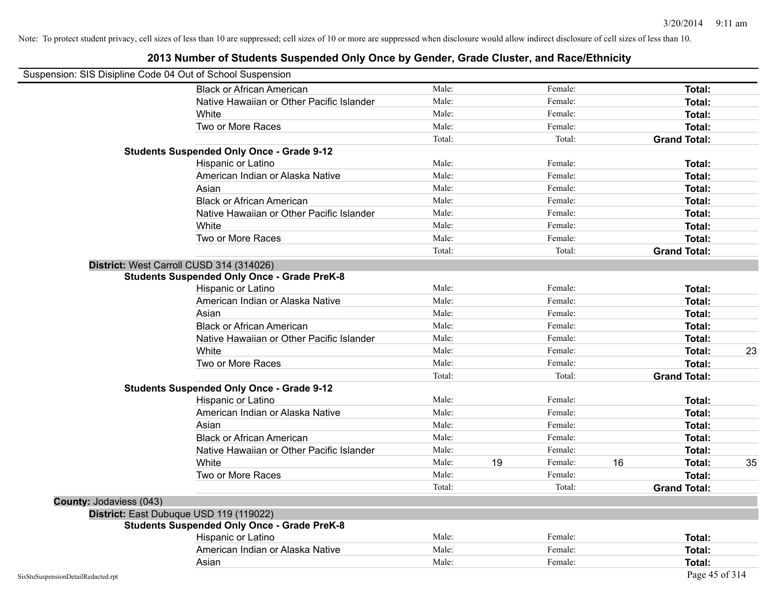| Suspension: SIS Disipline Code 04 Out of School Suspension |                                                    |        |    |         |    |                     |    |
|------------------------------------------------------------|----------------------------------------------------|--------|----|---------|----|---------------------|----|
|                                                            | <b>Black or African American</b>                   | Male:  |    | Female: |    | <b>Total:</b>       |    |
|                                                            | Native Hawaiian or Other Pacific Islander          | Male:  |    | Female: |    | Total:              |    |
|                                                            | White                                              | Male:  |    | Female: |    | Total:              |    |
|                                                            | Two or More Races                                  | Male:  |    | Female: |    | Total:              |    |
|                                                            |                                                    | Total: |    | Total:  |    | <b>Grand Total:</b> |    |
|                                                            | <b>Students Suspended Only Once - Grade 9-12</b>   |        |    |         |    |                     |    |
|                                                            | Hispanic or Latino                                 | Male:  |    | Female: |    | Total:              |    |
|                                                            | American Indian or Alaska Native                   | Male:  |    | Female: |    | Total:              |    |
|                                                            | Asian                                              | Male:  |    | Female: |    | Total:              |    |
|                                                            | <b>Black or African American</b>                   | Male:  |    | Female: |    | <b>Total:</b>       |    |
|                                                            | Native Hawaiian or Other Pacific Islander          | Male:  |    | Female: |    | Total:              |    |
|                                                            | White                                              | Male:  |    | Female: |    | Total:              |    |
|                                                            | Two or More Races                                  | Male:  |    | Female: |    | Total:              |    |
|                                                            |                                                    | Total: |    | Total:  |    | <b>Grand Total:</b> |    |
|                                                            | District: West Carroll CUSD 314 (314026)           |        |    |         |    |                     |    |
|                                                            | <b>Students Suspended Only Once - Grade PreK-8</b> |        |    |         |    |                     |    |
|                                                            | Hispanic or Latino                                 | Male:  |    | Female: |    | Total:              |    |
|                                                            | American Indian or Alaska Native                   | Male:  |    | Female: |    | Total:              |    |
|                                                            | Asian                                              | Male:  |    | Female: |    | Total:              |    |
|                                                            | <b>Black or African American</b>                   | Male:  |    | Female: |    | Total:              |    |
|                                                            | Native Hawaiian or Other Pacific Islander          | Male:  |    | Female: |    | Total:              |    |
|                                                            | White                                              | Male:  |    | Female: |    | Total:              | 23 |
|                                                            | Two or More Races                                  | Male:  |    | Female: |    | <b>Total:</b>       |    |
|                                                            |                                                    | Total: |    | Total:  |    | <b>Grand Total:</b> |    |
|                                                            | <b>Students Suspended Only Once - Grade 9-12</b>   |        |    |         |    |                     |    |
|                                                            | Hispanic or Latino                                 | Male:  |    | Female: |    | Total:              |    |
|                                                            | American Indian or Alaska Native                   | Male:  |    | Female: |    | Total:              |    |
|                                                            | Asian                                              | Male:  |    | Female: |    | Total:              |    |
|                                                            | <b>Black or African American</b>                   | Male:  |    | Female: |    | Total:              |    |
|                                                            | Native Hawaiian or Other Pacific Islander          | Male:  |    | Female: |    | Total:              |    |
|                                                            | White                                              | Male:  | 19 | Female: | 16 | Total:              | 35 |
|                                                            | Two or More Races                                  | Male:  |    | Female: |    | <b>Total:</b>       |    |
|                                                            |                                                    | Total: |    | Total:  |    | <b>Grand Total:</b> |    |
| County: Jodaviess (043)                                    |                                                    |        |    |         |    |                     |    |
|                                                            | District: East Dubuque USD 119 (119022)            |        |    |         |    |                     |    |
|                                                            | <b>Students Suspended Only Once - Grade PreK-8</b> |        |    |         |    |                     |    |
|                                                            | Hispanic or Latino                                 | Male:  |    | Female: |    | Total:              |    |
|                                                            | American Indian or Alaska Native                   | Male:  |    | Female: |    | Total:              |    |
|                                                            | Asian                                              | Male:  |    | Female: |    | Total:              |    |
| SisStuSuspensionDetailRedacted.rpt                         |                                                    |        |    |         |    | Page 45 of 314      |    |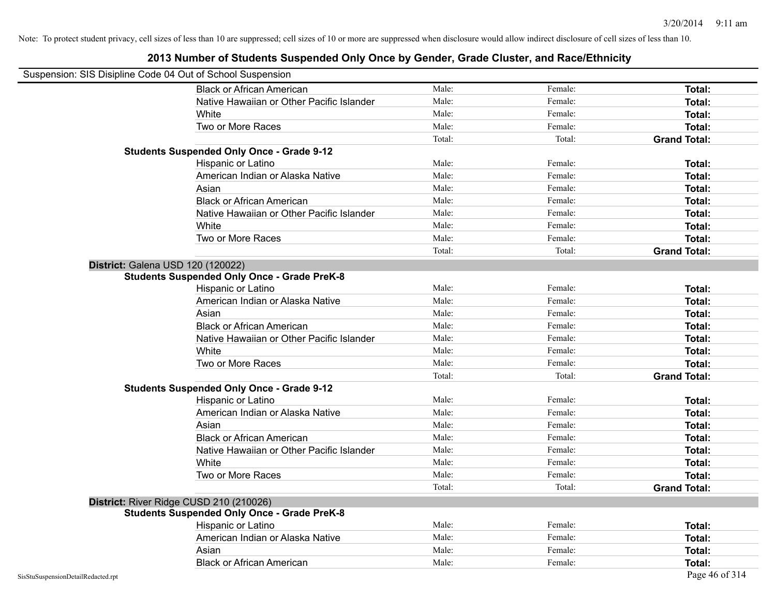| Suspension: SIS Disipline Code 04 Out of School Suspension |                                                    |        |         |                     |
|------------------------------------------------------------|----------------------------------------------------|--------|---------|---------------------|
|                                                            | <b>Black or African American</b>                   | Male:  | Female: | Total:              |
|                                                            | Native Hawaiian or Other Pacific Islander          | Male:  | Female: | Total:              |
|                                                            | White                                              | Male:  | Female: | Total:              |
|                                                            | Two or More Races                                  | Male:  | Female: | Total:              |
|                                                            |                                                    | Total: | Total:  | <b>Grand Total:</b> |
|                                                            | <b>Students Suspended Only Once - Grade 9-12</b>   |        |         |                     |
|                                                            | Hispanic or Latino                                 | Male:  | Female: | Total:              |
|                                                            | American Indian or Alaska Native                   | Male:  | Female: | Total:              |
|                                                            | Asian                                              | Male:  | Female: | Total:              |
|                                                            | <b>Black or African American</b>                   | Male:  | Female: | Total:              |
|                                                            | Native Hawaiian or Other Pacific Islander          | Male:  | Female: | Total:              |
|                                                            | White                                              | Male:  | Female: | Total:              |
|                                                            | Two or More Races                                  | Male:  | Female: | Total:              |
|                                                            |                                                    | Total: | Total:  | <b>Grand Total:</b> |
| District: Galena USD 120 (120022)                          |                                                    |        |         |                     |
|                                                            | <b>Students Suspended Only Once - Grade PreK-8</b> |        |         |                     |
|                                                            | Hispanic or Latino                                 | Male:  | Female: | Total:              |
|                                                            | American Indian or Alaska Native                   | Male:  | Female: | Total:              |
|                                                            | Asian                                              | Male:  | Female: | Total:              |
|                                                            | <b>Black or African American</b>                   | Male:  | Female: | Total:              |
|                                                            | Native Hawaiian or Other Pacific Islander          | Male:  | Female: | Total:              |
|                                                            | White                                              | Male:  | Female: | Total:              |
|                                                            | Two or More Races                                  | Male:  | Female: | Total:              |
|                                                            |                                                    | Total: | Total:  | <b>Grand Total:</b> |
|                                                            | <b>Students Suspended Only Once - Grade 9-12</b>   |        |         |                     |
|                                                            | Hispanic or Latino                                 | Male:  | Female: | Total:              |
|                                                            | American Indian or Alaska Native                   | Male:  | Female: | Total:              |
|                                                            | Asian                                              | Male:  | Female: | Total:              |
|                                                            | <b>Black or African American</b>                   | Male:  | Female: | Total:              |
|                                                            | Native Hawaiian or Other Pacific Islander          | Male:  | Female: | Total:              |
|                                                            | White                                              | Male:  | Female: | Total:              |
|                                                            | Two or More Races                                  | Male:  | Female: | Total:              |
|                                                            |                                                    | Total: | Total:  | <b>Grand Total:</b> |
|                                                            | District: River Ridge CUSD 210 (210026)            |        |         |                     |
|                                                            | <b>Students Suspended Only Once - Grade PreK-8</b> |        |         |                     |
|                                                            | Hispanic or Latino                                 | Male:  | Female: | Total:              |
|                                                            | American Indian or Alaska Native                   | Male:  | Female: | Total:              |
|                                                            | Asian                                              | Male:  | Female: | Total:              |
|                                                            | <b>Black or African American</b>                   | Male:  | Female: | Total:              |
| SisStuSuspensionDetailRedacted.rpt                         |                                                    |        |         | Page 46 of 314      |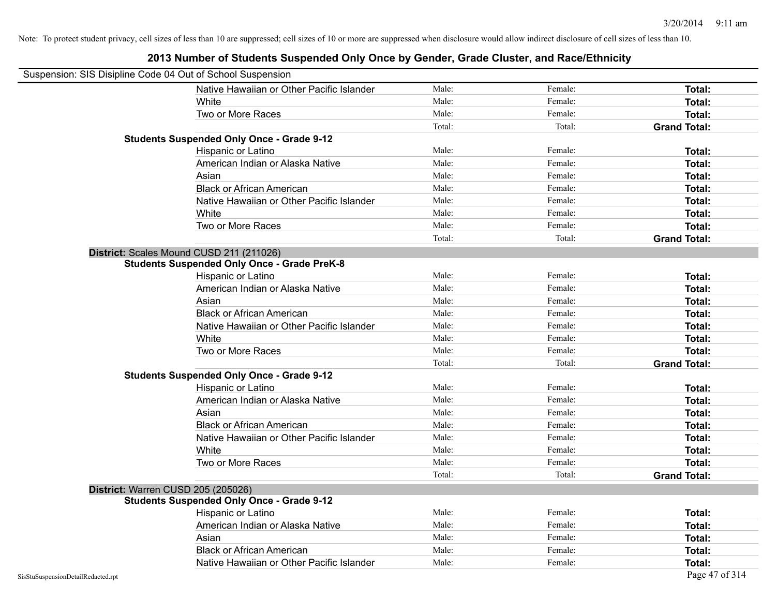| Suspension: SIS Disipline Code 04 Out of School Suspension |                                                    |        |         |                     |
|------------------------------------------------------------|----------------------------------------------------|--------|---------|---------------------|
|                                                            | Native Hawaiian or Other Pacific Islander          | Male:  | Female: | Total:              |
|                                                            | White                                              | Male:  | Female: | Total:              |
|                                                            | Two or More Races                                  | Male:  | Female: | <b>Total:</b>       |
|                                                            |                                                    | Total: | Total:  | <b>Grand Total:</b> |
|                                                            | <b>Students Suspended Only Once - Grade 9-12</b>   |        |         |                     |
|                                                            | Hispanic or Latino                                 | Male:  | Female: | Total:              |
|                                                            | American Indian or Alaska Native                   | Male:  | Female: | <b>Total:</b>       |
|                                                            | Asian                                              | Male:  | Female: | Total:              |
|                                                            | <b>Black or African American</b>                   | Male:  | Female: | Total:              |
|                                                            | Native Hawaiian or Other Pacific Islander          | Male:  | Female: | Total:              |
|                                                            | White                                              | Male:  | Female: | Total:              |
|                                                            | Two or More Races                                  | Male:  | Female: | <b>Total:</b>       |
|                                                            |                                                    | Total: | Total:  | <b>Grand Total:</b> |
|                                                            | District: Scales Mound CUSD 211 (211026)           |        |         |                     |
|                                                            | <b>Students Suspended Only Once - Grade PreK-8</b> |        |         |                     |
|                                                            | Hispanic or Latino                                 | Male:  | Female: | Total:              |
|                                                            | American Indian or Alaska Native                   | Male:  | Female: | Total:              |
|                                                            | Asian                                              | Male:  | Female: | <b>Total:</b>       |
|                                                            | <b>Black or African American</b>                   | Male:  | Female: | Total:              |
|                                                            | Native Hawaiian or Other Pacific Islander          | Male:  | Female: | Total:              |
|                                                            | White                                              | Male:  | Female: | Total:              |
|                                                            | Two or More Races                                  | Male:  | Female: | <b>Total:</b>       |
|                                                            |                                                    | Total: | Total:  | <b>Grand Total:</b> |
|                                                            | <b>Students Suspended Only Once - Grade 9-12</b>   |        |         |                     |
|                                                            | Hispanic or Latino                                 | Male:  | Female: | Total:              |
|                                                            | American Indian or Alaska Native                   | Male:  | Female: | Total:              |
|                                                            | Asian                                              | Male:  | Female: | Total:              |
|                                                            | <b>Black or African American</b>                   | Male:  | Female: | <b>Total:</b>       |
|                                                            | Native Hawaiian or Other Pacific Islander          | Male:  | Female: | Total:              |
|                                                            | White                                              | Male:  | Female: | <b>Total:</b>       |
|                                                            | Two or More Races                                  | Male:  | Female: | Total:              |
|                                                            |                                                    | Total: | Total:  | <b>Grand Total:</b> |
| District: Warren CUSD 205 (205026)                         |                                                    |        |         |                     |
|                                                            | <b>Students Suspended Only Once - Grade 9-12</b>   |        |         |                     |
|                                                            | Hispanic or Latino                                 | Male:  | Female: | <b>Total:</b>       |
|                                                            | American Indian or Alaska Native                   | Male:  | Female: | Total:              |
|                                                            | Asian                                              | Male:  | Female: | <b>Total:</b>       |
|                                                            | <b>Black or African American</b>                   | Male:  | Female: | Total:              |
|                                                            | Native Hawaiian or Other Pacific Islander          | Male:  | Female: | <b>Total:</b>       |
| SisStuSuspensionDetailRedacted.rpt                         |                                                    |        |         | Page 47 of 314      |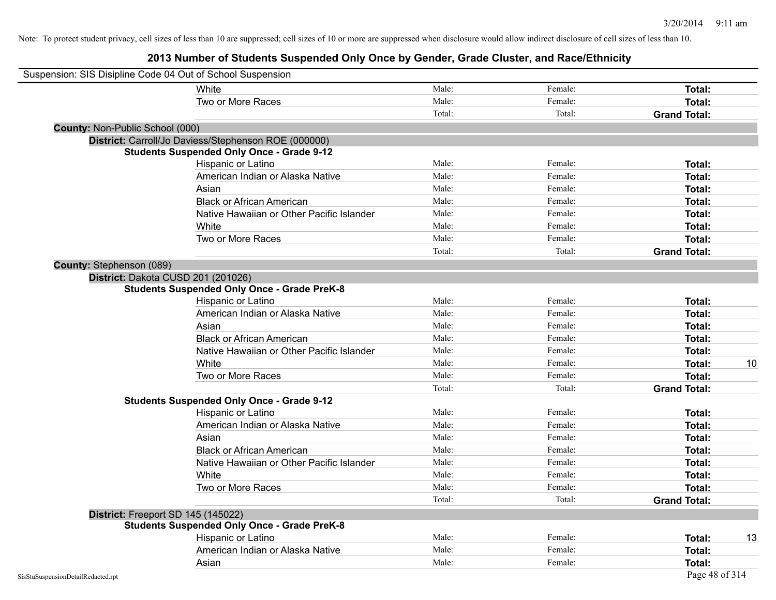|                                    | Suspension: SIS Disipline Code 04 Out of School Suspension |        |         |                     |    |
|------------------------------------|------------------------------------------------------------|--------|---------|---------------------|----|
|                                    | White                                                      | Male:  | Female: | Total:              |    |
|                                    | Two or More Races                                          | Male:  | Female: | <b>Total:</b>       |    |
|                                    |                                                            | Total: | Total:  | <b>Grand Total:</b> |    |
| County: Non-Public School (000)    |                                                            |        |         |                     |    |
|                                    | District: Carroll/Jo Daviess/Stephenson ROE (000000)       |        |         |                     |    |
|                                    | <b>Students Suspended Only Once - Grade 9-12</b>           |        |         |                     |    |
|                                    | Hispanic or Latino                                         | Male:  | Female: | Total:              |    |
|                                    | American Indian or Alaska Native                           | Male:  | Female: | Total:              |    |
|                                    | Asian                                                      | Male:  | Female: | Total:              |    |
|                                    | <b>Black or African American</b>                           | Male:  | Female: | Total:              |    |
|                                    | Native Hawaiian or Other Pacific Islander                  | Male:  | Female: | Total:              |    |
|                                    | White                                                      | Male:  | Female: | Total:              |    |
|                                    | Two or More Races                                          | Male:  | Female: | Total:              |    |
|                                    |                                                            | Total: | Total:  | <b>Grand Total:</b> |    |
| County: Stephenson (089)           |                                                            |        |         |                     |    |
|                                    | District: Dakota CUSD 201 (201026)                         |        |         |                     |    |
|                                    | <b>Students Suspended Only Once - Grade PreK-8</b>         |        |         |                     |    |
|                                    | Hispanic or Latino                                         | Male:  | Female: | Total:              |    |
|                                    | American Indian or Alaska Native                           | Male:  | Female: | Total:              |    |
|                                    | Asian                                                      | Male:  | Female: | Total:              |    |
|                                    | <b>Black or African American</b>                           | Male:  | Female: | Total:              |    |
|                                    | Native Hawaiian or Other Pacific Islander                  | Male:  | Female: | Total:              |    |
|                                    | White                                                      | Male:  | Female: | Total:              | 10 |
|                                    | Two or More Races                                          | Male:  | Female: | <b>Total:</b>       |    |
|                                    |                                                            | Total: | Total:  | <b>Grand Total:</b> |    |
|                                    | <b>Students Suspended Only Once - Grade 9-12</b>           |        |         |                     |    |
|                                    | Hispanic or Latino                                         | Male:  | Female: | Total:              |    |
|                                    | American Indian or Alaska Native                           | Male:  | Female: | Total:              |    |
|                                    | Asian                                                      | Male:  | Female: | Total:              |    |
|                                    | <b>Black or African American</b>                           | Male:  | Female: | Total:              |    |
|                                    | Native Hawaiian or Other Pacific Islander                  | Male:  | Female: | Total:              |    |
|                                    | White                                                      | Male:  | Female: | Total:              |    |
|                                    | Two or More Races                                          | Male:  | Female: | Total:              |    |
|                                    |                                                            | Total: | Total:  | <b>Grand Total:</b> |    |
|                                    | District: Freeport SD 145 (145022)                         |        |         |                     |    |
|                                    | <b>Students Suspended Only Once - Grade PreK-8</b>         |        |         |                     |    |
|                                    | Hispanic or Latino                                         | Male:  | Female: | Total:              | 13 |
|                                    | American Indian or Alaska Native                           | Male:  | Female: | Total:              |    |
|                                    | Asian                                                      | Male:  | Female: | <b>Total:</b>       |    |
| SisStuSuspensionDetailRedacted.rpt |                                                            |        |         | Page 48 of 314      |    |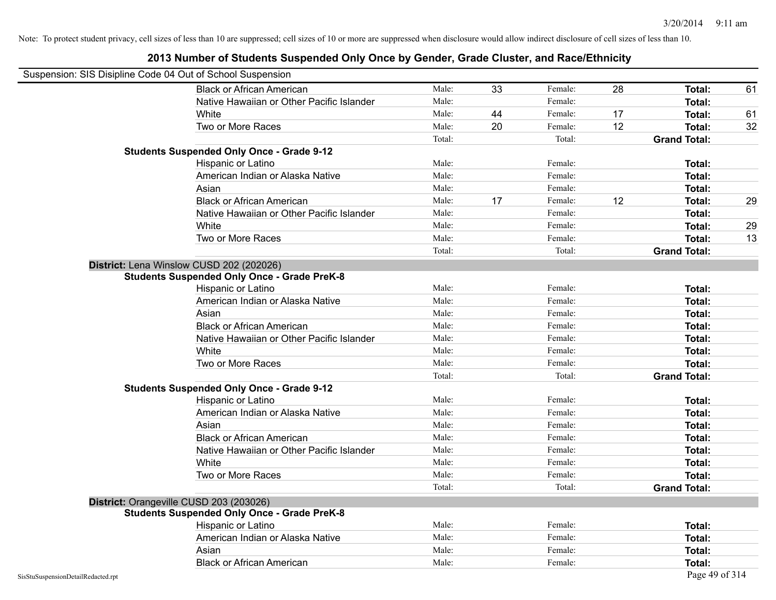|                                    | Suspension: SIS Disipline Code 04 Out of School Suspension |        |    |         |    |                     |    |
|------------------------------------|------------------------------------------------------------|--------|----|---------|----|---------------------|----|
|                                    | <b>Black or African American</b>                           | Male:  | 33 | Female: | 28 | Total:              | 61 |
|                                    | Native Hawaiian or Other Pacific Islander                  | Male:  |    | Female: |    | Total:              |    |
|                                    | White                                                      | Male:  | 44 | Female: | 17 | Total:              | 61 |
|                                    | Two or More Races                                          | Male:  | 20 | Female: | 12 | Total:              | 32 |
|                                    |                                                            | Total: |    | Total:  |    | <b>Grand Total:</b> |    |
|                                    | <b>Students Suspended Only Once - Grade 9-12</b>           |        |    |         |    |                     |    |
|                                    | Hispanic or Latino                                         | Male:  |    | Female: |    | Total:              |    |
|                                    | American Indian or Alaska Native                           | Male:  |    | Female: |    | Total:              |    |
|                                    | Asian                                                      | Male:  |    | Female: |    | Total:              |    |
|                                    | <b>Black or African American</b>                           | Male:  | 17 | Female: | 12 | Total:              | 29 |
|                                    | Native Hawaiian or Other Pacific Islander                  | Male:  |    | Female: |    | Total:              |    |
|                                    | White                                                      | Male:  |    | Female: |    | Total:              | 29 |
|                                    | Two or More Races                                          | Male:  |    | Female: |    | Total:              | 13 |
|                                    |                                                            | Total: |    | Total:  |    | <b>Grand Total:</b> |    |
|                                    | District: Lena Winslow CUSD 202 (202026)                   |        |    |         |    |                     |    |
|                                    | <b>Students Suspended Only Once - Grade PreK-8</b>         |        |    |         |    |                     |    |
|                                    | Hispanic or Latino                                         | Male:  |    | Female: |    | Total:              |    |
|                                    | American Indian or Alaska Native                           | Male:  |    | Female: |    | Total:              |    |
|                                    | Asian                                                      | Male:  |    | Female: |    | Total:              |    |
|                                    | <b>Black or African American</b>                           | Male:  |    | Female: |    | Total:              |    |
|                                    | Native Hawaiian or Other Pacific Islander                  | Male:  |    | Female: |    | Total:              |    |
|                                    | White                                                      | Male:  |    | Female: |    | Total:              |    |
|                                    | Two or More Races                                          | Male:  |    | Female: |    | Total:              |    |
|                                    |                                                            | Total: |    | Total:  |    | <b>Grand Total:</b> |    |
|                                    | <b>Students Suspended Only Once - Grade 9-12</b>           |        |    |         |    |                     |    |
|                                    | Hispanic or Latino                                         | Male:  |    | Female: |    | Total:              |    |
|                                    | American Indian or Alaska Native                           | Male:  |    | Female: |    | Total:              |    |
|                                    | Asian                                                      | Male:  |    | Female: |    | Total:              |    |
|                                    | <b>Black or African American</b>                           | Male:  |    | Female: |    | Total:              |    |
|                                    | Native Hawaiian or Other Pacific Islander                  | Male:  |    | Female: |    | Total:              |    |
|                                    | White                                                      | Male:  |    | Female: |    | Total:              |    |
|                                    | Two or More Races                                          | Male:  |    | Female: |    | Total:              |    |
|                                    |                                                            | Total: |    | Total:  |    | <b>Grand Total:</b> |    |
|                                    | District: Orangeville CUSD 203 (203026)                    |        |    |         |    |                     |    |
|                                    | <b>Students Suspended Only Once - Grade PreK-8</b>         |        |    |         |    |                     |    |
|                                    | Hispanic or Latino                                         | Male:  |    | Female: |    | Total:              |    |
|                                    | American Indian or Alaska Native                           | Male:  |    | Female: |    | Total:              |    |
|                                    | Asian                                                      | Male:  |    | Female: |    | Total:              |    |
|                                    | <b>Black or African American</b>                           | Male:  |    | Female: |    | Total:              |    |
| SisStuSuspensionDetailRedacted.rpt |                                                            |        |    |         |    | Page 49 of 314      |    |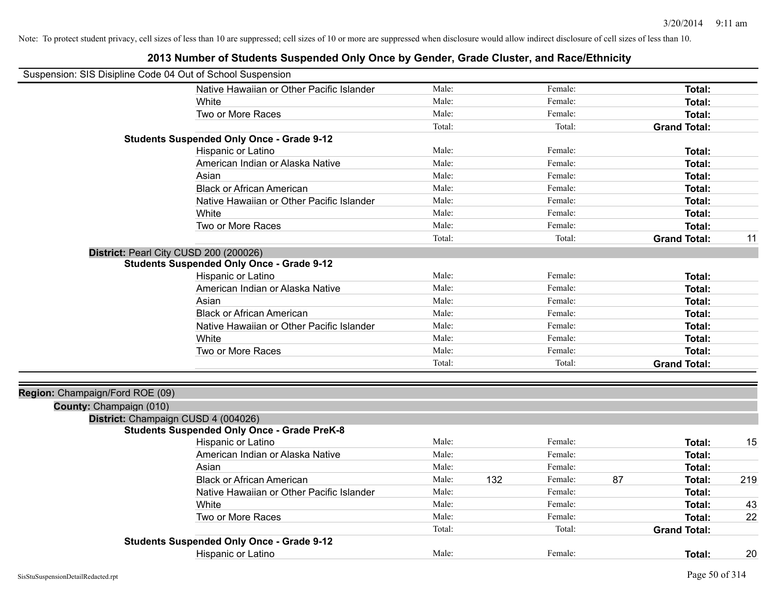| Suspension: SIS Disipline Code 04 Out of School Suspension |                                                    |        |     |         |    |                     |     |
|------------------------------------------------------------|----------------------------------------------------|--------|-----|---------|----|---------------------|-----|
|                                                            | Native Hawaiian or Other Pacific Islander          | Male:  |     | Female: |    | Total:              |     |
|                                                            | White                                              | Male:  |     | Female: |    | Total:              |     |
|                                                            | Two or More Races                                  | Male:  |     | Female: |    | Total:              |     |
|                                                            |                                                    | Total: |     | Total:  |    | <b>Grand Total:</b> |     |
|                                                            | <b>Students Suspended Only Once - Grade 9-12</b>   |        |     |         |    |                     |     |
|                                                            | Hispanic or Latino                                 | Male:  |     | Female: |    | Total:              |     |
|                                                            | American Indian or Alaska Native                   | Male:  |     | Female: |    | Total:              |     |
|                                                            | Asian                                              | Male:  |     | Female: |    | Total:              |     |
|                                                            | <b>Black or African American</b>                   | Male:  |     | Female: |    | Total:              |     |
|                                                            | Native Hawaiian or Other Pacific Islander          | Male:  |     | Female: |    | Total:              |     |
|                                                            | White                                              | Male:  |     | Female: |    | Total:              |     |
|                                                            | Two or More Races                                  | Male:  |     | Female: |    | Total:              |     |
|                                                            |                                                    | Total: |     | Total:  |    | <b>Grand Total:</b> | 11  |
| District: Pearl City CUSD 200 (200026)                     |                                                    |        |     |         |    |                     |     |
|                                                            | <b>Students Suspended Only Once - Grade 9-12</b>   |        |     |         |    |                     |     |
|                                                            | Hispanic or Latino                                 | Male:  |     | Female: |    | Total:              |     |
|                                                            | American Indian or Alaska Native                   | Male:  |     | Female: |    | Total:              |     |
|                                                            | Asian                                              | Male:  |     | Female: |    | Total:              |     |
|                                                            | <b>Black or African American</b>                   | Male:  |     | Female: |    | Total:              |     |
|                                                            | Native Hawaiian or Other Pacific Islander          | Male:  |     | Female: |    | Total:              |     |
|                                                            | White                                              | Male:  |     | Female: |    | Total:              |     |
|                                                            | Two or More Races                                  | Male:  |     | Female: |    | Total:              |     |
|                                                            |                                                    | Total: |     | Total:  |    | <b>Grand Total:</b> |     |
| Region: Champaign/Ford ROE (09)                            |                                                    |        |     |         |    |                     |     |
| County: Champaign (010)                                    |                                                    |        |     |         |    |                     |     |
| District: Champaign CUSD 4 (004026)                        |                                                    |        |     |         |    |                     |     |
|                                                            | <b>Students Suspended Only Once - Grade PreK-8</b> |        |     |         |    |                     |     |
|                                                            | Hispanic or Latino                                 | Male:  |     | Female: |    | Total:              | 15  |
|                                                            | American Indian or Alaska Native                   | Male:  |     | Female: |    | Total:              |     |
|                                                            | Asian                                              | Male:  |     | Female: |    | Total:              |     |
|                                                            | <b>Black or African American</b>                   | Male:  | 132 | Female: | 87 | Total:              | 219 |
|                                                            | Native Hawaiian or Other Pacific Islander          | Male:  |     | Female: |    | Total:              |     |
|                                                            | White                                              | Male:  |     | Female: |    | Total:              | 43  |
|                                                            | Two or More Races                                  | Male:  |     | Female: |    | Total:              | 22  |
|                                                            |                                                    | Total: |     | Total:  |    | <b>Grand Total:</b> |     |
|                                                            | <b>Students Suspended Only Once - Grade 9-12</b>   |        |     |         |    |                     |     |
|                                                            | <b>Hispanic or Latino</b>                          | Male:  |     | Female: |    | Total:              | 20  |

### **2013 Number of Students Suspended Only Once by Gender, Grade Cluster, and Race/Ethnicity**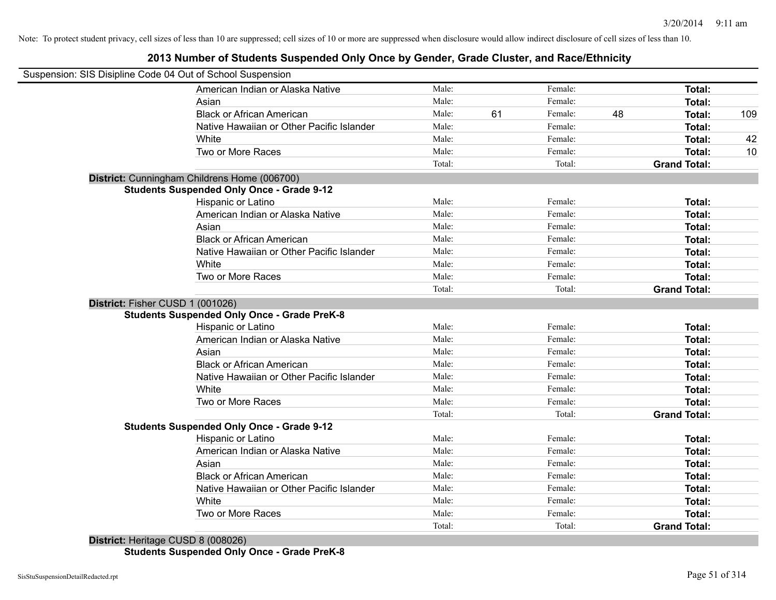#### **2013 Number of Students Suspended Only Once by Gender, Grade Cluster, and Race/Ethnicity**

| Suspension: SIS Disipline Code 04 Out of School Suspension |        |    |         |    |                     |     |
|------------------------------------------------------------|--------|----|---------|----|---------------------|-----|
| American Indian or Alaska Native                           | Male:  |    | Female: |    | Total:              |     |
| Asian                                                      | Male:  |    | Female: |    | Total:              |     |
| <b>Black or African American</b>                           | Male:  | 61 | Female: | 48 | Total:              | 109 |
| Native Hawaiian or Other Pacific Islander                  | Male:  |    | Female: |    | Total:              |     |
| White                                                      | Male:  |    | Female: |    | Total:              | 42  |
| Two or More Races                                          | Male:  |    | Female: |    | Total:              | 10  |
|                                                            | Total: |    | Total:  |    | <b>Grand Total:</b> |     |
| District: Cunningham Childrens Home (006700)               |        |    |         |    |                     |     |
| <b>Students Suspended Only Once - Grade 9-12</b>           |        |    |         |    |                     |     |
| Hispanic or Latino                                         | Male:  |    | Female: |    | Total:              |     |
| American Indian or Alaska Native                           | Male:  |    | Female: |    | Total:              |     |
| Asian                                                      | Male:  |    | Female: |    | Total:              |     |
| <b>Black or African American</b>                           | Male:  |    | Female: |    | Total:              |     |
| Native Hawaiian or Other Pacific Islander                  | Male:  |    | Female: |    | Total:              |     |
| White                                                      | Male:  |    | Female: |    | Total:              |     |
| Two or More Races                                          | Male:  |    | Female: |    | Total:              |     |
|                                                            | Total: |    | Total:  |    | <b>Grand Total:</b> |     |
| District: Fisher CUSD 1 (001026)                           |        |    |         |    |                     |     |
| <b>Students Suspended Only Once - Grade PreK-8</b>         |        |    |         |    |                     |     |
| Hispanic or Latino                                         | Male:  |    | Female: |    | Total:              |     |
| American Indian or Alaska Native                           | Male:  |    | Female: |    | Total:              |     |
| Asian                                                      | Male:  |    | Female: |    | Total:              |     |
| <b>Black or African American</b>                           | Male:  |    | Female: |    | Total:              |     |
| Native Hawaiian or Other Pacific Islander                  | Male:  |    | Female: |    | Total:              |     |
| White                                                      | Male:  |    | Female: |    | Total:              |     |
| Two or More Races                                          | Male:  |    | Female: |    | Total:              |     |
|                                                            | Total: |    | Total:  |    | <b>Grand Total:</b> |     |
| <b>Students Suspended Only Once - Grade 9-12</b>           |        |    |         |    |                     |     |
| Hispanic or Latino                                         | Male:  |    | Female: |    | Total:              |     |
| American Indian or Alaska Native                           | Male:  |    | Female: |    | Total:              |     |
| Asian                                                      | Male:  |    | Female: |    | Total:              |     |
| <b>Black or African American</b>                           | Male:  |    | Female: |    | Total:              |     |
| Native Hawaiian or Other Pacific Islander                  | Male:  |    | Female: |    | Total:              |     |
| White                                                      | Male:  |    | Female: |    | Total:              |     |
| Two or More Races                                          | Male:  |    | Female: |    | Total:              |     |
| .                                                          | Total: |    | Total:  |    | <b>Grand Total:</b> |     |

**District:** Heritage CUSD 8 (008026) **Students Suspended Only Once - Grade PreK-8**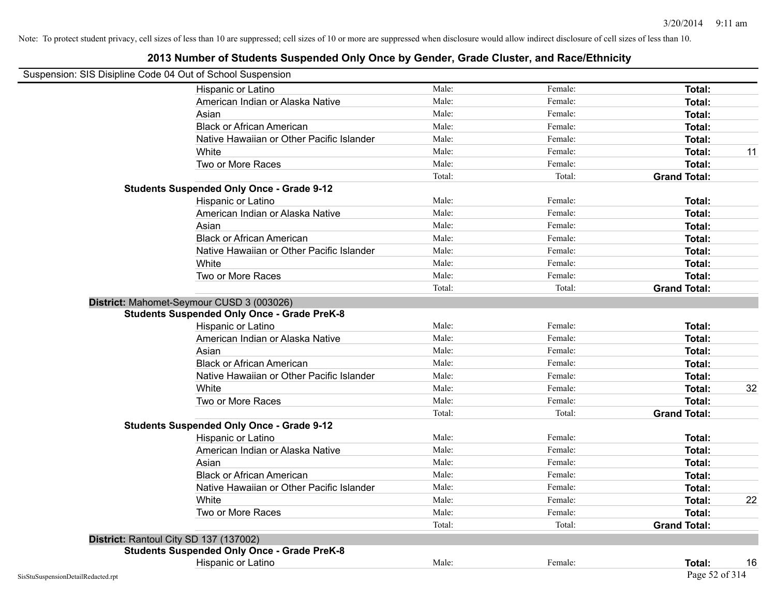| Suspension: SIS Disipline Code 04 Out of School Suspension |                                                    |        |         |                     |    |
|------------------------------------------------------------|----------------------------------------------------|--------|---------|---------------------|----|
|                                                            | Hispanic or Latino                                 | Male:  | Female: | Total:              |    |
|                                                            | American Indian or Alaska Native                   | Male:  | Female: | Total:              |    |
|                                                            | Asian                                              | Male:  | Female: | Total:              |    |
|                                                            | <b>Black or African American</b>                   | Male:  | Female: | Total:              |    |
|                                                            | Native Hawaiian or Other Pacific Islander          | Male:  | Female: | Total:              |    |
|                                                            | White                                              | Male:  | Female: | Total:              | 11 |
|                                                            | Two or More Races                                  | Male:  | Female: | Total:              |    |
|                                                            |                                                    | Total: | Total:  | <b>Grand Total:</b> |    |
|                                                            | <b>Students Suspended Only Once - Grade 9-12</b>   |        |         |                     |    |
|                                                            | Hispanic or Latino                                 | Male:  | Female: | Total:              |    |
|                                                            | American Indian or Alaska Native                   | Male:  | Female: | Total:              |    |
|                                                            | Asian                                              | Male:  | Female: | Total:              |    |
|                                                            | <b>Black or African American</b>                   | Male:  | Female: | Total:              |    |
|                                                            | Native Hawaiian or Other Pacific Islander          | Male:  | Female: | Total:              |    |
|                                                            | White                                              | Male:  | Female: | Total:              |    |
|                                                            | Two or More Races                                  | Male:  | Female: | Total:              |    |
|                                                            |                                                    | Total: | Total:  | <b>Grand Total:</b> |    |
|                                                            | District: Mahomet-Seymour CUSD 3 (003026)          |        |         |                     |    |
|                                                            | <b>Students Suspended Only Once - Grade PreK-8</b> |        |         |                     |    |
|                                                            | Hispanic or Latino                                 | Male:  | Female: | Total:              |    |
|                                                            | American Indian or Alaska Native                   | Male:  | Female: | Total:              |    |
|                                                            | Asian                                              | Male:  | Female: | Total:              |    |
|                                                            | <b>Black or African American</b>                   | Male:  | Female: | Total:              |    |
|                                                            | Native Hawaiian or Other Pacific Islander          | Male:  | Female: | Total:              |    |
|                                                            | White                                              | Male:  | Female: | Total:              | 32 |
|                                                            | Two or More Races                                  | Male:  | Female: | Total:              |    |
|                                                            |                                                    | Total: | Total:  | <b>Grand Total:</b> |    |
|                                                            | <b>Students Suspended Only Once - Grade 9-12</b>   |        |         |                     |    |
|                                                            | Hispanic or Latino                                 | Male:  | Female: | Total:              |    |
|                                                            | American Indian or Alaska Native                   | Male:  | Female: | Total:              |    |
|                                                            | Asian                                              | Male:  | Female: | Total:              |    |
|                                                            | <b>Black or African American</b>                   | Male:  | Female: | Total:              |    |
|                                                            | Native Hawaiian or Other Pacific Islander          | Male:  | Female: | Total:              |    |
|                                                            | White                                              | Male:  | Female: | Total:              | 22 |
|                                                            | Two or More Races                                  | Male:  | Female: | Total:              |    |
|                                                            |                                                    | Total: | Total:  | <b>Grand Total:</b> |    |
|                                                            | District: Rantoul City SD 137 (137002)             |        |         |                     |    |
|                                                            | <b>Students Suspended Only Once - Grade PreK-8</b> |        |         |                     |    |
|                                                            | Hispanic or Latino                                 | Male:  | Female: | Total:              | 16 |
| SisStuSuspensionDetailRedacted.rpt                         |                                                    |        |         | Page 52 of 314      |    |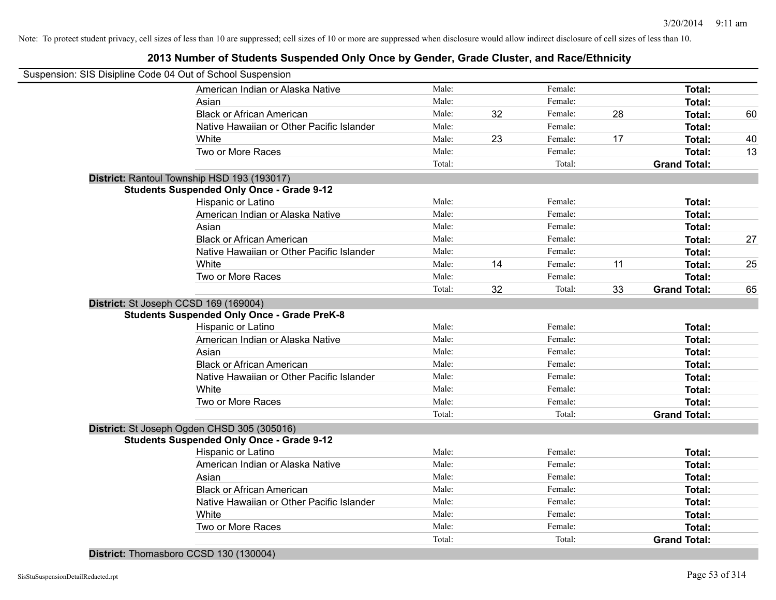#### **2013 Number of Students Suspended Only Once by Gender, Grade Cluster, and Race/Ethnicity**

| Suspension: SIS Disipline Code 04 Out of School Suspension |                                                    |        |    |         |    |                     |    |
|------------------------------------------------------------|----------------------------------------------------|--------|----|---------|----|---------------------|----|
|                                                            | American Indian or Alaska Native                   | Male:  |    | Female: |    | Total:              |    |
|                                                            | Asian                                              | Male:  |    | Female: |    | Total:              |    |
|                                                            | <b>Black or African American</b>                   | Male:  | 32 | Female: | 28 | Total:              | 60 |
|                                                            | Native Hawaiian or Other Pacific Islander          | Male:  |    | Female: |    | Total:              |    |
|                                                            | White                                              | Male:  | 23 | Female: | 17 | Total:              | 40 |
|                                                            | Two or More Races                                  | Male:  |    | Female: |    | Total:              | 13 |
|                                                            |                                                    | Total: |    | Total:  |    | <b>Grand Total:</b> |    |
|                                                            | District: Rantoul Township HSD 193 (193017)        |        |    |         |    |                     |    |
|                                                            | <b>Students Suspended Only Once - Grade 9-12</b>   |        |    |         |    |                     |    |
|                                                            | Hispanic or Latino                                 | Male:  |    | Female: |    | Total:              |    |
|                                                            | American Indian or Alaska Native                   | Male:  |    | Female: |    | Total:              |    |
|                                                            | Asian                                              | Male:  |    | Female: |    | Total:              |    |
|                                                            | <b>Black or African American</b>                   | Male:  |    | Female: |    | Total:              | 27 |
|                                                            | Native Hawaiian or Other Pacific Islander          | Male:  |    | Female: |    | Total:              |    |
|                                                            | White                                              | Male:  | 14 | Female: | 11 | Total:              | 25 |
|                                                            | Two or More Races                                  | Male:  |    | Female: |    | Total:              |    |
|                                                            |                                                    | Total: | 32 | Total:  | 33 | <b>Grand Total:</b> | 65 |
| District: St Joseph CCSD 169 (169004)                      |                                                    |        |    |         |    |                     |    |
|                                                            | <b>Students Suspended Only Once - Grade PreK-8</b> |        |    |         |    |                     |    |
|                                                            | Hispanic or Latino                                 | Male:  |    | Female: |    | Total:              |    |
|                                                            | American Indian or Alaska Native                   | Male:  |    | Female: |    | Total:              |    |
|                                                            | Asian                                              | Male:  |    | Female: |    | Total:              |    |
|                                                            | <b>Black or African American</b>                   | Male:  |    | Female: |    | Total:              |    |
|                                                            | Native Hawaiian or Other Pacific Islander          | Male:  |    | Female: |    | Total:              |    |
|                                                            | White                                              | Male:  |    | Female: |    | Total:              |    |
|                                                            | Two or More Races                                  | Male:  |    | Female: |    | Total:              |    |
|                                                            |                                                    | Total: |    | Total:  |    | <b>Grand Total:</b> |    |
|                                                            | District: St Joseph Ogden CHSD 305 (305016)        |        |    |         |    |                     |    |
|                                                            | <b>Students Suspended Only Once - Grade 9-12</b>   |        |    |         |    |                     |    |
|                                                            | Hispanic or Latino                                 | Male:  |    | Female: |    | Total:              |    |
|                                                            | American Indian or Alaska Native                   | Male:  |    | Female: |    | Total:              |    |
|                                                            | Asian                                              | Male:  |    | Female: |    | Total:              |    |
|                                                            | <b>Black or African American</b>                   | Male:  |    | Female: |    | Total:              |    |
|                                                            | Native Hawaiian or Other Pacific Islander          | Male:  |    | Female: |    | Total:              |    |
|                                                            | White                                              | Male:  |    | Female: |    | Total:              |    |
|                                                            | Two or More Races                                  | Male:  |    | Female: |    | Total:              |    |
|                                                            |                                                    | Total: |    | Total:  |    | <b>Grand Total:</b> |    |

**District:** Thomasboro CCSD 130 (130004)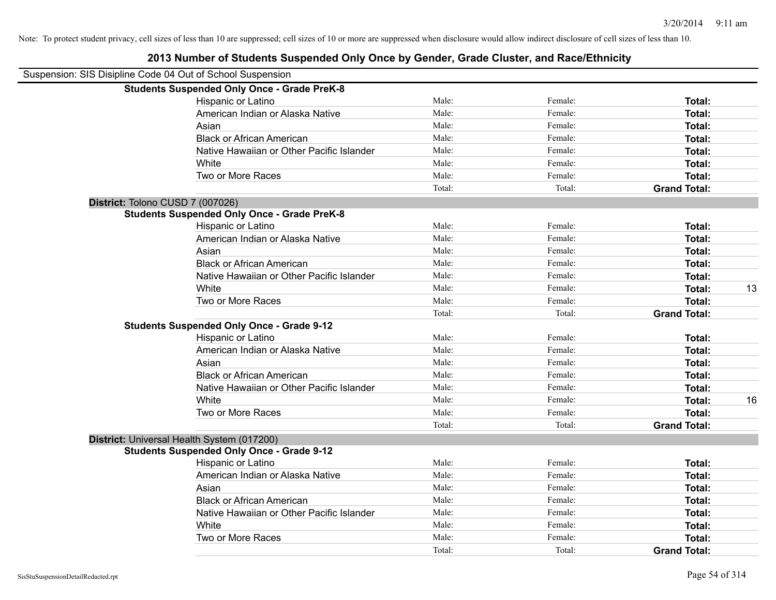| Suspension: SIS Disipline Code 04 Out of School Suspension |                                           |        |         |                     |    |
|------------------------------------------------------------|-------------------------------------------|--------|---------|---------------------|----|
| <b>Students Suspended Only Once - Grade PreK-8</b>         |                                           |        |         |                     |    |
| Hispanic or Latino                                         |                                           | Male:  | Female: | Total:              |    |
|                                                            | American Indian or Alaska Native          | Male:  | Female: | Total:              |    |
| Asian                                                      |                                           | Male:  | Female: | Total:              |    |
| <b>Black or African American</b>                           |                                           | Male:  | Female: | Total:              |    |
|                                                            | Native Hawaiian or Other Pacific Islander | Male:  | Female: | Total:              |    |
| White                                                      |                                           | Male:  | Female: | Total:              |    |
| Two or More Races                                          |                                           | Male:  | Female: | Total:              |    |
|                                                            |                                           | Total: | Total:  | <b>Grand Total:</b> |    |
| District: Tolono CUSD 7 (007026)                           |                                           |        |         |                     |    |
| <b>Students Suspended Only Once - Grade PreK-8</b>         |                                           |        |         |                     |    |
| Hispanic or Latino                                         |                                           | Male:  | Female: | Total:              |    |
|                                                            | American Indian or Alaska Native          | Male:  | Female: | Total:              |    |
| Asian                                                      |                                           | Male:  | Female: | Total:              |    |
| <b>Black or African American</b>                           |                                           | Male:  | Female: | Total:              |    |
|                                                            | Native Hawaiian or Other Pacific Islander | Male:  | Female: | Total:              |    |
| White                                                      |                                           | Male:  | Female: | Total:              | 13 |
| Two or More Races                                          |                                           | Male:  | Female: | Total:              |    |
|                                                            |                                           | Total: | Total:  | <b>Grand Total:</b> |    |
| <b>Students Suspended Only Once - Grade 9-12</b>           |                                           |        |         |                     |    |
| Hispanic or Latino                                         |                                           | Male:  | Female: | Total:              |    |
|                                                            | American Indian or Alaska Native          | Male:  | Female: | Total:              |    |
| Asian                                                      |                                           | Male:  | Female: | Total:              |    |
| <b>Black or African American</b>                           |                                           | Male:  | Female: | Total:              |    |
|                                                            | Native Hawaiian or Other Pacific Islander | Male:  | Female: | Total:              |    |
| White                                                      |                                           | Male:  | Female: | Total:              | 16 |
| Two or More Races                                          |                                           | Male:  | Female: | Total:              |    |
|                                                            |                                           | Total: | Total:  | <b>Grand Total:</b> |    |
| District: Universal Health System (017200)                 |                                           |        |         |                     |    |
| <b>Students Suspended Only Once - Grade 9-12</b>           |                                           |        |         |                     |    |
| Hispanic or Latino                                         |                                           | Male:  | Female: | Total:              |    |
|                                                            | American Indian or Alaska Native          | Male:  | Female: | Total:              |    |
| Asian                                                      |                                           | Male:  | Female: | Total:              |    |
| <b>Black or African American</b>                           |                                           | Male:  | Female: | Total:              |    |
|                                                            | Native Hawaiian or Other Pacific Islander | Male:  | Female: | Total:              |    |
| White                                                      |                                           | Male:  | Female: | Total:              |    |
| Two or More Races                                          |                                           | Male:  | Female: | Total:              |    |
|                                                            |                                           | Total: | Total:  | <b>Grand Total:</b> |    |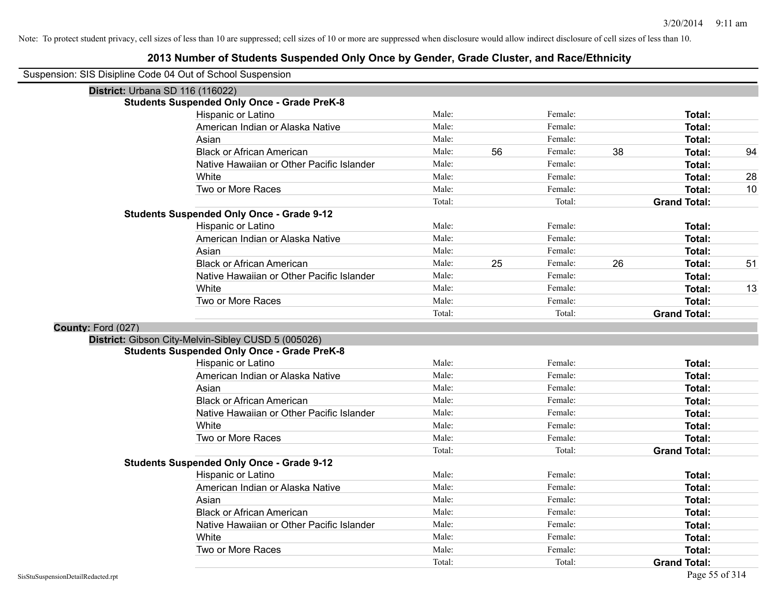| District: Urbana SD 116 (116022) |                                                     |        |    |         |    |                     |    |
|----------------------------------|-----------------------------------------------------|--------|----|---------|----|---------------------|----|
|                                  | <b>Students Suspended Only Once - Grade PreK-8</b>  |        |    |         |    |                     |    |
|                                  | Hispanic or Latino                                  | Male:  |    | Female: |    | <b>Total:</b>       |    |
|                                  | American Indian or Alaska Native                    | Male:  |    | Female: |    | Total:              |    |
|                                  | Asian                                               | Male:  |    | Female: |    | <b>Total:</b>       |    |
|                                  | <b>Black or African American</b>                    | Male:  | 56 | Female: | 38 | <b>Total:</b>       | 94 |
|                                  | Native Hawaiian or Other Pacific Islander           | Male:  |    | Female: |    | Total:              |    |
|                                  | White                                               | Male:  |    | Female: |    | <b>Total:</b>       | 28 |
|                                  | Two or More Races                                   | Male:  |    | Female: |    | Total:              | 10 |
|                                  |                                                     | Total: |    | Total:  |    | <b>Grand Total:</b> |    |
|                                  | <b>Students Suspended Only Once - Grade 9-12</b>    |        |    |         |    |                     |    |
|                                  | Hispanic or Latino                                  | Male:  |    | Female: |    | Total:              |    |
|                                  | American Indian or Alaska Native                    | Male:  |    | Female: |    | <b>Total:</b>       |    |
|                                  | Asian                                               | Male:  |    | Female: |    | Total:              |    |
|                                  | <b>Black or African American</b>                    | Male:  | 25 | Female: | 26 | <b>Total:</b>       | 51 |
|                                  | Native Hawaiian or Other Pacific Islander           | Male:  |    | Female: |    | <b>Total:</b>       |    |
|                                  | White                                               | Male:  |    | Female: |    | <b>Total:</b>       | 13 |
|                                  | Two or More Races                                   | Male:  |    | Female: |    | Total:              |    |
|                                  |                                                     | Total: |    | Total:  |    | <b>Grand Total:</b> |    |
| County: Ford (027)               |                                                     |        |    |         |    |                     |    |
|                                  | District: Gibson City-Melvin-Sibley CUSD 5 (005026) |        |    |         |    |                     |    |
|                                  | <b>Students Suspended Only Once - Grade PreK-8</b>  |        |    |         |    |                     |    |
|                                  | Hispanic or Latino                                  | Male:  |    | Female: |    | <b>Total:</b>       |    |
|                                  | American Indian or Alaska Native                    | Male:  |    | Female: |    | <b>Total:</b>       |    |
|                                  | Asian                                               | Male:  |    | Female: |    | <b>Total:</b>       |    |
|                                  | <b>Black or African American</b>                    | Male:  |    | Female: |    | <b>Total:</b>       |    |
|                                  | Native Hawaiian or Other Pacific Islander           | Male:  |    | Female: |    | <b>Total:</b>       |    |
|                                  | White                                               | Male:  |    | Female: |    | <b>Total:</b>       |    |
|                                  | Two or More Races                                   | Male:  |    | Female: |    | Total:              |    |
|                                  |                                                     | Total: |    | Total:  |    | <b>Grand Total:</b> |    |
|                                  | <b>Students Suspended Only Once - Grade 9-12</b>    |        |    |         |    |                     |    |
|                                  | Hispanic or Latino                                  | Male:  |    | Female: |    | <b>Total:</b>       |    |
|                                  | American Indian or Alaska Native                    | Male:  |    | Female: |    | Total:              |    |
|                                  | Asian                                               | Male:  |    | Female: |    | <b>Total:</b>       |    |
|                                  | <b>Black or African American</b>                    | Male:  |    | Female: |    | <b>Total:</b>       |    |
|                                  | Native Hawaiian or Other Pacific Islander           | Male:  |    | Female: |    | <b>Total:</b>       |    |
|                                  | White                                               | Male:  |    | Female: |    | <b>Total:</b>       |    |
|                                  | Two or More Races                                   | Male:  |    | Female: |    | Total:              |    |
|                                  |                                                     | Total: |    | Total:  |    | <b>Grand Total:</b> |    |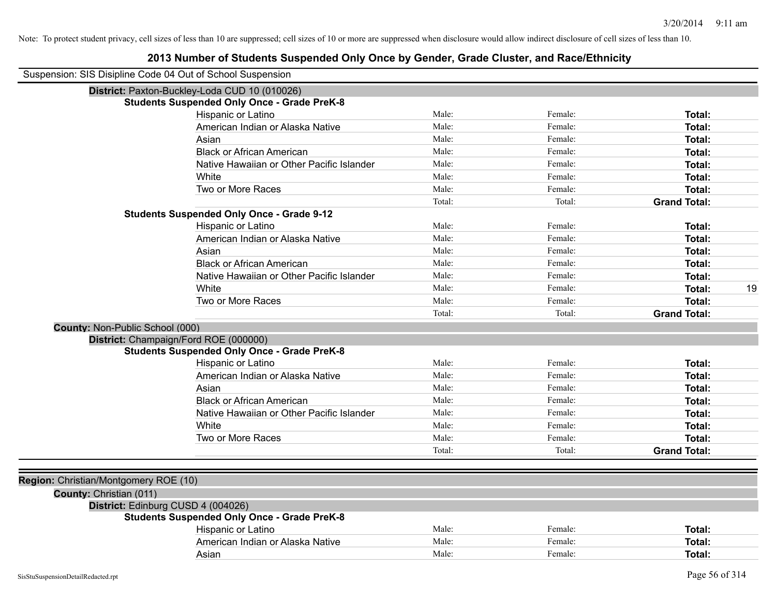| Suspension: SIS Disipline Code 04 Out of School Suspension |                                                    |        |         |                     |
|------------------------------------------------------------|----------------------------------------------------|--------|---------|---------------------|
|                                                            | District: Paxton-Buckley-Loda CUD 10 (010026)      |        |         |                     |
|                                                            | <b>Students Suspended Only Once - Grade PreK-8</b> |        |         |                     |
|                                                            | Hispanic or Latino                                 | Male:  | Female: | Total:              |
|                                                            | American Indian or Alaska Native                   | Male:  | Female: | <b>Total:</b>       |
|                                                            | Asian                                              | Male:  | Female: | Total:              |
|                                                            | <b>Black or African American</b>                   | Male:  | Female: | Total:              |
|                                                            | Native Hawaiian or Other Pacific Islander          | Male:  | Female: | Total:              |
|                                                            | White                                              | Male:  | Female: | Total:              |
|                                                            | Two or More Races                                  | Male:  | Female: | Total:              |
|                                                            |                                                    | Total: | Total:  | <b>Grand Total:</b> |
|                                                            | <b>Students Suspended Only Once - Grade 9-12</b>   |        |         |                     |
|                                                            | Hispanic or Latino                                 | Male:  | Female: | Total:              |
|                                                            | American Indian or Alaska Native                   | Male:  | Female: | Total:              |
|                                                            | Asian                                              | Male:  | Female: | Total:              |
|                                                            | <b>Black or African American</b>                   | Male:  | Female: | Total:              |
|                                                            | Native Hawaiian or Other Pacific Islander          | Male:  | Female: | <b>Total:</b>       |
|                                                            | White                                              | Male:  | Female: | 19<br><b>Total:</b> |
|                                                            | Two or More Races                                  | Male:  | Female: | Total:              |
|                                                            |                                                    | Total: | Total:  | <b>Grand Total:</b> |
| County: Non-Public School (000)                            |                                                    |        |         |                     |
|                                                            | District: Champaign/Ford ROE (000000)              |        |         |                     |
|                                                            | <b>Students Suspended Only Once - Grade PreK-8</b> |        |         |                     |
|                                                            | Hispanic or Latino                                 | Male:  | Female: | <b>Total:</b>       |
|                                                            | American Indian or Alaska Native                   | Male:  | Female: | <b>Total:</b>       |
|                                                            | Asian                                              | Male:  | Female: | <b>Total:</b>       |
|                                                            | <b>Black or African American</b>                   | Male:  | Female: | Total:              |
|                                                            | Native Hawaiian or Other Pacific Islander          | Male:  | Female: | Total:              |
|                                                            | White                                              | Male:  | Female: | Total:              |
|                                                            | Two or More Races                                  | Male:  | Female: | Total:              |
|                                                            |                                                    | Total: | Total:  | <b>Grand Total:</b> |
|                                                            |                                                    |        |         |                     |
| Region: Christian/Montgomery ROE (10)                      |                                                    |        |         |                     |
| County: Christian (011)                                    |                                                    |        |         |                     |
|                                                            | District: Edinburg CUSD 4 (004026)                 |        |         |                     |
|                                                            | <b>Students Suspended Only Once - Grade PreK-8</b> |        |         |                     |
|                                                            | Hispanic or Latino                                 | Male:  | Female: | Total:              |
|                                                            | American Indian or Alaska Native                   | Male:  | Female: | <b>Total:</b>       |
|                                                            | Asian                                              | Male:  | Female: | <b>Total:</b>       |
|                                                            |                                                    |        |         |                     |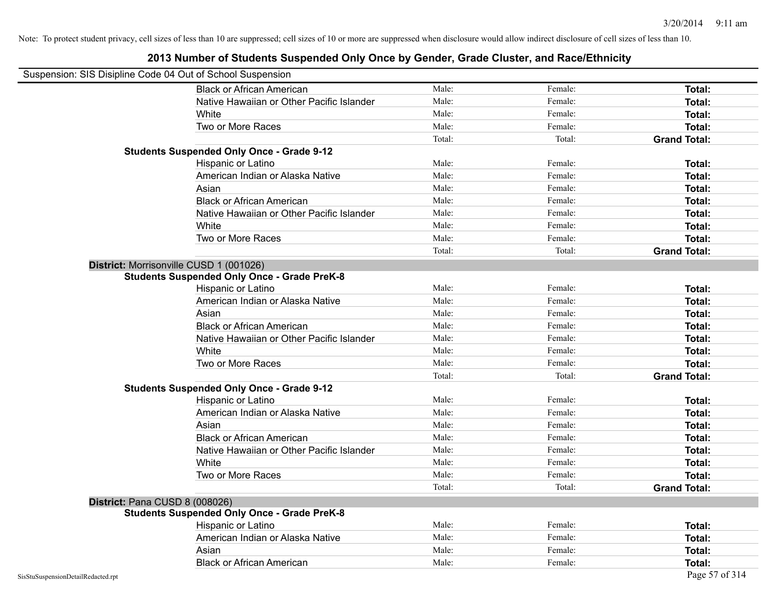| Suspension: SIS Disipline Code 04 Out of School Suspension |                                                    |        |         |                     |
|------------------------------------------------------------|----------------------------------------------------|--------|---------|---------------------|
|                                                            | <b>Black or African American</b>                   | Male:  | Female: | Total:              |
|                                                            | Native Hawaiian or Other Pacific Islander          | Male:  | Female: | Total:              |
|                                                            | White                                              | Male:  | Female: | Total:              |
|                                                            | Two or More Races                                  | Male:  | Female: | Total:              |
|                                                            |                                                    | Total: | Total:  | <b>Grand Total:</b> |
|                                                            | <b>Students Suspended Only Once - Grade 9-12</b>   |        |         |                     |
|                                                            | Hispanic or Latino                                 | Male:  | Female: | Total:              |
|                                                            | American Indian or Alaska Native                   | Male:  | Female: | Total:              |
|                                                            | Asian                                              | Male:  | Female: | Total:              |
|                                                            | <b>Black or African American</b>                   | Male:  | Female: | Total:              |
|                                                            | Native Hawaiian or Other Pacific Islander          | Male:  | Female: | Total:              |
|                                                            | White                                              | Male:  | Female: | Total:              |
|                                                            | Two or More Races                                  | Male:  | Female: | Total:              |
|                                                            |                                                    | Total: | Total:  | <b>Grand Total:</b> |
|                                                            | District: Morrisonville CUSD 1 (001026)            |        |         |                     |
|                                                            | <b>Students Suspended Only Once - Grade PreK-8</b> |        |         |                     |
|                                                            | Hispanic or Latino                                 | Male:  | Female: | Total:              |
|                                                            | American Indian or Alaska Native                   | Male:  | Female: | Total:              |
|                                                            | Asian                                              | Male:  | Female: | Total:              |
|                                                            | <b>Black or African American</b>                   | Male:  | Female: | Total:              |
|                                                            | Native Hawaiian or Other Pacific Islander          | Male:  | Female: | Total:              |
|                                                            | White                                              | Male:  | Female: | Total:              |
|                                                            | Two or More Races                                  | Male:  | Female: | Total:              |
|                                                            |                                                    | Total: | Total:  | <b>Grand Total:</b> |
|                                                            | <b>Students Suspended Only Once - Grade 9-12</b>   |        |         |                     |
|                                                            | Hispanic or Latino                                 | Male:  | Female: | Total:              |
|                                                            | American Indian or Alaska Native                   | Male:  | Female: | Total:              |
|                                                            | Asian                                              | Male:  | Female: | Total:              |
|                                                            | <b>Black or African American</b>                   | Male:  | Female: | Total:              |
|                                                            | Native Hawaiian or Other Pacific Islander          | Male:  | Female: | Total:              |
|                                                            | White                                              | Male:  | Female: | Total:              |
|                                                            | Two or More Races                                  | Male:  | Female: | Total:              |
|                                                            |                                                    | Total: | Total:  | <b>Grand Total:</b> |
| District: Pana CUSD 8 (008026)                             |                                                    |        |         |                     |
|                                                            | <b>Students Suspended Only Once - Grade PreK-8</b> |        |         |                     |
|                                                            | Hispanic or Latino                                 | Male:  | Female: | Total:              |
|                                                            | American Indian or Alaska Native                   | Male:  | Female: | Total:              |
|                                                            | Asian                                              | Male:  | Female: | Total:              |
|                                                            | <b>Black or African American</b>                   | Male:  | Female: | Total:              |
| SisStuSuspensionDetailRedacted.rpt                         |                                                    |        |         | Page 57 of 314      |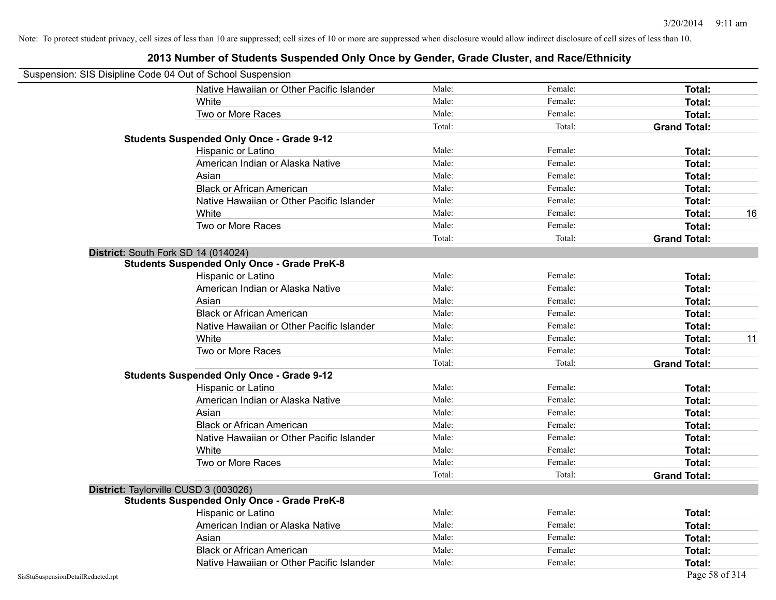|                                    | Suspension: SIS Disipline Code 04 Out of School Suspension |        |         |                     |
|------------------------------------|------------------------------------------------------------|--------|---------|---------------------|
|                                    | Native Hawaiian or Other Pacific Islander                  | Male:  | Female: | Total:              |
|                                    | White                                                      | Male:  | Female: | Total:              |
|                                    | Two or More Races                                          | Male:  | Female: | Total:              |
|                                    |                                                            | Total: | Total:  | <b>Grand Total:</b> |
|                                    | <b>Students Suspended Only Once - Grade 9-12</b>           |        |         |                     |
|                                    | Hispanic or Latino                                         | Male:  | Female: | Total:              |
|                                    | American Indian or Alaska Native                           | Male:  | Female: | <b>Total:</b>       |
|                                    | Asian                                                      | Male:  | Female: | Total:              |
|                                    | <b>Black or African American</b>                           | Male:  | Female: | Total:              |
|                                    | Native Hawaiian or Other Pacific Islander                  | Male:  | Female: | Total:              |
|                                    | White                                                      | Male:  | Female: | <b>Total:</b><br>16 |
|                                    | Two or More Races                                          | Male:  | Female: | <b>Total:</b>       |
|                                    |                                                            | Total: | Total:  | <b>Grand Total:</b> |
|                                    | District: South Fork SD 14 (014024)                        |        |         |                     |
|                                    | <b>Students Suspended Only Once - Grade PreK-8</b>         |        |         |                     |
|                                    | Hispanic or Latino                                         | Male:  | Female: | Total:              |
|                                    | American Indian or Alaska Native                           | Male:  | Female: | Total:              |
|                                    | Asian                                                      | Male:  | Female: | <b>Total:</b>       |
|                                    | <b>Black or African American</b>                           | Male:  | Female: | Total:              |
|                                    | Native Hawaiian or Other Pacific Islander                  | Male:  | Female: | Total:              |
|                                    | White                                                      | Male:  | Female: | 11<br>Total:        |
|                                    | Two or More Races                                          | Male:  | Female: | <b>Total:</b>       |
|                                    |                                                            | Total: | Total:  | <b>Grand Total:</b> |
|                                    | <b>Students Suspended Only Once - Grade 9-12</b>           |        |         |                     |
|                                    | Hispanic or Latino                                         | Male:  | Female: | Total:              |
|                                    | American Indian or Alaska Native                           | Male:  | Female: | Total:              |
|                                    | Asian                                                      | Male:  | Female: | <b>Total:</b>       |
|                                    | <b>Black or African American</b>                           | Male:  | Female: | <b>Total:</b>       |
|                                    | Native Hawaiian or Other Pacific Islander                  | Male:  | Female: | Total:              |
|                                    | White                                                      | Male:  | Female: | <b>Total:</b>       |
|                                    | Two or More Races                                          | Male:  | Female: | Total:              |
|                                    |                                                            | Total: | Total:  | <b>Grand Total:</b> |
|                                    | District: Taylorville CUSD 3 (003026)                      |        |         |                     |
|                                    | <b>Students Suspended Only Once - Grade PreK-8</b>         |        |         |                     |
|                                    | Hispanic or Latino                                         | Male:  | Female: | Total:              |
|                                    | American Indian or Alaska Native                           | Male:  | Female: | Total:              |
|                                    | Asian                                                      | Male:  | Female: | Total:              |
|                                    | <b>Black or African American</b>                           | Male:  | Female: | <b>Total:</b>       |
|                                    | Native Hawaiian or Other Pacific Islander                  | Male:  | Female: | <b>Total:</b>       |
| SisStuSuspensionDetailRedacted.rpt |                                                            |        |         | Page 58 of 314      |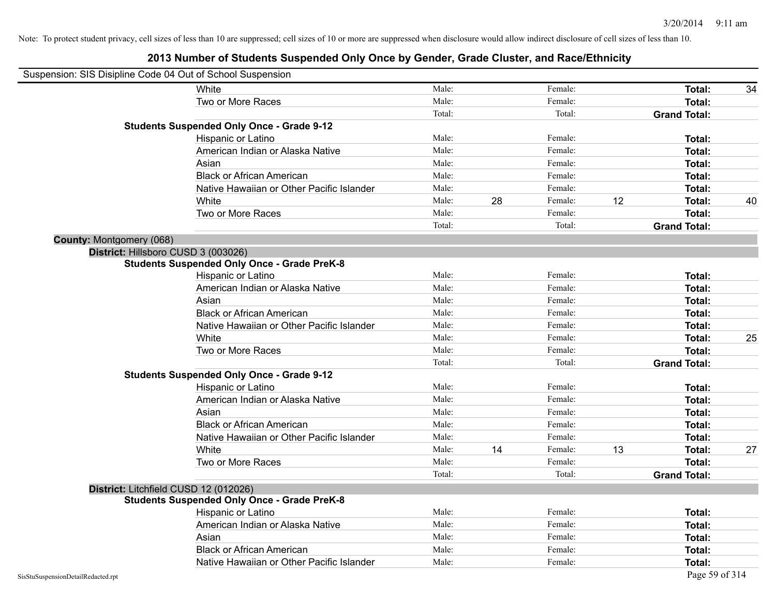| Suspension: SIS Disipline Code 04 Out of School Suspension |                                                    |        |    |         |    |                     |    |
|------------------------------------------------------------|----------------------------------------------------|--------|----|---------|----|---------------------|----|
|                                                            | White                                              | Male:  |    | Female: |    | <b>Total:</b>       | 34 |
|                                                            | Two or More Races                                  | Male:  |    | Female: |    | <b>Total:</b>       |    |
|                                                            |                                                    | Total: |    | Total:  |    | <b>Grand Total:</b> |    |
|                                                            | <b>Students Suspended Only Once - Grade 9-12</b>   |        |    |         |    |                     |    |
|                                                            | Hispanic or Latino                                 | Male:  |    | Female: |    | Total:              |    |
|                                                            | American Indian or Alaska Native                   | Male:  |    | Female: |    | <b>Total:</b>       |    |
|                                                            | Asian                                              | Male:  |    | Female: |    | <b>Total:</b>       |    |
|                                                            | <b>Black or African American</b>                   | Male:  |    | Female: |    | Total:              |    |
|                                                            | Native Hawaiian or Other Pacific Islander          | Male:  |    | Female: |    | Total:              |    |
|                                                            | White                                              | Male:  | 28 | Female: | 12 | Total:              | 40 |
|                                                            | Two or More Races                                  | Male:  |    | Female: |    | <b>Total:</b>       |    |
|                                                            |                                                    | Total: |    | Total:  |    | <b>Grand Total:</b> |    |
| <b>County: Montgomery (068)</b>                            |                                                    |        |    |         |    |                     |    |
|                                                            | District: Hillsboro CUSD 3 (003026)                |        |    |         |    |                     |    |
|                                                            | <b>Students Suspended Only Once - Grade PreK-8</b> |        |    |         |    |                     |    |
|                                                            | Hispanic or Latino                                 | Male:  |    | Female: |    | Total:              |    |
|                                                            | American Indian or Alaska Native                   | Male:  |    | Female: |    | <b>Total:</b>       |    |
|                                                            | Asian                                              | Male:  |    | Female: |    | <b>Total:</b>       |    |
|                                                            | <b>Black or African American</b>                   | Male:  |    | Female: |    | <b>Total:</b>       |    |
|                                                            | Native Hawaiian or Other Pacific Islander          | Male:  |    | Female: |    | Total:              |    |
|                                                            | White                                              | Male:  |    | Female: |    | Total:              | 25 |
|                                                            | Two or More Races                                  | Male:  |    | Female: |    | <b>Total:</b>       |    |
|                                                            |                                                    | Total: |    | Total:  |    | <b>Grand Total:</b> |    |
|                                                            | <b>Students Suspended Only Once - Grade 9-12</b>   |        |    |         |    |                     |    |
|                                                            | Hispanic or Latino                                 | Male:  |    | Female: |    | Total:              |    |
|                                                            | American Indian or Alaska Native                   | Male:  |    | Female: |    | <b>Total:</b>       |    |
|                                                            | Asian                                              | Male:  |    | Female: |    | Total:              |    |
|                                                            | <b>Black or African American</b>                   | Male:  |    | Female: |    | <b>Total:</b>       |    |
|                                                            | Native Hawaiian or Other Pacific Islander          | Male:  |    | Female: |    | Total:              |    |
|                                                            | White                                              | Male:  | 14 | Female: | 13 | Total:              | 27 |
|                                                            | Two or More Races                                  | Male:  |    | Female: |    | <b>Total:</b>       |    |
|                                                            |                                                    | Total: |    | Total:  |    | <b>Grand Total:</b> |    |
|                                                            | District: Litchfield CUSD 12 (012026)              |        |    |         |    |                     |    |
|                                                            | <b>Students Suspended Only Once - Grade PreK-8</b> |        |    |         |    |                     |    |
|                                                            | Hispanic or Latino                                 | Male:  |    | Female: |    | Total:              |    |
|                                                            | American Indian or Alaska Native                   | Male:  |    | Female: |    | Total:              |    |
|                                                            | Asian                                              | Male:  |    | Female: |    | Total:              |    |
|                                                            | <b>Black or African American</b>                   | Male:  |    | Female: |    | Total:              |    |
|                                                            | Native Hawaiian or Other Pacific Islander          | Male:  |    | Female: |    | Total:              |    |
| SisStuSuspensionDetailRedacted.rpt                         |                                                    |        |    |         |    | Page 59 of 314      |    |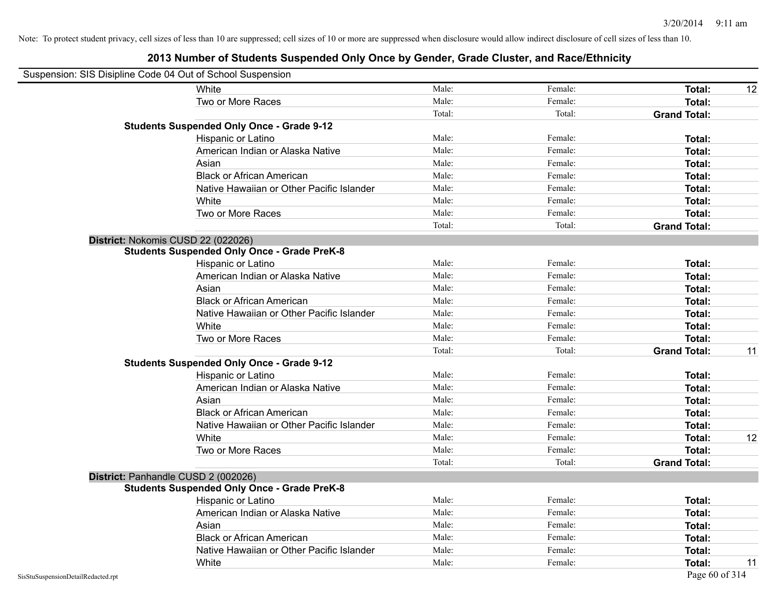|                                    | Suspension: SIS Disipline Code 04 Out of School Suspension |        |         |                     |    |
|------------------------------------|------------------------------------------------------------|--------|---------|---------------------|----|
|                                    | White                                                      | Male:  | Female: | <b>Total:</b>       | 12 |
|                                    | Two or More Races                                          | Male:  | Female: | <b>Total:</b>       |    |
|                                    |                                                            | Total: | Total:  | <b>Grand Total:</b> |    |
|                                    | <b>Students Suspended Only Once - Grade 9-12</b>           |        |         |                     |    |
|                                    | Hispanic or Latino                                         | Male:  | Female: | Total:              |    |
|                                    | American Indian or Alaska Native                           | Male:  | Female: | Total:              |    |
|                                    | Asian                                                      | Male:  | Female: | Total:              |    |
|                                    | <b>Black or African American</b>                           | Male:  | Female: | Total:              |    |
|                                    | Native Hawaiian or Other Pacific Islander                  | Male:  | Female: | Total:              |    |
|                                    | White                                                      | Male:  | Female: | Total:              |    |
|                                    | Two or More Races                                          | Male:  | Female: | Total:              |    |
|                                    |                                                            | Total: | Total:  | <b>Grand Total:</b> |    |
|                                    | District: Nokomis CUSD 22 (022026)                         |        |         |                     |    |
|                                    | <b>Students Suspended Only Once - Grade PreK-8</b>         |        |         |                     |    |
|                                    | Hispanic or Latino                                         | Male:  | Female: | <b>Total:</b>       |    |
|                                    | American Indian or Alaska Native                           | Male:  | Female: | <b>Total:</b>       |    |
|                                    | Asian                                                      | Male:  | Female: | Total:              |    |
|                                    | <b>Black or African American</b>                           | Male:  | Female: | Total:              |    |
|                                    | Native Hawaiian or Other Pacific Islander                  | Male:  | Female: | Total:              |    |
|                                    | White                                                      | Male:  | Female: | Total:              |    |
|                                    | Two or More Races                                          | Male:  | Female: | Total:              |    |
|                                    |                                                            | Total: | Total:  | <b>Grand Total:</b> | 11 |
|                                    | <b>Students Suspended Only Once - Grade 9-12</b>           |        |         |                     |    |
|                                    | Hispanic or Latino                                         | Male:  | Female: | <b>Total:</b>       |    |
|                                    | American Indian or Alaska Native                           | Male:  | Female: | <b>Total:</b>       |    |
|                                    | Asian                                                      | Male:  | Female: | Total:              |    |
|                                    | <b>Black or African American</b>                           | Male:  | Female: | Total:              |    |
|                                    | Native Hawaiian or Other Pacific Islander                  | Male:  | Female: | Total:              |    |
|                                    | White                                                      | Male:  | Female: | Total:              | 12 |
|                                    | Two or More Races                                          | Male:  | Female: | <b>Total:</b>       |    |
|                                    |                                                            | Total: | Total:  | <b>Grand Total:</b> |    |
|                                    | District: Panhandle CUSD 2 (002026)                        |        |         |                     |    |
|                                    | <b>Students Suspended Only Once - Grade PreK-8</b>         |        |         |                     |    |
|                                    | Hispanic or Latino                                         | Male:  | Female: | Total:              |    |
|                                    | American Indian or Alaska Native                           | Male:  | Female: | <b>Total:</b>       |    |
|                                    | Asian                                                      | Male:  | Female: | <b>Total:</b>       |    |
|                                    | <b>Black or African American</b>                           | Male:  | Female: | Total:              |    |
|                                    | Native Hawaiian or Other Pacific Islander                  | Male:  | Female: | Total:              |    |
|                                    | White                                                      | Male:  | Female: | Total:              | 11 |
| SisStuSuspensionDetailRedacted.rpt |                                                            |        |         | Page 60 of 314      |    |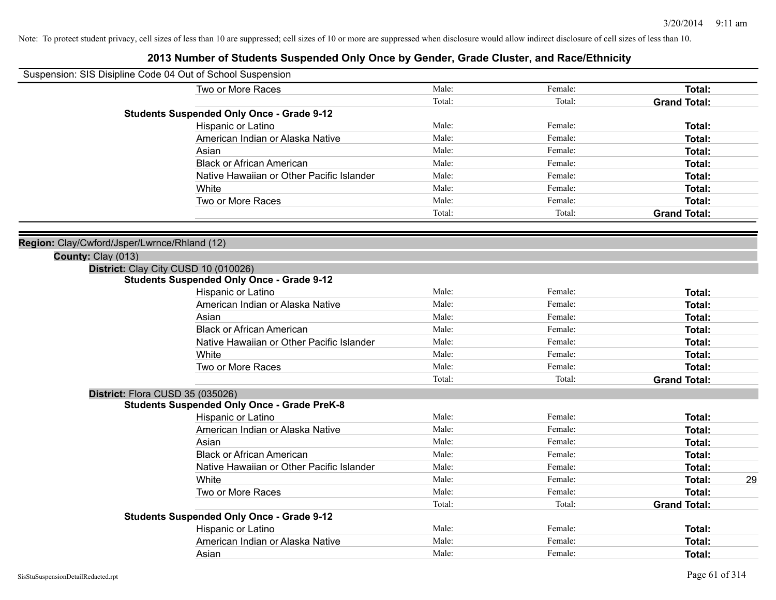|                                              | Suspension: SIS Disipline Code 04 Out of School Suspension                    |                |                    |                     |    |
|----------------------------------------------|-------------------------------------------------------------------------------|----------------|--------------------|---------------------|----|
|                                              | Two or More Races                                                             | Male:          | Female:            | Total:              |    |
|                                              |                                                                               | Total:         | Total:             | <b>Grand Total:</b> |    |
|                                              | <b>Students Suspended Only Once - Grade 9-12</b>                              |                |                    |                     |    |
|                                              | Hispanic or Latino                                                            | Male:          | Female:            | Total:              |    |
|                                              | American Indian or Alaska Native                                              | Male:          | Female:            | Total:              |    |
|                                              | Asian                                                                         | Male:          | Female:            | Total:              |    |
|                                              | <b>Black or African American</b>                                              | Male:          | Female:            | Total:              |    |
|                                              | Native Hawaiian or Other Pacific Islander                                     | Male:          | Female:            | Total:              |    |
|                                              | White                                                                         | Male:          | Female:            | Total:              |    |
|                                              | Two or More Races                                                             | Male:          | Female:            | Total:              |    |
|                                              |                                                                               | Total:         | Total:             | <b>Grand Total:</b> |    |
| Region: Clay/Cwford/Jsper/Lwrnce/Rhland (12) |                                                                               |                |                    |                     |    |
| County: Clay (013)                           |                                                                               |                |                    |                     |    |
|                                              | District: Clay City CUSD 10 (010026)                                          |                |                    |                     |    |
|                                              | <b>Students Suspended Only Once - Grade 9-12</b>                              | Male:          | Female:            |                     |    |
|                                              | Hispanic or Latino                                                            |                |                    | Total:              |    |
|                                              | American Indian or Alaska Native                                              | Male:<br>Male: | Female:<br>Female: | Total:<br>Total:    |    |
|                                              | Asian                                                                         | Male:          | Female:            |                     |    |
|                                              | <b>Black or African American</b><br>Native Hawaiian or Other Pacific Islander | Male:          | Female:            | Total:<br>Total:    |    |
|                                              |                                                                               | Male:          | Female:            |                     |    |
|                                              | White                                                                         | Male:          |                    | Total:              |    |
|                                              | Two or More Races                                                             |                | Female:            | Total:              |    |
|                                              |                                                                               | Total:         | Total:             | <b>Grand Total:</b> |    |
|                                              | District: Flora CUSD 35 (035026)                                              |                |                    |                     |    |
|                                              | <b>Students Suspended Only Once - Grade PreK-8</b>                            | Male:          | Female:            |                     |    |
|                                              | Hispanic or Latino                                                            | Male:          |                    | Total:              |    |
|                                              | American Indian or Alaska Native                                              |                | Female:            | Total:              |    |
|                                              | Asian                                                                         | Male:          | Female:            | Total:              |    |
|                                              | <b>Black or African American</b>                                              | Male:          | Female:            | Total:              |    |
|                                              | Native Hawaiian or Other Pacific Islander                                     | Male:          | Female:            | Total:              |    |
|                                              | White                                                                         | Male:          | Female:            | Total:              | 29 |
|                                              | Two or More Races                                                             | Male:          | Female:            | Total:              |    |
|                                              | <b>Students Suspended Only Once - Grade 9-12</b>                              | Total:         | Total:             | <b>Grand Total:</b> |    |
|                                              | Hispanic or Latino                                                            | Male:          | Female:            | Total:              |    |
|                                              | American Indian or Alaska Native                                              | Male:          | Female:            | Total:              |    |
|                                              | Asian                                                                         | Male:          | Female:            | Total:              |    |
|                                              |                                                                               |                |                    |                     |    |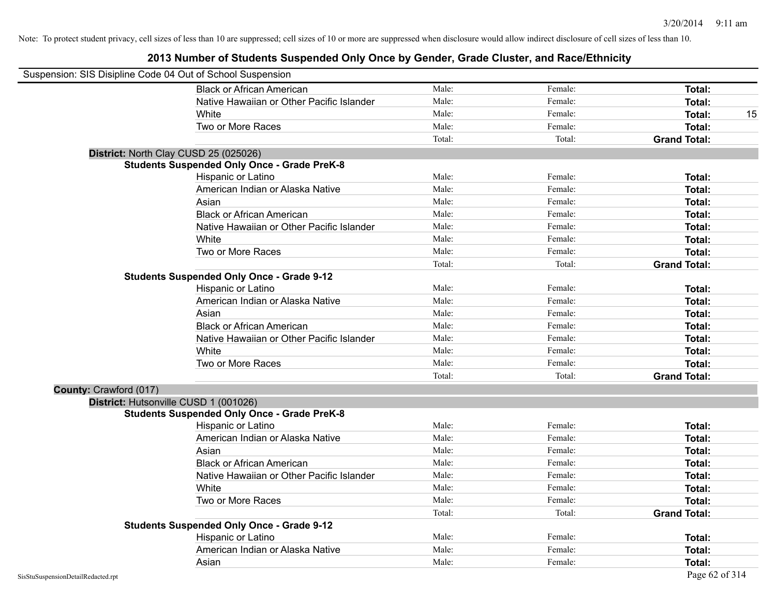|                        | Suspension: SIS Disipline Code 04 Out of School Suspension |        |         |                     |
|------------------------|------------------------------------------------------------|--------|---------|---------------------|
|                        | <b>Black or African American</b>                           | Male:  | Female: | Total:              |
|                        | Native Hawaiian or Other Pacific Islander                  | Male:  | Female: | Total:              |
|                        | White                                                      | Male:  | Female: | Total:<br>15        |
|                        | Two or More Races                                          | Male:  | Female: | Total:              |
|                        |                                                            | Total: | Total:  | <b>Grand Total:</b> |
|                        | District: North Clay CUSD 25 (025026)                      |        |         |                     |
|                        | <b>Students Suspended Only Once - Grade PreK-8</b>         |        |         |                     |
|                        | Hispanic or Latino                                         | Male:  | Female: | Total:              |
|                        | American Indian or Alaska Native                           | Male:  | Female: | Total:              |
|                        | Asian                                                      | Male:  | Female: | <b>Total:</b>       |
|                        | <b>Black or African American</b>                           | Male:  | Female: | <b>Total:</b>       |
|                        | Native Hawaiian or Other Pacific Islander                  | Male:  | Female: | Total:              |
|                        | White                                                      | Male:  | Female: | <b>Total:</b>       |
|                        | Two or More Races                                          | Male:  | Female: | <b>Total:</b>       |
|                        |                                                            | Total: | Total:  | <b>Grand Total:</b> |
|                        | <b>Students Suspended Only Once - Grade 9-12</b>           |        |         |                     |
|                        | Hispanic or Latino                                         | Male:  | Female: | Total:              |
|                        | American Indian or Alaska Native                           | Male:  | Female: | Total:              |
|                        | Asian                                                      | Male:  | Female: | Total:              |
|                        | <b>Black or African American</b>                           | Male:  | Female: | Total:              |
|                        | Native Hawaiian or Other Pacific Islander                  | Male:  | Female: | Total:              |
|                        | White                                                      | Male:  | Female: | Total:              |
|                        | Two or More Races                                          | Male:  | Female: | Total:              |
|                        |                                                            | Total: | Total:  | <b>Grand Total:</b> |
| County: Crawford (017) |                                                            |        |         |                     |
|                        | District: Hutsonville CUSD 1 (001026)                      |        |         |                     |
|                        | <b>Students Suspended Only Once - Grade PreK-8</b>         |        |         |                     |
|                        | Hispanic or Latino                                         | Male:  | Female: | Total:              |
|                        | American Indian or Alaska Native                           | Male:  | Female: | Total:              |
|                        | Asian                                                      | Male:  | Female: | <b>Total:</b>       |
|                        | <b>Black or African American</b>                           | Male:  | Female: | Total:              |
|                        | Native Hawaiian or Other Pacific Islander                  | Male:  | Female: | Total:              |
|                        | White                                                      | Male:  | Female: | <b>Total:</b>       |
|                        | Two or More Races                                          | Male:  | Female: | Total:              |
|                        |                                                            | Total: | Total:  | <b>Grand Total:</b> |
|                        | <b>Students Suspended Only Once - Grade 9-12</b>           |        |         |                     |
|                        | Hispanic or Latino                                         | Male:  | Female: | Total:              |
|                        | American Indian or Alaska Native                           | Male:  | Female: | <b>Total:</b>       |
|                        | Asian                                                      | Male:  | Female: | Total:              |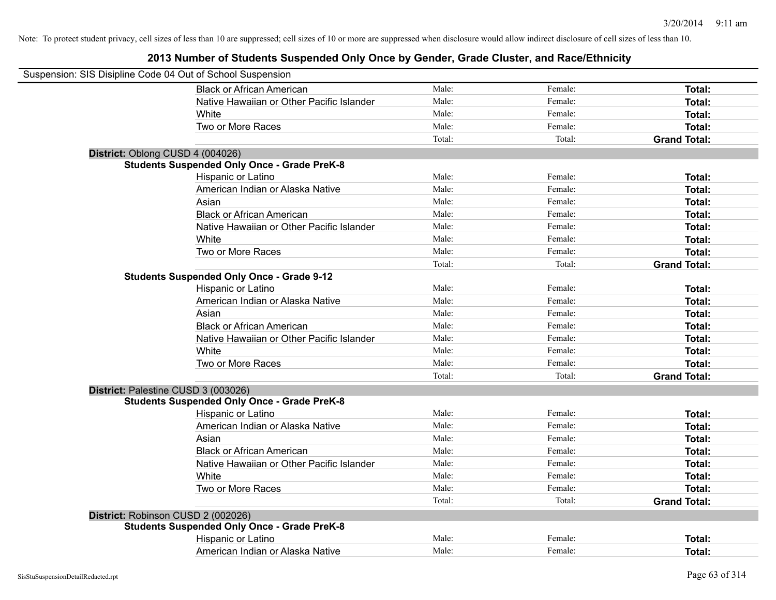|                                     | Suspension: SIS Disipline Code 04 Out of School Suspension |        |         |                     |
|-------------------------------------|------------------------------------------------------------|--------|---------|---------------------|
|                                     | <b>Black or African American</b>                           | Male:  | Female: | Total:              |
|                                     | Native Hawaiian or Other Pacific Islander                  | Male:  | Female: | Total:              |
|                                     | White                                                      | Male:  | Female: | Total:              |
|                                     | Two or More Races                                          | Male:  | Female: | Total:              |
|                                     |                                                            | Total: | Total:  | <b>Grand Total:</b> |
| District: Oblong CUSD 4 (004026)    |                                                            |        |         |                     |
|                                     | <b>Students Suspended Only Once - Grade PreK-8</b>         |        |         |                     |
|                                     | Hispanic or Latino                                         | Male:  | Female: | Total:              |
|                                     | American Indian or Alaska Native                           | Male:  | Female: | Total:              |
|                                     | Asian                                                      | Male:  | Female: | Total:              |
|                                     | <b>Black or African American</b>                           | Male:  | Female: | Total:              |
|                                     | Native Hawaiian or Other Pacific Islander                  | Male:  | Female: | Total:              |
|                                     | White                                                      | Male:  | Female: | Total:              |
|                                     | Two or More Races                                          | Male:  | Female: | Total:              |
|                                     |                                                            | Total: | Total:  | <b>Grand Total:</b> |
|                                     | <b>Students Suspended Only Once - Grade 9-12</b>           |        |         |                     |
|                                     | Hispanic or Latino                                         | Male:  | Female: | Total:              |
|                                     | American Indian or Alaska Native                           | Male:  | Female: | Total:              |
|                                     | Asian                                                      | Male:  | Female: | Total:              |
|                                     | <b>Black or African American</b>                           | Male:  | Female: | Total:              |
|                                     | Native Hawaiian or Other Pacific Islander                  | Male:  | Female: | Total:              |
|                                     | White                                                      | Male:  | Female: | Total:              |
|                                     | Two or More Races                                          | Male:  | Female: | Total:              |
|                                     |                                                            | Total: | Total:  | <b>Grand Total:</b> |
| District: Palestine CUSD 3 (003026) |                                                            |        |         |                     |
|                                     | <b>Students Suspended Only Once - Grade PreK-8</b>         |        |         |                     |
|                                     | Hispanic or Latino                                         | Male:  | Female: | Total:              |
|                                     | American Indian or Alaska Native                           | Male:  | Female: | Total:              |
|                                     | Asian                                                      | Male:  | Female: | Total:              |
|                                     | <b>Black or African American</b>                           | Male:  | Female: | Total:              |
|                                     | Native Hawaiian or Other Pacific Islander                  | Male:  | Female: | Total:              |
|                                     | White                                                      | Male:  | Female: | Total:              |
|                                     | Two or More Races                                          | Male:  | Female: | Total:              |
|                                     |                                                            | Total: | Total:  | <b>Grand Total:</b> |
| District: Robinson CUSD 2 (002026)  |                                                            |        |         |                     |
|                                     | <b>Students Suspended Only Once - Grade PreK-8</b>         |        |         |                     |
|                                     | Hispanic or Latino                                         | Male:  | Female: | Total:              |
|                                     | American Indian or Alaska Native                           | Male:  | Female: | Total:              |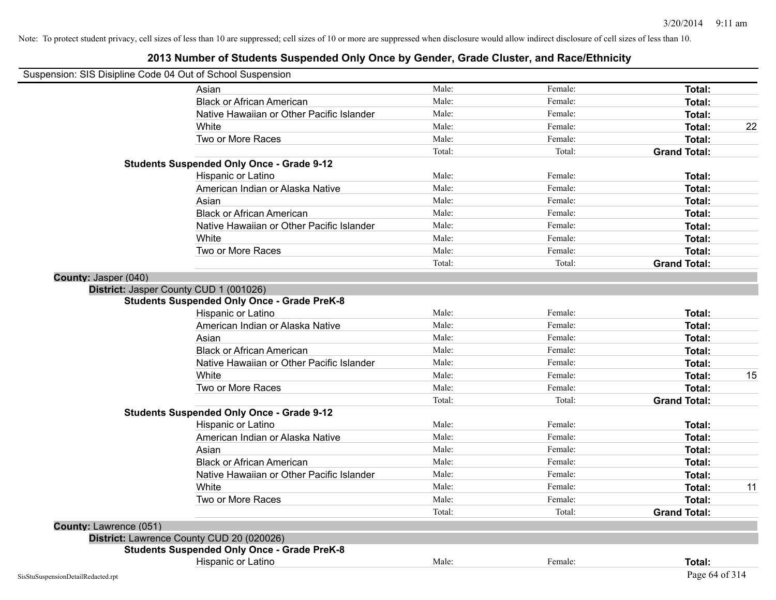|                        | Asian                                              | Male:  | Female: | Total:              |    |
|------------------------|----------------------------------------------------|--------|---------|---------------------|----|
|                        | <b>Black or African American</b>                   | Male:  | Female: | Total:              |    |
|                        | Native Hawaiian or Other Pacific Islander          | Male:  | Female: | Total:              |    |
|                        | White                                              | Male:  | Female: | Total:              | 22 |
|                        | Two or More Races                                  | Male:  | Female: | <b>Total:</b>       |    |
|                        |                                                    | Total: | Total:  | <b>Grand Total:</b> |    |
|                        | <b>Students Suspended Only Once - Grade 9-12</b>   |        |         |                     |    |
|                        | Hispanic or Latino                                 | Male:  | Female: | Total:              |    |
|                        | American Indian or Alaska Native                   | Male:  | Female: | Total:              |    |
|                        | Asian                                              | Male:  | Female: | <b>Total:</b>       |    |
|                        | <b>Black or African American</b>                   | Male:  | Female: | Total:              |    |
|                        | Native Hawaiian or Other Pacific Islander          | Male:  | Female: | Total:              |    |
|                        | White                                              | Male:  | Female: | Total:              |    |
|                        | Two or More Races                                  | Male:  | Female: | Total:              |    |
|                        |                                                    | Total: | Total:  | <b>Grand Total:</b> |    |
| County: Jasper (040)   |                                                    |        |         |                     |    |
|                        | District: Jasper County CUD 1 (001026)             |        |         |                     |    |
|                        | <b>Students Suspended Only Once - Grade PreK-8</b> |        |         |                     |    |
|                        | Hispanic or Latino                                 | Male:  | Female: | Total:              |    |
|                        | American Indian or Alaska Native                   | Male:  | Female: | Total:              |    |
|                        | Asian                                              | Male:  | Female: | Total:              |    |
|                        | <b>Black or African American</b>                   | Male:  | Female: | <b>Total:</b>       |    |
|                        | Native Hawaiian or Other Pacific Islander          | Male:  | Female: | Total:              |    |
|                        | White                                              | Male:  | Female: | Total:              | 15 |
|                        | Two or More Races                                  | Male:  | Female: | Total:              |    |
|                        |                                                    | Total: | Total:  | <b>Grand Total:</b> |    |
|                        | <b>Students Suspended Only Once - Grade 9-12</b>   |        |         |                     |    |
|                        | Hispanic or Latino                                 | Male:  | Female: | Total:              |    |
|                        | American Indian or Alaska Native                   | Male:  | Female: | Total:              |    |
|                        | Asian                                              | Male:  | Female: | Total:              |    |
|                        | <b>Black or African American</b>                   | Male:  | Female: | Total:              |    |
|                        | Native Hawaiian or Other Pacific Islander          | Male:  | Female: | Total:              |    |
|                        | White                                              | Male:  | Female: | <b>Total:</b>       | 11 |
|                        | Two or More Races                                  | Male:  | Female: | Total:              |    |
|                        |                                                    | Total: | Total:  | <b>Grand Total:</b> |    |
| County: Lawrence (051) |                                                    |        |         |                     |    |
|                        | District: Lawrence County CUD 20 (020026)          |        |         |                     |    |
|                        | <b>Students Suspended Only Once - Grade PreK-8</b> |        |         |                     |    |
|                        | Hispanic or Latino                                 | Male:  | Female: | Total:              |    |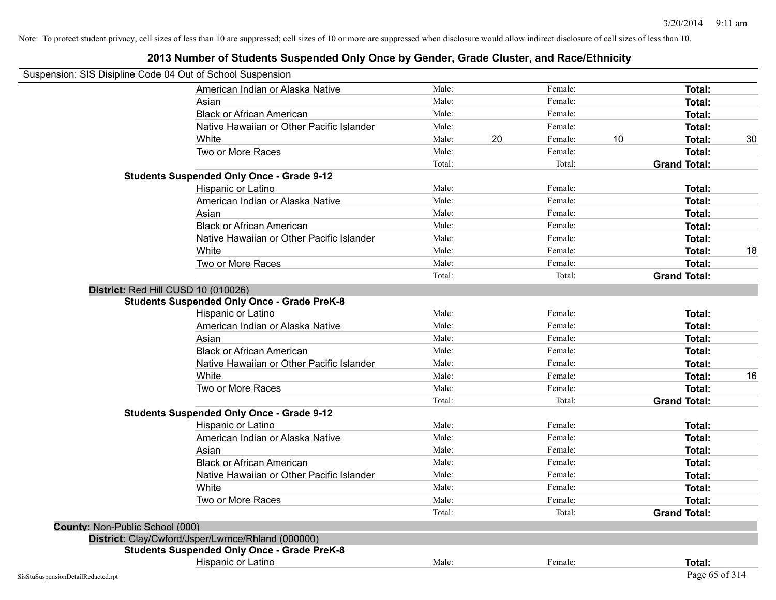|                                 | Suspension: SIS Disipline Code 04 Out of School Suspension<br>American Indian or Alaska Native | Male:  |    | Female: |    | Total:              |    |
|---------------------------------|------------------------------------------------------------------------------------------------|--------|----|---------|----|---------------------|----|
|                                 | Asian                                                                                          | Male:  |    | Female: |    | Total:              |    |
|                                 | <b>Black or African American</b>                                                               | Male:  |    | Female: |    | Total:              |    |
|                                 | Native Hawaiian or Other Pacific Islander                                                      | Male:  |    | Female: |    | Total:              |    |
|                                 | White                                                                                          | Male:  | 20 | Female: | 10 | <b>Total:</b>       | 30 |
|                                 | Two or More Races                                                                              | Male:  |    | Female: |    | Total:              |    |
|                                 |                                                                                                | Total: |    | Total:  |    | <b>Grand Total:</b> |    |
|                                 | <b>Students Suspended Only Once - Grade 9-12</b>                                               |        |    |         |    |                     |    |
|                                 | Hispanic or Latino                                                                             | Male:  |    | Female: |    | Total:              |    |
|                                 | American Indian or Alaska Native                                                               | Male:  |    | Female: |    | Total:              |    |
|                                 | Asian                                                                                          | Male:  |    | Female: |    | Total:              |    |
|                                 | <b>Black or African American</b>                                                               | Male:  |    | Female: |    | Total:              |    |
|                                 | Native Hawaiian or Other Pacific Islander                                                      | Male:  |    | Female: |    | Total:              |    |
|                                 | White                                                                                          | Male:  |    | Female: |    | Total:              | 18 |
|                                 | Two or More Races                                                                              | Male:  |    | Female: |    | Total:              |    |
|                                 |                                                                                                | Total: |    | Total:  |    | <b>Grand Total:</b> |    |
|                                 | District: Red Hill CUSD 10 (010026)                                                            |        |    |         |    |                     |    |
|                                 | <b>Students Suspended Only Once - Grade PreK-8</b>                                             |        |    |         |    |                     |    |
|                                 | Hispanic or Latino                                                                             | Male:  |    | Female: |    | Total:              |    |
|                                 | American Indian or Alaska Native                                                               | Male:  |    | Female: |    | Total:              |    |
|                                 | Asian                                                                                          | Male:  |    | Female: |    | Total:              |    |
|                                 | <b>Black or African American</b>                                                               | Male:  |    | Female: |    | Total:              |    |
|                                 | Native Hawaiian or Other Pacific Islander                                                      | Male:  |    | Female: |    | Total:              |    |
|                                 | White                                                                                          | Male:  |    | Female: |    | Total:              | 16 |
|                                 | Two or More Races                                                                              | Male:  |    | Female: |    | Total:              |    |
|                                 |                                                                                                | Total: |    | Total:  |    | <b>Grand Total:</b> |    |
|                                 | <b>Students Suspended Only Once - Grade 9-12</b>                                               |        |    |         |    |                     |    |
|                                 | Hispanic or Latino                                                                             | Male:  |    | Female: |    | Total:              |    |
|                                 | American Indian or Alaska Native                                                               | Male:  |    | Female: |    | Total:              |    |
|                                 | Asian                                                                                          | Male:  |    | Female: |    | Total:              |    |
|                                 | <b>Black or African American</b>                                                               | Male:  |    | Female: |    | Total:              |    |
|                                 | Native Hawaiian or Other Pacific Islander                                                      | Male:  |    | Female: |    | Total:              |    |
|                                 | White                                                                                          | Male:  |    | Female: |    | Total:              |    |
|                                 | Two or More Races                                                                              | Male:  |    | Female: |    | Total:              |    |
|                                 |                                                                                                | Total: |    | Total:  |    | <b>Grand Total:</b> |    |
| County: Non-Public School (000) |                                                                                                |        |    |         |    |                     |    |
|                                 | District: Clay/Cwford/Jsper/Lwrnce/Rhland (000000)                                             |        |    |         |    |                     |    |
|                                 | <b>Students Suspended Only Once - Grade PreK-8</b>                                             |        |    |         |    |                     |    |
|                                 | Hispanic or Latino                                                                             | Male:  |    | Female: |    | Total:              |    |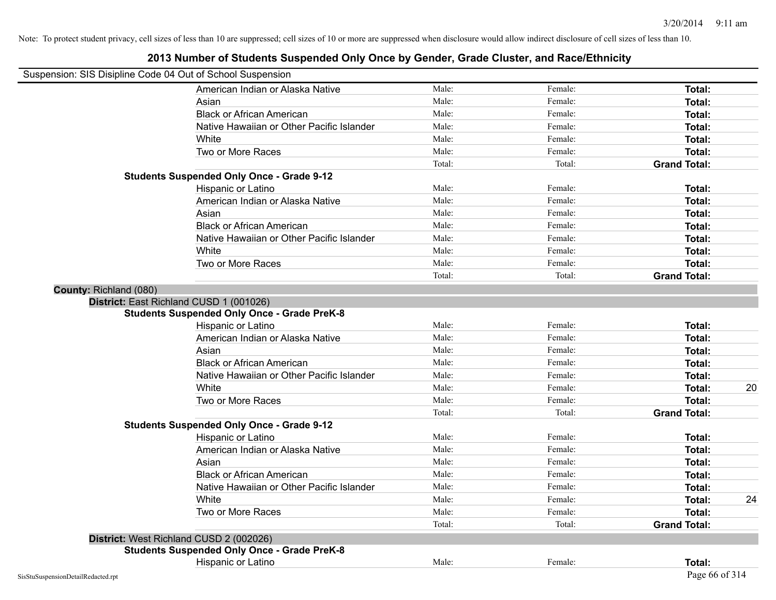| Suspension: SIS Disipline Code 04 Out of School Suspension |                                                    |        |         |                     |
|------------------------------------------------------------|----------------------------------------------------|--------|---------|---------------------|
|                                                            | American Indian or Alaska Native                   | Male:  | Female: | <b>Total:</b>       |
|                                                            | Asian                                              | Male:  | Female: | Total:              |
|                                                            | <b>Black or African American</b>                   | Male:  | Female: | Total:              |
|                                                            | Native Hawaiian or Other Pacific Islander          | Male:  | Female: | Total:              |
|                                                            | White                                              | Male:  | Female: | Total:              |
|                                                            | Two or More Races                                  | Male:  | Female: | Total:              |
|                                                            |                                                    | Total: | Total:  | <b>Grand Total:</b> |
|                                                            | <b>Students Suspended Only Once - Grade 9-12</b>   |        |         |                     |
|                                                            | Hispanic or Latino                                 | Male:  | Female: | Total:              |
|                                                            | American Indian or Alaska Native                   | Male:  | Female: | Total:              |
|                                                            | Asian                                              | Male:  | Female: | Total:              |
|                                                            | <b>Black or African American</b>                   | Male:  | Female: | Total:              |
|                                                            | Native Hawaiian or Other Pacific Islander          | Male:  | Female: | Total:              |
|                                                            | White                                              | Male:  | Female: | Total:              |
|                                                            | Two or More Races                                  | Male:  | Female: | Total:              |
|                                                            |                                                    | Total: | Total:  | <b>Grand Total:</b> |
| County: Richland (080)                                     |                                                    |        |         |                     |
|                                                            | District: East Richland CUSD 1 (001026)            |        |         |                     |
|                                                            | <b>Students Suspended Only Once - Grade PreK-8</b> |        |         |                     |
|                                                            | Hispanic or Latino                                 | Male:  | Female: | Total:              |
|                                                            | American Indian or Alaska Native                   | Male:  | Female: | Total:              |
|                                                            | Asian                                              | Male:  | Female: | Total:              |
|                                                            | <b>Black or African American</b>                   | Male:  | Female: | Total:              |
|                                                            | Native Hawaiian or Other Pacific Islander          | Male:  | Female: | Total:              |
|                                                            | White                                              | Male:  | Female: | 20<br>Total:        |
|                                                            | Two or More Races                                  | Male:  | Female: | Total:              |
|                                                            |                                                    | Total: | Total:  | <b>Grand Total:</b> |
|                                                            | <b>Students Suspended Only Once - Grade 9-12</b>   |        |         |                     |
|                                                            | Hispanic or Latino                                 | Male:  | Female: | Total:              |
|                                                            | American Indian or Alaska Native                   | Male:  | Female: | Total:              |
|                                                            | Asian                                              | Male:  | Female: | Total:              |
|                                                            | <b>Black or African American</b>                   | Male:  | Female: | Total:              |
|                                                            | Native Hawaiian or Other Pacific Islander          | Male:  | Female: | Total:              |
|                                                            | White                                              | Male:  | Female: | 24<br>Total:        |
|                                                            | Two or More Races                                  | Male:  | Female: | Total:              |
|                                                            |                                                    | Total: | Total:  | <b>Grand Total:</b> |
|                                                            | District: West Richland CUSD 2 (002026)            |        |         |                     |
|                                                            | <b>Students Suspended Only Once - Grade PreK-8</b> |        |         |                     |
|                                                            | Hispanic or Latino                                 | Male:  | Female: | Total:              |
| SisStuSuspensionDetailRedacted.rpt                         |                                                    |        |         | Page 66 of 314      |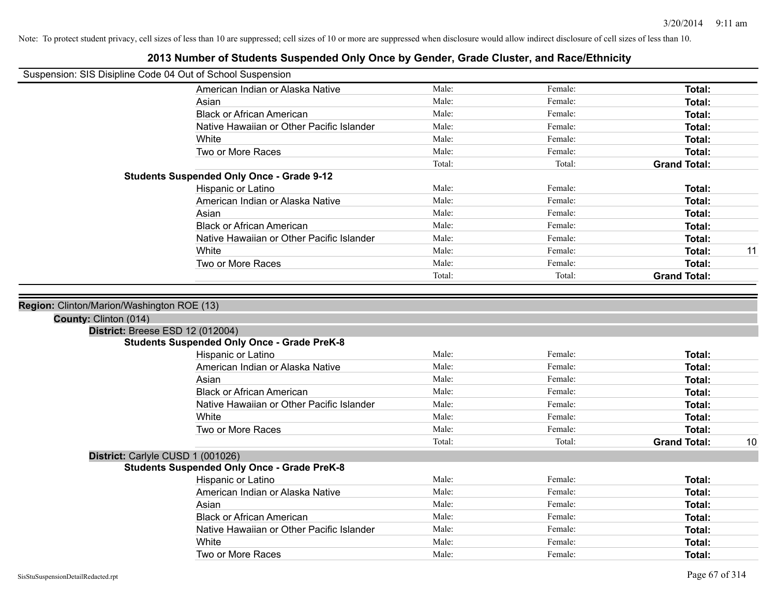| Suspension: SIS Disipline Code 04 Out of School Suspension |                                                    |        |         |                     |    |
|------------------------------------------------------------|----------------------------------------------------|--------|---------|---------------------|----|
|                                                            | American Indian or Alaska Native                   | Male:  | Female: | Total:              |    |
|                                                            | Asian                                              | Male:  | Female: | Total:              |    |
|                                                            | <b>Black or African American</b>                   | Male:  | Female: | Total:              |    |
|                                                            | Native Hawaiian or Other Pacific Islander          | Male:  | Female: | Total:              |    |
|                                                            | White                                              | Male:  | Female: | <b>Total:</b>       |    |
|                                                            | Two or More Races                                  | Male:  | Female: | <b>Total:</b>       |    |
|                                                            |                                                    | Total: | Total:  | <b>Grand Total:</b> |    |
|                                                            | <b>Students Suspended Only Once - Grade 9-12</b>   |        |         |                     |    |
|                                                            | Hispanic or Latino                                 | Male:  | Female: | Total:              |    |
|                                                            | American Indian or Alaska Native                   | Male:  | Female: | Total:              |    |
|                                                            | Asian                                              | Male:  | Female: | Total:              |    |
|                                                            | <b>Black or African American</b>                   | Male:  | Female: | <b>Total:</b>       |    |
|                                                            | Native Hawaiian or Other Pacific Islander          | Male:  | Female: | <b>Total:</b>       |    |
|                                                            | White                                              | Male:  | Female: | <b>Total:</b>       | 11 |
|                                                            | Two or More Races                                  | Male:  | Female: | <b>Total:</b>       |    |
|                                                            |                                                    | Total: | Total:  | <b>Grand Total:</b> |    |
| District: Breese ESD 12 (012004)                           |                                                    |        |         |                     |    |
|                                                            | <b>Students Suspended Only Once - Grade PreK-8</b> |        |         |                     |    |
|                                                            | Hispanic or Latino                                 | Male:  | Female: | <b>Total:</b>       |    |
|                                                            | American Indian or Alaska Native                   | Male:  | Female: | Total:              |    |
|                                                            | Asian                                              | Male:  | Female: | Total:              |    |
|                                                            | <b>Black or African American</b>                   | Male:  | Female: | Total:              |    |
|                                                            | Native Hawaiian or Other Pacific Islander          | Male:  | Female: | <b>Total:</b>       |    |
|                                                            | White                                              | Male:  | Female: | <b>Total:</b>       |    |
|                                                            | Two or More Races                                  | Male:  | Female: | <b>Total:</b>       |    |
|                                                            |                                                    | Total: | Total:  | <b>Grand Total:</b> | 10 |
| District: Carlyle CUSD 1 (001026)                          |                                                    |        |         |                     |    |
|                                                            | <b>Students Suspended Only Once - Grade PreK-8</b> |        |         |                     |    |
|                                                            | Hispanic or Latino                                 | Male:  | Female: | Total:              |    |
|                                                            | American Indian or Alaska Native                   | Male:  | Female: | <b>Total:</b>       |    |
|                                                            | Asian                                              | Male:  | Female: | <b>Total:</b>       |    |
|                                                            | <b>Black or African American</b>                   | Male:  | Female: | Total:              |    |
|                                                            | Native Hawaiian or Other Pacific Islander          | Male:  | Female: | <b>Total:</b>       |    |
|                                                            | White                                              | Male:  | Female: | <b>Total:</b>       |    |
|                                                            | Two or More Races                                  | Male:  | Female: | Total:              |    |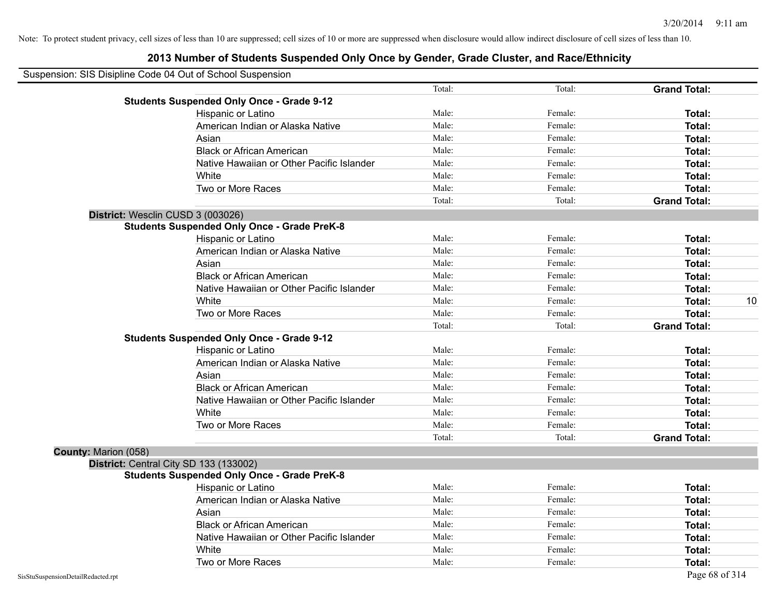|                      | Suspension: SIS Disipline Code 04 Out of School Suspension |        |         |                     |    |
|----------------------|------------------------------------------------------------|--------|---------|---------------------|----|
|                      |                                                            | Total: | Total:  | <b>Grand Total:</b> |    |
|                      | <b>Students Suspended Only Once - Grade 9-12</b>           |        |         |                     |    |
|                      | Hispanic or Latino                                         | Male:  | Female: | Total:              |    |
|                      | American Indian or Alaska Native                           | Male:  | Female: | Total:              |    |
|                      | Asian                                                      | Male:  | Female: | Total:              |    |
|                      | <b>Black or African American</b>                           | Male:  | Female: | Total:              |    |
|                      | Native Hawaiian or Other Pacific Islander                  | Male:  | Female: | Total:              |    |
|                      | White                                                      | Male:  | Female: | Total:              |    |
|                      | Two or More Races                                          | Male:  | Female: | Total:              |    |
|                      |                                                            | Total: | Total:  | <b>Grand Total:</b> |    |
|                      | District: Wesclin CUSD 3 (003026)                          |        |         |                     |    |
|                      | <b>Students Suspended Only Once - Grade PreK-8</b>         |        |         |                     |    |
|                      | Hispanic or Latino                                         | Male:  | Female: | Total:              |    |
|                      | American Indian or Alaska Native                           | Male:  | Female: | Total:              |    |
|                      | Asian                                                      | Male:  | Female: | Total:              |    |
|                      | <b>Black or African American</b>                           | Male:  | Female: | Total:              |    |
|                      | Native Hawaiian or Other Pacific Islander                  | Male:  | Female: | Total:              |    |
|                      | White                                                      | Male:  | Female: | Total:              | 10 |
|                      | Two or More Races                                          | Male:  | Female: | Total:              |    |
|                      |                                                            | Total: | Total:  | <b>Grand Total:</b> |    |
|                      | <b>Students Suspended Only Once - Grade 9-12</b>           |        |         |                     |    |
|                      | Hispanic or Latino                                         | Male:  | Female: | Total:              |    |
|                      | American Indian or Alaska Native                           | Male:  | Female: | Total:              |    |
|                      | Asian                                                      | Male:  | Female: | Total:              |    |
|                      | <b>Black or African American</b>                           | Male:  | Female: | Total:              |    |
|                      | Native Hawaiian or Other Pacific Islander                  | Male:  | Female: | Total:              |    |
|                      | White                                                      | Male:  | Female: | Total:              |    |
|                      | Two or More Races                                          | Male:  | Female: | Total:              |    |
|                      |                                                            | Total: | Total:  | <b>Grand Total:</b> |    |
| County: Marion (058) |                                                            |        |         |                     |    |
|                      | District: Central City SD 133 (133002)                     |        |         |                     |    |
|                      | <b>Students Suspended Only Once - Grade PreK-8</b>         |        |         |                     |    |
|                      | Hispanic or Latino                                         | Male:  | Female: | Total:              |    |
|                      | American Indian or Alaska Native                           | Male:  | Female: | Total:              |    |
|                      | Asian                                                      | Male:  | Female: | Total:              |    |
|                      | <b>Black or African American</b>                           | Male:  | Female: | Total:              |    |
|                      | Native Hawaiian or Other Pacific Islander                  | Male:  | Female: | Total:              |    |
|                      | White                                                      | Male:  | Female: | Total:              |    |
|                      | Two or More Races                                          | Male:  | Female: | Total:              |    |
|                      |                                                            |        |         |                     |    |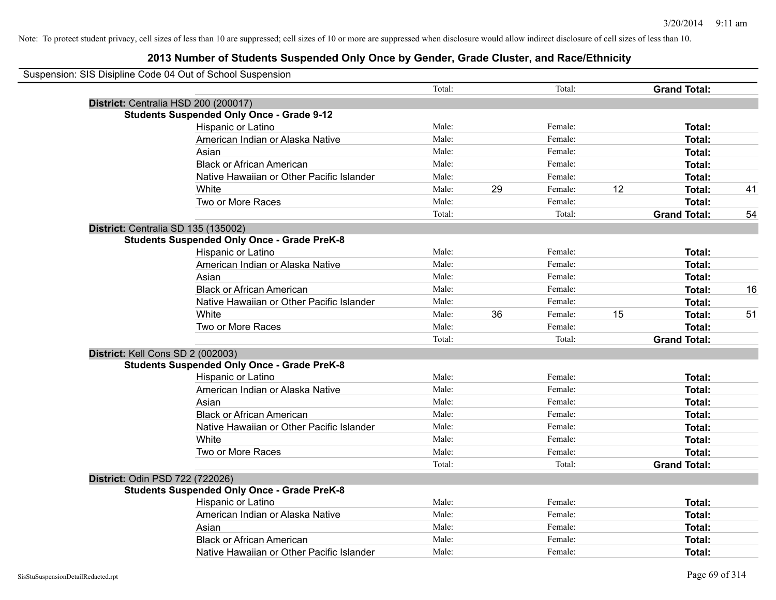| Suspension: SIS Disipline Code 04 Out of School Suspension |        |    |         |    |                     |    |
|------------------------------------------------------------|--------|----|---------|----|---------------------|----|
|                                                            | Total: |    | Total:  |    | <b>Grand Total:</b> |    |
| District: Centralia HSD 200 (200017)                       |        |    |         |    |                     |    |
| <b>Students Suspended Only Once - Grade 9-12</b>           |        |    |         |    |                     |    |
| Hispanic or Latino                                         | Male:  |    | Female: |    | Total:              |    |
| American Indian or Alaska Native                           | Male:  |    | Female: |    | Total:              |    |
| Asian                                                      | Male:  |    | Female: |    | Total:              |    |
| <b>Black or African American</b>                           | Male:  |    | Female: |    | Total:              |    |
| Native Hawaiian or Other Pacific Islander                  | Male:  |    | Female: |    | Total:              |    |
| White                                                      | Male:  | 29 | Female: | 12 | Total:              | 41 |
| Two or More Races                                          | Male:  |    | Female: |    | Total:              |    |
|                                                            | Total: |    | Total:  |    | <b>Grand Total:</b> | 54 |
| District: Centralia SD 135 (135002)                        |        |    |         |    |                     |    |
| <b>Students Suspended Only Once - Grade PreK-8</b>         |        |    |         |    |                     |    |
| Hispanic or Latino                                         | Male:  |    | Female: |    | Total:              |    |
| American Indian or Alaska Native                           | Male:  |    | Female: |    | Total:              |    |
| Asian                                                      | Male:  |    | Female: |    | Total:              |    |
| <b>Black or African American</b>                           | Male:  |    | Female: |    | Total:              | 16 |
| Native Hawaiian or Other Pacific Islander                  | Male:  |    | Female: |    | Total:              |    |
| White                                                      | Male:  | 36 | Female: | 15 | Total:              | 51 |
| Two or More Races                                          | Male:  |    | Female: |    | Total:              |    |
|                                                            | Total: |    | Total:  |    | <b>Grand Total:</b> |    |
| District: Kell Cons SD 2 (002003)                          |        |    |         |    |                     |    |
| <b>Students Suspended Only Once - Grade PreK-8</b>         |        |    |         |    |                     |    |
| Hispanic or Latino                                         | Male:  |    | Female: |    | Total:              |    |
| American Indian or Alaska Native                           | Male:  |    | Female: |    | Total:              |    |
| Asian                                                      | Male:  |    | Female: |    | Total:              |    |
| <b>Black or African American</b>                           | Male:  |    | Female: |    | Total:              |    |
| Native Hawaiian or Other Pacific Islander                  | Male:  |    | Female: |    | Total:              |    |
| White                                                      | Male:  |    | Female: |    | Total:              |    |
| Two or More Races                                          | Male:  |    | Female: |    | Total:              |    |
|                                                            | Total: |    | Total:  |    | <b>Grand Total:</b> |    |
| District: Odin PSD 722 (722026)                            |        |    |         |    |                     |    |
| <b>Students Suspended Only Once - Grade PreK-8</b>         |        |    |         |    |                     |    |
| Hispanic or Latino                                         | Male:  |    | Female: |    | <b>Total:</b>       |    |
| American Indian or Alaska Native                           | Male:  |    | Female: |    | Total:              |    |
| Asian                                                      | Male:  |    | Female: |    | Total:              |    |
| <b>Black or African American</b>                           | Male:  |    | Female: |    | Total:              |    |
| Native Hawaiian or Other Pacific Islander                  | Male:  |    | Female: |    | Total:              |    |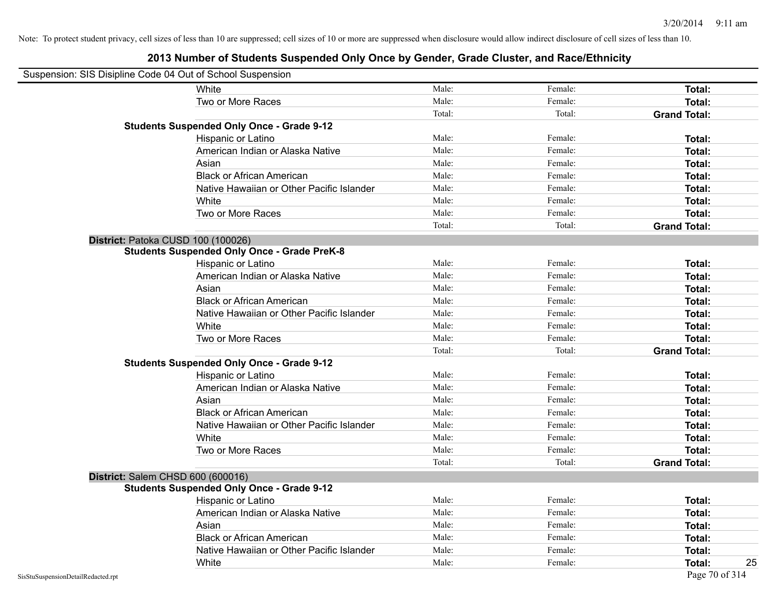| Suspension: SIS Disipline Code 04 Out of School Suspension |                                                    |        |         |                     |
|------------------------------------------------------------|----------------------------------------------------|--------|---------|---------------------|
|                                                            | White                                              | Male:  | Female: | Total:              |
|                                                            | Two or More Races                                  | Male:  | Female: | Total:              |
|                                                            |                                                    | Total: | Total:  | <b>Grand Total:</b> |
|                                                            | <b>Students Suspended Only Once - Grade 9-12</b>   |        |         |                     |
|                                                            | Hispanic or Latino                                 | Male:  | Female: | Total:              |
|                                                            | American Indian or Alaska Native                   | Male:  | Female: | Total:              |
|                                                            | Asian                                              | Male:  | Female: | Total:              |
|                                                            | <b>Black or African American</b>                   | Male:  | Female: | Total:              |
|                                                            | Native Hawaiian or Other Pacific Islander          | Male:  | Female: | Total:              |
|                                                            | White                                              | Male:  | Female: | Total:              |
|                                                            | Two or More Races                                  | Male:  | Female: | <b>Total:</b>       |
|                                                            |                                                    | Total: | Total:  | <b>Grand Total:</b> |
|                                                            | District: Patoka CUSD 100 (100026)                 |        |         |                     |
|                                                            | <b>Students Suspended Only Once - Grade PreK-8</b> |        |         |                     |
|                                                            | Hispanic or Latino                                 | Male:  | Female: | Total:              |
|                                                            | American Indian or Alaska Native                   | Male:  | Female: | <b>Total:</b>       |
|                                                            | Asian                                              | Male:  | Female: | Total:              |
|                                                            | <b>Black or African American</b>                   | Male:  | Female: | Total:              |
|                                                            | Native Hawaiian or Other Pacific Islander          | Male:  | Female: | Total:              |
|                                                            | White                                              | Male:  | Female: | Total:              |
|                                                            | Two or More Races                                  | Male:  | Female: | <b>Total:</b>       |
|                                                            |                                                    | Total: | Total:  | <b>Grand Total:</b> |
|                                                            | <b>Students Suspended Only Once - Grade 9-12</b>   |        |         |                     |
|                                                            | Hispanic or Latino                                 | Male:  | Female: | Total:              |
|                                                            | American Indian or Alaska Native                   | Male:  | Female: | <b>Total:</b>       |
|                                                            | Asian                                              | Male:  | Female: | Total:              |
|                                                            | <b>Black or African American</b>                   | Male:  | Female: | Total:              |
|                                                            | Native Hawaiian or Other Pacific Islander          | Male:  | Female: | Total:              |
|                                                            | White                                              | Male:  | Female: | Total:              |
|                                                            | Two or More Races                                  | Male:  | Female: | <b>Total:</b>       |
|                                                            |                                                    | Total: | Total:  | <b>Grand Total:</b> |
|                                                            | District: Salem CHSD 600 (600016)                  |        |         |                     |
|                                                            | <b>Students Suspended Only Once - Grade 9-12</b>   |        |         |                     |
|                                                            | Hispanic or Latino                                 | Male:  | Female: | Total:              |
|                                                            | American Indian or Alaska Native                   | Male:  | Female: | <b>Total:</b>       |
|                                                            | Asian                                              | Male:  | Female: | <b>Total:</b>       |
|                                                            | <b>Black or African American</b>                   | Male:  | Female: | Total:              |
|                                                            | Native Hawaiian or Other Pacific Islander          | Male:  | Female: | Total:              |
|                                                            | White                                              | Male:  | Female: | Total:<br>25        |
| SisStuSuspensionDetailRedacted.rpt                         |                                                    |        |         | Page 70 of 314      |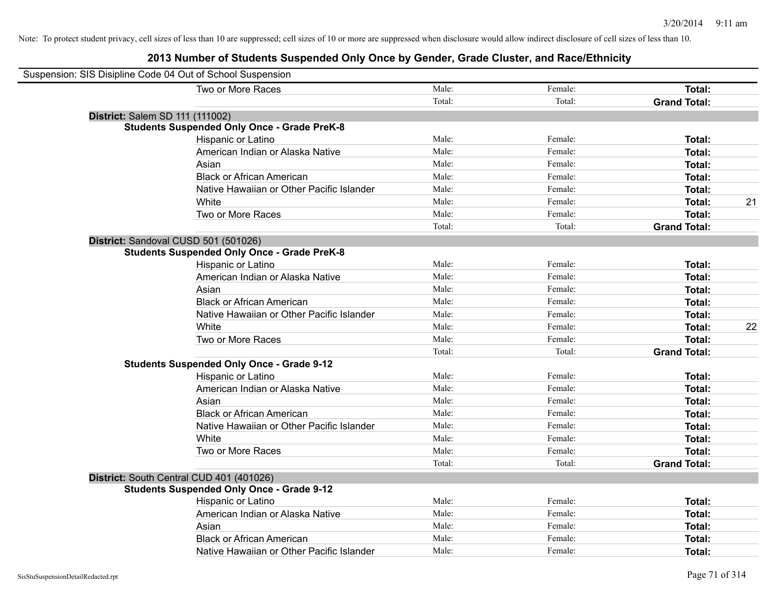#### **2013 Number of Students Suspended Only Once by Gender, Grade Cluster, and Race/Ethnicity**

| Suspension: SIS Disipline Code 04 Out of School Suspension |                                                    |        |         |                     |    |
|------------------------------------------------------------|----------------------------------------------------|--------|---------|---------------------|----|
|                                                            | Two or More Races                                  | Male:  | Female: | Total:              |    |
|                                                            |                                                    | Total: | Total:  | <b>Grand Total:</b> |    |
| District: Salem SD 111 (111002)                            |                                                    |        |         |                     |    |
|                                                            | <b>Students Suspended Only Once - Grade PreK-8</b> |        |         |                     |    |
|                                                            | Hispanic or Latino                                 | Male:  | Female: | Total:              |    |
|                                                            | American Indian or Alaska Native                   | Male:  | Female: | Total:              |    |
|                                                            | Asian                                              | Male:  | Female: | Total:              |    |
|                                                            | <b>Black or African American</b>                   | Male:  | Female: | Total:              |    |
|                                                            | Native Hawaiian or Other Pacific Islander          | Male:  | Female: | Total:              |    |
|                                                            | White                                              | Male:  | Female: | Total:              | 21 |
|                                                            | Two or More Races                                  | Male:  | Female: | Total:              |    |
|                                                            |                                                    | Total: | Total:  | <b>Grand Total:</b> |    |
|                                                            | District: Sandoval CUSD 501 (501026)               |        |         |                     |    |
|                                                            | <b>Students Suspended Only Once - Grade PreK-8</b> |        |         |                     |    |
|                                                            | Hispanic or Latino                                 | Male:  | Female: | Total:              |    |
|                                                            | American Indian or Alaska Native                   | Male:  | Female: | Total:              |    |
|                                                            | Asian                                              | Male:  | Female: | Total:              |    |
|                                                            | <b>Black or African American</b>                   | Male:  | Female: | Total:              |    |
|                                                            | Native Hawaiian or Other Pacific Islander          | Male:  | Female: | Total:              |    |
|                                                            | White                                              | Male:  | Female: | Total:              | 22 |
|                                                            | Two or More Races                                  | Male:  | Female: | Total:              |    |
|                                                            |                                                    | Total: | Total:  | <b>Grand Total:</b> |    |
|                                                            | <b>Students Suspended Only Once - Grade 9-12</b>   |        |         |                     |    |
|                                                            | Hispanic or Latino                                 | Male:  | Female: | Total:              |    |
|                                                            | American Indian or Alaska Native                   | Male:  | Female: | Total:              |    |
|                                                            | Asian                                              | Male:  | Female: | Total:              |    |
|                                                            | <b>Black or African American</b>                   | Male:  | Female: | Total:              |    |
|                                                            | Native Hawaiian or Other Pacific Islander          | Male:  | Female: | Total:              |    |
|                                                            | White                                              | Male:  | Female: | Total:              |    |
|                                                            | Two or More Races                                  | Male:  | Female: | Total:              |    |
|                                                            |                                                    | Total: | Total:  | <b>Grand Total:</b> |    |
|                                                            | District: South Central CUD 401 (401026)           |        |         |                     |    |
|                                                            | <b>Students Suspended Only Once - Grade 9-12</b>   |        |         |                     |    |
|                                                            | Hispanic or Latino                                 | Male:  | Female: | Total:              |    |
|                                                            | American Indian or Alaska Native                   | Male:  | Female: | Total:              |    |
|                                                            | Asian                                              | Male:  | Female: | Total:              |    |
|                                                            | <b>Black or African American</b>                   | Male:  | Female: | Total:              |    |
|                                                            | Native Hawaiian or Other Pacific Islander          | Male:  | Female: | Total:              |    |

 $\blacksquare$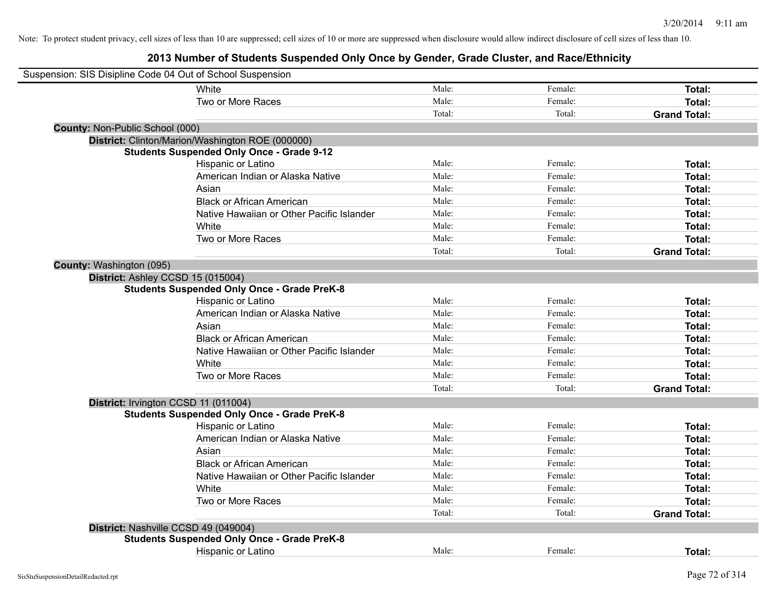|                                 | Suspension: SIS Disipline Code 04 Out of School Suspension |        |         |                     |
|---------------------------------|------------------------------------------------------------|--------|---------|---------------------|
|                                 | White                                                      | Male:  | Female: | Total:              |
|                                 | Two or More Races                                          | Male:  | Female: | Total:              |
|                                 |                                                            | Total: | Total:  | <b>Grand Total:</b> |
| County: Non-Public School (000) |                                                            |        |         |                     |
|                                 | District: Clinton/Marion/Washington ROE (000000)           |        |         |                     |
|                                 | <b>Students Suspended Only Once - Grade 9-12</b>           |        |         |                     |
|                                 | Hispanic or Latino                                         | Male:  | Female: | Total:              |
|                                 | American Indian or Alaska Native                           | Male:  | Female: | Total:              |
|                                 | Asian                                                      | Male:  | Female: | Total:              |
|                                 | <b>Black or African American</b>                           | Male:  | Female: | Total:              |
|                                 | Native Hawaiian or Other Pacific Islander                  | Male:  | Female: | Total:              |
|                                 | White                                                      | Male:  | Female: | Total:              |
|                                 | Two or More Races                                          | Male:  | Female: | Total:              |
|                                 |                                                            | Total: | Total:  | <b>Grand Total:</b> |
| County: Washington (095)        |                                                            |        |         |                     |
|                                 | District: Ashley CCSD 15 (015004)                          |        |         |                     |
|                                 | <b>Students Suspended Only Once - Grade PreK-8</b>         |        |         |                     |
|                                 | Hispanic or Latino                                         | Male:  | Female: | Total:              |
|                                 | American Indian or Alaska Native                           | Male:  | Female: | Total:              |
|                                 | Asian                                                      | Male:  | Female: | Total:              |
|                                 | <b>Black or African American</b>                           | Male:  | Female: | Total:              |
|                                 | Native Hawaiian or Other Pacific Islander                  | Male:  | Female: | Total:              |
|                                 | White                                                      | Male:  | Female: | Total:              |
|                                 | Two or More Races                                          | Male:  | Female: | Total:              |
|                                 |                                                            | Total: | Total:  | <b>Grand Total:</b> |
|                                 | District: Irvington CCSD 11 (011004)                       |        |         |                     |
|                                 | <b>Students Suspended Only Once - Grade PreK-8</b>         |        |         |                     |
|                                 | Hispanic or Latino                                         | Male:  | Female: | Total:              |
|                                 | American Indian or Alaska Native                           | Male:  | Female: | Total:              |
|                                 | Asian                                                      | Male:  | Female: | Total:              |
|                                 | <b>Black or African American</b>                           | Male:  | Female: | Total:              |
|                                 | Native Hawaiian or Other Pacific Islander                  | Male:  | Female: | Total:              |
|                                 | White                                                      | Male:  | Female: | Total:              |
|                                 | Two or More Races                                          | Male:  | Female: | Total:              |
|                                 |                                                            | Total: | Total:  | <b>Grand Total:</b> |
|                                 | District: Nashville CCSD 49 (049004)                       |        |         |                     |
|                                 | <b>Students Suspended Only Once - Grade PreK-8</b>         |        |         |                     |
|                                 | Hispanic or Latino                                         | Male:  | Female: | Total:              |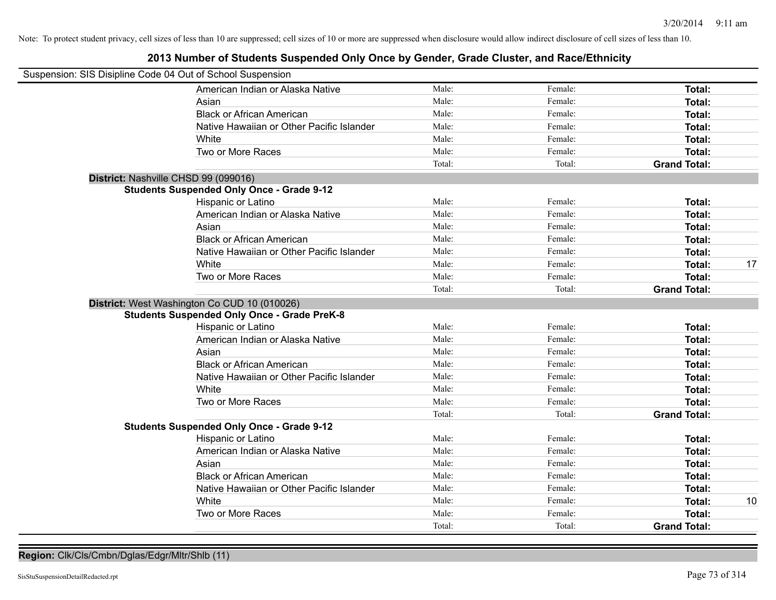### **2013 Number of Students Suspended Only Once by Gender, Grade Cluster, and Race/Ethnicity**

| Suspension: SIS Disipline Code 04 Out of School Suspension |                                                    |        |         |                     |    |
|------------------------------------------------------------|----------------------------------------------------|--------|---------|---------------------|----|
|                                                            | American Indian or Alaska Native                   | Male:  | Female: | Total:              |    |
|                                                            | Asian                                              | Male:  | Female: | Total:              |    |
|                                                            | <b>Black or African American</b>                   | Male:  | Female: | Total:              |    |
|                                                            | Native Hawaiian or Other Pacific Islander          | Male:  | Female: | Total:              |    |
|                                                            | White                                              | Male:  | Female: | Total:              |    |
|                                                            | Two or More Races                                  | Male:  | Female: | Total:              |    |
|                                                            |                                                    | Total: | Total:  | <b>Grand Total:</b> |    |
| District: Nashville CHSD 99 (099016)                       |                                                    |        |         |                     |    |
|                                                            | <b>Students Suspended Only Once - Grade 9-12</b>   |        |         |                     |    |
|                                                            | Hispanic or Latino                                 | Male:  | Female: | Total:              |    |
|                                                            | American Indian or Alaska Native                   | Male:  | Female: | Total:              |    |
|                                                            | Asian                                              | Male:  | Female: | Total:              |    |
|                                                            | <b>Black or African American</b>                   | Male:  | Female: | Total:              |    |
|                                                            | Native Hawaiian or Other Pacific Islander          | Male:  | Female: | Total:              |    |
|                                                            | White                                              | Male:  | Female: | Total:              | 17 |
|                                                            | Two or More Races                                  | Male:  | Female: | <b>Total:</b>       |    |
|                                                            |                                                    | Total: | Total:  | <b>Grand Total:</b> |    |
|                                                            | District: West Washington Co CUD 10 (010026)       |        |         |                     |    |
|                                                            | <b>Students Suspended Only Once - Grade PreK-8</b> |        |         |                     |    |
|                                                            | Hispanic or Latino                                 | Male:  | Female: | Total:              |    |
|                                                            | American Indian or Alaska Native                   | Male:  | Female: | Total:              |    |
|                                                            | Asian                                              | Male:  | Female: | Total:              |    |
|                                                            | <b>Black or African American</b>                   | Male:  | Female: | Total:              |    |
|                                                            | Native Hawaiian or Other Pacific Islander          | Male:  | Female: | Total:              |    |
|                                                            | White                                              | Male:  | Female: | Total:              |    |
|                                                            | Two or More Races                                  | Male:  | Female: | Total:              |    |
|                                                            |                                                    | Total: | Total:  | <b>Grand Total:</b> |    |
|                                                            | <b>Students Suspended Only Once - Grade 9-12</b>   |        |         |                     |    |
|                                                            | Hispanic or Latino                                 | Male:  | Female: | Total:              |    |
|                                                            | American Indian or Alaska Native                   | Male:  | Female: | <b>Total:</b>       |    |
|                                                            | Asian                                              | Male:  | Female: | Total:              |    |
|                                                            | <b>Black or African American</b>                   | Male:  | Female: | Total:              |    |
|                                                            | Native Hawaiian or Other Pacific Islander          | Male:  | Female: | Total:              |    |
|                                                            | White                                              | Male:  | Female: | Total:              | 10 |
|                                                            | Two or More Races                                  | Male:  | Female: | Total:              |    |
|                                                            |                                                    | Total: | Total:  | <b>Grand Total:</b> |    |

**Region:** Clk/Cls/Cmbn/Dglas/Edgr/Mltr/Shlb (11)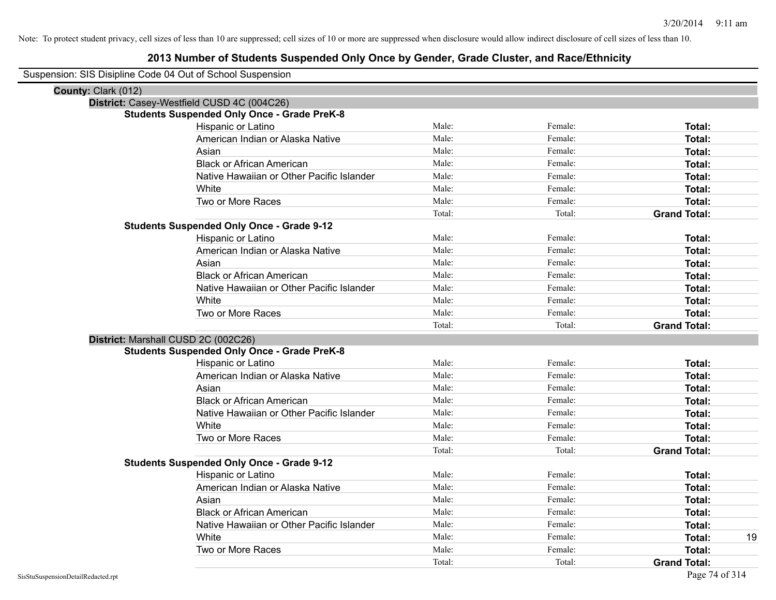### **2013 Number of Students Suspended Only Once by Gender, Grade Cluster, and Race/Ethnicity**

Suspension: SIS Disipline Code 04 Out of School Suspension

| County: Clark (012) |                                                    |        |         |                     |
|---------------------|----------------------------------------------------|--------|---------|---------------------|
|                     | District: Casey-Westfield CUSD 4C (004C26)         |        |         |                     |
|                     | <b>Students Suspended Only Once - Grade PreK-8</b> |        |         |                     |
|                     | Hispanic or Latino                                 | Male:  | Female: | Total:              |
|                     | American Indian or Alaska Native                   | Male:  | Female: | Total:              |
|                     | Asian                                              | Male:  | Female: | Total:              |
|                     | <b>Black or African American</b>                   | Male:  | Female: | Total:              |
|                     | Native Hawaiian or Other Pacific Islander          | Male:  | Female: | Total:              |
|                     | White                                              | Male:  | Female: | Total:              |
|                     | Two or More Races                                  | Male:  | Female: | <b>Total:</b>       |
|                     |                                                    | Total: | Total:  | <b>Grand Total:</b> |
|                     | <b>Students Suspended Only Once - Grade 9-12</b>   |        |         |                     |
|                     | Hispanic or Latino                                 | Male:  | Female: | Total:              |
|                     | American Indian or Alaska Native                   | Male:  | Female: | Total:              |
|                     | Asian                                              | Male:  | Female: | Total:              |
|                     | <b>Black or African American</b>                   | Male:  | Female: | Total:              |
|                     | Native Hawaiian or Other Pacific Islander          | Male:  | Female: | Total:              |
|                     | White                                              | Male:  | Female: | Total:              |
|                     | Two or More Races                                  | Male:  | Female: | <b>Total:</b>       |
|                     |                                                    | Total: | Total:  | <b>Grand Total:</b> |
|                     | District: Marshall CUSD 2C (002C26)                |        |         |                     |
|                     | <b>Students Suspended Only Once - Grade PreK-8</b> |        |         |                     |
|                     | Hispanic or Latino                                 | Male:  | Female: | Total:              |
|                     | American Indian or Alaska Native                   | Male:  | Female: | Total:              |
|                     | Asian                                              | Male:  | Female: | Total:              |
|                     | <b>Black or African American</b>                   | Male:  | Female: | Total:              |
|                     | Native Hawaiian or Other Pacific Islander          | Male:  | Female: | Total:              |
|                     | White                                              | Male:  | Female: | Total:              |
|                     | Two or More Races                                  | Male:  | Female: | <b>Total:</b>       |
|                     |                                                    | Total: | Total:  | <b>Grand Total:</b> |
|                     | <b>Students Suspended Only Once - Grade 9-12</b>   |        |         |                     |
|                     | Hispanic or Latino                                 | Male:  | Female: | Total:              |
|                     | American Indian or Alaska Native                   | Male:  | Female: | Total:              |
|                     | Asian                                              | Male:  | Female: | Total:              |
|                     | <b>Black or African American</b>                   | Male:  | Female: | Total:              |
|                     | Native Hawaiian or Other Pacific Islander          | Male:  | Female: | Total:              |
|                     | White                                              | Male:  | Female: | 19<br>Total:        |
|                     | Two or More Races                                  | Male:  | Female: | <b>Total:</b>       |
|                     |                                                    | Total: | Total:  | <b>Grand Total:</b> |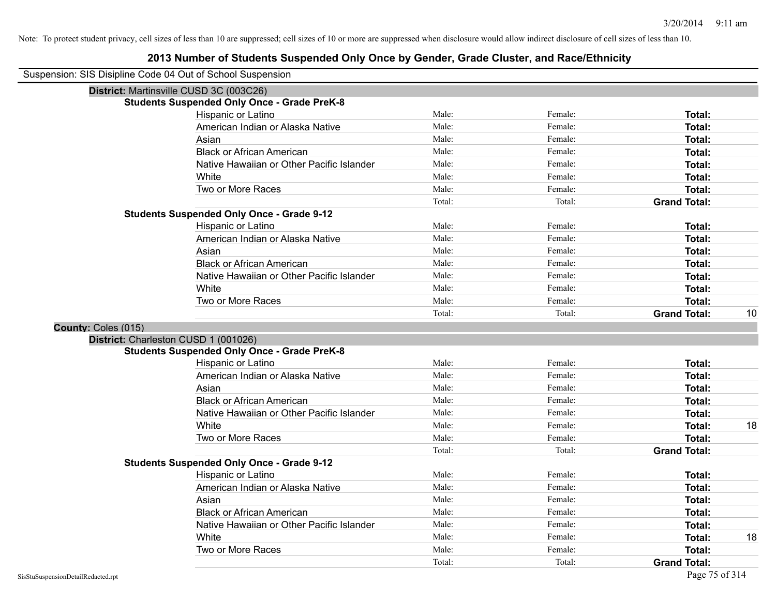| Suspension: SIS Disipline Code 04 Out of School Suspension |
|------------------------------------------------------------|
|------------------------------------------------------------|

|                     | District: Martinsville CUSD 3C (003C26)            |        |         |                     |    |
|---------------------|----------------------------------------------------|--------|---------|---------------------|----|
|                     | <b>Students Suspended Only Once - Grade PreK-8</b> |        |         |                     |    |
|                     | Hispanic or Latino                                 | Male:  | Female: | Total:              |    |
|                     | American Indian or Alaska Native                   | Male:  | Female: | Total:              |    |
|                     | Asian                                              | Male:  | Female: | Total:              |    |
|                     | <b>Black or African American</b>                   | Male:  | Female: | Total:              |    |
|                     | Native Hawaiian or Other Pacific Islander          | Male:  | Female: | Total:              |    |
|                     | White                                              | Male:  | Female: | Total:              |    |
|                     | Two or More Races                                  | Male:  | Female: | Total:              |    |
|                     |                                                    | Total: | Total:  | <b>Grand Total:</b> |    |
|                     | <b>Students Suspended Only Once - Grade 9-12</b>   |        |         |                     |    |
|                     | Hispanic or Latino                                 | Male:  | Female: | Total:              |    |
|                     | American Indian or Alaska Native                   | Male:  | Female: | Total:              |    |
|                     | Asian                                              | Male:  | Female: | Total:              |    |
|                     | <b>Black or African American</b>                   | Male:  | Female: | Total:              |    |
|                     | Native Hawaiian or Other Pacific Islander          | Male:  | Female: | Total:              |    |
|                     | White                                              | Male:  | Female: | Total:              |    |
|                     | Two or More Races                                  | Male:  | Female: | Total:              |    |
|                     |                                                    | Total: | Total:  | <b>Grand Total:</b> | 10 |
| County: Coles (015) |                                                    |        |         |                     |    |
|                     | District: Charleston CUSD 1 (001026)               |        |         |                     |    |
|                     | <b>Students Suspended Only Once - Grade PreK-8</b> |        |         |                     |    |
|                     | Hispanic or Latino                                 | Male:  | Female: | Total:              |    |
|                     | American Indian or Alaska Native                   | Male:  | Female: | Total:              |    |
|                     | Asian                                              | Male:  | Female: | Total:              |    |
|                     | <b>Black or African American</b>                   | Male:  | Female: | Total:              |    |
|                     | Native Hawaiian or Other Pacific Islander          | Male:  | Female: | Total:              |    |
|                     | White                                              | Male:  | Female: | <b>Total:</b>       | 18 |
|                     | Two or More Races                                  | Male:  | Female: | Total:              |    |
|                     |                                                    | Total: | Total:  | <b>Grand Total:</b> |    |
|                     | <b>Students Suspended Only Once - Grade 9-12</b>   |        |         |                     |    |
|                     | Hispanic or Latino                                 | Male:  | Female: | Total:              |    |
|                     | American Indian or Alaska Native                   | Male:  | Female: | Total:              |    |
|                     | Asian                                              | Male:  | Female: | Total:              |    |
|                     | <b>Black or African American</b>                   | Male:  | Female: | Total:              |    |
|                     | Native Hawaiian or Other Pacific Islander          | Male:  | Female: | Total:              |    |
|                     | White                                              | Male:  | Female: | Total:              | 18 |
|                     | Two or More Races                                  | Male:  | Female: | Total:              |    |
|                     |                                                    |        |         |                     |    |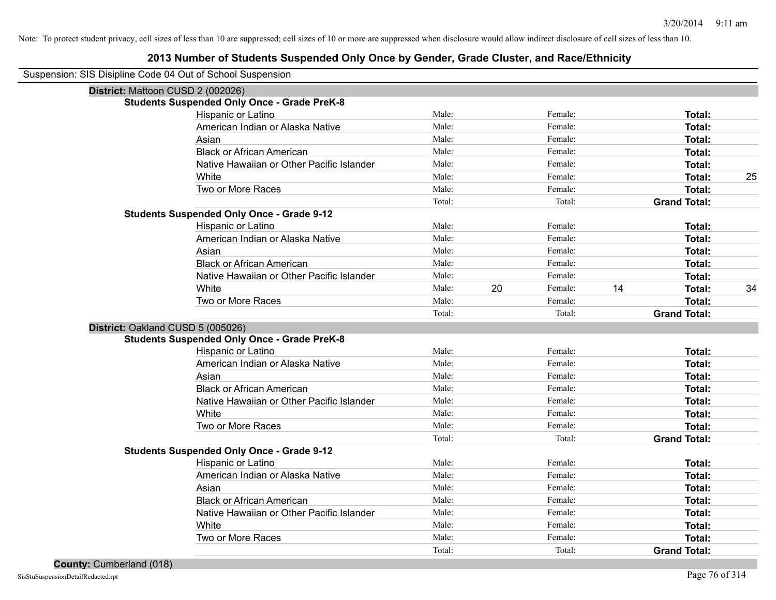#### **2013 Number of Students Suspended Only Once by Gender, Grade Cluster, and Race/Ethnicity**

Suspension: SIS Disipline Code 04 Out of School Suspension

| District: Mattoon CUSD 2 (002026)                  |                                           |        |    |         |    |                     |    |
|----------------------------------------------------|-------------------------------------------|--------|----|---------|----|---------------------|----|
| <b>Students Suspended Only Once - Grade PreK-8</b> |                                           |        |    |         |    |                     |    |
| Hispanic or Latino                                 |                                           | Male:  |    | Female: |    | Total:              |    |
|                                                    | American Indian or Alaska Native          | Male:  |    | Female: |    | Total:              |    |
| Asian                                              |                                           | Male:  |    | Female: |    | Total:              |    |
| <b>Black or African American</b>                   |                                           | Male:  |    | Female: |    | Total:              |    |
|                                                    | Native Hawaiian or Other Pacific Islander | Male:  |    | Female: |    | Total:              |    |
| White                                              |                                           | Male:  |    | Female: |    | Total:              | 25 |
| Two or More Races                                  |                                           | Male:  |    | Female: |    | Total:              |    |
|                                                    |                                           | Total: |    | Total:  |    | <b>Grand Total:</b> |    |
| <b>Students Suspended Only Once - Grade 9-12</b>   |                                           |        |    |         |    |                     |    |
| Hispanic or Latino                                 |                                           | Male:  |    | Female: |    | Total:              |    |
|                                                    | American Indian or Alaska Native          | Male:  |    | Female: |    | Total:              |    |
| Asian                                              |                                           | Male:  |    | Female: |    | Total:              |    |
| <b>Black or African American</b>                   |                                           | Male:  |    | Female: |    | Total:              |    |
|                                                    | Native Hawaiian or Other Pacific Islander | Male:  |    | Female: |    | Total:              |    |
| White                                              |                                           | Male:  | 20 | Female: | 14 | Total:              | 34 |
| Two or More Races                                  |                                           | Male:  |    | Female: |    | Total:              |    |
|                                                    |                                           | Total: |    | Total:  |    | <b>Grand Total:</b> |    |
| District: Oakland CUSD 5 (005026)                  |                                           |        |    |         |    |                     |    |
| <b>Students Suspended Only Once - Grade PreK-8</b> |                                           |        |    |         |    |                     |    |
| Hispanic or Latino                                 |                                           | Male:  |    | Female: |    | Total:              |    |
|                                                    | American Indian or Alaska Native          | Male:  |    | Female: |    | Total:              |    |
| Asian                                              |                                           | Male:  |    | Female: |    | Total:              |    |
| <b>Black or African American</b>                   |                                           | Male:  |    | Female: |    | Total:              |    |
|                                                    | Native Hawaiian or Other Pacific Islander | Male:  |    | Female: |    | Total:              |    |
| White                                              |                                           | Male:  |    | Female: |    | Total:              |    |
| Two or More Races                                  |                                           | Male:  |    | Female: |    | Total:              |    |
|                                                    |                                           | Total: |    | Total:  |    | <b>Grand Total:</b> |    |
| <b>Students Suspended Only Once - Grade 9-12</b>   |                                           |        |    |         |    |                     |    |
| Hispanic or Latino                                 |                                           | Male:  |    | Female: |    | Total:              |    |
|                                                    | American Indian or Alaska Native          | Male:  |    | Female: |    | Total:              |    |
| Asian                                              |                                           | Male:  |    | Female: |    | Total:              |    |
| <b>Black or African American</b>                   |                                           | Male:  |    | Female: |    | Total:              |    |
|                                                    | Native Hawaiian or Other Pacific Islander | Male:  |    | Female: |    | Total:              |    |
| White                                              |                                           | Male:  |    | Female: |    | Total:              |    |
| Two or More Races                                  |                                           | Male:  |    | Female: |    | <b>Total:</b>       |    |
|                                                    |                                           | Total: |    | Total:  |    | <b>Grand Total:</b> |    |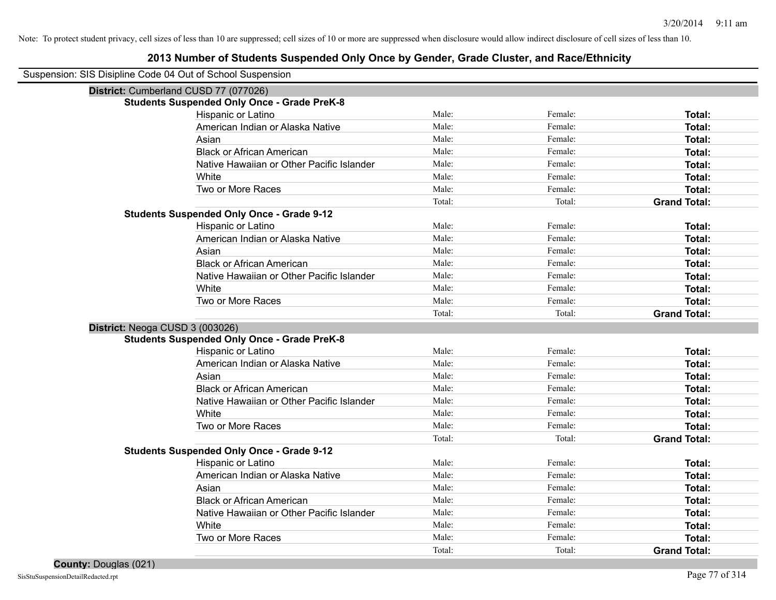| Suspension: SIS Disipline Code 04 Out of School Suspension |
|------------------------------------------------------------|
|                                                            |

| District: Cumberland CUSD 77 (077026)              |        |         |                     |
|----------------------------------------------------|--------|---------|---------------------|
| <b>Students Suspended Only Once - Grade PreK-8</b> |        |         |                     |
| Hispanic or Latino                                 | Male:  | Female: | Total:              |
| American Indian or Alaska Native                   | Male:  | Female: | Total:              |
| Asian                                              | Male:  | Female: | Total:              |
| <b>Black or African American</b>                   | Male:  | Female: | Total:              |
| Native Hawaiian or Other Pacific Islander          | Male:  | Female: | Total:              |
| White                                              | Male:  | Female: | Total:              |
| Two or More Races                                  | Male:  | Female: | Total:              |
|                                                    | Total: | Total:  | <b>Grand Total:</b> |
| <b>Students Suspended Only Once - Grade 9-12</b>   |        |         |                     |
| Hispanic or Latino                                 | Male:  | Female: | Total:              |
| American Indian or Alaska Native                   | Male:  | Female: | Total:              |
| Asian                                              | Male:  | Female: | Total:              |
| <b>Black or African American</b>                   | Male:  | Female: | Total:              |
| Native Hawaiian or Other Pacific Islander          | Male:  | Female: | Total:              |
| White                                              | Male:  | Female: | Total:              |
| Two or More Races                                  | Male:  | Female: | Total:              |
|                                                    | Total: | Total:  | <b>Grand Total:</b> |
| District: Neoga CUSD 3 (003026)                    |        |         |                     |
| <b>Students Suspended Only Once - Grade PreK-8</b> |        |         |                     |
| Hispanic or Latino                                 | Male:  | Female: | Total:              |
| American Indian or Alaska Native                   | Male:  | Female: | Total:              |
| Asian                                              | Male:  | Female: | Total:              |
| <b>Black or African American</b>                   | Male:  | Female: | Total:              |
| Native Hawaiian or Other Pacific Islander          | Male:  | Female: | Total:              |
| White                                              | Male:  | Female: | Total:              |
| Two or More Races                                  | Male:  | Female: | Total:              |
|                                                    | Total: | Total:  | <b>Grand Total:</b> |
|                                                    |        |         |                     |
| <b>Students Suspended Only Once - Grade 9-12</b>   |        |         |                     |
| Hispanic or Latino                                 | Male:  | Female: | Total:              |
| American Indian or Alaska Native                   | Male:  | Female: | Total:              |
| Asian                                              | Male:  | Female: | Total:              |
| <b>Black or African American</b>                   | Male:  | Female: | Total:              |
| Native Hawaiian or Other Pacific Islander          | Male:  | Female: | Total:              |
| White                                              | Male:  | Female: | Total:              |
| Two or More Races                                  | Male:  | Female: | Total:              |
|                                                    | Total: | Total:  | <b>Grand Total:</b> |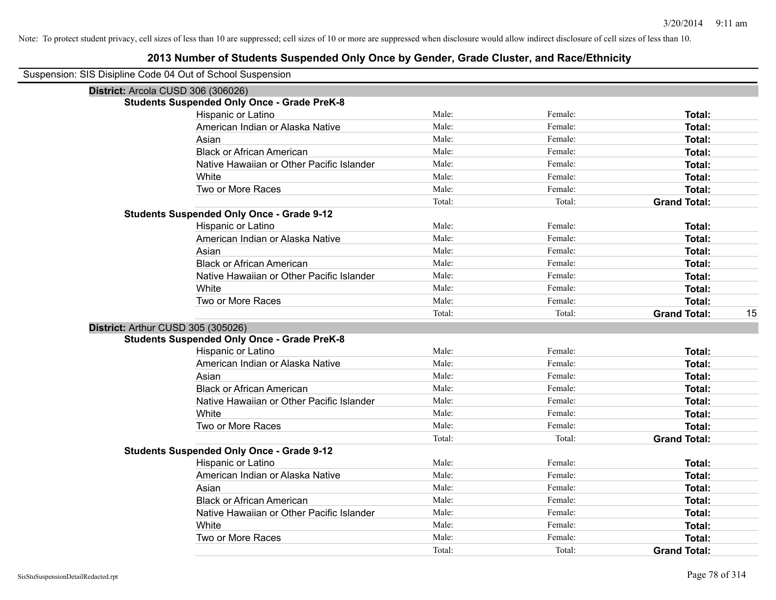| Suspension: SIS Disipline Code 04 Out of School Suspension |
|------------------------------------------------------------|
|------------------------------------------------------------|

| District: Arcola CUSD 306 (306026)                 |        |         |                     |    |
|----------------------------------------------------|--------|---------|---------------------|----|
| <b>Students Suspended Only Once - Grade PreK-8</b> |        |         |                     |    |
| Hispanic or Latino                                 | Male:  | Female: | Total:              |    |
| American Indian or Alaska Native                   | Male:  | Female: | Total:              |    |
| Asian                                              | Male:  | Female: | <b>Total:</b>       |    |
| <b>Black or African American</b>                   | Male:  | Female: | Total:              |    |
| Native Hawaiian or Other Pacific Islander          | Male:  | Female: | Total:              |    |
| White                                              | Male:  | Female: | Total:              |    |
| Two or More Races                                  | Male:  | Female: | Total:              |    |
|                                                    | Total: | Total:  | <b>Grand Total:</b> |    |
| <b>Students Suspended Only Once - Grade 9-12</b>   |        |         |                     |    |
| Hispanic or Latino                                 | Male:  | Female: | Total:              |    |
| American Indian or Alaska Native                   | Male:  | Female: | <b>Total:</b>       |    |
| Asian                                              | Male:  | Female: | Total:              |    |
| <b>Black or African American</b>                   | Male:  | Female: | <b>Total:</b>       |    |
| Native Hawaiian or Other Pacific Islander          | Male:  | Female: | <b>Total:</b>       |    |
| White                                              | Male:  | Female: | <b>Total:</b>       |    |
| Two or More Races                                  | Male:  | Female: | Total:              |    |
|                                                    | Total: | Total:  | <b>Grand Total:</b> | 15 |
| District: Arthur CUSD 305 (305026)                 |        |         |                     |    |
| <b>Students Suspended Only Once - Grade PreK-8</b> |        |         |                     |    |
| Hispanic or Latino                                 | Male:  | Female: | Total:              |    |
| American Indian or Alaska Native                   | Male:  | Female: | Total:              |    |
| Asian                                              | Male:  | Female: | <b>Total:</b>       |    |
| <b>Black or African American</b>                   | Male:  | Female: | Total:              |    |
| Native Hawaiian or Other Pacific Islander          | Male:  | Female: | Total:              |    |
| White                                              | Male:  | Female: | <b>Total:</b>       |    |
| Two or More Races                                  | Male:  | Female: | <b>Total:</b>       |    |
|                                                    | Total: | Total:  | <b>Grand Total:</b> |    |
| <b>Students Suspended Only Once - Grade 9-12</b>   |        |         |                     |    |
| Hispanic or Latino                                 | Male:  | Female: | <b>Total:</b>       |    |
| American Indian or Alaska Native                   | Male:  | Female: | <b>Total:</b>       |    |
| Asian                                              | Male:  | Female: | Total:              |    |
| <b>Black or African American</b>                   | Male:  | Female: | <b>Total:</b>       |    |
| Native Hawaiian or Other Pacific Islander          | Male:  | Female: | <b>Total:</b>       |    |
| White                                              | Male:  | Female: | Total:              |    |
| Two or More Races                                  | Male:  | Female: | Total:              |    |
|                                                    | Total: | Total:  | <b>Grand Total:</b> |    |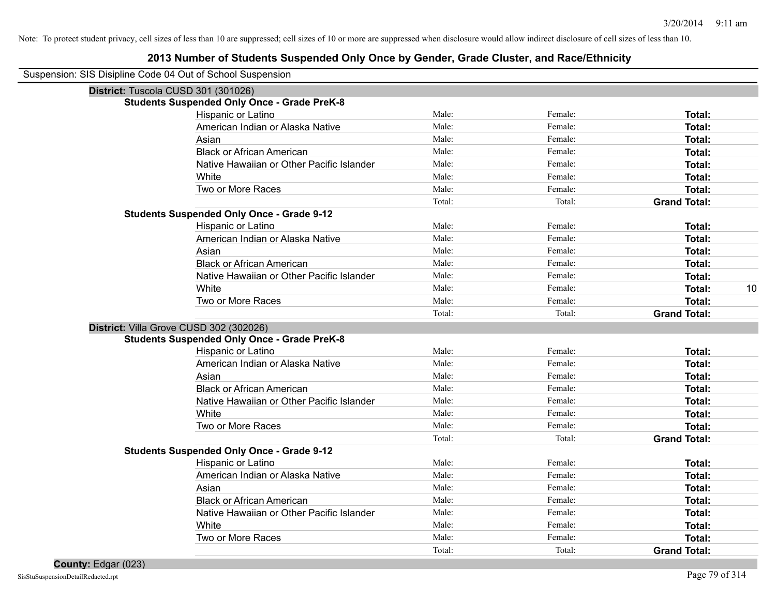| Suspension: SIS Disipline Code 04 Out of School Suspension |  |  |  |
|------------------------------------------------------------|--|--|--|
|                                                            |  |  |  |

| District: Tuscola CUSD 301 (301026)                |        |         |                     |    |
|----------------------------------------------------|--------|---------|---------------------|----|
| <b>Students Suspended Only Once - Grade PreK-8</b> |        |         |                     |    |
| Hispanic or Latino                                 | Male:  | Female: | Total:              |    |
| American Indian or Alaska Native                   | Male:  | Female: | Total:              |    |
| Asian                                              | Male:  | Female: | Total:              |    |
| <b>Black or African American</b>                   | Male:  | Female: | Total:              |    |
| Native Hawaiian or Other Pacific Islander          | Male:  | Female: | Total:              |    |
| White                                              | Male:  | Female: | Total:              |    |
| Two or More Races                                  | Male:  | Female: | Total:              |    |
|                                                    | Total: | Total:  | <b>Grand Total:</b> |    |
| <b>Students Suspended Only Once - Grade 9-12</b>   |        |         |                     |    |
| Hispanic or Latino                                 | Male:  | Female: | Total:              |    |
| American Indian or Alaska Native                   | Male:  | Female: | Total:              |    |
| Asian                                              | Male:  | Female: | Total:              |    |
| <b>Black or African American</b>                   | Male:  | Female: | Total:              |    |
| Native Hawaiian or Other Pacific Islander          | Male:  | Female: | Total:              |    |
| White                                              | Male:  | Female: | Total:              | 10 |
| Two or More Races                                  | Male:  | Female: | Total:              |    |
|                                                    | Total: | Total:  | <b>Grand Total:</b> |    |
| District: Villa Grove CUSD 302 (302026)            |        |         |                     |    |
| <b>Students Suspended Only Once - Grade PreK-8</b> |        |         |                     |    |
| Hispanic or Latino                                 | Male:  | Female: | Total:              |    |
| American Indian or Alaska Native                   | Male:  | Female: | Total:              |    |
| Asian                                              | Male:  | Female: | Total:              |    |
| <b>Black or African American</b>                   | Male:  | Female: | Total:              |    |
| Native Hawaiian or Other Pacific Islander          | Male:  | Female: | Total:              |    |
| White                                              | Male:  | Female: | Total:              |    |
| Two or More Races                                  | Male:  | Female: | Total:              |    |
|                                                    | Total: | Total:  | <b>Grand Total:</b> |    |
| <b>Students Suspended Only Once - Grade 9-12</b>   |        |         |                     |    |
| Hispanic or Latino                                 | Male:  | Female: | Total:              |    |
| American Indian or Alaska Native                   | Male:  | Female: | Total:              |    |
| Asian                                              | Male:  | Female: | Total:              |    |
| <b>Black or African American</b>                   | Male:  | Female: | Total:              |    |
| Native Hawaiian or Other Pacific Islander          | Male:  | Female: | Total:              |    |
| White                                              | Male:  | Female: | Total:              |    |
| Two or More Races                                  | Male:  | Female: | Total:              |    |
|                                                    | Total: | Total:  | <b>Grand Total:</b> |    |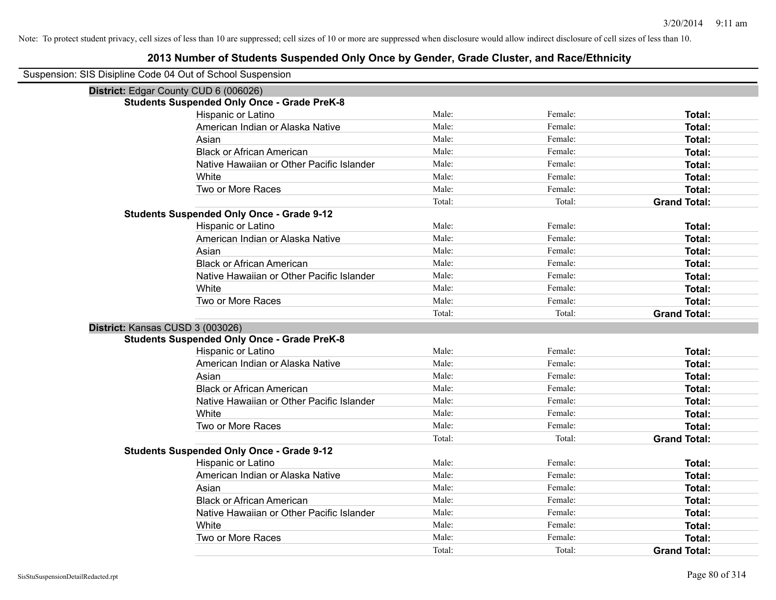| Suspension: SIS Disipline Code 04 Out of School Suspension |
|------------------------------------------------------------|
|------------------------------------------------------------|

| District: Edgar County CUD 6 (006026)              |        |         |                     |
|----------------------------------------------------|--------|---------|---------------------|
| <b>Students Suspended Only Once - Grade PreK-8</b> |        |         |                     |
| Hispanic or Latino                                 | Male:  | Female: | <b>Total:</b>       |
| American Indian or Alaska Native                   | Male:  | Female: | Total:              |
| Asian                                              | Male:  | Female: | <b>Total:</b>       |
| <b>Black or African American</b>                   | Male:  | Female: | Total:              |
| Native Hawaiian or Other Pacific Islander          | Male:  | Female: | Total:              |
| White                                              | Male:  | Female: | <b>Total:</b>       |
| Two or More Races                                  | Male:  | Female: | Total:              |
|                                                    | Total: | Total:  | <b>Grand Total:</b> |
| <b>Students Suspended Only Once - Grade 9-12</b>   |        |         |                     |
| Hispanic or Latino                                 | Male:  | Female: | Total:              |
| American Indian or Alaska Native                   | Male:  | Female: | <b>Total:</b>       |
| Asian                                              | Male:  | Female: | <b>Total:</b>       |
| <b>Black or African American</b>                   | Male:  | Female: | <b>Total:</b>       |
| Native Hawaiian or Other Pacific Islander          | Male:  | Female: | Total:              |
| White                                              | Male:  | Female: | Total:              |
| Two or More Races                                  | Male:  | Female: | Total:              |
|                                                    | Total: | Total:  | <b>Grand Total:</b> |
| District: Kansas CUSD 3 (003026)                   |        |         |                     |
| <b>Students Suspended Only Once - Grade PreK-8</b> |        |         |                     |
| Hispanic or Latino                                 | Male:  | Female: | Total:              |
| American Indian or Alaska Native                   | Male:  | Female: | <b>Total:</b>       |
| Asian                                              | Male:  | Female: | <b>Total:</b>       |
| <b>Black or African American</b>                   | Male:  | Female: | <b>Total:</b>       |
| Native Hawaiian or Other Pacific Islander          | Male:  | Female: | <b>Total:</b>       |
| White                                              | Male:  | Female: | Total:              |
| Two or More Races                                  | Male:  | Female: | Total:              |
|                                                    | Total: | Total:  | <b>Grand Total:</b> |
| <b>Students Suspended Only Once - Grade 9-12</b>   |        |         |                     |
| Hispanic or Latino                                 | Male:  | Female: | Total:              |
| American Indian or Alaska Native                   | Male:  | Female: | Total:              |
| Asian                                              | Male:  | Female: | <b>Total:</b>       |
| <b>Black or African American</b>                   | Male:  | Female: | <b>Total:</b>       |
| Native Hawaiian or Other Pacific Islander          | Male:  | Female: | <b>Total:</b>       |
| White                                              | Male:  | Female: | Total:              |
| Two or More Races                                  | Male:  | Female: | <b>Total:</b>       |
|                                                    | Total: | Total:  | <b>Grand Total:</b> |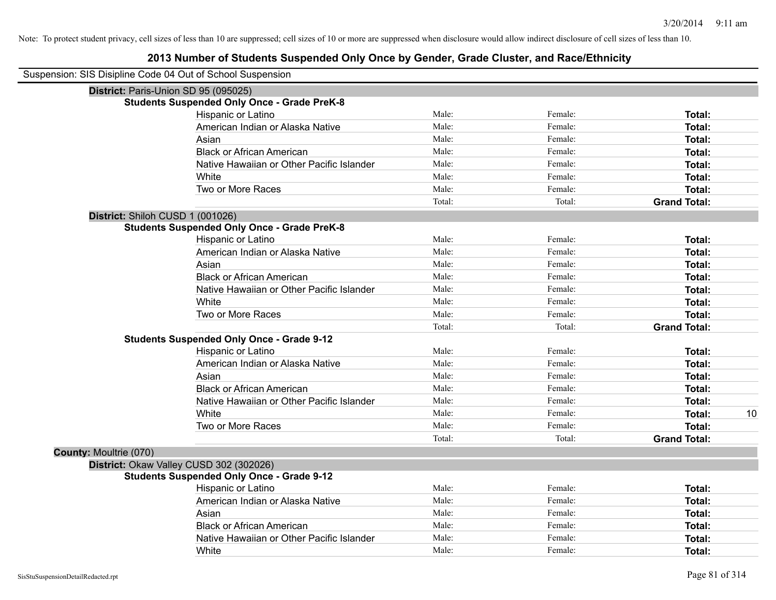|                               | Suspension: SIS Disipline Code 04 Out of School Suspension |        |         |                     |    |
|-------------------------------|------------------------------------------------------------|--------|---------|---------------------|----|
|                               | District: Paris-Union SD 95 (095025)                       |        |         |                     |    |
|                               | <b>Students Suspended Only Once - Grade PreK-8</b>         |        |         |                     |    |
|                               | Hispanic or Latino                                         | Male:  | Female: | Total:              |    |
|                               | American Indian or Alaska Native                           | Male:  | Female: | Total:              |    |
|                               | Asian                                                      | Male:  | Female: | Total:              |    |
|                               | <b>Black or African American</b>                           | Male:  | Female: | Total:              |    |
|                               | Native Hawaiian or Other Pacific Islander                  | Male:  | Female: | Total:              |    |
|                               | White                                                      | Male:  | Female: | Total:              |    |
|                               | Two or More Races                                          | Male:  | Female: | Total:              |    |
|                               |                                                            | Total: | Total:  | <b>Grand Total:</b> |    |
|                               | District: Shiloh CUSD 1 (001026)                           |        |         |                     |    |
|                               | <b>Students Suspended Only Once - Grade PreK-8</b>         |        |         |                     |    |
|                               | Hispanic or Latino                                         | Male:  | Female: | Total:              |    |
|                               | American Indian or Alaska Native                           | Male:  | Female: | Total:              |    |
|                               | Asian                                                      | Male:  | Female: | Total:              |    |
|                               | <b>Black or African American</b>                           | Male:  | Female: | Total:              |    |
|                               | Native Hawaiian or Other Pacific Islander                  | Male:  | Female: | Total:              |    |
|                               | White                                                      | Male:  | Female: | Total:              |    |
|                               | Two or More Races                                          | Male:  | Female: | Total:              |    |
|                               |                                                            | Total: | Total:  | <b>Grand Total:</b> |    |
|                               | <b>Students Suspended Only Once - Grade 9-12</b>           |        |         |                     |    |
|                               | Hispanic or Latino                                         | Male:  | Female: | Total:              |    |
|                               | American Indian or Alaska Native                           | Male:  | Female: | Total:              |    |
|                               | Asian                                                      | Male:  | Female: | Total:              |    |
|                               | <b>Black or African American</b>                           | Male:  | Female: | Total:              |    |
|                               | Native Hawaiian or Other Pacific Islander                  | Male:  | Female: | Total:              |    |
|                               | White                                                      | Male:  | Female: | Total:              | 10 |
|                               | Two or More Races                                          | Male:  | Female: | Total:              |    |
|                               |                                                            | Total: | Total:  | <b>Grand Total:</b> |    |
| <b>County: Moultrie (070)</b> |                                                            |        |         |                     |    |
|                               | District: Okaw Valley CUSD 302 (302026)                    |        |         |                     |    |
|                               | <b>Students Suspended Only Once - Grade 9-12</b>           |        |         |                     |    |
|                               | Hispanic or Latino                                         | Male:  | Female: | Total:              |    |
|                               | American Indian or Alaska Native                           | Male:  | Female: | Total:              |    |
|                               | Asian                                                      | Male:  | Female: | Total:              |    |
|                               | <b>Black or African American</b>                           | Male:  | Female: | Total:              |    |
|                               | Native Hawaiian or Other Pacific Islander                  | Male:  | Female: | Total:              |    |
|                               | White                                                      | Male:  | Female: | Total:              |    |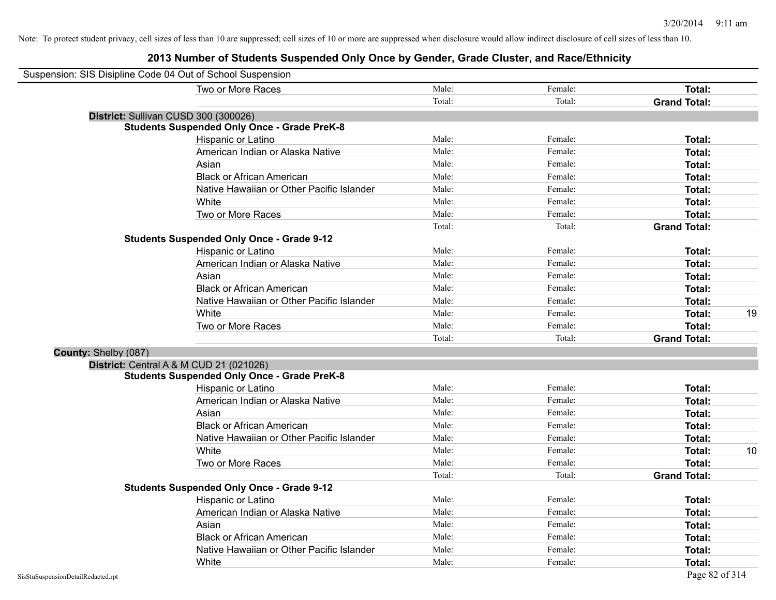|                      | Suspension: SIS Disipline Code 04 Out of School Suspension |        |         |                     |    |
|----------------------|------------------------------------------------------------|--------|---------|---------------------|----|
|                      | Two or More Races                                          | Male:  | Female: | <b>Total:</b>       |    |
|                      |                                                            | Total: | Total:  | <b>Grand Total:</b> |    |
|                      | District: Sullivan CUSD 300 (300026)                       |        |         |                     |    |
|                      | <b>Students Suspended Only Once - Grade PreK-8</b>         |        |         |                     |    |
|                      | Hispanic or Latino                                         | Male:  | Female: | Total:              |    |
|                      | American Indian or Alaska Native                           | Male:  | Female: | Total:              |    |
|                      | Asian                                                      | Male:  | Female: | Total:              |    |
|                      | <b>Black or African American</b>                           | Male:  | Female: | Total:              |    |
|                      | Native Hawaiian or Other Pacific Islander                  | Male:  | Female: | Total:              |    |
|                      | White                                                      | Male:  | Female: | Total:              |    |
|                      | Two or More Races                                          | Male:  | Female: | <b>Total:</b>       |    |
|                      |                                                            | Total: | Total:  | <b>Grand Total:</b> |    |
|                      | <b>Students Suspended Only Once - Grade 9-12</b>           |        |         |                     |    |
|                      | Hispanic or Latino                                         | Male:  | Female: | Total:              |    |
|                      | American Indian or Alaska Native                           | Male:  | Female: | <b>Total:</b>       |    |
|                      | Asian                                                      | Male:  | Female: | <b>Total:</b>       |    |
|                      | <b>Black or African American</b>                           | Male:  | Female: | <b>Total:</b>       |    |
|                      | Native Hawaiian or Other Pacific Islander                  | Male:  | Female: | Total:              |    |
|                      | White                                                      | Male:  | Female: | <b>Total:</b>       | 19 |
|                      | Two or More Races                                          | Male:  | Female: | <b>Total:</b>       |    |
|                      |                                                            | Total: | Total:  | <b>Grand Total:</b> |    |
| County: Shelby (087) |                                                            |        |         |                     |    |
|                      | District: Central A & M CUD 21 (021026)                    |        |         |                     |    |
|                      | <b>Students Suspended Only Once - Grade PreK-8</b>         |        |         |                     |    |
|                      | Hispanic or Latino                                         | Male:  | Female: | Total:              |    |
|                      | American Indian or Alaska Native                           | Male:  | Female: | Total:              |    |
|                      | Asian                                                      | Male:  | Female: | Total:              |    |
|                      | <b>Black or African American</b>                           | Male:  | Female: | Total:              |    |
|                      | Native Hawaiian or Other Pacific Islander                  | Male:  | Female: | Total:              |    |
|                      | White                                                      | Male:  | Female: | Total:              | 10 |
|                      | Two or More Races                                          | Male:  | Female: | <b>Total:</b>       |    |
|                      |                                                            | Total: | Total:  | <b>Grand Total:</b> |    |
|                      | <b>Students Suspended Only Once - Grade 9-12</b>           |        |         |                     |    |
|                      | Hispanic or Latino                                         | Male:  | Female: | Total:              |    |
|                      | American Indian or Alaska Native                           | Male:  | Female: | Total:              |    |
|                      | Asian                                                      | Male:  | Female: | Total:              |    |
|                      | <b>Black or African American</b>                           | Male:  | Female: | <b>Total:</b>       |    |
|                      | Native Hawaiian or Other Pacific Islander                  | Male:  | Female: | <b>Total:</b>       |    |
|                      | White                                                      | Male:  | Female: | Total:              |    |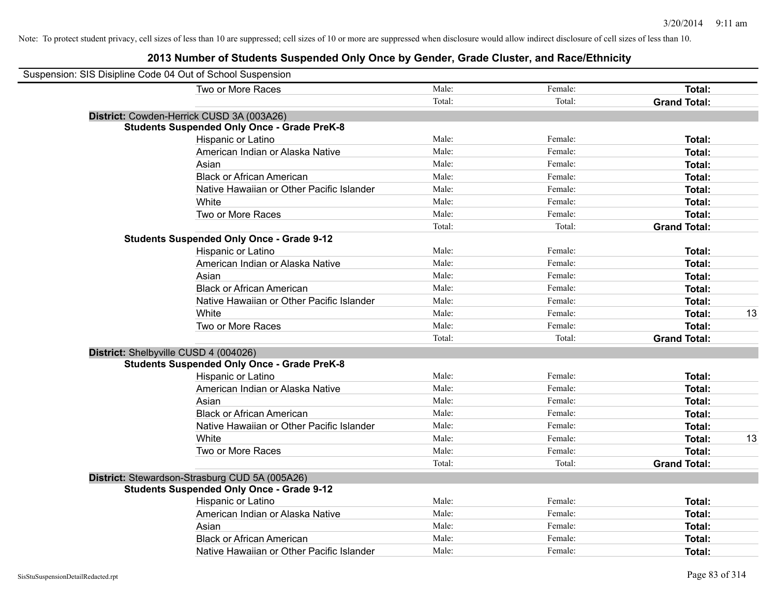| Suspension: SIS Disipline Code 04 Out of School Suspension |                                                    |        |         |                     |    |
|------------------------------------------------------------|----------------------------------------------------|--------|---------|---------------------|----|
|                                                            | Two or More Races                                  | Male:  | Female: | Total:              |    |
|                                                            |                                                    | Total: | Total:  | <b>Grand Total:</b> |    |
|                                                            | District: Cowden-Herrick CUSD 3A (003A26)          |        |         |                     |    |
|                                                            | <b>Students Suspended Only Once - Grade PreK-8</b> |        |         |                     |    |
|                                                            | Hispanic or Latino                                 | Male:  | Female: | Total:              |    |
|                                                            | American Indian or Alaska Native                   | Male:  | Female: | Total:              |    |
|                                                            | Asian                                              | Male:  | Female: | Total:              |    |
|                                                            | <b>Black or African American</b>                   | Male:  | Female: | Total:              |    |
|                                                            | Native Hawaiian or Other Pacific Islander          | Male:  | Female: | Total:              |    |
|                                                            | White                                              | Male:  | Female: | Total:              |    |
|                                                            | Two or More Races                                  | Male:  | Female: | Total:              |    |
|                                                            |                                                    | Total: | Total:  | <b>Grand Total:</b> |    |
|                                                            | <b>Students Suspended Only Once - Grade 9-12</b>   |        |         |                     |    |
|                                                            | Hispanic or Latino                                 | Male:  | Female: | Total:              |    |
|                                                            | American Indian or Alaska Native                   | Male:  | Female: | Total:              |    |
|                                                            | Asian                                              | Male:  | Female: | Total:              |    |
|                                                            | <b>Black or African American</b>                   | Male:  | Female: | Total:              |    |
|                                                            | Native Hawaiian or Other Pacific Islander          | Male:  | Female: | Total:              |    |
|                                                            | White                                              | Male:  | Female: | Total:              | 13 |
|                                                            | Two or More Races                                  | Male:  | Female: | Total:              |    |
|                                                            |                                                    | Total: | Total:  | <b>Grand Total:</b> |    |
|                                                            | District: Shelbyville CUSD 4 (004026)              |        |         |                     |    |
|                                                            | <b>Students Suspended Only Once - Grade PreK-8</b> |        |         |                     |    |
|                                                            | Hispanic or Latino                                 | Male:  | Female: | Total:              |    |
|                                                            | American Indian or Alaska Native                   | Male:  | Female: | Total:              |    |
|                                                            | Asian                                              | Male:  | Female: | Total:              |    |
|                                                            | <b>Black or African American</b>                   | Male:  | Female: | Total:              |    |
|                                                            | Native Hawaiian or Other Pacific Islander          | Male:  | Female: | Total:              |    |
|                                                            | White                                              | Male:  | Female: | Total:              | 13 |
|                                                            | Two or More Races                                  | Male:  | Female: | Total:              |    |
|                                                            |                                                    | Total: | Total:  | <b>Grand Total:</b> |    |
|                                                            | District: Stewardson-Strasburg CUD 5A (005A26)     |        |         |                     |    |
|                                                            | <b>Students Suspended Only Once - Grade 9-12</b>   |        |         |                     |    |
|                                                            | Hispanic or Latino                                 | Male:  | Female: | Total:              |    |
|                                                            | American Indian or Alaska Native                   | Male:  | Female: | Total:              |    |
|                                                            | Asian                                              | Male:  | Female: | Total:              |    |
|                                                            | <b>Black or African American</b>                   | Male:  | Female: | Total:              |    |
|                                                            | Native Hawaiian or Other Pacific Islander          | Male:  | Female: | Total:              |    |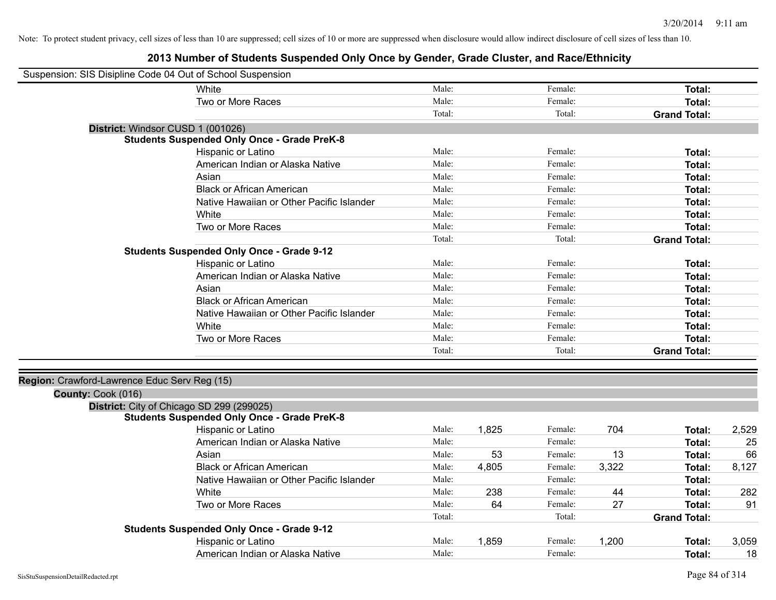| Suspension: SIS Disipline Code 04 Out of School Suspension |                                                    |        |       |         |       |                     |       |
|------------------------------------------------------------|----------------------------------------------------|--------|-------|---------|-------|---------------------|-------|
|                                                            | White                                              | Male:  |       | Female: |       | <b>Total:</b>       |       |
|                                                            | Two or More Races                                  | Male:  |       | Female: |       | Total:              |       |
|                                                            |                                                    | Total: |       | Total:  |       | <b>Grand Total:</b> |       |
| District: Windsor CUSD 1 (001026)                          |                                                    |        |       |         |       |                     |       |
|                                                            | <b>Students Suspended Only Once - Grade PreK-8</b> |        |       |         |       |                     |       |
|                                                            | Hispanic or Latino                                 | Male:  |       | Female: |       | Total:              |       |
|                                                            | American Indian or Alaska Native                   | Male:  |       | Female: |       | <b>Total:</b>       |       |
|                                                            | Asian                                              | Male:  |       | Female: |       | <b>Total:</b>       |       |
|                                                            | <b>Black or African American</b>                   | Male:  |       | Female: |       | <b>Total:</b>       |       |
|                                                            | Native Hawaiian or Other Pacific Islander          | Male:  |       | Female: |       | <b>Total:</b>       |       |
|                                                            | White                                              | Male:  |       | Female: |       | Total:              |       |
|                                                            | Two or More Races                                  | Male:  |       | Female: |       | <b>Total:</b>       |       |
|                                                            |                                                    | Total: |       | Total:  |       | <b>Grand Total:</b> |       |
|                                                            | <b>Students Suspended Only Once - Grade 9-12</b>   |        |       |         |       |                     |       |
|                                                            | Hispanic or Latino                                 | Male:  |       | Female: |       | Total:              |       |
|                                                            | American Indian or Alaska Native                   | Male:  |       | Female: |       | Total:              |       |
|                                                            | Asian                                              | Male:  |       | Female: |       | <b>Total:</b>       |       |
|                                                            | <b>Black or African American</b>                   | Male:  |       | Female: |       | Total:              |       |
|                                                            | Native Hawaiian or Other Pacific Islander          | Male:  |       | Female: |       | <b>Total:</b>       |       |
|                                                            | White                                              | Male:  |       | Female: |       | <b>Total:</b>       |       |
|                                                            | Two or More Races                                  | Male:  |       | Female: |       | <b>Total:</b>       |       |
|                                                            |                                                    | Total: |       | Total:  |       | <b>Grand Total:</b> |       |
|                                                            |                                                    |        |       |         |       |                     |       |
| Region: Crawford-Lawrence Educ Serv Reg (15)               |                                                    |        |       |         |       |                     |       |
| County: Cook (016)                                         |                                                    |        |       |         |       |                     |       |
|                                                            | District: City of Chicago SD 299 (299025)          |        |       |         |       |                     |       |
|                                                            | <b>Students Suspended Only Once - Grade PreK-8</b> |        |       |         |       |                     |       |
|                                                            | Hispanic or Latino                                 | Male:  | 1,825 | Female: | 704   | <b>Total:</b>       | 2,529 |
|                                                            | American Indian or Alaska Native                   | Male:  |       | Female: |       | Total:              | 25    |
|                                                            | Asian                                              | Male:  | 53    | Female: | 13    | Total:              | 66    |
|                                                            | <b>Black or African American</b>                   | Male:  | 4,805 | Female: | 3,322 | <b>Total:</b>       | 8,127 |
|                                                            | Native Hawaiian or Other Pacific Islander          | Male:  |       | Female: |       | <b>Total:</b>       |       |
|                                                            | White                                              | Male:  | 238   | Female: | 44    | Total:              | 282   |
|                                                            | Two or More Races                                  | Male:  | 64    | Female: | 27    | Total:              | 91    |
|                                                            |                                                    | Total: |       | Total:  |       | <b>Grand Total:</b> |       |
|                                                            | <b>Students Suspended Only Once - Grade 9-12</b>   |        |       |         |       |                     |       |
|                                                            | Hispanic or Latino                                 | Male:  | 1,859 | Female: | 1,200 | <b>Total:</b>       | 3,059 |
|                                                            | American Indian or Alaska Native                   | Male:  |       | Female: |       | Total:              | 18    |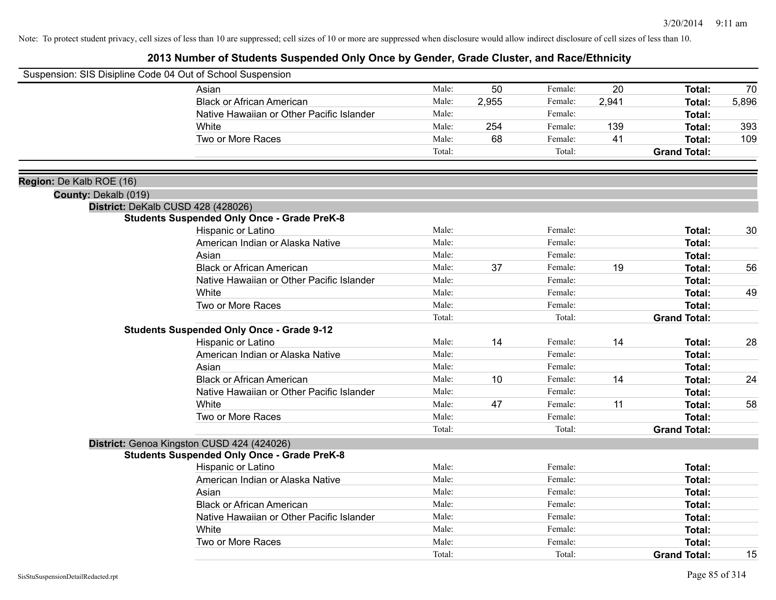| Suspension: SIS Disipline Code 04 Out of School Suspension |                                                    |        |       |         |       |                     |       |
|------------------------------------------------------------|----------------------------------------------------|--------|-------|---------|-------|---------------------|-------|
|                                                            | Asian                                              | Male:  | 50    | Female: | 20    | <b>Total:</b>       | 70    |
|                                                            | <b>Black or African American</b>                   | Male:  | 2,955 | Female: | 2,941 | Total:              | 5,896 |
|                                                            | Native Hawaiian or Other Pacific Islander          | Male:  |       | Female: |       | Total:              |       |
|                                                            | White                                              | Male:  | 254   | Female: | 139   | <b>Total:</b>       | 393   |
|                                                            | Two or More Races                                  | Male:  | 68    | Female: | 41    | <b>Total:</b>       | 109   |
|                                                            |                                                    | Total: |       | Total:  |       | <b>Grand Total:</b> |       |
| Region: De Kalb ROE (16)                                   |                                                    |        |       |         |       |                     |       |
| County: Dekalb (019)                                       |                                                    |        |       |         |       |                     |       |
|                                                            | District: DeKalb CUSD 428 (428026)                 |        |       |         |       |                     |       |
|                                                            | <b>Students Suspended Only Once - Grade PreK-8</b> |        |       |         |       |                     |       |
|                                                            | Hispanic or Latino                                 | Male:  |       | Female: |       | Total:              | 30    |
|                                                            | American Indian or Alaska Native                   | Male:  |       | Female: |       | <b>Total:</b>       |       |
|                                                            | Asian                                              | Male:  |       | Female: |       | <b>Total:</b>       |       |
|                                                            | <b>Black or African American</b>                   | Male:  | 37    | Female: | 19    | Total:              | 56    |
|                                                            | Native Hawaiian or Other Pacific Islander          | Male:  |       | Female: |       | Total:              |       |
|                                                            | White                                              | Male:  |       | Female: |       | <b>Total:</b>       | 49    |
|                                                            | Two or More Races                                  | Male:  |       | Female: |       | Total:              |       |
|                                                            |                                                    | Total: |       | Total:  |       | <b>Grand Total:</b> |       |
|                                                            | <b>Students Suspended Only Once - Grade 9-12</b>   |        |       |         |       |                     |       |
|                                                            | Hispanic or Latino                                 | Male:  | 14    | Female: | 14    | Total:              | 28    |
|                                                            | American Indian or Alaska Native                   | Male:  |       | Female: |       | <b>Total:</b>       |       |
|                                                            | Asian                                              | Male:  |       | Female: |       | <b>Total:</b>       |       |
|                                                            | <b>Black or African American</b>                   | Male:  | 10    | Female: | 14    | Total:              | 24    |
|                                                            | Native Hawaiian or Other Pacific Islander          | Male:  |       | Female: |       | <b>Total:</b>       |       |
|                                                            | White                                              | Male:  | 47    | Female: | 11    | <b>Total:</b>       | 58    |
|                                                            | Two or More Races                                  | Male:  |       | Female: |       | <b>Total:</b>       |       |
|                                                            |                                                    | Total: |       | Total:  |       | <b>Grand Total:</b> |       |
|                                                            | District: Genoa Kingston CUSD 424 (424026)         |        |       |         |       |                     |       |
|                                                            | <b>Students Suspended Only Once - Grade PreK-8</b> |        |       |         |       |                     |       |
|                                                            | Hispanic or Latino                                 | Male:  |       | Female: |       | <b>Total:</b>       |       |
|                                                            | American Indian or Alaska Native                   | Male:  |       | Female: |       | Total:              |       |
|                                                            | Asian                                              | Male:  |       | Female: |       | Total:              |       |
|                                                            | <b>Black or African American</b>                   | Male:  |       | Female: |       | Total:              |       |
|                                                            | Native Hawaiian or Other Pacific Islander          | Male:  |       | Female: |       | Total:              |       |
|                                                            | White                                              | Male:  |       | Female: |       | Total:              |       |
|                                                            | Two or More Races                                  | Male:  |       | Female: |       | <b>Total:</b>       |       |
|                                                            |                                                    | Total: |       | Total:  |       | <b>Grand Total:</b> | 15    |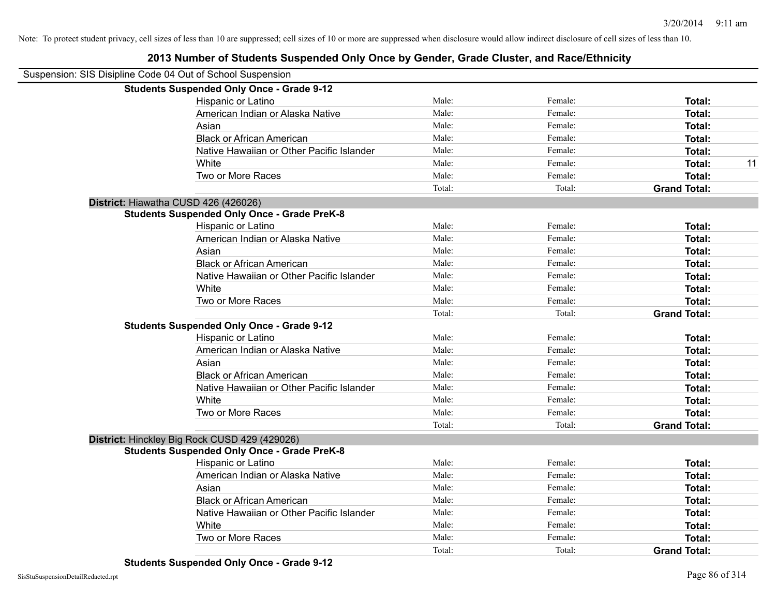| Suspension: SIS Disipline Code 04 Out of School Suspension |        |         |                     |    |
|------------------------------------------------------------|--------|---------|---------------------|----|
| <b>Students Suspended Only Once - Grade 9-12</b>           |        |         |                     |    |
| Hispanic or Latino                                         | Male:  | Female: | Total:              |    |
| American Indian or Alaska Native                           | Male:  | Female: | Total:              |    |
| Asian                                                      | Male:  | Female: | Total:              |    |
| <b>Black or African American</b>                           | Male:  | Female: | Total:              |    |
| Native Hawaiian or Other Pacific Islander                  | Male:  | Female: | Total:              |    |
| White                                                      | Male:  | Female: | Total:              | 11 |
| Two or More Races                                          | Male:  | Female: | Total:              |    |
|                                                            | Total: | Total:  | <b>Grand Total:</b> |    |
| District: Hiawatha CUSD 426 (426026)                       |        |         |                     |    |
| <b>Students Suspended Only Once - Grade PreK-8</b>         |        |         |                     |    |
| Hispanic or Latino                                         | Male:  | Female: | Total:              |    |
| American Indian or Alaska Native                           | Male:  | Female: | Total:              |    |
| Asian                                                      | Male:  | Female: | Total:              |    |
| <b>Black or African American</b>                           | Male:  | Female: | Total:              |    |
| Native Hawaiian or Other Pacific Islander                  | Male:  | Female: | Total:              |    |
| White                                                      | Male:  | Female: | Total:              |    |
| Two or More Races                                          | Male:  | Female: | Total:              |    |
|                                                            | Total: | Total:  | <b>Grand Total:</b> |    |
| <b>Students Suspended Only Once - Grade 9-12</b>           |        |         |                     |    |
| Hispanic or Latino                                         | Male:  | Female: | Total:              |    |
| American Indian or Alaska Native                           | Male:  | Female: | Total:              |    |
| Asian                                                      | Male:  | Female: | Total:              |    |
| <b>Black or African American</b>                           | Male:  | Female: | Total:              |    |
| Native Hawaiian or Other Pacific Islander                  | Male:  | Female: | Total:              |    |
| White                                                      | Male:  | Female: | Total:              |    |
| Two or More Races                                          | Male:  | Female: | Total:              |    |
|                                                            | Total: | Total:  | <b>Grand Total:</b> |    |
| District: Hinckley Big Rock CUSD 429 (429026)              |        |         |                     |    |
| <b>Students Suspended Only Once - Grade PreK-8</b>         |        |         |                     |    |
| Hispanic or Latino                                         | Male:  | Female: | Total:              |    |
| American Indian or Alaska Native                           | Male:  | Female: | Total:              |    |
| Asian                                                      | Male:  | Female: | Total:              |    |
| <b>Black or African American</b>                           | Male:  | Female: | Total:              |    |
| Native Hawaiian or Other Pacific Islander                  | Male:  | Female: | Total:              |    |
| White                                                      | Male:  | Female: | Total:              |    |
| Two or More Races                                          | Male:  | Female: | Total:              |    |
|                                                            | Total: | Total:  | <b>Grand Total:</b> |    |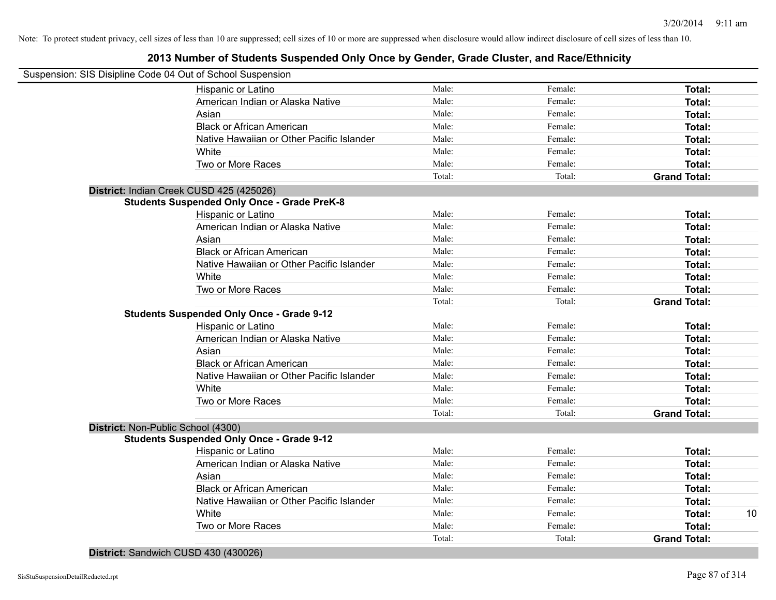### **2013 Number of Students Suspended Only Once by Gender, Grade Cluster, and Race/Ethnicity**

| Suspension: SIS Disipline Code 04 Out of School Suspension |        |         |                     |    |
|------------------------------------------------------------|--------|---------|---------------------|----|
| Hispanic or Latino                                         | Male:  | Female: | Total:              |    |
| American Indian or Alaska Native                           | Male:  | Female: | Total:              |    |
| Asian                                                      | Male:  | Female: | Total:              |    |
| <b>Black or African American</b>                           | Male:  | Female: | Total:              |    |
| Native Hawaiian or Other Pacific Islander                  | Male:  | Female: | Total:              |    |
| White                                                      | Male:  | Female: | Total:              |    |
| Two or More Races                                          | Male:  | Female: | Total:              |    |
|                                                            | Total: | Total:  | <b>Grand Total:</b> |    |
| District: Indian Creek CUSD 425 (425026)                   |        |         |                     |    |
| <b>Students Suspended Only Once - Grade PreK-8</b>         |        |         |                     |    |
| Hispanic or Latino                                         | Male:  | Female: | Total:              |    |
| American Indian or Alaska Native                           | Male:  | Female: | Total:              |    |
| Asian                                                      | Male:  | Female: | Total:              |    |
| <b>Black or African American</b>                           | Male:  | Female: | Total:              |    |
| Native Hawaiian or Other Pacific Islander                  | Male:  | Female: | Total:              |    |
| White                                                      | Male:  | Female: | Total:              |    |
| Two or More Races                                          | Male:  | Female: | Total:              |    |
|                                                            | Total: | Total:  | <b>Grand Total:</b> |    |
| <b>Students Suspended Only Once - Grade 9-12</b>           |        |         |                     |    |
| Hispanic or Latino                                         | Male:  | Female: | Total:              |    |
| American Indian or Alaska Native                           | Male:  | Female: | Total:              |    |
| Asian                                                      | Male:  | Female: | Total:              |    |
| <b>Black or African American</b>                           | Male:  | Female: | Total:              |    |
| Native Hawaiian or Other Pacific Islander                  | Male:  | Female: | Total:              |    |
| White                                                      | Male:  | Female: | Total:              |    |
| Two or More Races                                          | Male:  | Female: | Total:              |    |
|                                                            | Total: | Total:  | <b>Grand Total:</b> |    |
| District: Non-Public School (4300)                         |        |         |                     |    |
| <b>Students Suspended Only Once - Grade 9-12</b>           |        |         |                     |    |
| Hispanic or Latino                                         | Male:  | Female: | Total:              |    |
| American Indian or Alaska Native                           | Male:  | Female: | Total:              |    |
| Asian                                                      | Male:  | Female: | Total:              |    |
| <b>Black or African American</b>                           | Male:  | Female: | Total:              |    |
| Native Hawaiian or Other Pacific Islander                  | Male:  | Female: | Total:              |    |
| White                                                      | Male:  | Female: | Total:              | 10 |
| Two or More Races                                          | Male:  | Female: | Total:              |    |
|                                                            | Total: | Total:  | <b>Grand Total:</b> |    |

**District:** Sandwich CUSD 430 (430026)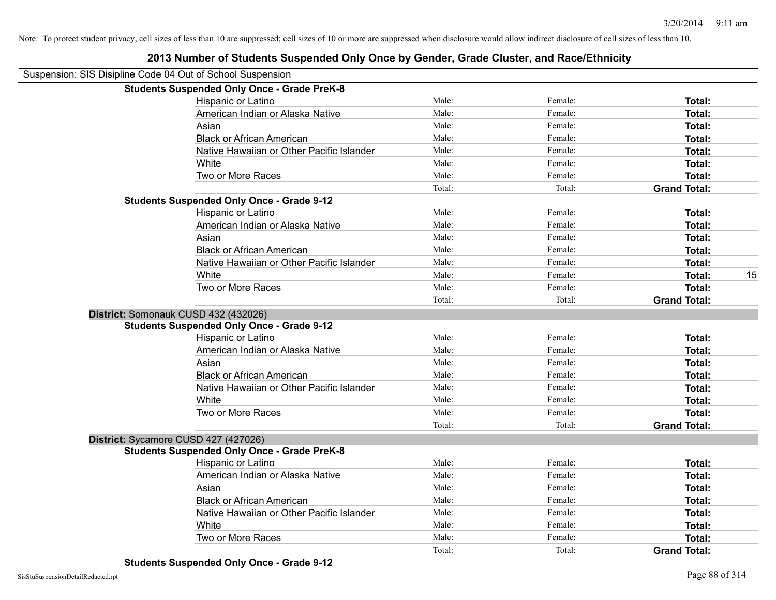| Suspension: SIS Disipline Code 04 Out of School Suspension |        |         |                     |    |
|------------------------------------------------------------|--------|---------|---------------------|----|
| <b>Students Suspended Only Once - Grade PreK-8</b>         |        |         |                     |    |
| Hispanic or Latino                                         | Male:  | Female: | Total:              |    |
| American Indian or Alaska Native                           | Male:  | Female: | Total:              |    |
| Asian                                                      | Male:  | Female: | Total:              |    |
| <b>Black or African American</b>                           | Male:  | Female: | Total:              |    |
| Native Hawaiian or Other Pacific Islander                  | Male:  | Female: | Total:              |    |
| White                                                      | Male:  | Female: | Total:              |    |
| Two or More Races                                          | Male:  | Female: | <b>Total:</b>       |    |
|                                                            | Total: | Total:  | <b>Grand Total:</b> |    |
| <b>Students Suspended Only Once - Grade 9-12</b>           |        |         |                     |    |
| Hispanic or Latino                                         | Male:  | Female: | Total:              |    |
| American Indian or Alaska Native                           | Male:  | Female: | Total:              |    |
| Asian                                                      | Male:  | Female: | Total:              |    |
| <b>Black or African American</b>                           | Male:  | Female: | Total:              |    |
| Native Hawaiian or Other Pacific Islander                  | Male:  | Female: | Total:              |    |
| White                                                      | Male:  | Female: | <b>Total:</b>       | 15 |
| Two or More Races                                          | Male:  | Female: | Total:              |    |
|                                                            | Total: | Total:  | <b>Grand Total:</b> |    |
| District: Somonauk CUSD 432 (432026)                       |        |         |                     |    |
| <b>Students Suspended Only Once - Grade 9-12</b>           |        |         |                     |    |
| Hispanic or Latino                                         | Male:  | Female: | Total:              |    |
| American Indian or Alaska Native                           | Male:  | Female: | Total:              |    |
| Asian                                                      | Male:  | Female: | Total:              |    |
| <b>Black or African American</b>                           | Male:  | Female: | Total:              |    |
| Native Hawaiian or Other Pacific Islander                  | Male:  | Female: | Total:              |    |
| White                                                      | Male:  | Female: | Total:              |    |
| Two or More Races                                          | Male:  | Female: | <b>Total:</b>       |    |
|                                                            | Total: | Total:  | <b>Grand Total:</b> |    |
| District: Sycamore CUSD 427 (427026)                       |        |         |                     |    |
| <b>Students Suspended Only Once - Grade PreK-8</b>         |        |         |                     |    |
| <b>Hispanic or Latino</b>                                  | Male:  | Female: | Total:              |    |
| American Indian or Alaska Native                           | Male:  | Female: | Total:              |    |
| Asian                                                      | Male:  | Female: | Total:              |    |
| <b>Black or African American</b>                           | Male:  | Female: | Total:              |    |
| Native Hawaiian or Other Pacific Islander                  | Male:  | Female: | <b>Total:</b>       |    |
| White                                                      | Male:  | Female: | Total:              |    |
| Two or More Races                                          | Male:  | Female: | <b>Total:</b>       |    |
|                                                            | Total: | Total:  | <b>Grand Total:</b> |    |
|                                                            |        |         |                     |    |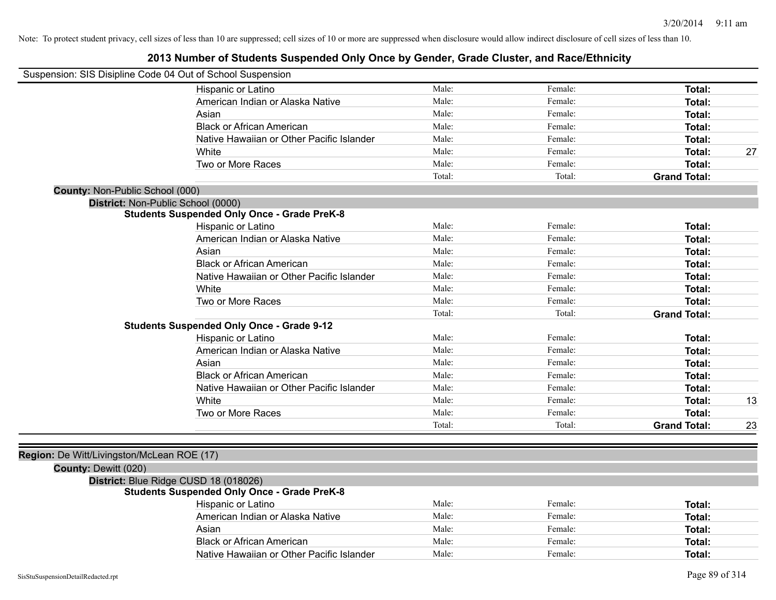| Suspension: SIS Disipline Code 04 Out of School Suspension |                                                    |        |         |                     |    |
|------------------------------------------------------------|----------------------------------------------------|--------|---------|---------------------|----|
|                                                            | Hispanic or Latino                                 | Male:  | Female: | Total:              |    |
|                                                            | American Indian or Alaska Native                   | Male:  | Female: | Total:              |    |
|                                                            | Asian                                              | Male:  | Female: | Total:              |    |
|                                                            | <b>Black or African American</b>                   | Male:  | Female: | Total:              |    |
|                                                            | Native Hawaiian or Other Pacific Islander          | Male:  | Female: | Total:              |    |
|                                                            | White                                              | Male:  | Female: | Total:              | 27 |
|                                                            | Two or More Races                                  | Male:  | Female: | Total:              |    |
|                                                            |                                                    | Total: | Total:  | <b>Grand Total:</b> |    |
| County: Non-Public School (000)                            |                                                    |        |         |                     |    |
|                                                            | District: Non-Public School (0000)                 |        |         |                     |    |
|                                                            | <b>Students Suspended Only Once - Grade PreK-8</b> |        |         |                     |    |
|                                                            | Hispanic or Latino                                 | Male:  | Female: | Total:              |    |
|                                                            | American Indian or Alaska Native                   | Male:  | Female: | Total:              |    |
|                                                            | Asian                                              | Male:  | Female: | Total:              |    |
|                                                            | <b>Black or African American</b>                   | Male:  | Female: | Total:              |    |
|                                                            | Native Hawaiian or Other Pacific Islander          | Male:  | Female: | Total:              |    |
|                                                            | White                                              | Male:  | Female: | Total:              |    |
|                                                            | Two or More Races                                  | Male:  | Female: | Total:              |    |
|                                                            |                                                    | Total: | Total:  | <b>Grand Total:</b> |    |
|                                                            | <b>Students Suspended Only Once - Grade 9-12</b>   |        |         |                     |    |
|                                                            | Hispanic or Latino                                 | Male:  | Female: | Total:              |    |
|                                                            | American Indian or Alaska Native                   | Male:  | Female: | Total:              |    |
|                                                            | Asian                                              | Male:  | Female: | Total:              |    |
|                                                            | <b>Black or African American</b>                   | Male:  | Female: | Total:              |    |
|                                                            | Native Hawaiian or Other Pacific Islander          | Male:  | Female: | Total:              |    |
|                                                            | White                                              | Male:  | Female: | Total:              | 13 |
|                                                            | Two or More Races                                  | Male:  | Female: | Total:              |    |
|                                                            |                                                    | Total: | Total:  | <b>Grand Total:</b> | 23 |
|                                                            |                                                    |        |         |                     |    |
| Region: De Witt/Livingston/McLean ROE (17)                 |                                                    |        |         |                     |    |
| County: Dewitt (020)                                       |                                                    |        |         |                     |    |
|                                                            | District: Blue Ridge CUSD 18 (018026)              |        |         |                     |    |
|                                                            | <b>Students Suspended Only Once - Grade PreK-8</b> |        |         |                     |    |
|                                                            | Hispanic or Latino                                 | Male:  | Female: | Total:              |    |
|                                                            | American Indian or Alaska Native                   | Male:  | Female: | Total:              |    |
|                                                            | Asian                                              | Male:  | Female: | Total:              |    |
|                                                            | <b>Black or African American</b>                   | Male:  | Female: | Total:              |    |
|                                                            | Native Hawaiian or Other Pacific Islander          | Male:  | Female: | Total:              |    |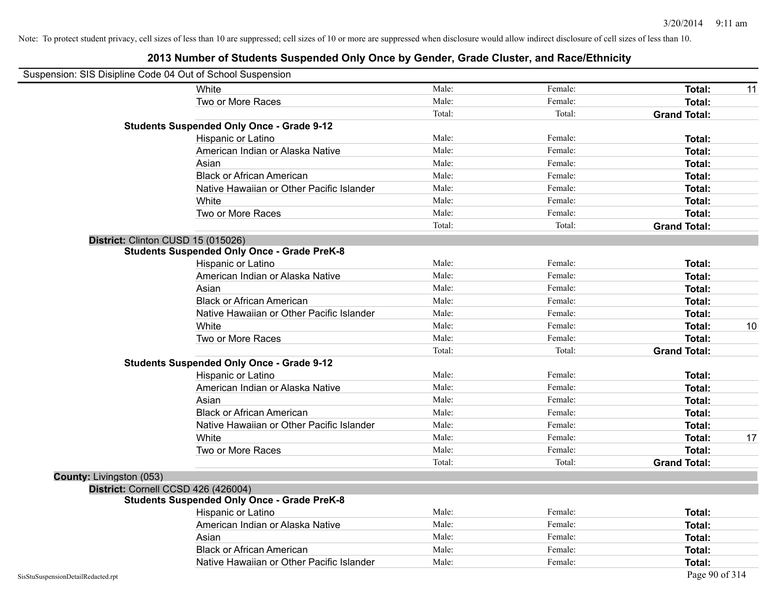| Suspension: SIS Disipline Code 04 Out of School Suspension |                                                    |        |         |                     |    |
|------------------------------------------------------------|----------------------------------------------------|--------|---------|---------------------|----|
|                                                            | White                                              | Male:  | Female: | <b>Total:</b>       | 11 |
|                                                            | Two or More Races                                  | Male:  | Female: | <b>Total:</b>       |    |
|                                                            |                                                    | Total: | Total:  | <b>Grand Total:</b> |    |
|                                                            | <b>Students Suspended Only Once - Grade 9-12</b>   |        |         |                     |    |
|                                                            | Hispanic or Latino                                 | Male:  | Female: | Total:              |    |
|                                                            | American Indian or Alaska Native                   | Male:  | Female: | Total:              |    |
|                                                            | Asian                                              | Male:  | Female: | Total:              |    |
|                                                            | <b>Black or African American</b>                   | Male:  | Female: | Total:              |    |
|                                                            | Native Hawaiian or Other Pacific Islander          | Male:  | Female: | Total:              |    |
|                                                            | White                                              | Male:  | Female: | Total:              |    |
|                                                            | Two or More Races                                  | Male:  | Female: | Total:              |    |
|                                                            |                                                    | Total: | Total:  | <b>Grand Total:</b> |    |
|                                                            | District: Clinton CUSD 15 (015026)                 |        |         |                     |    |
|                                                            | <b>Students Suspended Only Once - Grade PreK-8</b> |        |         |                     |    |
|                                                            | Hispanic or Latino                                 | Male:  | Female: | Total:              |    |
|                                                            | American Indian or Alaska Native                   | Male:  | Female: | <b>Total:</b>       |    |
|                                                            | Asian                                              | Male:  | Female: | Total:              |    |
|                                                            | <b>Black or African American</b>                   | Male:  | Female: | <b>Total:</b>       |    |
|                                                            | Native Hawaiian or Other Pacific Islander          | Male:  | Female: | <b>Total:</b>       |    |
|                                                            | White                                              | Male:  | Female: | Total:              | 10 |
|                                                            | Two or More Races                                  | Male:  | Female: | <b>Total:</b>       |    |
|                                                            |                                                    | Total: | Total:  | <b>Grand Total:</b> |    |
|                                                            | <b>Students Suspended Only Once - Grade 9-12</b>   |        |         |                     |    |
|                                                            | Hispanic or Latino                                 | Male:  | Female: | Total:              |    |
|                                                            | American Indian or Alaska Native                   | Male:  | Female: | Total:              |    |
|                                                            | Asian                                              | Male:  | Female: | Total:              |    |
|                                                            | <b>Black or African American</b>                   | Male:  | Female: | <b>Total:</b>       |    |
|                                                            | Native Hawaiian or Other Pacific Islander          | Male:  | Female: | <b>Total:</b>       |    |
|                                                            | White                                              | Male:  | Female: | Total:              | 17 |
|                                                            | Two or More Races                                  | Male:  | Female: | <b>Total:</b>       |    |
|                                                            |                                                    | Total: | Total:  | <b>Grand Total:</b> |    |
| County: Livingston (053)                                   |                                                    |        |         |                     |    |
|                                                            | District: Cornell CCSD 426 (426004)                |        |         |                     |    |
|                                                            | <b>Students Suspended Only Once - Grade PreK-8</b> |        |         |                     |    |
|                                                            | Hispanic or Latino                                 | Male:  | Female: | <b>Total:</b>       |    |
|                                                            | American Indian or Alaska Native                   | Male:  | Female: | <b>Total:</b>       |    |
|                                                            | Asian                                              | Male:  | Female: | <b>Total:</b>       |    |
|                                                            | <b>Black or African American</b>                   | Male:  | Female: | <b>Total:</b>       |    |
|                                                            | Native Hawaiian or Other Pacific Islander          | Male:  | Female: | Total:              |    |
| SisStuSuspensionDetailRedacted.rpt                         |                                                    |        |         | Page 90 of 314      |    |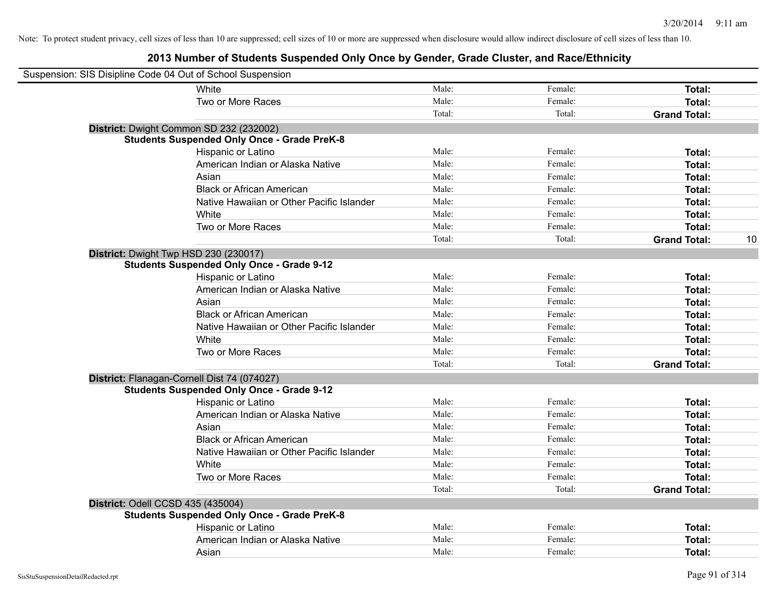| Suspension: SIS Disipline Code 04 Out of School Suspension |                                                    |        |         |                     |    |
|------------------------------------------------------------|----------------------------------------------------|--------|---------|---------------------|----|
| White                                                      |                                                    | Male:  | Female: | Total:              |    |
|                                                            | Two or More Races                                  | Male:  | Female: | Total:              |    |
|                                                            |                                                    | Total: | Total:  | <b>Grand Total:</b> |    |
| District: Dwight Common SD 232 (232002)                    |                                                    |        |         |                     |    |
|                                                            | <b>Students Suspended Only Once - Grade PreK-8</b> |        |         |                     |    |
|                                                            | Hispanic or Latino                                 | Male:  | Female: | Total:              |    |
|                                                            | American Indian or Alaska Native                   | Male:  | Female: | Total:              |    |
| Asian                                                      |                                                    | Male:  | Female: | Total:              |    |
|                                                            | <b>Black or African American</b>                   | Male:  | Female: | Total:              |    |
|                                                            | Native Hawaiian or Other Pacific Islander          | Male:  | Female: | Total:              |    |
| White                                                      |                                                    | Male:  | Female: | Total:              |    |
|                                                            | Two or More Races                                  | Male:  | Female: | Total:              |    |
|                                                            |                                                    | Total: | Total:  | <b>Grand Total:</b> | 10 |
| District: Dwight Twp HSD 230 (230017)                      |                                                    |        |         |                     |    |
|                                                            | <b>Students Suspended Only Once - Grade 9-12</b>   |        |         |                     |    |
|                                                            | Hispanic or Latino                                 | Male:  | Female: | Total:              |    |
|                                                            | American Indian or Alaska Native                   | Male:  | Female: | Total:              |    |
| Asian                                                      |                                                    | Male:  | Female: | Total:              |    |
|                                                            | <b>Black or African American</b>                   | Male:  | Female: | Total:              |    |
|                                                            | Native Hawaiian or Other Pacific Islander          | Male:  | Female: | Total:              |    |
| White                                                      |                                                    | Male:  | Female: | Total:              |    |
|                                                            | Two or More Races                                  | Male:  | Female: | Total:              |    |
|                                                            |                                                    | Total: | Total:  | <b>Grand Total:</b> |    |
| District: Flanagan-Cornell Dist 74 (074027)                |                                                    |        |         |                     |    |
|                                                            | <b>Students Suspended Only Once - Grade 9-12</b>   |        |         |                     |    |
|                                                            | Hispanic or Latino                                 | Male:  | Female: | Total:              |    |
|                                                            | American Indian or Alaska Native                   | Male:  | Female: | Total:              |    |
| Asian                                                      |                                                    | Male:  | Female: | Total:              |    |
|                                                            | <b>Black or African American</b>                   | Male:  | Female: | Total:              |    |
|                                                            | Native Hawaiian or Other Pacific Islander          | Male:  | Female: | Total:              |    |
| White                                                      |                                                    | Male:  | Female: | Total:              |    |
|                                                            | Two or More Races                                  | Male:  | Female: | Total:              |    |
|                                                            |                                                    | Total: | Total:  | <b>Grand Total:</b> |    |
| District: Odell CCSD 435 (435004)                          |                                                    |        |         |                     |    |
|                                                            | <b>Students Suspended Only Once - Grade PreK-8</b> |        |         |                     |    |
|                                                            | Hispanic or Latino                                 | Male:  | Female: | Total:              |    |
|                                                            | American Indian or Alaska Native                   | Male:  | Female: | Total:              |    |
| Asian                                                      |                                                    | Male:  | Female: | Total:              |    |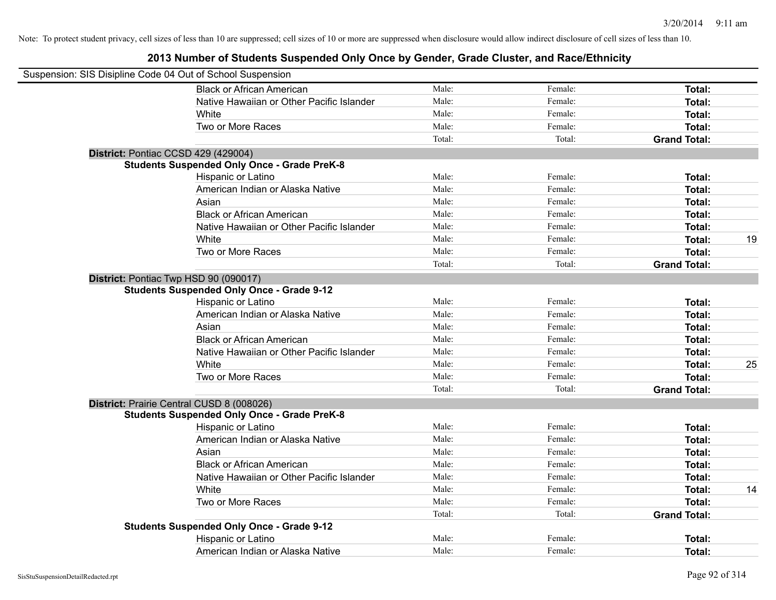| Suspension: SIS Disipline Code 04 Out of School Suspension |                                                    |        |         |                     |    |
|------------------------------------------------------------|----------------------------------------------------|--------|---------|---------------------|----|
|                                                            | <b>Black or African American</b>                   | Male:  | Female: | Total:              |    |
|                                                            | Native Hawaiian or Other Pacific Islander          | Male:  | Female: | Total:              |    |
|                                                            | White                                              | Male:  | Female: | Total:              |    |
|                                                            | Two or More Races                                  | Male:  | Female: | Total:              |    |
|                                                            |                                                    | Total: | Total:  | <b>Grand Total:</b> |    |
|                                                            | District: Pontiac CCSD 429 (429004)                |        |         |                     |    |
|                                                            | <b>Students Suspended Only Once - Grade PreK-8</b> |        |         |                     |    |
|                                                            | Hispanic or Latino                                 | Male:  | Female: | Total:              |    |
|                                                            | American Indian or Alaska Native                   | Male:  | Female: | Total:              |    |
|                                                            | Asian                                              | Male:  | Female: | Total:              |    |
|                                                            | <b>Black or African American</b>                   | Male:  | Female: | Total:              |    |
|                                                            | Native Hawaiian or Other Pacific Islander          | Male:  | Female: | Total:              |    |
|                                                            | White                                              | Male:  | Female: | Total:              | 19 |
|                                                            | Two or More Races                                  | Male:  | Female: | Total:              |    |
|                                                            |                                                    | Total: | Total:  | <b>Grand Total:</b> |    |
|                                                            | District: Pontiac Twp HSD 90 (090017)              |        |         |                     |    |
|                                                            | <b>Students Suspended Only Once - Grade 9-12</b>   |        |         |                     |    |
|                                                            | Hispanic or Latino                                 | Male:  | Female: | Total:              |    |
|                                                            | American Indian or Alaska Native                   | Male:  | Female: | Total:              |    |
|                                                            | Asian                                              | Male:  | Female: | Total:              |    |
|                                                            | <b>Black or African American</b>                   | Male:  | Female: | Total:              |    |
|                                                            | Native Hawaiian or Other Pacific Islander          | Male:  | Female: | Total:              |    |
|                                                            | White                                              | Male:  | Female: | Total:              | 25 |
|                                                            | Two or More Races                                  | Male:  | Female: | Total:              |    |
|                                                            |                                                    | Total: | Total:  | <b>Grand Total:</b> |    |
|                                                            | District: Prairie Central CUSD 8 (008026)          |        |         |                     |    |
|                                                            | <b>Students Suspended Only Once - Grade PreK-8</b> |        |         |                     |    |
|                                                            | Hispanic or Latino                                 | Male:  | Female: | Total:              |    |
|                                                            | American Indian or Alaska Native                   | Male:  | Female: | Total:              |    |
|                                                            | Asian                                              | Male:  | Female: | Total:              |    |
|                                                            | <b>Black or African American</b>                   | Male:  | Female: | Total:              |    |
|                                                            | Native Hawaiian or Other Pacific Islander          | Male:  | Female: | Total:              |    |
|                                                            | White                                              | Male:  | Female: | Total:              | 14 |
|                                                            | Two or More Races                                  | Male:  | Female: | Total:              |    |
|                                                            |                                                    | Total: | Total:  | <b>Grand Total:</b> |    |
|                                                            | <b>Students Suspended Only Once - Grade 9-12</b>   |        |         |                     |    |
|                                                            | Hispanic or Latino                                 | Male:  | Female: | Total:              |    |
|                                                            | American Indian or Alaska Native                   | Male:  | Female: | Total:              |    |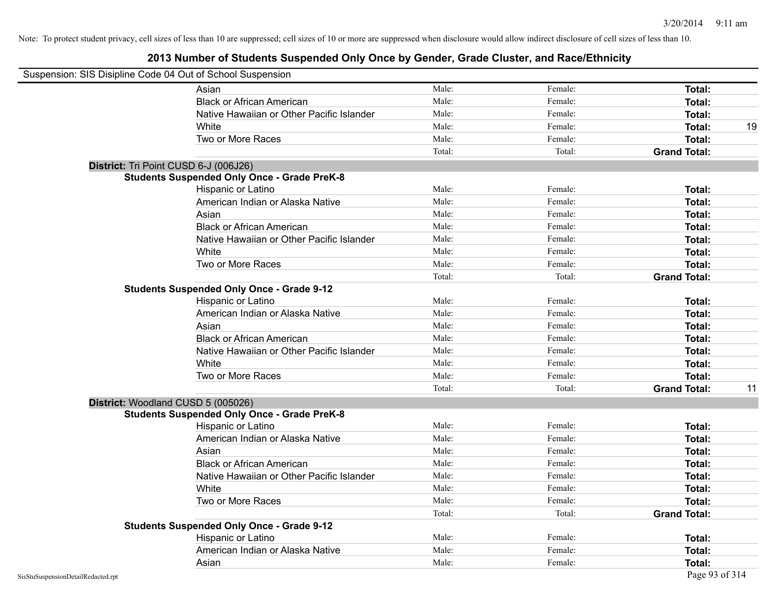| Suspension: SIS Disipline Code 04 Out of School Suspension |                                                    |        |         |                     |    |
|------------------------------------------------------------|----------------------------------------------------|--------|---------|---------------------|----|
|                                                            | Asian                                              | Male:  | Female: | Total:              |    |
|                                                            | <b>Black or African American</b>                   | Male:  | Female: | Total:              |    |
|                                                            | Native Hawaiian or Other Pacific Islander          | Male:  | Female: | Total:              |    |
|                                                            | White                                              | Male:  | Female: | Total:              | 19 |
|                                                            | Two or More Races                                  | Male:  | Female: | <b>Total:</b>       |    |
|                                                            |                                                    | Total: | Total:  | <b>Grand Total:</b> |    |
|                                                            | District: Tri Point CUSD 6-J (006J26)              |        |         |                     |    |
|                                                            | <b>Students Suspended Only Once - Grade PreK-8</b> |        |         |                     |    |
|                                                            | Hispanic or Latino                                 | Male:  | Female: | Total:              |    |
|                                                            | American Indian or Alaska Native                   | Male:  | Female: | Total:              |    |
|                                                            | Asian                                              | Male:  | Female: | Total:              |    |
|                                                            | <b>Black or African American</b>                   | Male:  | Female: | Total:              |    |
|                                                            | Native Hawaiian or Other Pacific Islander          | Male:  | Female: | Total:              |    |
|                                                            | White                                              | Male:  | Female: | Total:              |    |
|                                                            | Two or More Races                                  | Male:  | Female: | Total:              |    |
|                                                            |                                                    | Total: | Total:  | <b>Grand Total:</b> |    |
|                                                            | <b>Students Suspended Only Once - Grade 9-12</b>   |        |         |                     |    |
|                                                            | Hispanic or Latino                                 | Male:  | Female: | Total:              |    |
|                                                            | American Indian or Alaska Native                   | Male:  | Female: | Total:              |    |
|                                                            | Asian                                              | Male:  | Female: | Total:              |    |
|                                                            | <b>Black or African American</b>                   | Male:  | Female: | Total:              |    |
|                                                            | Native Hawaiian or Other Pacific Islander          | Male:  | Female: | Total:              |    |
|                                                            | White                                              | Male:  | Female: | Total:              |    |
|                                                            | Two or More Races                                  | Male:  | Female: | <b>Total:</b>       |    |
|                                                            |                                                    | Total: | Total:  | <b>Grand Total:</b> | 11 |
|                                                            | District: Woodland CUSD 5 (005026)                 |        |         |                     |    |
|                                                            | <b>Students Suspended Only Once - Grade PreK-8</b> |        |         |                     |    |
|                                                            | Hispanic or Latino                                 | Male:  | Female: | Total:              |    |
|                                                            | American Indian or Alaska Native                   | Male:  | Female: | Total:              |    |
|                                                            | Asian                                              | Male:  | Female: | Total:              |    |
|                                                            | <b>Black or African American</b>                   | Male:  | Female: | Total:              |    |
|                                                            | Native Hawaiian or Other Pacific Islander          | Male:  | Female: | Total:              |    |
|                                                            | White                                              | Male:  | Female: | Total:              |    |
|                                                            | Two or More Races                                  | Male:  | Female: | <b>Total:</b>       |    |
|                                                            |                                                    | Total: | Total:  | <b>Grand Total:</b> |    |
|                                                            | <b>Students Suspended Only Once - Grade 9-12</b>   |        |         |                     |    |
|                                                            | Hispanic or Latino                                 | Male:  | Female: | Total:              |    |
|                                                            | American Indian or Alaska Native                   | Male:  | Female: | Total:              |    |
|                                                            | Asian                                              | Male:  | Female: | Total:              |    |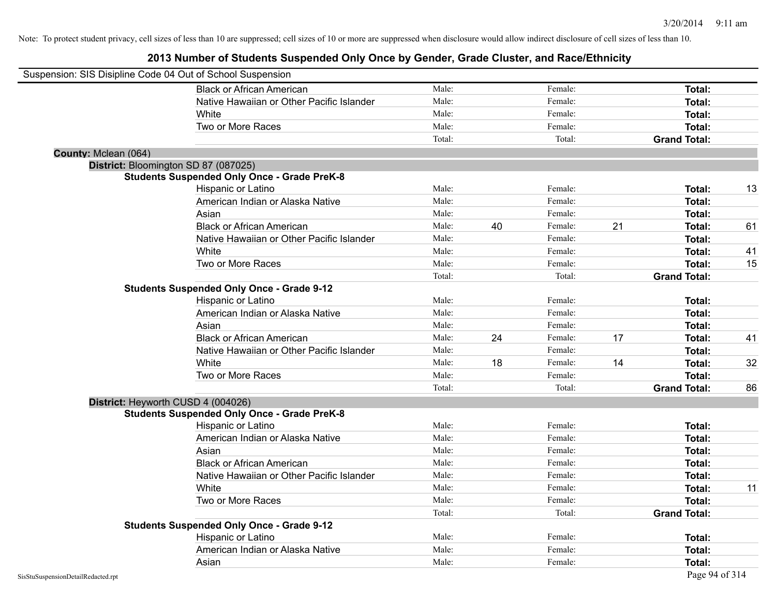| Suspension: SIS Disipline Code 04 Out of School Suspension |                                                    |        |    |         |    |                     |    |
|------------------------------------------------------------|----------------------------------------------------|--------|----|---------|----|---------------------|----|
|                                                            | <b>Black or African American</b>                   | Male:  |    | Female: |    | Total:              |    |
|                                                            | Native Hawaiian or Other Pacific Islander          | Male:  |    | Female: |    | Total:              |    |
|                                                            | White                                              | Male:  |    | Female: |    | Total:              |    |
|                                                            | Two or More Races                                  | Male:  |    | Female: |    | Total:              |    |
|                                                            |                                                    | Total: |    | Total:  |    | <b>Grand Total:</b> |    |
| County: Mclean (064)                                       |                                                    |        |    |         |    |                     |    |
| District: Bloomington SD 87 (087025)                       |                                                    |        |    |         |    |                     |    |
|                                                            | <b>Students Suspended Only Once - Grade PreK-8</b> |        |    |         |    |                     |    |
|                                                            | Hispanic or Latino                                 | Male:  |    | Female: |    | Total:              | 13 |
|                                                            | American Indian or Alaska Native                   | Male:  |    | Female: |    | Total:              |    |
|                                                            | Asian                                              | Male:  |    | Female: |    | Total:              |    |
|                                                            | <b>Black or African American</b>                   | Male:  | 40 | Female: | 21 | Total:              | 61 |
|                                                            | Native Hawaiian or Other Pacific Islander          | Male:  |    | Female: |    | Total:              |    |
|                                                            | White                                              | Male:  |    | Female: |    | Total:              | 41 |
|                                                            | Two or More Races                                  | Male:  |    | Female: |    | Total:              | 15 |
|                                                            |                                                    | Total: |    | Total:  |    | <b>Grand Total:</b> |    |
|                                                            | <b>Students Suspended Only Once - Grade 9-12</b>   |        |    |         |    |                     |    |
|                                                            | Hispanic or Latino                                 | Male:  |    | Female: |    | Total:              |    |
|                                                            | American Indian or Alaska Native                   | Male:  |    | Female: |    | Total:              |    |
|                                                            | Asian                                              | Male:  |    | Female: |    | Total:              |    |
|                                                            | <b>Black or African American</b>                   | Male:  | 24 | Female: | 17 | Total:              | 41 |
|                                                            | Native Hawaiian or Other Pacific Islander          | Male:  |    | Female: |    | Total:              |    |
|                                                            | White                                              | Male:  | 18 | Female: | 14 | Total:              | 32 |
|                                                            | Two or More Races                                  | Male:  |    | Female: |    | Total:              |    |
|                                                            |                                                    | Total: |    | Total:  |    | <b>Grand Total:</b> | 86 |
| District: Heyworth CUSD 4 (004026)                         |                                                    |        |    |         |    |                     |    |
|                                                            | <b>Students Suspended Only Once - Grade PreK-8</b> |        |    |         |    |                     |    |
|                                                            | Hispanic or Latino                                 | Male:  |    | Female: |    | Total:              |    |
|                                                            | American Indian or Alaska Native                   | Male:  |    | Female: |    | Total:              |    |
|                                                            | Asian                                              | Male:  |    | Female: |    | Total:              |    |
|                                                            | <b>Black or African American</b>                   | Male:  |    | Female: |    | Total:              |    |
|                                                            | Native Hawaiian or Other Pacific Islander          | Male:  |    | Female: |    | Total:              |    |
|                                                            | White                                              | Male:  |    | Female: |    | Total:              | 11 |
|                                                            | Two or More Races                                  | Male:  |    | Female: |    | Total:              |    |
|                                                            |                                                    | Total: |    | Total:  |    | <b>Grand Total:</b> |    |
|                                                            | <b>Students Suspended Only Once - Grade 9-12</b>   |        |    |         |    |                     |    |
|                                                            | Hispanic or Latino                                 | Male:  |    | Female: |    | Total:              |    |
|                                                            | American Indian or Alaska Native                   | Male:  |    | Female: |    | Total:              |    |
|                                                            | Asian                                              | Male:  |    | Female: |    | Total:              |    |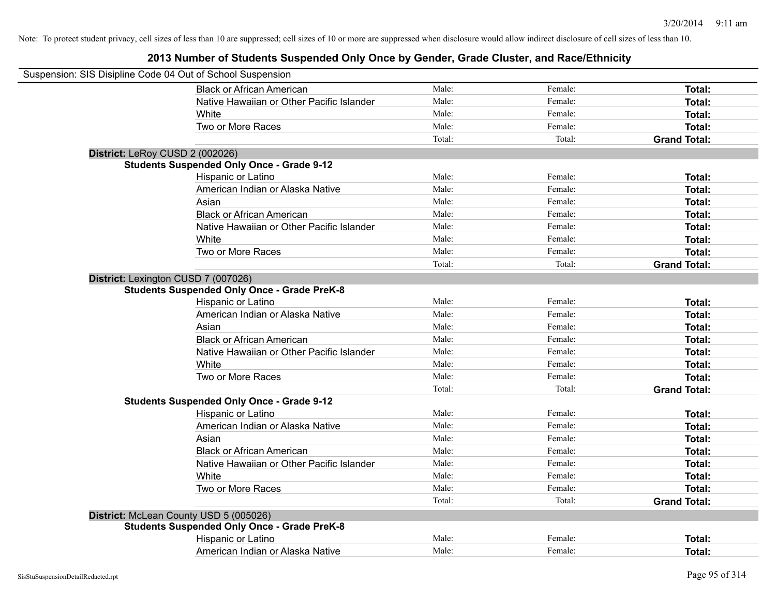| Suspension: SIS Disipline Code 04 Out of School Suspension |                                                    |        |         |                     |
|------------------------------------------------------------|----------------------------------------------------|--------|---------|---------------------|
|                                                            | <b>Black or African American</b>                   | Male:  | Female: | Total:              |
|                                                            | Native Hawaiian or Other Pacific Islander          | Male:  | Female: | Total:              |
|                                                            | <b>White</b>                                       | Male:  | Female: | Total:              |
|                                                            | Two or More Races                                  | Male:  | Female: | Total:              |
|                                                            |                                                    | Total: | Total:  | <b>Grand Total:</b> |
|                                                            | District: LeRoy CUSD 2 (002026)                    |        |         |                     |
|                                                            | <b>Students Suspended Only Once - Grade 9-12</b>   |        |         |                     |
|                                                            | Hispanic or Latino                                 | Male:  | Female: | Total:              |
|                                                            | American Indian or Alaska Native                   | Male:  | Female: | Total:              |
|                                                            | Asian                                              | Male:  | Female: | Total:              |
|                                                            | <b>Black or African American</b>                   | Male:  | Female: | Total:              |
|                                                            | Native Hawaiian or Other Pacific Islander          | Male:  | Female: | Total:              |
|                                                            | White                                              | Male:  | Female: | Total:              |
|                                                            | Two or More Races                                  | Male:  | Female: | Total:              |
|                                                            |                                                    | Total: | Total:  | <b>Grand Total:</b> |
|                                                            | District: Lexington CUSD 7 (007026)                |        |         |                     |
|                                                            | <b>Students Suspended Only Once - Grade PreK-8</b> |        |         |                     |
|                                                            | Hispanic or Latino                                 | Male:  | Female: | Total:              |
|                                                            | American Indian or Alaska Native                   | Male:  | Female: | Total:              |
|                                                            | Asian                                              | Male:  | Female: | Total:              |
|                                                            | <b>Black or African American</b>                   | Male:  | Female: | Total:              |
|                                                            | Native Hawaiian or Other Pacific Islander          | Male:  | Female: | Total:              |
|                                                            | White                                              | Male:  | Female: | Total:              |
|                                                            | Two or More Races                                  | Male:  | Female: | Total:              |
|                                                            |                                                    | Total: | Total:  | <b>Grand Total:</b> |
|                                                            | <b>Students Suspended Only Once - Grade 9-12</b>   |        |         |                     |
|                                                            | Hispanic or Latino                                 | Male:  | Female: | Total:              |
|                                                            | American Indian or Alaska Native                   | Male:  | Female: | Total:              |
|                                                            | Asian                                              | Male:  | Female: | Total:              |
|                                                            | <b>Black or African American</b>                   | Male:  | Female: | Total:              |
|                                                            | Native Hawaiian or Other Pacific Islander          | Male:  | Female: | Total:              |
|                                                            | White                                              | Male:  | Female: | Total:              |
|                                                            | Two or More Races                                  | Male:  | Female: | Total:              |
|                                                            |                                                    | Total: | Total:  | <b>Grand Total:</b> |
|                                                            | District: McLean County USD 5 (005026)             |        |         |                     |
|                                                            | <b>Students Suspended Only Once - Grade PreK-8</b> |        |         |                     |
|                                                            | Hispanic or Latino                                 | Male:  | Female: | Total:              |
|                                                            | American Indian or Alaska Native                   | Male:  | Female: | Total:              |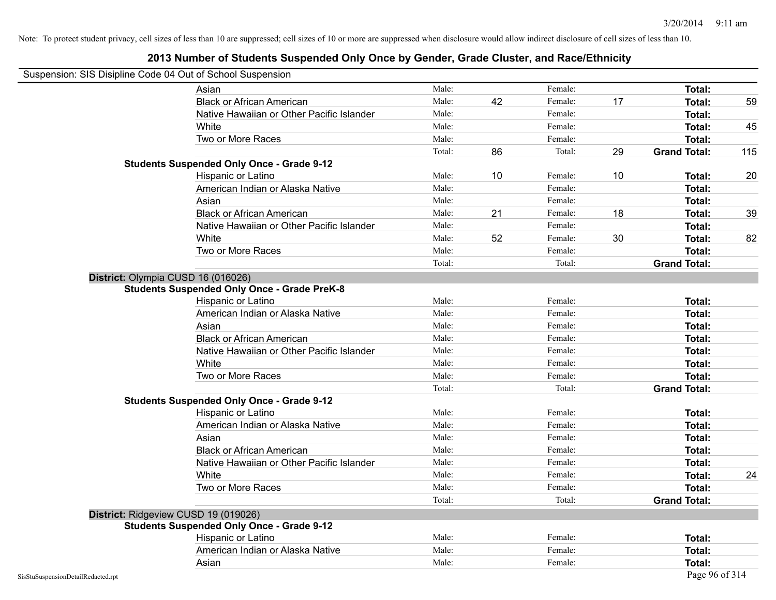### **2013 Number of Students Suspended Only Once by Gender, Grade Cluster, and Race/Ethnicity**

## Suspension: SIS Disipline Code 04 Out of School Suspension

|                                    | Asian                                              | Male:  |    | Female: |    | Total:              |     |
|------------------------------------|----------------------------------------------------|--------|----|---------|----|---------------------|-----|
|                                    | <b>Black or African American</b>                   | Male:  | 42 | Female: | 17 | Total:              | 59  |
|                                    | Native Hawaiian or Other Pacific Islander          | Male:  |    | Female: |    | Total:              |     |
|                                    | White                                              | Male:  |    | Female: |    | Total:              | 45  |
|                                    | Two or More Races                                  | Male:  |    | Female: |    | Total:              |     |
|                                    |                                                    | Total: | 86 | Total:  | 29 | <b>Grand Total:</b> | 115 |
|                                    | <b>Students Suspended Only Once - Grade 9-12</b>   |        |    |         |    |                     |     |
|                                    | Hispanic or Latino                                 | Male:  | 10 | Female: | 10 | Total:              | 20  |
|                                    | American Indian or Alaska Native                   | Male:  |    | Female: |    | Total:              |     |
|                                    | Asian                                              | Male:  |    | Female: |    | Total:              |     |
|                                    | <b>Black or African American</b>                   | Male:  | 21 | Female: | 18 | Total:              | 39  |
|                                    | Native Hawaiian or Other Pacific Islander          | Male:  |    | Female: |    | Total:              |     |
|                                    | White                                              | Male:  | 52 | Female: | 30 | Total:              | 82  |
|                                    | Two or More Races                                  | Male:  |    | Female: |    | Total:              |     |
|                                    |                                                    | Total: |    | Total:  |    | <b>Grand Total:</b> |     |
| District: Olympia CUSD 16 (016026) |                                                    |        |    |         |    |                     |     |
|                                    | <b>Students Suspended Only Once - Grade PreK-8</b> |        |    |         |    |                     |     |
|                                    | Hispanic or Latino                                 | Male:  |    | Female: |    | Total:              |     |
|                                    | American Indian or Alaska Native                   | Male:  |    | Female: |    | Total:              |     |
|                                    | Asian                                              | Male:  |    | Female: |    | Total:              |     |
|                                    | <b>Black or African American</b>                   | Male:  |    | Female: |    | Total:              |     |
|                                    | Native Hawaiian or Other Pacific Islander          | Male:  |    | Female: |    | Total:              |     |
|                                    | White                                              | Male:  |    | Female: |    | Total:              |     |
|                                    | Two or More Races                                  | Male:  |    | Female: |    | Total:              |     |
|                                    |                                                    | Total: |    | Total:  |    | <b>Grand Total:</b> |     |
|                                    | <b>Students Suspended Only Once - Grade 9-12</b>   |        |    |         |    |                     |     |
|                                    | Hispanic or Latino                                 | Male:  |    | Female: |    | Total:              |     |
|                                    | American Indian or Alaska Native                   | Male:  |    | Female: |    | Total:              |     |
|                                    | Asian                                              | Male:  |    | Female: |    | Total:              |     |
|                                    | <b>Black or African American</b>                   | Male:  |    | Female: |    | Total:              |     |
|                                    | Native Hawaiian or Other Pacific Islander          | Male:  |    | Female: |    | Total:              |     |
|                                    | White                                              | Male:  |    | Female: |    | Total:              | 24  |
|                                    | Two or More Races                                  | Male:  |    | Female: |    | Total:              |     |
|                                    |                                                    | Total: |    | Total:  |    | <b>Grand Total:</b> |     |
|                                    | District: Ridgeview CUSD 19 (019026)               |        |    |         |    |                     |     |
|                                    | <b>Students Suspended Only Once - Grade 9-12</b>   |        |    |         |    |                     |     |
|                                    | Hispanic or Latino                                 | Male:  |    | Female: |    | Total:              |     |
|                                    | American Indian or Alaska Native                   | Male:  |    | Female: |    | Total:              |     |
|                                    | Asian                                              | Male:  |    | Female: |    | <b>Total:</b>       |     |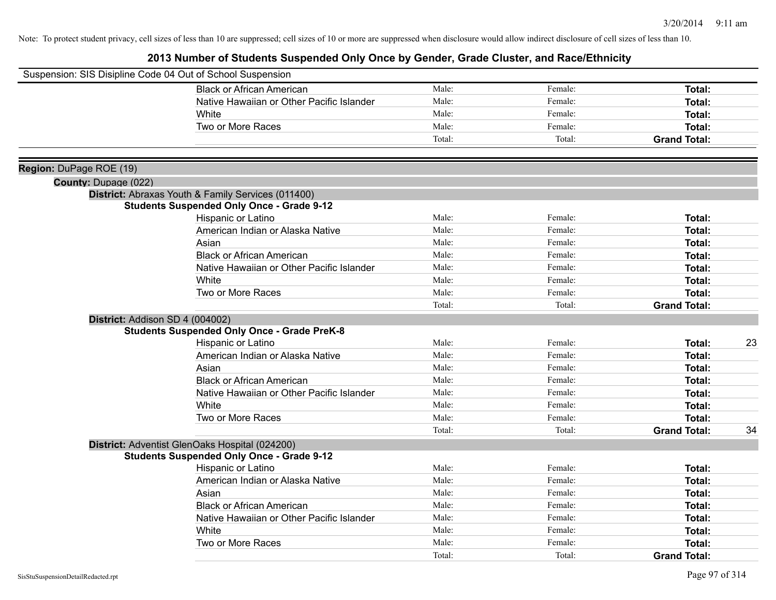|                             | Suspension: SIS Disipline Code 04 Out of School Suspension                                             |        |         |                     |    |
|-----------------------------|--------------------------------------------------------------------------------------------------------|--------|---------|---------------------|----|
|                             | <b>Black or African American</b>                                                                       | Male:  | Female: | Total:              |    |
|                             | Native Hawaiian or Other Pacific Islander                                                              | Male:  | Female: | Total:              |    |
|                             | White                                                                                                  | Male:  | Female: | <b>Total:</b>       |    |
|                             | Two or More Races                                                                                      | Male:  | Female: | Total:              |    |
|                             |                                                                                                        | Total: | Total:  | <b>Grand Total:</b> |    |
| Region: DuPage ROE (19)     |                                                                                                        |        |         |                     |    |
| <b>County: Dupage (022)</b> |                                                                                                        |        |         |                     |    |
|                             | District: Abraxas Youth & Family Services (011400)<br><b>Students Suspended Only Once - Grade 9-12</b> |        |         |                     |    |
|                             | Hispanic or Latino                                                                                     | Male:  | Female: | Total:              |    |
|                             | American Indian or Alaska Native                                                                       | Male:  | Female: | Total:              |    |
|                             | Asian                                                                                                  | Male:  | Female: | Total:              |    |
|                             | <b>Black or African American</b>                                                                       | Male:  | Female: | Total:              |    |
|                             | Native Hawaiian or Other Pacific Islander                                                              | Male:  | Female: | Total:              |    |
|                             | White                                                                                                  | Male:  | Female: | Total:              |    |
|                             | Two or More Races                                                                                      | Male:  | Female: | Total:              |    |
|                             |                                                                                                        | Total: | Total:  | <b>Grand Total:</b> |    |
|                             | District: Addison SD 4 (004002)                                                                        |        |         |                     |    |
|                             | <b>Students Suspended Only Once - Grade PreK-8</b>                                                     |        |         |                     |    |
|                             | Hispanic or Latino                                                                                     | Male:  | Female: | Total:              | 23 |
|                             | American Indian or Alaska Native                                                                       | Male:  | Female: | Total:              |    |
|                             | Asian                                                                                                  | Male:  | Female: | Total:              |    |
|                             | <b>Black or African American</b>                                                                       | Male:  | Female: | Total:              |    |
|                             | Native Hawaiian or Other Pacific Islander                                                              | Male:  | Female: | Total:              |    |
|                             | White                                                                                                  | Male:  | Female: | <b>Total:</b>       |    |
|                             | Two or More Races                                                                                      | Male:  | Female: | Total:              |    |
|                             |                                                                                                        | Total: | Total:  | <b>Grand Total:</b> | 34 |
|                             | District: Adventist GlenOaks Hospital (024200)                                                         |        |         |                     |    |
|                             | <b>Students Suspended Only Once - Grade 9-12</b>                                                       |        |         |                     |    |
|                             | Hispanic or Latino                                                                                     | Male:  | Female: | Total:              |    |
|                             | American Indian or Alaska Native                                                                       | Male:  | Female: | Total:              |    |
|                             | Asian                                                                                                  | Male:  | Female: | Total:              |    |
|                             | <b>Black or African American</b>                                                                       | Male:  | Female: | Total:              |    |
|                             | Native Hawaiian or Other Pacific Islander                                                              | Male:  | Female: | Total:              |    |
|                             | White                                                                                                  | Male:  | Female: | Total:              |    |
|                             | Two or More Races                                                                                      | Male:  | Female: | Total:              |    |
|                             |                                                                                                        | Total: | Total:  | <b>Grand Total:</b> |    |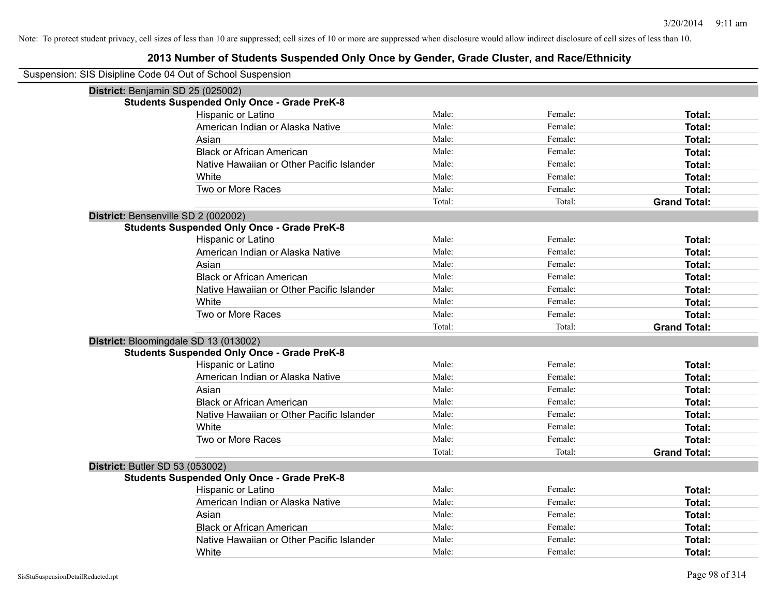| Suspension: SIS Disipline Code 04 Out of School Suspension |                                                    |        |         |                     |
|------------------------------------------------------------|----------------------------------------------------|--------|---------|---------------------|
| District: Benjamin SD 25 (025002)                          |                                                    |        |         |                     |
|                                                            | <b>Students Suspended Only Once - Grade PreK-8</b> |        |         |                     |
|                                                            | Hispanic or Latino                                 | Male:  | Female: | Total:              |
|                                                            | American Indian or Alaska Native                   | Male:  | Female: | Total:              |
|                                                            | Asian                                              | Male:  | Female: | Total:              |
|                                                            | <b>Black or African American</b>                   | Male:  | Female: | Total:              |
|                                                            | Native Hawaiian or Other Pacific Islander          | Male:  | Female: | Total:              |
|                                                            | White                                              | Male:  | Female: | Total:              |
|                                                            | Two or More Races                                  | Male:  | Female: | Total:              |
|                                                            |                                                    | Total: | Total:  | <b>Grand Total:</b> |
|                                                            | District: Bensenville SD 2 (002002)                |        |         |                     |
|                                                            | <b>Students Suspended Only Once - Grade PreK-8</b> |        |         |                     |
|                                                            | Hispanic or Latino                                 | Male:  | Female: | Total:              |
|                                                            | American Indian or Alaska Native                   | Male:  | Female: | Total:              |
|                                                            | Asian                                              | Male:  | Female: | Total:              |
|                                                            | <b>Black or African American</b>                   | Male:  | Female: | Total:              |
|                                                            | Native Hawaiian or Other Pacific Islander          | Male:  | Female: | Total:              |
|                                                            | White                                              | Male:  | Female: | Total:              |
|                                                            | Two or More Races                                  | Male:  | Female: | Total:              |
|                                                            |                                                    | Total: | Total:  | <b>Grand Total:</b> |
|                                                            | District: Bloomingdale SD 13 (013002)              |        |         |                     |
|                                                            | <b>Students Suspended Only Once - Grade PreK-8</b> |        |         |                     |
|                                                            | Hispanic or Latino                                 | Male:  | Female: | Total:              |
|                                                            | American Indian or Alaska Native                   | Male:  | Female: | Total:              |
|                                                            | Asian                                              | Male:  | Female: | Total:              |
|                                                            | <b>Black or African American</b>                   | Male:  | Female: | Total:              |
|                                                            | Native Hawaiian or Other Pacific Islander          | Male:  | Female: | Total:              |
|                                                            | White                                              | Male:  | Female: | Total:              |
|                                                            | Two or More Races                                  | Male:  | Female: | Total:              |
|                                                            |                                                    | Total: | Total:  | <b>Grand Total:</b> |
| <b>District: Butler SD 53 (053002)</b>                     |                                                    |        |         |                     |
|                                                            | <b>Students Suspended Only Once - Grade PreK-8</b> |        |         |                     |
|                                                            | Hispanic or Latino                                 | Male:  | Female: | Total:              |
|                                                            | American Indian or Alaska Native                   | Male:  | Female: | Total:              |
|                                                            | Asian                                              | Male:  | Female: | Total:              |
|                                                            | <b>Black or African American</b>                   | Male:  | Female: | <b>Total:</b>       |
|                                                            | Native Hawaiian or Other Pacific Islander          | Male:  | Female: | <b>Total:</b>       |
|                                                            | White                                              | Male:  | Female: | Total:              |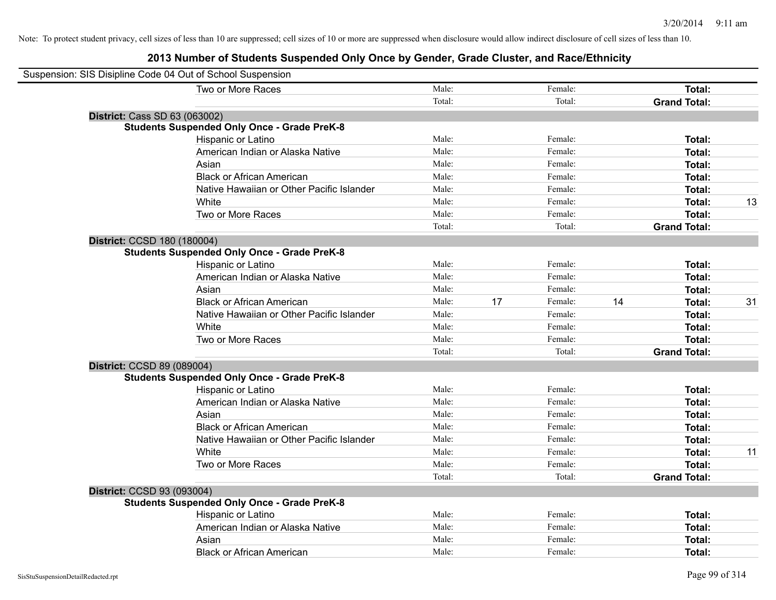| Suspension: SIS Disipline Code 04 Out of School Suspension |                                           |        |    |         |    |                     |    |
|------------------------------------------------------------|-------------------------------------------|--------|----|---------|----|---------------------|----|
|                                                            | Two or More Races                         | Male:  |    | Female: |    | Total:              |    |
|                                                            |                                           | Total: |    | Total:  |    | <b>Grand Total:</b> |    |
| <b>District: Cass SD 63 (063002)</b>                       |                                           |        |    |         |    |                     |    |
| <b>Students Suspended Only Once - Grade PreK-8</b>         |                                           |        |    |         |    |                     |    |
| Hispanic or Latino                                         |                                           | Male:  |    | Female: |    | Total:              |    |
|                                                            | American Indian or Alaska Native          | Male:  |    | Female: |    | Total:              |    |
| Asian                                                      |                                           | Male:  |    | Female: |    | Total:              |    |
|                                                            | <b>Black or African American</b>          | Male:  |    | Female: |    | Total:              |    |
|                                                            | Native Hawaiian or Other Pacific Islander | Male:  |    | Female: |    | Total:              |    |
| White                                                      |                                           | Male:  |    | Female: |    | Total:              | 13 |
|                                                            | Two or More Races                         | Male:  |    | Female: |    | Total:              |    |
|                                                            |                                           | Total: |    | Total:  |    | <b>Grand Total:</b> |    |
| District: CCSD 180 (180004)                                |                                           |        |    |         |    |                     |    |
| <b>Students Suspended Only Once - Grade PreK-8</b>         |                                           |        |    |         |    |                     |    |
| Hispanic or Latino                                         |                                           | Male:  |    | Female: |    | Total:              |    |
|                                                            | American Indian or Alaska Native          | Male:  |    | Female: |    | Total:              |    |
| Asian                                                      |                                           | Male:  |    | Female: |    | Total:              |    |
|                                                            | <b>Black or African American</b>          | Male:  | 17 | Female: | 14 | Total:              | 31 |
|                                                            | Native Hawaiian or Other Pacific Islander | Male:  |    | Female: |    | Total:              |    |
| White                                                      |                                           | Male:  |    | Female: |    | Total:              |    |
|                                                            | Two or More Races                         | Male:  |    | Female: |    | Total:              |    |
|                                                            |                                           | Total: |    | Total:  |    | <b>Grand Total:</b> |    |
| District: CCSD 89 (089004)                                 |                                           |        |    |         |    |                     |    |
| <b>Students Suspended Only Once - Grade PreK-8</b>         |                                           |        |    |         |    |                     |    |
| Hispanic or Latino                                         |                                           | Male:  |    | Female: |    | Total:              |    |
|                                                            | American Indian or Alaska Native          | Male:  |    | Female: |    | Total:              |    |
| Asian                                                      |                                           | Male:  |    | Female: |    | Total:              |    |
|                                                            | <b>Black or African American</b>          | Male:  |    | Female: |    | Total:              |    |
|                                                            | Native Hawaiian or Other Pacific Islander | Male:  |    | Female: |    | Total:              |    |
| White                                                      |                                           | Male:  |    | Female: |    | Total:              | 11 |
|                                                            | Two or More Races                         | Male:  |    | Female: |    | Total:              |    |
|                                                            |                                           | Total: |    | Total:  |    | <b>Grand Total:</b> |    |
| District: CCSD 93 (093004)                                 |                                           |        |    |         |    |                     |    |
| <b>Students Suspended Only Once - Grade PreK-8</b>         |                                           |        |    |         |    |                     |    |
| Hispanic or Latino                                         |                                           | Male:  |    | Female: |    | Total:              |    |
|                                                            | American Indian or Alaska Native          | Male:  |    | Female: |    | Total:              |    |
| Asian                                                      |                                           | Male:  |    | Female: |    | Total:              |    |
|                                                            | <b>Black or African American</b>          | Male:  |    | Female: |    | Total:              |    |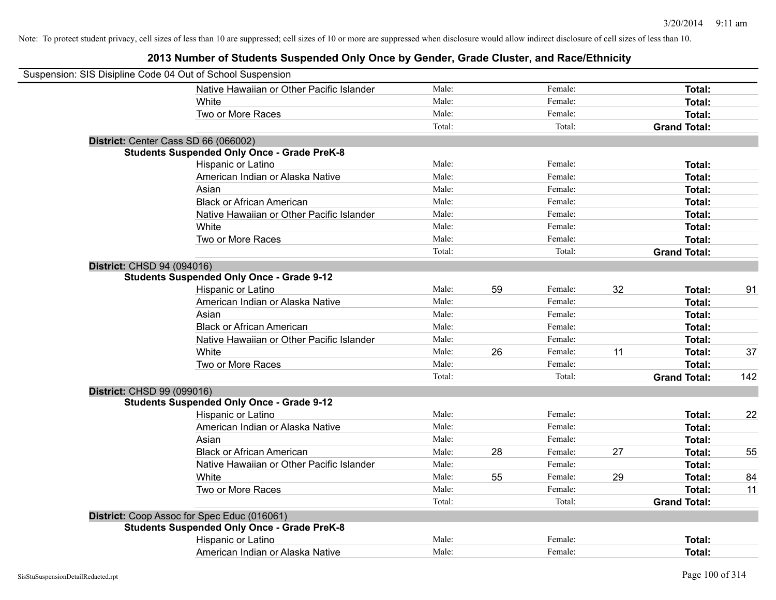| Suspension: SIS Disipline Code 04 Out of School Suspension |        |    |         |    |                     |     |
|------------------------------------------------------------|--------|----|---------|----|---------------------|-----|
| Native Hawaiian or Other Pacific Islander                  | Male:  |    | Female: |    | Total:              |     |
| White                                                      | Male:  |    | Female: |    | Total:              |     |
| Two or More Races                                          | Male:  |    | Female: |    | Total:              |     |
|                                                            | Total: |    | Total:  |    | <b>Grand Total:</b> |     |
| District: Center Cass SD 66 (066002)                       |        |    |         |    |                     |     |
| <b>Students Suspended Only Once - Grade PreK-8</b>         |        |    |         |    |                     |     |
| Hispanic or Latino                                         | Male:  |    | Female: |    | Total:              |     |
| American Indian or Alaska Native                           | Male:  |    | Female: |    | Total:              |     |
| Asian                                                      | Male:  |    | Female: |    | Total:              |     |
| <b>Black or African American</b>                           | Male:  |    | Female: |    | Total:              |     |
| Native Hawaiian or Other Pacific Islander                  | Male:  |    | Female: |    | Total:              |     |
| White                                                      | Male:  |    | Female: |    | Total:              |     |
| Two or More Races                                          | Male:  |    | Female: |    | Total:              |     |
|                                                            | Total: |    | Total:  |    | <b>Grand Total:</b> |     |
| District: CHSD 94 (094016)                                 |        |    |         |    |                     |     |
| <b>Students Suspended Only Once - Grade 9-12</b>           |        |    |         |    |                     |     |
| Hispanic or Latino                                         | Male:  | 59 | Female: | 32 | Total:              | 91  |
| American Indian or Alaska Native                           | Male:  |    | Female: |    | Total:              |     |
| Asian                                                      | Male:  |    | Female: |    | Total:              |     |
| <b>Black or African American</b>                           | Male:  |    | Female: |    | Total:              |     |
| Native Hawaiian or Other Pacific Islander                  | Male:  |    | Female: |    | Total:              |     |
| <b>White</b>                                               | Male:  | 26 | Female: | 11 | Total:              | 37  |
| Two or More Races                                          | Male:  |    | Female: |    | Total:              |     |
|                                                            | Total: |    | Total:  |    | <b>Grand Total:</b> | 142 |
| District: CHSD 99 (099016)                                 |        |    |         |    |                     |     |
| <b>Students Suspended Only Once - Grade 9-12</b>           |        |    |         |    |                     |     |
| Hispanic or Latino                                         | Male:  |    | Female: |    | Total:              | 22  |
| American Indian or Alaska Native                           | Male:  |    | Female: |    | Total:              |     |
| Asian                                                      | Male:  |    | Female: |    | Total:              |     |
| <b>Black or African American</b>                           | Male:  | 28 | Female: | 27 | Total:              | 55  |
| Native Hawaiian or Other Pacific Islander                  | Male:  |    | Female: |    | Total:              |     |
| White                                                      | Male:  | 55 | Female: | 29 | Total:              | 84  |
| Two or More Races                                          | Male:  |    | Female: |    | Total:              | 11  |
|                                                            | Total: |    | Total:  |    | <b>Grand Total:</b> |     |
| District: Coop Assoc for Spec Educ (016061)                |        |    |         |    |                     |     |
| <b>Students Suspended Only Once - Grade PreK-8</b>         |        |    |         |    |                     |     |
| Hispanic or Latino                                         | Male:  |    | Female: |    | Total:              |     |
| American Indian or Alaska Native                           | Male:  |    | Female: |    | Total:              |     |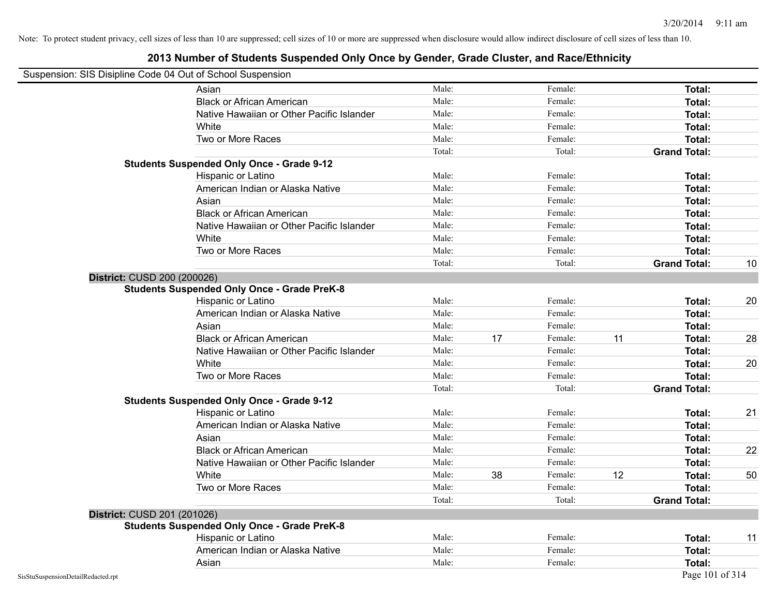### **2013 Number of Students Suspended Only Once by Gender, Grade Cluster, and Race/Ethnicity**

### Suspension: SIS Disipline Code 04 Out of School Suspension

| ousperision. Old Disiplifie Coue 04 Out of Scribol Susperision | Asian                                              | Male:  |    | Female: |    | Total:              |    |
|----------------------------------------------------------------|----------------------------------------------------|--------|----|---------|----|---------------------|----|
|                                                                | <b>Black or African American</b>                   | Male:  |    | Female: |    | Total:              |    |
|                                                                | Native Hawaiian or Other Pacific Islander          | Male:  |    | Female: |    | Total:              |    |
|                                                                | White                                              | Male:  |    | Female: |    | Total:              |    |
|                                                                | Two or More Races                                  | Male:  |    | Female: |    | Total:              |    |
|                                                                |                                                    | Total: |    | Total:  |    | <b>Grand Total:</b> |    |
|                                                                | <b>Students Suspended Only Once - Grade 9-12</b>   |        |    |         |    |                     |    |
|                                                                | Hispanic or Latino                                 | Male:  |    | Female: |    | Total:              |    |
|                                                                | American Indian or Alaska Native                   | Male:  |    | Female: |    | Total:              |    |
|                                                                | Asian                                              | Male:  |    | Female: |    | Total:              |    |
|                                                                | <b>Black or African American</b>                   | Male:  |    | Female: |    | Total:              |    |
|                                                                | Native Hawaiian or Other Pacific Islander          | Male:  |    | Female: |    | Total:              |    |
|                                                                | White                                              | Male:  |    | Female: |    | Total:              |    |
|                                                                | Two or More Races                                  | Male:  |    | Female: |    | Total:              |    |
|                                                                |                                                    | Total: |    | Total:  |    | <b>Grand Total:</b> | 10 |
| District: CUSD 200 (200026)                                    |                                                    |        |    |         |    |                     |    |
|                                                                | <b>Students Suspended Only Once - Grade PreK-8</b> |        |    |         |    |                     |    |
|                                                                | Hispanic or Latino                                 | Male:  |    | Female: |    | Total:              | 20 |
|                                                                | American Indian or Alaska Native                   | Male:  |    | Female: |    | Total:              |    |
|                                                                | Asian                                              | Male:  |    | Female: |    | Total:              |    |
|                                                                | <b>Black or African American</b>                   | Male:  | 17 | Female: | 11 | Total:              | 28 |
|                                                                | Native Hawaiian or Other Pacific Islander          | Male:  |    | Female: |    | Total:              |    |
|                                                                | White                                              | Male:  |    | Female: |    | Total:              | 20 |
|                                                                | Two or More Races                                  | Male:  |    | Female: |    | Total:              |    |
|                                                                |                                                    | Total: |    | Total:  |    | <b>Grand Total:</b> |    |
|                                                                | <b>Students Suspended Only Once - Grade 9-12</b>   |        |    |         |    |                     |    |
|                                                                | Hispanic or Latino                                 | Male:  |    | Female: |    | Total:              | 21 |
|                                                                | American Indian or Alaska Native                   | Male:  |    | Female: |    | Total:              |    |
|                                                                | Asian                                              | Male:  |    | Female: |    | Total:              |    |
|                                                                | <b>Black or African American</b>                   | Male:  |    | Female: |    | Total:              | 22 |
|                                                                | Native Hawaiian or Other Pacific Islander          | Male:  |    | Female: |    | Total:              |    |
|                                                                | White                                              | Male:  | 38 | Female: | 12 | Total:              | 50 |
|                                                                | Two or More Races                                  | Male:  |    | Female: |    | Total:              |    |
|                                                                |                                                    | Total: |    | Total:  |    | <b>Grand Total:</b> |    |
| District: CUSD 201 (201026)                                    |                                                    |        |    |         |    |                     |    |
|                                                                | <b>Students Suspended Only Once - Grade PreK-8</b> |        |    |         |    |                     |    |
|                                                                | Hispanic or Latino                                 | Male:  |    | Female: |    | Total:              | 11 |
|                                                                | American Indian or Alaska Native                   | Male:  |    | Female: |    | Total:              |    |
|                                                                | Asian                                              | Male:  |    | Female: |    | Total:              |    |
| SisStuSuspensionDetailRedacted.rpt                             |                                                    |        |    |         |    | Page 101 of 314     |    |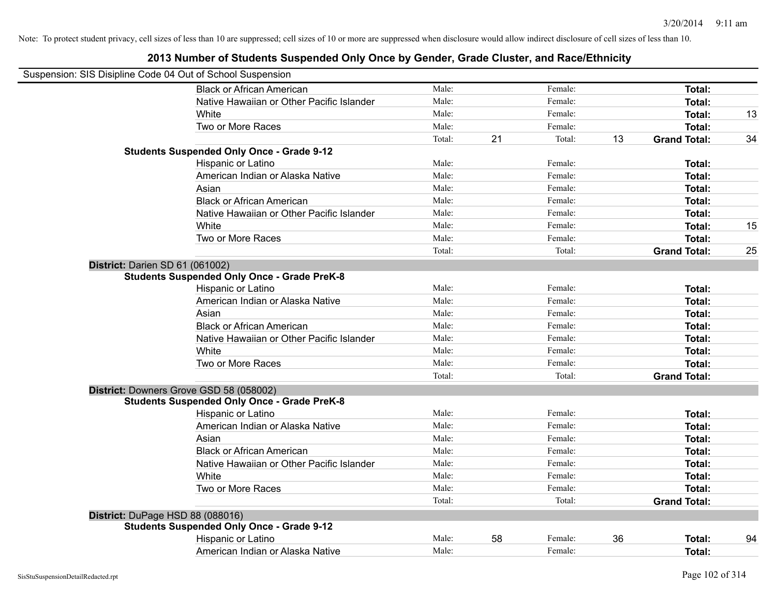|                                  | Suspension: SIS Disipline Code 04 Out of School Suspension                                    |        |    |         |    |                     |    |
|----------------------------------|-----------------------------------------------------------------------------------------------|--------|----|---------|----|---------------------|----|
|                                  | <b>Black or African American</b>                                                              | Male:  |    | Female: |    | Total:              |    |
|                                  | Native Hawaiian or Other Pacific Islander                                                     | Male:  |    | Female: |    | Total:              |    |
|                                  | White                                                                                         | Male:  |    | Female: |    | Total:              | 13 |
|                                  | Two or More Races                                                                             | Male:  |    | Female: |    | Total:              |    |
|                                  |                                                                                               | Total: | 21 | Total:  | 13 | <b>Grand Total:</b> | 34 |
|                                  | <b>Students Suspended Only Once - Grade 9-12</b>                                              |        |    |         |    |                     |    |
|                                  | Hispanic or Latino                                                                            | Male:  |    | Female: |    | Total:              |    |
|                                  | American Indian or Alaska Native                                                              | Male:  |    | Female: |    | Total:              |    |
|                                  | Asian                                                                                         | Male:  |    | Female: |    | Total:              |    |
|                                  | <b>Black or African American</b>                                                              | Male:  |    | Female: |    | Total:              |    |
|                                  | Native Hawaiian or Other Pacific Islander                                                     | Male:  |    | Female: |    | Total:              |    |
|                                  | White                                                                                         | Male:  |    | Female: |    | Total:              | 15 |
|                                  | Two or More Races                                                                             | Male:  |    | Female: |    | Total:              |    |
|                                  |                                                                                               | Total: |    | Total:  |    | <b>Grand Total:</b> | 25 |
| District: Darien SD 61 (061002)  |                                                                                               |        |    |         |    |                     |    |
|                                  | <b>Students Suspended Only Once - Grade PreK-8</b>                                            |        |    |         |    |                     |    |
|                                  | Hispanic or Latino                                                                            | Male:  |    | Female: |    | Total:              |    |
|                                  | American Indian or Alaska Native                                                              | Male:  |    | Female: |    | Total:              |    |
|                                  | Asian                                                                                         | Male:  |    | Female: |    | Total:              |    |
|                                  | <b>Black or African American</b>                                                              | Male:  |    | Female: |    | Total:              |    |
|                                  | Native Hawaiian or Other Pacific Islander                                                     | Male:  |    | Female: |    | Total:              |    |
|                                  | White                                                                                         | Male:  |    | Female: |    | Total:              |    |
|                                  | Two or More Races                                                                             | Male:  |    | Female: |    | Total:              |    |
|                                  |                                                                                               | Total: |    | Total:  |    | <b>Grand Total:</b> |    |
|                                  | District: Downers Grove GSD 58 (058002)<br><b>Students Suspended Only Once - Grade PreK-8</b> |        |    |         |    |                     |    |
|                                  | Hispanic or Latino                                                                            | Male:  |    | Female: |    | Total:              |    |
|                                  | American Indian or Alaska Native                                                              | Male:  |    | Female: |    | Total:              |    |
|                                  | Asian                                                                                         | Male:  |    | Female: |    | Total:              |    |
|                                  | <b>Black or African American</b>                                                              | Male:  |    | Female: |    | Total:              |    |
|                                  | Native Hawaiian or Other Pacific Islander                                                     | Male:  |    | Female: |    | Total:              |    |
|                                  | White                                                                                         | Male:  |    | Female: |    | Total:              |    |
|                                  | Two or More Races                                                                             | Male:  |    | Female: |    | Total:              |    |
|                                  |                                                                                               | Total: |    | Total:  |    | <b>Grand Total:</b> |    |
| District: DuPage HSD 88 (088016) |                                                                                               |        |    |         |    |                     |    |
|                                  | <b>Students Suspended Only Once - Grade 9-12</b>                                              |        |    |         |    |                     |    |
|                                  | Hispanic or Latino                                                                            | Male:  | 58 | Female: | 36 | Total:              | 94 |
|                                  | American Indian or Alaska Native                                                              | Male:  |    | Female: |    | Total:              |    |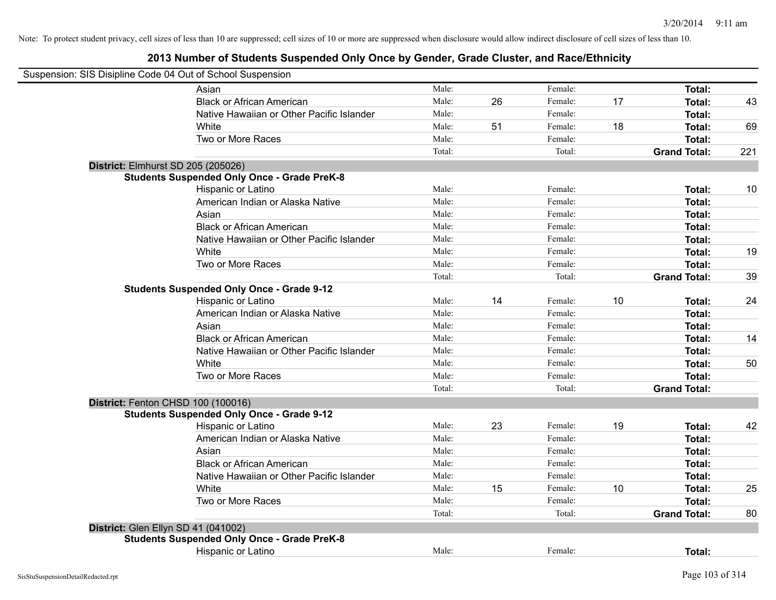| Suspension: SIS Disipline Code 04 Out of School Suspension |                                                    |        |    |         |    |                     |     |
|------------------------------------------------------------|----------------------------------------------------|--------|----|---------|----|---------------------|-----|
|                                                            | Asian                                              | Male:  |    | Female: |    | Total:              |     |
|                                                            | <b>Black or African American</b>                   | Male:  | 26 | Female: | 17 | Total:              | 43  |
|                                                            | Native Hawaiian or Other Pacific Islander          | Male:  |    | Female: |    | Total:              |     |
|                                                            | White                                              | Male:  | 51 | Female: | 18 | Total:              | 69  |
|                                                            | Two or More Races                                  | Male:  |    | Female: |    | Total:              |     |
|                                                            |                                                    | Total: |    | Total:  |    | <b>Grand Total:</b> | 221 |
|                                                            | District: Elmhurst SD 205 (205026)                 |        |    |         |    |                     |     |
|                                                            | <b>Students Suspended Only Once - Grade PreK-8</b> |        |    |         |    |                     |     |
|                                                            | Hispanic or Latino                                 | Male:  |    | Female: |    | Total:              | 10  |
|                                                            | American Indian or Alaska Native                   | Male:  |    | Female: |    | Total:              |     |
|                                                            | Asian                                              | Male:  |    | Female: |    | Total:              |     |
|                                                            | <b>Black or African American</b>                   | Male:  |    | Female: |    | Total:              |     |
|                                                            | Native Hawaiian or Other Pacific Islander          | Male:  |    | Female: |    | Total:              |     |
|                                                            | White                                              | Male:  |    | Female: |    | Total:              | 19  |
|                                                            | Two or More Races                                  | Male:  |    | Female: |    | Total:              |     |
|                                                            |                                                    | Total: |    | Total:  |    | <b>Grand Total:</b> | 39  |
|                                                            | <b>Students Suspended Only Once - Grade 9-12</b>   |        |    |         |    |                     |     |
|                                                            | Hispanic or Latino                                 | Male:  | 14 | Female: | 10 | Total:              | 24  |
|                                                            | American Indian or Alaska Native                   | Male:  |    | Female: |    | Total:              |     |
|                                                            | Asian                                              | Male:  |    | Female: |    | Total:              |     |
|                                                            | <b>Black or African American</b>                   | Male:  |    | Female: |    | Total:              | 14  |
|                                                            | Native Hawaiian or Other Pacific Islander          | Male:  |    | Female: |    | Total:              |     |
|                                                            | White                                              | Male:  |    | Female: |    | Total:              | 50  |
|                                                            | Two or More Races                                  | Male:  |    | Female: |    | Total:              |     |
|                                                            |                                                    | Total: |    | Total:  |    | <b>Grand Total:</b> |     |
|                                                            | District: Fenton CHSD 100 (100016)                 |        |    |         |    |                     |     |
|                                                            | <b>Students Suspended Only Once - Grade 9-12</b>   |        |    |         |    |                     |     |
|                                                            | Hispanic or Latino                                 | Male:  | 23 | Female: | 19 | Total:              | 42  |
|                                                            | American Indian or Alaska Native                   | Male:  |    | Female: |    | Total:              |     |
|                                                            | Asian                                              | Male:  |    | Female: |    | Total:              |     |
|                                                            | <b>Black or African American</b>                   | Male:  |    | Female: |    | Total:              |     |
|                                                            | Native Hawaiian or Other Pacific Islander          | Male:  |    | Female: |    | Total:              |     |
|                                                            | White                                              | Male:  | 15 | Female: | 10 | Total:              | 25  |
|                                                            | Two or More Races                                  | Male:  |    | Female: |    | Total:              |     |
|                                                            |                                                    | Total: |    | Total:  |    | <b>Grand Total:</b> | 80  |
|                                                            | District: Glen Ellyn SD 41 (041002)                |        |    |         |    |                     |     |
|                                                            | <b>Students Suspended Only Once - Grade PreK-8</b> |        |    |         |    |                     |     |
|                                                            | Hispanic or Latino                                 | Male:  |    | Female: |    | Total:              |     |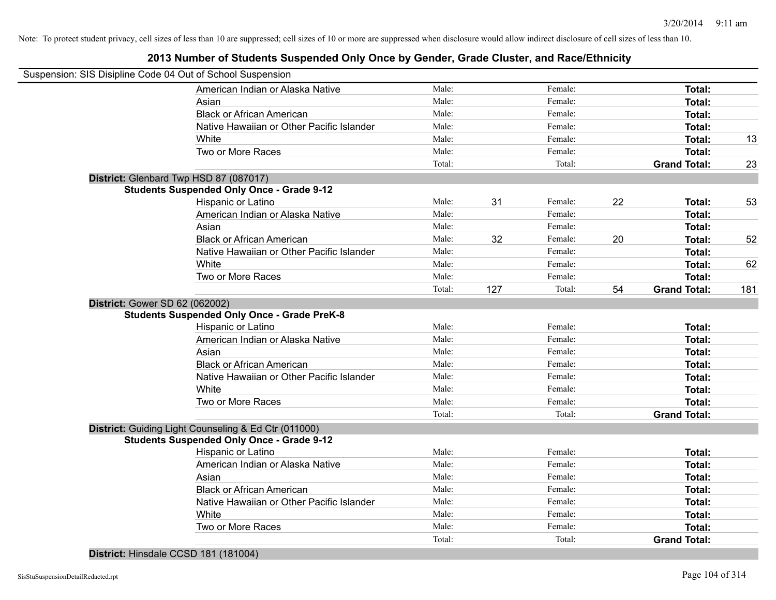### **2013 Number of Students Suspended Only Once by Gender, Grade Cluster, and Race/Ethnicity**

| Suspension: SIS Disipline Code 04 Out of School Suspension |                                                      |        |     |         |    |                     |     |
|------------------------------------------------------------|------------------------------------------------------|--------|-----|---------|----|---------------------|-----|
|                                                            | American Indian or Alaska Native                     | Male:  |     | Female: |    | Total:              |     |
|                                                            | Asian                                                | Male:  |     | Female: |    | Total:              |     |
|                                                            | <b>Black or African American</b>                     | Male:  |     | Female: |    | Total:              |     |
|                                                            | Native Hawaiian or Other Pacific Islander            | Male:  |     | Female: |    | Total:              |     |
|                                                            | White                                                | Male:  |     | Female: |    | Total:              | 13  |
|                                                            | Two or More Races                                    | Male:  |     | Female: |    | <b>Total:</b>       |     |
|                                                            |                                                      | Total: |     | Total:  |    | <b>Grand Total:</b> | 23  |
| District: Glenbard Twp HSD 87 (087017)                     |                                                      |        |     |         |    |                     |     |
|                                                            | <b>Students Suspended Only Once - Grade 9-12</b>     |        |     |         |    |                     |     |
|                                                            | Hispanic or Latino                                   | Male:  | 31  | Female: | 22 | Total:              | 53  |
|                                                            | American Indian or Alaska Native                     | Male:  |     | Female: |    | Total:              |     |
|                                                            | Asian                                                | Male:  |     | Female: |    | Total:              |     |
|                                                            | <b>Black or African American</b>                     | Male:  | 32  | Female: | 20 | Total:              | 52  |
|                                                            | Native Hawaiian or Other Pacific Islander            | Male:  |     | Female: |    | Total:              |     |
|                                                            | White                                                | Male:  |     | Female: |    | Total:              | 62  |
|                                                            | Two or More Races                                    | Male:  |     | Female: |    | <b>Total:</b>       |     |
|                                                            |                                                      | Total: | 127 | Total:  | 54 | <b>Grand Total:</b> | 181 |
| <b>District: Gower SD 62 (062002)</b>                      |                                                      |        |     |         |    |                     |     |
|                                                            | <b>Students Suspended Only Once - Grade PreK-8</b>   |        |     |         |    |                     |     |
|                                                            | Hispanic or Latino                                   | Male:  |     | Female: |    | Total:              |     |
|                                                            | American Indian or Alaska Native                     | Male:  |     | Female: |    | Total:              |     |
|                                                            | Asian                                                | Male:  |     | Female: |    | Total:              |     |
|                                                            | <b>Black or African American</b>                     | Male:  |     | Female: |    | Total:              |     |
|                                                            | Native Hawaiian or Other Pacific Islander            | Male:  |     | Female: |    | Total:              |     |
|                                                            | White                                                | Male:  |     | Female: |    | Total:              |     |
|                                                            | Two or More Races                                    | Male:  |     | Female: |    | Total:              |     |
|                                                            |                                                      | Total: |     | Total:  |    | <b>Grand Total:</b> |     |
|                                                            | District: Guiding Light Counseling & Ed Ctr (011000) |        |     |         |    |                     |     |
|                                                            | <b>Students Suspended Only Once - Grade 9-12</b>     |        |     |         |    |                     |     |
|                                                            | Hispanic or Latino                                   | Male:  |     | Female: |    | Total:              |     |
|                                                            | American Indian or Alaska Native                     | Male:  |     | Female: |    | Total:              |     |
|                                                            | Asian                                                | Male:  |     | Female: |    | Total:              |     |
|                                                            | <b>Black or African American</b>                     | Male:  |     | Female: |    | Total:              |     |
|                                                            | Native Hawaiian or Other Pacific Islander            | Male:  |     | Female: |    | Total:              |     |
|                                                            | White                                                | Male:  |     | Female: |    | <b>Total:</b>       |     |
|                                                            | Two or More Races                                    | Male:  |     | Female: |    | <b>Total:</b>       |     |
|                                                            |                                                      | Total: |     | Total:  |    | <b>Grand Total:</b> |     |

**District:** Hinsdale CCSD 181 (181004)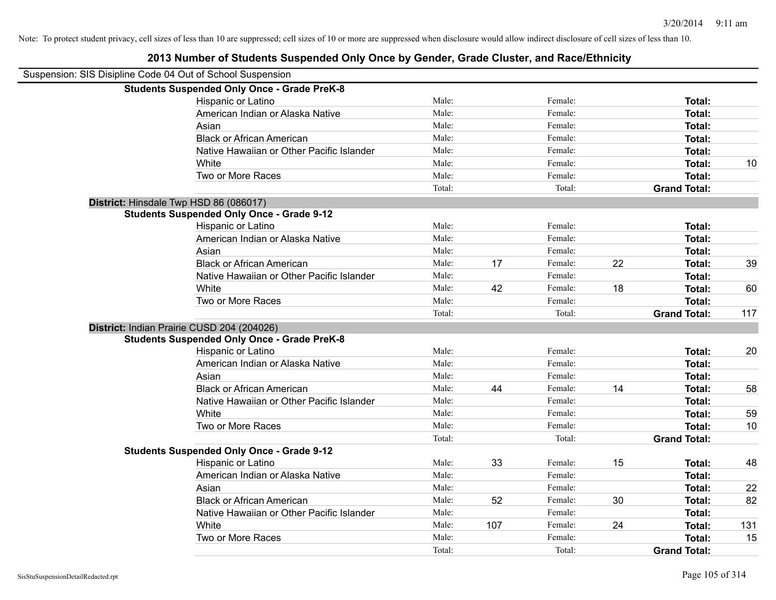| 2013 Number of Students Suspended Only Once by Gender, Grade Cluster, and Race/Ethnicity |        |     |         |    |                     |     |
|------------------------------------------------------------------------------------------|--------|-----|---------|----|---------------------|-----|
| Suspension: SIS Disipline Code 04 Out of School Suspension                               |        |     |         |    |                     |     |
| <b>Students Suspended Only Once - Grade PreK-8</b>                                       |        |     |         |    |                     |     |
| Hispanic or Latino                                                                       | Male:  |     | Female: |    | Total:              |     |
| American Indian or Alaska Native                                                         | Male:  |     | Female: |    | Total:              |     |
| Asian                                                                                    | Male:  |     | Female: |    | Total:              |     |
| <b>Black or African American</b>                                                         | Male:  |     | Female: |    | <b>Total:</b>       |     |
| Native Hawaiian or Other Pacific Islander                                                | Male:  |     | Female: |    | <b>Total:</b>       |     |
| White                                                                                    | Male:  |     | Female: |    | <b>Total:</b>       | 10  |
| Two or More Races                                                                        | Male:  |     | Female: |    | <b>Total:</b>       |     |
|                                                                                          | Total: |     | Total:  |    | <b>Grand Total:</b> |     |
| District: Hinsdale Twp HSD 86 (086017)                                                   |        |     |         |    |                     |     |
| <b>Students Suspended Only Once - Grade 9-12</b>                                         |        |     |         |    |                     |     |
| Hispanic or Latino                                                                       | Male:  |     | Female: |    | <b>Total:</b>       |     |
| American Indian or Alaska Native                                                         | Male:  |     | Female: |    | <b>Total:</b>       |     |
| Asian                                                                                    | Male:  |     | Female: |    | <b>Total:</b>       |     |
| <b>Black or African American</b>                                                         | Male:  | 17  | Female: | 22 | <b>Total:</b>       | 39  |
| Native Hawaiian or Other Pacific Islander                                                | Male:  |     | Female: |    | <b>Total:</b>       |     |
| White                                                                                    | Male:  | 42  | Female: | 18 | <b>Total:</b>       | 60  |
| Two or More Races                                                                        | Male:  |     | Female: |    | <b>Total:</b>       |     |
|                                                                                          | Total: |     | Total:  |    | <b>Grand Total:</b> | 117 |
| District: Indian Prairie CUSD 204 (204026)                                               |        |     |         |    |                     |     |
| <b>Students Suspended Only Once - Grade PreK-8</b>                                       |        |     |         |    |                     |     |
| Hispanic or Latino                                                                       | Male:  |     | Female: |    | Total:              | 20  |
| American Indian or Alaska Native                                                         | Male:  |     | Female: |    | <b>Total:</b>       |     |
| Asian                                                                                    | Male:  |     | Female: |    | <b>Total:</b>       |     |
| <b>Black or African American</b>                                                         | Male:  | 44  | Female: | 14 | <b>Total:</b>       | 58  |
| Native Hawaiian or Other Pacific Islander                                                | Male:  |     | Female: |    | <b>Total:</b>       |     |
| White                                                                                    | Male:  |     | Female: |    | Total:              | 59  |
| Two or More Races                                                                        | Male:  |     | Female: |    | Total:              | 10  |
|                                                                                          | Total: |     | Total:  |    | <b>Grand Total:</b> |     |
| <b>Students Suspended Only Once - Grade 9-12</b>                                         |        |     |         |    |                     |     |
| Hispanic or Latino                                                                       | Male:  | 33  | Female: | 15 | Total:              | 48  |
| American Indian or Alaska Native                                                         | Male:  |     | Female: |    | <b>Total:</b>       |     |
| Asian                                                                                    | Male:  |     | Female: |    | <b>Total:</b>       | 22  |
| <b>Black or African American</b>                                                         | Male:  | 52  | Female: | 30 | <b>Total:</b>       | 82  |
| Native Hawaiian or Other Pacific Islander                                                | Male:  |     | Female: |    | <b>Total:</b>       |     |
| White                                                                                    | Male:  | 107 | Female: | 24 | <b>Total:</b>       | 131 |
| Two or More Races                                                                        | Male:  |     | Female: |    | Total:              | 15  |

# **2013 Number of Students Suspended Only Once by Gender, Grade Cluster, and Race/Ethnicity**

Total: Total: **Grand Total:**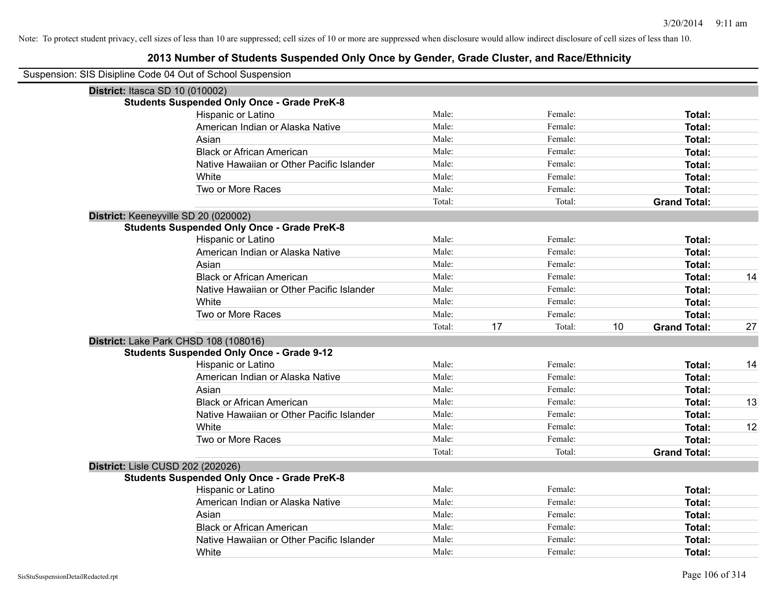| Suspension: SIS Disipline Code 04 Out of School Suspension |        |    |         |    |                     |    |
|------------------------------------------------------------|--------|----|---------|----|---------------------|----|
| District: Itasca SD 10 (010002)                            |        |    |         |    |                     |    |
| <b>Students Suspended Only Once - Grade PreK-8</b>         |        |    |         |    |                     |    |
| Hispanic or Latino                                         | Male:  |    | Female: |    | Total:              |    |
| American Indian or Alaska Native                           | Male:  |    | Female: |    | Total:              |    |
| Asian                                                      | Male:  |    | Female: |    | Total:              |    |
| <b>Black or African American</b>                           | Male:  |    | Female: |    | Total:              |    |
| Native Hawaiian or Other Pacific Islander                  | Male:  |    | Female: |    | Total:              |    |
| White                                                      | Male:  |    | Female: |    | Total:              |    |
| Two or More Races                                          | Male:  |    | Female: |    | Total:              |    |
|                                                            | Total: |    | Total:  |    | <b>Grand Total:</b> |    |
| District: Keeneyville SD 20 (020002)                       |        |    |         |    |                     |    |
| <b>Students Suspended Only Once - Grade PreK-8</b>         |        |    |         |    |                     |    |
| Hispanic or Latino                                         | Male:  |    | Female: |    | Total:              |    |
| American Indian or Alaska Native                           | Male:  |    | Female: |    | Total:              |    |
| Asian                                                      | Male:  |    | Female: |    | Total:              |    |
| <b>Black or African American</b>                           | Male:  |    | Female: |    | Total:              | 14 |
| Native Hawaiian or Other Pacific Islander                  | Male:  |    | Female: |    | Total:              |    |
| White                                                      | Male:  |    | Female: |    | Total:              |    |
| Two or More Races                                          | Male:  |    | Female: |    | Total:              |    |
|                                                            | Total: | 17 | Total:  | 10 | <b>Grand Total:</b> | 27 |
| District: Lake Park CHSD 108 (108016)                      |        |    |         |    |                     |    |
| <b>Students Suspended Only Once - Grade 9-12</b>           |        |    |         |    |                     |    |
| Hispanic or Latino                                         | Male:  |    | Female: |    | Total:              | 14 |
| American Indian or Alaska Native                           | Male:  |    | Female: |    | Total:              |    |
| Asian                                                      | Male:  |    | Female: |    | Total:              |    |
| <b>Black or African American</b>                           | Male:  |    | Female: |    | Total:              | 13 |
| Native Hawaiian or Other Pacific Islander                  | Male:  |    | Female: |    | Total:              |    |
| White                                                      | Male:  |    | Female: |    | Total:              | 12 |
| Two or More Races                                          | Male:  |    | Female: |    | Total:              |    |
|                                                            | Total: |    | Total:  |    | <b>Grand Total:</b> |    |
| District: Lisle CUSD 202 (202026)                          |        |    |         |    |                     |    |
| <b>Students Suspended Only Once - Grade PreK-8</b>         |        |    |         |    |                     |    |
| Hispanic or Latino                                         | Male:  |    | Female: |    | Total:              |    |
| American Indian or Alaska Native                           | Male:  |    | Female: |    | Total:              |    |
| Asian                                                      | Male:  |    | Female: |    | Total:              |    |
| <b>Black or African American</b>                           | Male:  |    | Female: |    | Total:              |    |
| Native Hawaiian or Other Pacific Islander                  | Male:  |    | Female: |    | Total:              |    |
| White                                                      | Male:  |    | Female: |    | Total:              |    |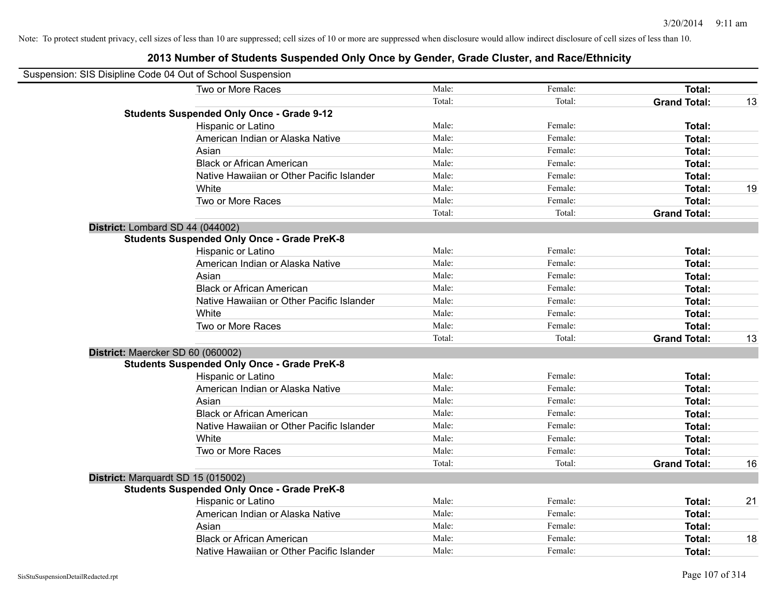| Suspension: SIS Disipline Code 04 Out of School Suspension |                                                    |        |         |                     |    |
|------------------------------------------------------------|----------------------------------------------------|--------|---------|---------------------|----|
|                                                            | Two or More Races                                  | Male:  | Female: | <b>Total:</b>       |    |
|                                                            |                                                    | Total: | Total:  | <b>Grand Total:</b> | 13 |
|                                                            | <b>Students Suspended Only Once - Grade 9-12</b>   |        |         |                     |    |
|                                                            | Hispanic or Latino                                 | Male:  | Female: | Total:              |    |
|                                                            | American Indian or Alaska Native                   | Male:  | Female: | Total:              |    |
|                                                            | Asian                                              | Male:  | Female: | Total:              |    |
|                                                            | <b>Black or African American</b>                   | Male:  | Female: | Total:              |    |
|                                                            | Native Hawaiian or Other Pacific Islander          | Male:  | Female: | Total:              |    |
|                                                            | White                                              | Male:  | Female: | Total:              | 19 |
|                                                            | Two or More Races                                  | Male:  | Female: | Total:              |    |
|                                                            |                                                    | Total: | Total:  | <b>Grand Total:</b> |    |
| District: Lombard SD 44 (044002)                           |                                                    |        |         |                     |    |
|                                                            | <b>Students Suspended Only Once - Grade PreK-8</b> |        |         |                     |    |
|                                                            | Hispanic or Latino                                 | Male:  | Female: | Total:              |    |
|                                                            | American Indian or Alaska Native                   | Male:  | Female: | Total:              |    |
|                                                            | Asian                                              | Male:  | Female: | Total:              |    |
|                                                            | <b>Black or African American</b>                   | Male:  | Female: | Total:              |    |
|                                                            | Native Hawaiian or Other Pacific Islander          | Male:  | Female: | Total:              |    |
|                                                            | White                                              | Male:  | Female: | Total:              |    |
|                                                            | Two or More Races                                  | Male:  | Female: | Total:              |    |
|                                                            |                                                    | Total: | Total:  | <b>Grand Total:</b> | 13 |
| District: Maercker SD 60 (060002)                          |                                                    |        |         |                     |    |
|                                                            | <b>Students Suspended Only Once - Grade PreK-8</b> |        |         |                     |    |
|                                                            | Hispanic or Latino                                 | Male:  | Female: | Total:              |    |
|                                                            | American Indian or Alaska Native                   | Male:  | Female: | Total:              |    |
|                                                            | Asian                                              | Male:  | Female: | Total:              |    |
|                                                            | <b>Black or African American</b>                   | Male:  | Female: | Total:              |    |
|                                                            | Native Hawaiian or Other Pacific Islander          | Male:  | Female: | Total:              |    |
|                                                            | White                                              | Male:  | Female: | Total:              |    |
|                                                            | Two or More Races                                  | Male:  | Female: | Total:              |    |
|                                                            |                                                    | Total: | Total:  | <b>Grand Total:</b> | 16 |
|                                                            | District: Marquardt SD 15 (015002)                 |        |         |                     |    |
|                                                            | <b>Students Suspended Only Once - Grade PreK-8</b> |        |         |                     |    |
|                                                            | Hispanic or Latino                                 | Male:  | Female: | Total:              | 21 |
|                                                            | American Indian or Alaska Native                   | Male:  | Female: | Total:              |    |
|                                                            | Asian                                              | Male:  | Female: | Total:              |    |
|                                                            | <b>Black or African American</b>                   | Male:  | Female: | Total:              | 18 |
|                                                            | Native Hawaiian or Other Pacific Islander          | Male:  | Female: | Total:              |    |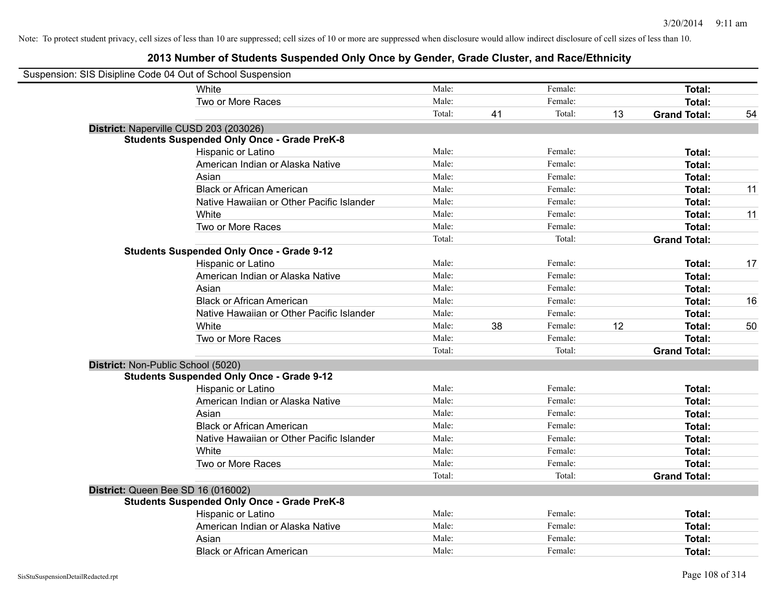| Suspension: SIS Disipline Code 04 Out of School Suspension |        |    |         |    |                     |    |
|------------------------------------------------------------|--------|----|---------|----|---------------------|----|
| White                                                      | Male:  |    | Female: |    | Total:              |    |
| Two or More Races                                          | Male:  |    | Female: |    | <b>Total:</b>       |    |
|                                                            | Total: | 41 | Total:  | 13 | <b>Grand Total:</b> | 54 |
| District: Naperville CUSD 203 (203026)                     |        |    |         |    |                     |    |
| <b>Students Suspended Only Once - Grade PreK-8</b>         |        |    |         |    |                     |    |
| Hispanic or Latino                                         | Male:  |    | Female: |    | Total:              |    |
| American Indian or Alaska Native                           | Male:  |    | Female: |    | <b>Total:</b>       |    |
| Asian                                                      | Male:  |    | Female: |    | Total:              |    |
| <b>Black or African American</b>                           | Male:  |    | Female: |    | <b>Total:</b>       | 11 |
| Native Hawaiian or Other Pacific Islander                  | Male:  |    | Female: |    | Total:              |    |
| White                                                      | Male:  |    | Female: |    | <b>Total:</b>       | 11 |
| Two or More Races                                          | Male:  |    | Female: |    | <b>Total:</b>       |    |
|                                                            | Total: |    | Total:  |    | <b>Grand Total:</b> |    |
| <b>Students Suspended Only Once - Grade 9-12</b>           |        |    |         |    |                     |    |
| Hispanic or Latino                                         | Male:  |    | Female: |    | <b>Total:</b>       | 17 |
| American Indian or Alaska Native                           | Male:  |    | Female: |    | <b>Total:</b>       |    |
| Asian                                                      | Male:  |    | Female: |    | Total:              |    |
| <b>Black or African American</b>                           | Male:  |    | Female: |    | <b>Total:</b>       | 16 |
| Native Hawaiian or Other Pacific Islander                  | Male:  |    | Female: |    | <b>Total:</b>       |    |
| White                                                      | Male:  | 38 | Female: | 12 | Total:              | 50 |
| Two or More Races                                          | Male:  |    | Female: |    | Total:              |    |
|                                                            | Total: |    | Total:  |    | <b>Grand Total:</b> |    |
| District: Non-Public School (5020)                         |        |    |         |    |                     |    |
| <b>Students Suspended Only Once - Grade 9-12</b>           |        |    |         |    |                     |    |
| Hispanic or Latino                                         | Male:  |    | Female: |    | <b>Total:</b>       |    |
| American Indian or Alaska Native                           | Male:  |    | Female: |    | Total:              |    |
| Asian                                                      | Male:  |    | Female: |    | <b>Total:</b>       |    |
| <b>Black or African American</b>                           | Male:  |    | Female: |    | Total:              |    |
| Native Hawaiian or Other Pacific Islander                  | Male:  |    | Female: |    | Total:              |    |
| White                                                      | Male:  |    | Female: |    | <b>Total:</b>       |    |
| Two or More Races                                          | Male:  |    | Female: |    | <b>Total:</b>       |    |
|                                                            | Total: |    | Total:  |    | <b>Grand Total:</b> |    |
| District: Queen Bee SD 16 (016002)                         |        |    |         |    |                     |    |
| <b>Students Suspended Only Once - Grade PreK-8</b>         |        |    |         |    |                     |    |
| Hispanic or Latino                                         | Male:  |    | Female: |    | Total:              |    |
| American Indian or Alaska Native                           | Male:  |    | Female: |    | <b>Total:</b>       |    |
| Asian                                                      | Male:  |    | Female: |    | <b>Total:</b>       |    |
| <b>Black or African American</b>                           | Male:  |    | Female: |    | <b>Total:</b>       |    |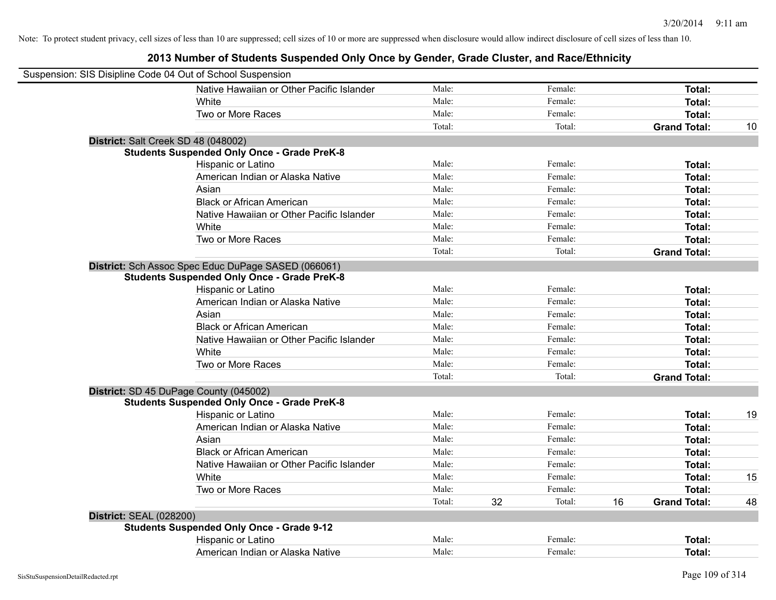|                                | Suspension: SIS Disipline Code 04 Out of School Suspension |        |    |         |    |                     |    |
|--------------------------------|------------------------------------------------------------|--------|----|---------|----|---------------------|----|
|                                | Native Hawaiian or Other Pacific Islander                  | Male:  |    | Female: |    | <b>Total:</b>       |    |
|                                | White                                                      | Male:  |    | Female: |    | Total:              |    |
|                                | Two or More Races                                          | Male:  |    | Female: |    | <b>Total:</b>       |    |
|                                |                                                            | Total: |    | Total:  |    | <b>Grand Total:</b> | 10 |
|                                | District: Salt Creek SD 48 (048002)                        |        |    |         |    |                     |    |
|                                | <b>Students Suspended Only Once - Grade PreK-8</b>         |        |    |         |    |                     |    |
|                                | Hispanic or Latino                                         | Male:  |    | Female: |    | Total:              |    |
|                                | American Indian or Alaska Native                           | Male:  |    | Female: |    | Total:              |    |
|                                | Asian                                                      | Male:  |    | Female: |    | Total:              |    |
|                                | <b>Black or African American</b>                           | Male:  |    | Female: |    | Total:              |    |
|                                | Native Hawaiian or Other Pacific Islander                  | Male:  |    | Female: |    | Total:              |    |
|                                | White                                                      | Male:  |    | Female: |    | Total:              |    |
|                                | Two or More Races                                          | Male:  |    | Female: |    | Total:              |    |
|                                |                                                            | Total: |    | Total:  |    | <b>Grand Total:</b> |    |
|                                | District: Sch Assoc Spec Educ DuPage SASED (066061)        |        |    |         |    |                     |    |
|                                | <b>Students Suspended Only Once - Grade PreK-8</b>         |        |    |         |    |                     |    |
|                                | Hispanic or Latino                                         | Male:  |    | Female: |    | Total:              |    |
|                                | American Indian or Alaska Native                           | Male:  |    | Female: |    | <b>Total:</b>       |    |
|                                | Asian                                                      | Male:  |    | Female: |    | Total:              |    |
|                                | <b>Black or African American</b>                           | Male:  |    | Female: |    | Total:              |    |
|                                | Native Hawaiian or Other Pacific Islander                  | Male:  |    | Female: |    | Total:              |    |
|                                | White                                                      | Male:  |    | Female: |    | Total:              |    |
|                                | Two or More Races                                          | Male:  |    | Female: |    | Total:              |    |
|                                |                                                            | Total: |    | Total:  |    | <b>Grand Total:</b> |    |
|                                | District: SD 45 DuPage County (045002)                     |        |    |         |    |                     |    |
|                                | <b>Students Suspended Only Once - Grade PreK-8</b>         |        |    |         |    |                     |    |
|                                | Hispanic or Latino                                         | Male:  |    | Female: |    | <b>Total:</b>       | 19 |
|                                | American Indian or Alaska Native                           | Male:  |    | Female: |    | Total:              |    |
|                                | Asian                                                      | Male:  |    | Female: |    | Total:              |    |
|                                | <b>Black or African American</b>                           | Male:  |    | Female: |    | <b>Total:</b>       |    |
|                                | Native Hawaiian or Other Pacific Islander                  | Male:  |    | Female: |    | Total:              |    |
|                                | White                                                      | Male:  |    | Female: |    | <b>Total:</b>       | 15 |
|                                | Two or More Races                                          | Male:  |    | Female: |    | <b>Total:</b>       |    |
|                                |                                                            | Total: | 32 | Total:  | 16 | <b>Grand Total:</b> | 48 |
| <b>District: SEAL (028200)</b> |                                                            |        |    |         |    |                     |    |
|                                | <b>Students Suspended Only Once - Grade 9-12</b>           |        |    |         |    |                     |    |
|                                | Hispanic or Latino                                         | Male:  |    | Female: |    | Total:              |    |
|                                | American Indian or Alaska Native                           | Male:  |    | Female: |    | Total:              |    |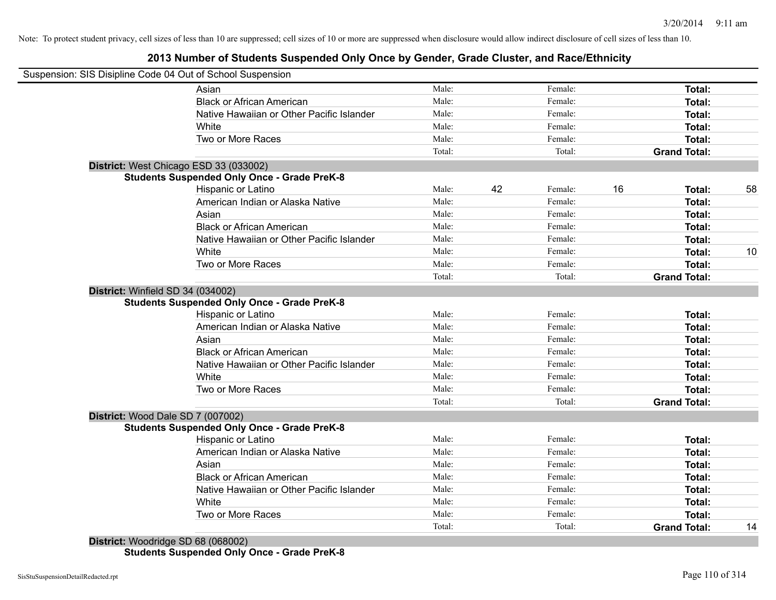# **2013 Number of Students Suspended Only Once by Gender, Grade Cluster, and Race/Ethnicity**

| Male:<br>Female:<br>Asian<br>Female:<br><b>Black or African American</b><br>Male:<br>Male:<br>Female:<br>Native Hawaiian or Other Pacific Islander<br>Male:<br>Female:<br>White<br>Two or More Races<br>Male:<br>Female:<br>Total:<br>Total:<br>District: West Chicago ESD 33 (033002)<br><b>Students Suspended Only Once - Grade PreK-8</b> | Total:<br>Total:<br>Total:<br>Total:<br>Total:<br><b>Grand Total:</b> |  |
|----------------------------------------------------------------------------------------------------------------------------------------------------------------------------------------------------------------------------------------------------------------------------------------------------------------------------------------------|-----------------------------------------------------------------------|--|
|                                                                                                                                                                                                                                                                                                                                              |                                                                       |  |
|                                                                                                                                                                                                                                                                                                                                              |                                                                       |  |
|                                                                                                                                                                                                                                                                                                                                              |                                                                       |  |
|                                                                                                                                                                                                                                                                                                                                              |                                                                       |  |
|                                                                                                                                                                                                                                                                                                                                              |                                                                       |  |
|                                                                                                                                                                                                                                                                                                                                              |                                                                       |  |
|                                                                                                                                                                                                                                                                                                                                              |                                                                       |  |
|                                                                                                                                                                                                                                                                                                                                              |                                                                       |  |
| 42<br>16<br>Hispanic or Latino<br>Male:<br>Female:                                                                                                                                                                                                                                                                                           | 58<br>Total:                                                          |  |
| Male:<br>American Indian or Alaska Native<br>Female:                                                                                                                                                                                                                                                                                         | Total:                                                                |  |
| Male:<br>Asian<br>Female:                                                                                                                                                                                                                                                                                                                    | Total:                                                                |  |
| Male:<br><b>Black or African American</b><br>Female:                                                                                                                                                                                                                                                                                         | Total:                                                                |  |
| Native Hawaiian or Other Pacific Islander<br>Male:<br>Female:                                                                                                                                                                                                                                                                                | Total:                                                                |  |
| White<br>Male:<br>Female:                                                                                                                                                                                                                                                                                                                    | 10<br>Total:                                                          |  |
| Two or More Races<br>Male:<br>Female:                                                                                                                                                                                                                                                                                                        | Total:                                                                |  |
| Total:<br>Total:                                                                                                                                                                                                                                                                                                                             | <b>Grand Total:</b>                                                   |  |
| District: Winfield SD 34 (034002)                                                                                                                                                                                                                                                                                                            |                                                                       |  |
| <b>Students Suspended Only Once - Grade PreK-8</b>                                                                                                                                                                                                                                                                                           |                                                                       |  |
| Male:<br>Female:<br>Hispanic or Latino                                                                                                                                                                                                                                                                                                       | Total:                                                                |  |
| Male:<br>Female:<br>American Indian or Alaska Native                                                                                                                                                                                                                                                                                         | Total:                                                                |  |
| Male:<br>Female:<br>Asian                                                                                                                                                                                                                                                                                                                    | Total:                                                                |  |
| <b>Black or African American</b><br>Male:<br>Female:                                                                                                                                                                                                                                                                                         | Total:                                                                |  |
| Native Hawaiian or Other Pacific Islander<br>Male:<br>Female:                                                                                                                                                                                                                                                                                | Total:                                                                |  |
| White<br>Male:<br>Female:                                                                                                                                                                                                                                                                                                                    | Total:                                                                |  |
| Two or More Races<br>Male:<br>Female:                                                                                                                                                                                                                                                                                                        | Total:                                                                |  |
| Total:<br>Total:                                                                                                                                                                                                                                                                                                                             | <b>Grand Total:</b>                                                   |  |
| District: Wood Dale SD 7 (007002)                                                                                                                                                                                                                                                                                                            |                                                                       |  |
| <b>Students Suspended Only Once - Grade PreK-8</b>                                                                                                                                                                                                                                                                                           |                                                                       |  |
| Male:<br>Hispanic or Latino<br>Female:                                                                                                                                                                                                                                                                                                       | Total:                                                                |  |
| American Indian or Alaska Native<br>Male:<br>Female:                                                                                                                                                                                                                                                                                         | Total:                                                                |  |
| Male:<br>Asian<br>Female:                                                                                                                                                                                                                                                                                                                    | Total:                                                                |  |
| <b>Black or African American</b><br>Male:<br>Female:                                                                                                                                                                                                                                                                                         | Total:                                                                |  |
| Native Hawaiian or Other Pacific Islander<br>Male:<br>Female:                                                                                                                                                                                                                                                                                | Total:                                                                |  |
| White<br>Male:<br>Female:                                                                                                                                                                                                                                                                                                                    | Total:                                                                |  |
| Two or More Races<br>Male:<br>Female:                                                                                                                                                                                                                                                                                                        | Total:                                                                |  |
| Total:<br>Total:                                                                                                                                                                                                                                                                                                                             | <b>Grand Total:</b><br>14                                             |  |
| District: Woodridge SD 68 (068002)                                                                                                                                                                                                                                                                                                           |                                                                       |  |

**Students Suspended Only Once - Grade PreK-8**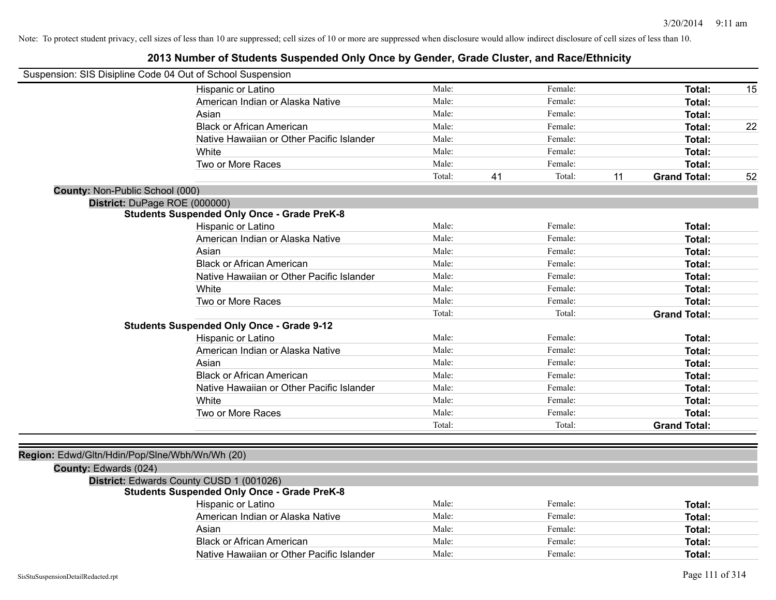| Suspension: SIS Disipline Code 04 Out of School Suspension |                                                    |        |    |         |    |                     |    |
|------------------------------------------------------------|----------------------------------------------------|--------|----|---------|----|---------------------|----|
|                                                            | Hispanic or Latino                                 | Male:  |    | Female: |    | Total:              | 15 |
|                                                            | American Indian or Alaska Native                   | Male:  |    | Female: |    | Total:              |    |
|                                                            | Asian                                              | Male:  |    | Female: |    | Total:              |    |
|                                                            | <b>Black or African American</b>                   | Male:  |    | Female: |    | Total:              | 22 |
|                                                            | Native Hawaiian or Other Pacific Islander          | Male:  |    | Female: |    | Total:              |    |
|                                                            | White                                              | Male:  |    | Female: |    | Total:              |    |
|                                                            | Two or More Races                                  | Male:  |    | Female: |    | Total:              |    |
|                                                            |                                                    | Total: | 41 | Total:  | 11 | <b>Grand Total:</b> | 52 |
| County: Non-Public School (000)                            |                                                    |        |    |         |    |                     |    |
| District: DuPage ROE (000000)                              |                                                    |        |    |         |    |                     |    |
|                                                            | <b>Students Suspended Only Once - Grade PreK-8</b> |        |    |         |    |                     |    |
|                                                            | Hispanic or Latino                                 | Male:  |    | Female: |    | Total:              |    |
|                                                            | American Indian or Alaska Native                   | Male:  |    | Female: |    | Total:              |    |
|                                                            | Asian                                              | Male:  |    | Female: |    | Total:              |    |
|                                                            | <b>Black or African American</b>                   | Male:  |    | Female: |    | Total:              |    |
|                                                            | Native Hawaiian or Other Pacific Islander          | Male:  |    | Female: |    | Total:              |    |
|                                                            | White                                              | Male:  |    | Female: |    | Total:              |    |
|                                                            | Two or More Races                                  | Male:  |    | Female: |    | Total:              |    |
|                                                            |                                                    | Total: |    | Total:  |    | <b>Grand Total:</b> |    |
|                                                            | <b>Students Suspended Only Once - Grade 9-12</b>   |        |    |         |    |                     |    |
|                                                            | Hispanic or Latino                                 | Male:  |    | Female: |    | Total:              |    |
|                                                            | American Indian or Alaska Native                   | Male:  |    | Female: |    | Total:              |    |
|                                                            | Asian                                              | Male:  |    | Female: |    | Total:              |    |
|                                                            | <b>Black or African American</b>                   | Male:  |    | Female: |    | Total:              |    |
|                                                            | Native Hawaiian or Other Pacific Islander          | Male:  |    | Female: |    | Total:              |    |
|                                                            | White                                              | Male:  |    | Female: |    | Total:              |    |
|                                                            | Two or More Races                                  | Male:  |    | Female: |    | Total:              |    |
|                                                            |                                                    | Total: |    | Total:  |    | <b>Grand Total:</b> |    |
|                                                            |                                                    |        |    |         |    |                     |    |
| Region: Edwd/Gltn/Hdin/Pop/Slne/Wbh/Wn/Wh (20)             |                                                    |        |    |         |    |                     |    |
| County: Edwards (024)                                      |                                                    |        |    |         |    |                     |    |
|                                                            | District: Edwards County CUSD 1 (001026)           |        |    |         |    |                     |    |
|                                                            | <b>Students Suspended Only Once - Grade PreK-8</b> |        |    |         |    |                     |    |
|                                                            | Hispanic or Latino                                 | Male:  |    | Female: |    | Total:              |    |
|                                                            | American Indian or Alaska Native                   | Male:  |    | Female: |    | Total:              |    |
|                                                            | Asian                                              | Male:  |    | Female: |    | Total:              |    |
|                                                            | <b>Black or African American</b>                   | Male:  |    | Female: |    | Total:              |    |
|                                                            | Native Hawaiian or Other Pacific Islander          | Male:  |    | Female: |    | Total:              |    |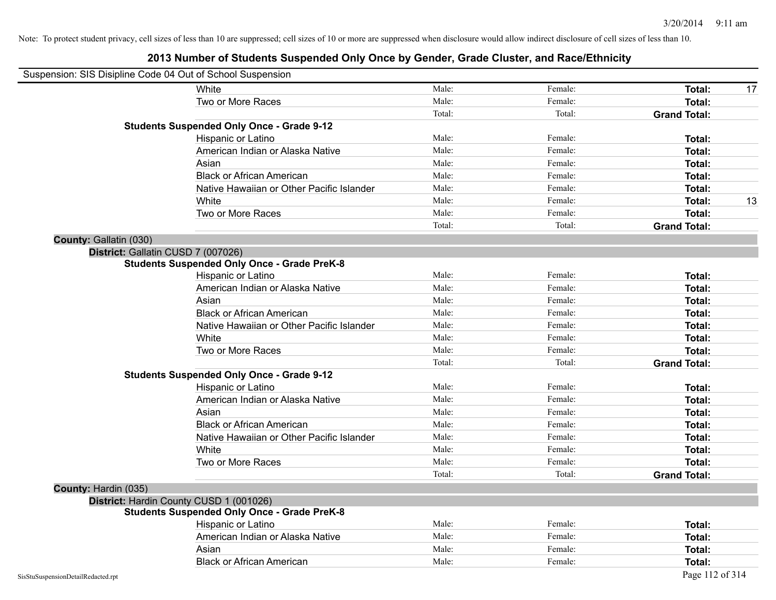| Suspension: SIS Disipline Code 04 Out of School Suspension |                                                    |        |         |                     |
|------------------------------------------------------------|----------------------------------------------------|--------|---------|---------------------|
|                                                            | White                                              | Male:  | Female: | Total:<br>17        |
|                                                            | Two or More Races                                  | Male:  | Female: | <b>Total:</b>       |
|                                                            |                                                    | Total: | Total:  | <b>Grand Total:</b> |
|                                                            | <b>Students Suspended Only Once - Grade 9-12</b>   |        |         |                     |
|                                                            | Hispanic or Latino                                 | Male:  | Female: | Total:              |
|                                                            | American Indian or Alaska Native                   | Male:  | Female: | <b>Total:</b>       |
|                                                            | Asian                                              | Male:  | Female: | Total:              |
|                                                            | <b>Black or African American</b>                   | Male:  | Female: | <b>Total:</b>       |
|                                                            | Native Hawaiian or Other Pacific Islander          | Male:  | Female: | Total:              |
|                                                            | White                                              | Male:  | Female: | <b>Total:</b><br>13 |
|                                                            | Two or More Races                                  | Male:  | Female: | Total:              |
|                                                            |                                                    | Total: | Total:  | <b>Grand Total:</b> |
| County: Gallatin (030)                                     |                                                    |        |         |                     |
|                                                            | District: Gallatin CUSD 7 (007026)                 |        |         |                     |
|                                                            | <b>Students Suspended Only Once - Grade PreK-8</b> |        |         |                     |
|                                                            | Hispanic or Latino                                 | Male:  | Female: | Total:              |
|                                                            | American Indian or Alaska Native                   | Male:  | Female: | <b>Total:</b>       |
|                                                            | Asian                                              | Male:  | Female: | <b>Total:</b>       |
|                                                            | <b>Black or African American</b>                   | Male:  | Female: | Total:              |
|                                                            | Native Hawaiian or Other Pacific Islander          | Male:  | Female: | Total:              |
|                                                            | White                                              | Male:  | Female: | Total:              |
|                                                            | Two or More Races                                  | Male:  | Female: | Total:              |
|                                                            |                                                    | Total: | Total:  | <b>Grand Total:</b> |
|                                                            | <b>Students Suspended Only Once - Grade 9-12</b>   |        |         |                     |
|                                                            | Hispanic or Latino                                 | Male:  | Female: | Total:              |
|                                                            | American Indian or Alaska Native                   | Male:  | Female: | Total:              |
|                                                            | Asian                                              | Male:  | Female: | Total:              |
|                                                            | <b>Black or African American</b>                   | Male:  | Female: | Total:              |
|                                                            | Native Hawaiian or Other Pacific Islander          | Male:  | Female: | Total:              |
|                                                            | White                                              | Male:  | Female: | Total:              |
|                                                            | Two or More Races                                  | Male:  | Female: | <b>Total:</b>       |
|                                                            |                                                    | Total: | Total:  | <b>Grand Total:</b> |
| County: Hardin (035)                                       |                                                    |        |         |                     |
|                                                            | District: Hardin County CUSD 1 (001026)            |        |         |                     |
|                                                            | <b>Students Suspended Only Once - Grade PreK-8</b> |        |         |                     |
|                                                            | Hispanic or Latino                                 | Male:  | Female: | Total:              |
|                                                            | American Indian or Alaska Native                   | Male:  | Female: | Total:              |
|                                                            | Asian                                              | Male:  | Female: | Total:              |
|                                                            | <b>Black or African American</b>                   | Male:  | Female: | Total:              |
| SisStuSuspensionDetailRedacted.rpt                         |                                                    |        |         | Page 112 of 314     |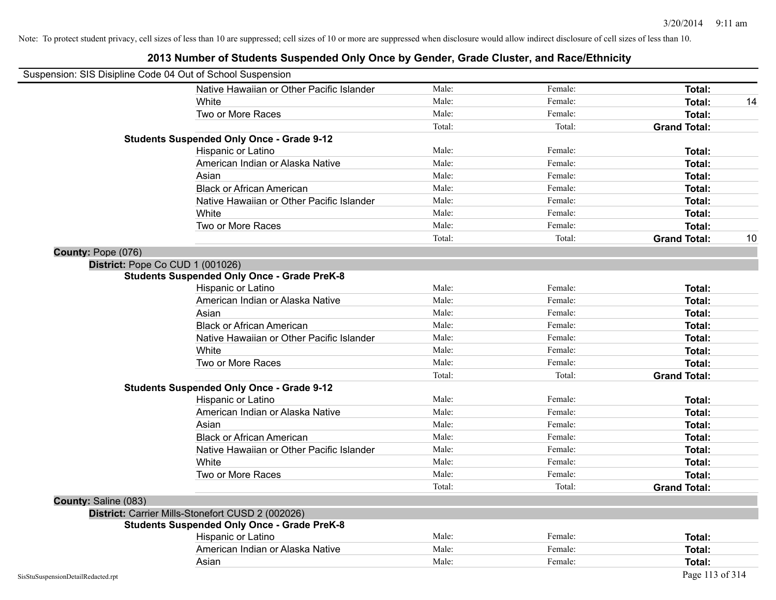| Suspension: SIS Disipline Code 04 Out of School Suspension |                                                    |        |         |                     |    |
|------------------------------------------------------------|----------------------------------------------------|--------|---------|---------------------|----|
|                                                            | Native Hawaiian or Other Pacific Islander          | Male:  | Female: | Total:              |    |
|                                                            | White                                              | Male:  | Female: | Total:              | 14 |
|                                                            | Two or More Races                                  | Male:  | Female: | Total:              |    |
|                                                            |                                                    | Total: | Total:  | <b>Grand Total:</b> |    |
|                                                            | <b>Students Suspended Only Once - Grade 9-12</b>   |        |         |                     |    |
|                                                            | Hispanic or Latino                                 | Male:  | Female: | Total:              |    |
|                                                            | American Indian or Alaska Native                   | Male:  | Female: | Total:              |    |
|                                                            | Asian                                              | Male:  | Female: | Total:              |    |
|                                                            | <b>Black or African American</b>                   | Male:  | Female: | Total:              |    |
|                                                            | Native Hawaiian or Other Pacific Islander          | Male:  | Female: | Total:              |    |
|                                                            | White                                              | Male:  | Female: | Total:              |    |
|                                                            | Two or More Races                                  | Male:  | Female: | Total:              |    |
|                                                            |                                                    | Total: | Total:  | <b>Grand Total:</b> | 10 |
| County: Pope (076)                                         |                                                    |        |         |                     |    |
| District: Pope Co CUD 1 (001026)                           |                                                    |        |         |                     |    |
|                                                            | <b>Students Suspended Only Once - Grade PreK-8</b> |        |         |                     |    |
|                                                            | Hispanic or Latino                                 | Male:  | Female: | Total:              |    |
|                                                            | American Indian or Alaska Native                   | Male:  | Female: | Total:              |    |
|                                                            | Asian                                              | Male:  | Female: | Total:              |    |
|                                                            | <b>Black or African American</b>                   | Male:  | Female: | Total:              |    |
|                                                            | Native Hawaiian or Other Pacific Islander          | Male:  | Female: | Total:              |    |
|                                                            | White                                              | Male:  | Female: | Total:              |    |
|                                                            | Two or More Races                                  | Male:  | Female: | Total:              |    |
|                                                            |                                                    | Total: | Total:  | <b>Grand Total:</b> |    |
|                                                            | <b>Students Suspended Only Once - Grade 9-12</b>   |        |         |                     |    |
|                                                            | Hispanic or Latino                                 | Male:  | Female: | Total:              |    |
|                                                            | American Indian or Alaska Native                   | Male:  | Female: | Total:              |    |
|                                                            | Asian                                              | Male:  | Female: | Total:              |    |
|                                                            | <b>Black or African American</b>                   | Male:  | Female: | Total:              |    |
|                                                            | Native Hawaiian or Other Pacific Islander          | Male:  | Female: | Total:              |    |
|                                                            | White                                              | Male:  | Female: | Total:              |    |
|                                                            | Two or More Races                                  | Male:  | Female: | Total:              |    |
|                                                            |                                                    | Total: | Total:  | <b>Grand Total:</b> |    |
| County: Saline (083)                                       |                                                    |        |         |                     |    |
|                                                            | District: Carrier Mills-Stonefort CUSD 2 (002026)  |        |         |                     |    |
|                                                            | <b>Students Suspended Only Once - Grade PreK-8</b> |        |         |                     |    |
|                                                            | Hispanic or Latino                                 | Male:  | Female: | Total:              |    |
|                                                            | American Indian or Alaska Native                   | Male:  | Female: | Total:              |    |
|                                                            | Asian                                              | Male:  | Female: | Total:              |    |
| SisStuSuspensionDetailRedacted.rpt                         |                                                    |        |         | Page 113 of 314     |    |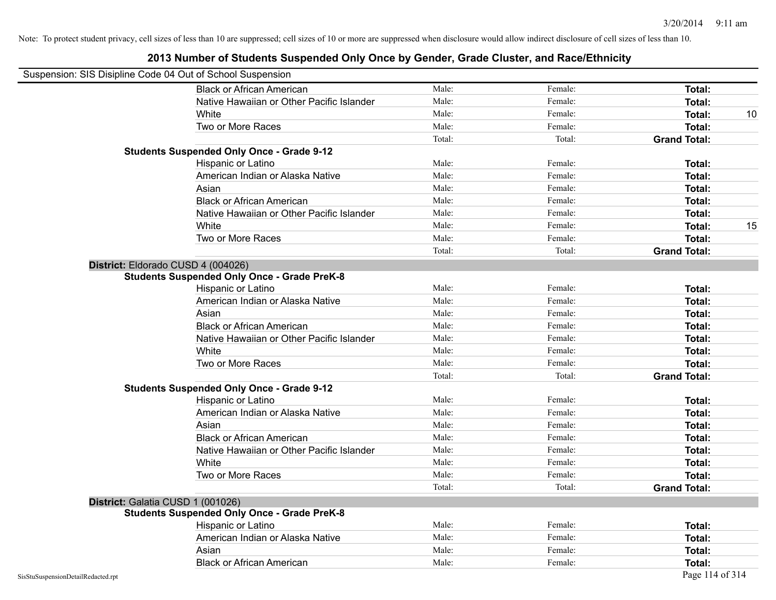| Suspension: SIS Disipline Code 04 Out of School Suspension |                                                    |        |         |                     |
|------------------------------------------------------------|----------------------------------------------------|--------|---------|---------------------|
|                                                            | <b>Black or African American</b>                   | Male:  | Female: | Total:              |
|                                                            | Native Hawaiian or Other Pacific Islander          | Male:  | Female: | Total:              |
|                                                            | White                                              | Male:  | Female: | Total:<br>10        |
|                                                            | Two or More Races                                  | Male:  | Female: | <b>Total:</b>       |
|                                                            |                                                    | Total: | Total:  | <b>Grand Total:</b> |
|                                                            | <b>Students Suspended Only Once - Grade 9-12</b>   |        |         |                     |
|                                                            | Hispanic or Latino                                 | Male:  | Female: | Total:              |
|                                                            | American Indian or Alaska Native                   | Male:  | Female: | Total:              |
|                                                            | Asian                                              | Male:  | Female: | Total:              |
|                                                            | <b>Black or African American</b>                   | Male:  | Female: | Total:              |
|                                                            | Native Hawaiian or Other Pacific Islander          | Male:  | Female: | Total:              |
|                                                            | White                                              | Male:  | Female: | Total:<br>15        |
|                                                            | Two or More Races                                  | Male:  | Female: | Total:              |
|                                                            |                                                    | Total: | Total:  | <b>Grand Total:</b> |
|                                                            | District: Eldorado CUSD 4 (004026)                 |        |         |                     |
|                                                            | <b>Students Suspended Only Once - Grade PreK-8</b> |        |         |                     |
|                                                            | Hispanic or Latino                                 | Male:  | Female: | Total:              |
|                                                            | American Indian or Alaska Native                   | Male:  | Female: | Total:              |
|                                                            | Asian                                              | Male:  | Female: | Total:              |
|                                                            | <b>Black or African American</b>                   | Male:  | Female: | Total:              |
|                                                            | Native Hawaiian or Other Pacific Islander          | Male:  | Female: | Total:              |
|                                                            | White                                              | Male:  | Female: | Total:              |
|                                                            | Two or More Races                                  | Male:  | Female: | <b>Total:</b>       |
|                                                            |                                                    | Total: | Total:  | <b>Grand Total:</b> |
|                                                            | <b>Students Suspended Only Once - Grade 9-12</b>   |        |         |                     |
|                                                            | Hispanic or Latino                                 | Male:  | Female: | Total:              |
|                                                            | American Indian or Alaska Native                   | Male:  | Female: | <b>Total:</b>       |
|                                                            | Asian                                              | Male:  | Female: | Total:              |
|                                                            | <b>Black or African American</b>                   | Male:  | Female: | Total:              |
|                                                            | Native Hawaiian or Other Pacific Islander          | Male:  | Female: | Total:              |
|                                                            | White                                              | Male:  | Female: | Total:              |
|                                                            | Two or More Races                                  | Male:  | Female: | <b>Total:</b>       |
|                                                            |                                                    | Total: | Total:  | <b>Grand Total:</b> |
|                                                            | District: Galatia CUSD 1 (001026)                  |        |         |                     |
|                                                            | <b>Students Suspended Only Once - Grade PreK-8</b> |        |         |                     |
|                                                            | Hispanic or Latino                                 | Male:  | Female: | Total:              |
|                                                            | American Indian or Alaska Native                   | Male:  | Female: | Total:              |
|                                                            | Asian                                              | Male:  | Female: | Total:              |
|                                                            | <b>Black or African American</b>                   | Male:  | Female: | Total:              |
| SisStuSuspensionDetailRedacted.rpt                         |                                                    |        |         | Page 114 of 314     |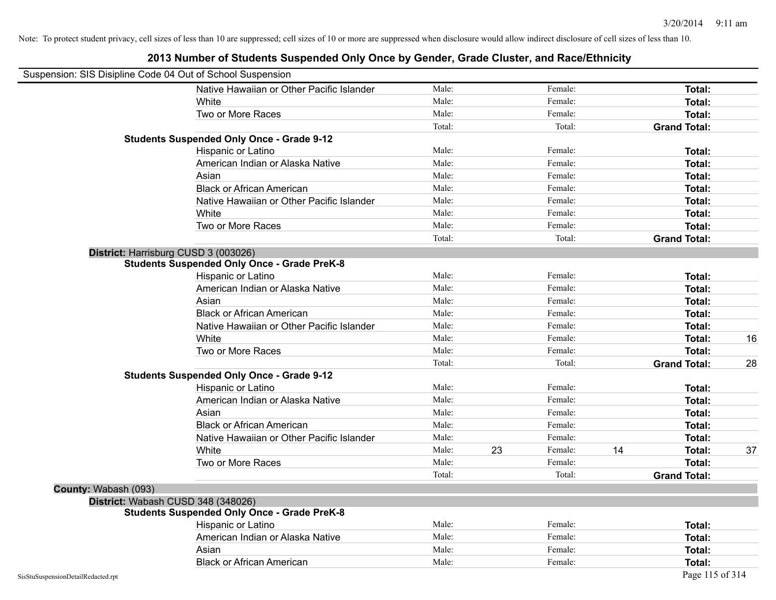| Suspension: SIS Disipline Code 04 Out of School Suspension |                                                    |        |    |         |    |                     |    |
|------------------------------------------------------------|----------------------------------------------------|--------|----|---------|----|---------------------|----|
|                                                            | Native Hawaiian or Other Pacific Islander          | Male:  |    | Female: |    | Total:              |    |
|                                                            | White                                              | Male:  |    | Female: |    | <b>Total:</b>       |    |
|                                                            | Two or More Races                                  | Male:  |    | Female: |    | Total:              |    |
|                                                            |                                                    | Total: |    | Total:  |    | <b>Grand Total:</b> |    |
|                                                            | <b>Students Suspended Only Once - Grade 9-12</b>   |        |    |         |    |                     |    |
|                                                            | Hispanic or Latino                                 | Male:  |    | Female: |    | Total:              |    |
|                                                            | American Indian or Alaska Native                   | Male:  |    | Female: |    | Total:              |    |
|                                                            | Asian                                              | Male:  |    | Female: |    | Total:              |    |
|                                                            | <b>Black or African American</b>                   | Male:  |    | Female: |    | Total:              |    |
|                                                            | Native Hawaiian or Other Pacific Islander          | Male:  |    | Female: |    | Total:              |    |
|                                                            | White                                              | Male:  |    | Female: |    | <b>Total:</b>       |    |
|                                                            | Two or More Races                                  | Male:  |    | Female: |    | Total:              |    |
|                                                            |                                                    | Total: |    | Total:  |    | <b>Grand Total:</b> |    |
|                                                            | District: Harrisburg CUSD 3 (003026)               |        |    |         |    |                     |    |
|                                                            | <b>Students Suspended Only Once - Grade PreK-8</b> |        |    |         |    |                     |    |
|                                                            | Hispanic or Latino                                 | Male:  |    | Female: |    | Total:              |    |
|                                                            | American Indian or Alaska Native                   | Male:  |    | Female: |    | <b>Total:</b>       |    |
|                                                            | Asian                                              | Male:  |    | Female: |    | Total:              |    |
|                                                            | <b>Black or African American</b>                   | Male:  |    | Female: |    | Total:              |    |
|                                                            | Native Hawaiian or Other Pacific Islander          | Male:  |    | Female: |    | Total:              |    |
|                                                            | White                                              | Male:  |    | Female: |    | Total:              | 16 |
|                                                            | Two or More Races                                  | Male:  |    | Female: |    | Total:              |    |
|                                                            |                                                    | Total: |    | Total:  |    | <b>Grand Total:</b> | 28 |
|                                                            | <b>Students Suspended Only Once - Grade 9-12</b>   |        |    |         |    |                     |    |
|                                                            | Hispanic or Latino                                 | Male:  |    | Female: |    | Total:              |    |
|                                                            | American Indian or Alaska Native                   | Male:  |    | Female: |    | Total:              |    |
|                                                            | Asian                                              | Male:  |    | Female: |    | Total:              |    |
|                                                            | <b>Black or African American</b>                   | Male:  |    | Female: |    | <b>Total:</b>       |    |
|                                                            | Native Hawaiian or Other Pacific Islander          | Male:  |    | Female: |    | Total:              |    |
|                                                            | White                                              | Male:  | 23 | Female: | 14 | Total:              | 37 |
|                                                            | Two or More Races                                  | Male:  |    | Female: |    | Total:              |    |
|                                                            |                                                    | Total: |    | Total:  |    | <b>Grand Total:</b> |    |
| County: Wabash (093)                                       |                                                    |        |    |         |    |                     |    |
|                                                            | District: Wabash CUSD 348 (348026)                 |        |    |         |    |                     |    |
|                                                            | <b>Students Suspended Only Once - Grade PreK-8</b> |        |    |         |    |                     |    |
|                                                            | Hispanic or Latino                                 | Male:  |    | Female: |    | Total:              |    |
|                                                            | American Indian or Alaska Native                   | Male:  |    | Female: |    | Total:              |    |
|                                                            | Asian                                              | Male:  |    | Female: |    | <b>Total:</b>       |    |
|                                                            | <b>Black or African American</b>                   | Male:  |    | Female: |    | <b>Total:</b>       |    |
| SisStuSuspensionDetailRedacted.rpt                         |                                                    |        |    |         |    | Page 115 of 314     |    |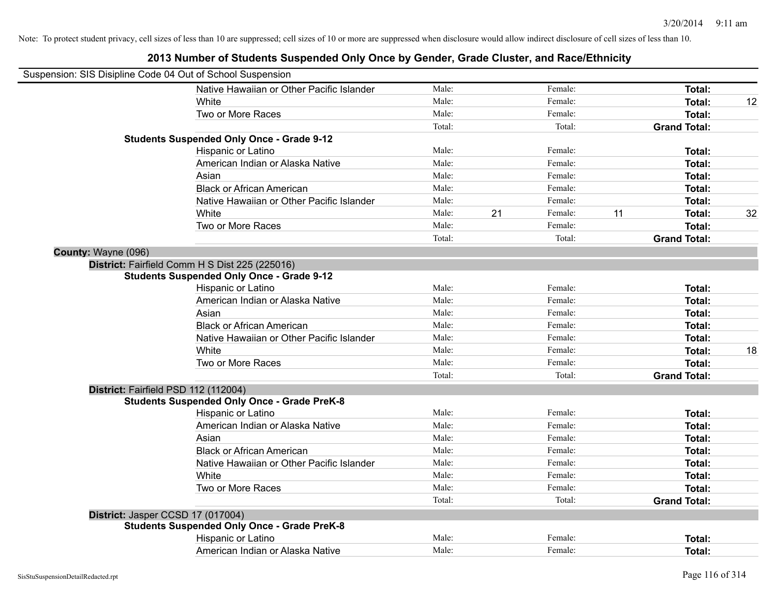| Suspension: SIS Disipline Code 04 Out of School Suspension |                                                    |        |    |         |    |                     |    |
|------------------------------------------------------------|----------------------------------------------------|--------|----|---------|----|---------------------|----|
|                                                            | Native Hawaiian or Other Pacific Islander          | Male:  |    | Female: |    | Total:              |    |
|                                                            | White                                              | Male:  |    | Female: |    | Total:              | 12 |
|                                                            | Two or More Races                                  | Male:  |    | Female: |    | Total:              |    |
|                                                            |                                                    | Total: |    | Total:  |    | <b>Grand Total:</b> |    |
|                                                            | <b>Students Suspended Only Once - Grade 9-12</b>   |        |    |         |    |                     |    |
|                                                            | Hispanic or Latino                                 | Male:  |    | Female: |    | Total:              |    |
|                                                            | American Indian or Alaska Native                   | Male:  |    | Female: |    | Total:              |    |
|                                                            | Asian                                              | Male:  |    | Female: |    | Total:              |    |
|                                                            | <b>Black or African American</b>                   | Male:  |    | Female: |    | Total:              |    |
|                                                            | Native Hawaiian or Other Pacific Islander          | Male:  |    | Female: |    | Total:              |    |
|                                                            | White                                              | Male:  | 21 | Female: | 11 | Total:              | 32 |
|                                                            | Two or More Races                                  | Male:  |    | Female: |    | Total:              |    |
|                                                            |                                                    | Total: |    | Total:  |    | <b>Grand Total:</b> |    |
| County: Wayne (096)                                        |                                                    |        |    |         |    |                     |    |
|                                                            | District: Fairfield Comm H S Dist 225 (225016)     |        |    |         |    |                     |    |
|                                                            | <b>Students Suspended Only Once - Grade 9-12</b>   |        |    |         |    |                     |    |
|                                                            | Hispanic or Latino                                 | Male:  |    | Female: |    | Total:              |    |
|                                                            | American Indian or Alaska Native                   | Male:  |    | Female: |    | Total:              |    |
|                                                            | Asian                                              | Male:  |    | Female: |    | Total:              |    |
|                                                            | <b>Black or African American</b>                   | Male:  |    | Female: |    | Total:              |    |
|                                                            | Native Hawaiian or Other Pacific Islander          | Male:  |    | Female: |    | Total:              |    |
|                                                            | White                                              | Male:  |    | Female: |    | Total:              | 18 |
|                                                            | Two or More Races                                  | Male:  |    | Female: |    | Total:              |    |
|                                                            |                                                    | Total: |    | Total:  |    | <b>Grand Total:</b> |    |
| District: Fairfield PSD 112 (112004)                       |                                                    |        |    |         |    |                     |    |
|                                                            | <b>Students Suspended Only Once - Grade PreK-8</b> |        |    |         |    |                     |    |
|                                                            | Hispanic or Latino                                 | Male:  |    | Female: |    | Total:              |    |
|                                                            | American Indian or Alaska Native                   | Male:  |    | Female: |    | Total:              |    |
|                                                            | Asian                                              | Male:  |    | Female: |    | Total:              |    |
|                                                            | <b>Black or African American</b>                   | Male:  |    | Female: |    | Total:              |    |
|                                                            | Native Hawaiian or Other Pacific Islander          | Male:  |    | Female: |    | Total:              |    |
|                                                            | White                                              | Male:  |    | Female: |    | Total:              |    |
|                                                            | Two or More Races                                  | Male:  |    | Female: |    | Total:              |    |
|                                                            |                                                    | Total: |    | Total:  |    | <b>Grand Total:</b> |    |
| District: Jasper CCSD 17 (017004)                          |                                                    |        |    |         |    |                     |    |
|                                                            | <b>Students Suspended Only Once - Grade PreK-8</b> |        |    |         |    |                     |    |
|                                                            | Hispanic or Latino                                 | Male:  |    | Female: |    | Total:              |    |
|                                                            | American Indian or Alaska Native                   | Male:  |    | Female: |    | Total:              |    |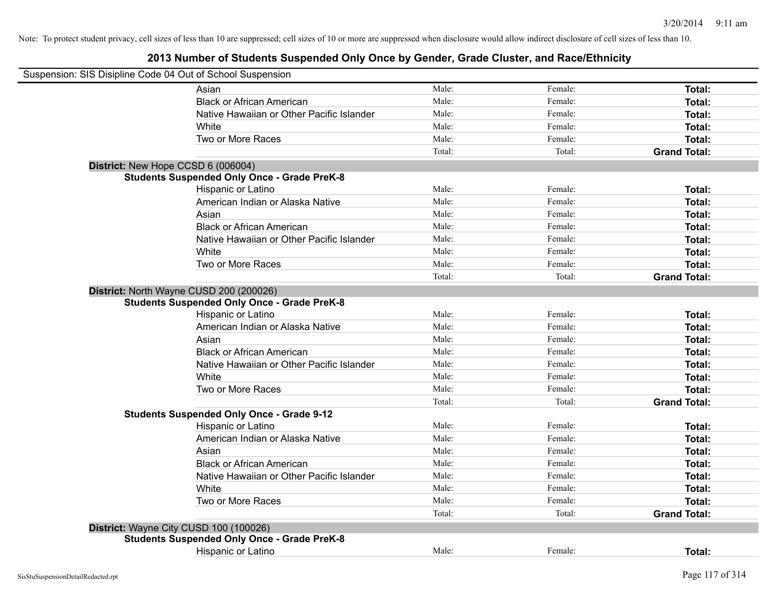| Suspension: SIS Disipline Code 04 Out of School Suspension |                                                                                               |        |         |                     |
|------------------------------------------------------------|-----------------------------------------------------------------------------------------------|--------|---------|---------------------|
|                                                            | Asian                                                                                         | Male:  | Female: | Total:              |
|                                                            | <b>Black or African American</b>                                                              | Male:  | Female: | Total:              |
|                                                            | Native Hawaiian or Other Pacific Islander                                                     | Male:  | Female: | Total:              |
|                                                            | White                                                                                         | Male:  | Female: | Total:              |
|                                                            | Two or More Races                                                                             | Male:  | Female: | Total:              |
|                                                            |                                                                                               | Total: | Total:  | <b>Grand Total:</b> |
|                                                            | District: New Hope CCSD 6 (006004)                                                            |        |         |                     |
|                                                            | <b>Students Suspended Only Once - Grade PreK-8</b>                                            |        |         |                     |
|                                                            | Hispanic or Latino                                                                            | Male:  | Female: | Total:              |
|                                                            | American Indian or Alaska Native                                                              | Male:  | Female: | Total:              |
|                                                            | Asian                                                                                         | Male:  | Female: | Total:              |
|                                                            | <b>Black or African American</b>                                                              | Male:  | Female: | Total:              |
|                                                            | Native Hawaiian or Other Pacific Islander                                                     | Male:  | Female: | Total:              |
|                                                            | White                                                                                         | Male:  | Female: | Total:              |
|                                                            | Two or More Races                                                                             | Male:  | Female: | Total:              |
|                                                            |                                                                                               | Total: | Total:  | <b>Grand Total:</b> |
|                                                            | District: North Wayne CUSD 200 (200026)<br><b>Students Suspended Only Once - Grade PreK-8</b> |        |         |                     |
|                                                            | Hispanic or Latino                                                                            | Male:  | Female: | Total:              |
|                                                            | American Indian or Alaska Native                                                              | Male:  | Female: | Total:              |
|                                                            | Asian                                                                                         | Male:  | Female: | Total:              |
|                                                            | <b>Black or African American</b>                                                              | Male:  | Female: | Total:              |
|                                                            | Native Hawaiian or Other Pacific Islander                                                     | Male:  | Female: | Total:              |
|                                                            | White                                                                                         | Male:  | Female: | Total:              |
|                                                            | Two or More Races                                                                             | Male:  | Female: | Total:              |
|                                                            |                                                                                               | Total: | Total:  | <b>Grand Total:</b> |
|                                                            | <b>Students Suspended Only Once - Grade 9-12</b>                                              |        |         |                     |
|                                                            | Hispanic or Latino                                                                            | Male:  | Female: | Total:              |
|                                                            | American Indian or Alaska Native                                                              | Male:  | Female: | Total:              |
|                                                            | Asian                                                                                         | Male:  | Female: | Total:              |
|                                                            | <b>Black or African American</b>                                                              | Male:  | Female: | Total:              |
|                                                            | Native Hawaiian or Other Pacific Islander                                                     | Male:  | Female: | Total:              |
|                                                            | White                                                                                         | Male:  | Female: | Total:              |
|                                                            | Two or More Races                                                                             | Male:  | Female: | Total:              |
|                                                            |                                                                                               | Total: | Total:  | <b>Grand Total:</b> |
|                                                            | District: Wayne City CUSD 100 (100026)                                                        |        |         |                     |
|                                                            | <b>Students Suspended Only Once - Grade PreK-8</b>                                            |        |         |                     |
|                                                            | Hispanic or Latino                                                                            | Male:  | Female: | <b>Total:</b>       |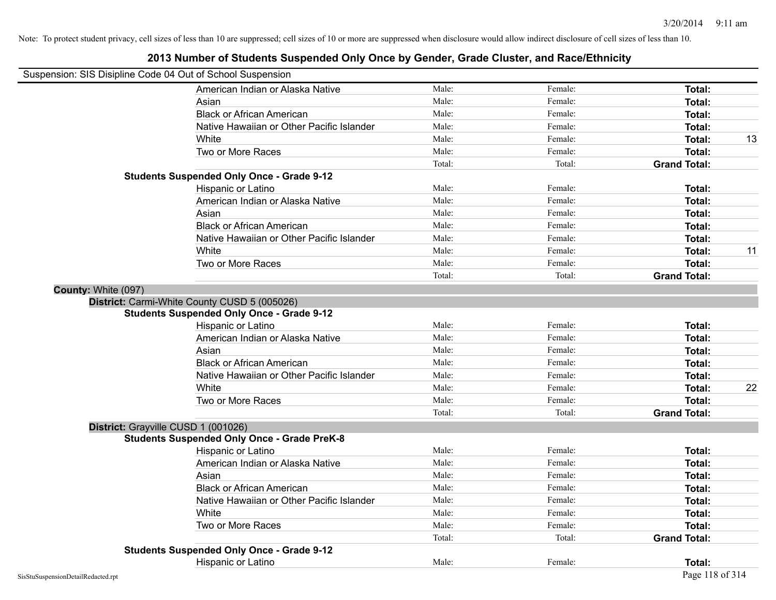| Suspension: SIS Disipline Code 04 Out of School Suspension |                                                    |        |         |                     |    |
|------------------------------------------------------------|----------------------------------------------------|--------|---------|---------------------|----|
|                                                            | American Indian or Alaska Native                   | Male:  | Female: | Total:              |    |
|                                                            | Asian                                              | Male:  | Female: | Total:              |    |
|                                                            | <b>Black or African American</b>                   | Male:  | Female: | Total:              |    |
|                                                            | Native Hawaiian or Other Pacific Islander          | Male:  | Female: | Total:              |    |
|                                                            | White                                              | Male:  | Female: | <b>Total:</b>       | 13 |
|                                                            | Two or More Races                                  | Male:  | Female: | <b>Total:</b>       |    |
|                                                            |                                                    | Total: | Total:  | <b>Grand Total:</b> |    |
|                                                            | <b>Students Suspended Only Once - Grade 9-12</b>   |        |         |                     |    |
|                                                            | Hispanic or Latino                                 | Male:  | Female: | Total:              |    |
|                                                            | American Indian or Alaska Native                   | Male:  | Female: | Total:              |    |
|                                                            | Asian                                              | Male:  | Female: | Total:              |    |
|                                                            | <b>Black or African American</b>                   | Male:  | Female: | Total:              |    |
|                                                            | Native Hawaiian or Other Pacific Islander          | Male:  | Female: | Total:              |    |
|                                                            | White                                              | Male:  | Female: | Total:              | 11 |
|                                                            | Two or More Races                                  | Male:  | Female: | <b>Total:</b>       |    |
|                                                            |                                                    | Total: | Total:  | <b>Grand Total:</b> |    |
| County: White (097)                                        |                                                    |        |         |                     |    |
|                                                            | District: Carmi-White County CUSD 5 (005026)       |        |         |                     |    |
|                                                            | <b>Students Suspended Only Once - Grade 9-12</b>   |        |         |                     |    |
|                                                            | Hispanic or Latino                                 | Male:  | Female: | Total:              |    |
|                                                            | American Indian or Alaska Native                   | Male:  | Female: | Total:              |    |
|                                                            | Asian                                              | Male:  | Female: | Total:              |    |
|                                                            | <b>Black or African American</b>                   | Male:  | Female: | <b>Total:</b>       |    |
|                                                            | Native Hawaiian or Other Pacific Islander          | Male:  | Female: | Total:              |    |
|                                                            | White                                              | Male:  | Female: | Total:              | 22 |
|                                                            | Two or More Races                                  | Male:  | Female: | <b>Total:</b>       |    |
|                                                            |                                                    | Total: | Total:  | <b>Grand Total:</b> |    |
| District: Grayville CUSD 1 (001026)                        |                                                    |        |         |                     |    |
|                                                            | <b>Students Suspended Only Once - Grade PreK-8</b> |        |         |                     |    |
|                                                            | Hispanic or Latino                                 | Male:  | Female: | Total:              |    |
|                                                            | American Indian or Alaska Native                   | Male:  | Female: | <b>Total:</b>       |    |
|                                                            | Asian                                              | Male:  | Female: | Total:              |    |
|                                                            | <b>Black or African American</b>                   | Male:  | Female: | Total:              |    |
|                                                            | Native Hawaiian or Other Pacific Islander          | Male:  | Female: | Total:              |    |
|                                                            | White                                              | Male:  | Female: | Total:              |    |
|                                                            | Two or More Races                                  | Male:  | Female: | Total:              |    |
|                                                            |                                                    | Total: | Total:  | <b>Grand Total:</b> |    |
|                                                            | <b>Students Suspended Only Once - Grade 9-12</b>   |        |         |                     |    |
|                                                            | Hispanic or Latino                                 | Male:  | Female: | Total:              |    |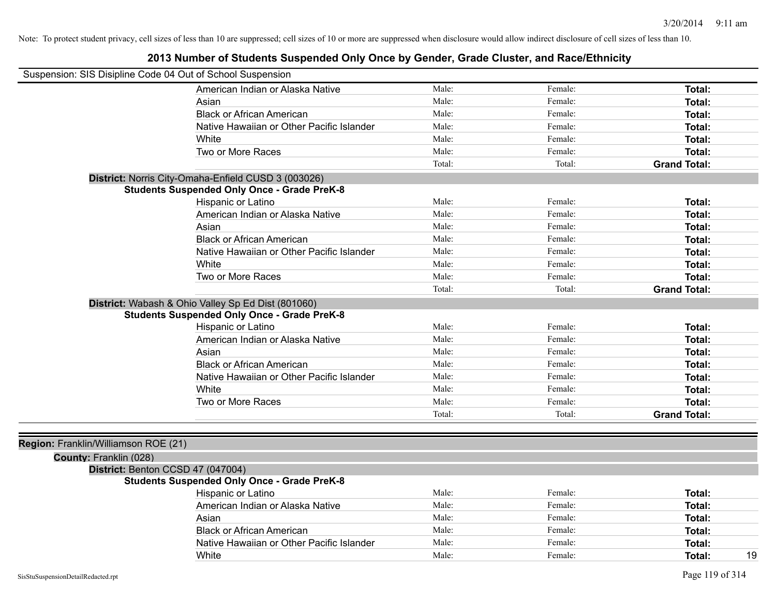| Suspension: SIS Disipline Code 04 Out of School Suspension |                                                     |        |         |                     |
|------------------------------------------------------------|-----------------------------------------------------|--------|---------|---------------------|
|                                                            | American Indian or Alaska Native                    | Male:  | Female: | <b>Total:</b>       |
|                                                            | Asian                                               | Male:  | Female: | Total:              |
|                                                            | <b>Black or African American</b>                    | Male:  | Female: | Total:              |
|                                                            | Native Hawaiian or Other Pacific Islander           | Male:  | Female: | Total:              |
|                                                            | White                                               | Male:  | Female: | <b>Total:</b>       |
|                                                            | Two or More Races                                   | Male:  | Female: | Total:              |
|                                                            |                                                     | Total: | Total:  | <b>Grand Total:</b> |
|                                                            | District: Norris City-Omaha-Enfield CUSD 3 (003026) |        |         |                     |
|                                                            | <b>Students Suspended Only Once - Grade PreK-8</b>  |        |         |                     |
|                                                            | Hispanic or Latino                                  | Male:  | Female: | Total:              |
|                                                            | American Indian or Alaska Native                    | Male:  | Female: | Total:              |
|                                                            | Asian                                               | Male:  | Female: | Total:              |
|                                                            | <b>Black or African American</b>                    | Male:  | Female: | <b>Total:</b>       |
|                                                            | Native Hawaiian or Other Pacific Islander           | Male:  | Female: | <b>Total:</b>       |
|                                                            | White                                               | Male:  | Female: | Total:              |
|                                                            | Two or More Races                                   | Male:  | Female: | <b>Total:</b>       |
|                                                            |                                                     | Total: | Total:  | <b>Grand Total:</b> |
|                                                            | District: Wabash & Ohio Valley Sp Ed Dist (801060)  |        |         |                     |
|                                                            | <b>Students Suspended Only Once - Grade PreK-8</b>  |        |         |                     |
|                                                            | Hispanic or Latino                                  | Male:  | Female: | Total:              |
|                                                            | American Indian or Alaska Native                    | Male:  | Female: | Total:              |
|                                                            | Asian                                               | Male:  | Female: | <b>Total:</b>       |
|                                                            | <b>Black or African American</b>                    | Male:  | Female: | Total:              |
|                                                            | Native Hawaiian or Other Pacific Islander           | Male:  | Female: | <b>Total:</b>       |
|                                                            | White                                               | Male:  | Female: | Total:              |
|                                                            | Two or More Races                                   | Male:  | Female: | Total:              |
|                                                            |                                                     | Total: | Total:  | <b>Grand Total:</b> |
|                                                            |                                                     |        |         |                     |
| Region: Franklin/Williamson ROE (21)                       |                                                     |        |         |                     |
| County: Franklin (028)                                     |                                                     |        |         |                     |
| District: Benton CCSD 47 (047004)                          |                                                     |        |         |                     |
|                                                            | <b>Students Suspended Only Once - Grade PreK-8</b>  |        |         |                     |
|                                                            | Hispanic or Latino                                  | Male:  | Female: | Total:              |
|                                                            | American Indian or Alaska Native                    | Male:  | Female: | <b>Total:</b>       |
|                                                            | Asian                                               | Male:  | Female: | Total:              |
|                                                            | <b>Black or African American</b>                    | Male:  | Female: | <b>Total:</b>       |
|                                                            | Native Hawaiian or Other Pacific Islander           | Male:  | Female: | Total:              |
|                                                            | White                                               | Male:  | Female: | 19<br>Total:        |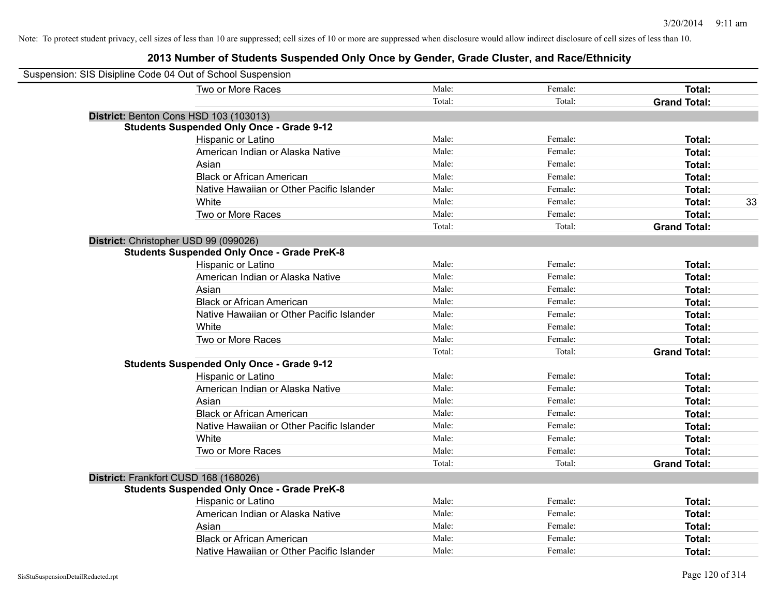| Suspension: SIS Disipline Code 04 Out of School Suspension |                                                    |        |         |                     |
|------------------------------------------------------------|----------------------------------------------------|--------|---------|---------------------|
|                                                            | Two or More Races                                  | Male:  | Female: | Total:              |
|                                                            |                                                    | Total: | Total:  | <b>Grand Total:</b> |
|                                                            | District: Benton Cons HSD 103 (103013)             |        |         |                     |
|                                                            | <b>Students Suspended Only Once - Grade 9-12</b>   |        |         |                     |
|                                                            | Hispanic or Latino                                 | Male:  | Female: | Total:              |
|                                                            | American Indian or Alaska Native                   | Male:  | Female: | Total:              |
|                                                            | Asian                                              | Male:  | Female: | Total:              |
|                                                            | <b>Black or African American</b>                   | Male:  | Female: | Total:              |
|                                                            | Native Hawaiian or Other Pacific Islander          | Male:  | Female: | Total:              |
|                                                            | White                                              | Male:  | Female: | 33<br>Total:        |
|                                                            | Two or More Races                                  | Male:  | Female: | Total:              |
|                                                            |                                                    | Total: | Total:  | <b>Grand Total:</b> |
|                                                            | District: Christopher USD 99 (099026)              |        |         |                     |
|                                                            | <b>Students Suspended Only Once - Grade PreK-8</b> |        |         |                     |
|                                                            | Hispanic or Latino                                 | Male:  | Female: | Total:              |
|                                                            | American Indian or Alaska Native                   | Male:  | Female: | Total:              |
|                                                            | Asian                                              | Male:  | Female: | Total:              |
|                                                            | <b>Black or African American</b>                   | Male:  | Female: | Total:              |
|                                                            | Native Hawaiian or Other Pacific Islander          | Male:  | Female: | Total:              |
|                                                            | White                                              | Male:  | Female: | Total:              |
|                                                            | Two or More Races                                  | Male:  | Female: | Total:              |
|                                                            |                                                    | Total: | Total:  | <b>Grand Total:</b> |
|                                                            | <b>Students Suspended Only Once - Grade 9-12</b>   |        |         |                     |
|                                                            | Hispanic or Latino                                 | Male:  | Female: | Total:              |
|                                                            | American Indian or Alaska Native                   | Male:  | Female: | Total:              |
|                                                            | Asian                                              | Male:  | Female: | Total:              |
|                                                            | <b>Black or African American</b>                   | Male:  | Female: | Total:              |
|                                                            | Native Hawaiian or Other Pacific Islander          | Male:  | Female: | Total:              |
|                                                            | White                                              | Male:  | Female: | Total:              |
|                                                            | Two or More Races                                  | Male:  | Female: | Total:              |
|                                                            |                                                    | Total: | Total:  | <b>Grand Total:</b> |
|                                                            | District: Frankfort CUSD 168 (168026)              |        |         |                     |
|                                                            | <b>Students Suspended Only Once - Grade PreK-8</b> |        |         |                     |
|                                                            | Hispanic or Latino                                 | Male:  | Female: | Total:              |
|                                                            | American Indian or Alaska Native                   | Male:  | Female: | Total:              |
|                                                            | Asian                                              | Male:  | Female: | Total:              |
|                                                            | <b>Black or African American</b>                   | Male:  | Female: | Total:              |
|                                                            | Native Hawaiian or Other Pacific Islander          | Male:  | Female: | Total:              |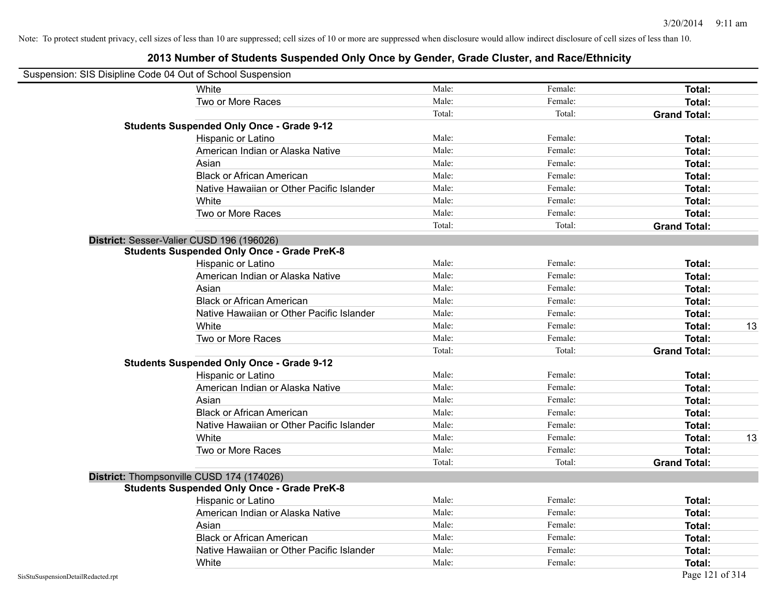|                                    | Suspension: SIS Disipline Code 04 Out of School Suspension |        |         |                     |
|------------------------------------|------------------------------------------------------------|--------|---------|---------------------|
|                                    | White                                                      | Male:  | Female: | Total:              |
|                                    | Two or More Races                                          | Male:  | Female: | Total:              |
|                                    |                                                            | Total: | Total:  | <b>Grand Total:</b> |
|                                    | <b>Students Suspended Only Once - Grade 9-12</b>           |        |         |                     |
|                                    | Hispanic or Latino                                         | Male:  | Female: | Total:              |
|                                    | American Indian or Alaska Native                           | Male:  | Female: | Total:              |
|                                    | Asian                                                      | Male:  | Female: | Total:              |
|                                    | <b>Black or African American</b>                           | Male:  | Female: | Total:              |
|                                    | Native Hawaiian or Other Pacific Islander                  | Male:  | Female: | Total:              |
|                                    | White                                                      | Male:  | Female: | Total:              |
|                                    | Two or More Races                                          | Male:  | Female: | Total:              |
|                                    |                                                            | Total: | Total:  | <b>Grand Total:</b> |
|                                    | District: Sesser-Valier CUSD 196 (196026)                  |        |         |                     |
|                                    | <b>Students Suspended Only Once - Grade PreK-8</b>         |        |         |                     |
|                                    | Hispanic or Latino                                         | Male:  | Female: | Total:              |
|                                    | American Indian or Alaska Native                           | Male:  | Female: | <b>Total:</b>       |
|                                    | Asian                                                      | Male:  | Female: | Total:              |
|                                    | <b>Black or African American</b>                           | Male:  | Female: | Total:              |
|                                    | Native Hawaiian or Other Pacific Islander                  | Male:  | Female: | Total:              |
|                                    | White                                                      | Male:  | Female: | 13<br>Total:        |
|                                    | Two or More Races                                          | Male:  | Female: | Total:              |
|                                    |                                                            | Total: | Total:  | <b>Grand Total:</b> |
|                                    | <b>Students Suspended Only Once - Grade 9-12</b>           |        |         |                     |
|                                    | Hispanic or Latino                                         | Male:  | Female: | Total:              |
|                                    | American Indian or Alaska Native                           | Male:  | Female: | <b>Total:</b>       |
|                                    | Asian                                                      | Male:  | Female: | Total:              |
|                                    | <b>Black or African American</b>                           | Male:  | Female: | Total:              |
|                                    | Native Hawaiian or Other Pacific Islander                  | Male:  | Female: | Total:              |
|                                    | White                                                      | Male:  | Female: | 13<br>Total:        |
|                                    | Two or More Races                                          | Male:  | Female: | <b>Total:</b>       |
|                                    |                                                            | Total: | Total:  | <b>Grand Total:</b> |
|                                    | District: Thompsonville CUSD 174 (174026)                  |        |         |                     |
|                                    | <b>Students Suspended Only Once - Grade PreK-8</b>         |        |         |                     |
|                                    | <b>Hispanic or Latino</b>                                  | Male:  | Female: | Total:              |
|                                    | American Indian or Alaska Native                           | Male:  | Female: | Total:              |
|                                    | Asian                                                      | Male:  | Female: | Total:              |
|                                    | <b>Black or African American</b>                           | Male:  | Female: | Total:              |
|                                    | Native Hawaiian or Other Pacific Islander                  | Male:  | Female: | Total:              |
|                                    | White                                                      | Male:  | Female: | Total:              |
| SisStuSuspensionDetailRedacted.rpt |                                                            |        |         | Page 121 of 314     |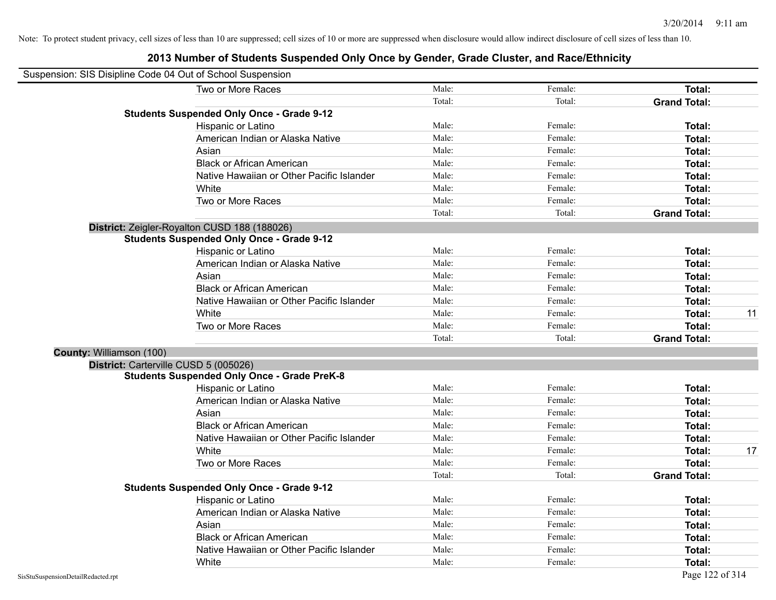|                          | Suspension: SIS Disipline Code 04 Out of School Suspension |        |         |                     |    |
|--------------------------|------------------------------------------------------------|--------|---------|---------------------|----|
|                          | Two or More Races                                          | Male:  | Female: | Total:              |    |
|                          |                                                            | Total: | Total:  | <b>Grand Total:</b> |    |
|                          | <b>Students Suspended Only Once - Grade 9-12</b>           |        |         |                     |    |
|                          | Hispanic or Latino                                         | Male:  | Female: | Total:              |    |
|                          | American Indian or Alaska Native                           | Male:  | Female: | Total:              |    |
|                          | Asian                                                      | Male:  | Female: | Total:              |    |
|                          | <b>Black or African American</b>                           | Male:  | Female: | Total:              |    |
|                          | Native Hawaiian or Other Pacific Islander                  | Male:  | Female: | Total:              |    |
|                          | White                                                      | Male:  | Female: | Total:              |    |
|                          | Two or More Races                                          | Male:  | Female: | Total:              |    |
|                          |                                                            | Total: | Total:  | <b>Grand Total:</b> |    |
|                          | District: Zeigler-Royalton CUSD 188 (188026)               |        |         |                     |    |
|                          | <b>Students Suspended Only Once - Grade 9-12</b>           |        |         |                     |    |
|                          | Hispanic or Latino                                         | Male:  | Female: | Total:              |    |
|                          | American Indian or Alaska Native                           | Male:  | Female: | Total:              |    |
|                          | Asian                                                      | Male:  | Female: | Total:              |    |
|                          | <b>Black or African American</b>                           | Male:  | Female: | Total:              |    |
|                          | Native Hawaiian or Other Pacific Islander                  | Male:  | Female: | Total:              |    |
|                          | White                                                      | Male:  | Female: | Total:              | 11 |
|                          | Two or More Races                                          | Male:  | Female: | Total:              |    |
|                          |                                                            | Total: | Total:  | <b>Grand Total:</b> |    |
| County: Williamson (100) |                                                            |        |         |                     |    |
|                          | District: Carterville CUSD 5 (005026)                      |        |         |                     |    |
|                          | <b>Students Suspended Only Once - Grade PreK-8</b>         |        |         |                     |    |
|                          | Hispanic or Latino                                         | Male:  | Female: | Total:              |    |
|                          | American Indian or Alaska Native                           | Male:  | Female: | Total:              |    |
|                          | Asian                                                      | Male:  | Female: | Total:              |    |
|                          | <b>Black or African American</b>                           | Male:  | Female: | Total:              |    |
|                          | Native Hawaiian or Other Pacific Islander                  | Male:  | Female: | Total:              |    |
|                          | White                                                      | Male:  | Female: | Total:              | 17 |
|                          | Two or More Races                                          | Male:  | Female: | Total:              |    |
|                          |                                                            | Total: | Total:  | <b>Grand Total:</b> |    |
|                          | <b>Students Suspended Only Once - Grade 9-12</b>           |        |         |                     |    |
|                          | Hispanic or Latino                                         | Male:  | Female: | Total:              |    |
|                          | American Indian or Alaska Native                           | Male:  | Female: | Total:              |    |
|                          | Asian                                                      | Male:  | Female: | Total:              |    |
|                          | <b>Black or African American</b>                           | Male:  | Female: | Total:              |    |
|                          | Native Hawaiian or Other Pacific Islander                  | Male:  | Female: | Total:              |    |
|                          | White                                                      | Male:  | Female: | Total:              |    |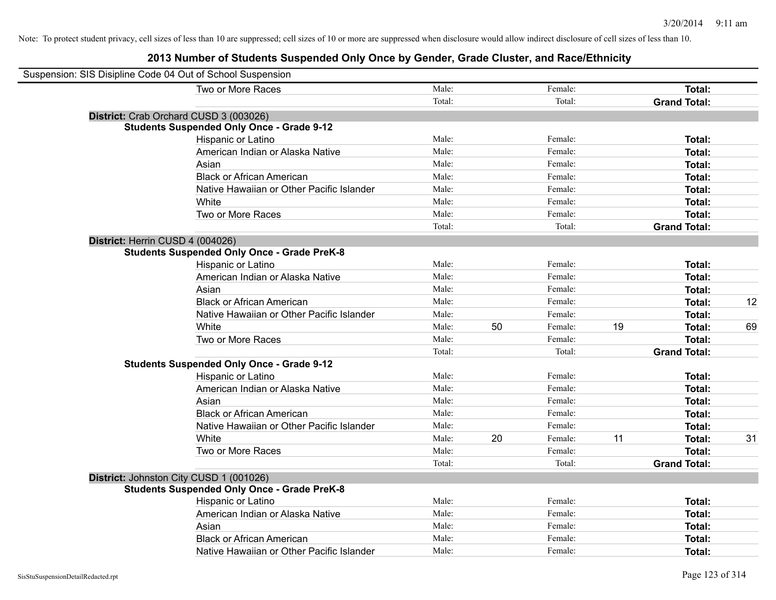| Suspension: SIS Disipline Code 04 Out of School Suspension |                                                    |        |    |         |    |                     |    |
|------------------------------------------------------------|----------------------------------------------------|--------|----|---------|----|---------------------|----|
|                                                            | Two or More Races                                  | Male:  |    | Female: |    | Total:              |    |
|                                                            |                                                    | Total: |    | Total:  |    | <b>Grand Total:</b> |    |
|                                                            | District: Crab Orchard CUSD 3 (003026)             |        |    |         |    |                     |    |
|                                                            | <b>Students Suspended Only Once - Grade 9-12</b>   |        |    |         |    |                     |    |
|                                                            | Hispanic or Latino                                 | Male:  |    | Female: |    | Total:              |    |
|                                                            | American Indian or Alaska Native                   | Male:  |    | Female: |    | Total:              |    |
|                                                            | Asian                                              | Male:  |    | Female: |    | Total:              |    |
|                                                            | <b>Black or African American</b>                   | Male:  |    | Female: |    | Total:              |    |
|                                                            | Native Hawaiian or Other Pacific Islander          | Male:  |    | Female: |    | Total:              |    |
|                                                            | White                                              | Male:  |    | Female: |    | Total:              |    |
|                                                            | Two or More Races                                  | Male:  |    | Female: |    | Total:              |    |
|                                                            |                                                    | Total: |    | Total:  |    | <b>Grand Total:</b> |    |
| District: Herrin CUSD 4 (004026)                           |                                                    |        |    |         |    |                     |    |
|                                                            | <b>Students Suspended Only Once - Grade PreK-8</b> |        |    |         |    |                     |    |
|                                                            | Hispanic or Latino                                 | Male:  |    | Female: |    | Total:              |    |
|                                                            | American Indian or Alaska Native                   | Male:  |    | Female: |    | Total:              |    |
|                                                            | Asian                                              | Male:  |    | Female: |    | Total:              |    |
|                                                            | <b>Black or African American</b>                   | Male:  |    | Female: |    | Total:              | 12 |
|                                                            | Native Hawaiian or Other Pacific Islander          | Male:  |    | Female: |    | Total:              |    |
|                                                            | White                                              | Male:  | 50 | Female: | 19 | Total:              | 69 |
|                                                            | Two or More Races                                  | Male:  |    | Female: |    | Total:              |    |
|                                                            |                                                    | Total: |    | Total:  |    | <b>Grand Total:</b> |    |
|                                                            | <b>Students Suspended Only Once - Grade 9-12</b>   |        |    |         |    |                     |    |
|                                                            | Hispanic or Latino                                 | Male:  |    | Female: |    | Total:              |    |
|                                                            | American Indian or Alaska Native                   | Male:  |    | Female: |    | Total:              |    |
|                                                            | Asian                                              | Male:  |    | Female: |    | Total:              |    |
|                                                            | <b>Black or African American</b>                   | Male:  |    | Female: |    | Total:              |    |
|                                                            | Native Hawaiian or Other Pacific Islander          | Male:  |    | Female: |    | Total:              |    |
|                                                            | White                                              | Male:  | 20 | Female: | 11 | Total:              | 31 |
|                                                            | Two or More Races                                  | Male:  |    | Female: |    | Total:              |    |
|                                                            |                                                    | Total: |    | Total:  |    | <b>Grand Total:</b> |    |
|                                                            | District: Johnston City CUSD 1 (001026)            |        |    |         |    |                     |    |
|                                                            | <b>Students Suspended Only Once - Grade PreK-8</b> |        |    |         |    |                     |    |
|                                                            | Hispanic or Latino                                 | Male:  |    | Female: |    | Total:              |    |
|                                                            | American Indian or Alaska Native                   | Male:  |    | Female: |    | Total:              |    |
|                                                            | Asian                                              | Male:  |    | Female: |    | Total:              |    |
|                                                            | <b>Black or African American</b>                   | Male:  |    | Female: |    | Total:              |    |
|                                                            | Native Hawaiian or Other Pacific Islander          | Male:  |    | Female: |    | Total:              |    |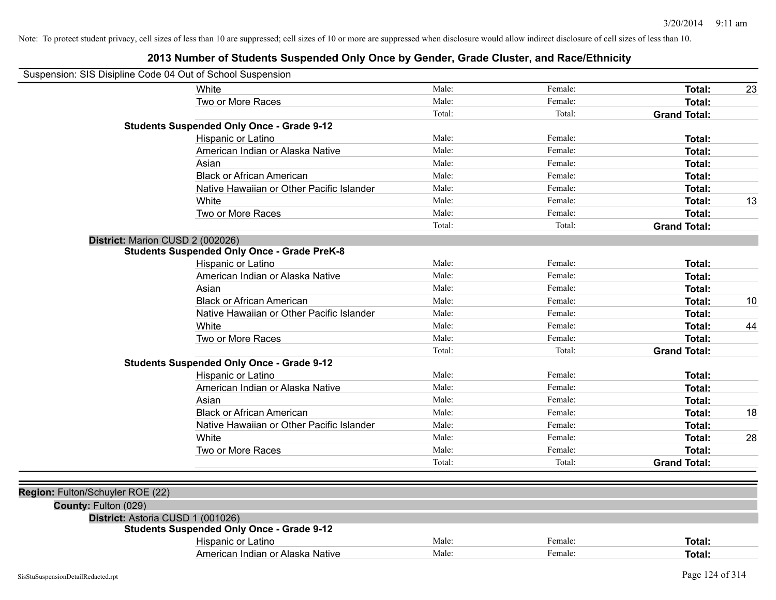| Suspension: SIS Disipline Code 04 Out of School Suspension |                                                    |        |         |                     |    |
|------------------------------------------------------------|----------------------------------------------------|--------|---------|---------------------|----|
|                                                            | <b>White</b>                                       | Male:  | Female: | Total:              | 23 |
|                                                            | Two or More Races                                  | Male:  | Female: | Total:              |    |
|                                                            |                                                    | Total: | Total:  | <b>Grand Total:</b> |    |
|                                                            | <b>Students Suspended Only Once - Grade 9-12</b>   |        |         |                     |    |
|                                                            | Hispanic or Latino                                 | Male:  | Female: | Total:              |    |
|                                                            | American Indian or Alaska Native                   | Male:  | Female: | Total:              |    |
|                                                            | Asian                                              | Male:  | Female: | Total:              |    |
|                                                            | <b>Black or African American</b>                   | Male:  | Female: | Total:              |    |
|                                                            | Native Hawaiian or Other Pacific Islander          | Male:  | Female: | Total:              |    |
|                                                            | White                                              | Male:  | Female: | Total:              | 13 |
|                                                            | Two or More Races                                  | Male:  | Female: | Total:              |    |
|                                                            |                                                    | Total: | Total:  | <b>Grand Total:</b> |    |
| District: Marion CUSD 2 (002026)                           |                                                    |        |         |                     |    |
|                                                            | <b>Students Suspended Only Once - Grade PreK-8</b> |        |         |                     |    |
|                                                            | Hispanic or Latino                                 | Male:  | Female: | Total:              |    |
|                                                            | American Indian or Alaska Native                   | Male:  | Female: | Total:              |    |
|                                                            | Asian                                              | Male:  | Female: | Total:              |    |
|                                                            | <b>Black or African American</b>                   | Male:  | Female: | Total:              | 10 |
|                                                            | Native Hawaiian or Other Pacific Islander          | Male:  | Female: | Total:              |    |
|                                                            | White                                              | Male:  | Female: | Total:              | 44 |
|                                                            | Two or More Races                                  | Male:  | Female: | Total:              |    |
|                                                            |                                                    | Total: | Total:  | <b>Grand Total:</b> |    |
|                                                            | <b>Students Suspended Only Once - Grade 9-12</b>   |        |         |                     |    |
|                                                            | Hispanic or Latino                                 | Male:  | Female: | Total:              |    |
|                                                            | American Indian or Alaska Native                   | Male:  | Female: | Total:              |    |
|                                                            | Asian                                              | Male:  | Female: | Total:              |    |
|                                                            | <b>Black or African American</b>                   | Male:  | Female: | Total:              | 18 |
|                                                            | Native Hawaiian or Other Pacific Islander          | Male:  | Female: | Total:              |    |
|                                                            | White                                              | Male:  | Female: | Total:              | 28 |
|                                                            | Two or More Races                                  | Male:  | Female: | Total:              |    |
|                                                            |                                                    | Total: | Total:  | <b>Grand Total:</b> |    |
|                                                            |                                                    |        |         |                     |    |
| Region: Fulton/Schuyler ROE (22)                           |                                                    |        |         |                     |    |
| County: Fulton (029)                                       |                                                    |        |         |                     |    |
| District: Astoria CUSD 1 (001026)                          |                                                    |        |         |                     |    |
|                                                            | <b>Students Suspended Only Once - Grade 9-12</b>   |        |         |                     |    |
|                                                            | Hispanic or Latino                                 | Male:  | Female: | Total:              |    |
|                                                            | American Indian or Alaska Native                   | Male:  | Female: | Total:              |    |
|                                                            |                                                    |        |         |                     |    |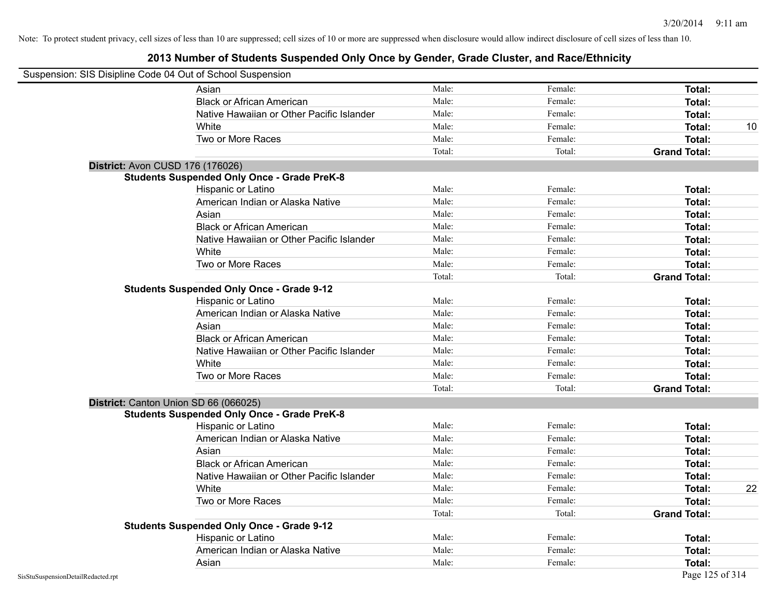| Suspension: SIS Disipline Code 04 Out of School Suspension |                                                    |        |         |                     |
|------------------------------------------------------------|----------------------------------------------------|--------|---------|---------------------|
|                                                            | Asian                                              | Male:  | Female: | Total:              |
|                                                            | <b>Black or African American</b>                   | Male:  | Female: | Total:              |
|                                                            | Native Hawaiian or Other Pacific Islander          | Male:  | Female: | Total:              |
|                                                            | White                                              | Male:  | Female: | Total:<br>10        |
|                                                            | Two or More Races                                  | Male:  | Female: | <b>Total:</b>       |
|                                                            |                                                    | Total: | Total:  | <b>Grand Total:</b> |
|                                                            | <b>District: Avon CUSD 176 (176026)</b>            |        |         |                     |
|                                                            | <b>Students Suspended Only Once - Grade PreK-8</b> |        |         |                     |
|                                                            | Hispanic or Latino                                 | Male:  | Female: | Total:              |
|                                                            | American Indian or Alaska Native                   | Male:  | Female: | Total:              |
|                                                            | Asian                                              | Male:  | Female: | Total:              |
|                                                            | <b>Black or African American</b>                   | Male:  | Female: | Total:              |
|                                                            | Native Hawaiian or Other Pacific Islander          | Male:  | Female: | <b>Total:</b>       |
|                                                            | White                                              | Male:  | Female: | <b>Total:</b>       |
|                                                            | Two or More Races                                  | Male:  | Female: | <b>Total:</b>       |
|                                                            |                                                    | Total: | Total:  | <b>Grand Total:</b> |
|                                                            | <b>Students Suspended Only Once - Grade 9-12</b>   |        |         |                     |
|                                                            | Hispanic or Latino                                 | Male:  | Female: | Total:              |
|                                                            | American Indian or Alaska Native                   | Male:  | Female: | Total:              |
|                                                            | Asian                                              | Male:  | Female: | Total:              |
|                                                            | <b>Black or African American</b>                   | Male:  | Female: | Total:              |
|                                                            | Native Hawaiian or Other Pacific Islander          | Male:  | Female: | <b>Total:</b>       |
|                                                            | White                                              | Male:  | Female: | Total:              |
|                                                            | Two or More Races                                  | Male:  | Female: | <b>Total:</b>       |
|                                                            |                                                    | Total: | Total:  | <b>Grand Total:</b> |
|                                                            | District: Canton Union SD 66 (066025)              |        |         |                     |
|                                                            | <b>Students Suspended Only Once - Grade PreK-8</b> |        |         |                     |
|                                                            | Hispanic or Latino                                 | Male:  | Female: | Total:              |
|                                                            | American Indian or Alaska Native                   | Male:  | Female: | Total:              |
|                                                            | Asian                                              | Male:  | Female: | Total:              |
|                                                            | <b>Black or African American</b>                   | Male:  | Female: | Total:              |
|                                                            | Native Hawaiian or Other Pacific Islander          | Male:  | Female: | Total:              |
|                                                            | White                                              | Male:  | Female: | 22<br>Total:        |
|                                                            | Two or More Races                                  | Male:  | Female: | Total:              |
|                                                            |                                                    | Total: | Total:  | <b>Grand Total:</b> |
|                                                            | <b>Students Suspended Only Once - Grade 9-12</b>   |        |         |                     |
|                                                            | Hispanic or Latino                                 | Male:  | Female: | Total:              |
|                                                            | American Indian or Alaska Native                   | Male:  | Female: | Total:              |
|                                                            | Asian                                              | Male:  | Female: | Total:              |
| SisStuSuspensionDetailRedacted.rpt                         |                                                    |        |         | Page 125 of 314     |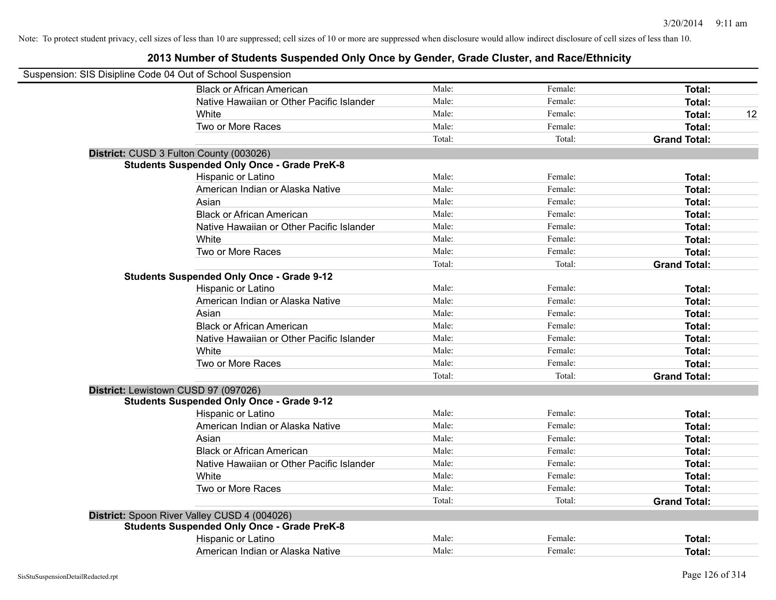| Suspension: SIS Disipline Code 04 Out of School Suspension |                                                    |        |         |                     |
|------------------------------------------------------------|----------------------------------------------------|--------|---------|---------------------|
|                                                            | <b>Black or African American</b>                   | Male:  | Female: | Total:              |
|                                                            | Native Hawaiian or Other Pacific Islander          | Male:  | Female: | Total:              |
|                                                            | White                                              | Male:  | Female: | Total:<br>12        |
|                                                            | Two or More Races                                  | Male:  | Female: | Total:              |
|                                                            |                                                    | Total: | Total:  | <b>Grand Total:</b> |
|                                                            | District: CUSD 3 Fulton County (003026)            |        |         |                     |
|                                                            | <b>Students Suspended Only Once - Grade PreK-8</b> |        |         |                     |
|                                                            | Hispanic or Latino                                 | Male:  | Female: | Total:              |
|                                                            | American Indian or Alaska Native                   | Male:  | Female: | Total:              |
|                                                            | Asian                                              | Male:  | Female: | Total:              |
|                                                            | <b>Black or African American</b>                   | Male:  | Female: | Total:              |
|                                                            | Native Hawaiian or Other Pacific Islander          | Male:  | Female: | Total:              |
|                                                            | White                                              | Male:  | Female: | Total:              |
|                                                            | Two or More Races                                  | Male:  | Female: | Total:              |
|                                                            |                                                    | Total: | Total:  | <b>Grand Total:</b> |
|                                                            | <b>Students Suspended Only Once - Grade 9-12</b>   |        |         |                     |
|                                                            | Hispanic or Latino                                 | Male:  | Female: | Total:              |
|                                                            | American Indian or Alaska Native                   | Male:  | Female: | Total:              |
|                                                            | Asian                                              | Male:  | Female: | Total:              |
|                                                            | <b>Black or African American</b>                   | Male:  | Female: | Total:              |
|                                                            | Native Hawaiian or Other Pacific Islander          | Male:  | Female: | Total:              |
|                                                            | White                                              | Male:  | Female: | Total:              |
|                                                            | Two or More Races                                  | Male:  | Female: | Total:              |
|                                                            |                                                    | Total: | Total:  | <b>Grand Total:</b> |
|                                                            | District: Lewistown CUSD 97 (097026)               |        |         |                     |
|                                                            | <b>Students Suspended Only Once - Grade 9-12</b>   |        |         |                     |
|                                                            | Hispanic or Latino                                 | Male:  | Female: | Total:              |
|                                                            | American Indian or Alaska Native                   | Male:  | Female: | Total:              |
|                                                            | Asian                                              | Male:  | Female: | Total:              |
|                                                            | <b>Black or African American</b>                   | Male:  | Female: | Total:              |
|                                                            | Native Hawaiian or Other Pacific Islander          | Male:  | Female: | Total:              |
|                                                            | White                                              | Male:  | Female: | Total:              |
|                                                            | Two or More Races                                  | Male:  | Female: | Total:              |
|                                                            |                                                    | Total: | Total:  | <b>Grand Total:</b> |
|                                                            | District: Spoon River Valley CUSD 4 (004026)       |        |         |                     |
|                                                            | <b>Students Suspended Only Once - Grade PreK-8</b> |        |         |                     |
|                                                            | Hispanic or Latino                                 | Male:  | Female: | <b>Total:</b>       |
|                                                            | American Indian or Alaska Native                   | Male:  | Female: | Total:              |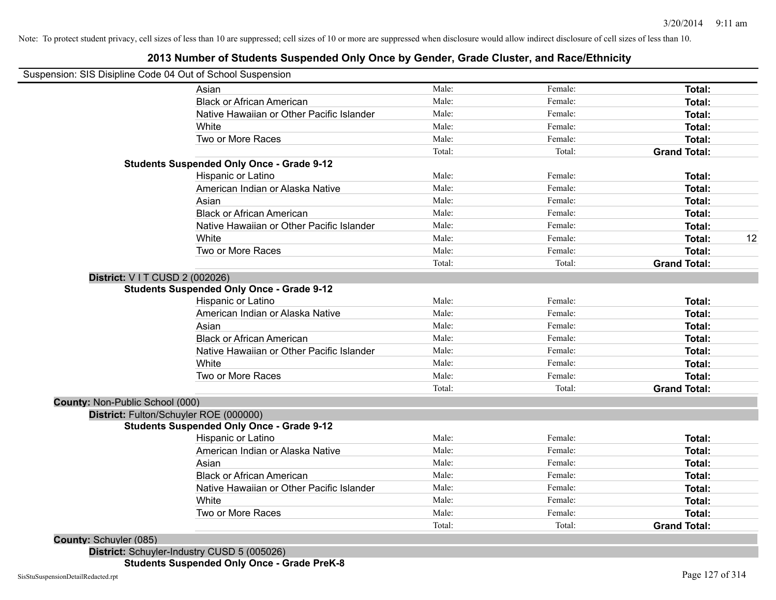#### **2013 Number of Students Suspended Only Once by Gender, Grade Cluster, and Race/Ethnicity**

# Suspension: SIS Disipline Code 04 Out of School Suspension

|                                 | Asian                                            | Male:  | Female: | Total:              |    |
|---------------------------------|--------------------------------------------------|--------|---------|---------------------|----|
|                                 | <b>Black or African American</b>                 | Male:  | Female: | Total:              |    |
|                                 | Native Hawaiian or Other Pacific Islander        | Male:  | Female: | Total:              |    |
|                                 | White                                            | Male:  | Female: | Total:              |    |
|                                 | Two or More Races                                | Male:  | Female: | Total:              |    |
|                                 |                                                  | Total: | Total:  | <b>Grand Total:</b> |    |
|                                 | <b>Students Suspended Only Once - Grade 9-12</b> |        |         |                     |    |
|                                 | Hispanic or Latino                               | Male:  | Female: | Total:              |    |
|                                 | American Indian or Alaska Native                 | Male:  | Female: | Total:              |    |
|                                 | Asian                                            | Male:  | Female: | Total:              |    |
|                                 | <b>Black or African American</b>                 | Male:  | Female: | Total:              |    |
|                                 | Native Hawaiian or Other Pacific Islander        | Male:  | Female: | Total:              |    |
|                                 | White                                            | Male:  | Female: | Total:              | 12 |
|                                 | Two or More Races                                | Male:  | Female: | Total:              |    |
|                                 |                                                  | Total: | Total:  | <b>Grand Total:</b> |    |
| District: V I T CUSD 2 (002026) |                                                  |        |         |                     |    |
|                                 | <b>Students Suspended Only Once - Grade 9-12</b> |        |         |                     |    |
|                                 | Hispanic or Latino                               | Male:  | Female: | Total:              |    |
|                                 | American Indian or Alaska Native                 | Male:  | Female: | Total:              |    |
|                                 | Asian                                            | Male:  | Female: | Total:              |    |
|                                 | <b>Black or African American</b>                 | Male:  | Female: | Total:              |    |
|                                 | Native Hawaiian or Other Pacific Islander        | Male:  | Female: | Total:              |    |
|                                 | White                                            | Male:  | Female: | Total:              |    |
|                                 | Two or More Races                                | Male:  | Female: | Total:              |    |
|                                 |                                                  | Total: | Total:  | <b>Grand Total:</b> |    |
| County: Non-Public School (000) |                                                  |        |         |                     |    |
|                                 | District: Fulton/Schuyler ROE (000000)           |        |         |                     |    |
|                                 | <b>Students Suspended Only Once - Grade 9-12</b> |        |         |                     |    |
|                                 | Hispanic or Latino                               | Male:  | Female: | Total:              |    |
|                                 | American Indian or Alaska Native                 | Male:  | Female: | Total:              |    |
|                                 | Asian                                            | Male:  | Female: | Total:              |    |
|                                 | <b>Black or African American</b>                 | Male:  | Female: | Total:              |    |
|                                 | Native Hawaiian or Other Pacific Islander        | Male:  | Female: | Total:              |    |
|                                 | White                                            | Male:  | Female: | Total:              |    |
|                                 | Two or More Races                                | Male:  | Female: | Total:              |    |
|                                 |                                                  | Total: | Total:  | <b>Grand Total:</b> |    |

**County:** Schuyler (085)

**District:** Schuyler-Industry CUSD 5 (005026)

**Students Suspended Only Once - Grade PreK-8**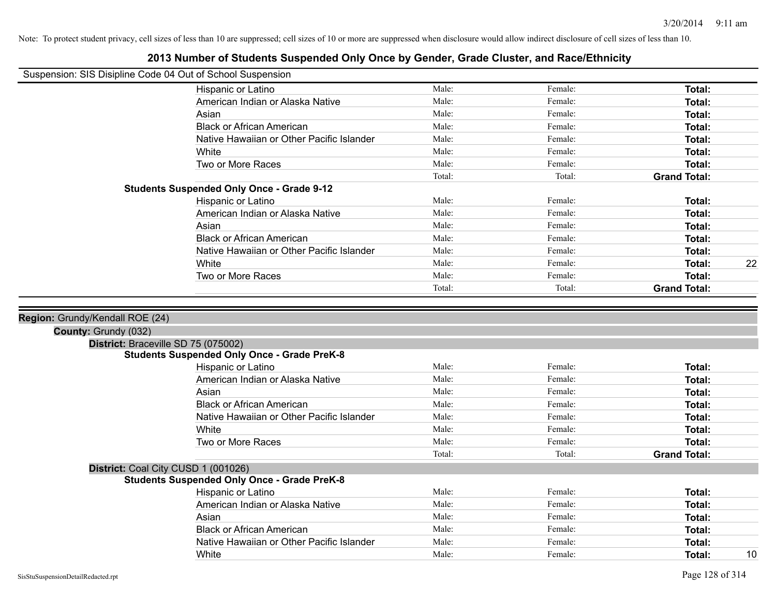|                                 | Suspension: SIS Disipline Code 04 Out of School Suspension |                |                    |                     |    |
|---------------------------------|------------------------------------------------------------|----------------|--------------------|---------------------|----|
|                                 | Hispanic or Latino                                         | Male:          | Female:            | Total:              |    |
|                                 | American Indian or Alaska Native                           | Male:          | Female:            | Total:              |    |
|                                 | Asian                                                      | Male:          | Female:            | Total:              |    |
|                                 | <b>Black or African American</b>                           | Male:          | Female:            | Total:              |    |
|                                 | Native Hawaiian or Other Pacific Islander                  | Male:          | Female:            | Total:              |    |
|                                 | White                                                      | Male:          | Female:            | Total:              |    |
|                                 | Two or More Races                                          | Male:          | Female:            | Total:              |    |
|                                 |                                                            | Total:         | Total:             | <b>Grand Total:</b> |    |
|                                 | <b>Students Suspended Only Once - Grade 9-12</b>           |                |                    |                     |    |
|                                 | Hispanic or Latino                                         | Male:          | Female:            | Total:              |    |
|                                 | American Indian or Alaska Native                           | Male:          | Female:            | Total:              |    |
|                                 | Asian                                                      | Male:          | Female:            | Total:              |    |
|                                 | <b>Black or African American</b>                           | Male:          | Female:            | Total:              |    |
|                                 | Native Hawaiian or Other Pacific Islander                  | Male:          | Female:            | Total:              |    |
|                                 | White                                                      | Male:          | Female:            | Total:              | 22 |
|                                 | Two or More Races                                          | Male:          | Female:            | Total:              |    |
|                                 |                                                            | Total:         | Total:             | <b>Grand Total:</b> |    |
| Region: Grundy/Kendall ROE (24) |                                                            |                |                    |                     |    |
| County: Grundy (032)            | District: Braceville SD 75 (075002)                        |                |                    |                     |    |
|                                 | <b>Students Suspended Only Once - Grade PreK-8</b>         |                |                    |                     |    |
|                                 | Hispanic or Latino                                         | Male:          | Female:            | Total:              |    |
|                                 | American Indian or Alaska Native                           | Male:          | Female:            | Total:              |    |
|                                 | Asian                                                      | Male:          | Female:            | Total:              |    |
|                                 | <b>Black or African American</b>                           | Male:          | Female:            | Total:              |    |
|                                 | Native Hawaiian or Other Pacific Islander                  | Male:          | Female:            | Total:              |    |
|                                 | White                                                      | Male:          | Female:            | Total:              |    |
|                                 | Two or More Races                                          | Male:          | Female:            | Total:              |    |
|                                 |                                                            | Total:         | Total:             | <b>Grand Total:</b> |    |
|                                 | District: Coal City CUSD 1 (001026)                        |                |                    |                     |    |
|                                 | <b>Students Suspended Only Once - Grade PreK-8</b>         |                |                    |                     |    |
|                                 | Hispanic or Latino                                         | Male:<br>Male: | Female:<br>Female: | Total:              |    |
|                                 | American Indian or Alaska Native<br>Asian                  | Male:          | Female:            | Total:              |    |
|                                 | <b>Black or African American</b>                           | Male:          | Female:            | Total:              |    |
|                                 | Native Hawaiian or Other Pacific Islander                  | Male:          | Female:            | Total:<br>Total:    |    |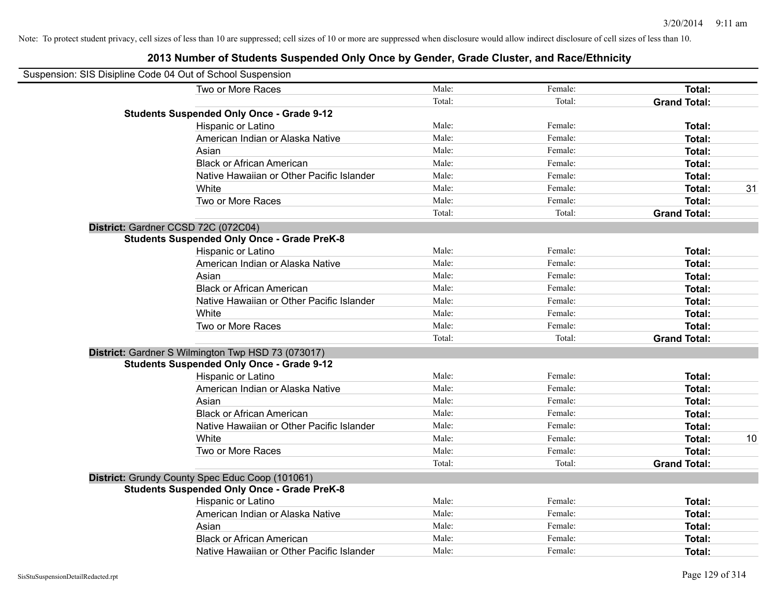| Suspension: SIS Disipline Code 04 Out of School Suspension |                                                    |        |         |                     |    |
|------------------------------------------------------------|----------------------------------------------------|--------|---------|---------------------|----|
|                                                            | Two or More Races                                  | Male:  | Female: | Total:              |    |
|                                                            |                                                    | Total: | Total:  | <b>Grand Total:</b> |    |
|                                                            | <b>Students Suspended Only Once - Grade 9-12</b>   |        |         |                     |    |
|                                                            | Hispanic or Latino                                 | Male:  | Female: | Total:              |    |
|                                                            | American Indian or Alaska Native                   | Male:  | Female: | Total:              |    |
|                                                            | Asian                                              | Male:  | Female: | Total:              |    |
|                                                            | <b>Black or African American</b>                   | Male:  | Female: | Total:              |    |
|                                                            | Native Hawaiian or Other Pacific Islander          | Male:  | Female: | Total:              |    |
|                                                            | White                                              | Male:  | Female: | Total:              | 31 |
|                                                            | Two or More Races                                  | Male:  | Female: | Total:              |    |
|                                                            |                                                    | Total: | Total:  | <b>Grand Total:</b> |    |
| District: Gardner CCSD 72C (072C04)                        |                                                    |        |         |                     |    |
|                                                            | <b>Students Suspended Only Once - Grade PreK-8</b> |        |         |                     |    |
|                                                            | Hispanic or Latino                                 | Male:  | Female: | Total:              |    |
|                                                            | American Indian or Alaska Native                   | Male:  | Female: | Total:              |    |
|                                                            | Asian                                              | Male:  | Female: | Total:              |    |
|                                                            | <b>Black or African American</b>                   | Male:  | Female: | Total:              |    |
|                                                            | Native Hawaiian or Other Pacific Islander          | Male:  | Female: | Total:              |    |
|                                                            | White                                              | Male:  | Female: | Total:              |    |
|                                                            | Two or More Races                                  | Male:  | Female: | Total:              |    |
|                                                            |                                                    | Total: | Total:  | <b>Grand Total:</b> |    |
|                                                            | District: Gardner S Wilmington Twp HSD 73 (073017) |        |         |                     |    |
|                                                            | <b>Students Suspended Only Once - Grade 9-12</b>   |        |         |                     |    |
|                                                            | <b>Hispanic or Latino</b>                          | Male:  | Female: | Total:              |    |
|                                                            | American Indian or Alaska Native                   | Male:  | Female: | Total:              |    |
|                                                            | Asian                                              | Male:  | Female: | Total:              |    |
|                                                            | <b>Black or African American</b>                   | Male:  | Female: | Total:              |    |
|                                                            | Native Hawaiian or Other Pacific Islander          | Male:  | Female: | Total:              |    |
|                                                            | White                                              | Male:  | Female: | Total:              | 10 |
|                                                            | Two or More Races                                  | Male:  | Female: | Total:              |    |
|                                                            |                                                    | Total: | Total:  | <b>Grand Total:</b> |    |
|                                                            | District: Grundy County Spec Educ Coop (101061)    |        |         |                     |    |
|                                                            | <b>Students Suspended Only Once - Grade PreK-8</b> |        |         |                     |    |
|                                                            | Hispanic or Latino                                 | Male:  | Female: | Total:              |    |
|                                                            | American Indian or Alaska Native                   | Male:  | Female: | Total:              |    |
|                                                            | Asian                                              | Male:  | Female: | Total:              |    |
|                                                            | <b>Black or African American</b>                   | Male:  | Female: | Total:              |    |
|                                                            | Native Hawaiian or Other Pacific Islander          | Male:  | Female: | Total:              |    |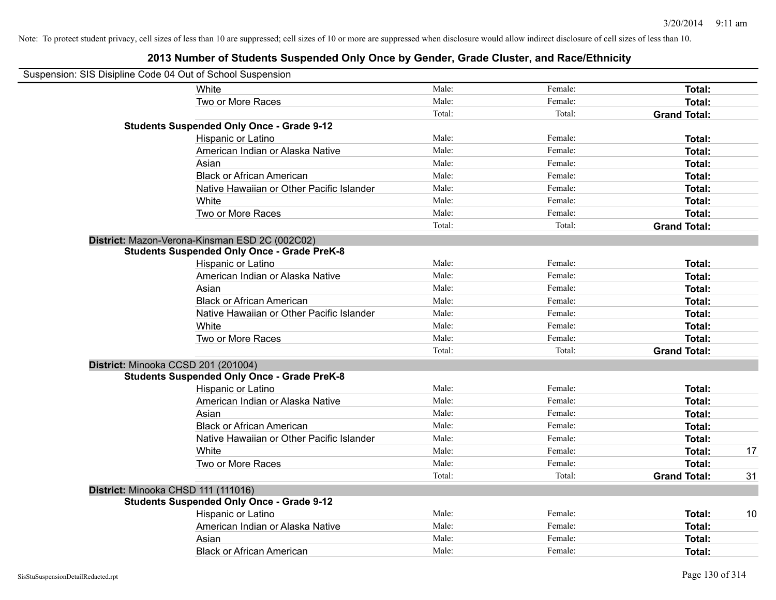| Suspension: SIS Disipline Code 04 Out of School Suspension |                                                    |        |         |                     |    |
|------------------------------------------------------------|----------------------------------------------------|--------|---------|---------------------|----|
|                                                            | White                                              | Male:  | Female: | Total:              |    |
|                                                            | Two or More Races                                  | Male:  | Female: | Total:              |    |
|                                                            |                                                    | Total: | Total:  | <b>Grand Total:</b> |    |
|                                                            | <b>Students Suspended Only Once - Grade 9-12</b>   |        |         |                     |    |
|                                                            | Hispanic or Latino                                 | Male:  | Female: | Total:              |    |
|                                                            | American Indian or Alaska Native                   | Male:  | Female: | Total:              |    |
|                                                            | Asian                                              | Male:  | Female: | <b>Total:</b>       |    |
|                                                            | <b>Black or African American</b>                   | Male:  | Female: | Total:              |    |
|                                                            | Native Hawaiian or Other Pacific Islander          | Male:  | Female: | Total:              |    |
|                                                            | White                                              | Male:  | Female: | Total:              |    |
|                                                            | Two or More Races                                  | Male:  | Female: | Total:              |    |
|                                                            |                                                    | Total: | Total:  | <b>Grand Total:</b> |    |
|                                                            | District: Mazon-Verona-Kinsman ESD 2C (002C02)     |        |         |                     |    |
|                                                            | <b>Students Suspended Only Once - Grade PreK-8</b> |        |         |                     |    |
|                                                            | Hispanic or Latino                                 | Male:  | Female: | Total:              |    |
|                                                            | American Indian or Alaska Native                   | Male:  | Female: | Total:              |    |
|                                                            | Asian                                              | Male:  | Female: | Total:              |    |
|                                                            | <b>Black or African American</b>                   | Male:  | Female: | Total:              |    |
|                                                            | Native Hawaiian or Other Pacific Islander          | Male:  | Female: | Total:              |    |
|                                                            | White                                              | Male:  | Female: | Total:              |    |
|                                                            | Two or More Races                                  | Male:  | Female: | <b>Total:</b>       |    |
|                                                            |                                                    | Total: | Total:  | <b>Grand Total:</b> |    |
|                                                            | District: Minooka CCSD 201 (201004)                |        |         |                     |    |
|                                                            | <b>Students Suspended Only Once - Grade PreK-8</b> |        |         |                     |    |
|                                                            | Hispanic or Latino                                 | Male:  | Female: | Total:              |    |
|                                                            | American Indian or Alaska Native                   | Male:  | Female: | Total:              |    |
|                                                            | Asian                                              | Male:  | Female: | Total:              |    |
|                                                            | <b>Black or African American</b>                   | Male:  | Female: | Total:              |    |
|                                                            | Native Hawaiian or Other Pacific Islander          | Male:  | Female: | Total:              |    |
|                                                            | White                                              | Male:  | Female: | Total:              | 17 |
|                                                            | Two or More Races                                  | Male:  | Female: | <b>Total:</b>       |    |
|                                                            |                                                    | Total: | Total:  | <b>Grand Total:</b> | 31 |
| District: Minooka CHSD 111 (111016)                        |                                                    |        |         |                     |    |
|                                                            | <b>Students Suspended Only Once - Grade 9-12</b>   |        |         |                     |    |
|                                                            | Hispanic or Latino                                 | Male:  | Female: | <b>Total:</b>       | 10 |
|                                                            | American Indian or Alaska Native                   | Male:  | Female: | Total:              |    |
|                                                            | Asian                                              | Male:  | Female: | Total:              |    |
|                                                            | <b>Black or African American</b>                   | Male:  | Female: | Total:              |    |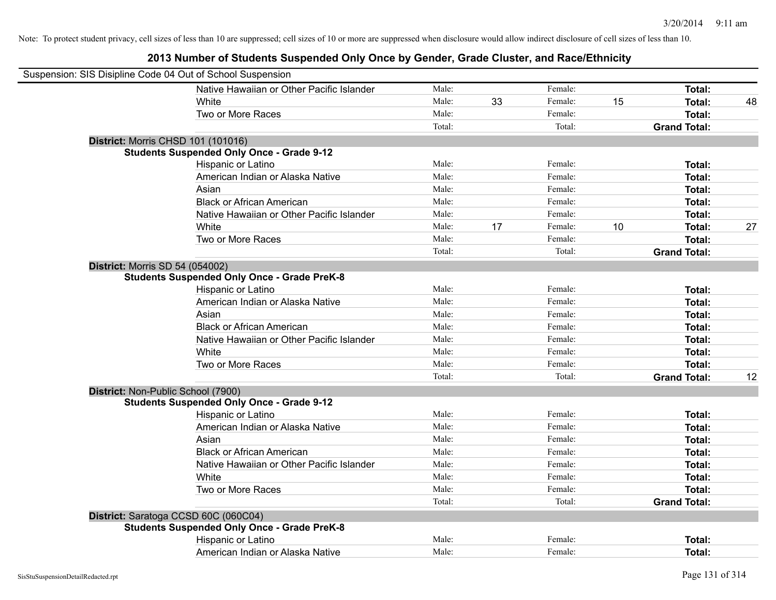| Suspension: SIS Disipline Code 04 Out of School Suspension |                                                    |        |    |         |    |                     |    |
|------------------------------------------------------------|----------------------------------------------------|--------|----|---------|----|---------------------|----|
|                                                            | Native Hawaiian or Other Pacific Islander          | Male:  |    | Female: |    | <b>Total:</b>       |    |
|                                                            | White                                              | Male:  | 33 | Female: | 15 | Total:              | 48 |
|                                                            | Two or More Races                                  | Male:  |    | Female: |    | <b>Total:</b>       |    |
|                                                            |                                                    | Total: |    | Total:  |    | <b>Grand Total:</b> |    |
|                                                            | <b>District: Morris CHSD 101 (101016)</b>          |        |    |         |    |                     |    |
|                                                            | <b>Students Suspended Only Once - Grade 9-12</b>   |        |    |         |    |                     |    |
|                                                            | Hispanic or Latino                                 | Male:  |    | Female: |    | Total:              |    |
|                                                            | American Indian or Alaska Native                   | Male:  |    | Female: |    | Total:              |    |
|                                                            | Asian                                              | Male:  |    | Female: |    | Total:              |    |
|                                                            | <b>Black or African American</b>                   | Male:  |    | Female: |    | Total:              |    |
|                                                            | Native Hawaiian or Other Pacific Islander          | Male:  |    | Female: |    | <b>Total:</b>       |    |
|                                                            | White                                              | Male:  | 17 | Female: | 10 | <b>Total:</b>       | 27 |
|                                                            | Two or More Races                                  | Male:  |    | Female: |    | <b>Total:</b>       |    |
|                                                            |                                                    | Total: |    | Total:  |    | <b>Grand Total:</b> |    |
| <b>District: Morris SD 54 (054002)</b>                     |                                                    |        |    |         |    |                     |    |
|                                                            | <b>Students Suspended Only Once - Grade PreK-8</b> |        |    |         |    |                     |    |
|                                                            | Hispanic or Latino                                 | Male:  |    | Female: |    | Total:              |    |
|                                                            | American Indian or Alaska Native                   | Male:  |    | Female: |    | <b>Total:</b>       |    |
|                                                            | Asian                                              | Male:  |    | Female: |    | Total:              |    |
|                                                            | <b>Black or African American</b>                   | Male:  |    | Female: |    | Total:              |    |
|                                                            | Native Hawaiian or Other Pacific Islander          | Male:  |    | Female: |    | Total:              |    |
|                                                            | White                                              | Male:  |    | Female: |    | Total:              |    |
|                                                            | Two or More Races                                  | Male:  |    | Female: |    | <b>Total:</b>       |    |
|                                                            |                                                    | Total: |    | Total:  |    | <b>Grand Total:</b> | 12 |
|                                                            | District: Non-Public School (7900)                 |        |    |         |    |                     |    |
|                                                            | <b>Students Suspended Only Once - Grade 9-12</b>   |        |    |         |    |                     |    |
|                                                            | Hispanic or Latino                                 | Male:  |    | Female: |    | <b>Total:</b>       |    |
|                                                            | American Indian or Alaska Native                   | Male:  |    | Female: |    | Total:              |    |
|                                                            | Asian                                              | Male:  |    | Female: |    | <b>Total:</b>       |    |
|                                                            | <b>Black or African American</b>                   | Male:  |    | Female: |    | Total:              |    |
|                                                            | Native Hawaiian or Other Pacific Islander          | Male:  |    | Female: |    | Total:              |    |
|                                                            | White                                              | Male:  |    | Female: |    | <b>Total:</b>       |    |
|                                                            | Two or More Races                                  | Male:  |    | Female: |    | Total:              |    |
|                                                            |                                                    | Total: |    | Total:  |    | <b>Grand Total:</b> |    |
|                                                            | District: Saratoga CCSD 60C (060C04)               |        |    |         |    |                     |    |
|                                                            | <b>Students Suspended Only Once - Grade PreK-8</b> |        |    |         |    |                     |    |
|                                                            | Hispanic or Latino                                 | Male:  |    | Female: |    | <b>Total:</b>       |    |
|                                                            | American Indian or Alaska Native                   | Male:  |    | Female: |    | Total:              |    |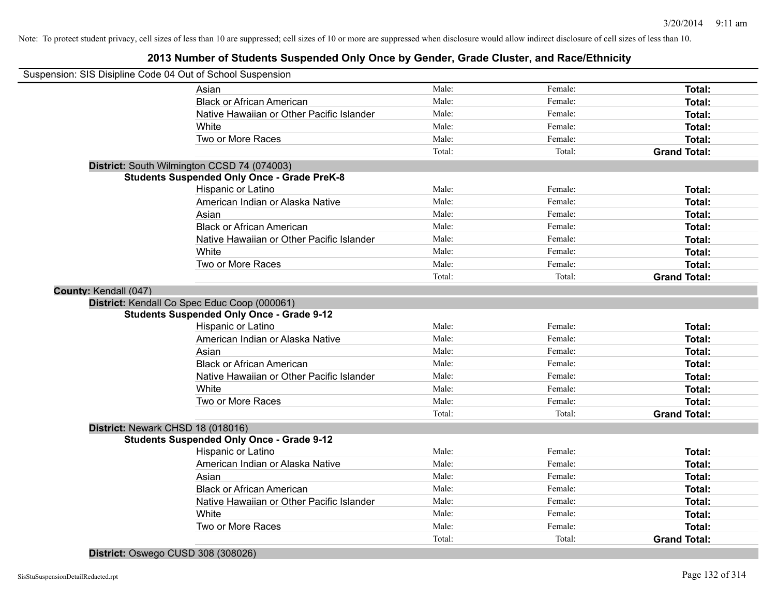| Suspension: SIS Disipline Code 04 Out of School Suspension |        |         |                     |
|------------------------------------------------------------|--------|---------|---------------------|
| Asian                                                      | Male:  | Female: | Total:              |
| <b>Black or African American</b>                           | Male:  | Female: | Total:              |
| Native Hawaiian or Other Pacific Islander                  | Male:  | Female: | Total:              |
| White                                                      | Male:  | Female: | Total:              |
| Two or More Races                                          | Male:  | Female: | Total:              |
|                                                            | Total: | Total:  | <b>Grand Total:</b> |
| District: South Wilmington CCSD 74 (074003)                |        |         |                     |
| <b>Students Suspended Only Once - Grade PreK-8</b>         |        |         |                     |
| Hispanic or Latino                                         | Male:  | Female: | Total:              |
| American Indian or Alaska Native                           | Male:  | Female: | Total:              |
| Asian                                                      | Male:  | Female: | Total:              |
| <b>Black or African American</b>                           | Male:  | Female: | Total:              |
| Native Hawaiian or Other Pacific Islander                  | Male:  | Female: | Total:              |
| White                                                      | Male:  | Female: | Total:              |
| Two or More Races                                          | Male:  | Female: | Total:              |
|                                                            | Total: | Total:  | <b>Grand Total:</b> |
| County: Kendall (047)                                      |        |         |                     |
| District: Kendall Co Spec Educ Coop (000061)               |        |         |                     |
| <b>Students Suspended Only Once - Grade 9-12</b>           |        |         |                     |
| Hispanic or Latino                                         | Male:  | Female: | Total:              |
| American Indian or Alaska Native                           | Male:  | Female: | Total:              |
| Asian                                                      | Male:  | Female: | Total:              |
| <b>Black or African American</b>                           | Male:  | Female: | Total:              |
| Native Hawaiian or Other Pacific Islander                  | Male:  | Female: | Total:              |
| White                                                      | Male:  | Female: | Total:              |
| Two or More Races                                          | Male:  | Female: | Total:              |
|                                                            | Total: | Total:  | <b>Grand Total:</b> |
| District: Newark CHSD 18 (018016)                          |        |         |                     |
| <b>Students Suspended Only Once - Grade 9-12</b>           |        |         |                     |
| Hispanic or Latino                                         | Male:  | Female: | Total:              |
| American Indian or Alaska Native                           | Male:  | Female: | Total:              |
| Asian                                                      | Male:  | Female: | Total:              |
| <b>Black or African American</b>                           | Male:  | Female: | Total:              |
| Native Hawaiian or Other Pacific Islander                  | Male:  | Female: | Total:              |
| White                                                      | Male:  | Female: | Total:              |
| Two or More Races                                          | Male:  | Female: | Total:              |
|                                                            | Total: | Total:  | <b>Grand Total:</b> |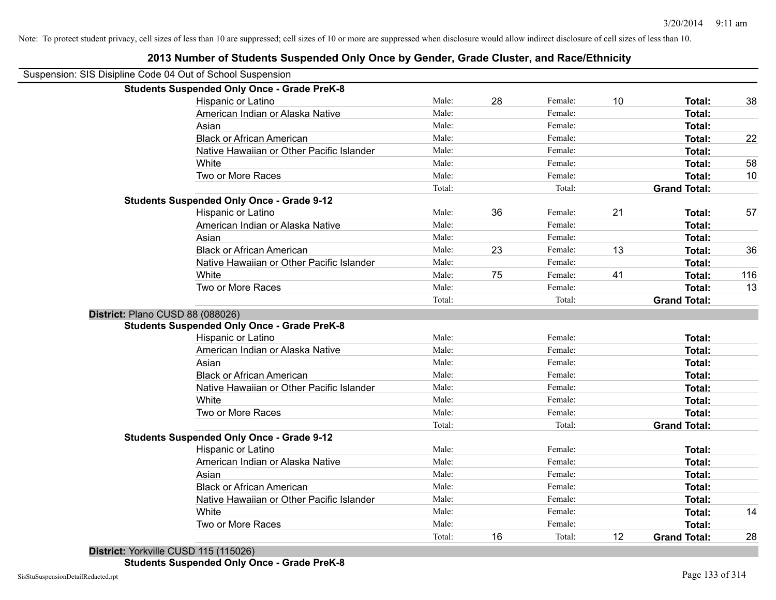|                                                            | 2013 Number of Students Suspended Only Once by Gender, Grade Cluster, and Race/Ethnicity |        |    |         |    |                     |     |
|------------------------------------------------------------|------------------------------------------------------------------------------------------|--------|----|---------|----|---------------------|-----|
| Suspension: SIS Disipline Code 04 Out of School Suspension |                                                                                          |        |    |         |    |                     |     |
|                                                            | <b>Students Suspended Only Once - Grade PreK-8</b>                                       |        |    |         |    |                     |     |
|                                                            | Hispanic or Latino                                                                       | Male:  | 28 | Female: | 10 | Total:              | 38  |
|                                                            | American Indian or Alaska Native                                                         | Male:  |    | Female: |    | Total:              |     |
|                                                            | Asian                                                                                    | Male:  |    | Female: |    | Total:              |     |
|                                                            | <b>Black or African American</b>                                                         | Male:  |    | Female: |    | Total:              | 22  |
|                                                            | Native Hawaiian or Other Pacific Islander                                                | Male:  |    | Female: |    | Total:              |     |
|                                                            | White                                                                                    | Male:  |    | Female: |    | Total:              | 58  |
|                                                            | Two or More Races                                                                        | Male:  |    | Female: |    | Total:              | 10  |
|                                                            |                                                                                          | Total: |    | Total:  |    | <b>Grand Total:</b> |     |
|                                                            | <b>Students Suspended Only Once - Grade 9-12</b>                                         |        |    |         |    |                     |     |
|                                                            | Hispanic or Latino                                                                       | Male:  | 36 | Female: | 21 | Total:              | 57  |
|                                                            | American Indian or Alaska Native                                                         | Male:  |    | Female: |    | Total:              |     |
|                                                            | Asian                                                                                    | Male:  |    | Female: |    | Total:              |     |
|                                                            | <b>Black or African American</b>                                                         | Male:  | 23 | Female: | 13 | Total:              | 36  |
|                                                            | Native Hawaiian or Other Pacific Islander                                                | Male:  |    | Female: |    | Total:              |     |
|                                                            | White                                                                                    | Male:  | 75 | Female: | 41 | Total:              | 116 |
|                                                            | Two or More Races                                                                        | Male:  |    | Female: |    | <b>Total:</b>       | 13  |
|                                                            |                                                                                          | Total: |    | Total:  |    | <b>Grand Total:</b> |     |
| District: Plano CUSD 88 (088026)                           |                                                                                          |        |    |         |    |                     |     |
|                                                            | <b>Students Suspended Only Once - Grade PreK-8</b>                                       |        |    |         |    |                     |     |
|                                                            | Hispanic or Latino                                                                       | Male:  |    | Female: |    | <b>Total:</b>       |     |
|                                                            | American Indian or Alaska Native                                                         | Male:  |    | Female: |    | <b>Total:</b>       |     |
|                                                            | Asian                                                                                    | Male:  |    | Female: |    | Total:              |     |
|                                                            | <b>Black or African American</b>                                                         | Male:  |    | Female: |    | Total:              |     |
|                                                            | Native Hawaiian or Other Pacific Islander                                                | Male:  |    | Female: |    | Total:              |     |
|                                                            | White                                                                                    | Male:  |    | Female: |    | Total:              |     |
|                                                            | Two or More Races                                                                        | Male:  |    | Female: |    | Total:              |     |
|                                                            |                                                                                          | Total: |    | Total:  |    | <b>Grand Total:</b> |     |
|                                                            | <b>Students Suspended Only Once - Grade 9-12</b>                                         |        |    |         |    |                     |     |
|                                                            | Hispanic or Latino                                                                       | Male:  |    | Female: |    | Total:              |     |
|                                                            | American Indian or Alaska Native                                                         | Male:  |    | Female: |    | <b>Total:</b>       |     |
|                                                            | Asian                                                                                    | Male:  |    | Female: |    | Total:              |     |
|                                                            | <b>Black or African American</b>                                                         | Male:  |    | Female: |    | Total:              |     |
|                                                            | Native Hawaiian or Other Pacific Islander                                                | Male:  |    | Female: |    | Total:              |     |
|                                                            | White                                                                                    | Male:  |    | Female: |    | Total:              | 14  |
|                                                            | Two or More Races                                                                        | Male:  |    | Female: |    | <b>Total:</b>       |     |
|                                                            |                                                                                          | Total: | 16 | Total:  | 12 | <b>Grand Total:</b> | 28  |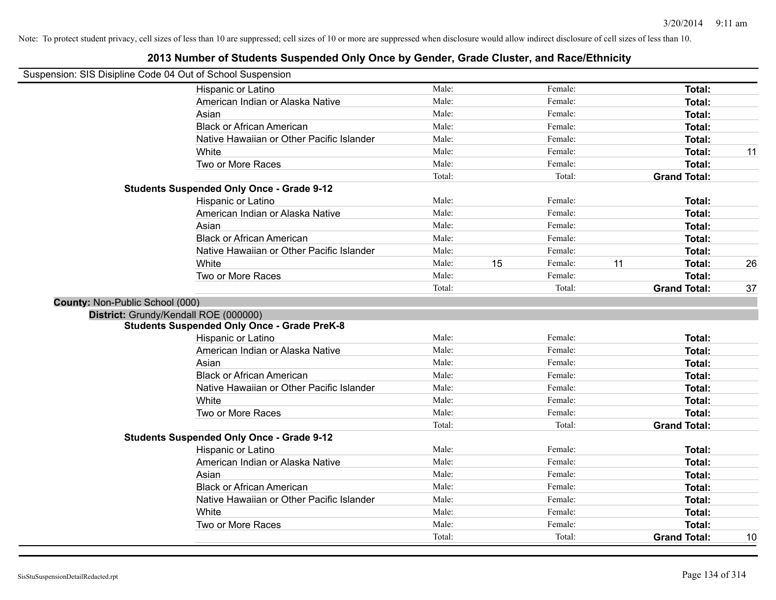| Suspension: SIS Disipline Code 04 Out of School Suspension |                                                    |        |    |         |    |                     |    |
|------------------------------------------------------------|----------------------------------------------------|--------|----|---------|----|---------------------|----|
|                                                            | Hispanic or Latino                                 | Male:  |    | Female: |    | <b>Total:</b>       |    |
|                                                            | American Indian or Alaska Native                   | Male:  |    | Female: |    | <b>Total:</b>       |    |
|                                                            | Asian                                              | Male:  |    | Female: |    | Total:              |    |
|                                                            | <b>Black or African American</b>                   | Male:  |    | Female: |    | Total:              |    |
|                                                            | Native Hawaiian or Other Pacific Islander          | Male:  |    | Female: |    | Total:              |    |
|                                                            | White                                              | Male:  |    | Female: |    | Total:              | 11 |
|                                                            | Two or More Races                                  | Male:  |    | Female: |    | <b>Total:</b>       |    |
|                                                            |                                                    | Total: |    | Total:  |    | <b>Grand Total:</b> |    |
|                                                            | <b>Students Suspended Only Once - Grade 9-12</b>   |        |    |         |    |                     |    |
|                                                            | Hispanic or Latino                                 | Male:  |    | Female: |    | <b>Total:</b>       |    |
|                                                            | American Indian or Alaska Native                   | Male:  |    | Female: |    | <b>Total:</b>       |    |
|                                                            | Asian                                              | Male:  |    | Female: |    | <b>Total:</b>       |    |
|                                                            | <b>Black or African American</b>                   | Male:  |    | Female: |    | Total:              |    |
|                                                            | Native Hawaiian or Other Pacific Islander          | Male:  |    | Female: |    | <b>Total:</b>       |    |
|                                                            | White                                              | Male:  | 15 | Female: | 11 | <b>Total:</b>       | 26 |
|                                                            | Two or More Races                                  | Male:  |    | Female: |    | Total:              |    |
|                                                            |                                                    | Total: |    | Total:  |    | <b>Grand Total:</b> | 37 |
| County: Non-Public School (000)                            |                                                    |        |    |         |    |                     |    |
|                                                            | District: Grundy/Kendall ROE (000000)              |        |    |         |    |                     |    |
|                                                            | <b>Students Suspended Only Once - Grade PreK-8</b> |        |    |         |    |                     |    |
|                                                            | Hispanic or Latino                                 | Male:  |    | Female: |    | Total:              |    |
|                                                            | American Indian or Alaska Native                   | Male:  |    | Female: |    | <b>Total:</b>       |    |
|                                                            | Asian                                              | Male:  |    | Female: |    | <b>Total:</b>       |    |
|                                                            | <b>Black or African American</b>                   | Male:  |    | Female: |    | Total:              |    |
|                                                            | Native Hawaiian or Other Pacific Islander          | Male:  |    | Female: |    | Total:              |    |
|                                                            | White                                              | Male:  |    | Female: |    | <b>Total:</b>       |    |
|                                                            | Two or More Races                                  | Male:  |    | Female: |    | Total:              |    |
|                                                            |                                                    | Total: |    | Total:  |    | <b>Grand Total:</b> |    |
|                                                            | <b>Students Suspended Only Once - Grade 9-12</b>   |        |    |         |    |                     |    |
|                                                            | Hispanic or Latino                                 | Male:  |    | Female: |    | <b>Total:</b>       |    |
|                                                            | American Indian or Alaska Native                   | Male:  |    | Female: |    | <b>Total:</b>       |    |
|                                                            | Asian                                              | Male:  |    | Female: |    | <b>Total:</b>       |    |
|                                                            | <b>Black or African American</b>                   | Male:  |    | Female: |    | <b>Total:</b>       |    |
|                                                            | Native Hawaiian or Other Pacific Islander          | Male:  |    | Female: |    | Total:              |    |
|                                                            | White                                              | Male:  |    | Female: |    | Total:              |    |
|                                                            | Two or More Races                                  | Male:  |    | Female: |    | Total:              |    |
|                                                            |                                                    | Total: |    | Total:  |    | <b>Grand Total:</b> | 10 |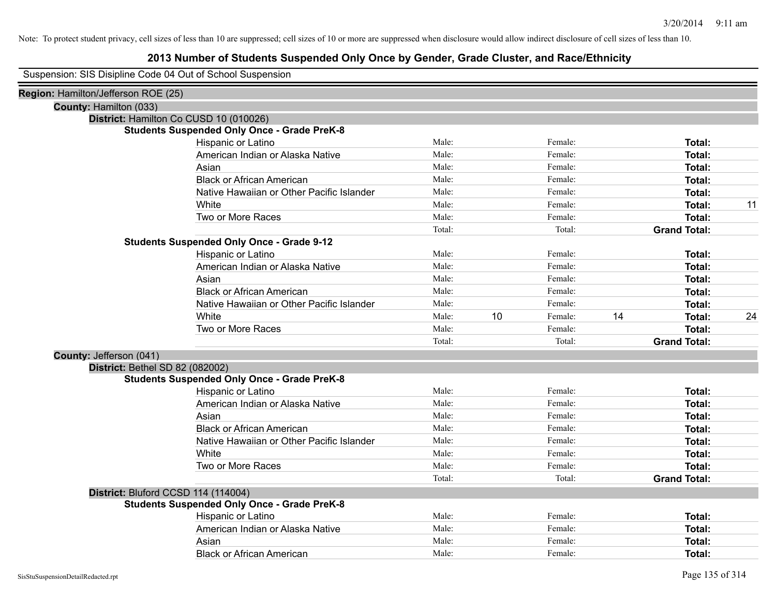# **2013 Number of Students Suspended Only Once by Gender, Grade Cluster, and Race/Ethnicity**

Suspension: SIS Disipline Code 04 Out of School Suspension

| Region: Hamilton/Jefferson ROE (25) |                                                    |        |    |         |    |                     |    |
|-------------------------------------|----------------------------------------------------|--------|----|---------|----|---------------------|----|
|                                     | County: Hamilton (033)                             |        |    |         |    |                     |    |
|                                     | District: Hamilton Co CUSD 10 (010026)             |        |    |         |    |                     |    |
|                                     | <b>Students Suspended Only Once - Grade PreK-8</b> |        |    |         |    |                     |    |
|                                     | Hispanic or Latino                                 | Male:  |    | Female: |    | Total:              |    |
|                                     | American Indian or Alaska Native                   | Male:  |    | Female: |    | Total:              |    |
|                                     | Asian                                              | Male:  |    | Female: |    | Total:              |    |
|                                     | <b>Black or African American</b>                   | Male:  |    | Female: |    | Total:              |    |
|                                     | Native Hawaiian or Other Pacific Islander          | Male:  |    | Female: |    | Total:              |    |
|                                     | White                                              | Male:  |    | Female: |    | Total:              | 11 |
|                                     | Two or More Races                                  | Male:  |    | Female: |    | Total:              |    |
|                                     |                                                    | Total: |    | Total:  |    | <b>Grand Total:</b> |    |
|                                     | <b>Students Suspended Only Once - Grade 9-12</b>   |        |    |         |    |                     |    |
|                                     | Hispanic or Latino                                 | Male:  |    | Female: |    | Total:              |    |
|                                     | American Indian or Alaska Native                   | Male:  |    | Female: |    | Total:              |    |
|                                     | Asian                                              | Male:  |    | Female: |    | Total:              |    |
|                                     | <b>Black or African American</b>                   | Male:  |    | Female: |    | Total:              |    |
|                                     | Native Hawaiian or Other Pacific Islander          | Male:  |    | Female: |    | Total:              |    |
|                                     | White                                              | Male:  | 10 | Female: | 14 | Total:              | 24 |
|                                     | Two or More Races                                  | Male:  |    | Female: |    | Total:              |    |
|                                     |                                                    | Total: |    | Total:  |    | <b>Grand Total:</b> |    |
|                                     | County: Jefferson (041)                            |        |    |         |    |                     |    |
|                                     | District: Bethel SD 82 (082002)                    |        |    |         |    |                     |    |
|                                     | <b>Students Suspended Only Once - Grade PreK-8</b> |        |    |         |    |                     |    |
|                                     | Hispanic or Latino                                 | Male:  |    | Female: |    | Total:              |    |
|                                     | American Indian or Alaska Native                   | Male:  |    | Female: |    | Total:              |    |
|                                     | Asian                                              | Male:  |    | Female: |    | Total:              |    |
|                                     | <b>Black or African American</b>                   | Male:  |    | Female: |    | Total:              |    |
|                                     | Native Hawaiian or Other Pacific Islander          | Male:  |    | Female: |    | Total:              |    |
|                                     | White                                              | Male:  |    | Female: |    | Total:              |    |
|                                     | Two or More Races                                  | Male:  |    | Female: |    | Total:              |    |
|                                     |                                                    | Total: |    | Total:  |    | <b>Grand Total:</b> |    |
|                                     | District: Bluford CCSD 114 (114004)                |        |    |         |    |                     |    |
|                                     | <b>Students Suspended Only Once - Grade PreK-8</b> |        |    |         |    |                     |    |
|                                     | Hispanic or Latino                                 | Male:  |    | Female: |    | Total:              |    |
|                                     | American Indian or Alaska Native                   | Male:  |    | Female: |    | Total:              |    |
|                                     | Asian                                              | Male:  |    | Female: |    | Total:              |    |
|                                     | <b>Black or African American</b>                   | Male:  |    | Female: |    | Total:              |    |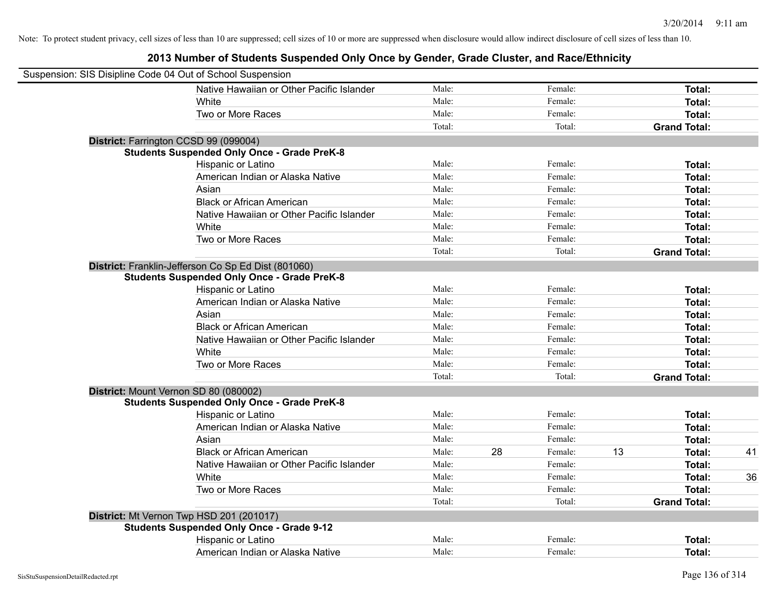| Suspension: SIS Disipline Code 04 Out of School Suspension |        |    |         |    |                     |    |
|------------------------------------------------------------|--------|----|---------|----|---------------------|----|
| Native Hawaiian or Other Pacific Islander                  | Male:  |    | Female: |    | Total:              |    |
| White                                                      | Male:  |    | Female: |    | Total:              |    |
| Two or More Races                                          | Male:  |    | Female: |    | Total:              |    |
|                                                            | Total: |    | Total:  |    | <b>Grand Total:</b> |    |
| District: Farrington CCSD 99 (099004)                      |        |    |         |    |                     |    |
| <b>Students Suspended Only Once - Grade PreK-8</b>         |        |    |         |    |                     |    |
| Hispanic or Latino                                         | Male:  |    | Female: |    | Total:              |    |
| American Indian or Alaska Native                           | Male:  |    | Female: |    | Total:              |    |
| Asian                                                      | Male:  |    | Female: |    | Total:              |    |
| <b>Black or African American</b>                           | Male:  |    | Female: |    | Total:              |    |
| Native Hawaiian or Other Pacific Islander                  | Male:  |    | Female: |    | Total:              |    |
| White                                                      | Male:  |    | Female: |    | Total:              |    |
| Two or More Races                                          | Male:  |    | Female: |    | Total:              |    |
|                                                            | Total: |    | Total:  |    | <b>Grand Total:</b> |    |
| District: Franklin-Jefferson Co Sp Ed Dist (801060)        |        |    |         |    |                     |    |
| <b>Students Suspended Only Once - Grade PreK-8</b>         |        |    |         |    |                     |    |
| Hispanic or Latino                                         | Male:  |    | Female: |    | Total:              |    |
| American Indian or Alaska Native                           | Male:  |    | Female: |    | Total:              |    |
| Asian                                                      | Male:  |    | Female: |    | Total:              |    |
| <b>Black or African American</b>                           | Male:  |    | Female: |    | Total:              |    |
| Native Hawaiian or Other Pacific Islander                  | Male:  |    | Female: |    | Total:              |    |
| White                                                      | Male:  |    | Female: |    | Total:              |    |
| Two or More Races                                          | Male:  |    | Female: |    | Total:              |    |
|                                                            | Total: |    | Total:  |    | <b>Grand Total:</b> |    |
| District: Mount Vernon SD 80 (080002)                      |        |    |         |    |                     |    |
| <b>Students Suspended Only Once - Grade PreK-8</b>         |        |    |         |    |                     |    |
| Hispanic or Latino                                         | Male:  |    | Female: |    | Total:              |    |
| American Indian or Alaska Native                           | Male:  |    | Female: |    | Total:              |    |
| Asian                                                      | Male:  |    | Female: |    | Total:              |    |
| <b>Black or African American</b>                           | Male:  | 28 | Female: | 13 | Total:              | 41 |
| Native Hawaiian or Other Pacific Islander                  | Male:  |    | Female: |    | Total:              |    |
| White                                                      | Male:  |    | Female: |    | Total:              | 36 |
| Two or More Races                                          | Male:  |    | Female: |    | Total:              |    |
|                                                            | Total: |    | Total:  |    | <b>Grand Total:</b> |    |
| District: Mt Vernon Twp HSD 201 (201017)                   |        |    |         |    |                     |    |
| <b>Students Suspended Only Once - Grade 9-12</b>           |        |    |         |    |                     |    |
| Hispanic or Latino                                         | Male:  |    | Female: |    | Total:              |    |
| American Indian or Alaska Native                           | Male:  |    | Female: |    | Total:              |    |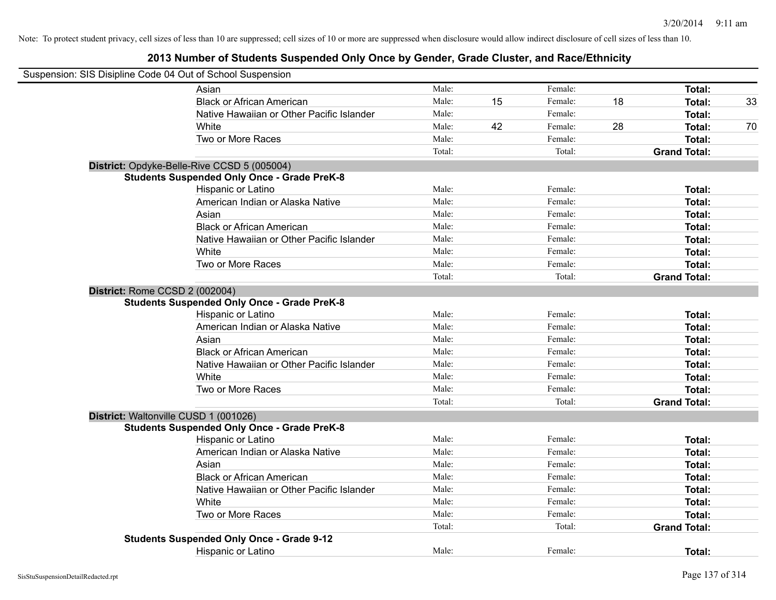| Suspension: SIS Disipline Code 04 Out of School Suspension |                                                    |        |    |         |    |                     |    |
|------------------------------------------------------------|----------------------------------------------------|--------|----|---------|----|---------------------|----|
|                                                            | Asian                                              | Male:  |    | Female: |    | Total:              |    |
|                                                            | <b>Black or African American</b>                   | Male:  | 15 | Female: | 18 | Total:              | 33 |
|                                                            | Native Hawaiian or Other Pacific Islander          | Male:  |    | Female: |    | Total:              |    |
|                                                            | White                                              | Male:  | 42 | Female: | 28 | Total:              | 70 |
|                                                            | Two or More Races                                  | Male:  |    | Female: |    | Total:              |    |
|                                                            |                                                    | Total: |    | Total:  |    | <b>Grand Total:</b> |    |
|                                                            | District: Opdyke-Belle-Rive CCSD 5 (005004)        |        |    |         |    |                     |    |
|                                                            | <b>Students Suspended Only Once - Grade PreK-8</b> |        |    |         |    |                     |    |
|                                                            | Hispanic or Latino                                 | Male:  |    | Female: |    | Total:              |    |
|                                                            | American Indian or Alaska Native                   | Male:  |    | Female: |    | Total:              |    |
|                                                            | Asian                                              | Male:  |    | Female: |    | Total:              |    |
|                                                            | <b>Black or African American</b>                   | Male:  |    | Female: |    | Total:              |    |
|                                                            | Native Hawaiian or Other Pacific Islander          | Male:  |    | Female: |    | Total:              |    |
|                                                            | White                                              | Male:  |    | Female: |    | Total:              |    |
|                                                            | Two or More Races                                  | Male:  |    | Female: |    | Total:              |    |
|                                                            |                                                    | Total: |    | Total:  |    | <b>Grand Total:</b> |    |
|                                                            | District: Rome CCSD 2 (002004)                     |        |    |         |    |                     |    |
|                                                            | <b>Students Suspended Only Once - Grade PreK-8</b> |        |    |         |    |                     |    |
|                                                            | Hispanic or Latino                                 | Male:  |    | Female: |    | Total:              |    |
|                                                            | American Indian or Alaska Native                   | Male:  |    | Female: |    | Total:              |    |
|                                                            | Asian                                              | Male:  |    | Female: |    | Total:              |    |
|                                                            | <b>Black or African American</b>                   | Male:  |    | Female: |    | Total:              |    |
|                                                            | Native Hawaiian or Other Pacific Islander          | Male:  |    | Female: |    | Total:              |    |
|                                                            | White                                              | Male:  |    | Female: |    | Total:              |    |
|                                                            | Two or More Races                                  | Male:  |    | Female: |    | Total:              |    |
|                                                            |                                                    | Total: |    | Total:  |    | <b>Grand Total:</b> |    |
|                                                            | District: Waltonville CUSD 1 (001026)              |        |    |         |    |                     |    |
|                                                            | <b>Students Suspended Only Once - Grade PreK-8</b> |        |    |         |    |                     |    |
|                                                            | Hispanic or Latino                                 | Male:  |    | Female: |    | Total:              |    |
|                                                            | American Indian or Alaska Native                   | Male:  |    | Female: |    | Total:              |    |
|                                                            | Asian                                              | Male:  |    | Female: |    | Total:              |    |
|                                                            | <b>Black or African American</b>                   | Male:  |    | Female: |    | Total:              |    |
|                                                            | Native Hawaiian or Other Pacific Islander          | Male:  |    | Female: |    | Total:              |    |
|                                                            | White                                              | Male:  |    | Female: |    | Total:              |    |
|                                                            | Two or More Races                                  | Male:  |    | Female: |    | Total:              |    |
|                                                            |                                                    | Total: |    | Total:  |    | <b>Grand Total:</b> |    |
|                                                            | <b>Students Suspended Only Once - Grade 9-12</b>   |        |    |         |    |                     |    |
|                                                            | <b>Hispanic or Latino</b>                          | Male:  |    | Female: |    | Total:              |    |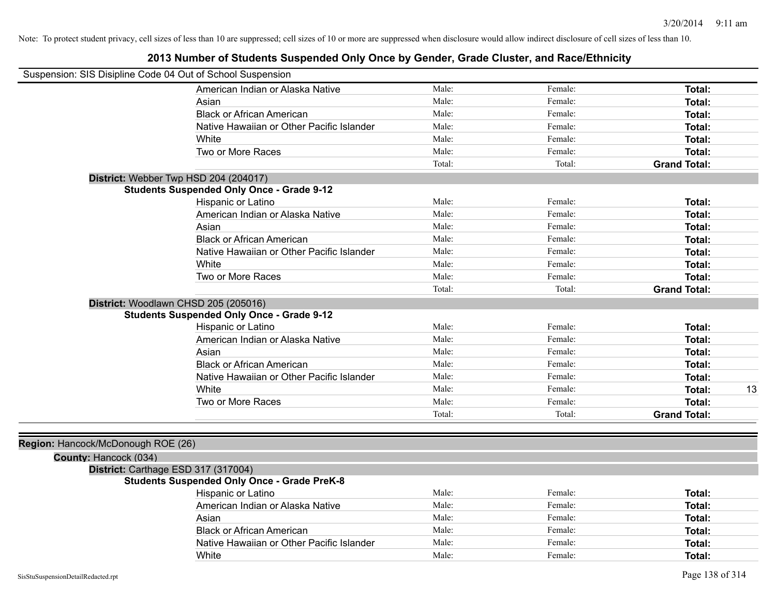| Suspension: SIS Disipline Code 04 Out of School Suspension |                                                    |        |         |                     |
|------------------------------------------------------------|----------------------------------------------------|--------|---------|---------------------|
|                                                            | American Indian or Alaska Native                   | Male:  | Female: | Total:              |
|                                                            | Asian                                              | Male:  | Female: | Total:              |
|                                                            | <b>Black or African American</b>                   | Male:  | Female: | <b>Total:</b>       |
|                                                            | Native Hawaiian or Other Pacific Islander          | Male:  | Female: | <b>Total:</b>       |
|                                                            | White                                              | Male:  | Female: | Total:              |
|                                                            | Two or More Races                                  | Male:  | Female: | Total:              |
|                                                            |                                                    | Total: | Total:  | <b>Grand Total:</b> |
| District: Webber Twp HSD 204 (204017)                      |                                                    |        |         |                     |
|                                                            | <b>Students Suspended Only Once - Grade 9-12</b>   |        |         |                     |
|                                                            | Hispanic or Latino                                 | Male:  | Female: | Total:              |
|                                                            | American Indian or Alaska Native                   | Male:  | Female: | Total:              |
|                                                            | Asian                                              | Male:  | Female: | Total:              |
|                                                            | <b>Black or African American</b>                   | Male:  | Female: | Total:              |
|                                                            | Native Hawaiian or Other Pacific Islander          | Male:  | Female: | Total:              |
|                                                            | White                                              | Male:  | Female: | Total:              |
|                                                            | Two or More Races                                  | Male:  | Female: | Total:              |
|                                                            |                                                    | Total: | Total:  | <b>Grand Total:</b> |
| District: Woodlawn CHSD 205 (205016)                       | <b>Students Suspended Only Once - Grade 9-12</b>   |        |         |                     |
|                                                            | Hispanic or Latino                                 | Male:  | Female: | Total:              |
|                                                            | American Indian or Alaska Native                   | Male:  | Female: | Total:              |
|                                                            | Asian                                              | Male:  | Female: | Total:              |
|                                                            | <b>Black or African American</b>                   | Male:  | Female: | Total:              |
|                                                            | Native Hawaiian or Other Pacific Islander          | Male:  | Female: | Total:              |
|                                                            | White                                              | Male:  | Female: | 13<br>Total:        |
|                                                            | Two or More Races                                  | Male:  | Female: | Total:              |
|                                                            |                                                    | Total: | Total:  | <b>Grand Total:</b> |
|                                                            |                                                    |        |         |                     |
| Region: Hancock/McDonough ROE (26)                         |                                                    |        |         |                     |
| County: Hancock (034)                                      |                                                    |        |         |                     |
| District: Carthage ESD 317 (317004)                        |                                                    |        |         |                     |
|                                                            | <b>Students Suspended Only Once - Grade PreK-8</b> |        |         |                     |
|                                                            | Hispanic or Latino                                 | Male:  | Female: | Total:              |
|                                                            | American Indian or Alaska Native                   | Male:  | Female: | Total:              |
|                                                            | Asian                                              | Male:  | Female: | Total:              |
|                                                            | <b>Black or African American</b>                   | Male:  | Female: | Total:              |
|                                                            | Native Hawaiian or Other Pacific Islander          | Male:  | Female: | Total:              |
|                                                            | White                                              | Male:  | Female: | Total:              |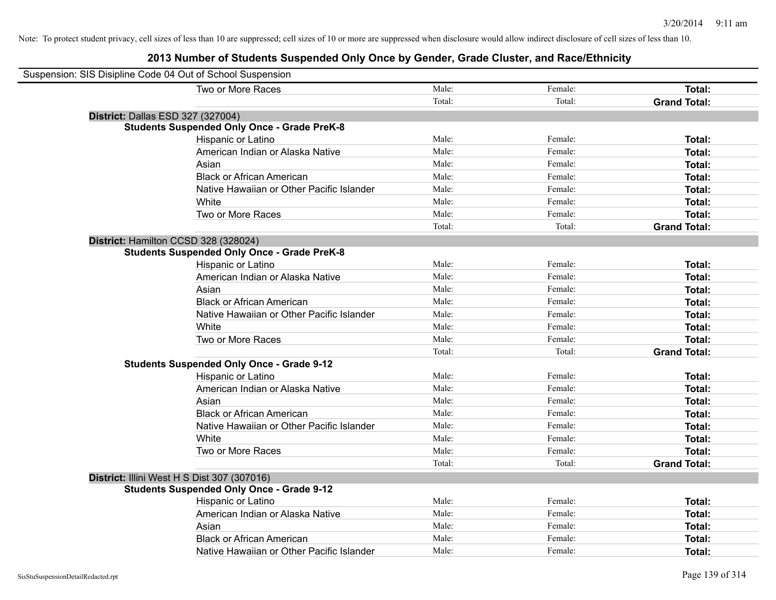| Suspension: SIS Disipline Code 04 Out of School Suspension |                                                    |        |         |                     |
|------------------------------------------------------------|----------------------------------------------------|--------|---------|---------------------|
|                                                            | Two or More Races                                  | Male:  | Female: | Total:              |
|                                                            |                                                    | Total: | Total:  | <b>Grand Total:</b> |
| District: Dallas ESD 327 (327004)                          |                                                    |        |         |                     |
|                                                            | <b>Students Suspended Only Once - Grade PreK-8</b> |        |         |                     |
|                                                            | Hispanic or Latino                                 | Male:  | Female: | Total:              |
|                                                            | American Indian or Alaska Native                   | Male:  | Female: | Total:              |
|                                                            | Asian                                              | Male:  | Female: | Total:              |
|                                                            | <b>Black or African American</b>                   | Male:  | Female: | Total:              |
|                                                            | Native Hawaiian or Other Pacific Islander          | Male:  | Female: | Total:              |
|                                                            | White                                              | Male:  | Female: | Total:              |
|                                                            | Two or More Races                                  | Male:  | Female: | Total:              |
|                                                            |                                                    | Total: | Total:  | <b>Grand Total:</b> |
| District: Hamilton CCSD 328 (328024)                       |                                                    |        |         |                     |
|                                                            | <b>Students Suspended Only Once - Grade PreK-8</b> |        |         |                     |
|                                                            | Hispanic or Latino                                 | Male:  | Female: | Total:              |
|                                                            | American Indian or Alaska Native                   | Male:  | Female: | Total:              |
|                                                            | Asian                                              | Male:  | Female: | Total:              |
|                                                            | <b>Black or African American</b>                   | Male:  | Female: | Total:              |
|                                                            | Native Hawaiian or Other Pacific Islander          | Male:  | Female: | Total:              |
|                                                            | White                                              | Male:  | Female: | Total:              |
|                                                            | Two or More Races                                  | Male:  | Female: | Total:              |
|                                                            |                                                    | Total: | Total:  | <b>Grand Total:</b> |
|                                                            | <b>Students Suspended Only Once - Grade 9-12</b>   |        |         |                     |
|                                                            | Hispanic or Latino                                 | Male:  | Female: | Total:              |
|                                                            | American Indian or Alaska Native                   | Male:  | Female: | Total:              |
|                                                            | Asian                                              | Male:  | Female: | Total:              |
|                                                            | <b>Black or African American</b>                   | Male:  | Female: | Total:              |
|                                                            | Native Hawaiian or Other Pacific Islander          | Male:  | Female: | Total:              |
|                                                            | White                                              | Male:  | Female: | Total:              |
|                                                            | Two or More Races                                  | Male:  | Female: | Total:              |
|                                                            |                                                    | Total: | Total:  | <b>Grand Total:</b> |
| District: Illini West H S Dist 307 (307016)                |                                                    |        |         |                     |
|                                                            | <b>Students Suspended Only Once - Grade 9-12</b>   |        |         |                     |
|                                                            | Hispanic or Latino                                 | Male:  | Female: | Total:              |
|                                                            | American Indian or Alaska Native                   | Male:  | Female: | Total:              |
|                                                            | Asian                                              | Male:  | Female: | Total:              |
|                                                            | <b>Black or African American</b>                   | Male:  | Female: | Total:              |
|                                                            | Native Hawaiian or Other Pacific Islander          | Male:  | Female: | Total:              |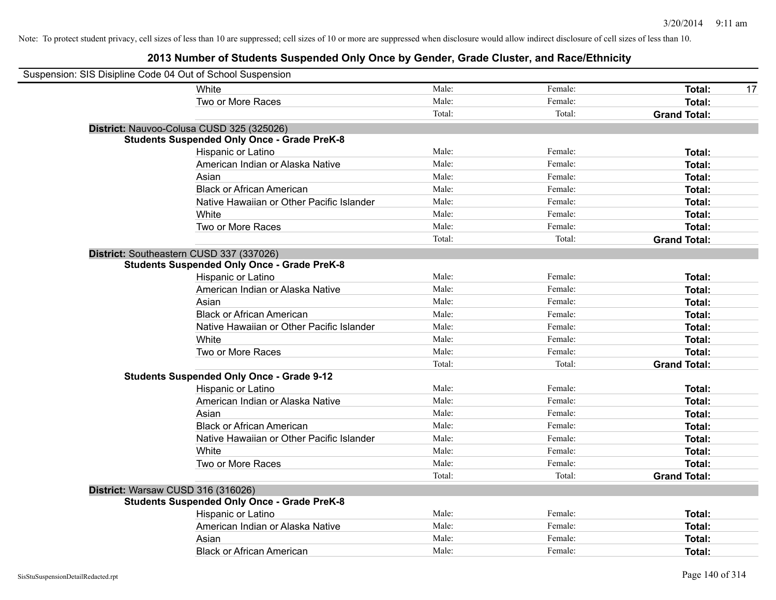| Suspension: SIS Disipline Code 04 Out of School Suspension |                                                    |        |         |                     |
|------------------------------------------------------------|----------------------------------------------------|--------|---------|---------------------|
|                                                            | White                                              | Male:  | Female: | Total:<br>17        |
|                                                            | Two or More Races                                  | Male:  | Female: | Total:              |
|                                                            |                                                    | Total: | Total:  | <b>Grand Total:</b> |
|                                                            | District: Nauvoo-Colusa CUSD 325 (325026)          |        |         |                     |
|                                                            | <b>Students Suspended Only Once - Grade PreK-8</b> |        |         |                     |
|                                                            | Hispanic or Latino                                 | Male:  | Female: | Total:              |
|                                                            | American Indian or Alaska Native                   | Male:  | Female: | Total:              |
|                                                            | Asian                                              | Male:  | Female: | Total:              |
|                                                            | <b>Black or African American</b>                   | Male:  | Female: | Total:              |
|                                                            | Native Hawaiian or Other Pacific Islander          | Male:  | Female: | Total:              |
|                                                            | White                                              | Male:  | Female: | Total:              |
|                                                            | Two or More Races                                  | Male:  | Female: | Total:              |
|                                                            |                                                    | Total: | Total:  | <b>Grand Total:</b> |
|                                                            | District: Southeastern CUSD 337 (337026)           |        |         |                     |
|                                                            | <b>Students Suspended Only Once - Grade PreK-8</b> |        |         |                     |
|                                                            | Hispanic or Latino                                 | Male:  | Female: | Total:              |
|                                                            | American Indian or Alaska Native                   | Male:  | Female: | Total:              |
|                                                            | Asian                                              | Male:  | Female: | Total:              |
|                                                            | <b>Black or African American</b>                   | Male:  | Female: | Total:              |
|                                                            | Native Hawaiian or Other Pacific Islander          | Male:  | Female: | Total:              |
|                                                            | White                                              | Male:  | Female: | Total:              |
|                                                            | Two or More Races                                  | Male:  | Female: | Total:              |
|                                                            |                                                    | Total: | Total:  | <b>Grand Total:</b> |
|                                                            | <b>Students Suspended Only Once - Grade 9-12</b>   |        |         |                     |
|                                                            | Hispanic or Latino                                 | Male:  | Female: | Total:              |
|                                                            | American Indian or Alaska Native                   | Male:  | Female: | Total:              |
|                                                            | Asian                                              | Male:  | Female: | Total:              |
|                                                            | <b>Black or African American</b>                   | Male:  | Female: | Total:              |
|                                                            | Native Hawaiian or Other Pacific Islander          | Male:  | Female: | Total:              |
|                                                            | White                                              | Male:  | Female: | Total:              |
|                                                            | Two or More Races                                  | Male:  | Female: | Total:              |
|                                                            |                                                    | Total: | Total:  | <b>Grand Total:</b> |
| District: Warsaw CUSD 316 (316026)                         |                                                    |        |         |                     |
|                                                            | <b>Students Suspended Only Once - Grade PreK-8</b> |        |         |                     |
|                                                            | Hispanic or Latino                                 | Male:  | Female: | Total:              |
|                                                            | American Indian or Alaska Native                   | Male:  | Female: | Total:              |
|                                                            | Asian                                              | Male:  | Female: | Total:              |
|                                                            | <b>Black or African American</b>                   | Male:  | Female: | Total:              |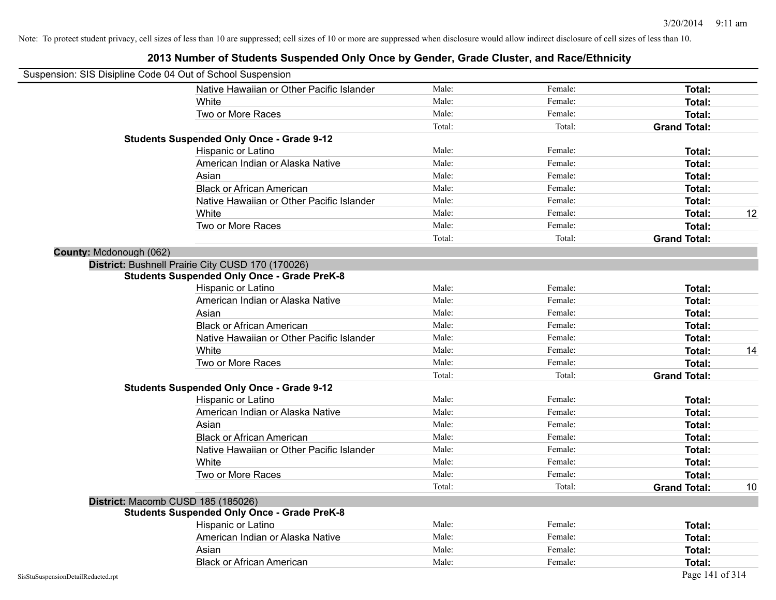|                                    | Suspension: SIS Disipline Code 04 Out of School Suspension |        |         |                     |    |
|------------------------------------|------------------------------------------------------------|--------|---------|---------------------|----|
|                                    | Native Hawaiian or Other Pacific Islander                  | Male:  | Female: | Total:              |    |
|                                    | White                                                      | Male:  | Female: | Total:              |    |
|                                    | Two or More Races                                          | Male:  | Female: | Total:              |    |
|                                    |                                                            | Total: | Total:  | <b>Grand Total:</b> |    |
|                                    | <b>Students Suspended Only Once - Grade 9-12</b>           |        |         |                     |    |
|                                    | Hispanic or Latino                                         | Male:  | Female: | Total:              |    |
|                                    | American Indian or Alaska Native                           | Male:  | Female: | Total:              |    |
|                                    | Asian                                                      | Male:  | Female: | Total:              |    |
|                                    | <b>Black or African American</b>                           | Male:  | Female: | Total:              |    |
|                                    | Native Hawaiian or Other Pacific Islander                  | Male:  | Female: | Total:              |    |
|                                    | White                                                      | Male:  | Female: | <b>Total:</b>       | 12 |
|                                    | Two or More Races                                          | Male:  | Female: | Total:              |    |
|                                    |                                                            | Total: | Total:  | <b>Grand Total:</b> |    |
| County: Mcdonough (062)            |                                                            |        |         |                     |    |
|                                    | District: Bushnell Prairie City CUSD 170 (170026)          |        |         |                     |    |
|                                    | <b>Students Suspended Only Once - Grade PreK-8</b>         |        |         |                     |    |
|                                    | Hispanic or Latino                                         | Male:  | Female: | Total:              |    |
|                                    | American Indian or Alaska Native                           | Male:  | Female: | Total:              |    |
|                                    | Asian                                                      | Male:  | Female: | Total:              |    |
|                                    | <b>Black or African American</b>                           | Male:  | Female: | Total:              |    |
|                                    | Native Hawaiian or Other Pacific Islander                  | Male:  | Female: | Total:              |    |
|                                    | White                                                      | Male:  | Female: | <b>Total:</b>       | 14 |
|                                    | Two or More Races                                          | Male:  | Female: | Total:              |    |
|                                    |                                                            | Total: | Total:  | <b>Grand Total:</b> |    |
|                                    | <b>Students Suspended Only Once - Grade 9-12</b>           |        |         |                     |    |
|                                    | Hispanic or Latino                                         | Male:  | Female: | Total:              |    |
|                                    | American Indian or Alaska Native                           | Male:  | Female: | Total:              |    |
|                                    | Asian                                                      | Male:  | Female: | Total:              |    |
|                                    | <b>Black or African American</b>                           | Male:  | Female: | Total:              |    |
|                                    | Native Hawaiian or Other Pacific Islander                  | Male:  | Female: | Total:              |    |
|                                    | White                                                      | Male:  | Female: | Total:              |    |
|                                    | Two or More Races                                          | Male:  | Female: | Total:              |    |
|                                    |                                                            | Total: | Total:  | <b>Grand Total:</b> | 10 |
|                                    | District: Macomb CUSD 185 (185026)                         |        |         |                     |    |
|                                    | <b>Students Suspended Only Once - Grade PreK-8</b>         |        |         |                     |    |
|                                    | Hispanic or Latino                                         | Male:  | Female: | Total:              |    |
|                                    | American Indian or Alaska Native                           | Male:  | Female: | Total:              |    |
|                                    | Asian                                                      | Male:  | Female: | Total:              |    |
|                                    | <b>Black or African American</b>                           | Male:  | Female: | Total:              |    |
| SisStuSuspensionDetailRedacted.rpt |                                                            |        |         | Page 141 of 314     |    |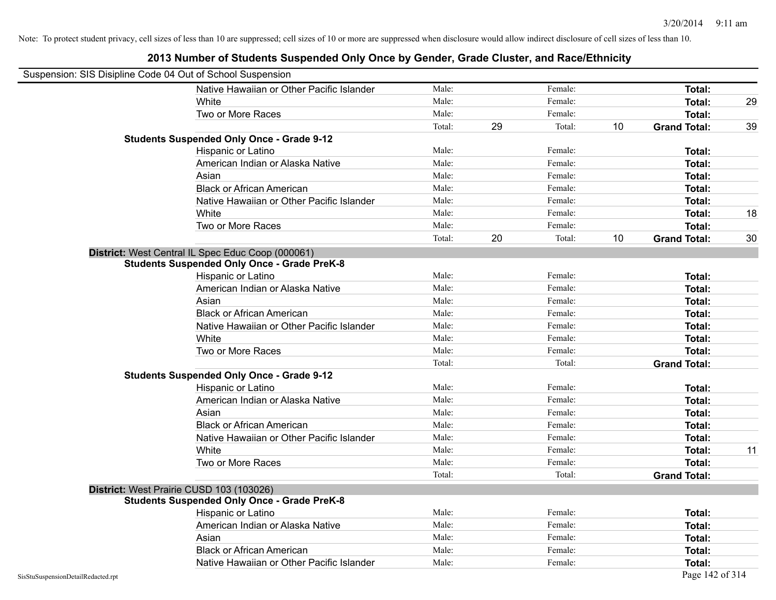|                                    | Suspension: SIS Disipline Code 04 Out of School Suspension |        |    |         |                 |                     |    |
|------------------------------------|------------------------------------------------------------|--------|----|---------|-----------------|---------------------|----|
|                                    | Native Hawaiian or Other Pacific Islander                  | Male:  |    | Female: |                 | Total:              |    |
|                                    | White                                                      | Male:  |    | Female: |                 | Total:              | 29 |
|                                    | Two or More Races                                          | Male:  |    | Female: |                 | Total:              |    |
|                                    |                                                            | Total: | 29 | Total:  | 10 <sup>°</sup> | <b>Grand Total:</b> | 39 |
|                                    | <b>Students Suspended Only Once - Grade 9-12</b>           |        |    |         |                 |                     |    |
|                                    | Hispanic or Latino                                         | Male:  |    | Female: |                 | Total:              |    |
|                                    | American Indian or Alaska Native                           | Male:  |    | Female: |                 | Total:              |    |
|                                    | Asian                                                      | Male:  |    | Female: |                 | Total:              |    |
|                                    | <b>Black or African American</b>                           | Male:  |    | Female: |                 | Total:              |    |
|                                    | Native Hawaiian or Other Pacific Islander                  | Male:  |    | Female: |                 | Total:              |    |
|                                    | White                                                      | Male:  |    | Female: |                 | Total:              | 18 |
|                                    | Two or More Races                                          | Male:  |    | Female: |                 | Total:              |    |
|                                    |                                                            | Total: | 20 | Total:  | 10              | <b>Grand Total:</b> | 30 |
|                                    | District: West Central IL Spec Educ Coop (000061)          |        |    |         |                 |                     |    |
|                                    | <b>Students Suspended Only Once - Grade PreK-8</b>         |        |    |         |                 |                     |    |
|                                    | Hispanic or Latino                                         | Male:  |    | Female: |                 | Total:              |    |
|                                    | American Indian or Alaska Native                           | Male:  |    | Female: |                 | <b>Total:</b>       |    |
|                                    | Asian                                                      | Male:  |    | Female: |                 | <b>Total:</b>       |    |
|                                    | <b>Black or African American</b>                           | Male:  |    | Female: |                 | Total:              |    |
|                                    | Native Hawaiian or Other Pacific Islander                  | Male:  |    | Female: |                 | Total:              |    |
|                                    | White                                                      | Male:  |    | Female: |                 | Total:              |    |
|                                    | Two or More Races                                          | Male:  |    | Female: |                 | Total:              |    |
|                                    |                                                            | Total: |    | Total:  |                 | <b>Grand Total:</b> |    |
|                                    | <b>Students Suspended Only Once - Grade 9-12</b>           |        |    |         |                 |                     |    |
|                                    | Hispanic or Latino                                         | Male:  |    | Female: |                 | Total:              |    |
|                                    | American Indian or Alaska Native                           | Male:  |    | Female: |                 | Total:              |    |
|                                    | Asian                                                      | Male:  |    | Female: |                 | <b>Total:</b>       |    |
|                                    | <b>Black or African American</b>                           | Male:  |    | Female: |                 | <b>Total:</b>       |    |
|                                    | Native Hawaiian or Other Pacific Islander                  | Male:  |    | Female: |                 | <b>Total:</b>       |    |
|                                    | White                                                      | Male:  |    | Female: |                 | Total:              | 11 |
|                                    | Two or More Races                                          | Male:  |    | Female: |                 | Total:              |    |
|                                    |                                                            | Total: |    | Total:  |                 | <b>Grand Total:</b> |    |
|                                    | District: West Prairie CUSD 103 (103026)                   |        |    |         |                 |                     |    |
|                                    | <b>Students Suspended Only Once - Grade PreK-8</b>         |        |    |         |                 |                     |    |
|                                    | Hispanic or Latino                                         | Male:  |    | Female: |                 | Total:              |    |
|                                    | American Indian or Alaska Native                           | Male:  |    | Female: |                 | Total:              |    |
|                                    | Asian                                                      | Male:  |    | Female: |                 | Total:              |    |
|                                    | <b>Black or African American</b>                           | Male:  |    | Female: |                 | Total:              |    |
|                                    | Native Hawaiian or Other Pacific Islander                  | Male:  |    | Female: |                 | Total:              |    |
| SisStuSuspensionDetailRedacted.rpt |                                                            |        |    |         |                 | Page 142 of 314     |    |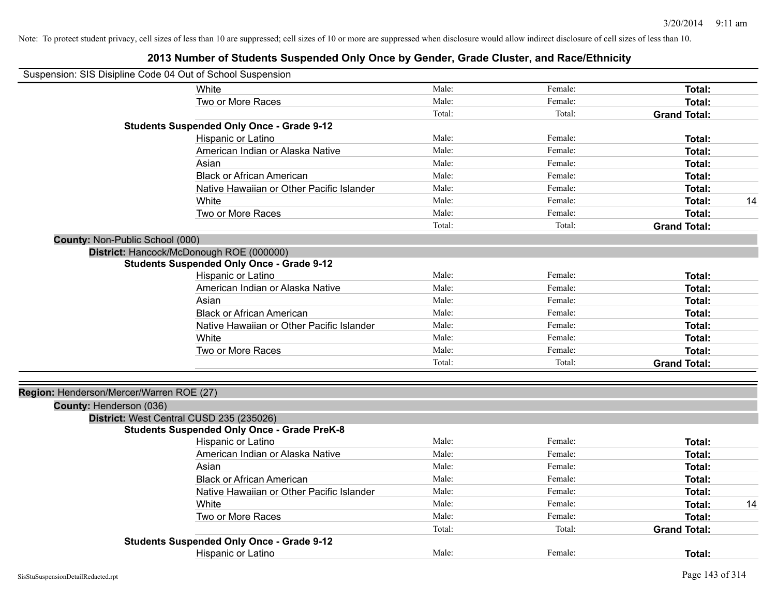| Suspension: SIS Disipline Code 04 Out of School Suspension |                                                    |        |         |                     |    |
|------------------------------------------------------------|----------------------------------------------------|--------|---------|---------------------|----|
|                                                            | White                                              | Male:  | Female: | Total:              |    |
|                                                            | Two or More Races                                  | Male:  | Female: | Total:              |    |
|                                                            |                                                    | Total: | Total:  | <b>Grand Total:</b> |    |
|                                                            | <b>Students Suspended Only Once - Grade 9-12</b>   |        |         |                     |    |
|                                                            | Hispanic or Latino                                 | Male:  | Female: | Total:              |    |
|                                                            | American Indian or Alaska Native                   | Male:  | Female: | <b>Total:</b>       |    |
|                                                            | Asian                                              | Male:  | Female: | <b>Total:</b>       |    |
|                                                            | <b>Black or African American</b>                   | Male:  | Female: | Total:              |    |
|                                                            | Native Hawaiian or Other Pacific Islander          | Male:  | Female: | Total:              |    |
|                                                            | White                                              | Male:  | Female: | <b>Total:</b>       | 14 |
|                                                            | Two or More Races                                  | Male:  | Female: | Total:              |    |
|                                                            |                                                    | Total: | Total:  | <b>Grand Total:</b> |    |
| <b>County: Non-Public School (000)</b>                     |                                                    |        |         |                     |    |
|                                                            | District: Hancock/McDonough ROE (000000)           |        |         |                     |    |
|                                                            | <b>Students Suspended Only Once - Grade 9-12</b>   |        |         |                     |    |
|                                                            | Hispanic or Latino                                 | Male:  | Female: | Total:              |    |
|                                                            | American Indian or Alaska Native                   | Male:  | Female: | <b>Total:</b>       |    |
|                                                            | Asian                                              | Male:  | Female: | Total:              |    |
|                                                            | <b>Black or African American</b>                   | Male:  | Female: | Total:              |    |
|                                                            | Native Hawaiian or Other Pacific Islander          | Male:  | Female: | Total:              |    |
|                                                            | White                                              | Male:  | Female: | <b>Total:</b>       |    |
|                                                            | Two or More Races                                  | Male:  | Female: | Total:              |    |
|                                                            |                                                    | Total: | Total:  | <b>Grand Total:</b> |    |
|                                                            |                                                    |        |         |                     |    |
| Region: Henderson/Mercer/Warren ROE (27)                   |                                                    |        |         |                     |    |
| County: Henderson (036)                                    |                                                    |        |         |                     |    |
|                                                            | District: West Central CUSD 235 (235026)           |        |         |                     |    |
|                                                            | <b>Students Suspended Only Once - Grade PreK-8</b> |        |         |                     |    |
|                                                            | Hispanic or Latino                                 | Male:  | Female: | <b>Total:</b>       |    |
|                                                            | American Indian or Alaska Native                   | Male:  | Female: | <b>Total:</b>       |    |
|                                                            | Asian                                              | Male:  | Female: | Total:              |    |
|                                                            | <b>Black or African American</b>                   | Male:  | Female: | Total:              |    |
|                                                            | Native Hawaiian or Other Pacific Islander          | Male:  | Female: | <b>Total:</b>       |    |
|                                                            | White                                              | Male:  | Female: | Total:              | 14 |
|                                                            | Two or More Races                                  | Male:  | Female: | <b>Total:</b>       |    |
|                                                            |                                                    | Total: | Total:  | <b>Grand Total:</b> |    |
|                                                            | <b>Students Suspended Only Once - Grade 9-12</b>   |        |         |                     |    |
|                                                            | <b>Hispanic or Latino</b>                          | Male:  | Female: | Total:              |    |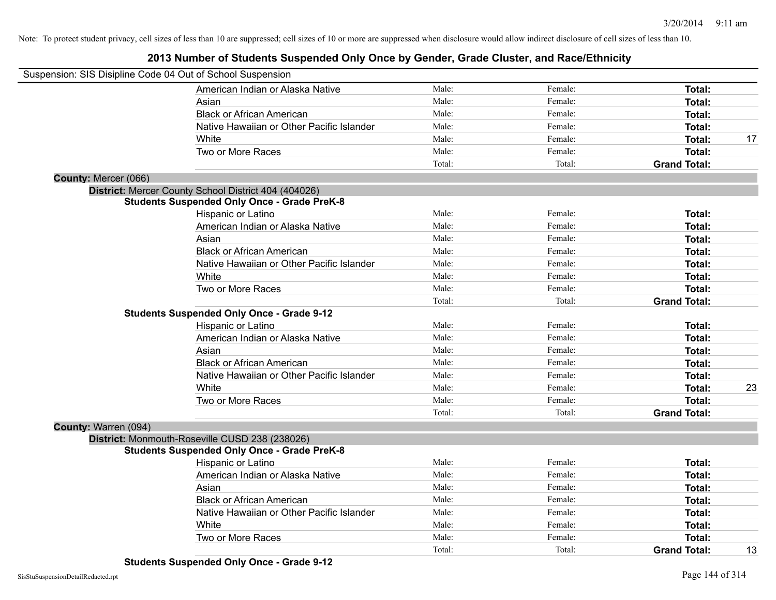| Suspension: SIS Disipline Code 04 Out of School Suspension |                                                    |        |         |                     |    |
|------------------------------------------------------------|----------------------------------------------------|--------|---------|---------------------|----|
|                                                            | American Indian or Alaska Native                   | Male:  | Female: | Total:              |    |
| Asian                                                      |                                                    | Male:  | Female: | <b>Total:</b>       |    |
|                                                            | <b>Black or African American</b>                   | Male:  | Female: | <b>Total:</b>       |    |
|                                                            | Native Hawaiian or Other Pacific Islander          | Male:  | Female: | <b>Total:</b>       |    |
| White                                                      |                                                    | Male:  | Female: | Total:              | 17 |
|                                                            | Two or More Races                                  | Male:  | Female: | Total:              |    |
|                                                            |                                                    | Total: | Total:  | <b>Grand Total:</b> |    |
| County: Mercer (066)                                       |                                                    |        |         |                     |    |
| District: Mercer County School District 404 (404026)       |                                                    |        |         |                     |    |
|                                                            | <b>Students Suspended Only Once - Grade PreK-8</b> |        |         |                     |    |
|                                                            | Hispanic or Latino                                 | Male:  | Female: | Total:              |    |
|                                                            | American Indian or Alaska Native                   | Male:  | Female: | <b>Total:</b>       |    |
| Asian                                                      |                                                    | Male:  | Female: | <b>Total:</b>       |    |
|                                                            | <b>Black or African American</b>                   | Male:  | Female: | <b>Total:</b>       |    |
|                                                            | Native Hawaiian or Other Pacific Islander          | Male:  | Female: | <b>Total:</b>       |    |
| White                                                      |                                                    | Male:  | Female: | Total:              |    |
|                                                            | Two or More Races                                  | Male:  | Female: | Total:              |    |
|                                                            |                                                    | Total: | Total:  | <b>Grand Total:</b> |    |
|                                                            | <b>Students Suspended Only Once - Grade 9-12</b>   |        |         |                     |    |
|                                                            | Hispanic or Latino                                 | Male:  | Female: | Total:              |    |
|                                                            | American Indian or Alaska Native                   | Male:  | Female: | Total:              |    |
| Asian                                                      |                                                    | Male:  | Female: | Total:              |    |
|                                                            | <b>Black or African American</b>                   | Male:  | Female: | <b>Total:</b>       |    |
|                                                            | Native Hawaiian or Other Pacific Islander          | Male:  | Female: | Total:              |    |
| White                                                      |                                                    | Male:  | Female: | <b>Total:</b>       | 23 |
|                                                            | Two or More Races                                  | Male:  | Female: | Total:              |    |
|                                                            |                                                    | Total: | Total:  | <b>Grand Total:</b> |    |
| County: Warren (094)                                       |                                                    |        |         |                     |    |
| District: Monmouth-Roseville CUSD 238 (238026)             |                                                    |        |         |                     |    |
|                                                            | <b>Students Suspended Only Once - Grade PreK-8</b> |        |         |                     |    |
|                                                            | Hispanic or Latino                                 | Male:  | Female: | Total:              |    |
|                                                            | American Indian or Alaska Native                   | Male:  | Female: | Total:              |    |
| Asian                                                      |                                                    | Male:  | Female: | <b>Total:</b>       |    |
|                                                            | <b>Black or African American</b>                   | Male:  | Female: | Total:              |    |
|                                                            | Native Hawaiian or Other Pacific Islander          | Male:  | Female: | Total:              |    |
| White                                                      |                                                    | Male:  | Female: | Total:              |    |
|                                                            | Two or More Races                                  | Male:  | Female: | Total:              |    |
|                                                            |                                                    | Total: | Total:  | <b>Grand Total:</b> | 13 |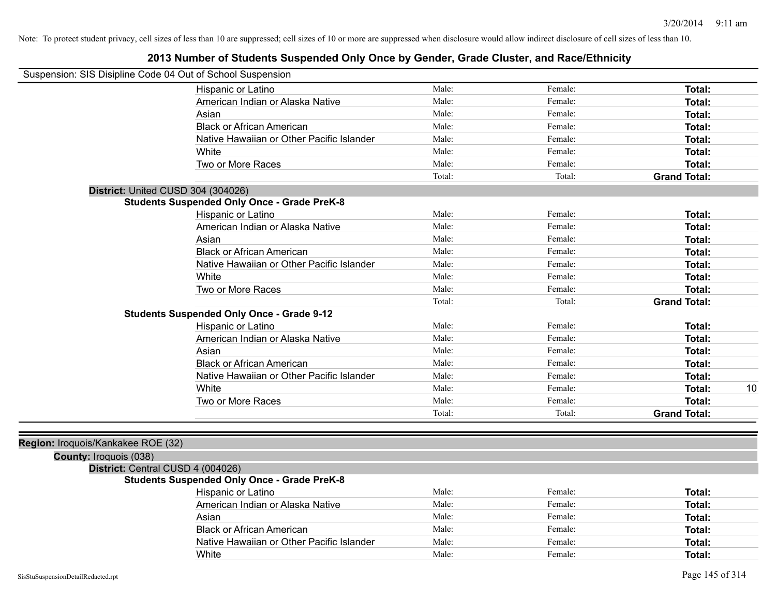| Suspension: SIS Disipline Code 04 Out of School Suspension |                                                    |        |         |                     |
|------------------------------------------------------------|----------------------------------------------------|--------|---------|---------------------|
|                                                            | Hispanic or Latino                                 | Male:  | Female: | Total:              |
|                                                            | American Indian or Alaska Native                   | Male:  | Female: | Total:              |
|                                                            | Asian                                              | Male:  | Female: | Total:              |
|                                                            | <b>Black or African American</b>                   | Male:  | Female: | Total:              |
|                                                            | Native Hawaiian or Other Pacific Islander          | Male:  | Female: | Total:              |
|                                                            | White                                              | Male:  | Female: | Total:              |
|                                                            | Two or More Races                                  | Male:  | Female: | Total:              |
|                                                            |                                                    | Total: | Total:  | <b>Grand Total:</b> |
| District: United CUSD 304 (304026)                         |                                                    |        |         |                     |
|                                                            | <b>Students Suspended Only Once - Grade PreK-8</b> |        |         |                     |
|                                                            | Hispanic or Latino                                 | Male:  | Female: | Total:              |
|                                                            | American Indian or Alaska Native                   | Male:  | Female: | Total:              |
|                                                            | Asian                                              | Male:  | Female: | Total:              |
|                                                            | <b>Black or African American</b>                   | Male:  | Female: | Total:              |
|                                                            | Native Hawaiian or Other Pacific Islander          | Male:  | Female: | Total:              |
|                                                            | White                                              | Male:  | Female: | Total:              |
|                                                            | Two or More Races                                  | Male:  | Female: | Total:              |
|                                                            |                                                    | Total: | Total:  | <b>Grand Total:</b> |
|                                                            | <b>Students Suspended Only Once - Grade 9-12</b>   |        |         |                     |
|                                                            | Hispanic or Latino                                 | Male:  | Female: | Total:              |
|                                                            | American Indian or Alaska Native                   | Male:  | Female: | Total:              |
|                                                            | Asian                                              | Male:  | Female: | Total:              |
|                                                            | <b>Black or African American</b>                   | Male:  | Female: | Total:              |
|                                                            | Native Hawaiian or Other Pacific Islander          | Male:  | Female: | Total:              |
|                                                            | White                                              | Male:  | Female: | 10<br>Total:        |
|                                                            | Two or More Races                                  | Male:  | Female: | Total:              |
|                                                            |                                                    | Total: | Total:  | <b>Grand Total:</b> |
|                                                            |                                                    |        |         |                     |
| Region: Iroquois/Kankakee ROE (32)                         |                                                    |        |         |                     |
| <b>County: Iroquois (038)</b>                              |                                                    |        |         |                     |
| District: Central CUSD 4 (004026)                          |                                                    |        |         |                     |
|                                                            | <b>Students Suspended Only Once - Grade PreK-8</b> |        |         |                     |
|                                                            | <b>Hispanic or Latino</b>                          | Male:  | Female: | Total:              |
|                                                            | American Indian or Alaska Native                   | Male:  | Female: | Total:              |
|                                                            | Asian                                              | Male:  | Female: | Total:              |
|                                                            | <b>Black or African American</b>                   | Male:  | Female: | Total:              |
|                                                            | Native Hawaiian or Other Pacific Islander          | Male:  | Female: | Total:              |
|                                                            | White                                              | Male:  | Female: | Total:              |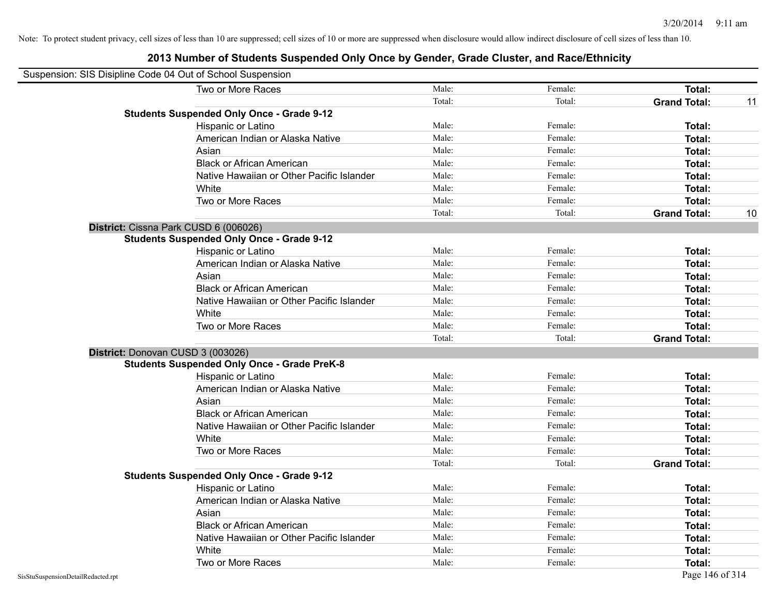| Suspension: SIS Disipline Code 04 Out of School Suspension |                                                    |        |         |                     |    |
|------------------------------------------------------------|----------------------------------------------------|--------|---------|---------------------|----|
|                                                            | Two or More Races                                  | Male:  | Female: | Total:              |    |
|                                                            |                                                    | Total: | Total:  | <b>Grand Total:</b> | 11 |
|                                                            | <b>Students Suspended Only Once - Grade 9-12</b>   |        |         |                     |    |
|                                                            | Hispanic or Latino                                 | Male:  | Female: | Total:              |    |
|                                                            | American Indian or Alaska Native                   | Male:  | Female: | Total:              |    |
|                                                            | Asian                                              | Male:  | Female: | Total:              |    |
|                                                            | <b>Black or African American</b>                   | Male:  | Female: | Total:              |    |
|                                                            | Native Hawaiian or Other Pacific Islander          | Male:  | Female: | Total:              |    |
|                                                            | White                                              | Male:  | Female: | Total:              |    |
|                                                            | Two or More Races                                  | Male:  | Female: | Total:              |    |
|                                                            |                                                    | Total: | Total:  | <b>Grand Total:</b> | 10 |
|                                                            | District: Cissna Park CUSD 6 (006026)              |        |         |                     |    |
|                                                            | <b>Students Suspended Only Once - Grade 9-12</b>   |        |         |                     |    |
|                                                            | Hispanic or Latino                                 | Male:  | Female: | Total:              |    |
|                                                            | American Indian or Alaska Native                   | Male:  | Female: | Total:              |    |
|                                                            | Asian                                              | Male:  | Female: | Total:              |    |
|                                                            | <b>Black or African American</b>                   | Male:  | Female: | Total:              |    |
|                                                            | Native Hawaiian or Other Pacific Islander          | Male:  | Female: | Total:              |    |
|                                                            | White                                              | Male:  | Female: | Total:              |    |
|                                                            | Two or More Races                                  | Male:  | Female: | Total:              |    |
|                                                            |                                                    | Total: | Total:  | <b>Grand Total:</b> |    |
|                                                            | District: Donovan CUSD 3 (003026)                  |        |         |                     |    |
|                                                            | <b>Students Suspended Only Once - Grade PreK-8</b> |        |         |                     |    |
|                                                            | Hispanic or Latino                                 | Male:  | Female: | Total:              |    |
|                                                            | American Indian or Alaska Native                   | Male:  | Female: | Total:              |    |
|                                                            | Asian                                              | Male:  | Female: | Total:              |    |
|                                                            | <b>Black or African American</b>                   | Male:  | Female: | Total:              |    |
|                                                            | Native Hawaiian or Other Pacific Islander          | Male:  | Female: | Total:              |    |
|                                                            | White                                              | Male:  | Female: | Total:              |    |
|                                                            | Two or More Races                                  | Male:  | Female: | Total:              |    |
|                                                            |                                                    | Total: | Total:  | <b>Grand Total:</b> |    |
|                                                            | <b>Students Suspended Only Once - Grade 9-12</b>   |        |         |                     |    |
|                                                            | Hispanic or Latino                                 | Male:  | Female: | Total:              |    |
|                                                            | American Indian or Alaska Native                   | Male:  | Female: | Total:              |    |
|                                                            | Asian                                              | Male:  | Female: | Total:              |    |
|                                                            | <b>Black or African American</b>                   | Male:  | Female: | Total:              |    |
|                                                            | Native Hawaiian or Other Pacific Islander          | Male:  | Female: | Total:              |    |
|                                                            | White                                              | Male:  | Female: | Total:              |    |
|                                                            | Two or More Races                                  | Male:  | Female: | Total:              |    |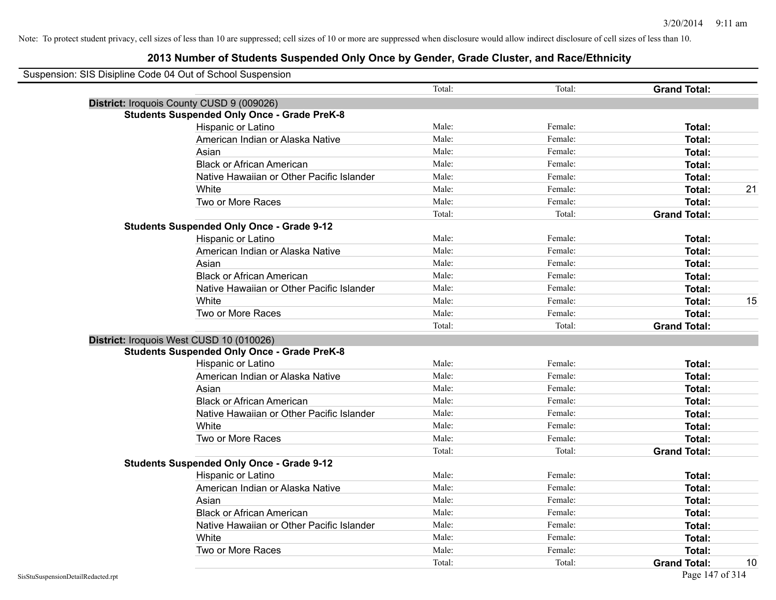| Suspension: SIS Disipline Code 04 Out of School Suspension |                                                    |        |         |                     |    |
|------------------------------------------------------------|----------------------------------------------------|--------|---------|---------------------|----|
|                                                            |                                                    | Total: | Total:  | <b>Grand Total:</b> |    |
| District: Iroquois County CUSD 9 (009026)                  |                                                    |        |         |                     |    |
|                                                            | <b>Students Suspended Only Once - Grade PreK-8</b> |        |         |                     |    |
|                                                            | Hispanic or Latino                                 | Male:  | Female: | Total:              |    |
|                                                            | American Indian or Alaska Native                   | Male:  | Female: | Total:              |    |
|                                                            | Asian                                              | Male:  | Female: | Total:              |    |
|                                                            | <b>Black or African American</b>                   | Male:  | Female: | Total:              |    |
|                                                            | Native Hawaiian or Other Pacific Islander          | Male:  | Female: | Total:              |    |
|                                                            | White                                              | Male:  | Female: | Total:              | 21 |
|                                                            | Two or More Races                                  | Male:  | Female: | Total:              |    |
|                                                            |                                                    | Total: | Total:  | <b>Grand Total:</b> |    |
|                                                            | <b>Students Suspended Only Once - Grade 9-12</b>   |        |         |                     |    |
|                                                            | Hispanic or Latino                                 | Male:  | Female: | Total:              |    |
|                                                            | American Indian or Alaska Native                   | Male:  | Female: | Total:              |    |
|                                                            | Asian                                              | Male:  | Female: | Total:              |    |
|                                                            | <b>Black or African American</b>                   | Male:  | Female: | Total:              |    |
|                                                            | Native Hawaiian or Other Pacific Islander          | Male:  | Female: | Total:              |    |
|                                                            | White                                              | Male:  | Female: | Total:              | 15 |
|                                                            | Two or More Races                                  | Male:  | Female: | Total:              |    |
|                                                            |                                                    | Total: | Total:  | <b>Grand Total:</b> |    |
| District: Iroquois West CUSD 10 (010026)                   |                                                    |        |         |                     |    |
|                                                            | <b>Students Suspended Only Once - Grade PreK-8</b> |        |         |                     |    |
|                                                            | Hispanic or Latino                                 | Male:  | Female: | Total:              |    |
|                                                            | American Indian or Alaska Native                   | Male:  | Female: | Total:              |    |
|                                                            | Asian                                              | Male:  | Female: | Total:              |    |
|                                                            | <b>Black or African American</b>                   | Male:  | Female: | Total:              |    |
|                                                            | Native Hawaiian or Other Pacific Islander          | Male:  | Female: | Total:              |    |
|                                                            | White                                              | Male:  | Female: | Total:              |    |
|                                                            | Two or More Races                                  | Male:  | Female: | Total:              |    |
|                                                            |                                                    | Total: | Total:  | <b>Grand Total:</b> |    |
|                                                            | <b>Students Suspended Only Once - Grade 9-12</b>   |        |         |                     |    |
|                                                            | Hispanic or Latino                                 | Male:  | Female: | Total:              |    |
|                                                            | American Indian or Alaska Native                   | Male:  | Female: | Total:              |    |
|                                                            | Asian                                              | Male:  | Female: | Total:              |    |
|                                                            | <b>Black or African American</b>                   | Male:  | Female: | Total:              |    |
|                                                            | Native Hawaiian or Other Pacific Islander          | Male:  | Female: | Total:              |    |
|                                                            | White                                              | Male:  | Female: | Total:              |    |
|                                                            | Two or More Races                                  | Male:  | Female: | Total:              |    |
|                                                            |                                                    | Total: | Total:  | <b>Grand Total:</b> | 10 |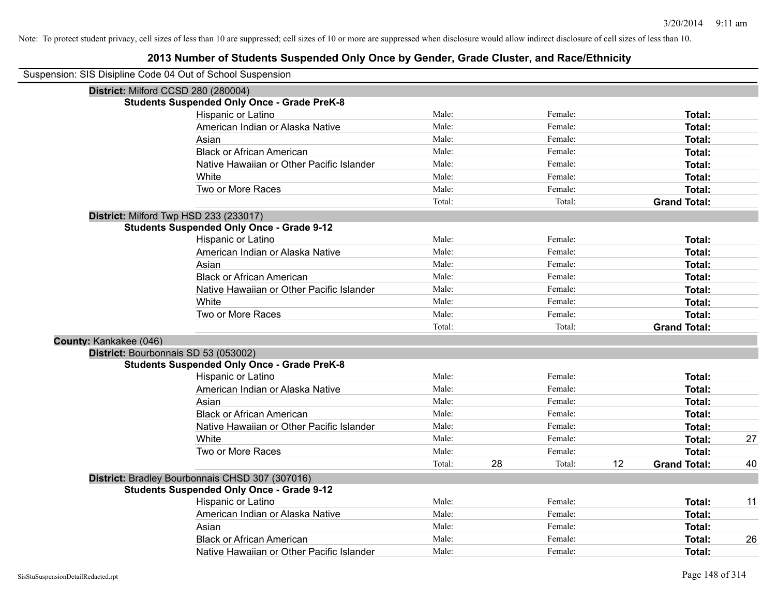| Suspension: SIS Disipline Code 04 Out of School Suspension |        |    |         |    |                     |    |
|------------------------------------------------------------|--------|----|---------|----|---------------------|----|
| District: Milford CCSD 280 (280004)                        |        |    |         |    |                     |    |
| <b>Students Suspended Only Once - Grade PreK-8</b>         |        |    |         |    |                     |    |
| Hispanic or Latino                                         | Male:  |    | Female: |    | Total:              |    |
| American Indian or Alaska Native                           | Male:  |    | Female: |    | Total:              |    |
| Asian                                                      | Male:  |    | Female: |    | Total:              |    |
| <b>Black or African American</b>                           | Male:  |    | Female: |    | Total:              |    |
| Native Hawaiian or Other Pacific Islander                  | Male:  |    | Female: |    | Total:              |    |
| White                                                      | Male:  |    | Female: |    | Total:              |    |
| Two or More Races                                          | Male:  |    | Female: |    | Total:              |    |
|                                                            | Total: |    | Total:  |    | <b>Grand Total:</b> |    |
| District: Milford Twp HSD 233 (233017)                     |        |    |         |    |                     |    |
| <b>Students Suspended Only Once - Grade 9-12</b>           |        |    |         |    |                     |    |
| Hispanic or Latino                                         | Male:  |    | Female: |    | Total:              |    |
| American Indian or Alaska Native                           | Male:  |    | Female: |    | Total:              |    |
| Asian                                                      | Male:  |    | Female: |    | Total:              |    |
| <b>Black or African American</b>                           | Male:  |    | Female: |    | Total:              |    |
| Native Hawaiian or Other Pacific Islander                  | Male:  |    | Female: |    | Total:              |    |
| White                                                      | Male:  |    | Female: |    | Total:              |    |
| Two or More Races                                          | Male:  |    | Female: |    | Total:              |    |
|                                                            | Total: |    | Total:  |    | <b>Grand Total:</b> |    |
| County: Kankakee (046)                                     |        |    |         |    |                     |    |
| District: Bourbonnais SD 53 (053002)                       |        |    |         |    |                     |    |
| <b>Students Suspended Only Once - Grade PreK-8</b>         |        |    |         |    |                     |    |
| Hispanic or Latino                                         | Male:  |    | Female: |    | Total:              |    |
| American Indian or Alaska Native                           | Male:  |    | Female: |    | Total:              |    |
| Asian                                                      | Male:  |    | Female: |    | Total:              |    |
| <b>Black or African American</b>                           | Male:  |    | Female: |    | Total:              |    |
| Native Hawaiian or Other Pacific Islander                  | Male:  |    | Female: |    | Total:              |    |
| White                                                      | Male:  |    | Female: |    | Total:              | 27 |
| Two or More Races                                          | Male:  |    | Female: |    | Total:              |    |
|                                                            | Total: | 28 | Total:  | 12 | <b>Grand Total:</b> | 40 |
| District: Bradley Bourbonnais CHSD 307 (307016)            |        |    |         |    |                     |    |
| <b>Students Suspended Only Once - Grade 9-12</b>           |        |    |         |    |                     |    |
| Hispanic or Latino                                         | Male:  |    | Female: |    | Total:              | 11 |
| American Indian or Alaska Native                           | Male:  |    | Female: |    | Total:              |    |
| Asian                                                      | Male:  |    | Female: |    | Total:              |    |
| <b>Black or African American</b>                           | Male:  |    | Female: |    | Total:              | 26 |
| Native Hawaiian or Other Pacific Islander                  | Male:  |    | Female: |    | Total:              |    |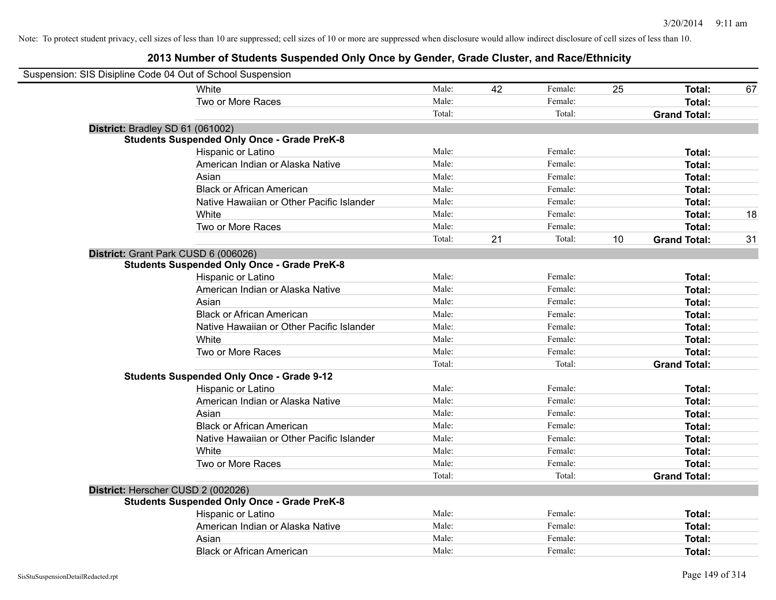| Suspension: SIS Disipline Code 04 Out of School Suspension |                                                    |        |    |         |    |                     |    |
|------------------------------------------------------------|----------------------------------------------------|--------|----|---------|----|---------------------|----|
|                                                            | <b>White</b>                                       | Male:  | 42 | Female: | 25 | Total:              | 67 |
|                                                            | Two or More Races                                  | Male:  |    | Female: |    | <b>Total:</b>       |    |
|                                                            |                                                    | Total: |    | Total:  |    | <b>Grand Total:</b> |    |
| District: Bradley SD 61 (061002)                           |                                                    |        |    |         |    |                     |    |
|                                                            | <b>Students Suspended Only Once - Grade PreK-8</b> |        |    |         |    |                     |    |
|                                                            | Hispanic or Latino                                 | Male:  |    | Female: |    | Total:              |    |
|                                                            | American Indian or Alaska Native                   | Male:  |    | Female: |    | Total:              |    |
|                                                            | Asian                                              | Male:  |    | Female: |    | Total:              |    |
|                                                            | <b>Black or African American</b>                   | Male:  |    | Female: |    | Total:              |    |
|                                                            | Native Hawaiian or Other Pacific Islander          | Male:  |    | Female: |    | Total:              |    |
|                                                            | White                                              | Male:  |    | Female: |    | <b>Total:</b>       | 18 |
|                                                            | Two or More Races                                  | Male:  |    | Female: |    | Total:              |    |
|                                                            |                                                    | Total: | 21 | Total:  | 10 | <b>Grand Total:</b> | 31 |
| District: Grant Park CUSD 6 (006026)                       |                                                    |        |    |         |    |                     |    |
|                                                            | <b>Students Suspended Only Once - Grade PreK-8</b> |        |    |         |    |                     |    |
|                                                            | Hispanic or Latino                                 | Male:  |    | Female: |    | Total:              |    |
|                                                            | American Indian or Alaska Native                   | Male:  |    | Female: |    | Total:              |    |
|                                                            | Asian                                              | Male:  |    | Female: |    | Total:              |    |
|                                                            | <b>Black or African American</b>                   | Male:  |    | Female: |    | Total:              |    |
|                                                            | Native Hawaiian or Other Pacific Islander          | Male:  |    | Female: |    | Total:              |    |
|                                                            | White                                              | Male:  |    | Female: |    | Total:              |    |
|                                                            | Two or More Races                                  | Male:  |    | Female: |    | Total:              |    |
|                                                            |                                                    | Total: |    | Total:  |    | <b>Grand Total:</b> |    |
|                                                            | <b>Students Suspended Only Once - Grade 9-12</b>   |        |    |         |    |                     |    |
|                                                            | Hispanic or Latino                                 | Male:  |    | Female: |    | Total:              |    |
|                                                            | American Indian or Alaska Native                   | Male:  |    | Female: |    | Total:              |    |
|                                                            | Asian                                              | Male:  |    | Female: |    | Total:              |    |
|                                                            | <b>Black or African American</b>                   | Male:  |    | Female: |    | Total:              |    |
|                                                            | Native Hawaiian or Other Pacific Islander          | Male:  |    | Female: |    | Total:              |    |
|                                                            | White                                              | Male:  |    | Female: |    | Total:              |    |
|                                                            | Two or More Races                                  | Male:  |    | Female: |    | Total:              |    |
|                                                            |                                                    | Total: |    | Total:  |    | <b>Grand Total:</b> |    |
| District: Herscher CUSD 2 (002026)                         |                                                    |        |    |         |    |                     |    |
|                                                            | <b>Students Suspended Only Once - Grade PreK-8</b> |        |    |         |    |                     |    |
|                                                            | Hispanic or Latino                                 | Male:  |    | Female: |    | Total:              |    |
|                                                            | American Indian or Alaska Native                   | Male:  |    | Female: |    | <b>Total:</b>       |    |
|                                                            | Asian                                              | Male:  |    | Female: |    | <b>Total:</b>       |    |
|                                                            | <b>Black or African American</b>                   | Male:  |    | Female: |    | Total:              |    |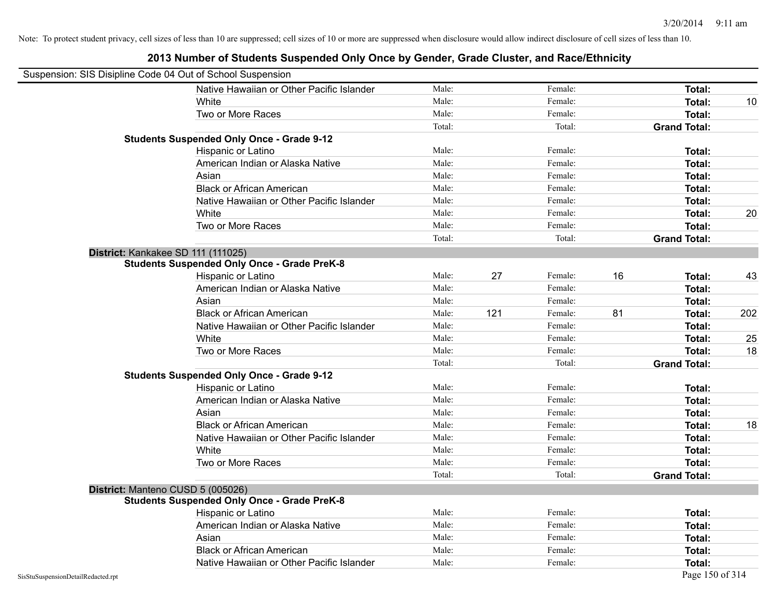|                                    | Suspension: SIS Disipline Code 04 Out of School Suspension |        |     |         |    |                     |     |
|------------------------------------|------------------------------------------------------------|--------|-----|---------|----|---------------------|-----|
|                                    | Native Hawaiian or Other Pacific Islander                  | Male:  |     | Female: |    | Total:              |     |
|                                    | White                                                      | Male:  |     | Female: |    | Total:              | 10  |
|                                    | Two or More Races                                          | Male:  |     | Female: |    | <b>Total:</b>       |     |
|                                    |                                                            | Total: |     | Total:  |    | <b>Grand Total:</b> |     |
|                                    | <b>Students Suspended Only Once - Grade 9-12</b>           |        |     |         |    |                     |     |
|                                    | Hispanic or Latino                                         | Male:  |     | Female: |    | Total:              |     |
|                                    | American Indian or Alaska Native                           | Male:  |     | Female: |    | Total:              |     |
|                                    | Asian                                                      | Male:  |     | Female: |    | Total:              |     |
|                                    | <b>Black or African American</b>                           | Male:  |     | Female: |    | Total:              |     |
|                                    | Native Hawaiian or Other Pacific Islander                  | Male:  |     | Female: |    | Total:              |     |
|                                    | White                                                      | Male:  |     | Female: |    | Total:              | 20  |
|                                    | Two or More Races                                          | Male:  |     | Female: |    | Total:              |     |
|                                    |                                                            | Total: |     | Total:  |    | <b>Grand Total:</b> |     |
|                                    | District: Kankakee SD 111 (111025)                         |        |     |         |    |                     |     |
|                                    | <b>Students Suspended Only Once - Grade PreK-8</b>         |        |     |         |    |                     |     |
|                                    | Hispanic or Latino                                         | Male:  | 27  | Female: | 16 | Total:              | 43  |
|                                    | American Indian or Alaska Native                           | Male:  |     | Female: |    | Total:              |     |
|                                    | Asian                                                      | Male:  |     | Female: |    | Total:              |     |
|                                    | <b>Black or African American</b>                           | Male:  | 121 | Female: | 81 | Total:              | 202 |
|                                    | Native Hawaiian or Other Pacific Islander                  | Male:  |     | Female: |    | Total:              |     |
|                                    | White                                                      | Male:  |     | Female: |    | Total:              | 25  |
|                                    | Two or More Races                                          | Male:  |     | Female: |    | Total:              | 18  |
|                                    |                                                            | Total: |     | Total:  |    | <b>Grand Total:</b> |     |
|                                    | <b>Students Suspended Only Once - Grade 9-12</b>           |        |     |         |    |                     |     |
|                                    | Hispanic or Latino                                         | Male:  |     | Female: |    | Total:              |     |
|                                    | American Indian or Alaska Native                           | Male:  |     | Female: |    | <b>Total:</b>       |     |
|                                    | Asian                                                      | Male:  |     | Female: |    | Total:              |     |
|                                    | <b>Black or African American</b>                           | Male:  |     | Female: |    | <b>Total:</b>       | 18  |
|                                    | Native Hawaiian or Other Pacific Islander                  | Male:  |     | Female: |    | Total:              |     |
|                                    | White                                                      | Male:  |     | Female: |    | Total:              |     |
|                                    | Two or More Races                                          | Male:  |     | Female: |    | Total:              |     |
|                                    |                                                            | Total: |     | Total:  |    | <b>Grand Total:</b> |     |
|                                    | District: Manteno CUSD 5 (005026)                          |        |     |         |    |                     |     |
|                                    | <b>Students Suspended Only Once - Grade PreK-8</b>         |        |     |         |    |                     |     |
|                                    | Hispanic or Latino                                         | Male:  |     | Female: |    | Total:              |     |
|                                    | American Indian or Alaska Native                           | Male:  |     | Female: |    | Total:              |     |
|                                    | Asian                                                      | Male:  |     | Female: |    | <b>Total:</b>       |     |
|                                    | <b>Black or African American</b>                           | Male:  |     | Female: |    | Total:              |     |
|                                    | Native Hawaiian or Other Pacific Islander                  | Male:  |     | Female: |    | <b>Total:</b>       |     |
| SisStuSuspensionDetailRedacted.rpt |                                                            |        |     |         |    | Page 150 of 314     |     |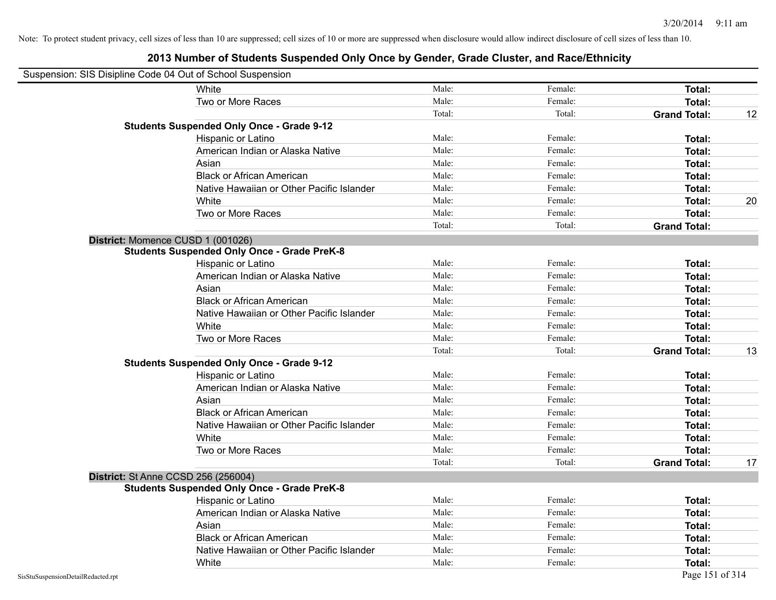| Suspension: SIS Disipline Code 04 Out of School Suspension |                                                    |        |         |                     |    |
|------------------------------------------------------------|----------------------------------------------------|--------|---------|---------------------|----|
|                                                            | White                                              | Male:  | Female: | Total:              |    |
|                                                            | Two or More Races                                  | Male:  | Female: | Total:              |    |
|                                                            |                                                    | Total: | Total:  | <b>Grand Total:</b> | 12 |
|                                                            | <b>Students Suspended Only Once - Grade 9-12</b>   |        |         |                     |    |
|                                                            | Hispanic or Latino                                 | Male:  | Female: | Total:              |    |
|                                                            | American Indian or Alaska Native                   | Male:  | Female: | Total:              |    |
|                                                            | Asian                                              | Male:  | Female: | Total:              |    |
|                                                            | <b>Black or African American</b>                   | Male:  | Female: | Total:              |    |
|                                                            | Native Hawaiian or Other Pacific Islander          | Male:  | Female: | Total:              |    |
|                                                            | White                                              | Male:  | Female: | <b>Total:</b>       | 20 |
|                                                            | Two or More Races                                  | Male:  | Female: | Total:              |    |
|                                                            |                                                    | Total: | Total:  | <b>Grand Total:</b> |    |
| District: Momence CUSD 1 (001026)                          |                                                    |        |         |                     |    |
|                                                            | <b>Students Suspended Only Once - Grade PreK-8</b> |        |         |                     |    |
|                                                            | Hispanic or Latino                                 | Male:  | Female: | Total:              |    |
|                                                            | American Indian or Alaska Native                   | Male:  | Female: | <b>Total:</b>       |    |
|                                                            | Asian                                              | Male:  | Female: | <b>Total:</b>       |    |
|                                                            | <b>Black or African American</b>                   | Male:  | Female: | Total:              |    |
|                                                            | Native Hawaiian or Other Pacific Islander          | Male:  | Female: | Total:              |    |
|                                                            | White                                              | Male:  | Female: | Total:              |    |
|                                                            | Two or More Races                                  | Male:  | Female: | Total:              |    |
|                                                            |                                                    | Total: | Total:  | <b>Grand Total:</b> | 13 |
|                                                            | <b>Students Suspended Only Once - Grade 9-12</b>   |        |         |                     |    |
|                                                            | Hispanic or Latino                                 | Male:  | Female: | Total:              |    |
|                                                            | American Indian or Alaska Native                   | Male:  | Female: | Total:              |    |
|                                                            | Asian                                              | Male:  | Female: | Total:              |    |
|                                                            | <b>Black or African American</b>                   | Male:  | Female: | Total:              |    |
|                                                            | Native Hawaiian or Other Pacific Islander          | Male:  | Female: | Total:              |    |
|                                                            | White                                              | Male:  | Female: | <b>Total:</b>       |    |
|                                                            | Two or More Races                                  | Male:  | Female: | Total:              |    |
|                                                            |                                                    | Total: | Total:  | <b>Grand Total:</b> | 17 |
| <b>District: St Anne CCSD 256 (256004)</b>                 |                                                    |        |         |                     |    |
|                                                            | <b>Students Suspended Only Once - Grade PreK-8</b> |        |         |                     |    |
|                                                            | Hispanic or Latino                                 | Male:  | Female: | Total:              |    |
|                                                            | American Indian or Alaska Native                   | Male:  | Female: | Total:              |    |
|                                                            | Asian                                              | Male:  | Female: | Total:              |    |
|                                                            | <b>Black or African American</b>                   | Male:  | Female: | <b>Total:</b>       |    |
|                                                            | Native Hawaiian or Other Pacific Islander          | Male:  | Female: | Total:              |    |
|                                                            | White                                              | Male:  | Female: | Total:              |    |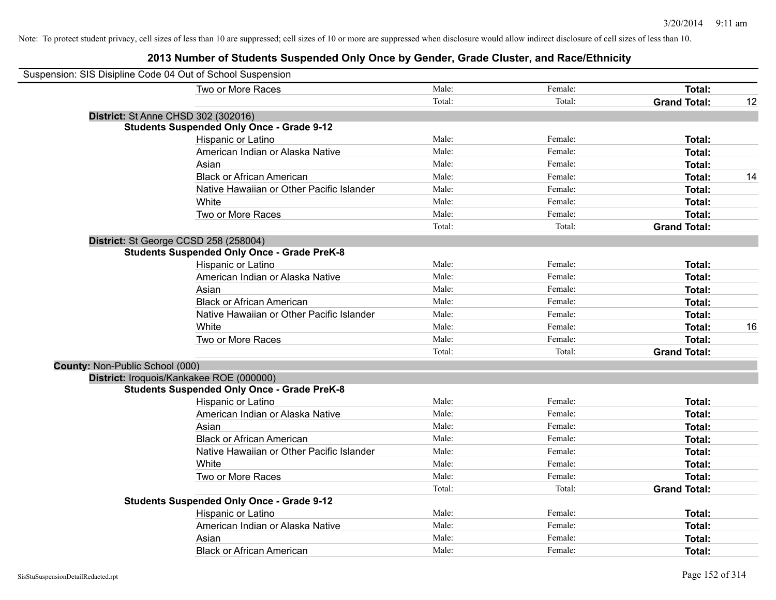## **2013 Number of Students Suspended Only Once by Gender, Grade Cluster, and Race/Ethnicity**

| Suspension: SIS Disipline Code 04 Out of School Suspension |                                                    |        |         |                     |    |
|------------------------------------------------------------|----------------------------------------------------|--------|---------|---------------------|----|
|                                                            | Two or More Races                                  | Male:  | Female: | Total:              |    |
|                                                            |                                                    | Total: | Total:  | <b>Grand Total:</b> | 12 |
|                                                            | District: St Anne CHSD 302 (302016)                |        |         |                     |    |
|                                                            | <b>Students Suspended Only Once - Grade 9-12</b>   |        |         |                     |    |
|                                                            | Hispanic or Latino                                 | Male:  | Female: | <b>Total:</b>       |    |
|                                                            | American Indian or Alaska Native                   | Male:  | Female: | Total:              |    |
|                                                            | Asian                                              | Male:  | Female: | Total:              |    |
|                                                            | <b>Black or African American</b>                   | Male:  | Female: | Total:              | 14 |
|                                                            | Native Hawaiian or Other Pacific Islander          | Male:  | Female: | <b>Total:</b>       |    |
|                                                            | White                                              | Male:  | Female: | Total:              |    |
|                                                            | Two or More Races                                  | Male:  | Female: | Total:              |    |
|                                                            |                                                    | Total: | Total:  | <b>Grand Total:</b> |    |
|                                                            | District: St George CCSD 258 (258004)              |        |         |                     |    |
|                                                            | <b>Students Suspended Only Once - Grade PreK-8</b> |        |         |                     |    |
|                                                            | Hispanic or Latino                                 | Male:  | Female: | Total:              |    |
|                                                            | American Indian or Alaska Native                   | Male:  | Female: | <b>Total:</b>       |    |
|                                                            | Asian                                              | Male:  | Female: | Total:              |    |
|                                                            | <b>Black or African American</b>                   | Male:  | Female: | Total:              |    |
|                                                            | Native Hawaiian or Other Pacific Islander          | Male:  | Female: | Total:              |    |
|                                                            | White                                              | Male:  | Female: | Total:              | 16 |
|                                                            | Two or More Races                                  | Male:  | Female: | <b>Total:</b>       |    |
|                                                            |                                                    | Total: | Total:  | <b>Grand Total:</b> |    |
| County: Non-Public School (000)                            |                                                    |        |         |                     |    |
|                                                            | District: Iroquois/Kankakee ROE (000000)           |        |         |                     |    |
|                                                            | <b>Students Suspended Only Once - Grade PreK-8</b> |        |         |                     |    |
|                                                            | Hispanic or Latino                                 | Male:  | Female: | <b>Total:</b>       |    |
|                                                            | American Indian or Alaska Native                   | Male:  | Female: | <b>Total:</b>       |    |
|                                                            | Asian                                              | Male:  | Female: | <b>Total:</b>       |    |
|                                                            | <b>Black or African American</b>                   | Male:  | Female: | Total:              |    |
|                                                            | Native Hawaiian or Other Pacific Islander          | Male:  | Female: | Total:              |    |
|                                                            | White                                              | Male:  | Female: | Total:              |    |
|                                                            | Two or More Races                                  | Male:  | Female: | <b>Total:</b>       |    |
|                                                            |                                                    | Total: | Total:  | <b>Grand Total:</b> |    |
|                                                            | <b>Students Suspended Only Once - Grade 9-12</b>   |        |         |                     |    |
|                                                            | Hispanic or Latino                                 | Male:  | Female: | Total:              |    |
|                                                            | American Indian or Alaska Native                   | Male:  | Female: | <b>Total:</b>       |    |
|                                                            | Asian                                              | Male:  | Female: | <b>Total:</b>       |    |
|                                                            | <b>Black or African American</b>                   | Male:  | Female: | Total:              |    |

 $\blacksquare$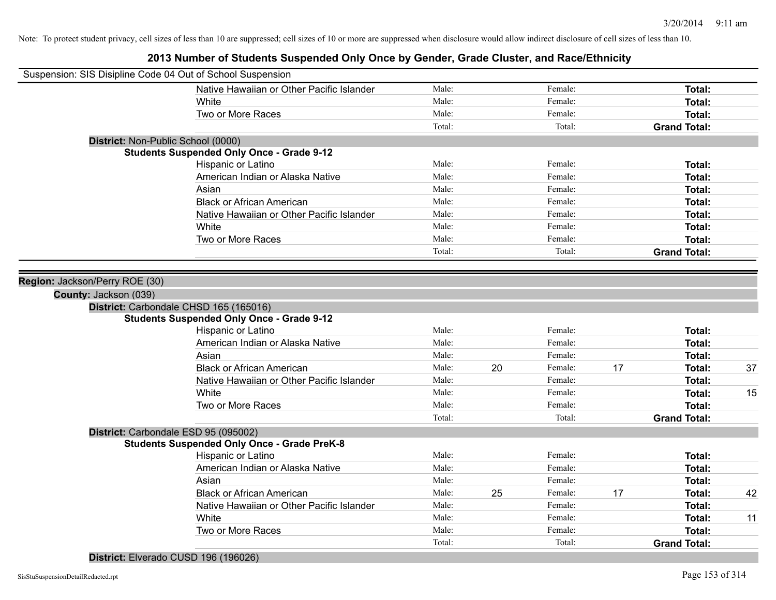## **2013 Number of Students Suspended Only Once by Gender, Grade Cluster, and Race/Ethnicity**

| Suspension: SIS Disipline Code 04 Out of School Suspension |                                                    |        |    |         |    |                     |    |
|------------------------------------------------------------|----------------------------------------------------|--------|----|---------|----|---------------------|----|
|                                                            | Native Hawaiian or Other Pacific Islander          | Male:  |    | Female: |    | Total:              |    |
|                                                            | White                                              | Male:  |    | Female: |    | Total:              |    |
|                                                            | Two or More Races                                  | Male:  |    | Female: |    | Total:              |    |
|                                                            |                                                    | Total: |    | Total:  |    | <b>Grand Total:</b> |    |
| District: Non-Public School (0000)                         |                                                    |        |    |         |    |                     |    |
|                                                            | <b>Students Suspended Only Once - Grade 9-12</b>   |        |    |         |    |                     |    |
|                                                            | Hispanic or Latino                                 | Male:  |    | Female: |    | Total:              |    |
|                                                            | American Indian or Alaska Native                   | Male:  |    | Female: |    | Total:              |    |
|                                                            | Asian                                              | Male:  |    | Female: |    | Total:              |    |
|                                                            | <b>Black or African American</b>                   | Male:  |    | Female: |    | Total:              |    |
|                                                            | Native Hawaiian or Other Pacific Islander          | Male:  |    | Female: |    | Total:              |    |
|                                                            | White                                              | Male:  |    | Female: |    | Total:              |    |
|                                                            | Two or More Races                                  | Male:  |    | Female: |    | Total:              |    |
|                                                            |                                                    | Total: |    | Total:  |    | <b>Grand Total:</b> |    |
|                                                            |                                                    |        |    |         |    |                     |    |
| Region: Jackson/Perry ROE (30)                             |                                                    |        |    |         |    |                     |    |
| County: Jackson (039)                                      |                                                    |        |    |         |    |                     |    |
|                                                            | District: Carbondale CHSD 165 (165016)             |        |    |         |    |                     |    |
|                                                            | <b>Students Suspended Only Once - Grade 9-12</b>   |        |    |         |    |                     |    |
|                                                            | Hispanic or Latino                                 | Male:  |    | Female: |    | Total:              |    |
|                                                            | American Indian or Alaska Native                   | Male:  |    | Female: |    | Total:              |    |
|                                                            | Asian                                              | Male:  |    | Female: |    | Total:              |    |
|                                                            | <b>Black or African American</b>                   | Male:  | 20 | Female: | 17 | Total:              | 37 |
|                                                            | Native Hawaiian or Other Pacific Islander          | Male:  |    | Female: |    | Total:              |    |
|                                                            | White                                              | Male:  |    | Female: |    | Total:              | 15 |
|                                                            | Two or More Races                                  | Male:  |    | Female: |    | Total:              |    |
|                                                            |                                                    | Total: |    | Total:  |    | <b>Grand Total:</b> |    |
|                                                            | District: Carbondale ESD 95 (095002)               |        |    |         |    |                     |    |
|                                                            | <b>Students Suspended Only Once - Grade PreK-8</b> |        |    |         |    |                     |    |
|                                                            | Hispanic or Latino                                 | Male:  |    | Female: |    | Total:              |    |
|                                                            | American Indian or Alaska Native                   | Male:  |    | Female: |    | Total:              |    |
|                                                            | Asian                                              | Male:  |    | Female: |    | Total:              |    |
|                                                            | <b>Black or African American</b>                   | Male:  | 25 | Female: | 17 | Total:              | 42 |
|                                                            | Native Hawaiian or Other Pacific Islander          | Male:  |    | Female: |    | Total:              |    |
|                                                            | White                                              | Male:  |    | Female: |    | Total:              | 11 |
|                                                            | Two or More Races                                  | Male:  |    | Female: |    | Total:              |    |
|                                                            |                                                    | Total: |    | Total:  |    | <b>Grand Total:</b> |    |
|                                                            |                                                    |        |    |         |    |                     |    |

**District:** Elverado CUSD 196 (196026)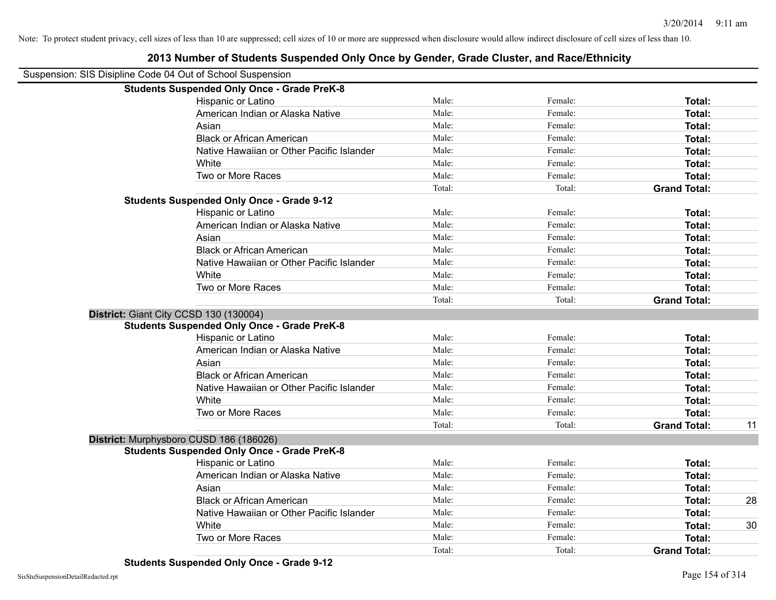| Suspension: SIS Disipline Code 04 Out of School Suspension |        |         |                     |    |
|------------------------------------------------------------|--------|---------|---------------------|----|
| <b>Students Suspended Only Once - Grade PreK-8</b>         |        |         |                     |    |
| Hispanic or Latino                                         | Male:  | Female: | Total:              |    |
| American Indian or Alaska Native                           | Male:  | Female: | Total:              |    |
| Asian                                                      | Male:  | Female: | Total:              |    |
| <b>Black or African American</b>                           | Male:  | Female: | Total:              |    |
| Native Hawaiian or Other Pacific Islander                  | Male:  | Female: | Total:              |    |
| White                                                      | Male:  | Female: | Total:              |    |
| Two or More Races                                          | Male:  | Female: | Total:              |    |
|                                                            | Total: | Total:  | <b>Grand Total:</b> |    |
| <b>Students Suspended Only Once - Grade 9-12</b>           |        |         |                     |    |
| Hispanic or Latino                                         | Male:  | Female: | Total:              |    |
| American Indian or Alaska Native                           | Male:  | Female: | Total:              |    |
| Asian                                                      | Male:  | Female: | Total:              |    |
| <b>Black or African American</b>                           | Male:  | Female: | Total:              |    |
| Native Hawaiian or Other Pacific Islander                  | Male:  | Female: | Total:              |    |
| White                                                      | Male:  | Female: | Total:              |    |
| Two or More Races                                          | Male:  | Female: | Total:              |    |
|                                                            | Total: | Total:  | <b>Grand Total:</b> |    |
| District: Giant City CCSD 130 (130004)                     |        |         |                     |    |
| <b>Students Suspended Only Once - Grade PreK-8</b>         |        |         |                     |    |
| Hispanic or Latino                                         | Male:  | Female: | Total:              |    |
| American Indian or Alaska Native                           | Male:  | Female: | Total:              |    |
| Asian                                                      | Male:  | Female: | Total:              |    |
| <b>Black or African American</b>                           | Male:  | Female: | Total:              |    |
| Native Hawaiian or Other Pacific Islander                  | Male:  | Female: | Total:              |    |
| White                                                      | Male:  | Female: | Total:              |    |
| Two or More Races                                          | Male:  | Female: | Total:              |    |
|                                                            | Total: | Total:  | <b>Grand Total:</b> | 11 |
| District: Murphysboro CUSD 186 (186026)                    |        |         |                     |    |
| <b>Students Suspended Only Once - Grade PreK-8</b>         |        |         |                     |    |
| Hispanic or Latino                                         | Male:  | Female: | Total:              |    |
| American Indian or Alaska Native                           | Male:  | Female: | Total:              |    |
| Asian                                                      | Male:  | Female: | Total:              |    |
| <b>Black or African American</b>                           | Male:  | Female: | Total:              | 28 |
| Native Hawaiian or Other Pacific Islander                  | Male:  | Female: | Total:              |    |
| White                                                      | Male:  | Female: | Total:              | 30 |
| Two or More Races                                          | Male:  | Female: | Total:              |    |
|                                                            | Total: | Total:  | <b>Grand Total:</b> |    |
|                                                            |        |         |                     |    |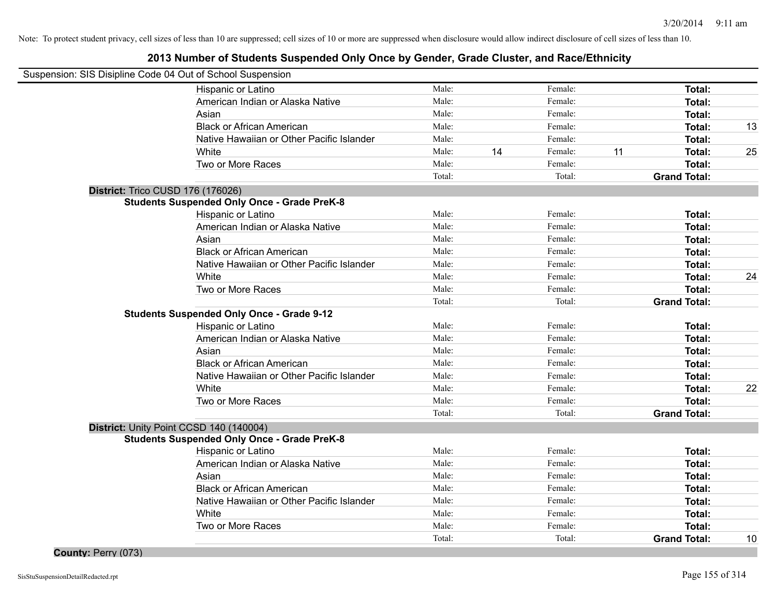## **2013 Number of Students Suspended Only Once by Gender, Grade Cluster, and Race/Ethnicity**

| Suspension: SIS Disipline Code 04 Out of School Suspension |                                                    |        |    |         |    |                     |    |
|------------------------------------------------------------|----------------------------------------------------|--------|----|---------|----|---------------------|----|
|                                                            | Hispanic or Latino                                 | Male:  |    | Female: |    | <b>Total:</b>       |    |
|                                                            | American Indian or Alaska Native                   | Male:  |    | Female: |    | <b>Total:</b>       |    |
|                                                            | Asian                                              | Male:  |    | Female: |    | Total:              |    |
|                                                            | <b>Black or African American</b>                   | Male:  |    | Female: |    | Total:              | 13 |
|                                                            | Native Hawaiian or Other Pacific Islander          | Male:  |    | Female: |    | <b>Total:</b>       |    |
|                                                            | White                                              | Male:  | 14 | Female: | 11 | Total:              | 25 |
|                                                            | Two or More Races                                  | Male:  |    | Female: |    | <b>Total:</b>       |    |
|                                                            |                                                    | Total: |    | Total:  |    | <b>Grand Total:</b> |    |
| District: Trico CUSD 176 (176026)                          |                                                    |        |    |         |    |                     |    |
|                                                            | <b>Students Suspended Only Once - Grade PreK-8</b> |        |    |         |    |                     |    |
|                                                            | Hispanic or Latino                                 | Male:  |    | Female: |    | Total:              |    |
|                                                            | American Indian or Alaska Native                   | Male:  |    | Female: |    | Total:              |    |
|                                                            | Asian                                              | Male:  |    | Female: |    | Total:              |    |
|                                                            | <b>Black or African American</b>                   | Male:  |    | Female: |    | <b>Total:</b>       |    |
|                                                            | Native Hawaiian or Other Pacific Islander          | Male:  |    | Female: |    | Total:              |    |
|                                                            | White                                              | Male:  |    | Female: |    | Total:              | 24 |
|                                                            | Two or More Races                                  | Male:  |    | Female: |    | <b>Total:</b>       |    |
|                                                            |                                                    | Total: |    | Total:  |    | <b>Grand Total:</b> |    |
|                                                            | <b>Students Suspended Only Once - Grade 9-12</b>   |        |    |         |    |                     |    |
|                                                            | Hispanic or Latino                                 | Male:  |    | Female: |    | Total:              |    |
|                                                            | American Indian or Alaska Native                   | Male:  |    | Female: |    | Total:              |    |
|                                                            | Asian                                              | Male:  |    | Female: |    | <b>Total:</b>       |    |
|                                                            | <b>Black or African American</b>                   | Male:  |    | Female: |    | <b>Total:</b>       |    |
|                                                            | Native Hawaiian or Other Pacific Islander          | Male:  |    | Female: |    | <b>Total:</b>       |    |
|                                                            | White                                              | Male:  |    | Female: |    | <b>Total:</b>       | 22 |
|                                                            | Two or More Races                                  | Male:  |    | Female: |    | <b>Total:</b>       |    |
|                                                            |                                                    | Total: |    | Total:  |    | <b>Grand Total:</b> |    |
|                                                            | District: Unity Point CCSD 140 (140004)            |        |    |         |    |                     |    |
|                                                            | <b>Students Suspended Only Once - Grade PreK-8</b> |        |    |         |    |                     |    |
|                                                            | Hispanic or Latino                                 | Male:  |    | Female: |    | <b>Total:</b>       |    |
|                                                            | American Indian or Alaska Native                   | Male:  |    | Female: |    | <b>Total:</b>       |    |
|                                                            | Asian                                              | Male:  |    | Female: |    | <b>Total:</b>       |    |
|                                                            | <b>Black or African American</b>                   | Male:  |    | Female: |    | Total:              |    |
|                                                            | Native Hawaiian or Other Pacific Islander          | Male:  |    | Female: |    | Total:              |    |
|                                                            | White                                              | Male:  |    | Female: |    | <b>Total:</b>       |    |
|                                                            | Two or More Races                                  | Male:  |    | Female: |    | <b>Total:</b>       |    |
|                                                            |                                                    | Total: |    | Total:  |    | <b>Grand Total:</b> | 10 |

**County:** Perry (073)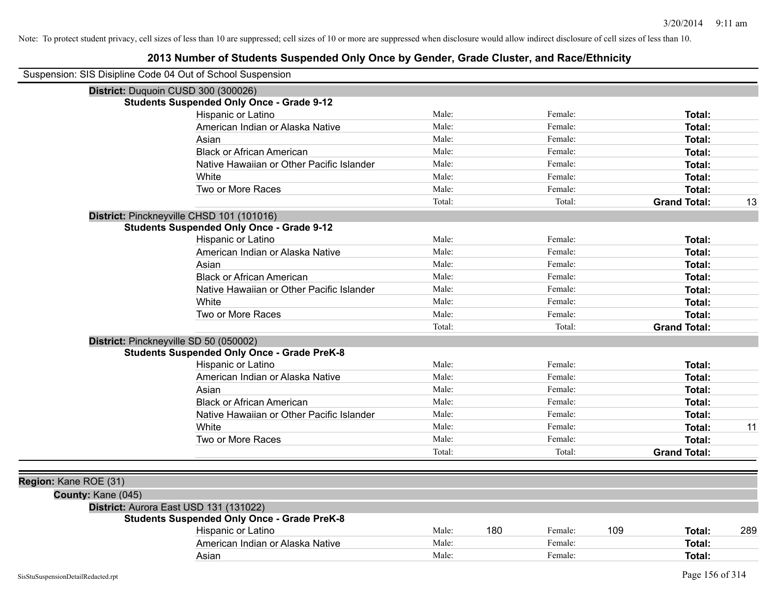| Suspension: SIS Disipline Code 04 Out of School Suspension |                                                    |        |     |         |     |                     |     |
|------------------------------------------------------------|----------------------------------------------------|--------|-----|---------|-----|---------------------|-----|
|                                                            | District: Duquoin CUSD 300 (300026)                |        |     |         |     |                     |     |
|                                                            | <b>Students Suspended Only Once - Grade 9-12</b>   |        |     |         |     |                     |     |
|                                                            | Hispanic or Latino                                 | Male:  |     | Female: |     | Total:              |     |
|                                                            | American Indian or Alaska Native                   | Male:  |     | Female: |     | <b>Total:</b>       |     |
|                                                            | Asian                                              | Male:  |     | Female: |     | <b>Total:</b>       |     |
|                                                            | <b>Black or African American</b>                   | Male:  |     | Female: |     | Total:              |     |
|                                                            | Native Hawaiian or Other Pacific Islander          | Male:  |     | Female: |     | Total:              |     |
|                                                            | White                                              | Male:  |     | Female: |     | Total:              |     |
|                                                            | Two or More Races                                  | Male:  |     | Female: |     | Total:              |     |
|                                                            |                                                    | Total: |     | Total:  |     | <b>Grand Total:</b> | 13  |
|                                                            | District: Pinckneyville CHSD 101 (101016)          |        |     |         |     |                     |     |
|                                                            | <b>Students Suspended Only Once - Grade 9-12</b>   |        |     |         |     |                     |     |
|                                                            | Hispanic or Latino                                 | Male:  |     | Female: |     | Total:              |     |
|                                                            | American Indian or Alaska Native                   | Male:  |     | Female: |     | Total:              |     |
|                                                            | Asian                                              | Male:  |     | Female: |     | Total:              |     |
|                                                            | <b>Black or African American</b>                   | Male:  |     | Female: |     | Total:              |     |
|                                                            | Native Hawaiian or Other Pacific Islander          | Male:  |     | Female: |     | Total:              |     |
|                                                            | White                                              | Male:  |     | Female: |     | Total:              |     |
|                                                            | Two or More Races                                  | Male:  |     | Female: |     | Total:              |     |
|                                                            |                                                    | Total: |     | Total:  |     | <b>Grand Total:</b> |     |
|                                                            | District: Pinckneyville SD 50 (050002)             |        |     |         |     |                     |     |
|                                                            | <b>Students Suspended Only Once - Grade PreK-8</b> |        |     |         |     |                     |     |
|                                                            | Hispanic or Latino                                 | Male:  |     | Female: |     | Total:              |     |
|                                                            | American Indian or Alaska Native                   | Male:  |     | Female: |     | Total:              |     |
|                                                            | Asian                                              | Male:  |     | Female: |     | Total:              |     |
|                                                            | <b>Black or African American</b>                   | Male:  |     | Female: |     | Total:              |     |
|                                                            | Native Hawaiian or Other Pacific Islander          | Male:  |     | Female: |     | Total:              |     |
|                                                            | White                                              | Male:  |     | Female: |     | Total:              | 11  |
|                                                            | Two or More Races                                  | Male:  |     | Female: |     | Total:              |     |
|                                                            |                                                    | Total: |     | Total:  |     | <b>Grand Total:</b> |     |
|                                                            |                                                    |        |     |         |     |                     |     |
| Region: Kane ROE (31)                                      |                                                    |        |     |         |     |                     |     |
| County: Kane (045)                                         |                                                    |        |     |         |     |                     |     |
|                                                            | District: Aurora East USD 131 (131022)             |        |     |         |     |                     |     |
|                                                            | <b>Students Suspended Only Once - Grade PreK-8</b> |        |     |         |     |                     |     |
|                                                            | Hispanic or Latino                                 | Male:  | 180 | Female: | 109 | Total:              | 289 |
|                                                            | American Indian or Alaska Native                   | Male:  |     | Female: |     | Total:              |     |
|                                                            | Asian                                              | Male:  |     | Female: |     | Total:              |     |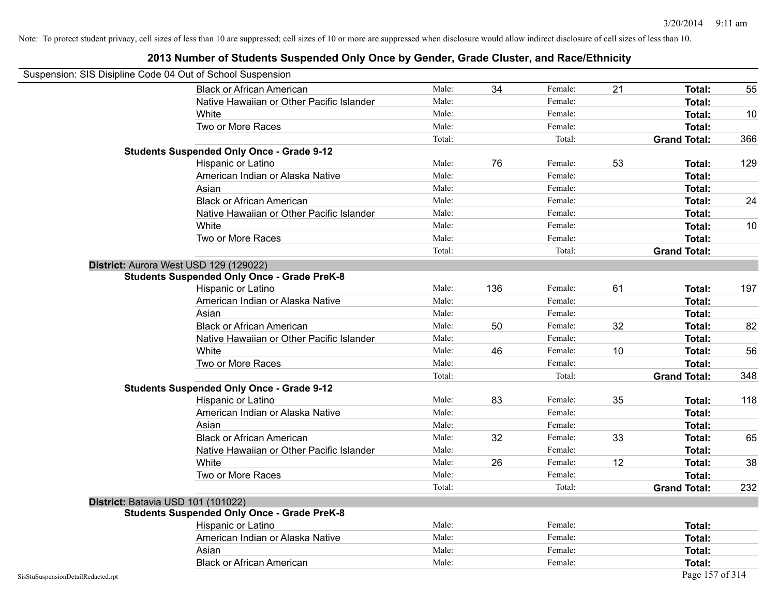| Suspension: SIS Disipline Code 04 Out of School Suspension |                                                    |        |     |         |    |                     |     |
|------------------------------------------------------------|----------------------------------------------------|--------|-----|---------|----|---------------------|-----|
|                                                            | <b>Black or African American</b>                   | Male:  | 34  | Female: | 21 | Total:              | 55  |
|                                                            | Native Hawaiian or Other Pacific Islander          | Male:  |     | Female: |    | Total:              |     |
|                                                            | White                                              | Male:  |     | Female: |    | Total:              | 10  |
|                                                            | Two or More Races                                  | Male:  |     | Female: |    | Total:              |     |
|                                                            |                                                    | Total: |     | Total:  |    | <b>Grand Total:</b> | 366 |
|                                                            | <b>Students Suspended Only Once - Grade 9-12</b>   |        |     |         |    |                     |     |
|                                                            | Hispanic or Latino                                 | Male:  | 76  | Female: | 53 | Total:              | 129 |
|                                                            | American Indian or Alaska Native                   | Male:  |     | Female: |    | Total:              |     |
|                                                            | Asian                                              | Male:  |     | Female: |    | Total:              |     |
|                                                            | <b>Black or African American</b>                   | Male:  |     | Female: |    | Total:              | 24  |
|                                                            | Native Hawaiian or Other Pacific Islander          | Male:  |     | Female: |    | Total:              |     |
|                                                            | White                                              | Male:  |     | Female: |    | Total:              | 10  |
|                                                            | Two or More Races                                  | Male:  |     | Female: |    | Total:              |     |
|                                                            |                                                    | Total: |     | Total:  |    | <b>Grand Total:</b> |     |
|                                                            | District: Aurora West USD 129 (129022)             |        |     |         |    |                     |     |
|                                                            | <b>Students Suspended Only Once - Grade PreK-8</b> |        |     |         |    |                     |     |
|                                                            | Hispanic or Latino                                 | Male:  | 136 | Female: | 61 | Total:              | 197 |
|                                                            | American Indian or Alaska Native                   | Male:  |     | Female: |    | Total:              |     |
|                                                            | Asian                                              | Male:  |     | Female: |    | Total:              |     |
|                                                            | <b>Black or African American</b>                   | Male:  | 50  | Female: | 32 | Total:              | 82  |
|                                                            | Native Hawaiian or Other Pacific Islander          | Male:  |     | Female: |    | Total:              |     |
|                                                            | White                                              | Male:  | 46  | Female: | 10 | Total:              | 56  |
|                                                            | Two or More Races                                  | Male:  |     | Female: |    | <b>Total:</b>       |     |
|                                                            |                                                    | Total: |     | Total:  |    | <b>Grand Total:</b> | 348 |
|                                                            | <b>Students Suspended Only Once - Grade 9-12</b>   |        |     |         |    |                     |     |
|                                                            | Hispanic or Latino                                 | Male:  | 83  | Female: | 35 | Total:              | 118 |
|                                                            | American Indian or Alaska Native                   | Male:  |     | Female: |    | Total:              |     |
|                                                            | Asian                                              | Male:  |     | Female: |    | Total:              |     |
|                                                            | <b>Black or African American</b>                   | Male:  | 32  | Female: | 33 | Total:              | 65  |
|                                                            | Native Hawaiian or Other Pacific Islander          | Male:  |     | Female: |    | Total:              |     |
|                                                            | White                                              | Male:  | 26  | Female: | 12 | Total:              | 38  |
|                                                            | Two or More Races                                  | Male:  |     | Female: |    | Total:              |     |
|                                                            |                                                    | Total: |     | Total:  |    | <b>Grand Total:</b> | 232 |
|                                                            | District: Batavia USD 101 (101022)                 |        |     |         |    |                     |     |
|                                                            | <b>Students Suspended Only Once - Grade PreK-8</b> |        |     |         |    |                     |     |
|                                                            | Hispanic or Latino                                 | Male:  |     | Female: |    | Total:              |     |
|                                                            | American Indian or Alaska Native                   | Male:  |     | Female: |    | Total:              |     |
|                                                            | Asian                                              | Male:  |     | Female: |    | Total:              |     |
|                                                            | <b>Black or African American</b>                   | Male:  |     | Female: |    | Total:              |     |
| SisStuSuspensionDetailRedacted.rpt                         |                                                    |        |     |         |    | Page 157 of 314     |     |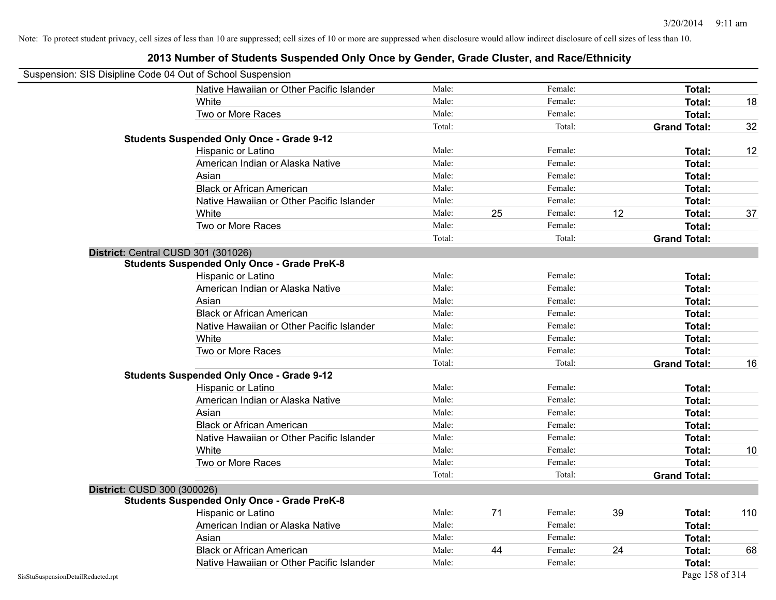| Suspension: SIS Disipline Code 04 Out of School Suspension |                                                    |        |    |         |    |                     |     |
|------------------------------------------------------------|----------------------------------------------------|--------|----|---------|----|---------------------|-----|
|                                                            | Native Hawaiian or Other Pacific Islander          | Male:  |    | Female: |    | Total:              |     |
|                                                            | White                                              | Male:  |    | Female: |    | Total:              | 18  |
|                                                            | Two or More Races                                  | Male:  |    | Female: |    | <b>Total:</b>       |     |
|                                                            |                                                    | Total: |    | Total:  |    | <b>Grand Total:</b> | 32  |
|                                                            | <b>Students Suspended Only Once - Grade 9-12</b>   |        |    |         |    |                     |     |
|                                                            | Hispanic or Latino                                 | Male:  |    | Female: |    | Total:              | 12  |
|                                                            | American Indian or Alaska Native                   | Male:  |    | Female: |    | Total:              |     |
|                                                            | Asian                                              | Male:  |    | Female: |    | <b>Total:</b>       |     |
|                                                            | <b>Black or African American</b>                   | Male:  |    | Female: |    | Total:              |     |
|                                                            | Native Hawaiian or Other Pacific Islander          | Male:  |    | Female: |    | Total:              |     |
|                                                            | White                                              | Male:  | 25 | Female: | 12 | Total:              | 37  |
|                                                            | Two or More Races                                  | Male:  |    | Female: |    | Total:              |     |
|                                                            |                                                    | Total: |    | Total:  |    | <b>Grand Total:</b> |     |
|                                                            | District: Central CUSD 301 (301026)                |        |    |         |    |                     |     |
|                                                            | <b>Students Suspended Only Once - Grade PreK-8</b> |        |    |         |    |                     |     |
|                                                            | Hispanic or Latino                                 | Male:  |    | Female: |    | Total:              |     |
|                                                            | American Indian or Alaska Native                   | Male:  |    | Female: |    | Total:              |     |
|                                                            | Asian                                              | Male:  |    | Female: |    | Total:              |     |
|                                                            | <b>Black or African American</b>                   | Male:  |    | Female: |    | Total:              |     |
|                                                            | Native Hawaiian or Other Pacific Islander          | Male:  |    | Female: |    | Total:              |     |
|                                                            | White                                              | Male:  |    | Female: |    | <b>Total:</b>       |     |
|                                                            | Two or More Races                                  | Male:  |    | Female: |    | Total:              |     |
|                                                            |                                                    | Total: |    | Total:  |    | <b>Grand Total:</b> | 16  |
|                                                            | <b>Students Suspended Only Once - Grade 9-12</b>   |        |    |         |    |                     |     |
|                                                            | Hispanic or Latino                                 | Male:  |    | Female: |    | Total:              |     |
|                                                            | American Indian or Alaska Native                   | Male:  |    | Female: |    | <b>Total:</b>       |     |
|                                                            | Asian                                              | Male:  |    | Female: |    | Total:              |     |
|                                                            | <b>Black or African American</b>                   | Male:  |    | Female: |    | <b>Total:</b>       |     |
|                                                            | Native Hawaiian or Other Pacific Islander          | Male:  |    | Female: |    | Total:              |     |
|                                                            | White                                              | Male:  |    | Female: |    | Total:              | 10  |
|                                                            | Two or More Races                                  | Male:  |    | Female: |    | Total:              |     |
|                                                            |                                                    | Total: |    | Total:  |    | <b>Grand Total:</b> |     |
| District: CUSD 300 (300026)                                |                                                    |        |    |         |    |                     |     |
|                                                            | <b>Students Suspended Only Once - Grade PreK-8</b> |        |    |         |    |                     |     |
|                                                            | Hispanic or Latino                                 | Male:  | 71 | Female: | 39 | Total:              | 110 |
|                                                            | American Indian or Alaska Native                   | Male:  |    | Female: |    | Total:              |     |
|                                                            | Asian                                              | Male:  |    | Female: |    | <b>Total:</b>       |     |
|                                                            | <b>Black or African American</b>                   | Male:  | 44 | Female: | 24 | Total:              | 68  |
|                                                            | Native Hawaiian or Other Pacific Islander          | Male:  |    | Female: |    | <b>Total:</b>       |     |
| SisStuSuspensionDetailRedacted.rpt                         |                                                    |        |    |         |    | Page 158 of 314     |     |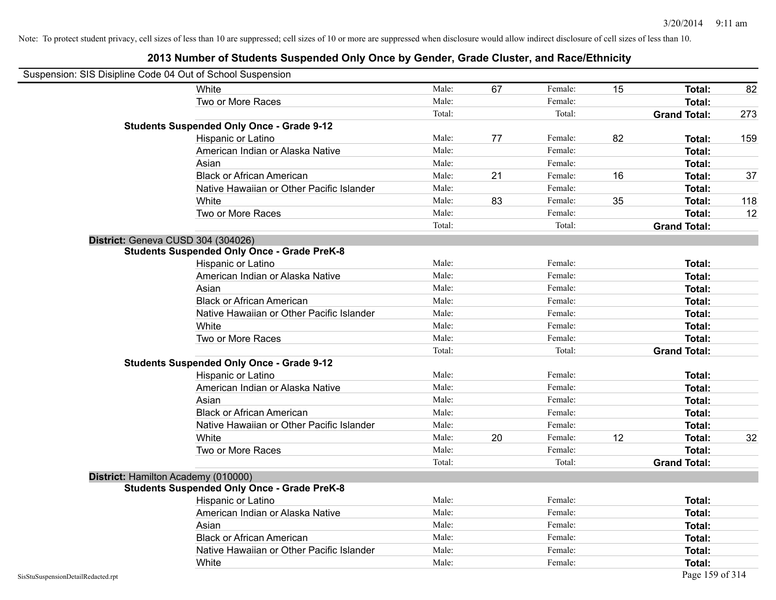|                                    | Suspension: SIS Disipline Code 04 Out of School Suspension |        |    |         |    |                     |     |
|------------------------------------|------------------------------------------------------------|--------|----|---------|----|---------------------|-----|
|                                    | White                                                      | Male:  | 67 | Female: | 15 | Total:              | 82  |
|                                    | Two or More Races                                          | Male:  |    | Female: |    | Total:              |     |
|                                    |                                                            | Total: |    | Total:  |    | <b>Grand Total:</b> | 273 |
|                                    | <b>Students Suspended Only Once - Grade 9-12</b>           |        |    |         |    |                     |     |
|                                    | Hispanic or Latino                                         | Male:  | 77 | Female: | 82 | Total:              | 159 |
|                                    | American Indian or Alaska Native                           | Male:  |    | Female: |    | Total:              |     |
|                                    | Asian                                                      | Male:  |    | Female: |    | Total:              |     |
|                                    | <b>Black or African American</b>                           | Male:  | 21 | Female: | 16 | Total:              | 37  |
|                                    | Native Hawaiian or Other Pacific Islander                  | Male:  |    | Female: |    | Total:              |     |
|                                    | White                                                      | Male:  | 83 | Female: | 35 | Total:              | 118 |
|                                    | Two or More Races                                          | Male:  |    | Female: |    | Total:              | 12  |
|                                    |                                                            | Total: |    | Total:  |    | <b>Grand Total:</b> |     |
|                                    | District: Geneva CUSD 304 (304026)                         |        |    |         |    |                     |     |
|                                    | <b>Students Suspended Only Once - Grade PreK-8</b>         |        |    |         |    |                     |     |
|                                    | Hispanic or Latino                                         | Male:  |    | Female: |    | Total:              |     |
|                                    | American Indian or Alaska Native                           | Male:  |    | Female: |    | <b>Total:</b>       |     |
|                                    | Asian                                                      | Male:  |    | Female: |    | Total:              |     |
|                                    | <b>Black or African American</b>                           | Male:  |    | Female: |    | Total:              |     |
|                                    | Native Hawaiian or Other Pacific Islander                  | Male:  |    | Female: |    | Total:              |     |
|                                    | White                                                      | Male:  |    | Female: |    | Total:              |     |
|                                    | Two or More Races                                          | Male:  |    | Female: |    | <b>Total:</b>       |     |
|                                    |                                                            | Total: |    | Total:  |    | <b>Grand Total:</b> |     |
|                                    | <b>Students Suspended Only Once - Grade 9-12</b>           |        |    |         |    |                     |     |
|                                    | Hispanic or Latino                                         | Male:  |    | Female: |    | Total:              |     |
|                                    | American Indian or Alaska Native                           | Male:  |    | Female: |    | Total:              |     |
|                                    | Asian                                                      | Male:  |    | Female: |    | Total:              |     |
|                                    | <b>Black or African American</b>                           | Male:  |    | Female: |    | <b>Total:</b>       |     |
|                                    | Native Hawaiian or Other Pacific Islander                  | Male:  |    | Female: |    | Total:              |     |
|                                    | White                                                      | Male:  | 20 | Female: | 12 | Total:              | 32  |
|                                    | Two or More Races                                          | Male:  |    | Female: |    | <b>Total:</b>       |     |
|                                    |                                                            | Total: |    | Total:  |    | <b>Grand Total:</b> |     |
|                                    | District: Hamilton Academy (010000)                        |        |    |         |    |                     |     |
|                                    | <b>Students Suspended Only Once - Grade PreK-8</b>         |        |    |         |    |                     |     |
|                                    | <b>Hispanic or Latino</b>                                  | Male:  |    | Female: |    | Total:              |     |
|                                    | American Indian or Alaska Native                           | Male:  |    | Female: |    | Total:              |     |
|                                    | Asian                                                      | Male:  |    | Female: |    | Total:              |     |
|                                    | <b>Black or African American</b>                           | Male:  |    | Female: |    | Total:              |     |
|                                    | Native Hawaiian or Other Pacific Islander                  | Male:  |    | Female: |    | Total:              |     |
|                                    | White                                                      | Male:  |    | Female: |    | Total:              |     |
| SisStuSuspensionDetailRedacted.rpt |                                                            |        |    |         |    | Page 159 of 314     |     |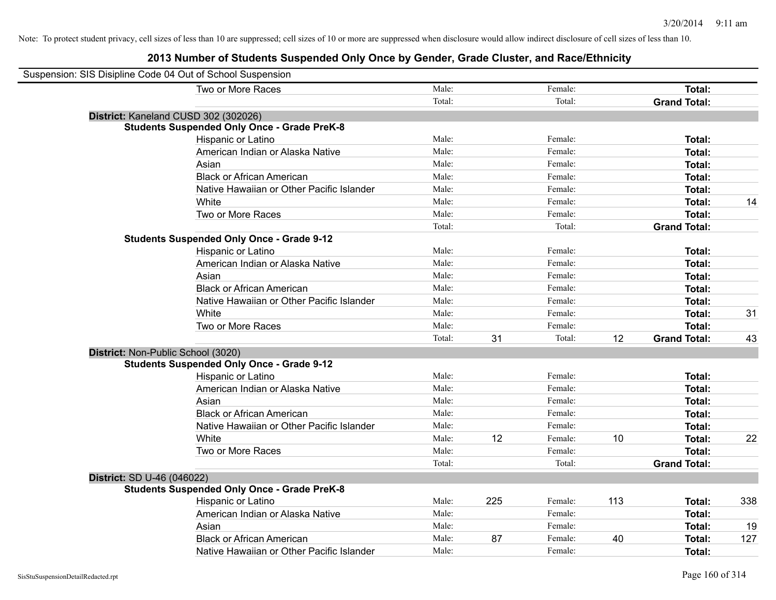| Suspension: SIS Disipline Code 04 Out of School Suspension |                                                    |        |     |         |     |                     |     |
|------------------------------------------------------------|----------------------------------------------------|--------|-----|---------|-----|---------------------|-----|
|                                                            | Two or More Races                                  | Male:  |     | Female: |     | Total:              |     |
|                                                            |                                                    | Total: |     | Total:  |     | <b>Grand Total:</b> |     |
|                                                            | District: Kaneland CUSD 302 (302026)               |        |     |         |     |                     |     |
|                                                            | <b>Students Suspended Only Once - Grade PreK-8</b> |        |     |         |     |                     |     |
|                                                            | Hispanic or Latino                                 | Male:  |     | Female: |     | Total:              |     |
|                                                            | American Indian or Alaska Native                   | Male:  |     | Female: |     | Total:              |     |
|                                                            | Asian                                              | Male:  |     | Female: |     | Total:              |     |
|                                                            | <b>Black or African American</b>                   | Male:  |     | Female: |     | Total:              |     |
|                                                            | Native Hawaiian or Other Pacific Islander          | Male:  |     | Female: |     | Total:              |     |
|                                                            | White                                              | Male:  |     | Female: |     | Total:              | 14  |
|                                                            | Two or More Races                                  | Male:  |     | Female: |     | Total:              |     |
|                                                            |                                                    | Total: |     | Total:  |     | <b>Grand Total:</b> |     |
|                                                            | <b>Students Suspended Only Once - Grade 9-12</b>   |        |     |         |     |                     |     |
|                                                            | Hispanic or Latino                                 | Male:  |     | Female: |     | Total:              |     |
|                                                            | American Indian or Alaska Native                   | Male:  |     | Female: |     | Total:              |     |
|                                                            | Asian                                              | Male:  |     | Female: |     | Total:              |     |
|                                                            | <b>Black or African American</b>                   | Male:  |     | Female: |     | Total:              |     |
|                                                            | Native Hawaiian or Other Pacific Islander          | Male:  |     | Female: |     | Total:              |     |
|                                                            | White                                              | Male:  |     | Female: |     | Total:              | 31  |
|                                                            | Two or More Races                                  | Male:  |     | Female: |     | Total:              |     |
|                                                            |                                                    | Total: | 31  | Total:  | 12  | <b>Grand Total:</b> | 43  |
| District: Non-Public School (3020)                         |                                                    |        |     |         |     |                     |     |
|                                                            | <b>Students Suspended Only Once - Grade 9-12</b>   |        |     |         |     |                     |     |
|                                                            | Hispanic or Latino                                 | Male:  |     | Female: |     | Total:              |     |
|                                                            | American Indian or Alaska Native                   | Male:  |     | Female: |     | Total:              |     |
|                                                            | Asian                                              | Male:  |     | Female: |     | Total:              |     |
|                                                            | <b>Black or African American</b>                   | Male:  |     | Female: |     | Total:              |     |
|                                                            | Native Hawaiian or Other Pacific Islander          | Male:  |     | Female: |     | Total:              |     |
|                                                            | White                                              | Male:  | 12  | Female: | 10  | Total:              | 22  |
|                                                            | Two or More Races                                  | Male:  |     | Female: |     | Total:              |     |
|                                                            |                                                    | Total: |     | Total:  |     | <b>Grand Total:</b> |     |
| District: SD U-46 (046022)                                 |                                                    |        |     |         |     |                     |     |
|                                                            | <b>Students Suspended Only Once - Grade PreK-8</b> |        |     |         |     |                     |     |
|                                                            | Hispanic or Latino                                 | Male:  | 225 | Female: | 113 | Total:              | 338 |
|                                                            | American Indian or Alaska Native                   | Male:  |     | Female: |     | Total:              |     |
|                                                            | Asian                                              | Male:  |     | Female: |     | Total:              | 19  |
|                                                            | <b>Black or African American</b>                   | Male:  | 87  | Female: | 40  | Total:              | 127 |
|                                                            | Native Hawaiian or Other Pacific Islander          | Male:  |     | Female: |     | Total:              |     |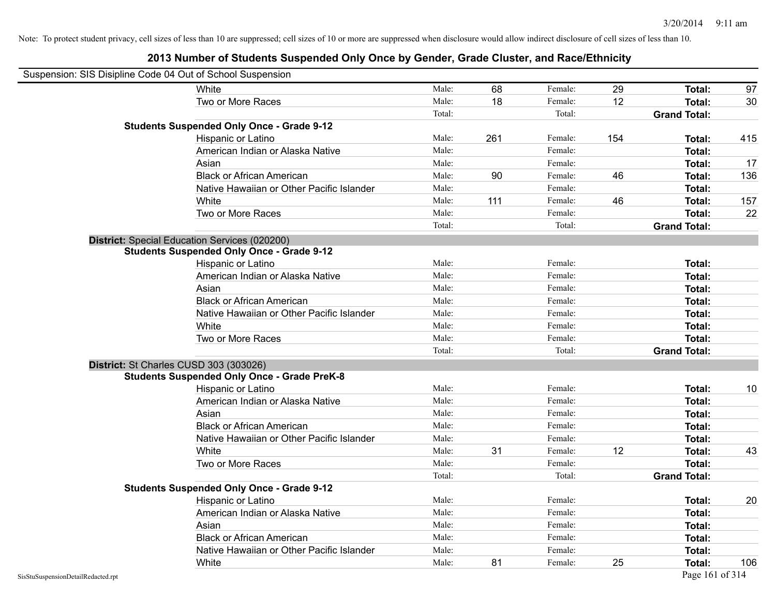| Suspension: SIS Disipline Code 04 Out of School Suspension |                                                                                              |        |     |         |     |                     |     |
|------------------------------------------------------------|----------------------------------------------------------------------------------------------|--------|-----|---------|-----|---------------------|-----|
|                                                            | White                                                                                        | Male:  | 68  | Female: | 29  | Total:              | 97  |
|                                                            | Two or More Races                                                                            | Male:  | 18  | Female: | 12  | Total:              | 30  |
|                                                            |                                                                                              | Total: |     | Total:  |     | <b>Grand Total:</b> |     |
|                                                            | <b>Students Suspended Only Once - Grade 9-12</b>                                             |        |     |         |     |                     |     |
|                                                            | Hispanic or Latino                                                                           | Male:  | 261 | Female: | 154 | Total:              | 415 |
|                                                            | American Indian or Alaska Native                                                             | Male:  |     | Female: |     | Total:              |     |
|                                                            | Asian                                                                                        | Male:  |     | Female: |     | Total:              | 17  |
|                                                            | <b>Black or African American</b>                                                             | Male:  | 90  | Female: | 46  | Total:              | 136 |
|                                                            | Native Hawaiian or Other Pacific Islander                                                    | Male:  |     | Female: |     | Total:              |     |
|                                                            | White                                                                                        | Male:  | 111 | Female: | 46  | Total:              | 157 |
|                                                            | Two or More Races                                                                            | Male:  |     | Female: |     | <b>Total:</b>       | 22  |
|                                                            |                                                                                              | Total: |     | Total:  |     | <b>Grand Total:</b> |     |
|                                                            | District: Special Education Services (020200)                                                |        |     |         |     |                     |     |
|                                                            | <b>Students Suspended Only Once - Grade 9-12</b>                                             |        |     |         |     |                     |     |
|                                                            | Hispanic or Latino                                                                           | Male:  |     | Female: |     | Total:              |     |
|                                                            | American Indian or Alaska Native                                                             | Male:  |     | Female: |     | <b>Total:</b>       |     |
|                                                            | Asian                                                                                        | Male:  |     | Female: |     | Total:              |     |
|                                                            | <b>Black or African American</b>                                                             | Male:  |     | Female: |     | Total:              |     |
|                                                            | Native Hawaiian or Other Pacific Islander                                                    | Male:  |     | Female: |     | Total:              |     |
|                                                            | White                                                                                        | Male:  |     | Female: |     | Total:              |     |
|                                                            | Two or More Races                                                                            | Male:  |     | Female: |     | <b>Total:</b>       |     |
|                                                            |                                                                                              | Total: |     | Total:  |     | <b>Grand Total:</b> |     |
|                                                            | District: St Charles CUSD 303 (303026)<br><b>Students Suspended Only Once - Grade PreK-8</b> |        |     |         |     |                     |     |
|                                                            | Hispanic or Latino                                                                           | Male:  |     | Female: |     | Total:              | 10  |
|                                                            | American Indian or Alaska Native                                                             | Male:  |     | Female: |     | <b>Total:</b>       |     |
|                                                            | Asian                                                                                        | Male:  |     | Female: |     | Total:              |     |
|                                                            | <b>Black or African American</b>                                                             | Male:  |     | Female: |     | Total:              |     |
|                                                            | Native Hawaiian or Other Pacific Islander                                                    | Male:  |     | Female: |     | Total:              |     |
|                                                            | White                                                                                        | Male:  | 31  | Female: | 12  | Total:              | 43  |
|                                                            | Two or More Races                                                                            | Male:  |     | Female: |     | <b>Total:</b>       |     |
|                                                            |                                                                                              | Total: |     | Total:  |     | <b>Grand Total:</b> |     |
|                                                            | <b>Students Suspended Only Once - Grade 9-12</b>                                             |        |     |         |     |                     |     |
|                                                            | Hispanic or Latino                                                                           | Male:  |     | Female: |     | Total:              | 20  |
|                                                            | American Indian or Alaska Native                                                             | Male:  |     | Female: |     | <b>Total:</b>       |     |
|                                                            | Asian                                                                                        | Male:  |     | Female: |     | <b>Total:</b>       |     |
|                                                            | <b>Black or African American</b>                                                             | Male:  |     | Female: |     | Total:              |     |
|                                                            | Native Hawaiian or Other Pacific Islander                                                    | Male:  |     | Female: |     | Total:              |     |
|                                                            | White                                                                                        | Male:  | 81  | Female: | 25  | Total:              | 106 |
| SisStuSuspensionDetailRedacted.rpt                         |                                                                                              |        |     |         |     | Page 161 of 314     |     |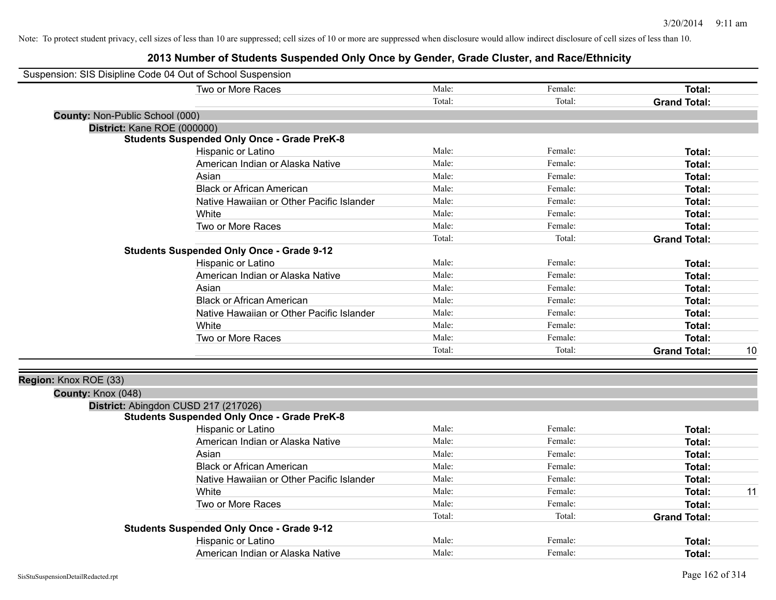|                                 | Suspension: SIS Disipline Code 04 Out of School Suspension |        |         |                     |    |
|---------------------------------|------------------------------------------------------------|--------|---------|---------------------|----|
|                                 | Two or More Races                                          | Male:  | Female: | Total:              |    |
|                                 |                                                            | Total: | Total:  | <b>Grand Total:</b> |    |
| County: Non-Public School (000) |                                                            |        |         |                     |    |
|                                 | District: Kane ROE (000000)                                |        |         |                     |    |
|                                 | <b>Students Suspended Only Once - Grade PreK-8</b>         |        |         |                     |    |
|                                 | Hispanic or Latino                                         | Male:  | Female: | <b>Total:</b>       |    |
|                                 | American Indian or Alaska Native                           | Male:  | Female: | Total:              |    |
|                                 | Asian                                                      | Male:  | Female: | Total:              |    |
|                                 | <b>Black or African American</b>                           | Male:  | Female: | Total:              |    |
|                                 | Native Hawaiian or Other Pacific Islander                  | Male:  | Female: | Total:              |    |
|                                 | White                                                      | Male:  | Female: | Total:              |    |
|                                 | Two or More Races                                          | Male:  | Female: | <b>Total:</b>       |    |
|                                 |                                                            | Total: | Total:  | <b>Grand Total:</b> |    |
|                                 | <b>Students Suspended Only Once - Grade 9-12</b>           |        |         |                     |    |
|                                 | Hispanic or Latino                                         | Male:  | Female: | Total:              |    |
|                                 | American Indian or Alaska Native                           | Male:  | Female: | <b>Total:</b>       |    |
|                                 | Asian                                                      | Male:  | Female: | Total:              |    |
|                                 | <b>Black or African American</b>                           | Male:  | Female: | Total:              |    |
|                                 | Native Hawaiian or Other Pacific Islander                  | Male:  | Female: | Total:              |    |
|                                 | White                                                      | Male:  | Female: | <b>Total:</b>       |    |
|                                 | Two or More Races                                          | Male:  | Female: | <b>Total:</b>       |    |
|                                 |                                                            | Total: | Total:  | <b>Grand Total:</b> | 10 |
|                                 |                                                            |        |         |                     |    |
| Region: Knox ROE (33)           |                                                            |        |         |                     |    |
| County: Knox (048)              |                                                            |        |         |                     |    |
|                                 | District: Abingdon CUSD 217 (217026)                       |        |         |                     |    |
|                                 | <b>Students Suspended Only Once - Grade PreK-8</b>         |        |         |                     |    |
|                                 | Hispanic or Latino                                         | Male:  | Female: | <b>Total:</b>       |    |
|                                 | American Indian or Alaska Native                           | Male:  | Female: | <b>Total:</b>       |    |
|                                 | Asian                                                      | Male:  | Female: | Total:              |    |
|                                 | <b>Black or African American</b>                           | Male:  | Female: | <b>Total:</b>       |    |
|                                 | Native Hawaiian or Other Pacific Islander                  | Male:  | Female: | <b>Total:</b>       |    |
|                                 | White                                                      | Male:  | Female: | Total:              | 11 |
|                                 | Two or More Races                                          | Male:  | Female: | Total:              |    |
|                                 |                                                            | Total: | Total:  | <b>Grand Total:</b> |    |
|                                 | <b>Students Suspended Only Once - Grade 9-12</b>           |        |         |                     |    |
|                                 | Hispanic or Latino                                         | Male:  | Female: | <b>Total:</b>       |    |
|                                 | American Indian or Alaska Native                           | Male:  | Female: | Total:              |    |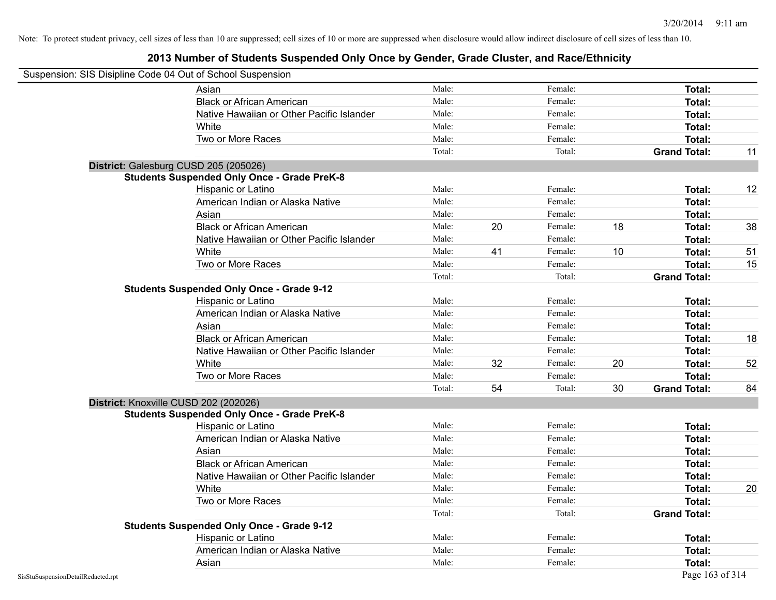|                                    | Suspension: SIS Disipline Code 04 Out of School Suspension |        |    |         |    |                     |    |
|------------------------------------|------------------------------------------------------------|--------|----|---------|----|---------------------|----|
|                                    | Asian                                                      | Male:  |    | Female: |    | <b>Total:</b>       |    |
|                                    | <b>Black or African American</b>                           | Male:  |    | Female: |    | Total:              |    |
|                                    | Native Hawaiian or Other Pacific Islander                  | Male:  |    | Female: |    | Total:              |    |
|                                    | White                                                      | Male:  |    | Female: |    | Total:              |    |
|                                    | Two or More Races                                          | Male:  |    | Female: |    | Total:              |    |
|                                    |                                                            | Total: |    | Total:  |    | <b>Grand Total:</b> | 11 |
|                                    | District: Galesburg CUSD 205 (205026)                      |        |    |         |    |                     |    |
|                                    | <b>Students Suspended Only Once - Grade PreK-8</b>         |        |    |         |    |                     |    |
|                                    | Hispanic or Latino                                         | Male:  |    | Female: |    | <b>Total:</b>       | 12 |
|                                    | American Indian or Alaska Native                           | Male:  |    | Female: |    | Total:              |    |
|                                    | Asian                                                      | Male:  |    | Female: |    | Total:              |    |
|                                    | <b>Black or African American</b>                           | Male:  | 20 | Female: | 18 | Total:              | 38 |
|                                    | Native Hawaiian or Other Pacific Islander                  | Male:  |    | Female: |    | Total:              |    |
|                                    | White                                                      | Male:  | 41 | Female: | 10 | Total:              | 51 |
|                                    | Two or More Races                                          | Male:  |    | Female: |    | Total:              | 15 |
|                                    |                                                            | Total: |    | Total:  |    | <b>Grand Total:</b> |    |
|                                    | <b>Students Suspended Only Once - Grade 9-12</b>           |        |    |         |    |                     |    |
|                                    | Hispanic or Latino                                         | Male:  |    | Female: |    | Total:              |    |
|                                    | American Indian or Alaska Native                           | Male:  |    | Female: |    | Total:              |    |
|                                    | Asian                                                      | Male:  |    | Female: |    | Total:              |    |
|                                    | <b>Black or African American</b>                           | Male:  |    | Female: |    | Total:              | 18 |
|                                    | Native Hawaiian or Other Pacific Islander                  | Male:  |    | Female: |    | Total:              |    |
|                                    | White                                                      | Male:  | 32 | Female: | 20 | Total:              | 52 |
|                                    | Two or More Races                                          | Male:  |    | Female: |    | Total:              |    |
|                                    |                                                            | Total: | 54 | Total:  | 30 | <b>Grand Total:</b> | 84 |
|                                    | District: Knoxville CUSD 202 (202026)                      |        |    |         |    |                     |    |
|                                    | <b>Students Suspended Only Once - Grade PreK-8</b>         |        |    |         |    |                     |    |
|                                    | Hispanic or Latino                                         | Male:  |    | Female: |    | Total:              |    |
|                                    | American Indian or Alaska Native                           | Male:  |    | Female: |    | Total:              |    |
|                                    | Asian                                                      | Male:  |    | Female: |    | Total:              |    |
|                                    | <b>Black or African American</b>                           | Male:  |    | Female: |    | Total:              |    |
|                                    | Native Hawaiian or Other Pacific Islander                  | Male:  |    | Female: |    | Total:              |    |
|                                    | White                                                      | Male:  |    | Female: |    | <b>Total:</b>       | 20 |
|                                    | Two or More Races                                          | Male:  |    | Female: |    | Total:              |    |
|                                    |                                                            | Total: |    | Total:  |    | <b>Grand Total:</b> |    |
|                                    | <b>Students Suspended Only Once - Grade 9-12</b>           |        |    |         |    |                     |    |
|                                    | Hispanic or Latino                                         | Male:  |    | Female: |    | Total:              |    |
|                                    | American Indian or Alaska Native                           | Male:  |    | Female: |    | Total:              |    |
|                                    | Asian                                                      | Male:  |    | Female: |    | Total:              |    |
| SisStuSuspensionDetailRedacted.rpt |                                                            |        |    |         |    | Page 163 of 314     |    |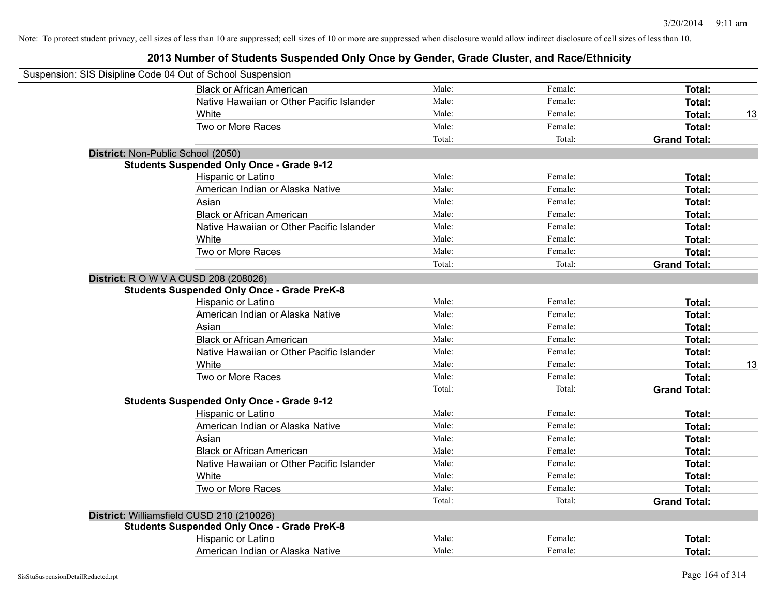| Suspension: SIS Disipline Code 04 Out of School Suspension |                                                    |        |         |                     |    |
|------------------------------------------------------------|----------------------------------------------------|--------|---------|---------------------|----|
|                                                            | <b>Black or African American</b>                   | Male:  | Female: | Total:              |    |
|                                                            | Native Hawaiian or Other Pacific Islander          | Male:  | Female: | Total:              |    |
|                                                            | White                                              | Male:  | Female: | Total:              | 13 |
|                                                            | Two or More Races                                  | Male:  | Female: | Total:              |    |
|                                                            |                                                    | Total: | Total:  | <b>Grand Total:</b> |    |
|                                                            | District: Non-Public School (2050)                 |        |         |                     |    |
|                                                            | <b>Students Suspended Only Once - Grade 9-12</b>   |        |         |                     |    |
|                                                            | Hispanic or Latino                                 | Male:  | Female: | Total:              |    |
|                                                            | American Indian or Alaska Native                   | Male:  | Female: | Total:              |    |
|                                                            | Asian                                              | Male:  | Female: | Total:              |    |
|                                                            | <b>Black or African American</b>                   | Male:  | Female: | Total:              |    |
|                                                            | Native Hawaiian or Other Pacific Islander          | Male:  | Female: | Total:              |    |
|                                                            | White                                              | Male:  | Female: | Total:              |    |
|                                                            | Two or More Races                                  | Male:  | Female: | Total:              |    |
|                                                            |                                                    | Total: | Total:  | <b>Grand Total:</b> |    |
|                                                            | <b>District:</b> R O W V A CUSD 208 (208026)       |        |         |                     |    |
|                                                            | <b>Students Suspended Only Once - Grade PreK-8</b> |        |         |                     |    |
|                                                            | Hispanic or Latino                                 | Male:  | Female: | Total:              |    |
|                                                            | American Indian or Alaska Native                   | Male:  | Female: | Total:              |    |
|                                                            | Asian                                              | Male:  | Female: | Total:              |    |
|                                                            | <b>Black or African American</b>                   | Male:  | Female: | Total:              |    |
|                                                            | Native Hawaiian or Other Pacific Islander          | Male:  | Female: | Total:              |    |
|                                                            | White                                              | Male:  | Female: | Total:              | 13 |
|                                                            | Two or More Races                                  | Male:  | Female: | Total:              |    |
|                                                            |                                                    | Total: | Total:  | <b>Grand Total:</b> |    |
|                                                            | <b>Students Suspended Only Once - Grade 9-12</b>   |        |         |                     |    |
|                                                            | Hispanic or Latino                                 | Male:  | Female: | Total:              |    |
|                                                            | American Indian or Alaska Native                   | Male:  | Female: | Total:              |    |
|                                                            | Asian                                              | Male:  | Female: | Total:              |    |
|                                                            | <b>Black or African American</b>                   | Male:  | Female: | Total:              |    |
|                                                            | Native Hawaiian or Other Pacific Islander          | Male:  | Female: | Total:              |    |
|                                                            | White                                              | Male:  | Female: | Total:              |    |
|                                                            | Two or More Races                                  | Male:  | Female: | Total:              |    |
|                                                            |                                                    | Total: | Total:  | <b>Grand Total:</b> |    |
|                                                            | District: Williamsfield CUSD 210 (210026)          |        |         |                     |    |
|                                                            | <b>Students Suspended Only Once - Grade PreK-8</b> |        |         |                     |    |
|                                                            | Hispanic or Latino                                 | Male:  | Female: | <b>Total:</b>       |    |
|                                                            | American Indian or Alaska Native                   | Male:  | Female: | Total:              |    |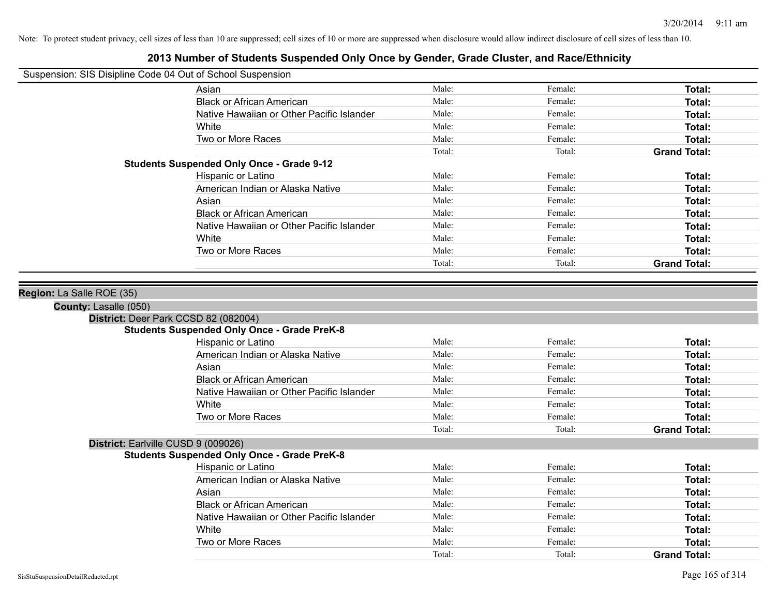| Suspension: SIS Disipline Code 04 Out of School Suspension |
|------------------------------------------------------------|
|------------------------------------------------------------|

| Asian                                            | Male:  | Female: | Total:                                                                                                           |
|--------------------------------------------------|--------|---------|------------------------------------------------------------------------------------------------------------------|
| <b>Black or African American</b>                 | Male:  | Female: | Total:                                                                                                           |
| Native Hawaiian or Other Pacific Islander        | Male:  | Female: | Total:                                                                                                           |
| White                                            | Male:  | Female: | Total:                                                                                                           |
| Two or More Races                                | Male:  | Female: | Total:                                                                                                           |
|                                                  | Total: | Total:  | <b>Grand Total:</b><br>Total:<br>Total:<br>Total:<br>Total:<br>Total:<br>Total:<br>Total:<br><b>Grand Total:</b> |
| <b>Students Suspended Only Once - Grade 9-12</b> |        |         |                                                                                                                  |
| Hispanic or Latino                               | Male:  | Female: |                                                                                                                  |
| American Indian or Alaska Native                 | Male:  | Female: |                                                                                                                  |
| Asian                                            | Male:  | Female: |                                                                                                                  |
| <b>Black or African American</b>                 | Male:  | Female: |                                                                                                                  |
| Native Hawaiian or Other Pacific Islander        | Male:  | Female: |                                                                                                                  |
| White                                            | Male:  | Female: |                                                                                                                  |
| Two or More Races                                | Male:  | Female: |                                                                                                                  |
|                                                  | Total: | Total:  |                                                                                                                  |

| Region: La Salle ROE (35)           |                                                    |        |         |                     |
|-------------------------------------|----------------------------------------------------|--------|---------|---------------------|
| <b>County: Lasalle (050)</b>        |                                                    |        |         |                     |
|                                     | District: Deer Park CCSD 82 (082004)               |        |         |                     |
|                                     | <b>Students Suspended Only Once - Grade PreK-8</b> |        |         |                     |
|                                     | Hispanic or Latino                                 | Male:  | Female: | Total:              |
|                                     | American Indian or Alaska Native                   | Male:  | Female: | Total:              |
|                                     | Asian                                              | Male:  | Female: | Total:              |
|                                     | <b>Black or African American</b>                   | Male:  | Female: | Total:              |
|                                     | Native Hawaiian or Other Pacific Islander          | Male:  | Female: | Total:              |
|                                     | White                                              | Male:  | Female: | Total:              |
|                                     | Two or More Races                                  | Male:  | Female: | Total:              |
|                                     |                                                    | Total: | Total:  | <b>Grand Total:</b> |
| District: Earlville CUSD 9 (009026) |                                                    |        |         |                     |
|                                     | <b>Students Suspended Only Once - Grade PreK-8</b> |        |         |                     |
|                                     | Hispanic or Latino                                 | Male:  | Female: | Total:              |
|                                     | American Indian or Alaska Native                   | Male:  | Female: | Total:              |
|                                     | Asian                                              | Male:  | Female: | Total:              |
|                                     | <b>Black or African American</b>                   | Male:  | Female: | Total:              |
|                                     | Native Hawaiian or Other Pacific Islander          | Male:  | Female: | Total:              |
|                                     | White                                              | Male:  | Female: | Total:              |
|                                     | Two or More Races                                  | Male:  | Female: | Total:              |
|                                     |                                                    | Total: | Total:  | <b>Grand Total:</b> |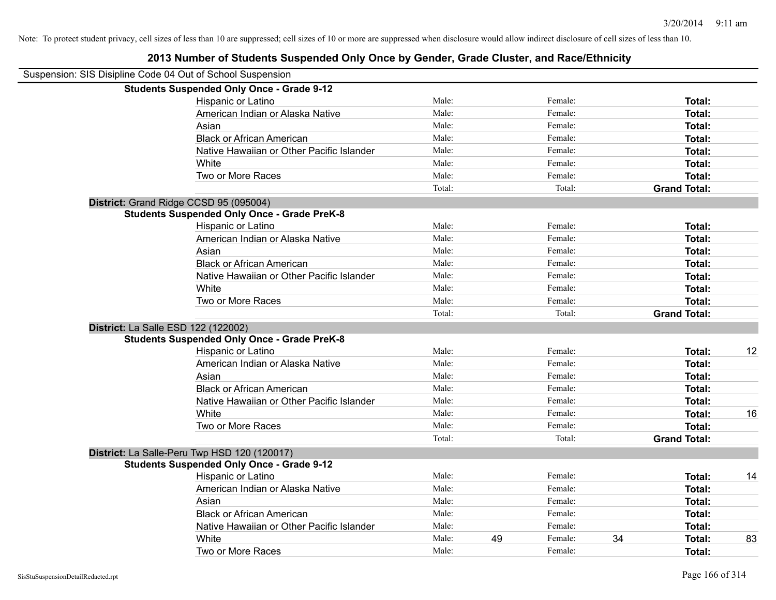|                                                            | 2013 Number of Students Suspended Only Once by Gender, Grade Cluster, and Race/Ethnicity |        |    |         |    |                     |    |
|------------------------------------------------------------|------------------------------------------------------------------------------------------|--------|----|---------|----|---------------------|----|
| Suspension: SIS Disipline Code 04 Out of School Suspension |                                                                                          |        |    |         |    |                     |    |
|                                                            | <b>Students Suspended Only Once - Grade 9-12</b>                                         |        |    |         |    |                     |    |
|                                                            | Hispanic or Latino                                                                       | Male:  |    | Female: |    | Total:              |    |
|                                                            | American Indian or Alaska Native                                                         | Male:  |    | Female: |    | Total:              |    |
|                                                            | Asian                                                                                    | Male:  |    | Female: |    | Total:              |    |
|                                                            | <b>Black or African American</b>                                                         | Male:  |    | Female: |    | Total:              |    |
|                                                            | Native Hawaiian or Other Pacific Islander                                                | Male:  |    | Female: |    | Total:              |    |
|                                                            | White                                                                                    | Male:  |    | Female: |    | Total:              |    |
|                                                            | Two or More Races                                                                        | Male:  |    | Female: |    | Total:              |    |
|                                                            |                                                                                          | Total: |    | Total:  |    | <b>Grand Total:</b> |    |
|                                                            | District: Grand Ridge CCSD 95 (095004)                                                   |        |    |         |    |                     |    |
|                                                            | <b>Students Suspended Only Once - Grade PreK-8</b>                                       |        |    |         |    |                     |    |
|                                                            | Hispanic or Latino                                                                       | Male:  |    | Female: |    | Total:              |    |
|                                                            | American Indian or Alaska Native                                                         | Male:  |    | Female: |    | Total:              |    |
|                                                            | Asian                                                                                    | Male:  |    | Female: |    | Total:              |    |
|                                                            | <b>Black or African American</b>                                                         | Male:  |    | Female: |    | Total:              |    |
|                                                            | Native Hawaiian or Other Pacific Islander                                                | Male:  |    | Female: |    | Total:              |    |
|                                                            | White                                                                                    | Male:  |    | Female: |    | Total:              |    |
|                                                            | Two or More Races                                                                        | Male:  |    | Female: |    | Total:              |    |
|                                                            |                                                                                          | Total: |    | Total:  |    | <b>Grand Total:</b> |    |
|                                                            | District: La Salle ESD 122 (122002)                                                      |        |    |         |    |                     |    |
|                                                            | <b>Students Suspended Only Once - Grade PreK-8</b>                                       |        |    |         |    |                     |    |
|                                                            | Hispanic or Latino                                                                       | Male:  |    | Female: |    | Total:              | 12 |
|                                                            | American Indian or Alaska Native                                                         | Male:  |    | Female: |    | Total:              |    |
|                                                            | Asian                                                                                    | Male:  |    | Female: |    | Total:              |    |
|                                                            | <b>Black or African American</b>                                                         | Male:  |    | Female: |    | Total:              |    |
|                                                            | Native Hawaiian or Other Pacific Islander                                                | Male:  |    | Female: |    | Total:              |    |
|                                                            | White                                                                                    | Male:  |    | Female: |    | Total:              | 16 |
|                                                            | Two or More Races                                                                        | Male:  |    | Female: |    | Total:              |    |
|                                                            |                                                                                          | Total: |    | Total:  |    | <b>Grand Total:</b> |    |
|                                                            | District: La Salle-Peru Twp HSD 120 (120017)                                             |        |    |         |    |                     |    |
|                                                            | <b>Students Suspended Only Once - Grade 9-12</b>                                         |        |    |         |    |                     |    |
|                                                            | Hispanic or Latino                                                                       | Male:  |    | Female: |    | Total:              | 14 |
|                                                            | American Indian or Alaska Native                                                         | Male:  |    | Female: |    | Total:              |    |
|                                                            | Asian                                                                                    | Male:  |    | Female: |    | Total:              |    |
|                                                            | <b>Black or African American</b>                                                         | Male:  |    | Female: |    | Total:              |    |
|                                                            | Native Hawaiian or Other Pacific Islander                                                | Male:  |    | Female: |    | Total:              |    |
|                                                            | White                                                                                    | Male:  | 49 | Female: | 34 | Total:              | 83 |

Two or More Races **Total:** Male: Female: Female: **Total:** Total: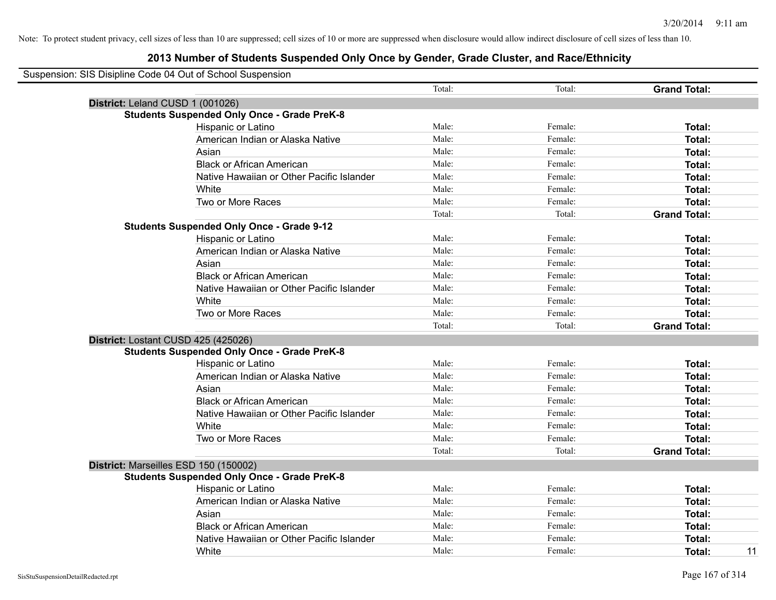| Suspension: SIS Disipline Code 04 Out of School Suspension<br>Total:<br>Total:<br><b>Grand Total:</b><br>District: Leland CUSD 1 (001026)<br><b>Students Suspended Only Once - Grade PreK-8</b><br>Male:<br>Hispanic or Latino<br>Female:<br>Total:<br>Male:<br>American Indian or Alaska Native<br>Female:<br>Total:<br>Male:<br>Asian<br>Female:<br>Total:<br>Male:<br><b>Black or African American</b><br>Female:<br>Total:<br>Native Hawaiian or Other Pacific Islander<br>Male:<br>Female:<br>Total:<br>White<br>Male:<br>Female:<br>Total:<br>Two or More Races<br>Male:<br>Female:<br>Total:<br>Total:<br>Total:<br><b>Grand Total:</b><br><b>Students Suspended Only Once - Grade 9-12</b><br>Male:<br>Hispanic or Latino<br>Female:<br>Total:<br>Male:<br>American Indian or Alaska Native<br>Female:<br>Total:<br>Male:<br>Asian<br>Female:<br>Total:<br>Male:<br><b>Black or African American</b><br>Female:<br>Total:<br>Male:<br>Native Hawaiian or Other Pacific Islander<br>Female:<br>Total:<br>Male:<br>White<br>Female:<br>Total:<br>Two or More Races<br>Male:<br>Female:<br>Total:<br>Total:<br>Total:<br><b>Grand Total:</b><br>District: Lostant CUSD 425 (425026)<br><b>Students Suspended Only Once - Grade PreK-8</b><br>Male:<br>Female:<br>Hispanic or Latino<br>Total:<br>Male:<br>Female:<br>American Indian or Alaska Native<br>Total:<br>Male:<br>Female:<br>Total:<br>Asian<br>Male:<br><b>Black or African American</b><br>Female:<br>Total:<br>Male:<br>Female:<br>Native Hawaiian or Other Pacific Islander<br>Total:<br>Male:<br>Female:<br>White<br>Total:<br>Two or More Races<br>Male:<br>Total:<br>Female:<br>Total:<br>Total:<br><b>Grand Total:</b><br>District: Marseilles ESD 150 (150002)<br><b>Students Suspended Only Once - Grade PreK-8</b><br>Hispanic or Latino<br>Male:<br>Female:<br>Total:<br>American Indian or Alaska Native<br>Male:<br>Female:<br>Total:<br>Male:<br>Female:<br>Asian<br>Total:<br><b>Black or African American</b><br>Male:<br>Female:<br>Total:<br>Male:<br>Native Hawaiian or Other Pacific Islander<br>Female:<br><b>Total:</b> |       |       |         |              |
|---------------------------------------------------------------------------------------------------------------------------------------------------------------------------------------------------------------------------------------------------------------------------------------------------------------------------------------------------------------------------------------------------------------------------------------------------------------------------------------------------------------------------------------------------------------------------------------------------------------------------------------------------------------------------------------------------------------------------------------------------------------------------------------------------------------------------------------------------------------------------------------------------------------------------------------------------------------------------------------------------------------------------------------------------------------------------------------------------------------------------------------------------------------------------------------------------------------------------------------------------------------------------------------------------------------------------------------------------------------------------------------------------------------------------------------------------------------------------------------------------------------------------------------------------------------------------------------------------------------------------------------------------------------------------------------------------------------------------------------------------------------------------------------------------------------------------------------------------------------------------------------------------------------------------------------------------------------------------------------------------------------------------------------------------------------------------------------------------------------|-------|-------|---------|--------------|
|                                                                                                                                                                                                                                                                                                                                                                                                                                                                                                                                                                                                                                                                                                                                                                                                                                                                                                                                                                                                                                                                                                                                                                                                                                                                                                                                                                                                                                                                                                                                                                                                                                                                                                                                                                                                                                                                                                                                                                                                                                                                                                               |       |       |         |              |
|                                                                                                                                                                                                                                                                                                                                                                                                                                                                                                                                                                                                                                                                                                                                                                                                                                                                                                                                                                                                                                                                                                                                                                                                                                                                                                                                                                                                                                                                                                                                                                                                                                                                                                                                                                                                                                                                                                                                                                                                                                                                                                               |       |       |         |              |
|                                                                                                                                                                                                                                                                                                                                                                                                                                                                                                                                                                                                                                                                                                                                                                                                                                                                                                                                                                                                                                                                                                                                                                                                                                                                                                                                                                                                                                                                                                                                                                                                                                                                                                                                                                                                                                                                                                                                                                                                                                                                                                               |       |       |         |              |
|                                                                                                                                                                                                                                                                                                                                                                                                                                                                                                                                                                                                                                                                                                                                                                                                                                                                                                                                                                                                                                                                                                                                                                                                                                                                                                                                                                                                                                                                                                                                                                                                                                                                                                                                                                                                                                                                                                                                                                                                                                                                                                               |       |       |         |              |
|                                                                                                                                                                                                                                                                                                                                                                                                                                                                                                                                                                                                                                                                                                                                                                                                                                                                                                                                                                                                                                                                                                                                                                                                                                                                                                                                                                                                                                                                                                                                                                                                                                                                                                                                                                                                                                                                                                                                                                                                                                                                                                               |       |       |         |              |
|                                                                                                                                                                                                                                                                                                                                                                                                                                                                                                                                                                                                                                                                                                                                                                                                                                                                                                                                                                                                                                                                                                                                                                                                                                                                                                                                                                                                                                                                                                                                                                                                                                                                                                                                                                                                                                                                                                                                                                                                                                                                                                               |       |       |         |              |
|                                                                                                                                                                                                                                                                                                                                                                                                                                                                                                                                                                                                                                                                                                                                                                                                                                                                                                                                                                                                                                                                                                                                                                                                                                                                                                                                                                                                                                                                                                                                                                                                                                                                                                                                                                                                                                                                                                                                                                                                                                                                                                               |       |       |         |              |
|                                                                                                                                                                                                                                                                                                                                                                                                                                                                                                                                                                                                                                                                                                                                                                                                                                                                                                                                                                                                                                                                                                                                                                                                                                                                                                                                                                                                                                                                                                                                                                                                                                                                                                                                                                                                                                                                                                                                                                                                                                                                                                               |       |       |         |              |
|                                                                                                                                                                                                                                                                                                                                                                                                                                                                                                                                                                                                                                                                                                                                                                                                                                                                                                                                                                                                                                                                                                                                                                                                                                                                                                                                                                                                                                                                                                                                                                                                                                                                                                                                                                                                                                                                                                                                                                                                                                                                                                               |       |       |         |              |
|                                                                                                                                                                                                                                                                                                                                                                                                                                                                                                                                                                                                                                                                                                                                                                                                                                                                                                                                                                                                                                                                                                                                                                                                                                                                                                                                                                                                                                                                                                                                                                                                                                                                                                                                                                                                                                                                                                                                                                                                                                                                                                               |       |       |         |              |
|                                                                                                                                                                                                                                                                                                                                                                                                                                                                                                                                                                                                                                                                                                                                                                                                                                                                                                                                                                                                                                                                                                                                                                                                                                                                                                                                                                                                                                                                                                                                                                                                                                                                                                                                                                                                                                                                                                                                                                                                                                                                                                               |       |       |         |              |
|                                                                                                                                                                                                                                                                                                                                                                                                                                                                                                                                                                                                                                                                                                                                                                                                                                                                                                                                                                                                                                                                                                                                                                                                                                                                                                                                                                                                                                                                                                                                                                                                                                                                                                                                                                                                                                                                                                                                                                                                                                                                                                               |       |       |         |              |
|                                                                                                                                                                                                                                                                                                                                                                                                                                                                                                                                                                                                                                                                                                                                                                                                                                                                                                                                                                                                                                                                                                                                                                                                                                                                                                                                                                                                                                                                                                                                                                                                                                                                                                                                                                                                                                                                                                                                                                                                                                                                                                               |       |       |         |              |
|                                                                                                                                                                                                                                                                                                                                                                                                                                                                                                                                                                                                                                                                                                                                                                                                                                                                                                                                                                                                                                                                                                                                                                                                                                                                                                                                                                                                                                                                                                                                                                                                                                                                                                                                                                                                                                                                                                                                                                                                                                                                                                               |       |       |         |              |
|                                                                                                                                                                                                                                                                                                                                                                                                                                                                                                                                                                                                                                                                                                                                                                                                                                                                                                                                                                                                                                                                                                                                                                                                                                                                                                                                                                                                                                                                                                                                                                                                                                                                                                                                                                                                                                                                                                                                                                                                                                                                                                               |       |       |         |              |
|                                                                                                                                                                                                                                                                                                                                                                                                                                                                                                                                                                                                                                                                                                                                                                                                                                                                                                                                                                                                                                                                                                                                                                                                                                                                                                                                                                                                                                                                                                                                                                                                                                                                                                                                                                                                                                                                                                                                                                                                                                                                                                               |       |       |         |              |
|                                                                                                                                                                                                                                                                                                                                                                                                                                                                                                                                                                                                                                                                                                                                                                                                                                                                                                                                                                                                                                                                                                                                                                                                                                                                                                                                                                                                                                                                                                                                                                                                                                                                                                                                                                                                                                                                                                                                                                                                                                                                                                               |       |       |         |              |
|                                                                                                                                                                                                                                                                                                                                                                                                                                                                                                                                                                                                                                                                                                                                                                                                                                                                                                                                                                                                                                                                                                                                                                                                                                                                                                                                                                                                                                                                                                                                                                                                                                                                                                                                                                                                                                                                                                                                                                                                                                                                                                               |       |       |         |              |
|                                                                                                                                                                                                                                                                                                                                                                                                                                                                                                                                                                                                                                                                                                                                                                                                                                                                                                                                                                                                                                                                                                                                                                                                                                                                                                                                                                                                                                                                                                                                                                                                                                                                                                                                                                                                                                                                                                                                                                                                                                                                                                               |       |       |         |              |
|                                                                                                                                                                                                                                                                                                                                                                                                                                                                                                                                                                                                                                                                                                                                                                                                                                                                                                                                                                                                                                                                                                                                                                                                                                                                                                                                                                                                                                                                                                                                                                                                                                                                                                                                                                                                                                                                                                                                                                                                                                                                                                               |       |       |         |              |
|                                                                                                                                                                                                                                                                                                                                                                                                                                                                                                                                                                                                                                                                                                                                                                                                                                                                                                                                                                                                                                                                                                                                                                                                                                                                                                                                                                                                                                                                                                                                                                                                                                                                                                                                                                                                                                                                                                                                                                                                                                                                                                               |       |       |         |              |
|                                                                                                                                                                                                                                                                                                                                                                                                                                                                                                                                                                                                                                                                                                                                                                                                                                                                                                                                                                                                                                                                                                                                                                                                                                                                                                                                                                                                                                                                                                                                                                                                                                                                                                                                                                                                                                                                                                                                                                                                                                                                                                               |       |       |         |              |
|                                                                                                                                                                                                                                                                                                                                                                                                                                                                                                                                                                                                                                                                                                                                                                                                                                                                                                                                                                                                                                                                                                                                                                                                                                                                                                                                                                                                                                                                                                                                                                                                                                                                                                                                                                                                                                                                                                                                                                                                                                                                                                               |       |       |         |              |
|                                                                                                                                                                                                                                                                                                                                                                                                                                                                                                                                                                                                                                                                                                                                                                                                                                                                                                                                                                                                                                                                                                                                                                                                                                                                                                                                                                                                                                                                                                                                                                                                                                                                                                                                                                                                                                                                                                                                                                                                                                                                                                               |       |       |         |              |
|                                                                                                                                                                                                                                                                                                                                                                                                                                                                                                                                                                                                                                                                                                                                                                                                                                                                                                                                                                                                                                                                                                                                                                                                                                                                                                                                                                                                                                                                                                                                                                                                                                                                                                                                                                                                                                                                                                                                                                                                                                                                                                               |       |       |         |              |
|                                                                                                                                                                                                                                                                                                                                                                                                                                                                                                                                                                                                                                                                                                                                                                                                                                                                                                                                                                                                                                                                                                                                                                                                                                                                                                                                                                                                                                                                                                                                                                                                                                                                                                                                                                                                                                                                                                                                                                                                                                                                                                               |       |       |         |              |
|                                                                                                                                                                                                                                                                                                                                                                                                                                                                                                                                                                                                                                                                                                                                                                                                                                                                                                                                                                                                                                                                                                                                                                                                                                                                                                                                                                                                                                                                                                                                                                                                                                                                                                                                                                                                                                                                                                                                                                                                                                                                                                               |       |       |         |              |
|                                                                                                                                                                                                                                                                                                                                                                                                                                                                                                                                                                                                                                                                                                                                                                                                                                                                                                                                                                                                                                                                                                                                                                                                                                                                                                                                                                                                                                                                                                                                                                                                                                                                                                                                                                                                                                                                                                                                                                                                                                                                                                               |       |       |         |              |
|                                                                                                                                                                                                                                                                                                                                                                                                                                                                                                                                                                                                                                                                                                                                                                                                                                                                                                                                                                                                                                                                                                                                                                                                                                                                                                                                                                                                                                                                                                                                                                                                                                                                                                                                                                                                                                                                                                                                                                                                                                                                                                               |       |       |         |              |
|                                                                                                                                                                                                                                                                                                                                                                                                                                                                                                                                                                                                                                                                                                                                                                                                                                                                                                                                                                                                                                                                                                                                                                                                                                                                                                                                                                                                                                                                                                                                                                                                                                                                                                                                                                                                                                                                                                                                                                                                                                                                                                               |       |       |         |              |
|                                                                                                                                                                                                                                                                                                                                                                                                                                                                                                                                                                                                                                                                                                                                                                                                                                                                                                                                                                                                                                                                                                                                                                                                                                                                                                                                                                                                                                                                                                                                                                                                                                                                                                                                                                                                                                                                                                                                                                                                                                                                                                               |       |       |         |              |
|                                                                                                                                                                                                                                                                                                                                                                                                                                                                                                                                                                                                                                                                                                                                                                                                                                                                                                                                                                                                                                                                                                                                                                                                                                                                                                                                                                                                                                                                                                                                                                                                                                                                                                                                                                                                                                                                                                                                                                                                                                                                                                               |       |       |         |              |
|                                                                                                                                                                                                                                                                                                                                                                                                                                                                                                                                                                                                                                                                                                                                                                                                                                                                                                                                                                                                                                                                                                                                                                                                                                                                                                                                                                                                                                                                                                                                                                                                                                                                                                                                                                                                                                                                                                                                                                                                                                                                                                               |       |       |         |              |
|                                                                                                                                                                                                                                                                                                                                                                                                                                                                                                                                                                                                                                                                                                                                                                                                                                                                                                                                                                                                                                                                                                                                                                                                                                                                                                                                                                                                                                                                                                                                                                                                                                                                                                                                                                                                                                                                                                                                                                                                                                                                                                               |       |       |         |              |
|                                                                                                                                                                                                                                                                                                                                                                                                                                                                                                                                                                                                                                                                                                                                                                                                                                                                                                                                                                                                                                                                                                                                                                                                                                                                                                                                                                                                                                                                                                                                                                                                                                                                                                                                                                                                                                                                                                                                                                                                                                                                                                               |       |       |         |              |
|                                                                                                                                                                                                                                                                                                                                                                                                                                                                                                                                                                                                                                                                                                                                                                                                                                                                                                                                                                                                                                                                                                                                                                                                                                                                                                                                                                                                                                                                                                                                                                                                                                                                                                                                                                                                                                                                                                                                                                                                                                                                                                               |       |       |         |              |
|                                                                                                                                                                                                                                                                                                                                                                                                                                                                                                                                                                                                                                                                                                                                                                                                                                                                                                                                                                                                                                                                                                                                                                                                                                                                                                                                                                                                                                                                                                                                                                                                                                                                                                                                                                                                                                                                                                                                                                                                                                                                                                               |       |       |         |              |
|                                                                                                                                                                                                                                                                                                                                                                                                                                                                                                                                                                                                                                                                                                                                                                                                                                                                                                                                                                                                                                                                                                                                                                                                                                                                                                                                                                                                                                                                                                                                                                                                                                                                                                                                                                                                                                                                                                                                                                                                                                                                                                               | White | Male: | Female: | 11<br>Total: |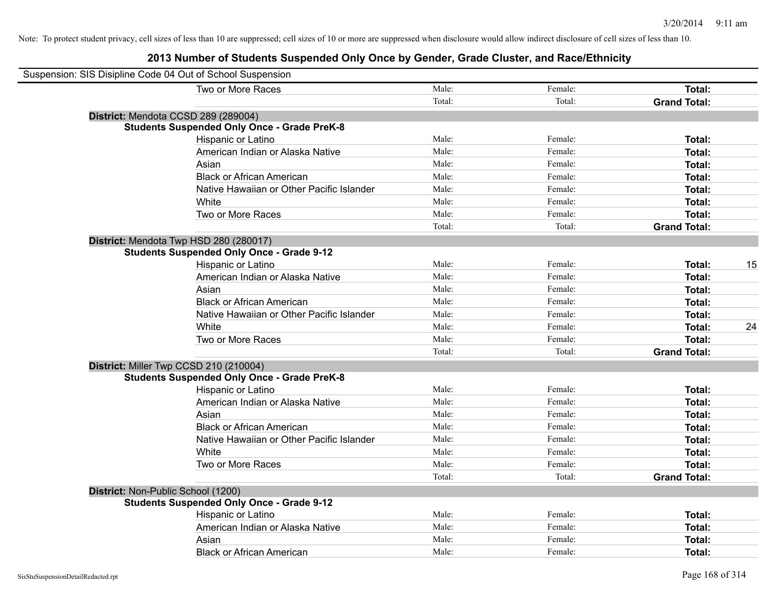| Suspension: SIS Disipline Code 04 Out of School Suspension |        |         |                     |    |
|------------------------------------------------------------|--------|---------|---------------------|----|
| Two or More Races                                          | Male:  | Female: | Total:              |    |
|                                                            | Total: | Total:  | <b>Grand Total:</b> |    |
| District: Mendota CCSD 289 (289004)                        |        |         |                     |    |
| <b>Students Suspended Only Once - Grade PreK-8</b>         |        |         |                     |    |
| Hispanic or Latino                                         | Male:  | Female: | Total:              |    |
| American Indian or Alaska Native                           | Male:  | Female: | Total:              |    |
| Asian                                                      | Male:  | Female: | Total:              |    |
| <b>Black or African American</b>                           | Male:  | Female: | Total:              |    |
| Native Hawaiian or Other Pacific Islander                  | Male:  | Female: | Total:              |    |
| White                                                      | Male:  | Female: | Total:              |    |
| Two or More Races                                          | Male:  | Female: | Total:              |    |
|                                                            | Total: | Total:  | <b>Grand Total:</b> |    |
| District: Mendota Twp HSD 280 (280017)                     |        |         |                     |    |
| <b>Students Suspended Only Once - Grade 9-12</b>           |        |         |                     |    |
| Hispanic or Latino                                         | Male:  | Female: | Total:              | 15 |
| American Indian or Alaska Native                           | Male:  | Female: | Total:              |    |
| Asian                                                      | Male:  | Female: | Total:              |    |
| <b>Black or African American</b>                           | Male:  | Female: | Total:              |    |
| Native Hawaiian or Other Pacific Islander                  | Male:  | Female: | Total:              |    |
| White                                                      | Male:  | Female: | Total:              | 24 |
| Two or More Races                                          | Male:  | Female: | Total:              |    |
|                                                            | Total: | Total:  | <b>Grand Total:</b> |    |
| District: Miller Twp CCSD 210 (210004)                     |        |         |                     |    |
| <b>Students Suspended Only Once - Grade PreK-8</b>         |        |         |                     |    |
| Hispanic or Latino                                         | Male:  | Female: | Total:              |    |
| American Indian or Alaska Native                           | Male:  | Female: | Total:              |    |
| Asian                                                      | Male:  | Female: | Total:              |    |
| <b>Black or African American</b>                           | Male:  | Female: | Total:              |    |
| Native Hawaiian or Other Pacific Islander                  | Male:  | Female: | Total:              |    |
| White                                                      | Male:  | Female: | Total:              |    |
| Two or More Races                                          | Male:  | Female: | Total:              |    |
|                                                            | Total: | Total:  | <b>Grand Total:</b> |    |
| District: Non-Public School (1200)                         |        |         |                     |    |
| <b>Students Suspended Only Once - Grade 9-12</b>           |        |         |                     |    |
| Hispanic or Latino                                         | Male:  | Female: | Total:              |    |
| American Indian or Alaska Native                           | Male:  | Female: | Total:              |    |
| Asian                                                      | Male:  | Female: | Total:              |    |
| <b>Black or African American</b>                           | Male:  | Female: | Total:              |    |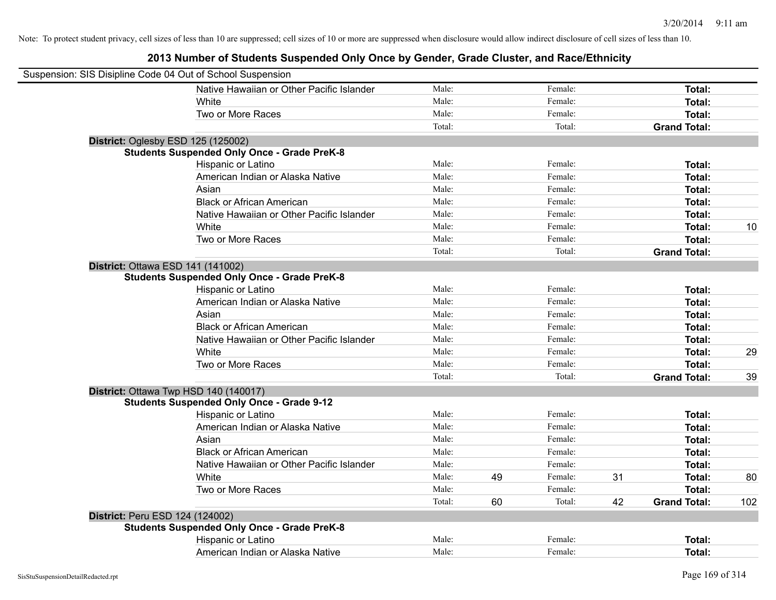| Suspension: SIS Disipline Code 04 Out of School Suspension |                                                    |        |    |         |    |                     |     |
|------------------------------------------------------------|----------------------------------------------------|--------|----|---------|----|---------------------|-----|
|                                                            | Native Hawaiian or Other Pacific Islander          | Male:  |    | Female: |    | Total:              |     |
|                                                            | White                                              | Male:  |    | Female: |    | Total:              |     |
|                                                            | Two or More Races                                  | Male:  |    | Female: |    | Total:              |     |
|                                                            |                                                    | Total: |    | Total:  |    | <b>Grand Total:</b> |     |
|                                                            | District: Oglesby ESD 125 (125002)                 |        |    |         |    |                     |     |
|                                                            | <b>Students Suspended Only Once - Grade PreK-8</b> |        |    |         |    |                     |     |
|                                                            | Hispanic or Latino                                 | Male:  |    | Female: |    | Total:              |     |
|                                                            | American Indian or Alaska Native                   | Male:  |    | Female: |    | Total:              |     |
|                                                            | Asian                                              | Male:  |    | Female: |    | Total:              |     |
|                                                            | <b>Black or African American</b>                   | Male:  |    | Female: |    | Total:              |     |
|                                                            | Native Hawaiian or Other Pacific Islander          | Male:  |    | Female: |    | Total:              |     |
|                                                            | White                                              | Male:  |    | Female: |    | Total:              | 10  |
|                                                            | Two or More Races                                  | Male:  |    | Female: |    | Total:              |     |
|                                                            |                                                    | Total: |    | Total:  |    | <b>Grand Total:</b> |     |
|                                                            | District: Ottawa ESD 141 (141002)                  |        |    |         |    |                     |     |
|                                                            | <b>Students Suspended Only Once - Grade PreK-8</b> |        |    |         |    |                     |     |
|                                                            | Hispanic or Latino                                 | Male:  |    | Female: |    | Total:              |     |
|                                                            | American Indian or Alaska Native                   | Male:  |    | Female: |    | Total:              |     |
|                                                            | Asian                                              | Male:  |    | Female: |    | Total:              |     |
|                                                            | <b>Black or African American</b>                   | Male:  |    | Female: |    | Total:              |     |
|                                                            | Native Hawaiian or Other Pacific Islander          | Male:  |    | Female: |    | Total:              |     |
|                                                            | White                                              | Male:  |    | Female: |    | Total:              | 29  |
|                                                            | Two or More Races                                  | Male:  |    | Female: |    | Total:              |     |
|                                                            |                                                    | Total: |    | Total:  |    | <b>Grand Total:</b> | 39  |
|                                                            | District: Ottawa Twp HSD 140 (140017)              |        |    |         |    |                     |     |
|                                                            | <b>Students Suspended Only Once - Grade 9-12</b>   |        |    |         |    |                     |     |
|                                                            | Hispanic or Latino                                 | Male:  |    | Female: |    | Total:              |     |
|                                                            | American Indian or Alaska Native                   | Male:  |    | Female: |    | Total:              |     |
|                                                            | Asian                                              | Male:  |    | Female: |    | Total:              |     |
|                                                            | <b>Black or African American</b>                   | Male:  |    | Female: |    | Total:              |     |
|                                                            | Native Hawaiian or Other Pacific Islander          | Male:  |    | Female: |    | Total:              |     |
|                                                            | White                                              | Male:  | 49 | Female: | 31 | Total:              | 80  |
|                                                            | Two or More Races                                  | Male:  |    | Female: |    | Total:              |     |
|                                                            |                                                    | Total: | 60 | Total:  | 42 | <b>Grand Total:</b> | 102 |
| District: Peru ESD 124 (124002)                            |                                                    |        |    |         |    |                     |     |
|                                                            | <b>Students Suspended Only Once - Grade PreK-8</b> |        |    |         |    |                     |     |
|                                                            | Hispanic or Latino                                 | Male:  |    | Female: |    | Total:              |     |
|                                                            | American Indian or Alaska Native                   | Male:  |    | Female: |    | Total:              |     |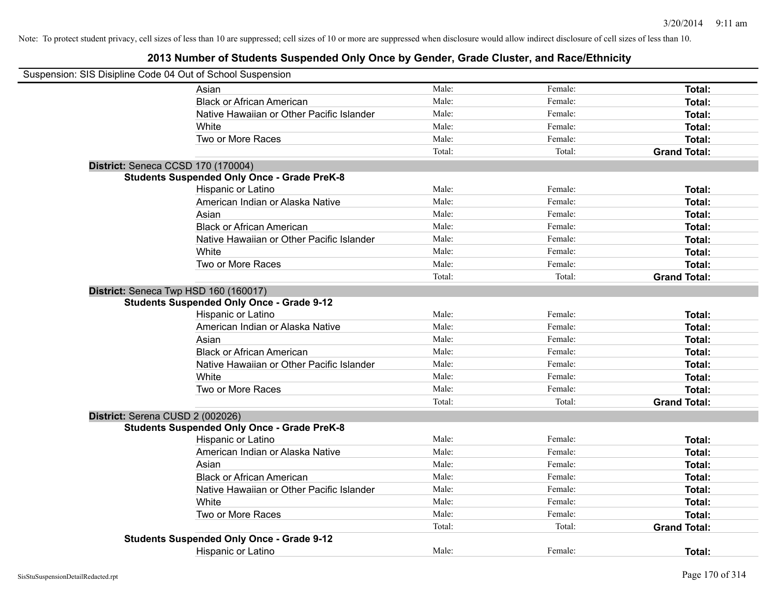| Suspension: SIS Disipline Code 04 Out of School Suspension |                                                    |        |         |                     |
|------------------------------------------------------------|----------------------------------------------------|--------|---------|---------------------|
|                                                            | Asian                                              | Male:  | Female: | Total:              |
|                                                            | <b>Black or African American</b>                   | Male:  | Female: | Total:              |
|                                                            | Native Hawaiian or Other Pacific Islander          | Male:  | Female: | Total:              |
|                                                            | White                                              | Male:  | Female: | Total:              |
|                                                            | Two or More Races                                  | Male:  | Female: | Total:              |
|                                                            |                                                    | Total: | Total:  | <b>Grand Total:</b> |
|                                                            | District: Seneca CCSD 170 (170004)                 |        |         |                     |
|                                                            | <b>Students Suspended Only Once - Grade PreK-8</b> |        |         |                     |
|                                                            | Hispanic or Latino                                 | Male:  | Female: | Total:              |
|                                                            | American Indian or Alaska Native                   | Male:  | Female: | Total:              |
|                                                            | Asian                                              | Male:  | Female: | Total:              |
|                                                            | <b>Black or African American</b>                   | Male:  | Female: | Total:              |
|                                                            | Native Hawaiian or Other Pacific Islander          | Male:  | Female: | Total:              |
|                                                            | White                                              | Male:  | Female: | Total:              |
|                                                            | Two or More Races                                  | Male:  | Female: | Total:              |
|                                                            |                                                    | Total: | Total:  | <b>Grand Total:</b> |
|                                                            | District: Seneca Twp HSD 160 (160017)              |        |         |                     |
|                                                            | <b>Students Suspended Only Once - Grade 9-12</b>   |        |         |                     |
|                                                            | Hispanic or Latino                                 | Male:  | Female: | Total:              |
|                                                            | American Indian or Alaska Native                   | Male:  | Female: | Total:              |
|                                                            | Asian                                              | Male:  | Female: | Total:              |
|                                                            | <b>Black or African American</b>                   | Male:  | Female: | Total:              |
|                                                            | Native Hawaiian or Other Pacific Islander          | Male:  | Female: | Total:              |
|                                                            | White                                              | Male:  | Female: | Total:              |
|                                                            | Two or More Races                                  | Male:  | Female: | Total:              |
|                                                            |                                                    | Total: | Total:  | <b>Grand Total:</b> |
|                                                            | District: Serena CUSD 2 (002026)                   |        |         |                     |
|                                                            | <b>Students Suspended Only Once - Grade PreK-8</b> |        |         |                     |
|                                                            | Hispanic or Latino                                 | Male:  | Female: | Total:              |
|                                                            | American Indian or Alaska Native                   | Male:  | Female: | Total:              |
|                                                            | Asian                                              | Male:  | Female: | Total:              |
|                                                            | <b>Black or African American</b>                   | Male:  | Female: | Total:              |
|                                                            | Native Hawaiian or Other Pacific Islander          | Male:  | Female: | Total:              |
|                                                            | White                                              | Male:  | Female: | Total:              |
|                                                            | Two or More Races                                  | Male:  | Female: | Total:              |
|                                                            |                                                    | Total: | Total:  | <b>Grand Total:</b> |
|                                                            | <b>Students Suspended Only Once - Grade 9-12</b>   |        |         |                     |
|                                                            | Hispanic or Latino                                 | Male:  | Female: | Total:              |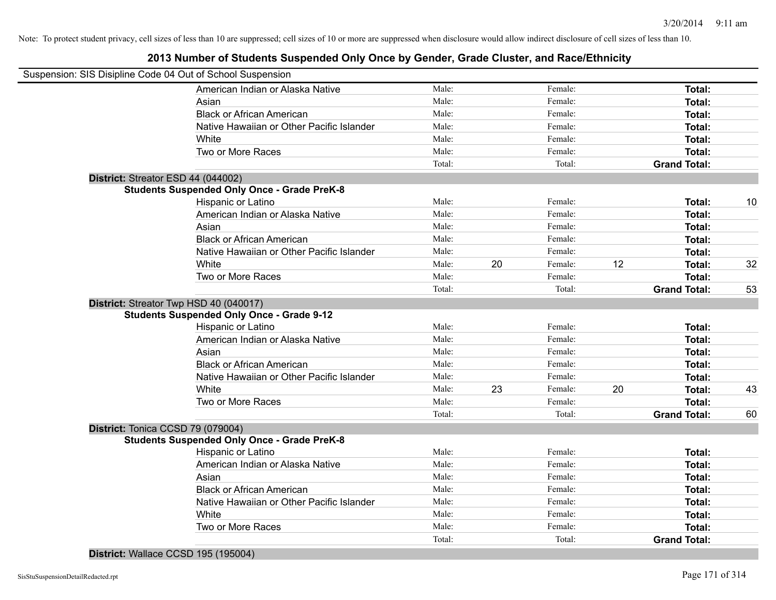## **2013 Number of Students Suspended Only Once by Gender, Grade Cluster, and Race/Ethnicity**

|                                    | Suspension: SIS Disipline Code 04 Out of School Suspension |        |    |         |    |                     |    |
|------------------------------------|------------------------------------------------------------|--------|----|---------|----|---------------------|----|
|                                    | American Indian or Alaska Native                           | Male:  |    | Female: |    | Total:              |    |
|                                    | Asian                                                      | Male:  |    | Female: |    | Total:              |    |
|                                    | <b>Black or African American</b>                           | Male:  |    | Female: |    | Total:              |    |
|                                    | Native Hawaiian or Other Pacific Islander                  | Male:  |    | Female: |    | Total:              |    |
|                                    | White                                                      | Male:  |    | Female: |    | Total:              |    |
|                                    | Two or More Races                                          | Male:  |    | Female: |    | Total:              |    |
|                                    |                                                            | Total: |    | Total:  |    | <b>Grand Total:</b> |    |
| District: Streator ESD 44 (044002) |                                                            |        |    |         |    |                     |    |
|                                    | <b>Students Suspended Only Once - Grade PreK-8</b>         |        |    |         |    |                     |    |
|                                    | Hispanic or Latino                                         | Male:  |    | Female: |    | Total:              | 10 |
|                                    | American Indian or Alaska Native                           | Male:  |    | Female: |    | Total:              |    |
|                                    | Asian                                                      | Male:  |    | Female: |    | Total:              |    |
|                                    | <b>Black or African American</b>                           | Male:  |    | Female: |    | Total:              |    |
|                                    | Native Hawaiian or Other Pacific Islander                  | Male:  |    | Female: |    | Total:              |    |
|                                    | White                                                      | Male:  | 20 | Female: | 12 | Total:              | 32 |
|                                    | Two or More Races                                          | Male:  |    | Female: |    | Total:              |    |
|                                    |                                                            | Total: |    | Total:  |    | <b>Grand Total:</b> | 53 |
|                                    | District: Streator Twp HSD 40 (040017)                     |        |    |         |    |                     |    |
|                                    | <b>Students Suspended Only Once - Grade 9-12</b>           |        |    |         |    |                     |    |
|                                    | Hispanic or Latino                                         | Male:  |    | Female: |    | Total:              |    |
|                                    | American Indian or Alaska Native                           | Male:  |    | Female: |    | Total:              |    |
|                                    | Asian                                                      | Male:  |    | Female: |    | Total:              |    |
|                                    | <b>Black or African American</b>                           | Male:  |    | Female: |    | Total:              |    |
|                                    | Native Hawaiian or Other Pacific Islander                  | Male:  |    | Female: |    | Total:              |    |
|                                    | White                                                      | Male:  | 23 | Female: | 20 | Total:              | 43 |
|                                    | Two or More Races                                          | Male:  |    | Female: |    | Total:              |    |
|                                    |                                                            | Total: |    | Total:  |    | <b>Grand Total:</b> | 60 |
| District: Tonica CCSD 79 (079004)  |                                                            |        |    |         |    |                     |    |
|                                    | <b>Students Suspended Only Once - Grade PreK-8</b>         |        |    |         |    |                     |    |
|                                    | Hispanic or Latino                                         | Male:  |    | Female: |    | Total:              |    |
|                                    | American Indian or Alaska Native                           | Male:  |    | Female: |    | Total:              |    |
|                                    | Asian                                                      | Male:  |    | Female: |    | Total:              |    |
|                                    | <b>Black or African American</b>                           | Male:  |    | Female: |    | Total:              |    |
|                                    | Native Hawaiian or Other Pacific Islander                  | Male:  |    | Female: |    | Total:              |    |
|                                    | White                                                      | Male:  |    | Female: |    | Total:              |    |
|                                    | Two or More Races                                          | Male:  |    | Female: |    | Total:              |    |
|                                    |                                                            | Total: |    | Total:  |    | <b>Grand Total:</b> |    |
|                                    |                                                            |        |    |         |    |                     |    |

**District:** Wallace CCSD 195 (195004)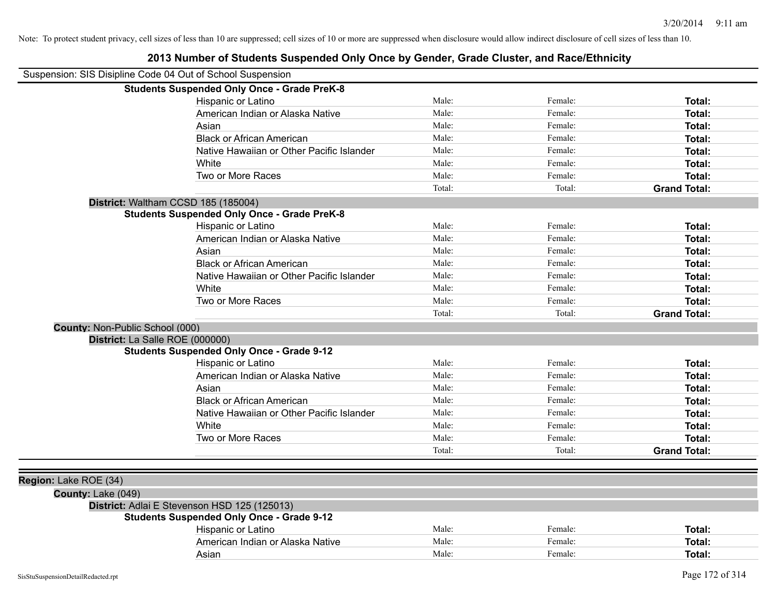|                                                            | 2013 Number of Students Suspended Only Once by Gender, Grade Cluster, and Race/Ethnicity |        |         |                     |
|------------------------------------------------------------|------------------------------------------------------------------------------------------|--------|---------|---------------------|
| Suspension: SIS Disipline Code 04 Out of School Suspension |                                                                                          |        |         |                     |
|                                                            | <b>Students Suspended Only Once - Grade PreK-8</b>                                       |        |         |                     |
|                                                            | Hispanic or Latino                                                                       | Male:  | Female: | Total:              |
|                                                            | American Indian or Alaska Native                                                         | Male:  | Female: | Total:              |
|                                                            | Asian                                                                                    | Male:  | Female: | Total:              |
|                                                            | <b>Black or African American</b>                                                         | Male:  | Female: | Total:              |
|                                                            | Native Hawaiian or Other Pacific Islander                                                | Male:  | Female: | Total:              |
|                                                            | White                                                                                    | Male:  | Female: | Total:              |
|                                                            | Two or More Races                                                                        | Male:  | Female: | Total:              |
|                                                            |                                                                                          | Total: | Total:  | <b>Grand Total:</b> |
|                                                            | District: Waltham CCSD 185 (185004)                                                      |        |         |                     |
|                                                            | <b>Students Suspended Only Once - Grade PreK-8</b>                                       |        |         |                     |
|                                                            | Hispanic or Latino                                                                       | Male:  | Female: | Total:              |
|                                                            | American Indian or Alaska Native                                                         | Male:  | Female: | Total:              |
|                                                            | Asian                                                                                    | Male:  | Female: | Total:              |
|                                                            | <b>Black or African American</b>                                                         | Male:  | Female: | Total:              |
|                                                            | Native Hawaiian or Other Pacific Islander                                                | Male:  | Female: | Total:              |
|                                                            | White                                                                                    | Male:  | Female: | Total:              |
|                                                            | Two or More Races                                                                        | Male:  | Female: | Total:              |
|                                                            |                                                                                          | Total: | Total:  | <b>Grand Total:</b> |
| County: Non-Public School (000)                            |                                                                                          |        |         |                     |
| District: La Salle ROE (000000)                            |                                                                                          |        |         |                     |
|                                                            | <b>Students Suspended Only Once - Grade 9-12</b>                                         |        |         |                     |
|                                                            | Hispanic or Latino                                                                       | Male:  | Female: | Total:              |
|                                                            | American Indian or Alaska Native                                                         | Male:  | Female: | Total:              |
|                                                            | Asian                                                                                    | Male:  | Female: | Total:              |
|                                                            | <b>Black or African American</b>                                                         | Male:  | Female: | Total:              |
|                                                            | Native Hawaiian or Other Pacific Islander                                                | Male:  | Female: | Total:              |
|                                                            | White                                                                                    | Male:  | Female: | Total:              |
|                                                            | Two or More Races                                                                        | Male:  | Female: | Total:              |
|                                                            |                                                                                          | Total: | Total:  | <b>Grand Total:</b> |
|                                                            |                                                                                          |        |         |                     |
| Region: Lake ROE (34)                                      |                                                                                          |        |         |                     |
| County: Lake (049)                                         |                                                                                          |        |         |                     |
|                                                            | District: Adlai E Stevenson HSD 125 (125013)                                             |        |         |                     |
|                                                            | <b>Students Suspended Only Once - Grade 9-12</b>                                         |        |         |                     |
|                                                            | Hispanic or Latino                                                                       | Male:  | Female: | Total:              |
|                                                            | American Indian or Alaska Native                                                         | Male:  | Female: | Total:              |
|                                                            | Asian                                                                                    | Male:  | Female: | Total:              |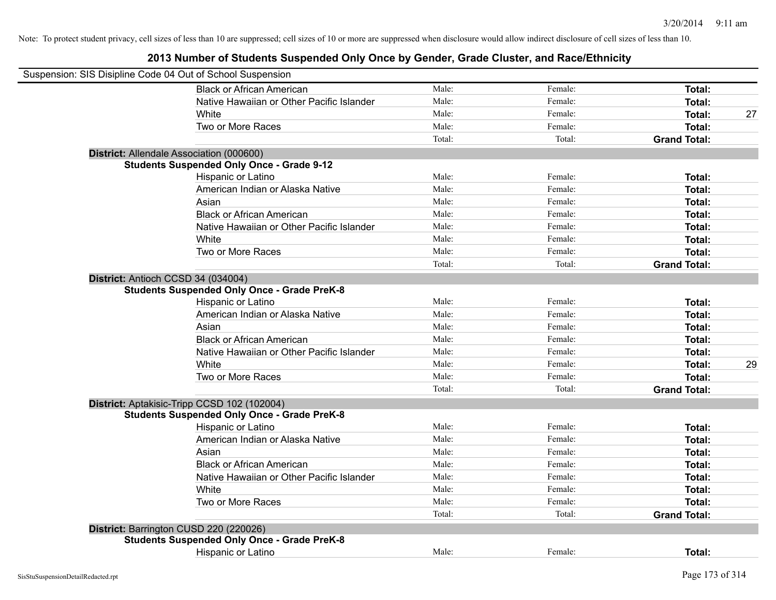| Suspension: SIS Disipline Code 04 Out of School Suspension |                                                    |        |         |                     |    |
|------------------------------------------------------------|----------------------------------------------------|--------|---------|---------------------|----|
|                                                            | <b>Black or African American</b>                   | Male:  | Female: | Total:              |    |
|                                                            | Native Hawaiian or Other Pacific Islander          | Male:  | Female: | Total:              |    |
|                                                            | White                                              | Male:  | Female: | Total:              | 27 |
|                                                            | Two or More Races                                  | Male:  | Female: | Total:              |    |
|                                                            |                                                    | Total: | Total:  | <b>Grand Total:</b> |    |
|                                                            | District: Allendale Association (000600)           |        |         |                     |    |
|                                                            | <b>Students Suspended Only Once - Grade 9-12</b>   |        |         |                     |    |
|                                                            | Hispanic or Latino                                 | Male:  | Female: | Total:              |    |
|                                                            | American Indian or Alaska Native                   | Male:  | Female: | Total:              |    |
|                                                            | Asian                                              | Male:  | Female: | Total:              |    |
|                                                            | <b>Black or African American</b>                   | Male:  | Female: | Total:              |    |
|                                                            | Native Hawaiian or Other Pacific Islander          | Male:  | Female: | Total:              |    |
|                                                            | White                                              | Male:  | Female: | Total:              |    |
|                                                            | Two or More Races                                  | Male:  | Female: | Total:              |    |
|                                                            |                                                    | Total: | Total:  | <b>Grand Total:</b> |    |
|                                                            | District: Antioch CCSD 34 (034004)                 |        |         |                     |    |
|                                                            | <b>Students Suspended Only Once - Grade PreK-8</b> |        |         |                     |    |
|                                                            | Hispanic or Latino                                 | Male:  | Female: | Total:              |    |
|                                                            | American Indian or Alaska Native                   | Male:  | Female: | Total:              |    |
|                                                            | Asian                                              | Male:  | Female: | Total:              |    |
|                                                            | <b>Black or African American</b>                   | Male:  | Female: | Total:              |    |
|                                                            | Native Hawaiian or Other Pacific Islander          | Male:  | Female: | Total:              |    |
|                                                            | White                                              | Male:  | Female: | Total:              | 29 |
|                                                            | Two or More Races                                  | Male:  | Female: | Total:              |    |
|                                                            |                                                    | Total: | Total:  | <b>Grand Total:</b> |    |
|                                                            | District: Aptakisic-Tripp CCSD 102 (102004)        |        |         |                     |    |
|                                                            | <b>Students Suspended Only Once - Grade PreK-8</b> |        |         |                     |    |
|                                                            | Hispanic or Latino                                 | Male:  | Female: | Total:              |    |
|                                                            | American Indian or Alaska Native                   | Male:  | Female: | Total:              |    |
|                                                            | Asian                                              | Male:  | Female: | Total:              |    |
|                                                            | <b>Black or African American</b>                   | Male:  | Female: | Total:              |    |
|                                                            | Native Hawaiian or Other Pacific Islander          | Male:  | Female: | Total:              |    |
|                                                            | White                                              | Male:  | Female: | Total:              |    |
|                                                            | Two or More Races                                  | Male:  | Female: | Total:              |    |
|                                                            |                                                    | Total: | Total:  | <b>Grand Total:</b> |    |
|                                                            | District: Barrington CUSD 220 (220026)             |        |         |                     |    |
|                                                            | <b>Students Suspended Only Once - Grade PreK-8</b> |        |         |                     |    |
|                                                            | Hispanic or Latino                                 | Male:  | Female: | Total:              |    |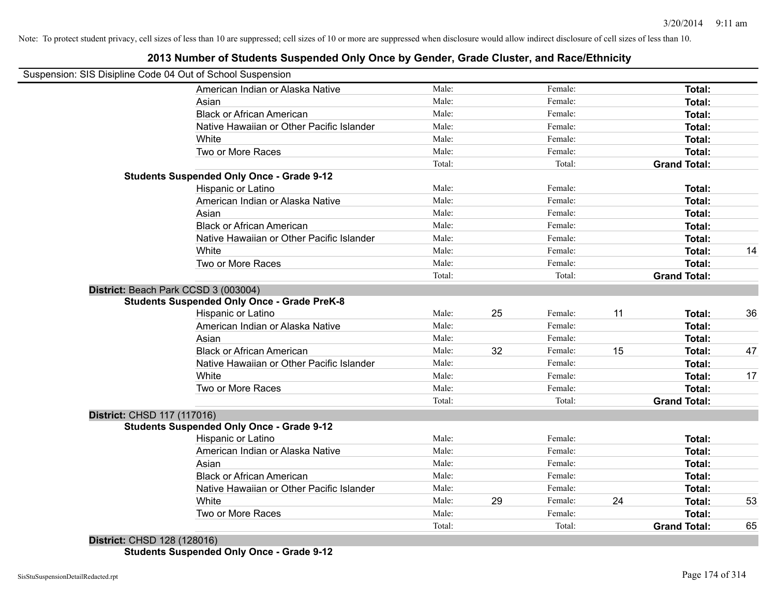## **2013 Number of Students Suspended Only Once by Gender, Grade Cluster, and Race/Ethnicity**

|                             | Suspension: SIS Disipline Code 04 Out of School Suspension |        |    |         |    |                     |    |
|-----------------------------|------------------------------------------------------------|--------|----|---------|----|---------------------|----|
|                             | American Indian or Alaska Native                           | Male:  |    | Female: |    | Total:              |    |
|                             | Asian                                                      | Male:  |    | Female: |    | Total:              |    |
|                             | <b>Black or African American</b>                           | Male:  |    | Female: |    | Total:              |    |
|                             | Native Hawaiian or Other Pacific Islander                  | Male:  |    | Female: |    | Total:              |    |
|                             | White                                                      | Male:  |    | Female: |    | Total:              |    |
|                             | Two or More Races                                          | Male:  |    | Female: |    | Total:              |    |
|                             |                                                            | Total: |    | Total:  |    | <b>Grand Total:</b> |    |
|                             | <b>Students Suspended Only Once - Grade 9-12</b>           |        |    |         |    |                     |    |
|                             | Hispanic or Latino                                         | Male:  |    | Female: |    | Total:              |    |
|                             | American Indian or Alaska Native                           | Male:  |    | Female: |    | Total:              |    |
|                             | Asian                                                      | Male:  |    | Female: |    | Total:              |    |
|                             | <b>Black or African American</b>                           | Male:  |    | Female: |    | Total:              |    |
|                             | Native Hawaiian or Other Pacific Islander                  | Male:  |    | Female: |    | Total:              |    |
|                             | White                                                      | Male:  |    | Female: |    | Total:              | 14 |
|                             | Two or More Races                                          | Male:  |    | Female: |    | Total:              |    |
|                             |                                                            | Total: |    | Total:  |    | <b>Grand Total:</b> |    |
|                             | District: Beach Park CCSD 3 (003004)                       |        |    |         |    |                     |    |
|                             | <b>Students Suspended Only Once - Grade PreK-8</b>         |        |    |         |    |                     |    |
|                             | Hispanic or Latino                                         | Male:  | 25 | Female: | 11 | Total:              | 36 |
|                             | American Indian or Alaska Native                           | Male:  |    | Female: |    | Total:              |    |
|                             | Asian                                                      | Male:  |    | Female: |    | Total:              |    |
|                             | <b>Black or African American</b>                           | Male:  | 32 | Female: | 15 | Total:              | 47 |
|                             | Native Hawaiian or Other Pacific Islander                  | Male:  |    | Female: |    | Total:              |    |
|                             | White                                                      | Male:  |    | Female: |    | Total:              | 17 |
|                             | Two or More Races                                          | Male:  |    | Female: |    | Total:              |    |
|                             |                                                            | Total: |    | Total:  |    | <b>Grand Total:</b> |    |
| District: CHSD 117 (117016) |                                                            |        |    |         |    |                     |    |
|                             | <b>Students Suspended Only Once - Grade 9-12</b>           |        |    |         |    |                     |    |
|                             | Hispanic or Latino                                         | Male:  |    | Female: |    | Total:              |    |
|                             | American Indian or Alaska Native                           | Male:  |    | Female: |    | Total:              |    |
|                             | Asian                                                      | Male:  |    | Female: |    | Total:              |    |
|                             | <b>Black or African American</b>                           | Male:  |    | Female: |    | Total:              |    |
|                             | Native Hawaiian or Other Pacific Islander                  | Male:  |    | Female: |    | Total:              |    |
|                             | White                                                      | Male:  | 29 | Female: | 24 | Total:              | 53 |
|                             |                                                            |        |    |         |    |                     |    |
|                             | Two or More Races                                          | Male:  |    | Female: |    | <b>Total:</b>       |    |

**Students Suspended Only Once - Grade 9-12**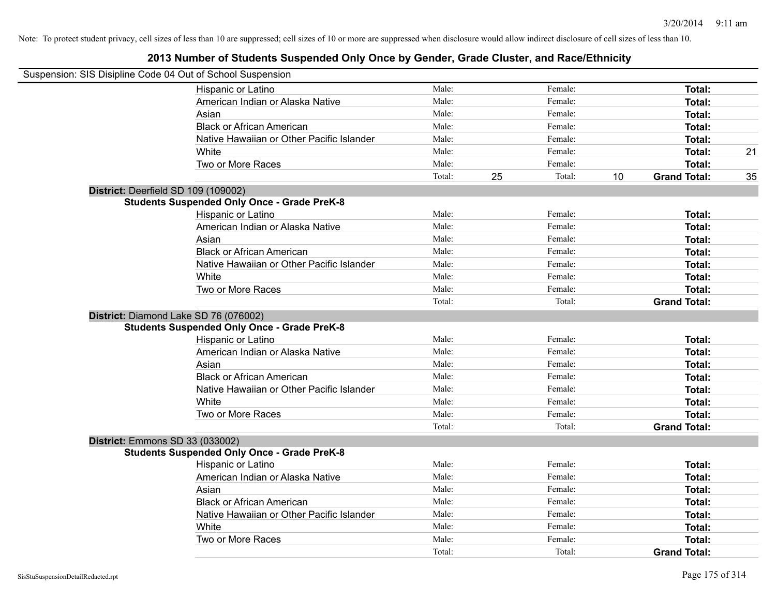| Suspension: SIS Disipline Code 04 Out of School Suspension |                                                    |        |              |    |                           |
|------------------------------------------------------------|----------------------------------------------------|--------|--------------|----|---------------------------|
|                                                            | Hispanic or Latino                                 | Male:  | Female:      |    | Total:                    |
|                                                            | American Indian or Alaska Native                   | Male:  | Female:      |    | Total:                    |
| Asian                                                      |                                                    | Male:  | Female:      |    | Total:                    |
|                                                            | <b>Black or African American</b>                   | Male:  | Female:      |    | Total:                    |
|                                                            | Native Hawaiian or Other Pacific Islander          | Male:  | Female:      |    | Total:                    |
| White                                                      |                                                    | Male:  | Female:      |    | <b>Total:</b><br>21       |
|                                                            | Two or More Races                                  | Male:  | Female:      |    | <b>Total:</b>             |
|                                                            |                                                    | Total: | 25<br>Total: | 10 | <b>Grand Total:</b><br>35 |
| District: Deerfield SD 109 (109002)                        |                                                    |        |              |    |                           |
|                                                            | <b>Students Suspended Only Once - Grade PreK-8</b> |        |              |    |                           |
|                                                            | Hispanic or Latino                                 | Male:  | Female:      |    | Total:                    |
|                                                            | American Indian or Alaska Native                   | Male:  | Female:      |    | Total:                    |
| Asian                                                      |                                                    | Male:  | Female:      |    | Total:                    |
|                                                            | <b>Black or African American</b>                   | Male:  | Female:      |    | Total:                    |
|                                                            | Native Hawaiian or Other Pacific Islander          | Male:  | Female:      |    | Total:                    |
| White                                                      |                                                    | Male:  | Female:      |    | Total:                    |
|                                                            | Two or More Races                                  | Male:  | Female:      |    | Total:                    |
|                                                            |                                                    | Total: | Total:       |    | <b>Grand Total:</b>       |
| District: Diamond Lake SD 76 (076002)                      |                                                    |        |              |    |                           |
|                                                            | <b>Students Suspended Only Once - Grade PreK-8</b> |        |              |    |                           |
|                                                            | Hispanic or Latino                                 | Male:  | Female:      |    | Total:                    |
|                                                            | American Indian or Alaska Native                   | Male:  | Female:      |    | Total:                    |
| Asian                                                      |                                                    | Male:  | Female:      |    | Total:                    |
|                                                            | <b>Black or African American</b>                   | Male:  | Female:      |    | Total:                    |
|                                                            | Native Hawaiian or Other Pacific Islander          | Male:  | Female:      |    | Total:                    |
| White                                                      |                                                    | Male:  | Female:      |    | Total:                    |
|                                                            | Two or More Races                                  | Male:  | Female:      |    | <b>Total:</b>             |
|                                                            |                                                    | Total: | Total:       |    | <b>Grand Total:</b>       |
| <b>District: Emmons SD 33 (033002)</b>                     |                                                    |        |              |    |                           |
|                                                            | <b>Students Suspended Only Once - Grade PreK-8</b> |        |              |    |                           |
|                                                            | Hispanic or Latino                                 | Male:  | Female:      |    | Total:                    |
|                                                            | American Indian or Alaska Native                   | Male:  | Female:      |    | Total:                    |
| Asian                                                      |                                                    | Male:  | Female:      |    | Total:                    |
|                                                            | <b>Black or African American</b>                   | Male:  | Female:      |    | Total:                    |
|                                                            | Native Hawaiian or Other Pacific Islander          | Male:  | Female:      |    | Total:                    |
| White                                                      |                                                    | Male:  | Female:      |    | <b>Total:</b>             |
|                                                            | Two or More Races                                  | Male:  | Female:      |    | <b>Total:</b>             |
|                                                            |                                                    | Total: | Total:       |    | <b>Grand Total:</b>       |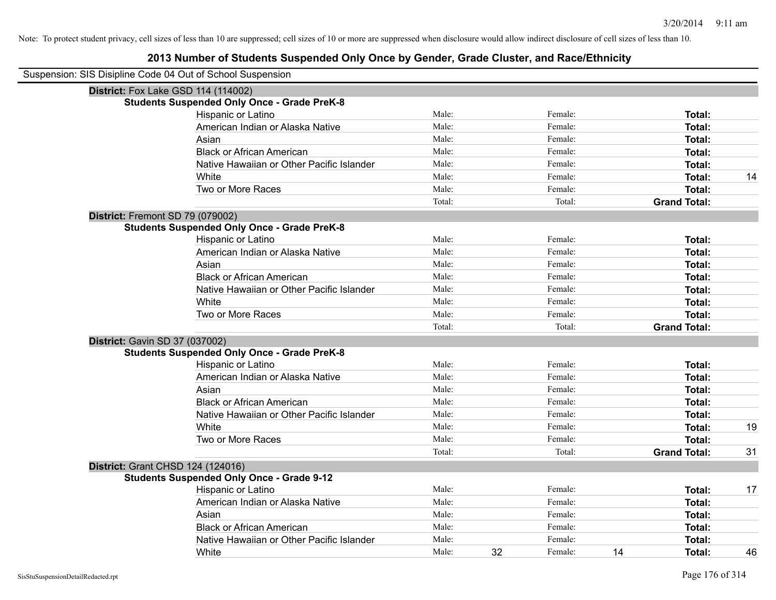| Suspension: SIS Disipline Code 04 Out of School Suspension |                                                    |        |    |         |    |                     |    |
|------------------------------------------------------------|----------------------------------------------------|--------|----|---------|----|---------------------|----|
|                                                            | District: Fox Lake GSD 114 (114002)                |        |    |         |    |                     |    |
|                                                            | <b>Students Suspended Only Once - Grade PreK-8</b> |        |    |         |    |                     |    |
|                                                            | Hispanic or Latino                                 | Male:  |    | Female: |    | Total:              |    |
|                                                            | American Indian or Alaska Native                   | Male:  |    | Female: |    | Total:              |    |
|                                                            | Asian                                              | Male:  |    | Female: |    | Total:              |    |
|                                                            | <b>Black or African American</b>                   | Male:  |    | Female: |    | Total:              |    |
|                                                            | Native Hawaiian or Other Pacific Islander          | Male:  |    | Female: |    | Total:              |    |
|                                                            | White                                              | Male:  |    | Female: |    | Total:              | 14 |
|                                                            | Two or More Races                                  | Male:  |    | Female: |    | Total:              |    |
|                                                            |                                                    | Total: |    | Total:  |    | <b>Grand Total:</b> |    |
| District: Fremont SD 79 (079002)                           |                                                    |        |    |         |    |                     |    |
|                                                            | <b>Students Suspended Only Once - Grade PreK-8</b> |        |    |         |    |                     |    |
|                                                            | Hispanic or Latino                                 | Male:  |    | Female: |    | Total:              |    |
|                                                            | American Indian or Alaska Native                   | Male:  |    | Female: |    | Total:              |    |
|                                                            | Asian                                              | Male:  |    | Female: |    | Total:              |    |
|                                                            | <b>Black or African American</b>                   | Male:  |    | Female: |    | Total:              |    |
|                                                            | Native Hawaiian or Other Pacific Islander          | Male:  |    | Female: |    | Total:              |    |
|                                                            | White                                              | Male:  |    | Female: |    | Total:              |    |
|                                                            | Two or More Races                                  | Male:  |    | Female: |    | Total:              |    |
|                                                            |                                                    | Total: |    | Total:  |    | <b>Grand Total:</b> |    |
| District: Gavin SD 37 (037002)                             |                                                    |        |    |         |    |                     |    |
|                                                            | <b>Students Suspended Only Once - Grade PreK-8</b> |        |    |         |    |                     |    |
|                                                            | Hispanic or Latino                                 | Male:  |    | Female: |    | Total:              |    |
|                                                            | American Indian or Alaska Native                   | Male:  |    | Female: |    | Total:              |    |
|                                                            | Asian                                              | Male:  |    | Female: |    | Total:              |    |
|                                                            | <b>Black or African American</b>                   | Male:  |    | Female: |    | Total:              |    |
|                                                            | Native Hawaiian or Other Pacific Islander          | Male:  |    | Female: |    | Total:              |    |
|                                                            | White                                              | Male:  |    | Female: |    | Total:              | 19 |
|                                                            | Two or More Races                                  | Male:  |    | Female: |    | Total:              |    |
|                                                            |                                                    | Total: |    | Total:  |    | <b>Grand Total:</b> | 31 |
|                                                            | <b>District: Grant CHSD 124 (124016)</b>           |        |    |         |    |                     |    |
|                                                            | <b>Students Suspended Only Once - Grade 9-12</b>   |        |    |         |    |                     |    |
|                                                            | Hispanic or Latino                                 | Male:  |    | Female: |    | Total:              | 17 |
|                                                            | American Indian or Alaska Native                   | Male:  |    | Female: |    | Total:              |    |
|                                                            | Asian                                              | Male:  |    | Female: |    | Total:              |    |
|                                                            | <b>Black or African American</b>                   | Male:  |    | Female: |    | Total:              |    |
|                                                            | Native Hawaiian or Other Pacific Islander          | Male:  |    | Female: |    | Total:              |    |
|                                                            | White                                              | Male:  | 32 | Female: | 14 | Total:              | 46 |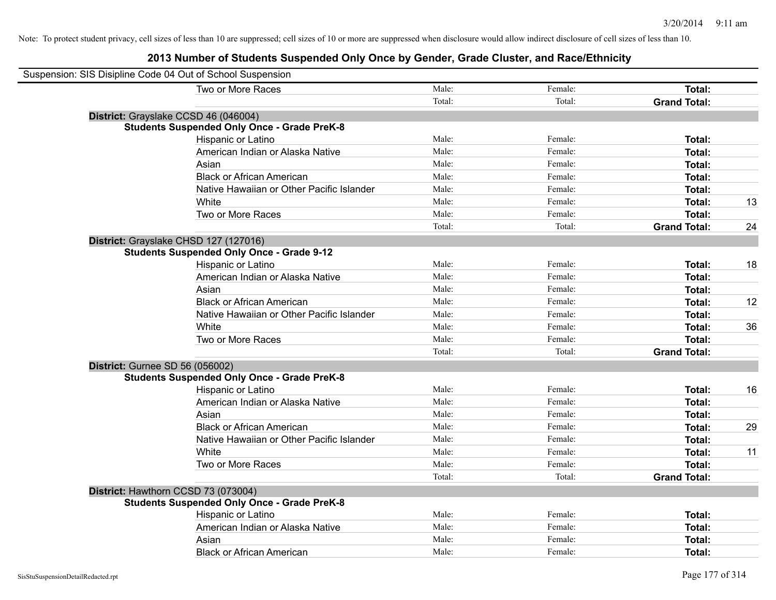| Suspension: SIS Disipline Code 04 Out of School Suspension |        |         |                     |    |
|------------------------------------------------------------|--------|---------|---------------------|----|
| Two or More Races                                          | Male:  | Female: | Total:              |    |
|                                                            | Total: | Total:  | <b>Grand Total:</b> |    |
| District: Grayslake CCSD 46 (046004)                       |        |         |                     |    |
| <b>Students Suspended Only Once - Grade PreK-8</b>         |        |         |                     |    |
| Hispanic or Latino                                         | Male:  | Female: | Total:              |    |
| American Indian or Alaska Native                           | Male:  | Female: | Total:              |    |
| Asian                                                      | Male:  | Female: | Total:              |    |
| <b>Black or African American</b>                           | Male:  | Female: | Total:              |    |
| Native Hawaiian or Other Pacific Islander                  | Male:  | Female: | Total:              |    |
| White                                                      | Male:  | Female: | Total:              | 13 |
| Two or More Races                                          | Male:  | Female: | Total:              |    |
|                                                            | Total: | Total:  | <b>Grand Total:</b> | 24 |
| District: Grayslake CHSD 127 (127016)                      |        |         |                     |    |
| <b>Students Suspended Only Once - Grade 9-12</b>           |        |         |                     |    |
| Hispanic or Latino                                         | Male:  | Female: | Total:              | 18 |
| American Indian or Alaska Native                           | Male:  | Female: | Total:              |    |
| Asian                                                      | Male:  | Female: | Total:              |    |
| <b>Black or African American</b>                           | Male:  | Female: | Total:              | 12 |
| Native Hawaiian or Other Pacific Islander                  | Male:  | Female: | Total:              |    |
| White                                                      | Male:  | Female: | Total:              | 36 |
| Two or More Races                                          | Male:  | Female: | Total:              |    |
|                                                            | Total: | Total:  | <b>Grand Total:</b> |    |
| <b>District: Gurnee SD 56 (056002)</b>                     |        |         |                     |    |
| <b>Students Suspended Only Once - Grade PreK-8</b>         |        |         |                     |    |
| Hispanic or Latino                                         | Male:  | Female: | Total:              | 16 |
| American Indian or Alaska Native                           | Male:  | Female: | Total:              |    |
| Asian                                                      | Male:  | Female: | Total:              |    |
| <b>Black or African American</b>                           | Male:  | Female: | Total:              | 29 |
| Native Hawaiian or Other Pacific Islander                  | Male:  | Female: | Total:              |    |
| White                                                      | Male:  | Female: | Total:              | 11 |
| Two or More Races                                          | Male:  | Female: | Total:              |    |
|                                                            | Total: | Total:  | <b>Grand Total:</b> |    |
| District: Hawthorn CCSD 73 (073004)                        |        |         |                     |    |
| <b>Students Suspended Only Once - Grade PreK-8</b>         |        |         |                     |    |
| Hispanic or Latino                                         | Male:  | Female: | Total:              |    |
| American Indian or Alaska Native                           | Male:  | Female: | Total:              |    |
| Asian                                                      | Male:  | Female: | Total:              |    |
| <b>Black or African American</b>                           | Male:  | Female: | Total:              |    |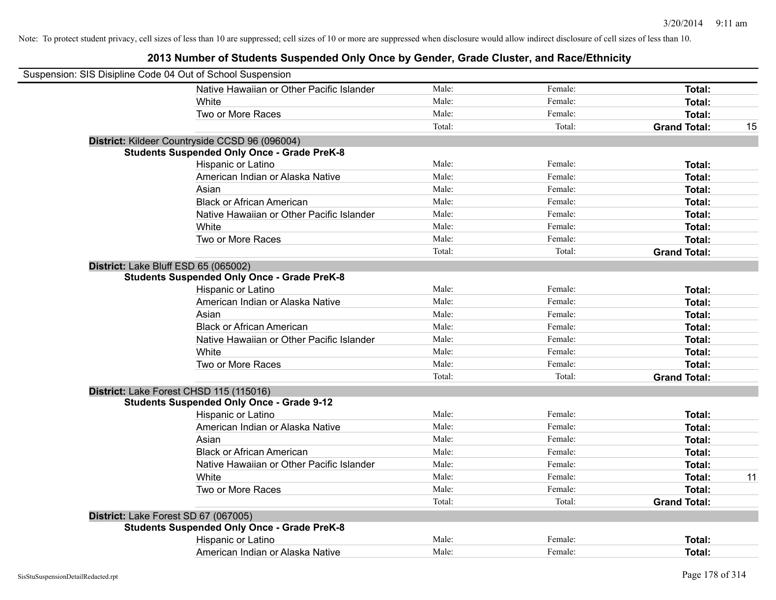| Suspension: SIS Disipline Code 04 Out of School Suspension |                                                    |        |         |                     |    |
|------------------------------------------------------------|----------------------------------------------------|--------|---------|---------------------|----|
|                                                            | Native Hawaiian or Other Pacific Islander          | Male:  | Female: | <b>Total:</b>       |    |
|                                                            | White                                              | Male:  | Female: | Total:              |    |
|                                                            | Two or More Races                                  | Male:  | Female: | <b>Total:</b>       |    |
|                                                            |                                                    | Total: | Total:  | <b>Grand Total:</b> | 15 |
|                                                            | District: Kildeer Countryside CCSD 96 (096004)     |        |         |                     |    |
|                                                            | <b>Students Suspended Only Once - Grade PreK-8</b> |        |         |                     |    |
|                                                            | Hispanic or Latino                                 | Male:  | Female: | Total:              |    |
|                                                            | American Indian or Alaska Native                   | Male:  | Female: | Total:              |    |
|                                                            | Asian                                              | Male:  | Female: | Total:              |    |
|                                                            | <b>Black or African American</b>                   | Male:  | Female: | Total:              |    |
|                                                            | Native Hawaiian or Other Pacific Islander          | Male:  | Female: | Total:              |    |
|                                                            | White                                              | Male:  | Female: | Total:              |    |
|                                                            | Two or More Races                                  | Male:  | Female: | Total:              |    |
|                                                            |                                                    | Total: | Total:  | <b>Grand Total:</b> |    |
| District: Lake Bluff ESD 65 (065002)                       |                                                    |        |         |                     |    |
|                                                            | <b>Students Suspended Only Once - Grade PreK-8</b> |        |         |                     |    |
|                                                            | Hispanic or Latino                                 | Male:  | Female: | Total:              |    |
|                                                            | American Indian or Alaska Native                   | Male:  | Female: | <b>Total:</b>       |    |
|                                                            | Asian                                              | Male:  | Female: | Total:              |    |
|                                                            | <b>Black or African American</b>                   | Male:  | Female: | Total:              |    |
|                                                            | Native Hawaiian or Other Pacific Islander          | Male:  | Female: | Total:              |    |
|                                                            | White                                              | Male:  | Female: | Total:              |    |
|                                                            | Two or More Races                                  | Male:  | Female: | Total:              |    |
|                                                            |                                                    | Total: | Total:  | <b>Grand Total:</b> |    |
|                                                            | District: Lake Forest CHSD 115 (115016)            |        |         |                     |    |
|                                                            | <b>Students Suspended Only Once - Grade 9-12</b>   |        |         |                     |    |
|                                                            | Hispanic or Latino                                 | Male:  | Female: | <b>Total:</b>       |    |
|                                                            | American Indian or Alaska Native                   | Male:  | Female: | Total:              |    |
|                                                            | Asian                                              | Male:  | Female: | Total:              |    |
|                                                            | <b>Black or African American</b>                   | Male:  | Female: | <b>Total:</b>       |    |
|                                                            | Native Hawaiian or Other Pacific Islander          | Male:  | Female: | Total:              |    |
|                                                            | White                                              | Male:  | Female: | Total:              | 11 |
|                                                            | Two or More Races                                  | Male:  | Female: | <b>Total:</b>       |    |
|                                                            |                                                    | Total: | Total:  | <b>Grand Total:</b> |    |
| District: Lake Forest SD 67 (067005)                       |                                                    |        |         |                     |    |
|                                                            | <b>Students Suspended Only Once - Grade PreK-8</b> |        |         |                     |    |
|                                                            | Hispanic or Latino                                 | Male:  | Female: | Total:              |    |
|                                                            | American Indian or Alaska Native                   | Male:  | Female: | Total:              |    |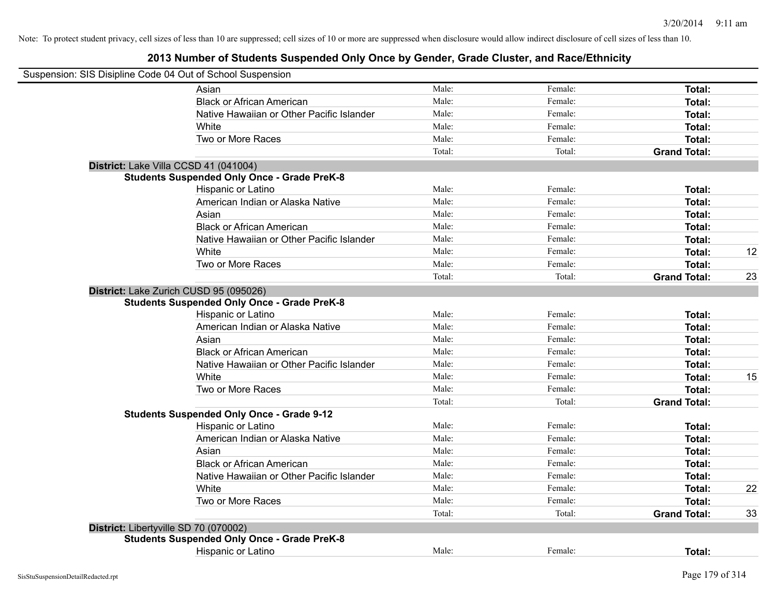| Suspension: SIS Disipline Code 04 Out of School Suspension |        |         |                     |    |
|------------------------------------------------------------|--------|---------|---------------------|----|
| Asian                                                      | Male:  | Female: | Total:              |    |
| <b>Black or African American</b>                           | Male:  | Female: | Total:              |    |
| Native Hawaiian or Other Pacific Islander                  | Male:  | Female: | Total:              |    |
| White                                                      | Male:  | Female: | Total:              |    |
| Two or More Races                                          | Male:  | Female: | Total:              |    |
|                                                            | Total: | Total:  | <b>Grand Total:</b> |    |
| District: Lake Villa CCSD 41 (041004)                      |        |         |                     |    |
| <b>Students Suspended Only Once - Grade PreK-8</b>         |        |         |                     |    |
| Hispanic or Latino                                         | Male:  | Female: | Total:              |    |
| American Indian or Alaska Native                           | Male:  | Female: | Total:              |    |
| Asian                                                      | Male:  | Female: | Total:              |    |
| <b>Black or African American</b>                           | Male:  | Female: | Total:              |    |
| Native Hawaiian or Other Pacific Islander                  | Male:  | Female: | Total:              |    |
| White                                                      | Male:  | Female: | Total:              | 12 |
| Two or More Races                                          | Male:  | Female: | Total:              |    |
|                                                            | Total: | Total:  | <b>Grand Total:</b> | 23 |
| District: Lake Zurich CUSD 95 (095026)                     |        |         |                     |    |
| <b>Students Suspended Only Once - Grade PreK-8</b>         |        |         |                     |    |
| Hispanic or Latino                                         | Male:  | Female: | Total:              |    |
| American Indian or Alaska Native                           | Male:  | Female: | Total:              |    |
| Asian                                                      | Male:  | Female: | Total:              |    |
| <b>Black or African American</b>                           | Male:  | Female: | Total:              |    |
| Native Hawaiian or Other Pacific Islander                  | Male:  | Female: | Total:              |    |
| White                                                      | Male:  | Female: | Total:              | 15 |
| Two or More Races                                          | Male:  | Female: | Total:              |    |
|                                                            | Total: | Total:  | <b>Grand Total:</b> |    |
| <b>Students Suspended Only Once - Grade 9-12</b>           |        |         |                     |    |
| Hispanic or Latino                                         | Male:  | Female: | Total:              |    |
| American Indian or Alaska Native                           | Male:  | Female: | Total:              |    |
| Asian                                                      | Male:  | Female: | Total:              |    |
| <b>Black or African American</b>                           | Male:  | Female: | Total:              |    |
| Native Hawaiian or Other Pacific Islander                  | Male:  | Female: | Total:              |    |
| <b>White</b>                                               | Male:  | Female: | Total:              | 22 |
| Two or More Races                                          | Male:  | Female: | Total:              |    |
|                                                            | Total: | Total:  | <b>Grand Total:</b> | 33 |
| District: Libertyville SD 70 (070002)                      |        |         |                     |    |
| <b>Students Suspended Only Once - Grade PreK-8</b>         |        |         |                     |    |
| Hispanic or Latino                                         | Male:  | Female: | <b>Total:</b>       |    |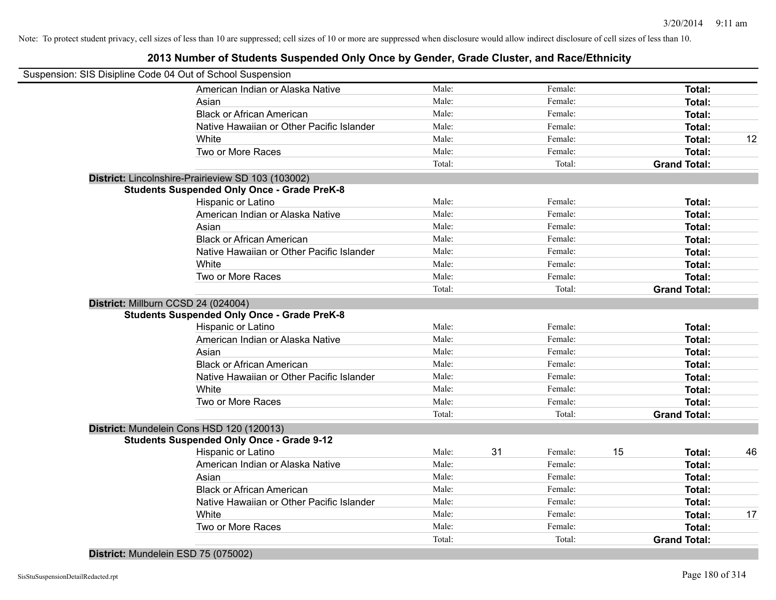| Suspension: SIS Disipline Code 04 Out of School Suspension |        |    |         |    |                     |    |
|------------------------------------------------------------|--------|----|---------|----|---------------------|----|
| American Indian or Alaska Native                           | Male:  |    | Female: |    | Total:              |    |
| Asian                                                      | Male:  |    | Female: |    | Total:              |    |
| <b>Black or African American</b>                           | Male:  |    | Female: |    | Total:              |    |
| Native Hawaiian or Other Pacific Islander                  | Male:  |    | Female: |    | <b>Total:</b>       |    |
| White                                                      | Male:  |    | Female: |    | Total:              | 12 |
| Two or More Races                                          | Male:  |    | Female: |    | Total:              |    |
|                                                            | Total: |    | Total:  |    | <b>Grand Total:</b> |    |
| District: Lincolnshire-Prairieview SD 103 (103002)         |        |    |         |    |                     |    |
| <b>Students Suspended Only Once - Grade PreK-8</b>         |        |    |         |    |                     |    |
| Hispanic or Latino                                         | Male:  |    | Female: |    | Total:              |    |
| American Indian or Alaska Native                           | Male:  |    | Female: |    | Total:              |    |
| Asian                                                      | Male:  |    | Female: |    | Total:              |    |
| <b>Black or African American</b>                           | Male:  |    | Female: |    | Total:              |    |
| Native Hawaiian or Other Pacific Islander                  | Male:  |    | Female: |    | Total:              |    |
| White                                                      | Male:  |    | Female: |    | <b>Total:</b>       |    |
| Two or More Races                                          | Male:  |    | Female: |    | Total:              |    |
|                                                            | Total: |    | Total:  |    | <b>Grand Total:</b> |    |
| District: Millburn CCSD 24 (024004)                        |        |    |         |    |                     |    |
| <b>Students Suspended Only Once - Grade PreK-8</b>         |        |    |         |    |                     |    |
| Hispanic or Latino                                         | Male:  |    | Female: |    | Total:              |    |
| American Indian or Alaska Native                           | Male:  |    | Female: |    | Total:              |    |
| Asian                                                      | Male:  |    | Female: |    | Total:              |    |
| <b>Black or African American</b>                           | Male:  |    | Female: |    | Total:              |    |
| Native Hawaiian or Other Pacific Islander                  | Male:  |    | Female: |    | Total:              |    |
| White                                                      | Male:  |    | Female: |    | <b>Total:</b>       |    |
| Two or More Races                                          | Male:  |    | Female: |    | Total:              |    |
|                                                            | Total: |    | Total:  |    | <b>Grand Total:</b> |    |
| District: Mundelein Cons HSD 120 (120013)                  |        |    |         |    |                     |    |
| <b>Students Suspended Only Once - Grade 9-12</b>           |        |    |         |    |                     |    |
| Hispanic or Latino                                         | Male:  | 31 | Female: | 15 | Total:              | 46 |
| American Indian or Alaska Native                           | Male:  |    | Female: |    | Total:              |    |
| Asian                                                      | Male:  |    | Female: |    | Total:              |    |
| <b>Black or African American</b>                           | Male:  |    | Female: |    | <b>Total:</b>       |    |
| Native Hawaiian or Other Pacific Islander                  | Male:  |    | Female: |    | Total:              |    |
| White                                                      | Male:  |    | Female: |    | Total:              | 17 |
| Two or More Races                                          | Male:  |    | Female: |    | Total:              |    |
|                                                            | Total: |    | Total:  |    | <b>Grand Total:</b> |    |
| District: Mundelein ESD 75 (075002)                        |        |    |         |    |                     |    |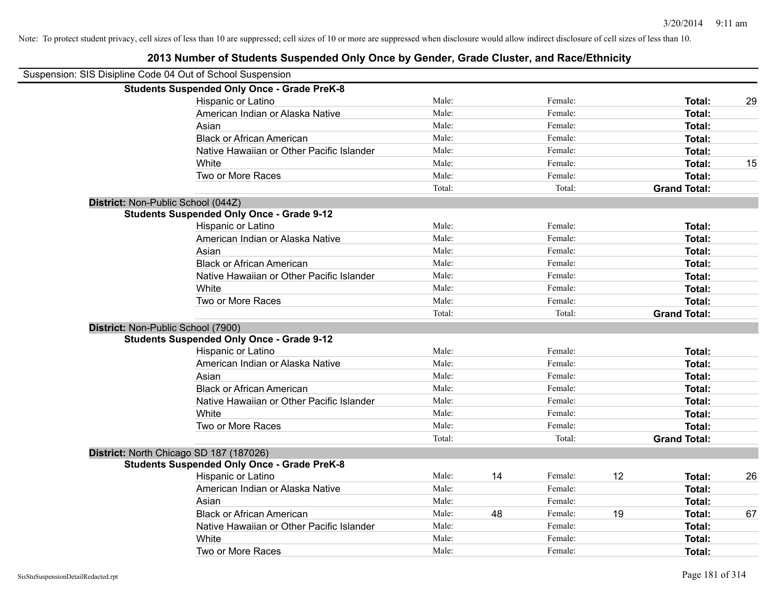| Suspension: SIS Disipline Code 04 Out of School Suspension |                                                    |        |    |         |    |                     |    |
|------------------------------------------------------------|----------------------------------------------------|--------|----|---------|----|---------------------|----|
|                                                            | <b>Students Suspended Only Once - Grade PreK-8</b> |        |    |         |    |                     |    |
|                                                            | Hispanic or Latino                                 | Male:  |    | Female: |    | Total:              | 29 |
|                                                            | American Indian or Alaska Native                   | Male:  |    | Female: |    | Total:              |    |
|                                                            | Asian                                              | Male:  |    | Female: |    | Total:              |    |
|                                                            | <b>Black or African American</b>                   | Male:  |    | Female: |    | Total:              |    |
|                                                            | Native Hawaiian or Other Pacific Islander          | Male:  |    | Female: |    | Total:              |    |
|                                                            | White                                              | Male:  |    | Female: |    | Total:              | 15 |
|                                                            | Two or More Races                                  | Male:  |    | Female: |    | Total:              |    |
|                                                            |                                                    | Total: |    | Total:  |    | <b>Grand Total:</b> |    |
|                                                            | District: Non-Public School (044Z)                 |        |    |         |    |                     |    |
|                                                            | <b>Students Suspended Only Once - Grade 9-12</b>   |        |    |         |    |                     |    |
|                                                            | Hispanic or Latino                                 | Male:  |    | Female: |    | Total:              |    |
|                                                            | American Indian or Alaska Native                   | Male:  |    | Female: |    | Total:              |    |
|                                                            | Asian                                              | Male:  |    | Female: |    | Total:              |    |
|                                                            | <b>Black or African American</b>                   | Male:  |    | Female: |    | Total:              |    |
|                                                            | Native Hawaiian or Other Pacific Islander          | Male:  |    | Female: |    | Total:              |    |
|                                                            | White                                              | Male:  |    | Female: |    | Total:              |    |
|                                                            | Two or More Races                                  | Male:  |    | Female: |    | Total:              |    |
|                                                            |                                                    | Total: |    | Total:  |    | <b>Grand Total:</b> |    |
|                                                            | District: Non-Public School (7900)                 |        |    |         |    |                     |    |
|                                                            | <b>Students Suspended Only Once - Grade 9-12</b>   |        |    |         |    |                     |    |
|                                                            | Hispanic or Latino                                 | Male:  |    | Female: |    | Total:              |    |
|                                                            | American Indian or Alaska Native                   | Male:  |    | Female: |    | Total:              |    |
|                                                            | Asian                                              | Male:  |    | Female: |    | Total:              |    |
|                                                            | <b>Black or African American</b>                   | Male:  |    | Female: |    | Total:              |    |
|                                                            | Native Hawaiian or Other Pacific Islander          | Male:  |    | Female: |    | Total:              |    |
|                                                            | White                                              | Male:  |    | Female: |    | Total:              |    |
|                                                            | Two or More Races                                  | Male:  |    | Female: |    | Total:              |    |
|                                                            |                                                    | Total: |    | Total:  |    | <b>Grand Total:</b> |    |
|                                                            | District: North Chicago SD 187 (187026)            |        |    |         |    |                     |    |
|                                                            | <b>Students Suspended Only Once - Grade PreK-8</b> |        |    |         |    |                     |    |
|                                                            | Hispanic or Latino                                 | Male:  | 14 | Female: | 12 | Total:              | 26 |
|                                                            | American Indian or Alaska Native                   | Male:  |    | Female: |    | Total:              |    |
|                                                            | Asian                                              | Male:  |    | Female: |    | Total:              |    |
|                                                            | <b>Black or African American</b>                   | Male:  | 48 | Female: | 19 | Total:              | 67 |
|                                                            | Native Hawaiian or Other Pacific Islander          | Male:  |    | Female: |    | Total:              |    |
|                                                            | White                                              | Male:  |    | Female: |    | Total:              |    |
|                                                            | Two or More Races                                  | Male:  |    | Female: |    | Total:              |    |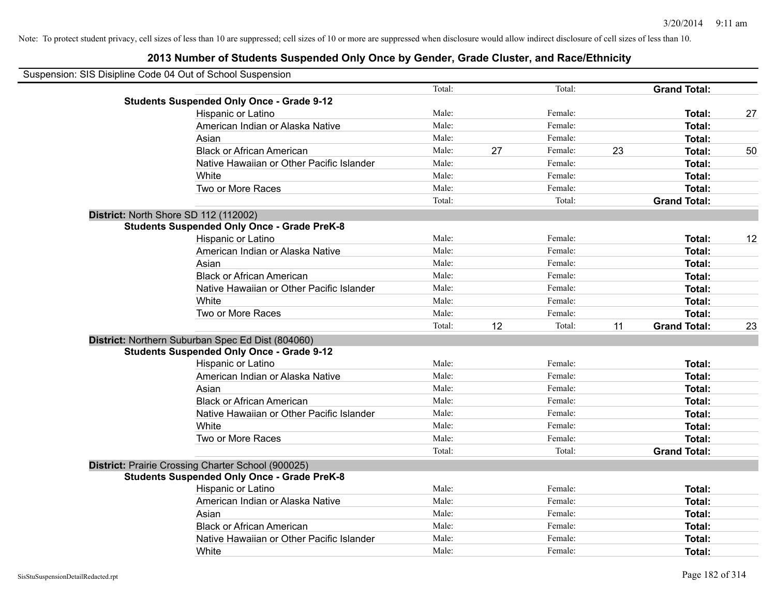| Suspension: SIS Disipline Code 04 Out of School Suspension |                                                    |        |    |         |    |                     |    |
|------------------------------------------------------------|----------------------------------------------------|--------|----|---------|----|---------------------|----|
|                                                            |                                                    | Total: |    | Total:  |    | <b>Grand Total:</b> |    |
|                                                            | <b>Students Suspended Only Once - Grade 9-12</b>   |        |    |         |    |                     |    |
|                                                            | Hispanic or Latino                                 | Male:  |    | Female: |    | Total:              | 27 |
|                                                            | American Indian or Alaska Native                   | Male:  |    | Female: |    | Total:              |    |
|                                                            | Asian                                              | Male:  |    | Female: |    | Total:              |    |
|                                                            | <b>Black or African American</b>                   | Male:  | 27 | Female: | 23 | Total:              | 50 |
|                                                            | Native Hawaiian or Other Pacific Islander          | Male:  |    | Female: |    | Total:              |    |
|                                                            | White                                              | Male:  |    | Female: |    | Total:              |    |
|                                                            | Two or More Races                                  | Male:  |    | Female: |    | Total:              |    |
|                                                            |                                                    | Total: |    | Total:  |    | <b>Grand Total:</b> |    |
| District: North Shore SD 112 (112002)                      |                                                    |        |    |         |    |                     |    |
|                                                            | <b>Students Suspended Only Once - Grade PreK-8</b> |        |    |         |    |                     |    |
|                                                            | Hispanic or Latino                                 | Male:  |    | Female: |    | Total:              | 12 |
|                                                            | American Indian or Alaska Native                   | Male:  |    | Female: |    | Total:              |    |
|                                                            | Asian                                              | Male:  |    | Female: |    | Total:              |    |
|                                                            | <b>Black or African American</b>                   | Male:  |    | Female: |    | Total:              |    |
|                                                            | Native Hawaiian or Other Pacific Islander          | Male:  |    | Female: |    | Total:              |    |
|                                                            | White                                              | Male:  |    | Female: |    | Total:              |    |
|                                                            | Two or More Races                                  | Male:  |    | Female: |    | Total:              |    |
|                                                            |                                                    | Total: | 12 | Total:  | 11 | <b>Grand Total:</b> | 23 |
|                                                            | District: Northern Suburban Spec Ed Dist (804060)  |        |    |         |    |                     |    |
|                                                            | <b>Students Suspended Only Once - Grade 9-12</b>   |        |    |         |    |                     |    |
|                                                            | Hispanic or Latino                                 | Male:  |    | Female: |    | Total:              |    |
|                                                            | American Indian or Alaska Native                   | Male:  |    | Female: |    | Total:              |    |
|                                                            | Asian                                              | Male:  |    | Female: |    | Total:              |    |
|                                                            | <b>Black or African American</b>                   | Male:  |    | Female: |    | Total:              |    |
|                                                            | Native Hawaiian or Other Pacific Islander          | Male:  |    | Female: |    | Total:              |    |
|                                                            | White                                              | Male:  |    | Female: |    | Total:              |    |
|                                                            | Two or More Races                                  | Male:  |    | Female: |    | Total:              |    |
|                                                            |                                                    | Total: |    | Total:  |    | <b>Grand Total:</b> |    |
|                                                            | District: Prairie Crossing Charter School (900025) |        |    |         |    |                     |    |
|                                                            | <b>Students Suspended Only Once - Grade PreK-8</b> |        |    |         |    |                     |    |
|                                                            | Hispanic or Latino                                 | Male:  |    | Female: |    | Total:              |    |
|                                                            | American Indian or Alaska Native                   | Male:  |    | Female: |    | Total:              |    |
|                                                            | Asian                                              | Male:  |    | Female: |    | Total:              |    |
|                                                            | <b>Black or African American</b>                   | Male:  |    | Female: |    | Total:              |    |
|                                                            | Native Hawaiian or Other Pacific Islander          | Male:  |    | Female: |    | Total:              |    |
|                                                            | White                                              | Male:  |    | Female: |    | Total:              |    |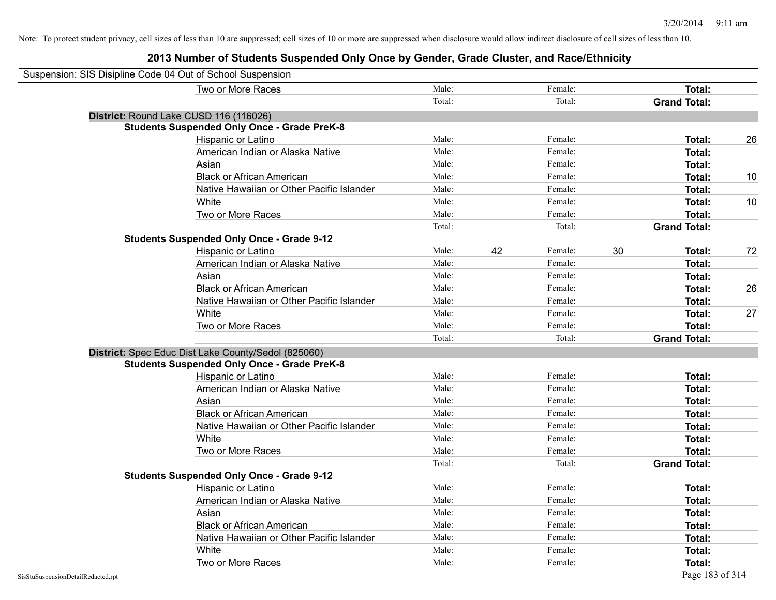| Suspension: SIS Disipline Code 04 Out of School Suspension |                                                     |        |    |         |    |                     |    |
|------------------------------------------------------------|-----------------------------------------------------|--------|----|---------|----|---------------------|----|
|                                                            | Two or More Races                                   | Male:  |    | Female: |    | Total:              |    |
|                                                            |                                                     | Total: |    | Total:  |    | <b>Grand Total:</b> |    |
| District: Round Lake CUSD 116 (116026)                     |                                                     |        |    |         |    |                     |    |
|                                                            | <b>Students Suspended Only Once - Grade PreK-8</b>  |        |    |         |    |                     |    |
|                                                            | Hispanic or Latino                                  | Male:  |    | Female: |    | Total:              | 26 |
|                                                            | American Indian or Alaska Native                    | Male:  |    | Female: |    | Total:              |    |
|                                                            | Asian                                               | Male:  |    | Female: |    | Total:              |    |
|                                                            | <b>Black or African American</b>                    | Male:  |    | Female: |    | <b>Total:</b>       | 10 |
|                                                            | Native Hawaiian or Other Pacific Islander           | Male:  |    | Female: |    | <b>Total:</b>       |    |
|                                                            | White                                               | Male:  |    | Female: |    | <b>Total:</b>       | 10 |
|                                                            | Two or More Races                                   | Male:  |    | Female: |    | Total:              |    |
|                                                            |                                                     | Total: |    | Total:  |    | <b>Grand Total:</b> |    |
|                                                            | <b>Students Suspended Only Once - Grade 9-12</b>    |        |    |         |    |                     |    |
|                                                            | Hispanic or Latino                                  | Male:  | 42 | Female: | 30 | Total:              | 72 |
|                                                            | American Indian or Alaska Native                    | Male:  |    | Female: |    | <b>Total:</b>       |    |
|                                                            | Asian                                               | Male:  |    | Female: |    | Total:              |    |
|                                                            | <b>Black or African American</b>                    | Male:  |    | Female: |    | Total:              | 26 |
|                                                            | Native Hawaiian or Other Pacific Islander           | Male:  |    | Female: |    | Total:              |    |
|                                                            | White                                               | Male:  |    | Female: |    | Total:              | 27 |
|                                                            | Two or More Races                                   | Male:  |    | Female: |    | Total:              |    |
|                                                            |                                                     | Total: |    | Total:  |    | <b>Grand Total:</b> |    |
|                                                            | District: Spec Educ Dist Lake County/Sedol (825060) |        |    |         |    |                     |    |
|                                                            | <b>Students Suspended Only Once - Grade PreK-8</b>  |        |    |         |    |                     |    |
|                                                            | Hispanic or Latino                                  | Male:  |    | Female: |    | Total:              |    |
|                                                            | American Indian or Alaska Native                    | Male:  |    | Female: |    | Total:              |    |
|                                                            | Asian                                               | Male:  |    | Female: |    | Total:              |    |
|                                                            | <b>Black or African American</b>                    | Male:  |    | Female: |    | Total:              |    |
|                                                            | Native Hawaiian or Other Pacific Islander           | Male:  |    | Female: |    | Total:              |    |
|                                                            | White                                               | Male:  |    | Female: |    | <b>Total:</b>       |    |
|                                                            | Two or More Races                                   | Male:  |    | Female: |    | Total:              |    |
|                                                            |                                                     | Total: |    | Total:  |    | <b>Grand Total:</b> |    |
|                                                            | <b>Students Suspended Only Once - Grade 9-12</b>    |        |    |         |    |                     |    |
|                                                            | Hispanic or Latino                                  | Male:  |    | Female: |    | Total:              |    |
|                                                            | American Indian or Alaska Native                    | Male:  |    | Female: |    | Total:              |    |
|                                                            | Asian                                               | Male:  |    | Female: |    | Total:              |    |
|                                                            | <b>Black or African American</b>                    | Male:  |    | Female: |    | Total:              |    |
|                                                            | Native Hawaiian or Other Pacific Islander           | Male:  |    | Female: |    | Total:              |    |
|                                                            | White                                               | Male:  |    | Female: |    | <b>Total:</b>       |    |
|                                                            | Two or More Races                                   | Male:  |    | Female: |    | Total:              |    |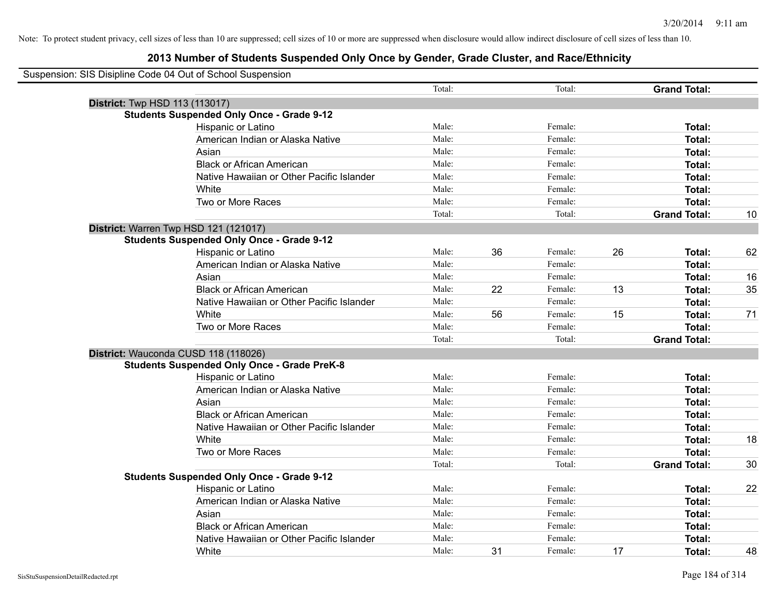### **2013 Number of Students Suspended Only Once by Gender, Grade Cluster, and Race/Ethnicity**

| Suspension: SIS Disipline Code 04 Out of School Suspension |        |    |         |    |                     |    |
|------------------------------------------------------------|--------|----|---------|----|---------------------|----|
|                                                            | Total: |    | Total:  |    | <b>Grand Total:</b> |    |
| District: Twp HSD 113 (113017)                             |        |    |         |    |                     |    |
| <b>Students Suspended Only Once - Grade 9-12</b>           |        |    |         |    |                     |    |
| Hispanic or Latino                                         | Male:  |    | Female: |    | Total:              |    |
| American Indian or Alaska Native                           | Male:  |    | Female: |    | Total:              |    |
| Asian                                                      | Male:  |    | Female: |    | Total:              |    |
| <b>Black or African American</b>                           | Male:  |    | Female: |    | Total:              |    |
| Native Hawaiian or Other Pacific Islander                  | Male:  |    | Female: |    | Total:              |    |
| White                                                      | Male:  |    | Female: |    | Total:              |    |
| Two or More Races                                          | Male:  |    | Female: |    | Total:              |    |
|                                                            | Total: |    | Total:  |    | <b>Grand Total:</b> | 10 |
| District: Warren Twp HSD 121 (121017)                      |        |    |         |    |                     |    |
| <b>Students Suspended Only Once - Grade 9-12</b>           |        |    |         |    |                     |    |
| Hispanic or Latino                                         | Male:  | 36 | Female: | 26 | Total:              | 62 |
| American Indian or Alaska Native                           | Male:  |    | Female: |    | Total:              |    |
| Asian                                                      | Male:  |    | Female: |    | Total:              | 16 |
| <b>Black or African American</b>                           | Male:  | 22 | Female: | 13 | Total:              | 35 |
| Native Hawaiian or Other Pacific Islander                  | Male:  |    | Female: |    | Total:              |    |
| White                                                      | Male:  | 56 | Female: | 15 | Total:              | 71 |
| Two or More Races                                          | Male:  |    | Female: |    | Total:              |    |
|                                                            | Total: |    | Total:  |    | <b>Grand Total:</b> |    |
| District: Wauconda CUSD 118 (118026)                       |        |    |         |    |                     |    |
| <b>Students Suspended Only Once - Grade PreK-8</b>         |        |    |         |    |                     |    |
| Hispanic or Latino                                         | Male:  |    | Female: |    | Total:              |    |
| American Indian or Alaska Native                           | Male:  |    | Female: |    | <b>Total:</b>       |    |
| Asian                                                      | Male:  |    | Female: |    | Total:              |    |
| <b>Black or African American</b>                           | Male:  |    | Female: |    | Total:              |    |
| Native Hawaiian or Other Pacific Islander                  | Male:  |    | Female: |    | Total:              |    |
| White                                                      | Male:  |    | Female: |    | Total:              | 18 |
| Two or More Races                                          | Male:  |    | Female: |    | Total:              |    |
|                                                            | Total: |    | Total:  |    | <b>Grand Total:</b> | 30 |
| <b>Students Suspended Only Once - Grade 9-12</b>           |        |    |         |    |                     |    |
| Hispanic or Latino                                         | Male:  |    | Female: |    | Total:              | 22 |
| American Indian or Alaska Native                           | Male:  |    | Female: |    | Total:              |    |
| Asian                                                      | Male:  |    | Female: |    | Total:              |    |
| <b>Black or African American</b>                           | Male:  |    | Female: |    | Total:              |    |
| Native Hawaiian or Other Pacific Islander                  | Male:  |    | Female: |    | <b>Total:</b>       |    |
| White                                                      | Male:  | 31 | Female: | 17 | Total:              | 48 |

 $\blacksquare$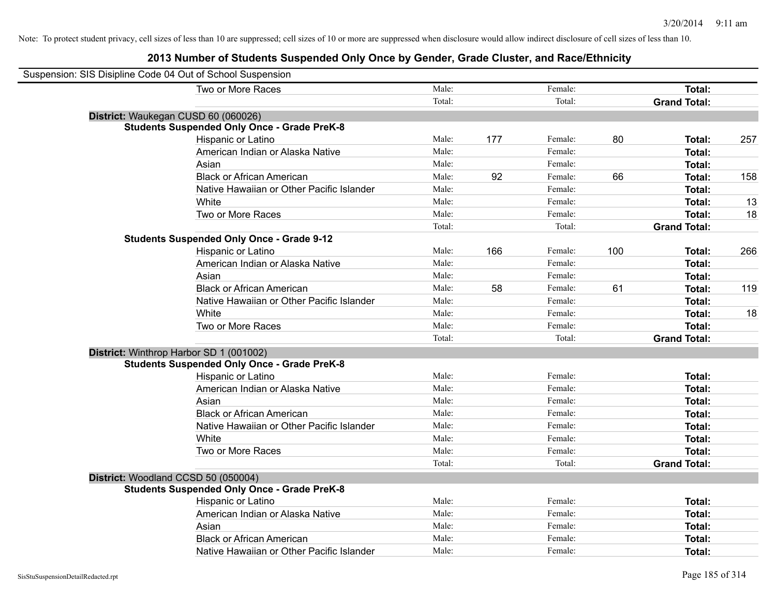| Suspension: SIS Disipline Code 04 Out of School Suspension |                                                    |        |     |         |     |                     |     |
|------------------------------------------------------------|----------------------------------------------------|--------|-----|---------|-----|---------------------|-----|
|                                                            | Two or More Races                                  | Male:  |     | Female: |     | <b>Total:</b>       |     |
|                                                            |                                                    | Total: |     | Total:  |     | <b>Grand Total:</b> |     |
|                                                            | District: Waukegan CUSD 60 (060026)                |        |     |         |     |                     |     |
|                                                            | <b>Students Suspended Only Once - Grade PreK-8</b> |        |     |         |     |                     |     |
|                                                            | Hispanic or Latino                                 | Male:  | 177 | Female: | 80  | Total:              | 257 |
|                                                            | American Indian or Alaska Native                   | Male:  |     | Female: |     | Total:              |     |
|                                                            | Asian                                              | Male:  |     | Female: |     | Total:              |     |
|                                                            | <b>Black or African American</b>                   | Male:  | 92  | Female: | 66  | Total:              | 158 |
|                                                            | Native Hawaiian or Other Pacific Islander          | Male:  |     | Female: |     | Total:              |     |
|                                                            | White                                              | Male:  |     | Female: |     | Total:              | 13  |
|                                                            | Two or More Races                                  | Male:  |     | Female: |     | Total:              | 18  |
|                                                            |                                                    | Total: |     | Total:  |     | <b>Grand Total:</b> |     |
|                                                            | <b>Students Suspended Only Once - Grade 9-12</b>   |        |     |         |     |                     |     |
|                                                            | Hispanic or Latino                                 | Male:  | 166 | Female: | 100 | Total:              | 266 |
|                                                            | American Indian or Alaska Native                   | Male:  |     | Female: |     | Total:              |     |
|                                                            | Asian                                              | Male:  |     | Female: |     | Total:              |     |
|                                                            | <b>Black or African American</b>                   | Male:  | 58  | Female: | 61  | Total:              | 119 |
|                                                            | Native Hawaiian or Other Pacific Islander          | Male:  |     | Female: |     | Total:              |     |
|                                                            | White                                              | Male:  |     | Female: |     | Total:              | 18  |
|                                                            | Two or More Races                                  | Male:  |     | Female: |     | Total:              |     |
|                                                            |                                                    | Total: |     | Total:  |     | <b>Grand Total:</b> |     |
|                                                            | District: Winthrop Harbor SD 1 (001002)            |        |     |         |     |                     |     |
|                                                            | <b>Students Suspended Only Once - Grade PreK-8</b> |        |     |         |     |                     |     |
|                                                            | <b>Hispanic or Latino</b>                          | Male:  |     | Female: |     | Total:              |     |
|                                                            | American Indian or Alaska Native                   | Male:  |     | Female: |     | Total:              |     |
|                                                            | Asian                                              | Male:  |     | Female: |     | Total:              |     |
|                                                            | <b>Black or African American</b>                   | Male:  |     | Female: |     | Total:              |     |
|                                                            | Native Hawaiian or Other Pacific Islander          | Male:  |     | Female: |     | Total:              |     |
|                                                            | White                                              | Male:  |     | Female: |     | Total:              |     |
|                                                            | Two or More Races                                  | Male:  |     | Female: |     | Total:              |     |
|                                                            |                                                    | Total: |     | Total:  |     | <b>Grand Total:</b> |     |
|                                                            | District: Woodland CCSD 50 (050004)                |        |     |         |     |                     |     |
|                                                            | <b>Students Suspended Only Once - Grade PreK-8</b> |        |     |         |     |                     |     |
|                                                            | Hispanic or Latino                                 | Male:  |     | Female: |     | Total:              |     |
|                                                            | American Indian or Alaska Native                   | Male:  |     | Female: |     | Total:              |     |
|                                                            | Asian                                              | Male:  |     | Female: |     | Total:              |     |
|                                                            | <b>Black or African American</b>                   | Male:  |     | Female: |     | Total:              |     |
|                                                            | Native Hawaiian or Other Pacific Islander          | Male:  |     | Female: |     | Total:              |     |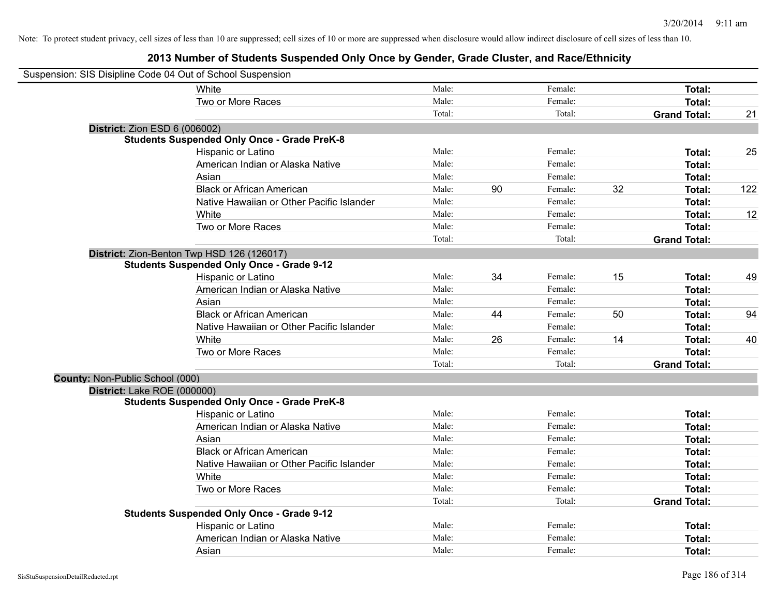| Suspension: SIS Disipline Code 04 Out of School Suspension |                                                    |        |    |         |    |                     |     |
|------------------------------------------------------------|----------------------------------------------------|--------|----|---------|----|---------------------|-----|
|                                                            | White                                              | Male:  |    | Female: |    | Total:              |     |
|                                                            | Two or More Races                                  | Male:  |    | Female: |    | Total:              |     |
|                                                            |                                                    | Total: |    | Total:  |    | <b>Grand Total:</b> | 21  |
| <b>District: Zion ESD 6 (006002)</b>                       |                                                    |        |    |         |    |                     |     |
|                                                            | <b>Students Suspended Only Once - Grade PreK-8</b> |        |    |         |    |                     |     |
|                                                            | Hispanic or Latino                                 | Male:  |    | Female: |    | Total:              | 25  |
|                                                            | American Indian or Alaska Native                   | Male:  |    | Female: |    | Total:              |     |
|                                                            | Asian                                              | Male:  |    | Female: |    | Total:              |     |
|                                                            | <b>Black or African American</b>                   | Male:  | 90 | Female: | 32 | Total:              | 122 |
|                                                            | Native Hawaiian or Other Pacific Islander          | Male:  |    | Female: |    | Total:              |     |
|                                                            | White                                              | Male:  |    | Female: |    | Total:              | 12  |
|                                                            | Two or More Races                                  | Male:  |    | Female: |    | Total:              |     |
|                                                            |                                                    | Total: |    | Total:  |    | <b>Grand Total:</b> |     |
|                                                            | District: Zion-Benton Twp HSD 126 (126017)         |        |    |         |    |                     |     |
|                                                            | <b>Students Suspended Only Once - Grade 9-12</b>   |        |    |         |    |                     |     |
|                                                            | Hispanic or Latino                                 | Male:  | 34 | Female: | 15 | Total:              | 49  |
|                                                            | American Indian or Alaska Native                   | Male:  |    | Female: |    | Total:              |     |
|                                                            | Asian                                              | Male:  |    | Female: |    | Total:              |     |
|                                                            | <b>Black or African American</b>                   | Male:  | 44 | Female: | 50 | Total:              | 94  |
|                                                            | Native Hawaiian or Other Pacific Islander          | Male:  |    | Female: |    | Total:              |     |
|                                                            | White                                              | Male:  | 26 | Female: | 14 | Total:              | 40  |
|                                                            | Two or More Races                                  | Male:  |    | Female: |    | Total:              |     |
|                                                            |                                                    | Total: |    | Total:  |    | <b>Grand Total:</b> |     |
| County: Non-Public School (000)                            |                                                    |        |    |         |    |                     |     |
| District: Lake ROE (000000)                                |                                                    |        |    |         |    |                     |     |
|                                                            | <b>Students Suspended Only Once - Grade PreK-8</b> |        |    |         |    |                     |     |
|                                                            | Hispanic or Latino                                 | Male:  |    | Female: |    | Total:              |     |
|                                                            | American Indian or Alaska Native                   | Male:  |    | Female: |    | Total:              |     |
|                                                            | Asian                                              | Male:  |    | Female: |    | Total:              |     |
|                                                            | <b>Black or African American</b>                   | Male:  |    | Female: |    | Total:              |     |
|                                                            | Native Hawaiian or Other Pacific Islander          | Male:  |    | Female: |    | Total:              |     |
|                                                            | White                                              | Male:  |    | Female: |    | Total:              |     |
|                                                            | Two or More Races                                  | Male:  |    | Female: |    | Total:              |     |
|                                                            |                                                    | Total: |    | Total:  |    | <b>Grand Total:</b> |     |
|                                                            | <b>Students Suspended Only Once - Grade 9-12</b>   |        |    |         |    |                     |     |
|                                                            | Hispanic or Latino                                 | Male:  |    | Female: |    | Total:              |     |
|                                                            | American Indian or Alaska Native                   | Male:  |    | Female: |    | Total:              |     |
|                                                            | Asian                                              | Male:  |    | Female: |    | Total:              |     |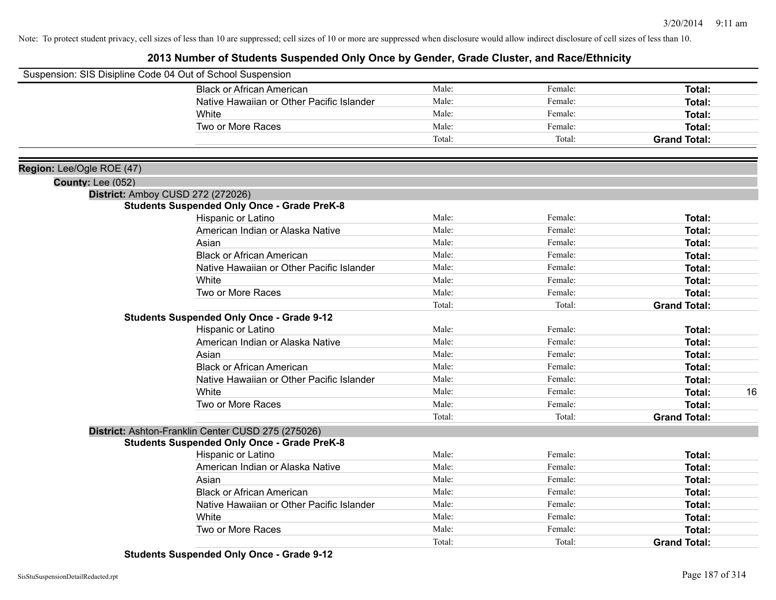### **2013 Number of Students Suspended Only Once by Gender, Grade Cluster, and Race/Ethnicity**

|                           | Suspension: SIS Disipline Code 04 Out of School Suspension |                |         |                     |
|---------------------------|------------------------------------------------------------|----------------|---------|---------------------|
|                           | <b>Black or African American</b>                           | Male:          | Female: | Total:              |
|                           | Native Hawaiian or Other Pacific Islander                  | Male:          | Female: | Total:              |
|                           | White                                                      | Male:          | Female: | Total:              |
|                           | Two or More Races                                          | Male:          | Female: | Total:              |
|                           |                                                            | Total:         | Total:  | <b>Grand Total:</b> |
|                           |                                                            |                |         |                     |
| Region: Lee/Ogle ROE (47) |                                                            |                |         |                     |
| County: Lee (052)         |                                                            |                |         |                     |
|                           | District: Amboy CUSD 272 (272026)                          |                |         |                     |
|                           | <b>Students Suspended Only Once - Grade PreK-8</b>         |                |         |                     |
|                           | Hispanic or Latino                                         | Male:          | Female: | <b>Total:</b>       |
|                           | American Indian or Alaska Native                           | Male:          | Female: | <b>Total:</b>       |
|                           | Asian                                                      | Male:          | Female: | Total:              |
|                           | <b>Black or African American</b>                           | Male:          | Female: | Total:              |
|                           | Native Hawaiian or Other Pacific Islander                  | Male:          | Female: | Total:              |
|                           | White                                                      | Male:          | Female: | Total:              |
|                           | Two or More Races                                          | Male:          | Female: | Total:              |
|                           |                                                            | Total:         | Total:  | <b>Grand Total:</b> |
|                           | <b>Students Suspended Only Once - Grade 9-12</b>           |                |         |                     |
|                           | Hispanic or Latino                                         | Male:<br>Male: | Female: | Total:              |
|                           | American Indian or Alaska Native                           |                | Female: | Total:              |
|                           | Asian                                                      | Male:          | Female: | Total:              |
|                           | <b>Black or African American</b>                           | Male:          | Female: | Total:              |
|                           | Native Hawaiian or Other Pacific Islander                  | Male:          | Female: | Total:              |
|                           | White                                                      | Male:          | Female: | 16<br>Total:        |
|                           | Two or More Races                                          | Male:          | Female: | Total:              |
|                           |                                                            | Total:         | Total:  | <b>Grand Total:</b> |
|                           | District: Ashton-Franklin Center CUSD 275 (275026)         |                |         |                     |
|                           | <b>Students Suspended Only Once - Grade PreK-8</b>         |                |         |                     |
|                           | Hispanic or Latino                                         | Male:          | Female: | Total:              |
|                           | American Indian or Alaska Native                           | Male:          | Female: | Total:              |
|                           | Asian                                                      | Male:          | Female: | Total:              |
|                           | <b>Black or African American</b>                           | Male:          | Female: | Total:              |
|                           | Native Hawaiian or Other Pacific Islander                  | Male:          | Female: | Total:              |
|                           | White                                                      | Male:          | Female: | Total:              |
|                           | Two or More Races                                          | Male:          | Female: | Total:              |
|                           |                                                            | Total:         | Total:  | <b>Grand Total:</b> |

**Students Suspended Only Once - Grade 9-12**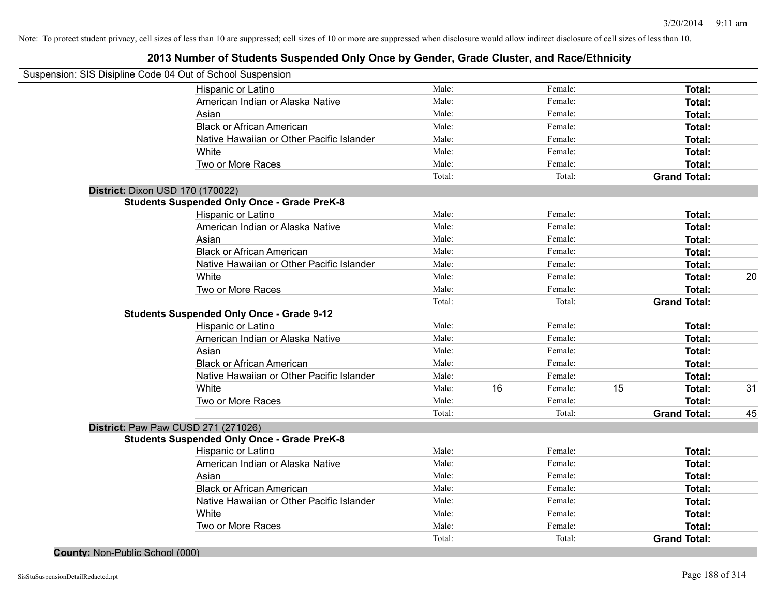### **2013 Number of Students Suspended Only Once by Gender, Grade Cluster, and Race/Ethnicity**

| Suspension: SIS Disipline Code 04 Out of School Suspension |                                                    |        |    |         |    |                     |    |
|------------------------------------------------------------|----------------------------------------------------|--------|----|---------|----|---------------------|----|
|                                                            | Hispanic or Latino                                 | Male:  |    | Female: |    | Total:              |    |
|                                                            | American Indian or Alaska Native                   | Male:  |    | Female: |    | Total:              |    |
|                                                            | Asian                                              | Male:  |    | Female: |    | Total:              |    |
|                                                            | <b>Black or African American</b>                   | Male:  |    | Female: |    | Total:              |    |
|                                                            | Native Hawaiian or Other Pacific Islander          | Male:  |    | Female: |    | Total:              |    |
|                                                            | White                                              | Male:  |    | Female: |    | Total:              |    |
|                                                            | Two or More Races                                  | Male:  |    | Female: |    | Total:              |    |
|                                                            |                                                    | Total: |    | Total:  |    | <b>Grand Total:</b> |    |
| District: Dixon USD 170 (170022)                           |                                                    |        |    |         |    |                     |    |
|                                                            | <b>Students Suspended Only Once - Grade PreK-8</b> |        |    |         |    |                     |    |
|                                                            | Hispanic or Latino                                 | Male:  |    | Female: |    | Total:              |    |
|                                                            | American Indian or Alaska Native                   | Male:  |    | Female: |    | Total:              |    |
|                                                            | Asian                                              | Male:  |    | Female: |    | Total:              |    |
|                                                            | <b>Black or African American</b>                   | Male:  |    | Female: |    | Total:              |    |
|                                                            | Native Hawaiian or Other Pacific Islander          | Male:  |    | Female: |    | Total:              |    |
|                                                            | White                                              | Male:  |    | Female: |    | Total:              | 20 |
|                                                            | Two or More Races                                  | Male:  |    | Female: |    | Total:              |    |
|                                                            |                                                    | Total: |    | Total:  |    | <b>Grand Total:</b> |    |
|                                                            | <b>Students Suspended Only Once - Grade 9-12</b>   |        |    |         |    |                     |    |
|                                                            | Hispanic or Latino                                 | Male:  |    | Female: |    | Total:              |    |
|                                                            | American Indian or Alaska Native                   | Male:  |    | Female: |    | Total:              |    |
|                                                            | Asian                                              | Male:  |    | Female: |    | Total:              |    |
|                                                            | <b>Black or African American</b>                   | Male:  |    | Female: |    | Total:              |    |
|                                                            | Native Hawaiian or Other Pacific Islander          | Male:  |    | Female: |    | Total:              |    |
|                                                            | White                                              | Male:  | 16 | Female: | 15 | Total:              | 31 |
|                                                            | Two or More Races                                  | Male:  |    | Female: |    | Total:              |    |
|                                                            |                                                    | Total: |    | Total:  |    | <b>Grand Total:</b> | 45 |
| District: Paw Paw CUSD 271 (271026)                        |                                                    |        |    |         |    |                     |    |
|                                                            | <b>Students Suspended Only Once - Grade PreK-8</b> |        |    |         |    |                     |    |
|                                                            | Hispanic or Latino                                 | Male:  |    | Female: |    | Total:              |    |
|                                                            | American Indian or Alaska Native                   | Male:  |    | Female: |    | Total:              |    |
|                                                            | Asian                                              | Male:  |    | Female: |    | Total:              |    |
|                                                            | <b>Black or African American</b>                   | Male:  |    | Female: |    | Total:              |    |
|                                                            | Native Hawaiian or Other Pacific Islander          | Male:  |    | Female: |    | Total:              |    |
|                                                            | White                                              | Male:  |    | Female: |    | Total:              |    |
|                                                            | Two or More Races                                  | Male:  |    | Female: |    | Total:              |    |
|                                                            |                                                    | Total: |    | Total:  |    | <b>Grand Total:</b> |    |

**County:** Non-Public School (000)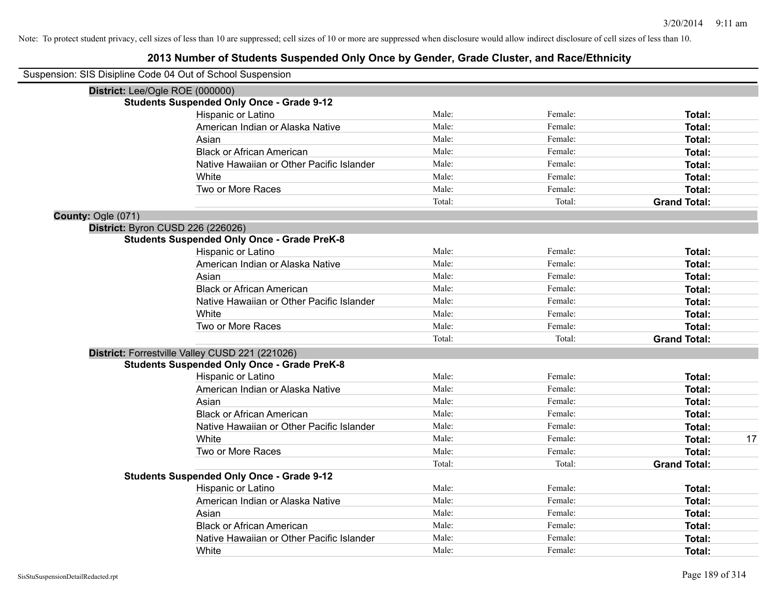|                    | Suspension: SIS Disipline Code 04 Out of School Suspension |        |         |                     |    |
|--------------------|------------------------------------------------------------|--------|---------|---------------------|----|
|                    | District: Lee/Ogle ROE (000000)                            |        |         |                     |    |
|                    | <b>Students Suspended Only Once - Grade 9-12</b>           |        |         |                     |    |
|                    | Hispanic or Latino                                         | Male:  | Female: | Total:              |    |
|                    | American Indian or Alaska Native                           | Male:  | Female: | Total:              |    |
|                    | Asian                                                      | Male:  | Female: | Total:              |    |
|                    | <b>Black or African American</b>                           | Male:  | Female: | Total:              |    |
|                    | Native Hawaiian or Other Pacific Islander                  | Male:  | Female: | Total:              |    |
|                    | White                                                      | Male:  | Female: | Total:              |    |
|                    | Two or More Races                                          | Male:  | Female: | Total:              |    |
|                    |                                                            | Total: | Total:  | <b>Grand Total:</b> |    |
| County: Ogle (071) |                                                            |        |         |                     |    |
|                    | District: Byron CUSD 226 (226026)                          |        |         |                     |    |
|                    | <b>Students Suspended Only Once - Grade PreK-8</b>         |        |         |                     |    |
|                    | Hispanic or Latino                                         | Male:  | Female: | Total:              |    |
|                    | American Indian or Alaska Native                           | Male:  | Female: | Total:              |    |
|                    | Asian                                                      | Male:  | Female: | Total:              |    |
|                    | <b>Black or African American</b>                           | Male:  | Female: | Total:              |    |
|                    | Native Hawaiian or Other Pacific Islander                  | Male:  | Female: | Total:              |    |
|                    | White                                                      | Male:  | Female: | Total:              |    |
|                    | Two or More Races                                          | Male:  | Female: | Total:              |    |
|                    |                                                            | Total: | Total:  | <b>Grand Total:</b> |    |
|                    | District: Forrestville Valley CUSD 221 (221026)            |        |         |                     |    |
|                    | <b>Students Suspended Only Once - Grade PreK-8</b>         |        |         |                     |    |
|                    | Hispanic or Latino                                         | Male:  | Female: | Total:              |    |
|                    | American Indian or Alaska Native                           | Male:  | Female: | Total:              |    |
|                    | Asian                                                      | Male:  | Female: | Total:              |    |
|                    | <b>Black or African American</b>                           | Male:  | Female: | Total:              |    |
|                    | Native Hawaiian or Other Pacific Islander                  | Male:  | Female: | Total:              |    |
|                    | White                                                      | Male:  | Female: | Total:              | 17 |
|                    | Two or More Races                                          | Male:  | Female: | Total:              |    |
|                    |                                                            | Total: | Total:  | <b>Grand Total:</b> |    |
|                    | <b>Students Suspended Only Once - Grade 9-12</b>           |        |         |                     |    |
|                    | Hispanic or Latino                                         | Male:  | Female: | Total:              |    |
|                    | American Indian or Alaska Native                           | Male:  | Female: | Total:              |    |
|                    | Asian                                                      | Male:  | Female: | Total:              |    |
|                    | <b>Black or African American</b>                           | Male:  | Female: | Total:              |    |
|                    | Native Hawaiian or Other Pacific Islander                  | Male:  | Female: | Total:              |    |
|                    | White                                                      | Male:  | Female: | Total:              |    |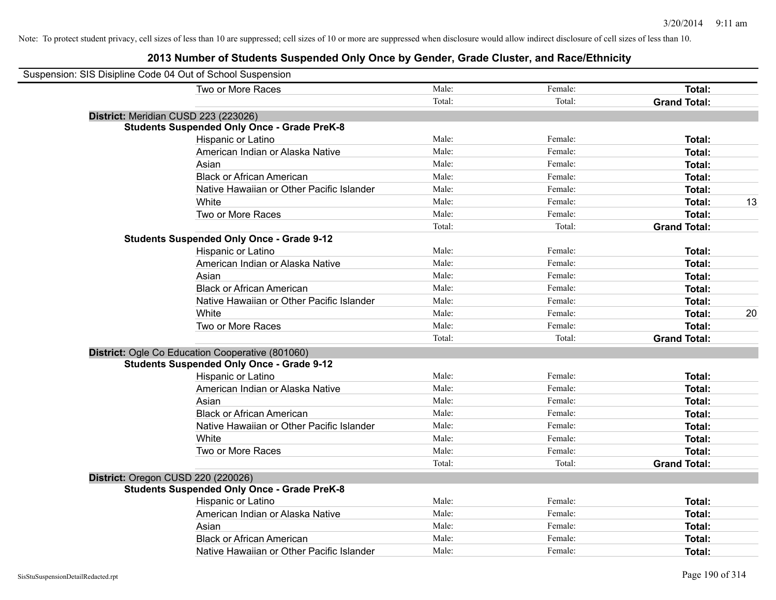| Suspension: SIS Disipline Code 04 Out of School Suspension |                                                    |        |         |                     |
|------------------------------------------------------------|----------------------------------------------------|--------|---------|---------------------|
|                                                            | Two or More Races                                  | Male:  | Female: | Total:              |
|                                                            |                                                    | Total: | Total:  | <b>Grand Total:</b> |
|                                                            | District: Meridian CUSD 223 (223026)               |        |         |                     |
|                                                            | <b>Students Suspended Only Once - Grade PreK-8</b> |        |         |                     |
|                                                            | Hispanic or Latino                                 | Male:  | Female: | Total:              |
|                                                            | American Indian or Alaska Native                   | Male:  | Female: | Total:              |
|                                                            | Asian                                              | Male:  | Female: | Total:              |
|                                                            | <b>Black or African American</b>                   | Male:  | Female: | Total:              |
|                                                            | Native Hawaiian or Other Pacific Islander          | Male:  | Female: | Total:              |
|                                                            | White                                              | Male:  | Female: | 13<br>Total:        |
|                                                            | Two or More Races                                  | Male:  | Female: | Total:              |
|                                                            |                                                    | Total: | Total:  | <b>Grand Total:</b> |
|                                                            | <b>Students Suspended Only Once - Grade 9-12</b>   |        |         |                     |
|                                                            | Hispanic or Latino                                 | Male:  | Female: | Total:              |
|                                                            | American Indian or Alaska Native                   | Male:  | Female: | Total:              |
|                                                            | Asian                                              | Male:  | Female: | Total:              |
|                                                            | <b>Black or African American</b>                   | Male:  | Female: | Total:              |
|                                                            | Native Hawaiian or Other Pacific Islander          | Male:  | Female: | Total:              |
|                                                            | White                                              | Male:  | Female: | 20<br>Total:        |
|                                                            | Two or More Races                                  | Male:  | Female: | Total:              |
|                                                            |                                                    | Total: | Total:  | <b>Grand Total:</b> |
|                                                            | District: Ogle Co Education Cooperative (801060)   |        |         |                     |
|                                                            | <b>Students Suspended Only Once - Grade 9-12</b>   |        |         |                     |
|                                                            | Hispanic or Latino                                 | Male:  | Female: | Total:              |
|                                                            | American Indian or Alaska Native                   | Male:  | Female: | Total:              |
|                                                            | Asian                                              | Male:  | Female: | Total:              |
|                                                            | <b>Black or African American</b>                   | Male:  | Female: | Total:              |
|                                                            | Native Hawaiian or Other Pacific Islander          | Male:  | Female: | Total:              |
|                                                            | White                                              | Male:  | Female: | Total:              |
|                                                            | Two or More Races                                  | Male:  | Female: | Total:              |
|                                                            |                                                    | Total: | Total:  | <b>Grand Total:</b> |
|                                                            | District: Oregon CUSD 220 (220026)                 |        |         |                     |
|                                                            | <b>Students Suspended Only Once - Grade PreK-8</b> |        |         |                     |
|                                                            | Hispanic or Latino                                 | Male:  | Female: | Total:              |
|                                                            | American Indian or Alaska Native                   | Male:  | Female: | Total:              |
|                                                            | Asian                                              | Male:  | Female: | Total:              |
|                                                            | <b>Black or African American</b>                   | Male:  | Female: | Total:              |
|                                                            | Native Hawaiian or Other Pacific Islander          | Male:  | Female: | Total:              |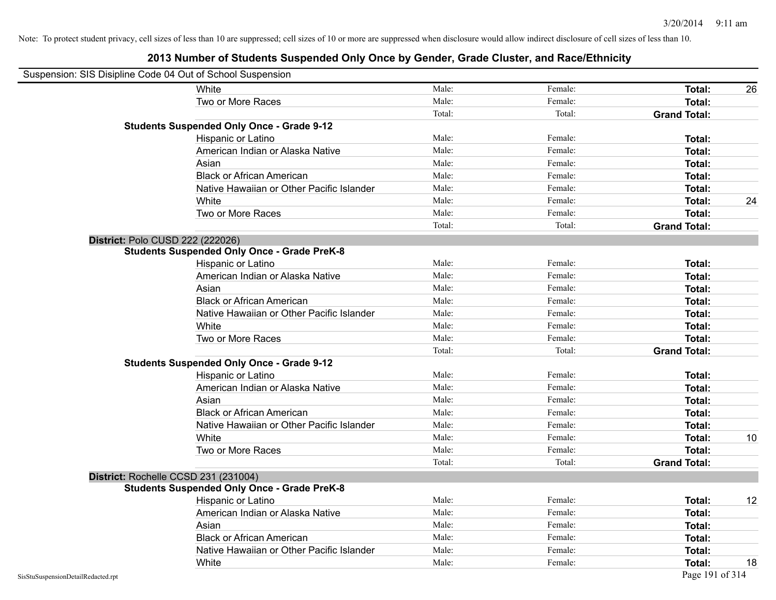| Suspension: SIS Disipline Code 04 Out of School Suspension |                                                    |        |         |                     |    |
|------------------------------------------------------------|----------------------------------------------------|--------|---------|---------------------|----|
|                                                            | White                                              | Male:  | Female: | Total:              | 26 |
|                                                            | Two or More Races                                  | Male:  | Female: | Total:              |    |
|                                                            |                                                    | Total: | Total:  | <b>Grand Total:</b> |    |
|                                                            | <b>Students Suspended Only Once - Grade 9-12</b>   |        |         |                     |    |
|                                                            | Hispanic or Latino                                 | Male:  | Female: | Total:              |    |
|                                                            | American Indian or Alaska Native                   | Male:  | Female: | Total:              |    |
|                                                            | Asian                                              | Male:  | Female: | Total:              |    |
|                                                            | <b>Black or African American</b>                   | Male:  | Female: | Total:              |    |
|                                                            | Native Hawaiian or Other Pacific Islander          | Male:  | Female: | Total:              |    |
|                                                            | White                                              | Male:  | Female: | Total:              | 24 |
|                                                            | Two or More Races                                  | Male:  | Female: | Total:              |    |
|                                                            |                                                    | Total: | Total:  | <b>Grand Total:</b> |    |
|                                                            | District: Polo CUSD 222 (222026)                   |        |         |                     |    |
|                                                            | <b>Students Suspended Only Once - Grade PreK-8</b> |        |         |                     |    |
|                                                            | Hispanic or Latino                                 | Male:  | Female: | Total:              |    |
|                                                            | American Indian or Alaska Native                   | Male:  | Female: | Total:              |    |
|                                                            | Asian                                              | Male:  | Female: | Total:              |    |
|                                                            | <b>Black or African American</b>                   | Male:  | Female: | Total:              |    |
|                                                            | Native Hawaiian or Other Pacific Islander          | Male:  | Female: | Total:              |    |
|                                                            | White                                              | Male:  | Female: | Total:              |    |
|                                                            | Two or More Races                                  | Male:  | Female: | Total:              |    |
|                                                            |                                                    | Total: | Total:  | <b>Grand Total:</b> |    |
|                                                            | <b>Students Suspended Only Once - Grade 9-12</b>   |        |         |                     |    |
|                                                            | Hispanic or Latino                                 | Male:  | Female: | Total:              |    |
|                                                            | American Indian or Alaska Native                   | Male:  | Female: | Total:              |    |
|                                                            | Asian                                              | Male:  | Female: | Total:              |    |
|                                                            | <b>Black or African American</b>                   | Male:  | Female: | Total:              |    |
|                                                            | Native Hawaiian or Other Pacific Islander          | Male:  | Female: | Total:              |    |
|                                                            | White                                              | Male:  | Female: | Total:              | 10 |
|                                                            | Two or More Races                                  | Male:  | Female: | Total:              |    |
|                                                            |                                                    | Total: | Total:  | <b>Grand Total:</b> |    |
|                                                            | District: Rochelle CCSD 231 (231004)               |        |         |                     |    |
|                                                            | <b>Students Suspended Only Once - Grade PreK-8</b> |        |         |                     |    |
|                                                            | <b>Hispanic or Latino</b>                          | Male:  | Female: | Total:              | 12 |
|                                                            | American Indian or Alaska Native                   | Male:  | Female: | Total:              |    |
|                                                            | Asian                                              | Male:  | Female: | Total:              |    |
|                                                            | <b>Black or African American</b>                   | Male:  | Female: | Total:              |    |
|                                                            | Native Hawaiian or Other Pacific Islander          | Male:  | Female: | Total:              |    |
|                                                            | White                                              | Male:  | Female: | Total:              | 18 |
| SisStuSuspensionDetailRedacted.rpt                         |                                                    |        |         | Page 191 of 314     |    |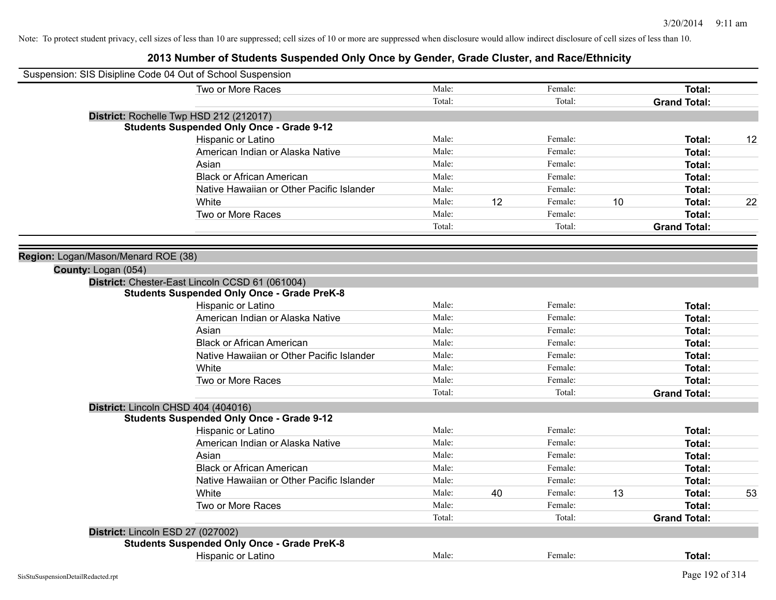| Suspension: SIS Disipline Code 04 Out of School Suspension |                                                    |        |    |         |    |                     |    |
|------------------------------------------------------------|----------------------------------------------------|--------|----|---------|----|---------------------|----|
|                                                            | Two or More Races                                  | Male:  |    | Female: |    | Total:              |    |
|                                                            |                                                    | Total: |    | Total:  |    | <b>Grand Total:</b> |    |
|                                                            | District: Rochelle Twp HSD 212 (212017)            |        |    |         |    |                     |    |
|                                                            | <b>Students Suspended Only Once - Grade 9-12</b>   |        |    |         |    |                     |    |
|                                                            | Hispanic or Latino                                 | Male:  |    | Female: |    | Total:              | 12 |
|                                                            | American Indian or Alaska Native                   | Male:  |    | Female: |    | Total:              |    |
|                                                            | Asian                                              | Male:  |    | Female: |    | Total:              |    |
|                                                            | <b>Black or African American</b>                   | Male:  |    | Female: |    | Total:              |    |
|                                                            | Native Hawaiian or Other Pacific Islander          | Male:  |    | Female: |    | Total:              |    |
|                                                            | White                                              | Male:  | 12 | Female: | 10 | Total:              | 22 |
|                                                            | Two or More Races                                  | Male:  |    | Female: |    | Total:              |    |
|                                                            |                                                    | Total: |    | Total:  |    | <b>Grand Total:</b> |    |
|                                                            |                                                    |        |    |         |    |                     |    |
| Region: Logan/Mason/Menard ROE (38)                        |                                                    |        |    |         |    |                     |    |
| County: Logan (054)                                        |                                                    |        |    |         |    |                     |    |
|                                                            | District: Chester-East Lincoln CCSD 61 (061004)    |        |    |         |    |                     |    |
|                                                            | <b>Students Suspended Only Once - Grade PreK-8</b> |        |    |         |    |                     |    |
|                                                            | Hispanic or Latino                                 | Male:  |    | Female: |    | Total:              |    |
|                                                            | American Indian or Alaska Native                   | Male:  |    | Female: |    | Total:              |    |
|                                                            | Asian                                              | Male:  |    | Female: |    | Total:              |    |
|                                                            | <b>Black or African American</b>                   | Male:  |    | Female: |    | Total:              |    |
|                                                            | Native Hawaiian or Other Pacific Islander          | Male:  |    | Female: |    | Total:              |    |
|                                                            | White                                              | Male:  |    | Female: |    | Total:              |    |
|                                                            | Two or More Races                                  | Male:  |    | Female: |    | Total:              |    |
|                                                            |                                                    | Total: |    | Total:  |    | <b>Grand Total:</b> |    |
|                                                            | District: Lincoln CHSD 404 (404016)                |        |    |         |    |                     |    |
|                                                            | <b>Students Suspended Only Once - Grade 9-12</b>   |        |    |         |    |                     |    |
|                                                            | Hispanic or Latino                                 | Male:  |    | Female: |    | Total:              |    |
|                                                            | American Indian or Alaska Native                   | Male:  |    | Female: |    | Total:              |    |
|                                                            | Asian                                              | Male:  |    | Female: |    | Total:              |    |
|                                                            | <b>Black or African American</b>                   | Male:  |    | Female: |    | Total:              |    |
|                                                            | Native Hawaiian or Other Pacific Islander          | Male:  |    | Female: |    | Total:              |    |
|                                                            | <b>White</b>                                       | Male:  | 40 | Female: | 13 | Total:              | 53 |
|                                                            | Two or More Races                                  | Male:  |    | Female: |    | Total:              |    |
|                                                            |                                                    | Total: |    | Total:  |    | <b>Grand Total:</b> |    |
| District: Lincoln ESD 27 (027002)                          |                                                    |        |    |         |    |                     |    |
|                                                            | <b>Students Suspended Only Once - Grade PreK-8</b> |        |    |         |    |                     |    |
|                                                            | Hispanic or Latino                                 | Male:  |    | Female: |    | Total:              |    |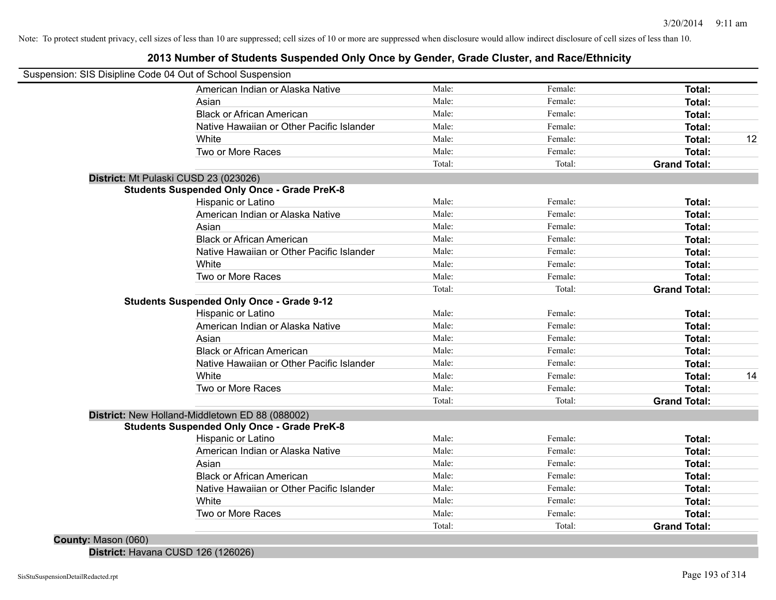# **2013 Number of Students Suspended Only Once by Gender, Grade Cluster, and Race/Ethnicity**

| Suspension: SIS Disipline Code 04 Out of School Suspension<br>American Indian or Alaska Native | Male:           | Female:           | Total:                        |    |
|------------------------------------------------------------------------------------------------|-----------------|-------------------|-------------------------------|----|
|                                                                                                | Male:           | Female:           |                               |    |
| Asian                                                                                          | Male:           | Female:           | Total:                        |    |
| <b>Black or African American</b>                                                               |                 |                   | Total:                        |    |
| Native Hawaiian or Other Pacific Islander                                                      | Male:           | Female:           | Total:                        |    |
| White                                                                                          | Male:           | Female:           | Total:                        | 12 |
| Two or More Races                                                                              | Male:<br>Total: | Female:<br>Total: | Total:<br><b>Grand Total:</b> |    |
|                                                                                                |                 |                   |                               |    |
| District: Mt Pulaski CUSD 23 (023026)                                                          |                 |                   |                               |    |
| <b>Students Suspended Only Once - Grade PreK-8</b>                                             | Male:           | Female:           |                               |    |
| Hispanic or Latino                                                                             | Male:           | Female:           | Total:                        |    |
| American Indian or Alaska Native                                                               |                 |                   | Total:                        |    |
| Asian                                                                                          | Male:<br>Male:  | Female:           | Total:                        |    |
| <b>Black or African American</b>                                                               |                 | Female:           | Total:                        |    |
| Native Hawaiian or Other Pacific Islander                                                      | Male:           | Female:           | <b>Total:</b>                 |    |
| White                                                                                          | Male:           | Female:           | <b>Total:</b>                 |    |
| Two or More Races                                                                              | Male:           | Female:           | <b>Total:</b>                 |    |
|                                                                                                | Total:          | Total:            | <b>Grand Total:</b>           |    |
| <b>Students Suspended Only Once - Grade 9-12</b>                                               |                 |                   |                               |    |
| Hispanic or Latino                                                                             | Male:           | Female:           | Total:                        |    |
| American Indian or Alaska Native                                                               | Male:           | Female:           | Total:                        |    |
| Asian                                                                                          | Male:           | Female:           | <b>Total:</b>                 |    |
| <b>Black or African American</b>                                                               | Male:           | Female:           | Total:                        |    |
| Native Hawaiian or Other Pacific Islander                                                      | Male:           | Female:           | Total:                        |    |
| White                                                                                          | Male:           | Female:           | Total:                        | 14 |
| Two or More Races                                                                              | Male:           | Female:           | Total:                        |    |
|                                                                                                | Total:          | Total:            | <b>Grand Total:</b>           |    |
| District: New Holland-Middletown ED 88 (088002)                                                |                 |                   |                               |    |
| <b>Students Suspended Only Once - Grade PreK-8</b>                                             |                 |                   |                               |    |
| Hispanic or Latino                                                                             | Male:           | Female:           | Total:                        |    |
| American Indian or Alaska Native                                                               | Male:           | Female:           | Total:                        |    |
| Asian                                                                                          | Male:           | Female:           | Total:                        |    |
| <b>Black or African American</b>                                                               | Male:           | Female:           | Total:                        |    |
| Native Hawaiian or Other Pacific Islander                                                      | Male:           | Female:           | Total:                        |    |
| White                                                                                          | Male:           | Female:           | <b>Total:</b>                 |    |
| Two or More Races                                                                              | Male:           | Female:           | Total:                        |    |
|                                                                                                | Total:          | Total:            | <b>Grand Total:</b>           |    |

**District:** Havana CUSD 126 (126026)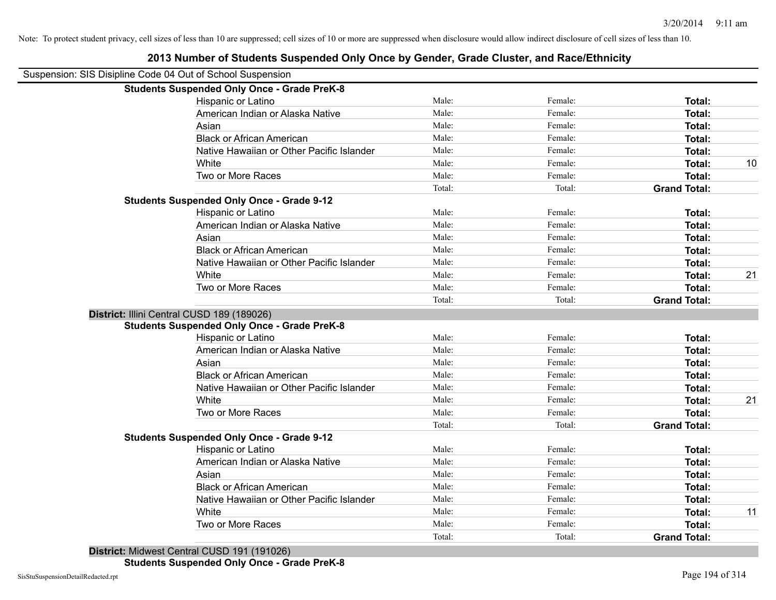| Suspension: SIS Disipline Code 04 Out of School Suspension |        |         |                     |    |
|------------------------------------------------------------|--------|---------|---------------------|----|
| <b>Students Suspended Only Once - Grade PreK-8</b>         |        |         |                     |    |
| Hispanic or Latino                                         | Male:  | Female: | Total:              |    |
| American Indian or Alaska Native                           | Male:  | Female: | Total:              |    |
| Asian                                                      | Male:  | Female: | Total:              |    |
| <b>Black or African American</b>                           | Male:  | Female: | Total:              |    |
| Native Hawaiian or Other Pacific Islander                  | Male:  | Female: | Total:              |    |
| White                                                      | Male:  | Female: | Total:              | 10 |
| Two or More Races                                          | Male:  | Female: | Total:              |    |
|                                                            | Total: | Total:  | <b>Grand Total:</b> |    |
| <b>Students Suspended Only Once - Grade 9-12</b>           |        |         |                     |    |
| Hispanic or Latino                                         | Male:  | Female: | Total:              |    |
| American Indian or Alaska Native                           | Male:  | Female: | Total:              |    |
| Asian                                                      | Male:  | Female: | Total:              |    |
| <b>Black or African American</b>                           | Male:  | Female: | Total:              |    |
| Native Hawaiian or Other Pacific Islander                  | Male:  | Female: | Total:              |    |
| White                                                      | Male:  | Female: | Total:              | 21 |
| Two or More Races                                          | Male:  | Female: | Total:              |    |
|                                                            | Total: | Total:  | <b>Grand Total:</b> |    |
| District: Illini Central CUSD 189 (189026)                 |        |         |                     |    |
| <b>Students Suspended Only Once - Grade PreK-8</b>         |        |         |                     |    |
| Hispanic or Latino                                         | Male:  | Female: | Total:              |    |
| American Indian or Alaska Native                           | Male:  | Female: | Total:              |    |
| Asian                                                      | Male:  | Female: | Total:              |    |
| <b>Black or African American</b>                           | Male:  | Female: | Total:              |    |
| Native Hawaiian or Other Pacific Islander                  | Male:  | Female: | Total:              |    |
| White                                                      | Male:  | Female: | Total:              | 21 |
| Two or More Races                                          | Male:  | Female: | Total:              |    |
|                                                            | Total: | Total:  | <b>Grand Total:</b> |    |
| <b>Students Suspended Only Once - Grade 9-12</b>           |        |         |                     |    |
| Hispanic or Latino                                         | Male:  | Female: | Total:              |    |
| American Indian or Alaska Native                           | Male:  | Female: | Total:              |    |
| Asian                                                      | Male:  | Female: | Total:              |    |
| <b>Black or African American</b>                           | Male:  | Female: | Total:              |    |
| Native Hawaiian or Other Pacific Islander                  | Male:  | Female: | Total:              |    |
|                                                            | Male:  | Female: | Total:              | 11 |
| White                                                      |        |         |                     |    |
| Two or More Races                                          | Male:  | Female: | Total:              |    |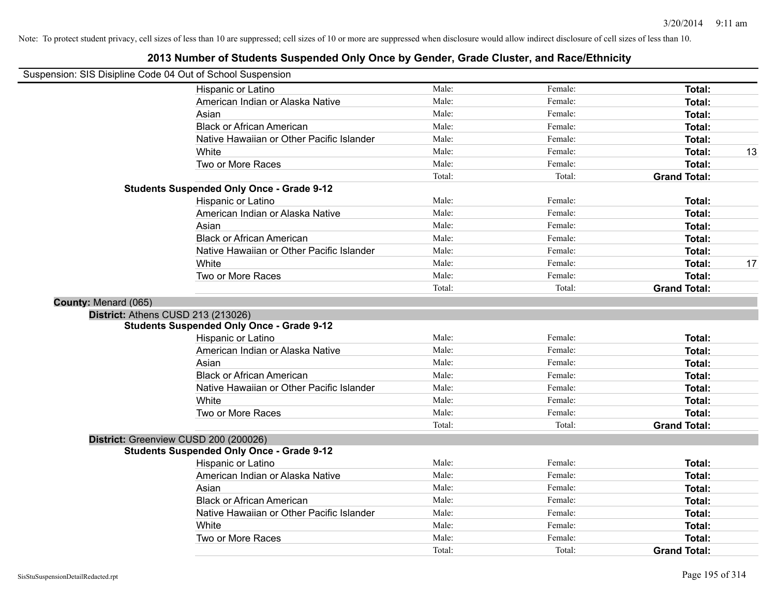| Suspension: SIS Disipline Code 04 Out of School Suspension |                                                  |        |         |                     |    |
|------------------------------------------------------------|--------------------------------------------------|--------|---------|---------------------|----|
|                                                            | Hispanic or Latino                               | Male:  | Female: | <b>Total:</b>       |    |
|                                                            | American Indian or Alaska Native                 | Male:  | Female: | Total:              |    |
|                                                            | Asian                                            | Male:  | Female: | Total:              |    |
|                                                            | <b>Black or African American</b>                 | Male:  | Female: | <b>Total:</b>       |    |
|                                                            | Native Hawaiian or Other Pacific Islander        | Male:  | Female: | Total:              |    |
|                                                            | White                                            | Male:  | Female: | <b>Total:</b>       | 13 |
|                                                            | Two or More Races                                | Male:  | Female: | Total:              |    |
|                                                            |                                                  | Total: | Total:  | <b>Grand Total:</b> |    |
|                                                            | <b>Students Suspended Only Once - Grade 9-12</b> |        |         |                     |    |
|                                                            | Hispanic or Latino                               | Male:  | Female: | Total:              |    |
|                                                            | American Indian or Alaska Native                 | Male:  | Female: | <b>Total:</b>       |    |
|                                                            | Asian                                            | Male:  | Female: | Total:              |    |
|                                                            | <b>Black or African American</b>                 | Male:  | Female: | Total:              |    |
|                                                            | Native Hawaiian or Other Pacific Islander        | Male:  | Female: | Total:              |    |
|                                                            | White                                            | Male:  | Female: | <b>Total:</b>       | 17 |
|                                                            | Two or More Races                                | Male:  | Female: | <b>Total:</b>       |    |
|                                                            |                                                  | Total: | Total:  | <b>Grand Total:</b> |    |
| County: Menard (065)                                       |                                                  |        |         |                     |    |
|                                                            | District: Athens CUSD 213 (213026)               |        |         |                     |    |
|                                                            | <b>Students Suspended Only Once - Grade 9-12</b> |        |         |                     |    |
|                                                            | Hispanic or Latino                               | Male:  | Female: | Total:              |    |
|                                                            | American Indian or Alaska Native                 | Male:  | Female: | <b>Total:</b>       |    |
|                                                            | Asian                                            | Male:  | Female: | Total:              |    |
|                                                            | <b>Black or African American</b>                 | Male:  | Female: | <b>Total:</b>       |    |
|                                                            | Native Hawaiian or Other Pacific Islander        | Male:  | Female: | Total:              |    |
|                                                            | White                                            | Male:  | Female: | <b>Total:</b>       |    |
|                                                            | Two or More Races                                | Male:  | Female: | Total:              |    |
|                                                            |                                                  | Total: | Total:  | <b>Grand Total:</b> |    |
|                                                            | District: Greenview CUSD 200 (200026)            |        |         |                     |    |
|                                                            | <b>Students Suspended Only Once - Grade 9-12</b> |        |         |                     |    |
|                                                            | Hispanic or Latino                               | Male:  | Female: | Total:              |    |
|                                                            | American Indian or Alaska Native                 | Male:  | Female: | Total:              |    |
|                                                            | Asian                                            | Male:  | Female: | Total:              |    |
|                                                            | <b>Black or African American</b>                 | Male:  | Female: | Total:              |    |
|                                                            | Native Hawaiian or Other Pacific Islander        | Male:  | Female: | <b>Total:</b>       |    |
|                                                            | White                                            | Male:  | Female: | Total:              |    |
|                                                            | Two or More Races                                | Male:  | Female: | Total:              |    |
|                                                            |                                                  | Total: | Total:  | <b>Grand Total:</b> |    |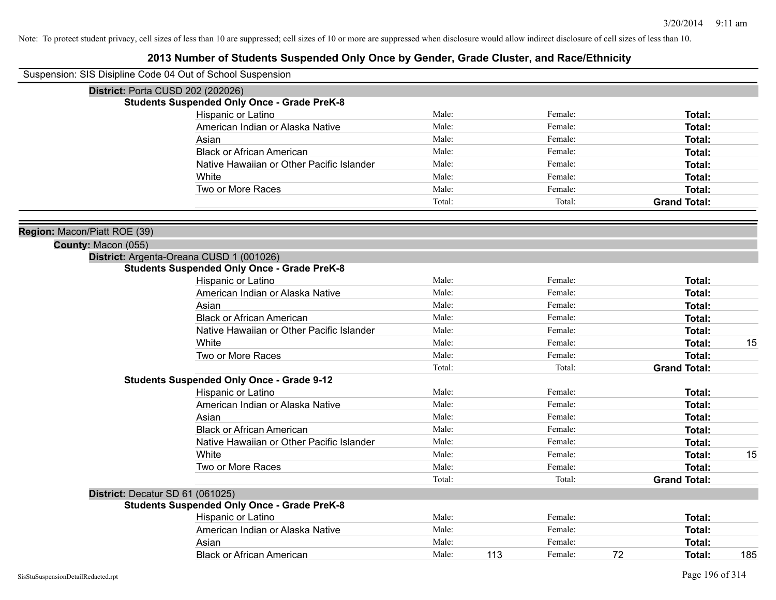| Suspension: SIS Disipline Code 04 Out of School Suspension |                                                    |        |     |         |    |                     |     |
|------------------------------------------------------------|----------------------------------------------------|--------|-----|---------|----|---------------------|-----|
|                                                            | District: Porta CUSD 202 (202026)                  |        |     |         |    |                     |     |
|                                                            | <b>Students Suspended Only Once - Grade PreK-8</b> |        |     |         |    |                     |     |
|                                                            | Hispanic or Latino                                 | Male:  |     | Female: |    | Total:              |     |
|                                                            | American Indian or Alaska Native                   | Male:  |     | Female: |    | Total:              |     |
|                                                            | Asian                                              | Male:  |     | Female: |    | Total:              |     |
|                                                            | <b>Black or African American</b>                   | Male:  |     | Female: |    | Total:              |     |
|                                                            | Native Hawaiian or Other Pacific Islander          | Male:  |     | Female: |    | Total:              |     |
|                                                            | White                                              | Male:  |     | Female: |    | Total:              |     |
|                                                            | Two or More Races                                  | Male:  |     | Female: |    | Total:              |     |
|                                                            |                                                    | Total: |     | Total:  |    | <b>Grand Total:</b> |     |
| Region: Macon/Piatt ROE (39)                               |                                                    |        |     |         |    |                     |     |
| County: Macon (055)                                        |                                                    |        |     |         |    |                     |     |
|                                                            | District: Argenta-Oreana CUSD 1 (001026)           |        |     |         |    |                     |     |
|                                                            | <b>Students Suspended Only Once - Grade PreK-8</b> |        |     |         |    |                     |     |
|                                                            | Hispanic or Latino                                 | Male:  |     | Female: |    | Total:              |     |
|                                                            | American Indian or Alaska Native                   | Male:  |     | Female: |    | Total:              |     |
|                                                            | Asian                                              | Male:  |     | Female: |    | Total:              |     |
|                                                            | <b>Black or African American</b>                   | Male:  |     | Female: |    | Total:              |     |
|                                                            | Native Hawaiian or Other Pacific Islander          | Male:  |     | Female: |    | Total:              |     |
|                                                            | White                                              | Male:  |     | Female: |    | Total:              | 15  |
|                                                            | Two or More Races                                  | Male:  |     | Female: |    | Total:              |     |
|                                                            |                                                    | Total: |     | Total:  |    | <b>Grand Total:</b> |     |
|                                                            | <b>Students Suspended Only Once - Grade 9-12</b>   |        |     |         |    |                     |     |
|                                                            | Hispanic or Latino                                 | Male:  |     | Female: |    | Total:              |     |
|                                                            | American Indian or Alaska Native                   | Male:  |     | Female: |    | Total:              |     |
|                                                            | Asian                                              | Male:  |     | Female: |    | Total:              |     |
|                                                            | <b>Black or African American</b>                   | Male:  |     | Female: |    | Total:              |     |
|                                                            | Native Hawaiian or Other Pacific Islander          | Male:  |     | Female: |    | Total:              |     |
|                                                            | White                                              | Male:  |     | Female: |    | Total:              | 15  |
|                                                            | Two or More Races                                  | Male:  |     | Female: |    | Total:              |     |
|                                                            |                                                    | Total: |     | Total:  |    | <b>Grand Total:</b> |     |
| District: Decatur SD 61 (061025)                           |                                                    |        |     |         |    |                     |     |
|                                                            | <b>Students Suspended Only Once - Grade PreK-8</b> |        |     |         |    |                     |     |
|                                                            | Hispanic or Latino                                 | Male:  |     | Female: |    | Total:              |     |
|                                                            | American Indian or Alaska Native                   | Male:  |     | Female: |    | Total:              |     |
|                                                            | Asian                                              | Male:  |     | Female: |    | Total:              |     |
|                                                            | <b>Black or African American</b>                   | Male:  | 113 | Female: | 72 | Total:              | 185 |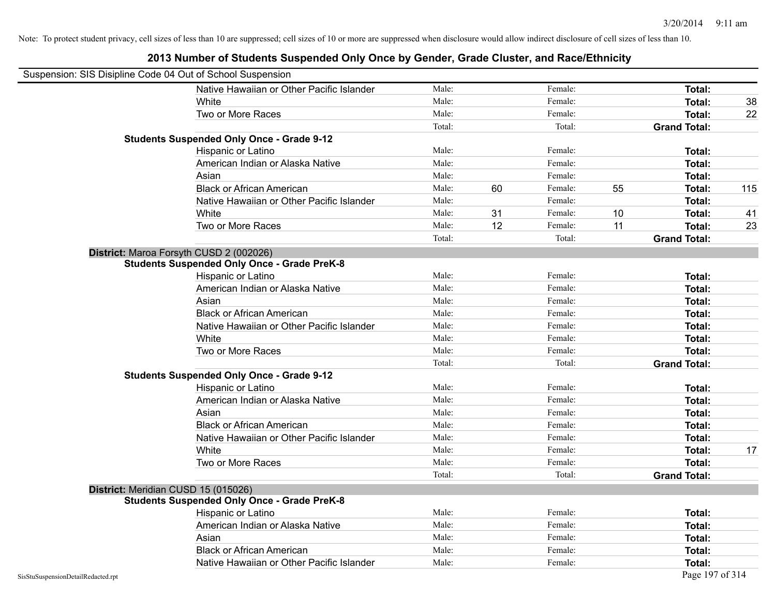|                                    | Suspension: SIS Disipline Code 04 Out of School Suspension |        |    |         |    |                     |     |
|------------------------------------|------------------------------------------------------------|--------|----|---------|----|---------------------|-----|
|                                    | Native Hawaiian or Other Pacific Islander                  | Male:  |    | Female: |    | Total:              |     |
|                                    | White                                                      | Male:  |    | Female: |    | Total:              | 38  |
|                                    | Two or More Races                                          | Male:  |    | Female: |    | <b>Total:</b>       | 22  |
|                                    |                                                            | Total: |    | Total:  |    | <b>Grand Total:</b> |     |
|                                    | <b>Students Suspended Only Once - Grade 9-12</b>           |        |    |         |    |                     |     |
|                                    | Hispanic or Latino                                         | Male:  |    | Female: |    | Total:              |     |
|                                    | American Indian or Alaska Native                           | Male:  |    | Female: |    | Total:              |     |
|                                    | Asian                                                      | Male:  |    | Female: |    | Total:              |     |
|                                    | <b>Black or African American</b>                           | Male:  | 60 | Female: | 55 | Total:              | 115 |
|                                    | Native Hawaiian or Other Pacific Islander                  | Male:  |    | Female: |    | Total:              |     |
|                                    | White                                                      | Male:  | 31 | Female: | 10 | Total:              | 41  |
|                                    | Two or More Races                                          | Male:  | 12 | Female: | 11 | Total:              | 23  |
|                                    |                                                            | Total: |    | Total:  |    | <b>Grand Total:</b> |     |
|                                    | District: Maroa Forsyth CUSD 2 (002026)                    |        |    |         |    |                     |     |
|                                    | <b>Students Suspended Only Once - Grade PreK-8</b>         |        |    |         |    |                     |     |
|                                    | Hispanic or Latino                                         | Male:  |    | Female: |    | Total:              |     |
|                                    | American Indian or Alaska Native                           | Male:  |    | Female: |    | Total:              |     |
|                                    | Asian                                                      | Male:  |    | Female: |    | Total:              |     |
|                                    | <b>Black or African American</b>                           | Male:  |    | Female: |    | Total:              |     |
|                                    | Native Hawaiian or Other Pacific Islander                  | Male:  |    | Female: |    | Total:              |     |
|                                    | White                                                      | Male:  |    | Female: |    | Total:              |     |
|                                    | Two or More Races                                          | Male:  |    | Female: |    | Total:              |     |
|                                    |                                                            | Total: |    | Total:  |    | <b>Grand Total:</b> |     |
|                                    | <b>Students Suspended Only Once - Grade 9-12</b>           |        |    |         |    |                     |     |
|                                    | Hispanic or Latino                                         | Male:  |    | Female: |    | Total:              |     |
|                                    | American Indian or Alaska Native                           | Male:  |    | Female: |    | <b>Total:</b>       |     |
|                                    | Asian                                                      | Male:  |    | Female: |    | Total:              |     |
|                                    | <b>Black or African American</b>                           | Male:  |    | Female: |    | Total:              |     |
|                                    | Native Hawaiian or Other Pacific Islander                  | Male:  |    | Female: |    | Total:              |     |
|                                    | White                                                      | Male:  |    | Female: |    | Total:              | 17  |
|                                    | Two or More Races                                          | Male:  |    | Female: |    | Total:              |     |
|                                    |                                                            | Total: |    | Total:  |    | <b>Grand Total:</b> |     |
|                                    | District: Meridian CUSD 15 (015026)                        |        |    |         |    |                     |     |
|                                    | <b>Students Suspended Only Once - Grade PreK-8</b>         |        |    |         |    |                     |     |
|                                    | Hispanic or Latino                                         | Male:  |    | Female: |    | Total:              |     |
|                                    | American Indian or Alaska Native                           | Male:  |    | Female: |    | Total:              |     |
|                                    | Asian                                                      | Male:  |    | Female: |    | <b>Total:</b>       |     |
|                                    | <b>Black or African American</b>                           | Male:  |    | Female: |    | Total:              |     |
|                                    | Native Hawaiian or Other Pacific Islander                  | Male:  |    | Female: |    | <b>Total:</b>       |     |
| SisStuSuspensionDetailRedacted.rpt |                                                            |        |    |         |    | Page 197 of 314     |     |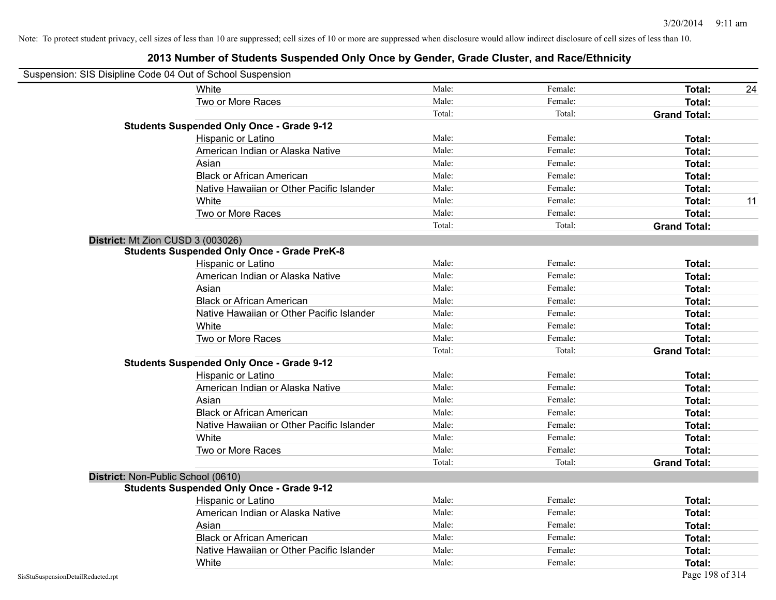| Suspension: SIS Disipline Code 04 Out of School Suspension |                                                    |        |         |                     |    |
|------------------------------------------------------------|----------------------------------------------------|--------|---------|---------------------|----|
|                                                            | White                                              | Male:  | Female: | <b>Total:</b>       | 24 |
|                                                            | Two or More Races                                  | Male:  | Female: | Total:              |    |
|                                                            |                                                    | Total: | Total:  | <b>Grand Total:</b> |    |
|                                                            | <b>Students Suspended Only Once - Grade 9-12</b>   |        |         |                     |    |
|                                                            | Hispanic or Latino                                 | Male:  | Female: | Total:              |    |
|                                                            | American Indian or Alaska Native                   | Male:  | Female: | Total:              |    |
|                                                            | Asian                                              | Male:  | Female: | Total:              |    |
|                                                            | <b>Black or African American</b>                   | Male:  | Female: | Total:              |    |
|                                                            | Native Hawaiian or Other Pacific Islander          | Male:  | Female: | Total:              |    |
|                                                            | White                                              | Male:  | Female: | <b>Total:</b>       | 11 |
|                                                            | Two or More Races                                  | Male:  | Female: | Total:              |    |
|                                                            |                                                    | Total: | Total:  | <b>Grand Total:</b> |    |
| District: Mt Zion CUSD 3 (003026)                          |                                                    |        |         |                     |    |
|                                                            | <b>Students Suspended Only Once - Grade PreK-8</b> |        |         |                     |    |
|                                                            | Hispanic or Latino                                 | Male:  | Female: | Total:              |    |
|                                                            | American Indian or Alaska Native                   | Male:  | Female: | <b>Total:</b>       |    |
|                                                            | Asian                                              | Male:  | Female: | <b>Total:</b>       |    |
|                                                            | <b>Black or African American</b>                   | Male:  | Female: | Total:              |    |
|                                                            | Native Hawaiian or Other Pacific Islander          | Male:  | Female: | Total:              |    |
|                                                            | White                                              | Male:  | Female: | Total:              |    |
|                                                            | Two or More Races                                  | Male:  | Female: | Total:              |    |
|                                                            |                                                    | Total: | Total:  | <b>Grand Total:</b> |    |
|                                                            | <b>Students Suspended Only Once - Grade 9-12</b>   |        |         |                     |    |
|                                                            | Hispanic or Latino                                 | Male:  | Female: | Total:              |    |
|                                                            | American Indian or Alaska Native                   | Male:  | Female: | Total:              |    |
|                                                            | Asian                                              | Male:  | Female: | Total:              |    |
|                                                            | <b>Black or African American</b>                   | Male:  | Female: | Total:              |    |
|                                                            | Native Hawaiian or Other Pacific Islander          | Male:  | Female: | Total:              |    |
|                                                            | White                                              | Male:  | Female: | <b>Total:</b>       |    |
|                                                            | Two or More Races                                  | Male:  | Female: | Total:              |    |
|                                                            |                                                    | Total: | Total:  | <b>Grand Total:</b> |    |
| District: Non-Public School (0610)                         |                                                    |        |         |                     |    |
|                                                            | <b>Students Suspended Only Once - Grade 9-12</b>   |        |         |                     |    |
|                                                            | Hispanic or Latino                                 | Male:  | Female: | Total:              |    |
|                                                            | American Indian or Alaska Native                   | Male:  | Female: | Total:              |    |
|                                                            | Asian                                              | Male:  | Female: | Total:              |    |
|                                                            | <b>Black or African American</b>                   | Male:  | Female: | <b>Total:</b>       |    |
|                                                            | Native Hawaiian or Other Pacific Islander          | Male:  | Female: | Total:              |    |
|                                                            | White                                              | Male:  | Female: | Total:              |    |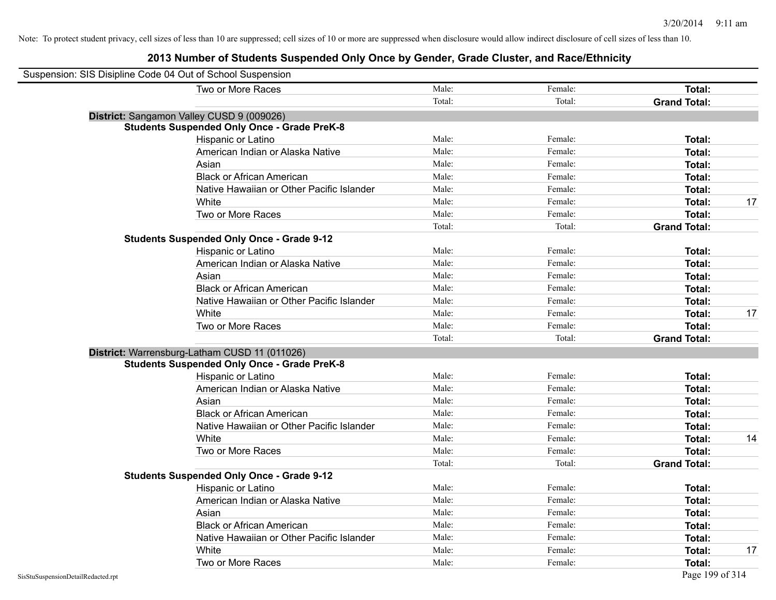| Suspension: SIS Disipline Code 04 Out of School Suspension |                                                    |        |         |                     |    |
|------------------------------------------------------------|----------------------------------------------------|--------|---------|---------------------|----|
|                                                            | Two or More Races                                  | Male:  | Female: | Total:              |    |
|                                                            |                                                    | Total: | Total:  | <b>Grand Total:</b> |    |
|                                                            | District: Sangamon Valley CUSD 9 (009026)          |        |         |                     |    |
|                                                            | <b>Students Suspended Only Once - Grade PreK-8</b> |        |         |                     |    |
|                                                            | Hispanic or Latino                                 | Male:  | Female: | Total:              |    |
|                                                            | American Indian or Alaska Native                   | Male:  | Female: | Total:              |    |
|                                                            | Asian                                              | Male:  | Female: | Total:              |    |
|                                                            | <b>Black or African American</b>                   | Male:  | Female: | Total:              |    |
|                                                            | Native Hawaiian or Other Pacific Islander          | Male:  | Female: | Total:              |    |
|                                                            | White                                              | Male:  | Female: | Total:              | 17 |
|                                                            | Two or More Races                                  | Male:  | Female: | Total:              |    |
|                                                            |                                                    | Total: | Total:  | <b>Grand Total:</b> |    |
|                                                            | <b>Students Suspended Only Once - Grade 9-12</b>   |        |         |                     |    |
|                                                            | Hispanic or Latino                                 | Male:  | Female: | Total:              |    |
|                                                            | American Indian or Alaska Native                   | Male:  | Female: | Total:              |    |
|                                                            | Asian                                              | Male:  | Female: | Total:              |    |
|                                                            | <b>Black or African American</b>                   | Male:  | Female: | Total:              |    |
|                                                            | Native Hawaiian or Other Pacific Islander          | Male:  | Female: | Total:              |    |
|                                                            | White                                              | Male:  | Female: | Total:              | 17 |
|                                                            | Two or More Races                                  | Male:  | Female: | Total:              |    |
|                                                            |                                                    | Total: | Total:  | <b>Grand Total:</b> |    |
|                                                            | District: Warrensburg-Latham CUSD 11 (011026)      |        |         |                     |    |
|                                                            | <b>Students Suspended Only Once - Grade PreK-8</b> |        |         |                     |    |
|                                                            | Hispanic or Latino                                 | Male:  | Female: | Total:              |    |
|                                                            | American Indian or Alaska Native                   | Male:  | Female: | Total:              |    |
|                                                            | Asian                                              | Male:  | Female: | Total:              |    |
|                                                            | <b>Black or African American</b>                   | Male:  | Female: | Total:              |    |
|                                                            | Native Hawaiian or Other Pacific Islander          | Male:  | Female: | Total:              |    |
|                                                            | White                                              | Male:  | Female: | Total:              | 14 |
|                                                            | Two or More Races                                  | Male:  | Female: | <b>Total:</b>       |    |
|                                                            |                                                    | Total: | Total:  | <b>Grand Total:</b> |    |
|                                                            | <b>Students Suspended Only Once - Grade 9-12</b>   |        |         |                     |    |
|                                                            | Hispanic or Latino                                 | Male:  | Female: | Total:              |    |
|                                                            | American Indian or Alaska Native                   | Male:  | Female: | Total:              |    |
|                                                            | Asian                                              | Male:  | Female: | Total:              |    |
|                                                            | <b>Black or African American</b>                   | Male:  | Female: | Total:              |    |
|                                                            | Native Hawaiian or Other Pacific Islander          | Male:  | Female: | Total:              |    |
|                                                            | White                                              | Male:  | Female: | <b>Total:</b>       | 17 |
|                                                            | Two or More Races                                  | Male:  | Female: | Total:              |    |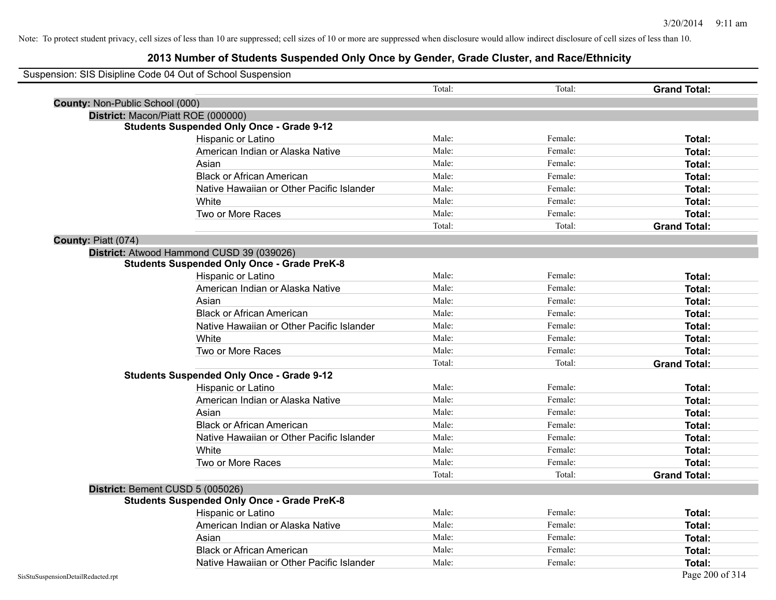### **2013 Number of Students Suspended Only Once by Gender, Grade Cluster, and Race/Ethnicity**

| Suspension: SIS Disipline Code 04 Out of School Suspension |        |         |                     |
|------------------------------------------------------------|--------|---------|---------------------|
|                                                            | Total: | Total:  | <b>Grand Total:</b> |
| County: Non-Public School (000)                            |        |         |                     |
| District: Macon/Piatt ROE (000000)                         |        |         |                     |
| <b>Students Suspended Only Once - Grade 9-12</b>           |        |         |                     |
| Hispanic or Latino                                         | Male:  | Female: | Total:              |
| American Indian or Alaska Native                           | Male:  | Female: | Total:              |
| Asian                                                      | Male:  | Female: | Total:              |
| <b>Black or African American</b>                           | Male:  | Female: | Total:              |
| Native Hawaiian or Other Pacific Islander                  | Male:  | Female: | Total:              |
| White                                                      | Male:  | Female: | Total:              |
| Two or More Races                                          | Male:  | Female: | Total:              |
|                                                            | Total: | Total:  | <b>Grand Total:</b> |
| County: Piatt (074)                                        |        |         |                     |
| District: Atwood Hammond CUSD 39 (039026)                  |        |         |                     |
| <b>Students Suspended Only Once - Grade PreK-8</b>         |        |         |                     |
| Hispanic or Latino                                         | Male:  | Female: | Total:              |
| American Indian or Alaska Native                           | Male:  | Female: | Total:              |
| Asian                                                      | Male:  | Female: | Total:              |
| <b>Black or African American</b>                           | Male:  | Female: | Total:              |
| Native Hawaiian or Other Pacific Islander                  | Male:  | Female: | Total:              |
| White                                                      | Male:  | Female: | Total:              |
| Two or More Races                                          | Male:  | Female: | Total:              |
|                                                            | Total: | Total:  | <b>Grand Total:</b> |
| <b>Students Suspended Only Once - Grade 9-12</b>           |        |         |                     |
| Hispanic or Latino                                         | Male:  | Female: | Total:              |
| American Indian or Alaska Native                           | Male:  | Female: | Total:              |
| Asian                                                      | Male:  | Female: | Total:              |
| <b>Black or African American</b>                           | Male:  | Female: | Total:              |
| Native Hawaiian or Other Pacific Islander                  | Male:  | Female: | Total:              |
| White                                                      | Male:  | Female: | Total:              |
| Two or More Races                                          | Male:  | Female: | Total:              |
|                                                            | Total: | Total:  | <b>Grand Total:</b> |
| District: Bement CUSD 5 (005026)                           |        |         |                     |
| <b>Students Suspended Only Once - Grade PreK-8</b>         |        |         |                     |
| Hispanic or Latino                                         | Male:  | Female: | Total:              |
| American Indian or Alaska Native                           | Male:  | Female: | Total:              |
| Asian                                                      | Male:  | Female: | Total:              |
| <b>Black or African American</b>                           | Male:  | Female: | Total:              |
| Native Hawaiian or Other Pacific Islander                  | Male:  | Female: | Total:              |
| SisStuSuspensionDetailRedacted.rpt                         |        |         | Page 200 of 314     |

 $\blacksquare$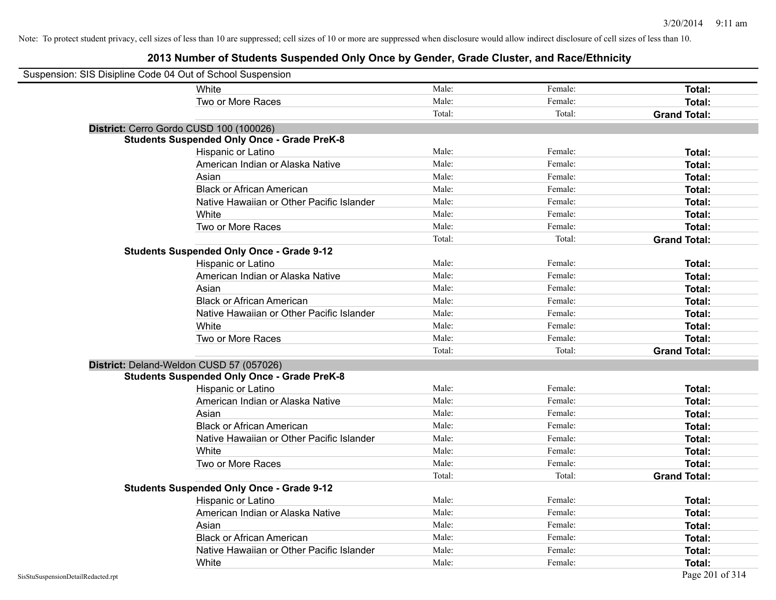| Suspension: SIS Disipline Code 04 Out of School Suspension |                                                    |        |         |                     |
|------------------------------------------------------------|----------------------------------------------------|--------|---------|---------------------|
|                                                            | White                                              | Male:  | Female: | <b>Total:</b>       |
|                                                            | Two or More Races                                  | Male:  | Female: | Total:              |
|                                                            |                                                    | Total: | Total:  | <b>Grand Total:</b> |
| District: Cerro Gordo CUSD 100 (100026)                    |                                                    |        |         |                     |
|                                                            | <b>Students Suspended Only Once - Grade PreK-8</b> |        |         |                     |
|                                                            | Hispanic or Latino                                 | Male:  | Female: | Total:              |
|                                                            | American Indian or Alaska Native                   | Male:  | Female: | Total:              |
|                                                            | Asian                                              | Male:  | Female: | Total:              |
|                                                            | <b>Black or African American</b>                   | Male:  | Female: | Total:              |
|                                                            | Native Hawaiian or Other Pacific Islander          | Male:  | Female: | Total:              |
|                                                            | White                                              | Male:  | Female: | Total:              |
|                                                            | Two or More Races                                  | Male:  | Female: | Total:              |
|                                                            |                                                    | Total: | Total:  | <b>Grand Total:</b> |
|                                                            | <b>Students Suspended Only Once - Grade 9-12</b>   |        |         |                     |
|                                                            | Hispanic or Latino                                 | Male:  | Female: | Total:              |
|                                                            | American Indian or Alaska Native                   | Male:  | Female: | Total:              |
|                                                            | Asian                                              | Male:  | Female: | Total:              |
|                                                            | <b>Black or African American</b>                   | Male:  | Female: | Total:              |
|                                                            | Native Hawaiian or Other Pacific Islander          | Male:  | Female: | Total:              |
|                                                            | White                                              | Male:  | Female: | Total:              |
|                                                            | Two or More Races                                  | Male:  | Female: | Total:              |
|                                                            |                                                    | Total: | Total:  | <b>Grand Total:</b> |
| District: Deland-Weldon CUSD 57 (057026)                   |                                                    |        |         |                     |
|                                                            | <b>Students Suspended Only Once - Grade PreK-8</b> |        |         |                     |
|                                                            | Hispanic or Latino                                 | Male:  | Female: | Total:              |
|                                                            | American Indian or Alaska Native                   | Male:  | Female: | Total:              |
|                                                            | Asian                                              | Male:  | Female: | Total:              |
|                                                            | <b>Black or African American</b>                   | Male:  | Female: | Total:              |
|                                                            | Native Hawaiian or Other Pacific Islander          | Male:  | Female: | Total:              |
|                                                            | White                                              | Male:  | Female: | Total:              |
|                                                            | Two or More Races                                  | Male:  | Female: | Total:              |
|                                                            |                                                    | Total: | Total:  | <b>Grand Total:</b> |
|                                                            | <b>Students Suspended Only Once - Grade 9-12</b>   |        |         |                     |
|                                                            | <b>Hispanic or Latino</b>                          | Male:  | Female: | Total:              |
|                                                            | American Indian or Alaska Native                   | Male:  | Female: | Total:              |
|                                                            | Asian                                              | Male:  | Female: | Total:              |
|                                                            | <b>Black or African American</b>                   | Male:  | Female: | Total:              |
|                                                            | Native Hawaiian or Other Pacific Islander          | Male:  | Female: | Total:              |
|                                                            | White                                              | Male:  | Female: | Total:              |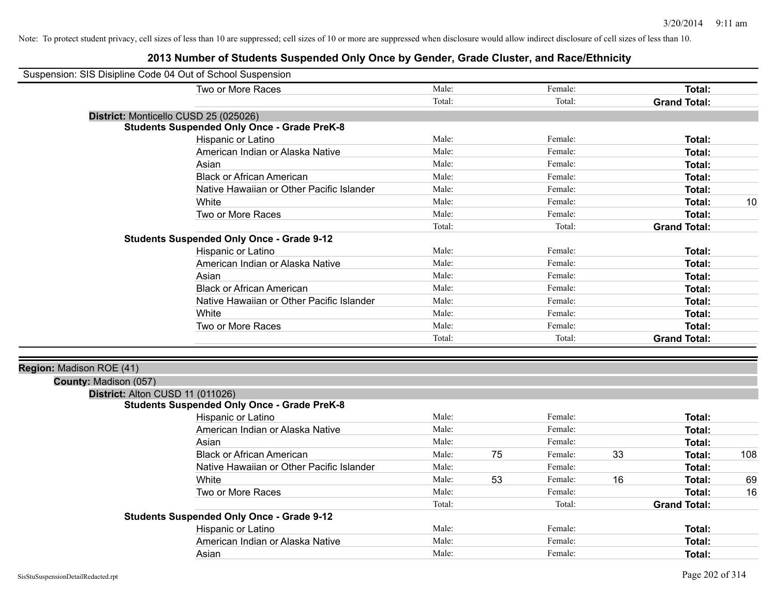| Suspension: SIS Disipline Code 04 Out of School Suspension |                                                    |        |    |         |    |                     |     |
|------------------------------------------------------------|----------------------------------------------------|--------|----|---------|----|---------------------|-----|
|                                                            | Two or More Races                                  | Male:  |    | Female: |    | <b>Total:</b>       |     |
|                                                            |                                                    | Total: |    | Total:  |    | <b>Grand Total:</b> |     |
|                                                            | District: Monticello CUSD 25 (025026)              |        |    |         |    |                     |     |
|                                                            | <b>Students Suspended Only Once - Grade PreK-8</b> |        |    |         |    |                     |     |
|                                                            | Hispanic or Latino                                 | Male:  |    | Female: |    | <b>Total:</b>       |     |
|                                                            | American Indian or Alaska Native                   | Male:  |    | Female: |    | <b>Total:</b>       |     |
|                                                            | Asian                                              | Male:  |    | Female: |    | <b>Total:</b>       |     |
|                                                            | <b>Black or African American</b>                   | Male:  |    | Female: |    | Total:              |     |
|                                                            | Native Hawaiian or Other Pacific Islander          | Male:  |    | Female: |    | <b>Total:</b>       |     |
|                                                            | White                                              | Male:  |    | Female: |    | <b>Total:</b>       | 10  |
|                                                            | Two or More Races                                  | Male:  |    | Female: |    | <b>Total:</b>       |     |
|                                                            |                                                    | Total: |    | Total:  |    | <b>Grand Total:</b> |     |
|                                                            | <b>Students Suspended Only Once - Grade 9-12</b>   |        |    |         |    |                     |     |
|                                                            | Hispanic or Latino                                 | Male:  |    | Female: |    | Total:              |     |
|                                                            | American Indian or Alaska Native                   | Male:  |    | Female: |    | <b>Total:</b>       |     |
|                                                            | Asian                                              | Male:  |    | Female: |    | <b>Total:</b>       |     |
|                                                            | <b>Black or African American</b>                   | Male:  |    | Female: |    | <b>Total:</b>       |     |
|                                                            | Native Hawaiian or Other Pacific Islander          | Male:  |    | Female: |    | Total:              |     |
|                                                            | White                                              | Male:  |    | Female: |    | <b>Total:</b>       |     |
|                                                            | Two or More Races                                  | Male:  |    | Female: |    | <b>Total:</b>       |     |
|                                                            |                                                    | Total: |    | Total:  |    | <b>Grand Total:</b> |     |
| Region: Madison ROE (41)                                   |                                                    |        |    |         |    |                     |     |
| County: Madison (057)                                      |                                                    |        |    |         |    |                     |     |
| District: Alton CUSD 11 (011026)                           |                                                    |        |    |         |    |                     |     |
|                                                            | <b>Students Suspended Only Once - Grade PreK-8</b> |        |    |         |    |                     |     |
|                                                            | Hispanic or Latino                                 | Male:  |    | Female: |    | Total:              |     |
|                                                            | American Indian or Alaska Native                   | Male:  |    | Female: |    | Total:              |     |
|                                                            | Asian                                              | Male:  |    | Female: |    | <b>Total:</b>       |     |
|                                                            | <b>Black or African American</b>                   | Male:  | 75 | Female: | 33 | <b>Total:</b>       | 108 |
|                                                            | Native Hawaiian or Other Pacific Islander          | Male:  |    | Female: |    | <b>Total:</b>       |     |
|                                                            | White                                              | Male:  | 53 | Female: | 16 | <b>Total:</b>       | 69  |
|                                                            | Two or More Races                                  | Male:  |    | Female: |    | <b>Total:</b>       | 16  |
|                                                            |                                                    | Total: |    | Total:  |    | <b>Grand Total:</b> |     |
|                                                            | <b>Students Suspended Only Once - Grade 9-12</b>   |        |    |         |    |                     |     |
|                                                            | Hispanic or Latino                                 | Male:  |    | Female: |    | Total:              |     |
|                                                            | American Indian or Alaska Native                   | Male:  |    | Female: |    | <b>Total:</b>       |     |
|                                                            | Asian                                              | Male:  |    | Female: |    | Total:              |     |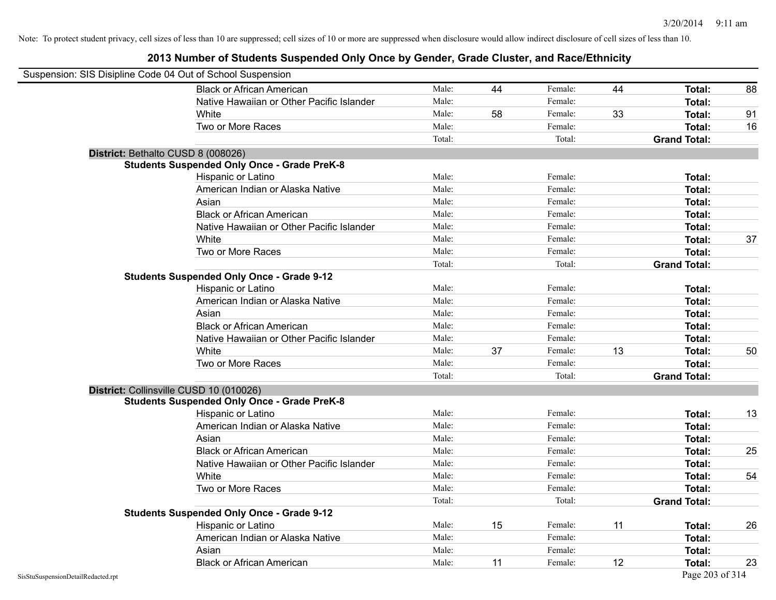|                                    | Suspension: SIS Disipline Code 04 Out of School Suspension |        |    |         |    |                     |    |
|------------------------------------|------------------------------------------------------------|--------|----|---------|----|---------------------|----|
|                                    | <b>Black or African American</b>                           | Male:  | 44 | Female: | 44 | <b>Total:</b>       | 88 |
|                                    | Native Hawaiian or Other Pacific Islander                  | Male:  |    | Female: |    | Total:              |    |
|                                    | White                                                      | Male:  | 58 | Female: | 33 | Total:              | 91 |
|                                    | Two or More Races                                          | Male:  |    | Female: |    | Total:              | 16 |
|                                    |                                                            | Total: |    | Total:  |    | <b>Grand Total:</b> |    |
|                                    | District: Bethalto CUSD 8 (008026)                         |        |    |         |    |                     |    |
|                                    | <b>Students Suspended Only Once - Grade PreK-8</b>         |        |    |         |    |                     |    |
|                                    | Hispanic or Latino                                         | Male:  |    | Female: |    | Total:              |    |
|                                    | American Indian or Alaska Native                           | Male:  |    | Female: |    | <b>Total:</b>       |    |
|                                    | Asian                                                      | Male:  |    | Female: |    | Total:              |    |
|                                    | <b>Black or African American</b>                           | Male:  |    | Female: |    | Total:              |    |
|                                    | Native Hawaiian or Other Pacific Islander                  | Male:  |    | Female: |    | Total:              |    |
|                                    | White                                                      | Male:  |    | Female: |    | Total:              | 37 |
|                                    | Two or More Races                                          | Male:  |    | Female: |    | Total:              |    |
|                                    |                                                            | Total: |    | Total:  |    | <b>Grand Total:</b> |    |
|                                    | <b>Students Suspended Only Once - Grade 9-12</b>           |        |    |         |    |                     |    |
|                                    | Hispanic or Latino                                         | Male:  |    | Female: |    | Total:              |    |
|                                    | American Indian or Alaska Native                           | Male:  |    | Female: |    | <b>Total:</b>       |    |
|                                    | Asian                                                      | Male:  |    | Female: |    | Total:              |    |
|                                    | <b>Black or African American</b>                           | Male:  |    | Female: |    | Total:              |    |
|                                    | Native Hawaiian or Other Pacific Islander                  | Male:  |    | Female: |    | Total:              |    |
|                                    | White                                                      | Male:  | 37 | Female: | 13 | Total:              | 50 |
|                                    | Two or More Races                                          | Male:  |    | Female: |    | Total:              |    |
|                                    |                                                            | Total: |    | Total:  |    | <b>Grand Total:</b> |    |
|                                    | District: Collinsville CUSD 10 (010026)                    |        |    |         |    |                     |    |
|                                    | <b>Students Suspended Only Once - Grade PreK-8</b>         |        |    |         |    |                     |    |
|                                    | Hispanic or Latino                                         | Male:  |    | Female: |    | Total:              | 13 |
|                                    | American Indian or Alaska Native                           | Male:  |    | Female: |    | Total:              |    |
|                                    | Asian                                                      | Male:  |    | Female: |    | Total:              |    |
|                                    | <b>Black or African American</b>                           | Male:  |    | Female: |    | Total:              | 25 |
|                                    | Native Hawaiian or Other Pacific Islander                  | Male:  |    | Female: |    | Total:              |    |
|                                    | White                                                      | Male:  |    | Female: |    | Total:              | 54 |
|                                    | Two or More Races                                          | Male:  |    | Female: |    | Total:              |    |
|                                    |                                                            | Total: |    | Total:  |    | <b>Grand Total:</b> |    |
|                                    | <b>Students Suspended Only Once - Grade 9-12</b>           |        |    |         |    |                     |    |
|                                    | Hispanic or Latino                                         | Male:  | 15 | Female: | 11 | Total:              | 26 |
|                                    | American Indian or Alaska Native                           | Male:  |    | Female: |    | Total:              |    |
|                                    | Asian                                                      | Male:  |    | Female: |    | Total:              |    |
|                                    | <b>Black or African American</b>                           | Male:  | 11 | Female: | 12 | Total:              | 23 |
| SisStuSuspensionDetailRedacted.rpt |                                                            |        |    |         |    | Page 203 of 314     |    |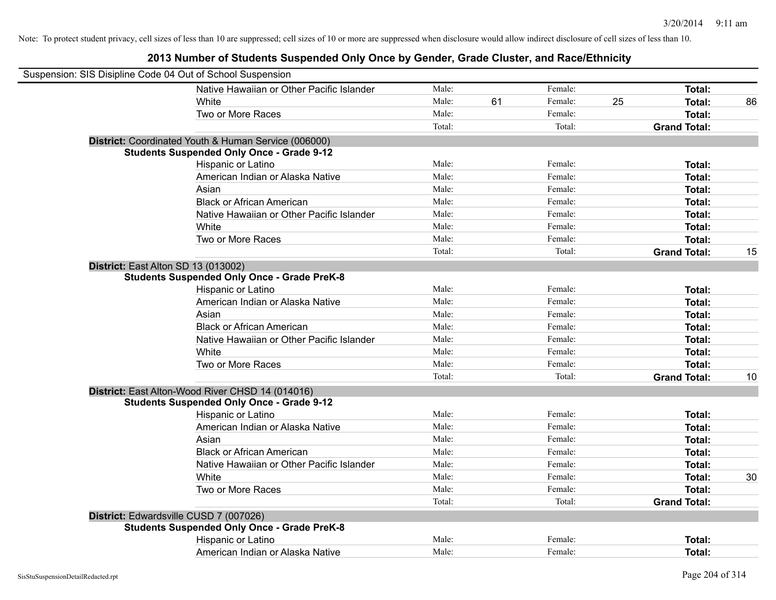| Suspension: SIS Disipline Code 04 Out of School Suspension |                                                      |        |    |         |    |                     |    |
|------------------------------------------------------------|------------------------------------------------------|--------|----|---------|----|---------------------|----|
|                                                            | Native Hawaiian or Other Pacific Islander            | Male:  |    | Female: |    | Total:              |    |
|                                                            | White                                                | Male:  | 61 | Female: | 25 | Total:              | 86 |
|                                                            | Two or More Races                                    | Male:  |    | Female: |    | Total:              |    |
|                                                            |                                                      | Total: |    | Total:  |    | <b>Grand Total:</b> |    |
|                                                            | District: Coordinated Youth & Human Service (006000) |        |    |         |    |                     |    |
|                                                            | <b>Students Suspended Only Once - Grade 9-12</b>     |        |    |         |    |                     |    |
|                                                            | Hispanic or Latino                                   | Male:  |    | Female: |    | Total:              |    |
|                                                            | American Indian or Alaska Native                     | Male:  |    | Female: |    | Total:              |    |
|                                                            | Asian                                                | Male:  |    | Female: |    | Total:              |    |
|                                                            | <b>Black or African American</b>                     | Male:  |    | Female: |    | Total:              |    |
|                                                            | Native Hawaiian or Other Pacific Islander            | Male:  |    | Female: |    | Total:              |    |
|                                                            | White                                                | Male:  |    | Female: |    | <b>Total:</b>       |    |
|                                                            | Two or More Races                                    | Male:  |    | Female: |    | Total:              |    |
|                                                            |                                                      | Total: |    | Total:  |    | <b>Grand Total:</b> | 15 |
|                                                            | District: East Alton SD 13 (013002)                  |        |    |         |    |                     |    |
|                                                            | <b>Students Suspended Only Once - Grade PreK-8</b>   |        |    |         |    |                     |    |
|                                                            | Hispanic or Latino                                   | Male:  |    | Female: |    | Total:              |    |
|                                                            | American Indian or Alaska Native                     | Male:  |    | Female: |    | Total:              |    |
|                                                            | Asian                                                | Male:  |    | Female: |    | Total:              |    |
|                                                            | <b>Black or African American</b>                     | Male:  |    | Female: |    | Total:              |    |
|                                                            | Native Hawaiian or Other Pacific Islander            | Male:  |    | Female: |    | Total:              |    |
|                                                            | White                                                | Male:  |    | Female: |    | Total:              |    |
|                                                            | Two or More Races                                    | Male:  |    | Female: |    | Total:              |    |
|                                                            |                                                      | Total: |    | Total:  |    | <b>Grand Total:</b> | 10 |
|                                                            | District: East Alton-Wood River CHSD 14 (014016)     |        |    |         |    |                     |    |
|                                                            | <b>Students Suspended Only Once - Grade 9-12</b>     |        |    |         |    |                     |    |
|                                                            | Hispanic or Latino                                   | Male:  |    | Female: |    | Total:              |    |
|                                                            | American Indian or Alaska Native                     | Male:  |    | Female: |    | Total:              |    |
|                                                            | Asian                                                | Male:  |    | Female: |    | Total:              |    |
|                                                            | <b>Black or African American</b>                     | Male:  |    | Female: |    | <b>Total:</b>       |    |
|                                                            | Native Hawaiian or Other Pacific Islander            | Male:  |    | Female: |    | Total:              |    |
|                                                            | White                                                | Male:  |    | Female: |    | <b>Total:</b>       | 30 |
|                                                            | Two or More Races                                    | Male:  |    | Female: |    | <b>Total:</b>       |    |
|                                                            |                                                      | Total: |    | Total:  |    | <b>Grand Total:</b> |    |
|                                                            | District: Edwardsville CUSD 7 (007026)               |        |    |         |    |                     |    |
|                                                            | <b>Students Suspended Only Once - Grade PreK-8</b>   |        |    |         |    |                     |    |
|                                                            | Hispanic or Latino                                   | Male:  |    | Female: |    | Total:              |    |
|                                                            | American Indian or Alaska Native                     | Male:  |    | Female: |    | Total:              |    |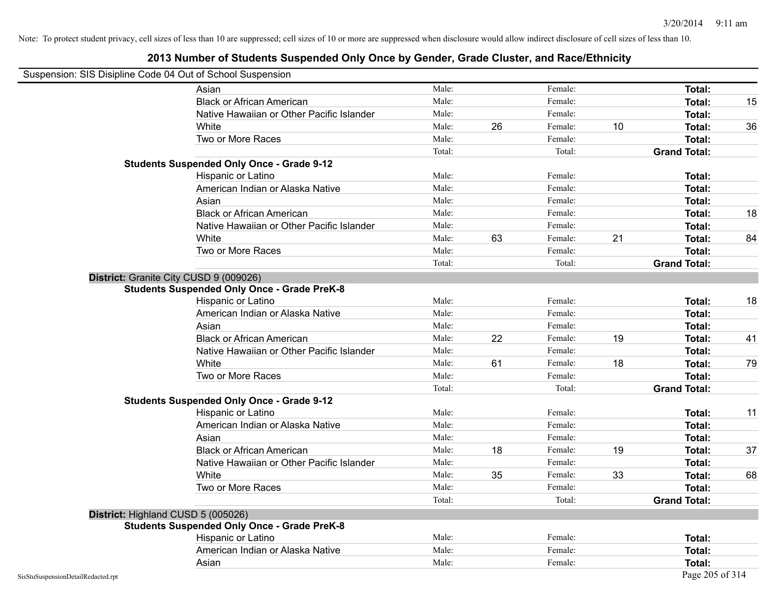| ousperision. Old Disipline Coue 04 Out of Ochool Ousperision | Asian                                              | Male:  |    | Female: |    | Total:              |    |
|--------------------------------------------------------------|----------------------------------------------------|--------|----|---------|----|---------------------|----|
|                                                              | <b>Black or African American</b>                   | Male:  |    | Female: |    | Total:              | 15 |
|                                                              | Native Hawaiian or Other Pacific Islander          | Male:  |    | Female: |    | Total:              |    |
|                                                              | White                                              | Male:  | 26 | Female: | 10 | Total:              | 36 |
|                                                              | Two or More Races                                  | Male:  |    | Female: |    | Total:              |    |
|                                                              |                                                    | Total: |    | Total:  |    | <b>Grand Total:</b> |    |
|                                                              | <b>Students Suspended Only Once - Grade 9-12</b>   |        |    |         |    |                     |    |
|                                                              | Hispanic or Latino                                 | Male:  |    | Female: |    | Total:              |    |
|                                                              | American Indian or Alaska Native                   | Male:  |    | Female: |    | Total:              |    |
|                                                              | Asian                                              | Male:  |    | Female: |    | Total:              |    |
|                                                              | <b>Black or African American</b>                   | Male:  |    | Female: |    | Total:              | 18 |
|                                                              | Native Hawaiian or Other Pacific Islander          | Male:  |    | Female: |    | Total:              |    |
|                                                              | White                                              | Male:  | 63 | Female: | 21 | Total:              | 84 |
|                                                              | Two or More Races                                  | Male:  |    | Female: |    | Total:              |    |
|                                                              |                                                    | Total: |    | Total:  |    | <b>Grand Total:</b> |    |
|                                                              | District: Granite City CUSD 9 (009026)             |        |    |         |    |                     |    |
|                                                              | <b>Students Suspended Only Once - Grade PreK-8</b> |        |    |         |    |                     |    |
|                                                              | Hispanic or Latino                                 | Male:  |    | Female: |    | Total:              | 18 |
|                                                              | American Indian or Alaska Native                   | Male:  |    | Female: |    | Total:              |    |
|                                                              | Asian                                              | Male:  |    | Female: |    | Total:              |    |
|                                                              | <b>Black or African American</b>                   | Male:  | 22 | Female: | 19 | Total:              | 41 |
|                                                              | Native Hawaiian or Other Pacific Islander          | Male:  |    | Female: |    | Total:              |    |
|                                                              | White                                              | Male:  | 61 | Female: | 18 | Total:              | 79 |
|                                                              | Two or More Races                                  | Male:  |    | Female: |    | Total:              |    |
|                                                              |                                                    | Total: |    | Total:  |    | <b>Grand Total:</b> |    |
|                                                              | <b>Students Suspended Only Once - Grade 9-12</b>   |        |    |         |    |                     |    |
|                                                              | Hispanic or Latino                                 | Male:  |    | Female: |    | Total:              | 11 |
|                                                              | American Indian or Alaska Native                   | Male:  |    | Female: |    | Total:              |    |
|                                                              | Asian                                              | Male:  |    | Female: |    | Total:              |    |
|                                                              | <b>Black or African American</b>                   | Male:  | 18 | Female: | 19 | Total:              | 37 |
|                                                              | Native Hawaiian or Other Pacific Islander          | Male:  |    | Female: |    | Total:              |    |
|                                                              | White                                              | Male:  | 35 | Female: | 33 | Total:              | 68 |
|                                                              | Two or More Races                                  | Male:  |    | Female: |    | Total:              |    |
|                                                              |                                                    | Total: |    | Total:  |    | <b>Grand Total:</b> |    |
|                                                              | District: Highland CUSD 5 (005026)                 |        |    |         |    |                     |    |
|                                                              | <b>Students Suspended Only Once - Grade PreK-8</b> |        |    |         |    |                     |    |
|                                                              | Hispanic or Latino                                 | Male:  |    | Female: |    | Total:              |    |
|                                                              | American Indian or Alaska Native                   | Male:  |    | Female: |    | Total:              |    |
|                                                              | Asian                                              | Male:  |    | Female: |    | Total:              |    |
| SisStuSuspensionDetailRedacted.rpt                           |                                                    |        |    |         |    | Page 205 of 314     |    |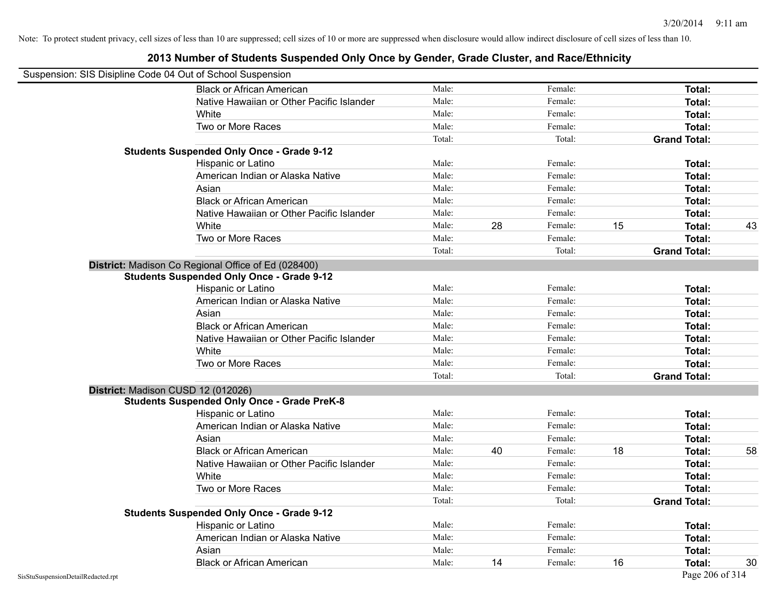| Suspension: SIS Disipline Code 04 Out of School Suspension |        |    |         |    |                     |    |
|------------------------------------------------------------|--------|----|---------|----|---------------------|----|
| <b>Black or African American</b>                           | Male:  |    | Female: |    | Total:              |    |
| Native Hawaiian or Other Pacific Islander                  | Male:  |    | Female: |    | Total:              |    |
| White                                                      | Male:  |    | Female: |    | Total:              |    |
| Two or More Races                                          | Male:  |    | Female: |    | Total:              |    |
|                                                            | Total: |    | Total:  |    | <b>Grand Total:</b> |    |
| <b>Students Suspended Only Once - Grade 9-12</b>           |        |    |         |    |                     |    |
| Hispanic or Latino                                         | Male:  |    | Female: |    | Total:              |    |
| American Indian or Alaska Native                           | Male:  |    | Female: |    | Total:              |    |
| Asian                                                      | Male:  |    | Female: |    | Total:              |    |
| <b>Black or African American</b>                           | Male:  |    | Female: |    | Total:              |    |
| Native Hawaiian or Other Pacific Islander                  | Male:  |    | Female: |    | Total:              |    |
| White                                                      | Male:  | 28 | Female: | 15 | Total:              | 43 |
| Two or More Races                                          | Male:  |    | Female: |    | Total:              |    |
|                                                            | Total: |    | Total:  |    | <b>Grand Total:</b> |    |
| District: Madison Co Regional Office of Ed (028400)        |        |    |         |    |                     |    |
| <b>Students Suspended Only Once - Grade 9-12</b>           |        |    |         |    |                     |    |
| Hispanic or Latino                                         | Male:  |    | Female: |    | Total:              |    |
| American Indian or Alaska Native                           | Male:  |    | Female: |    | Total:              |    |
| Asian                                                      | Male:  |    | Female: |    | Total:              |    |
| <b>Black or African American</b>                           | Male:  |    | Female: |    | Total:              |    |
| Native Hawaiian or Other Pacific Islander                  | Male:  |    | Female: |    | Total:              |    |
| White                                                      | Male:  |    | Female: |    | Total:              |    |
| Two or More Races                                          | Male:  |    | Female: |    | Total:              |    |
|                                                            | Total: |    | Total:  |    | <b>Grand Total:</b> |    |
| District: Madison CUSD 12 (012026)                         |        |    |         |    |                     |    |
| <b>Students Suspended Only Once - Grade PreK-8</b>         |        |    |         |    |                     |    |
| Hispanic or Latino                                         | Male:  |    | Female: |    | Total:              |    |
| American Indian or Alaska Native                           | Male:  |    | Female: |    | Total:              |    |
| Asian                                                      | Male:  |    | Female: |    | Total:              |    |
| <b>Black or African American</b>                           | Male:  | 40 | Female: | 18 | Total:              | 58 |
| Native Hawaiian or Other Pacific Islander                  | Male:  |    | Female: |    | Total:              |    |
| White                                                      | Male:  |    | Female: |    | Total:              |    |
| Two or More Races                                          | Male:  |    | Female: |    | Total:              |    |
|                                                            | Total: |    | Total:  |    | <b>Grand Total:</b> |    |
| <b>Students Suspended Only Once - Grade 9-12</b>           |        |    |         |    |                     |    |
| Hispanic or Latino                                         | Male:  |    | Female: |    | Total:              |    |
| American Indian or Alaska Native                           | Male:  |    | Female: |    | Total:              |    |
| Asian                                                      | Male:  |    | Female: |    | Total:              |    |
| <b>Black or African American</b>                           | Male:  | 14 | Female: | 16 | Total:              | 30 |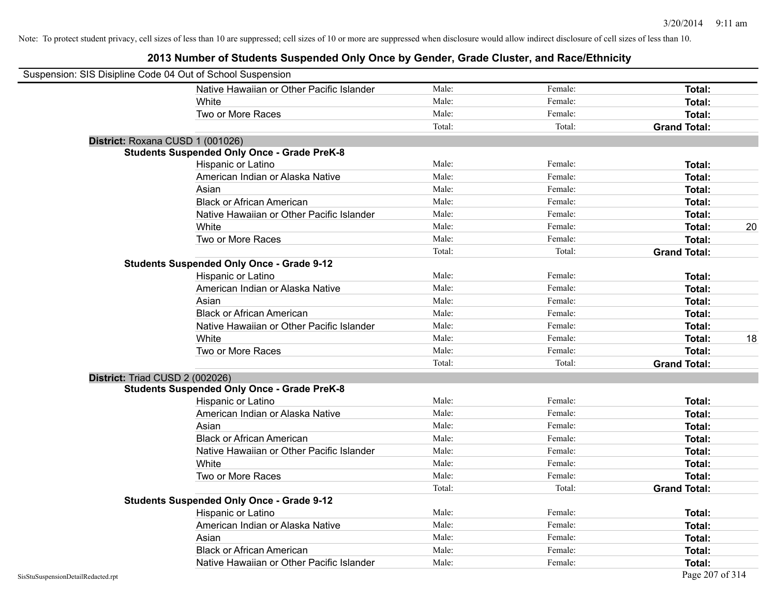| Suspension: SIS Disipline Code 04 Out of School Suspension |                                                    |        |         |                     |
|------------------------------------------------------------|----------------------------------------------------|--------|---------|---------------------|
|                                                            | Native Hawaiian or Other Pacific Islander          | Male:  | Female: | <b>Total:</b>       |
|                                                            | White                                              | Male:  | Female: | Total:              |
|                                                            | Two or More Races                                  | Male:  | Female: | Total:              |
|                                                            |                                                    | Total: | Total:  | <b>Grand Total:</b> |
| District: Roxana CUSD 1 (001026)                           |                                                    |        |         |                     |
|                                                            | <b>Students Suspended Only Once - Grade PreK-8</b> |        |         |                     |
|                                                            | Hispanic or Latino                                 | Male:  | Female: | Total:              |
|                                                            | American Indian or Alaska Native                   | Male:  | Female: | Total:              |
|                                                            | Asian                                              | Male:  | Female: | Total:              |
|                                                            | <b>Black or African American</b>                   | Male:  | Female: | Total:              |
|                                                            | Native Hawaiian or Other Pacific Islander          | Male:  | Female: | Total:              |
|                                                            | White                                              | Male:  | Female: | 20<br>Total:        |
|                                                            | Two or More Races                                  | Male:  | Female: | Total:              |
|                                                            |                                                    | Total: | Total:  | <b>Grand Total:</b> |
|                                                            | <b>Students Suspended Only Once - Grade 9-12</b>   |        |         |                     |
|                                                            | Hispanic or Latino                                 | Male:  | Female: | Total:              |
|                                                            | American Indian or Alaska Native                   | Male:  | Female: | Total:              |
|                                                            | Asian                                              | Male:  | Female: | Total:              |
|                                                            | <b>Black or African American</b>                   | Male:  | Female: | Total:              |
|                                                            | Native Hawaiian or Other Pacific Islander          | Male:  | Female: | Total:              |
|                                                            | White                                              | Male:  | Female: | 18<br>Total:        |
|                                                            | Two or More Races                                  | Male:  | Female: | Total:              |
|                                                            |                                                    | Total: | Total:  | <b>Grand Total:</b> |
| District: Triad CUSD 2 (002026)                            |                                                    |        |         |                     |
|                                                            | <b>Students Suspended Only Once - Grade PreK-8</b> |        |         |                     |
|                                                            | Hispanic or Latino                                 | Male:  | Female: | Total:              |
|                                                            | American Indian or Alaska Native                   | Male:  | Female: | Total:              |
|                                                            | Asian                                              | Male:  | Female: | Total:              |
|                                                            | <b>Black or African American</b>                   | Male:  | Female: | Total:              |
|                                                            | Native Hawaiian or Other Pacific Islander          | Male:  | Female: | Total:              |
|                                                            | White                                              | Male:  | Female: | Total:              |
|                                                            | Two or More Races                                  | Male:  | Female: | Total:              |
|                                                            |                                                    | Total: | Total:  | <b>Grand Total:</b> |
|                                                            | <b>Students Suspended Only Once - Grade 9-12</b>   |        |         |                     |
|                                                            | Hispanic or Latino                                 | Male:  | Female: | Total:              |
|                                                            | American Indian or Alaska Native                   | Male:  | Female: | Total:              |
|                                                            | Asian                                              | Male:  | Female: | Total:              |
|                                                            | <b>Black or African American</b>                   | Male:  | Female: | Total:              |
|                                                            | Native Hawaiian or Other Pacific Islander          | Male:  | Female: | Total:              |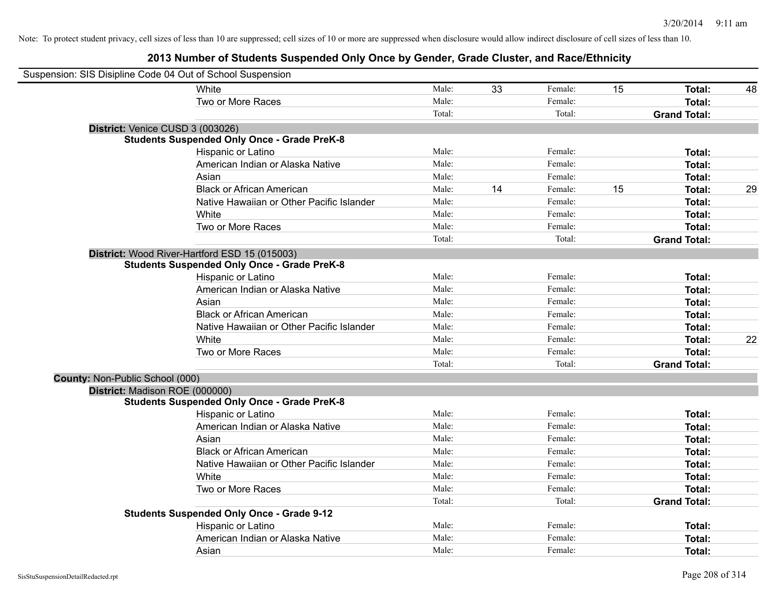| Suspension: SIS Disipline Code 04 Out of School Suspension |                                                    |        |    |         |    |                     |    |
|------------------------------------------------------------|----------------------------------------------------|--------|----|---------|----|---------------------|----|
|                                                            | <b>White</b>                                       | Male:  | 33 | Female: | 15 | Total:              | 48 |
|                                                            | Two or More Races                                  | Male:  |    | Female: |    | <b>Total:</b>       |    |
|                                                            |                                                    | Total: |    | Total:  |    | <b>Grand Total:</b> |    |
| District: Venice CUSD 3 (003026)                           |                                                    |        |    |         |    |                     |    |
|                                                            | <b>Students Suspended Only Once - Grade PreK-8</b> |        |    |         |    |                     |    |
|                                                            | Hispanic or Latino                                 | Male:  |    | Female: |    | <b>Total:</b>       |    |
|                                                            | American Indian or Alaska Native                   | Male:  |    | Female: |    | Total:              |    |
|                                                            | Asian                                              | Male:  |    | Female: |    | Total:              |    |
|                                                            | <b>Black or African American</b>                   | Male:  | 14 | Female: | 15 | <b>Total:</b>       | 29 |
|                                                            | Native Hawaiian or Other Pacific Islander          | Male:  |    | Female: |    | Total:              |    |
|                                                            | White                                              | Male:  |    | Female: |    | Total:              |    |
|                                                            | Two or More Races                                  | Male:  |    | Female: |    | Total:              |    |
|                                                            |                                                    | Total: |    | Total:  |    | <b>Grand Total:</b> |    |
|                                                            | District: Wood River-Hartford ESD 15 (015003)      |        |    |         |    |                     |    |
|                                                            | <b>Students Suspended Only Once - Grade PreK-8</b> |        |    |         |    |                     |    |
|                                                            | Hispanic or Latino                                 | Male:  |    | Female: |    | <b>Total:</b>       |    |
|                                                            | American Indian or Alaska Native                   | Male:  |    | Female: |    | Total:              |    |
|                                                            | Asian                                              | Male:  |    | Female: |    | Total:              |    |
|                                                            | <b>Black or African American</b>                   | Male:  |    | Female: |    | Total:              |    |
|                                                            | Native Hawaiian or Other Pacific Islander          | Male:  |    | Female: |    | Total:              |    |
|                                                            | White                                              | Male:  |    | Female: |    | Total:              | 22 |
|                                                            | Two or More Races                                  | Male:  |    | Female: |    | Total:              |    |
|                                                            |                                                    | Total: |    | Total:  |    | <b>Grand Total:</b> |    |
| County: Non-Public School (000)                            |                                                    |        |    |         |    |                     |    |
| District: Madison ROE (000000)                             |                                                    |        |    |         |    |                     |    |
|                                                            | <b>Students Suspended Only Once - Grade PreK-8</b> |        |    |         |    |                     |    |
|                                                            | Hispanic or Latino                                 | Male:  |    | Female: |    | Total:              |    |
|                                                            | American Indian or Alaska Native                   | Male:  |    | Female: |    | <b>Total:</b>       |    |
|                                                            | Asian                                              | Male:  |    | Female: |    | <b>Total:</b>       |    |
|                                                            | <b>Black or African American</b>                   | Male:  |    | Female: |    | Total:              |    |
|                                                            | Native Hawaiian or Other Pacific Islander          | Male:  |    | Female: |    | Total:              |    |
|                                                            | White                                              | Male:  |    | Female: |    | Total:              |    |
|                                                            | Two or More Races                                  | Male:  |    | Female: |    | Total:              |    |
|                                                            |                                                    | Total: |    | Total:  |    | <b>Grand Total:</b> |    |
|                                                            | <b>Students Suspended Only Once - Grade 9-12</b>   |        |    |         |    |                     |    |
|                                                            | Hispanic or Latino                                 | Male:  |    | Female: |    | Total:              |    |
|                                                            | American Indian or Alaska Native                   | Male:  |    | Female: |    | <b>Total:</b>       |    |
|                                                            | Asian                                              | Male:  |    | Female: |    | <b>Total:</b>       |    |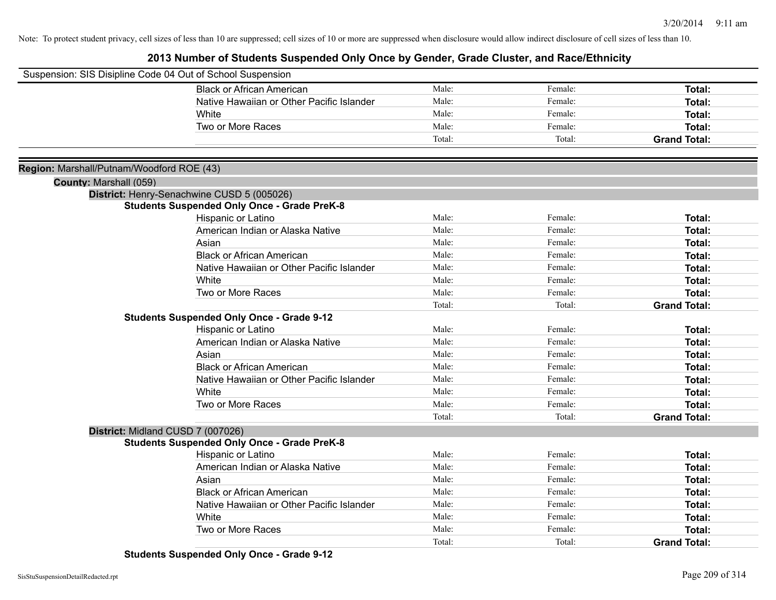### **2013 Number of Students Suspended Only Once by Gender, Grade Cluster, and Race/Ethnicity**

| Suspension: SIS Disipline Code 04 Out of School Suspension |                                                    |        |         |                     |
|------------------------------------------------------------|----------------------------------------------------|--------|---------|---------------------|
|                                                            | <b>Black or African American</b>                   | Male:  | Female: | Total:              |
|                                                            | Native Hawaiian or Other Pacific Islander          | Male:  | Female: | Total:              |
|                                                            | White                                              | Male:  | Female: | Total:              |
|                                                            | Two or More Races                                  | Male:  | Female: | Total:              |
|                                                            |                                                    | Total: | Total:  | <b>Grand Total:</b> |
|                                                            |                                                    |        |         |                     |
| Region: Marshall/Putnam/Woodford ROE (43)                  |                                                    |        |         |                     |
| County: Marshall (059)                                     |                                                    |        |         |                     |
|                                                            | District: Henry-Senachwine CUSD 5 (005026)         |        |         |                     |
|                                                            | <b>Students Suspended Only Once - Grade PreK-8</b> |        |         |                     |
|                                                            | Hispanic or Latino                                 | Male:  | Female: | Total:              |
|                                                            | American Indian or Alaska Native                   | Male:  | Female: | Total:              |
|                                                            | Asian                                              | Male:  | Female: | Total:              |
|                                                            | <b>Black or African American</b>                   | Male:  | Female: | Total:              |
|                                                            | Native Hawaiian or Other Pacific Islander          | Male:  | Female: | Total:              |
|                                                            | <b>White</b>                                       | Male:  | Female: | Total:              |
|                                                            | Two or More Races                                  | Male:  | Female: | Total:              |
|                                                            |                                                    | Total: | Total:  | <b>Grand Total:</b> |
|                                                            | <b>Students Suspended Only Once - Grade 9-12</b>   |        |         |                     |
|                                                            | Hispanic or Latino                                 | Male:  | Female: | Total:              |
|                                                            | American Indian or Alaska Native                   | Male:  | Female: | Total:              |
|                                                            | Asian                                              | Male:  | Female: | Total:              |
|                                                            | <b>Black or African American</b>                   | Male:  | Female: | Total:              |
|                                                            | Native Hawaiian or Other Pacific Islander          | Male:  | Female: | Total:              |
|                                                            | White                                              | Male:  | Female: | Total:              |
|                                                            | Two or More Races                                  | Male:  | Female: | Total:              |
|                                                            |                                                    | Total: | Total:  | <b>Grand Total:</b> |
|                                                            | District: Midland CUSD 7 (007026)                  |        |         |                     |
|                                                            | <b>Students Suspended Only Once - Grade PreK-8</b> |        |         |                     |
|                                                            | Hispanic or Latino                                 | Male:  | Female: | <b>Total:</b>       |
|                                                            | American Indian or Alaska Native                   | Male:  | Female: | Total:              |
|                                                            | Asian                                              | Male:  | Female: | Total:              |
|                                                            | <b>Black or African American</b>                   | Male:  | Female: | Total:              |
|                                                            | Native Hawaiian or Other Pacific Islander          | Male:  | Female: | Total:              |
|                                                            | White                                              | Male:  | Female: | Total:              |
|                                                            | Two or More Races                                  | Male:  | Female: | Total:              |
|                                                            |                                                    | Total: | Total:  | <b>Grand Total:</b> |

**Students Suspended Only Once - Grade 9-12**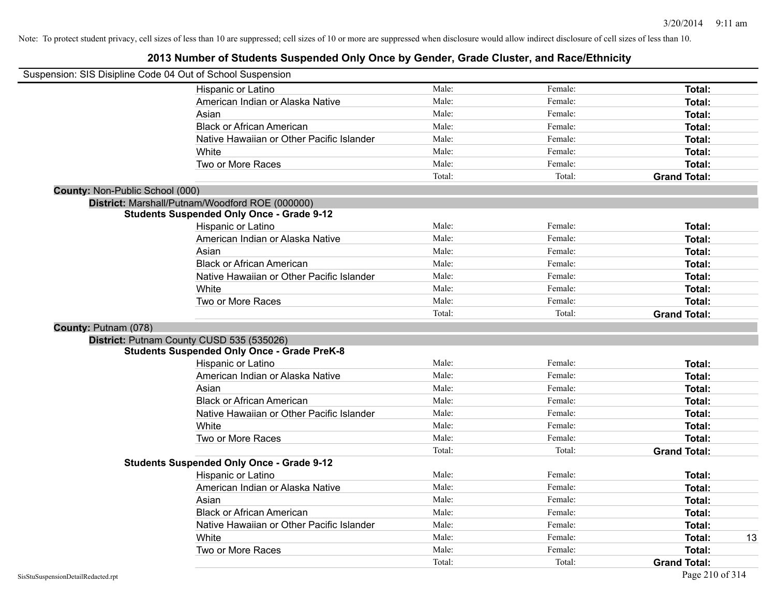|                                 | Suspension: SIS Disipline Code 04 Out of School Suspension |        |         |                     |
|---------------------------------|------------------------------------------------------------|--------|---------|---------------------|
|                                 | Hispanic or Latino                                         | Male:  | Female: | Total:              |
|                                 | American Indian or Alaska Native                           | Male:  | Female: | Total:              |
|                                 | Asian                                                      | Male:  | Female: | Total:              |
|                                 | <b>Black or African American</b>                           | Male:  | Female: | Total:              |
|                                 | Native Hawaiian or Other Pacific Islander                  | Male:  | Female: | Total:              |
|                                 | White                                                      | Male:  | Female: | Total:              |
|                                 | Two or More Races                                          | Male:  | Female: | Total:              |
|                                 |                                                            | Total: | Total:  | <b>Grand Total:</b> |
| County: Non-Public School (000) |                                                            |        |         |                     |
|                                 | District: Marshall/Putnam/Woodford ROE (000000)            |        |         |                     |
|                                 | <b>Students Suspended Only Once - Grade 9-12</b>           |        |         |                     |
|                                 | Hispanic or Latino                                         | Male:  | Female: | Total:              |
|                                 | American Indian or Alaska Native                           | Male:  | Female: | Total:              |
|                                 | Asian                                                      | Male:  | Female: | Total:              |
|                                 | <b>Black or African American</b>                           | Male:  | Female: | Total:              |
|                                 | Native Hawaiian or Other Pacific Islander                  | Male:  | Female: | Total:              |
|                                 | White                                                      | Male:  | Female: | Total:              |
|                                 | Two or More Races                                          | Male:  | Female: | Total:              |
|                                 |                                                            | Total: | Total:  | <b>Grand Total:</b> |
| County: Putnam (078)            |                                                            |        |         |                     |
|                                 | District: Putnam County CUSD 535 (535026)                  |        |         |                     |
|                                 | <b>Students Suspended Only Once - Grade PreK-8</b>         |        |         |                     |
|                                 | Hispanic or Latino                                         | Male:  | Female: | Total:              |
|                                 | American Indian or Alaska Native                           | Male:  | Female: | Total:              |
|                                 | Asian                                                      | Male:  | Female: | Total:              |
|                                 | <b>Black or African American</b>                           | Male:  | Female: | Total:              |
|                                 | Native Hawaiian or Other Pacific Islander                  | Male:  | Female: | Total:              |
|                                 | White                                                      | Male:  | Female: | Total:              |
|                                 | Two or More Races                                          | Male:  | Female: | Total:              |
|                                 |                                                            | Total: | Total:  | <b>Grand Total:</b> |
|                                 | <b>Students Suspended Only Once - Grade 9-12</b>           |        |         |                     |
|                                 | Hispanic or Latino                                         | Male:  | Female: | Total:              |
|                                 | American Indian or Alaska Native                           | Male:  | Female: | Total:              |
|                                 | Asian                                                      | Male:  | Female: | Total:              |
|                                 | <b>Black or African American</b>                           | Male:  | Female: | Total:              |
|                                 | Native Hawaiian or Other Pacific Islander                  | Male:  | Female: | Total:              |
|                                 | White                                                      | Male:  | Female: | 13<br>Total:        |
|                                 | Two or More Races                                          | Male:  | Female: | Total:              |
|                                 |                                                            | Total: | Total:  | <b>Grand Total:</b> |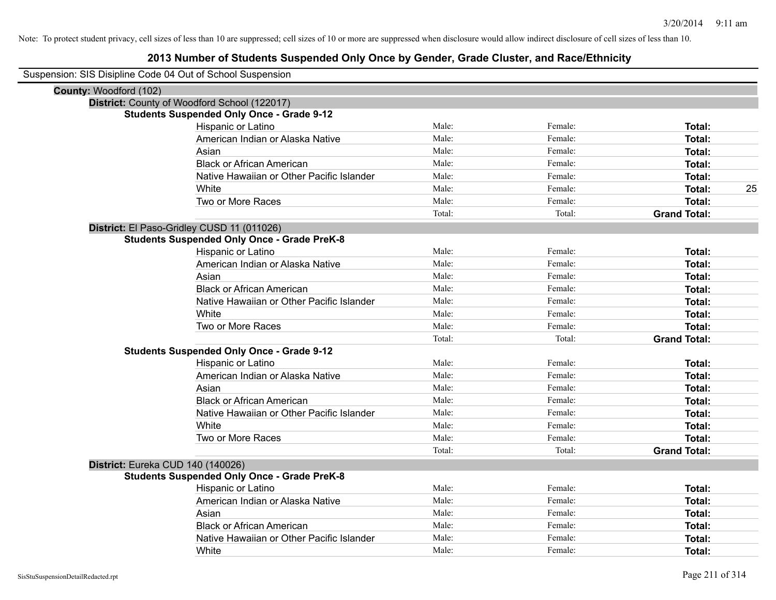| Suspension: SIS Disipline Code 04 Out of School Suspension |                                                    |        |         |                     |
|------------------------------------------------------------|----------------------------------------------------|--------|---------|---------------------|
| County: Woodford (102)                                     |                                                    |        |         |                     |
|                                                            | District: County of Woodford School (122017)       |        |         |                     |
|                                                            | <b>Students Suspended Only Once - Grade 9-12</b>   |        |         |                     |
|                                                            | Hispanic or Latino                                 | Male:  | Female: | Total:              |
|                                                            | American Indian or Alaska Native                   | Male:  | Female: | Total:              |
|                                                            | Asian                                              | Male:  | Female: | Total:              |
|                                                            | <b>Black or African American</b>                   | Male:  | Female: | Total:              |
|                                                            | Native Hawaiian or Other Pacific Islander          | Male:  | Female: | Total:              |
|                                                            | White                                              | Male:  | Female: | 25<br>Total:        |
|                                                            | Two or More Races                                  | Male:  | Female: | Total:              |
|                                                            |                                                    | Total: | Total:  | <b>Grand Total:</b> |
|                                                            | District: El Paso-Gridley CUSD 11 (011026)         |        |         |                     |
|                                                            | <b>Students Suspended Only Once - Grade PreK-8</b> |        |         |                     |
|                                                            | Hispanic or Latino                                 | Male:  | Female: | Total:              |
|                                                            | American Indian or Alaska Native                   | Male:  | Female: | Total:              |
|                                                            | Asian                                              | Male:  | Female: | Total:              |
|                                                            | <b>Black or African American</b>                   | Male:  | Female: | Total:              |
|                                                            | Native Hawaiian or Other Pacific Islander          | Male:  | Female: | Total:              |
|                                                            | White                                              | Male:  | Female: | Total:              |
|                                                            | Two or More Races                                  | Male:  | Female: | Total:              |
|                                                            |                                                    | Total: | Total:  | <b>Grand Total:</b> |
|                                                            | <b>Students Suspended Only Once - Grade 9-12</b>   |        |         |                     |
|                                                            | Hispanic or Latino                                 | Male:  | Female: | Total:              |
|                                                            | American Indian or Alaska Native                   | Male:  | Female: | Total:              |
|                                                            | Asian                                              | Male:  | Female: | Total:              |
|                                                            | <b>Black or African American</b>                   | Male:  | Female: | Total:              |
|                                                            | Native Hawaiian or Other Pacific Islander          | Male:  | Female: | Total:              |
|                                                            | White                                              | Male:  | Female: | Total:              |
|                                                            | Two or More Races                                  | Male:  | Female: | Total:              |
|                                                            |                                                    | Total: | Total:  | <b>Grand Total:</b> |
|                                                            | District: Eureka CUD 140 (140026)                  |        |         |                     |
|                                                            | <b>Students Suspended Only Once - Grade PreK-8</b> |        |         |                     |
|                                                            | Hispanic or Latino                                 | Male:  | Female: | Total:              |
|                                                            | American Indian or Alaska Native                   | Male:  | Female: | Total:              |
|                                                            | Asian                                              | Male:  | Female: | Total:              |
|                                                            | <b>Black or African American</b>                   | Male:  | Female: | Total:              |
|                                                            | Native Hawaiian or Other Pacific Islander          | Male:  | Female: | Total:              |
|                                                            | White                                              | Male:  | Female: | Total:              |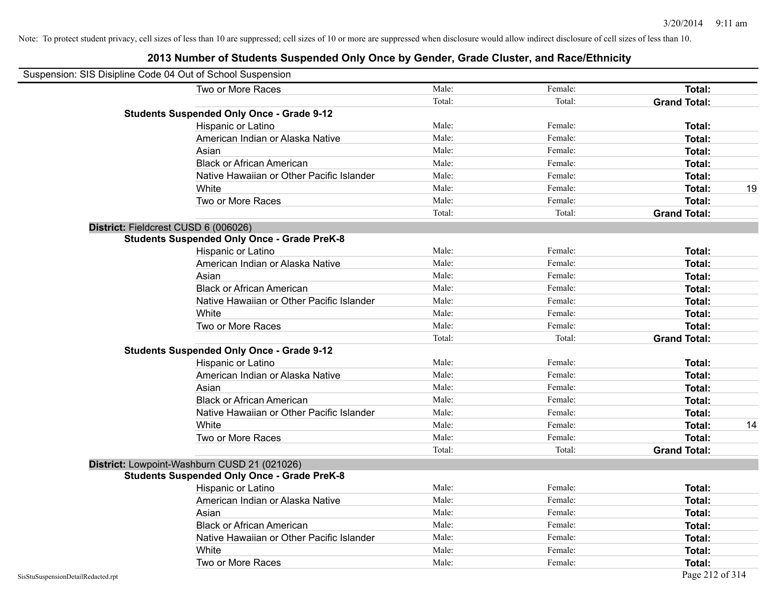| Suspension: SIS Disipline Code 04 Out of School Suspension |                                                    |        |         |                     |    |
|------------------------------------------------------------|----------------------------------------------------|--------|---------|---------------------|----|
|                                                            | Two or More Races                                  | Male:  | Female: | Total:              |    |
|                                                            |                                                    | Total: | Total:  | <b>Grand Total:</b> |    |
|                                                            | <b>Students Suspended Only Once - Grade 9-12</b>   |        |         |                     |    |
|                                                            | Hispanic or Latino                                 | Male:  | Female: | Total:              |    |
|                                                            | American Indian or Alaska Native                   | Male:  | Female: | Total:              |    |
|                                                            | Asian                                              | Male:  | Female: | Total:              |    |
|                                                            | <b>Black or African American</b>                   | Male:  | Female: | Total:              |    |
|                                                            | Native Hawaiian or Other Pacific Islander          | Male:  | Female: | Total:              |    |
|                                                            | White                                              | Male:  | Female: | Total:              | 19 |
|                                                            | Two or More Races                                  | Male:  | Female: | Total:              |    |
|                                                            |                                                    | Total: | Total:  | <b>Grand Total:</b> |    |
|                                                            | District: Fieldcrest CUSD 6 (006026)               |        |         |                     |    |
|                                                            | <b>Students Suspended Only Once - Grade PreK-8</b> |        |         |                     |    |
|                                                            | Hispanic or Latino                                 | Male:  | Female: | Total:              |    |
|                                                            | American Indian or Alaska Native                   | Male:  | Female: | Total:              |    |
|                                                            | Asian                                              | Male:  | Female: | Total:              |    |
|                                                            | <b>Black or African American</b>                   | Male:  | Female: | Total:              |    |
|                                                            | Native Hawaiian or Other Pacific Islander          | Male:  | Female: | Total:              |    |
|                                                            | White                                              | Male:  | Female: | Total:              |    |
|                                                            | Two or More Races                                  | Male:  | Female: | Total:              |    |
|                                                            |                                                    | Total: | Total:  | <b>Grand Total:</b> |    |
|                                                            | <b>Students Suspended Only Once - Grade 9-12</b>   |        |         |                     |    |
|                                                            | Hispanic or Latino                                 | Male:  | Female: | Total:              |    |
|                                                            | American Indian or Alaska Native                   | Male:  | Female: | Total:              |    |
|                                                            | Asian                                              | Male:  | Female: | Total:              |    |
|                                                            | <b>Black or African American</b>                   | Male:  | Female: | Total:              |    |
|                                                            | Native Hawaiian or Other Pacific Islander          | Male:  | Female: | Total:              |    |
|                                                            | White                                              | Male:  | Female: | Total:              | 14 |
|                                                            | Two or More Races                                  | Male:  | Female: | Total:              |    |
|                                                            |                                                    | Total: | Total:  | <b>Grand Total:</b> |    |
|                                                            | District: Lowpoint-Washburn CUSD 21 (021026)       |        |         |                     |    |
|                                                            | <b>Students Suspended Only Once - Grade PreK-8</b> |        |         |                     |    |
|                                                            | Hispanic or Latino                                 | Male:  | Female: | Total:              |    |
|                                                            | American Indian or Alaska Native                   | Male:  | Female: | Total:              |    |
|                                                            | Asian                                              | Male:  | Female: | Total:              |    |
|                                                            | <b>Black or African American</b>                   | Male:  | Female: | Total:              |    |
|                                                            | Native Hawaiian or Other Pacific Islander          | Male:  | Female: | Total:              |    |
|                                                            | White                                              | Male:  | Female: | Total:              |    |
|                                                            | Two or More Races                                  | Male:  | Female: | Total:              |    |
| SisStuSuspensionDetailRedacted.rpt                         |                                                    |        |         | Page 212 of 314     |    |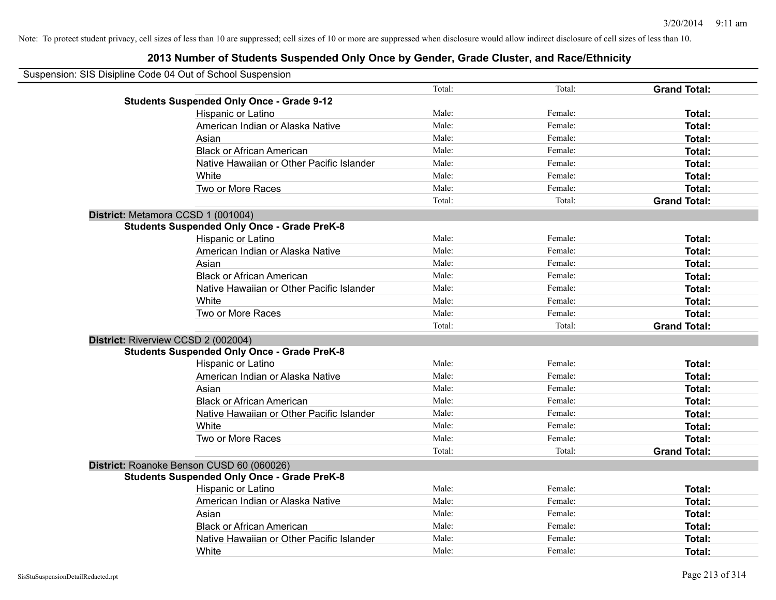| Suspension: SIS Disipline Code 04 Out of School Suspension |        |         |                     |
|------------------------------------------------------------|--------|---------|---------------------|
|                                                            | Total: | Total:  | <b>Grand Total:</b> |
| <b>Students Suspended Only Once - Grade 9-12</b>           |        |         |                     |
| Hispanic or Latino                                         | Male:  | Female: | Total:              |
| American Indian or Alaska Native                           | Male:  | Female: | Total:              |
| Asian                                                      | Male:  | Female: | Total:              |
| <b>Black or African American</b>                           | Male:  | Female: | Total:              |
| Native Hawaiian or Other Pacific Islander                  | Male:  | Female: | Total:              |
| White                                                      | Male:  | Female: | Total:              |
| Two or More Races                                          | Male:  | Female: | Total:              |
|                                                            | Total: | Total:  | <b>Grand Total:</b> |
| District: Metamora CCSD 1 (001004)                         |        |         |                     |
| <b>Students Suspended Only Once - Grade PreK-8</b>         |        |         |                     |
| Hispanic or Latino                                         | Male:  | Female: | Total:              |
| American Indian or Alaska Native                           | Male:  | Female: | Total:              |
| Asian                                                      | Male:  | Female: | Total:              |
| <b>Black or African American</b>                           | Male:  | Female: | Total:              |
| Native Hawaiian or Other Pacific Islander                  | Male:  | Female: | Total:              |
| White                                                      | Male:  | Female: | Total:              |
| Two or More Races                                          | Male:  | Female: | Total:              |
|                                                            | Total: | Total:  | <b>Grand Total:</b> |
| District: Riverview CCSD 2 (002004)                        |        |         |                     |
| <b>Students Suspended Only Once - Grade PreK-8</b>         |        |         |                     |
| Hispanic or Latino                                         | Male:  | Female: | Total:              |
| American Indian or Alaska Native                           | Male:  | Female: | Total:              |
| Asian                                                      | Male:  | Female: | Total:              |
| <b>Black or African American</b>                           | Male:  | Female: | Total:              |
| Native Hawaiian or Other Pacific Islander                  | Male:  | Female: | Total:              |
| White                                                      | Male:  | Female: | Total:              |
| Two or More Races                                          | Male:  | Female: | Total:              |
|                                                            | Total: | Total:  | <b>Grand Total:</b> |
| District: Roanoke Benson CUSD 60 (060026)                  |        |         |                     |
| <b>Students Suspended Only Once - Grade PreK-8</b>         |        |         |                     |
| Hispanic or Latino                                         | Male:  | Female: | Total:              |
| American Indian or Alaska Native                           | Male:  | Female: | Total:              |
| Asian                                                      | Male:  | Female: | Total:              |
| <b>Black or African American</b>                           | Male:  | Female: | Total:              |
| Native Hawaiian or Other Pacific Islander                  | Male:  | Female: | Total:              |
| White                                                      | Male:  | Female: | Total:              |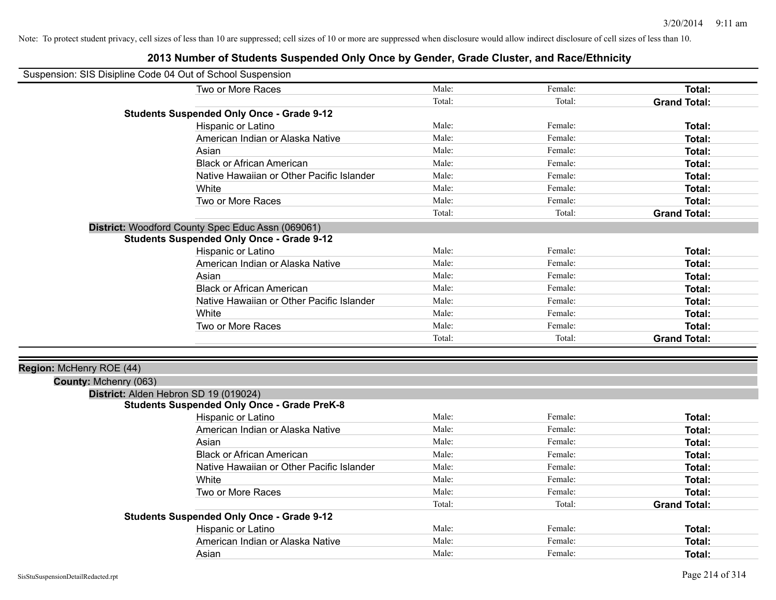| Suspension: SIS Disipline Code 04 Out of School Suspension |                                                    |        |         |                     |
|------------------------------------------------------------|----------------------------------------------------|--------|---------|---------------------|
|                                                            | Two or More Races                                  | Male:  | Female: | <b>Total:</b>       |
|                                                            |                                                    | Total: | Total:  | <b>Grand Total:</b> |
|                                                            | <b>Students Suspended Only Once - Grade 9-12</b>   |        |         |                     |
|                                                            | Hispanic or Latino                                 | Male:  | Female: | Total:              |
|                                                            | American Indian or Alaska Native                   | Male:  | Female: | <b>Total:</b>       |
|                                                            | Asian                                              | Male:  | Female: | <b>Total:</b>       |
|                                                            | <b>Black or African American</b>                   | Male:  | Female: | Total:              |
|                                                            | Native Hawaiian or Other Pacific Islander          | Male:  | Female: | Total:              |
|                                                            | White                                              | Male:  | Female: | Total:              |
|                                                            | Two or More Races                                  | Male:  | Female: | <b>Total:</b>       |
|                                                            |                                                    | Total: | Total:  | <b>Grand Total:</b> |
|                                                            | District: Woodford County Spec Educ Assn (069061)  |        |         |                     |
|                                                            | <b>Students Suspended Only Once - Grade 9-12</b>   |        |         |                     |
|                                                            | Hispanic or Latino                                 | Male:  | Female: | Total:              |
|                                                            | American Indian or Alaska Native                   | Male:  | Female: | <b>Total:</b>       |
|                                                            | Asian                                              | Male:  | Female: | Total:              |
|                                                            | <b>Black or African American</b>                   | Male:  | Female: | Total:              |
|                                                            | Native Hawaiian or Other Pacific Islander          | Male:  | Female: | Total:              |
|                                                            | White                                              | Male:  | Female: | Total:              |
|                                                            | Two or More Races                                  | Male:  | Female: | <b>Total:</b>       |
|                                                            |                                                    | Total: | Total:  | <b>Grand Total:</b> |
|                                                            |                                                    |        |         |                     |
| Region: McHenry ROE (44)                                   |                                                    |        |         |                     |
| County: Mchenry (063)                                      |                                                    |        |         |                     |
|                                                            | District: Alden Hebron SD 19 (019024)              |        |         |                     |
|                                                            | <b>Students Suspended Only Once - Grade PreK-8</b> |        |         |                     |
|                                                            | Hispanic or Latino                                 | Male:  | Female: | Total:              |
|                                                            | American Indian or Alaska Native                   | Male:  | Female: | Total:              |
|                                                            | Asian                                              | Male:  | Female: | Total:              |
|                                                            | <b>Black or African American</b>                   | Male:  | Female: | Total:              |
|                                                            | Native Hawaiian or Other Pacific Islander          | Male:  | Female: | Total:              |
|                                                            | White                                              | Male:  | Female: | Total:              |
|                                                            | Two or More Races                                  | Male:  | Female: | <b>Total:</b>       |
|                                                            |                                                    | Total: | Total:  | <b>Grand Total:</b> |
|                                                            | <b>Students Suspended Only Once - Grade 9-12</b>   |        |         |                     |
|                                                            | Hispanic or Latino                                 | Male:  | Female: | Total:              |
|                                                            | American Indian or Alaska Native                   | Male:  | Female: | Total:              |
|                                                            | Asian                                              | Male:  | Female: | Total:              |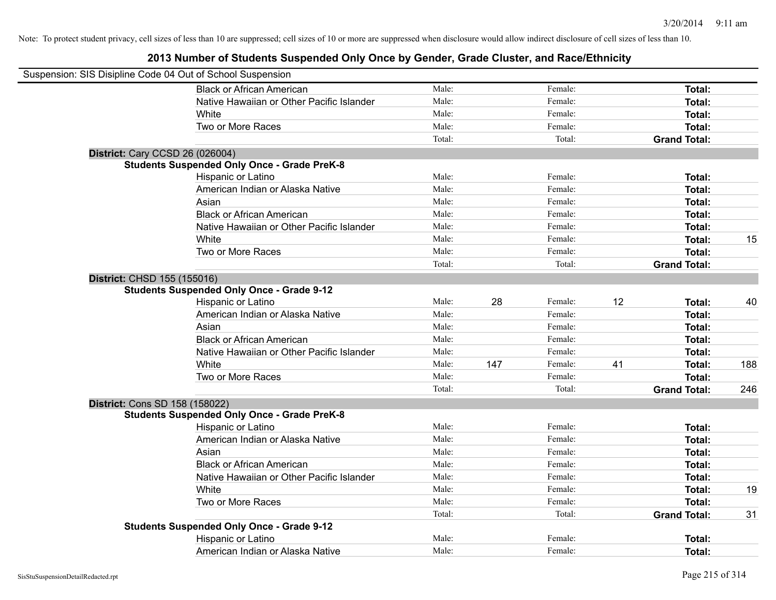| Suspension: SIS Disipline Code 04 Out of School Suspension |                                                    |        |     |         |    |                     |     |
|------------------------------------------------------------|----------------------------------------------------|--------|-----|---------|----|---------------------|-----|
|                                                            | <b>Black or African American</b>                   | Male:  |     | Female: |    | Total:              |     |
|                                                            | Native Hawaiian or Other Pacific Islander          | Male:  |     | Female: |    | Total:              |     |
|                                                            | White                                              | Male:  |     | Female: |    | Total:              |     |
|                                                            | Two or More Races                                  | Male:  |     | Female: |    | Total:              |     |
|                                                            |                                                    | Total: |     | Total:  |    | <b>Grand Total:</b> |     |
| <b>District: Cary CCSD 26 (026004)</b>                     |                                                    |        |     |         |    |                     |     |
|                                                            | <b>Students Suspended Only Once - Grade PreK-8</b> |        |     |         |    |                     |     |
|                                                            | Hispanic or Latino                                 | Male:  |     | Female: |    | Total:              |     |
|                                                            | American Indian or Alaska Native                   | Male:  |     | Female: |    | Total:              |     |
|                                                            | Asian                                              | Male:  |     | Female: |    | Total:              |     |
|                                                            | <b>Black or African American</b>                   | Male:  |     | Female: |    | Total:              |     |
|                                                            | Native Hawaiian or Other Pacific Islander          | Male:  |     | Female: |    | Total:              |     |
|                                                            | White                                              | Male:  |     | Female: |    | Total:              | 15  |
|                                                            | Two or More Races                                  | Male:  |     | Female: |    | Total:              |     |
|                                                            |                                                    | Total: |     | Total:  |    | <b>Grand Total:</b> |     |
| District: CHSD 155 (155016)                                |                                                    |        |     |         |    |                     |     |
|                                                            | <b>Students Suspended Only Once - Grade 9-12</b>   |        |     |         |    |                     |     |
|                                                            | Hispanic or Latino                                 | Male:  | 28  | Female: | 12 | Total:              | 40  |
|                                                            | American Indian or Alaska Native                   | Male:  |     | Female: |    | Total:              |     |
|                                                            | Asian                                              | Male:  |     | Female: |    | Total:              |     |
|                                                            | <b>Black or African American</b>                   | Male:  |     | Female: |    | Total:              |     |
|                                                            | Native Hawaiian or Other Pacific Islander          | Male:  |     | Female: |    | Total:              |     |
|                                                            | White                                              | Male:  | 147 | Female: | 41 | Total:              | 188 |
|                                                            | Two or More Races                                  | Male:  |     | Female: |    | Total:              |     |
|                                                            |                                                    | Total: |     | Total:  |    | <b>Grand Total:</b> | 246 |
| District: Cons SD 158 (158022)                             |                                                    |        |     |         |    |                     |     |
|                                                            | <b>Students Suspended Only Once - Grade PreK-8</b> |        |     |         |    |                     |     |
|                                                            | Hispanic or Latino                                 | Male:  |     | Female: |    | Total:              |     |
|                                                            | American Indian or Alaska Native                   | Male:  |     | Female: |    | Total:              |     |
|                                                            | Asian                                              | Male:  |     | Female: |    | Total:              |     |
|                                                            | <b>Black or African American</b>                   | Male:  |     | Female: |    | Total:              |     |
|                                                            | Native Hawaiian or Other Pacific Islander          | Male:  |     | Female: |    | Total:              |     |
|                                                            | White                                              | Male:  |     | Female: |    | Total:              | 19  |
|                                                            | Two or More Races                                  | Male:  |     | Female: |    | Total:              |     |
|                                                            |                                                    | Total: |     | Total:  |    | <b>Grand Total:</b> | 31  |
|                                                            | <b>Students Suspended Only Once - Grade 9-12</b>   |        |     |         |    |                     |     |
|                                                            | Hispanic or Latino                                 | Male:  |     | Female: |    | Total:              |     |
|                                                            | American Indian or Alaska Native                   | Male:  |     | Female: |    | Total:              |     |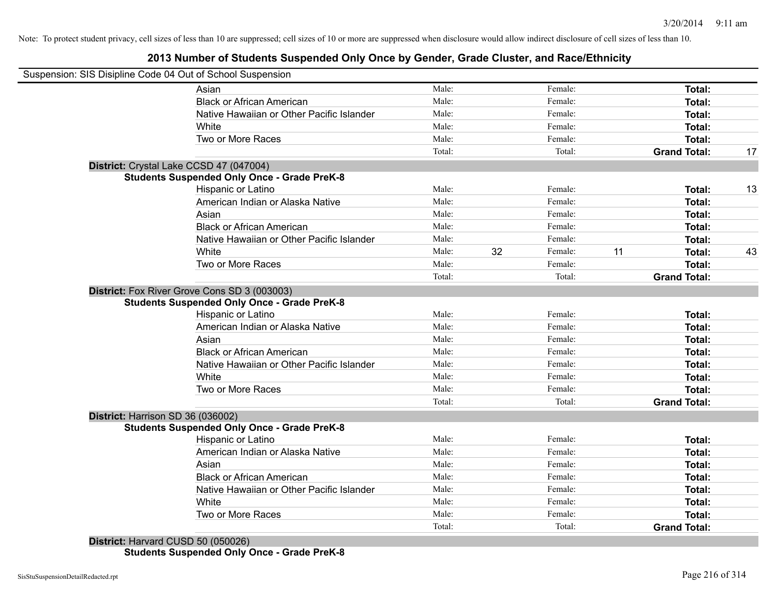### **2013 Number of Students Suspended Only Once by Gender, Grade Cluster, and Race/Ethnicity**

|                                    | Suspension: SIS Disipline Code 04 Out of School Suspension                                         |        |    |         |    |                     |    |
|------------------------------------|----------------------------------------------------------------------------------------------------|--------|----|---------|----|---------------------|----|
|                                    | Asian                                                                                              | Male:  |    | Female: |    | Total:              |    |
|                                    | <b>Black or African American</b>                                                                   | Male:  |    | Female: |    | Total:              |    |
|                                    | Native Hawaiian or Other Pacific Islander                                                          | Male:  |    | Female: |    | Total:              |    |
|                                    | White                                                                                              | Male:  |    | Female: |    | Total:              |    |
|                                    | Two or More Races                                                                                  | Male:  |    | Female: |    | Total:              |    |
|                                    |                                                                                                    | Total: |    | Total:  |    | <b>Grand Total:</b> | 17 |
|                                    | District: Crystal Lake CCSD 47 (047004)                                                            |        |    |         |    |                     |    |
|                                    | <b>Students Suspended Only Once - Grade PreK-8</b>                                                 |        |    |         |    |                     |    |
|                                    | <b>Hispanic or Latino</b>                                                                          | Male:  |    | Female: |    | Total:              | 13 |
|                                    | American Indian or Alaska Native                                                                   | Male:  |    | Female: |    | <b>Total:</b>       |    |
|                                    | Asian                                                                                              | Male:  |    | Female: |    | Total:              |    |
|                                    | <b>Black or African American</b>                                                                   | Male:  |    | Female: |    | Total:              |    |
|                                    | Native Hawaiian or Other Pacific Islander                                                          | Male:  |    | Female: |    | Total:              |    |
|                                    | White                                                                                              | Male:  | 32 | Female: | 11 | Total:              | 43 |
|                                    | Two or More Races                                                                                  | Male:  |    | Female: |    | Total:              |    |
|                                    |                                                                                                    | Total: |    | Total:  |    | <b>Grand Total:</b> |    |
|                                    | District: Fox River Grove Cons SD 3 (003003)<br><b>Students Suspended Only Once - Grade PreK-8</b> |        |    |         |    |                     |    |
|                                    | Hispanic or Latino                                                                                 | Male:  |    | Female: |    | Total:              |    |
|                                    | American Indian or Alaska Native                                                                   | Male:  |    | Female: |    | Total:              |    |
|                                    | Asian                                                                                              | Male:  |    | Female: |    | Total:              |    |
|                                    | <b>Black or African American</b>                                                                   | Male:  |    | Female: |    | Total:              |    |
|                                    | Native Hawaiian or Other Pacific Islander                                                          | Male:  |    | Female: |    | Total:              |    |
|                                    | White                                                                                              | Male:  |    | Female: |    | Total:              |    |
|                                    | Two or More Races                                                                                  | Male:  |    | Female: |    | Total:              |    |
|                                    |                                                                                                    | Total: |    | Total:  |    | <b>Grand Total:</b> |    |
| District: Harrison SD 36 (036002)  |                                                                                                    |        |    |         |    |                     |    |
|                                    | <b>Students Suspended Only Once - Grade PreK-8</b>                                                 |        |    |         |    |                     |    |
|                                    | Hispanic or Latino                                                                                 | Male:  |    | Female: |    | Total:              |    |
|                                    | American Indian or Alaska Native                                                                   | Male:  |    | Female: |    | Total:              |    |
|                                    | Asian                                                                                              | Male:  |    | Female: |    | Total:              |    |
|                                    | <b>Black or African American</b>                                                                   | Male:  |    | Female: |    | Total:              |    |
|                                    | Native Hawaiian or Other Pacific Islander                                                          | Male:  |    | Female: |    | Total:              |    |
|                                    | White                                                                                              | Male:  |    | Female: |    | Total:              |    |
|                                    | Two or More Races                                                                                  | Male:  |    | Female: |    | <b>Total:</b>       |    |
|                                    |                                                                                                    | Total: |    | Total:  |    | <b>Grand Total:</b> |    |
| District: Harvard CUSD 50 (050026) |                                                                                                    |        |    |         |    |                     |    |

**Students Suspended Only Once - Grade PreK-8**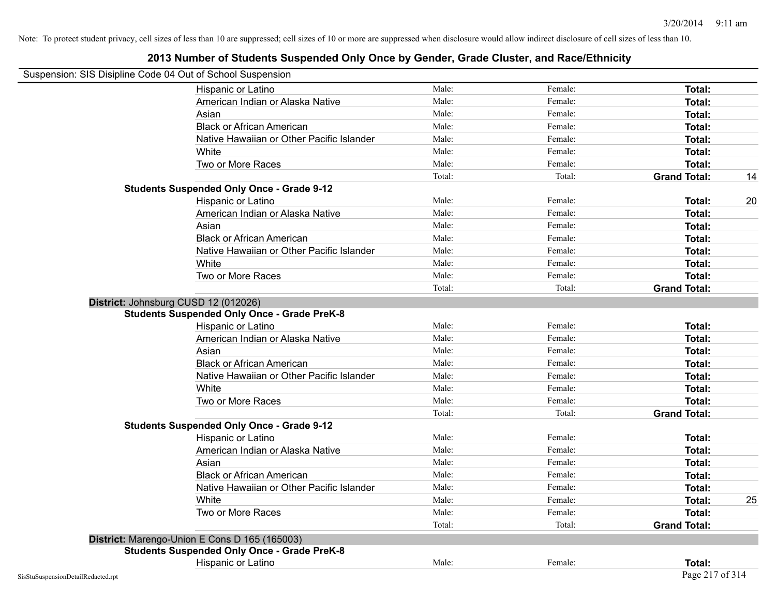| Suspension: SIS Disipline Code 04 Out of School Suspension |        |         |                     |    |
|------------------------------------------------------------|--------|---------|---------------------|----|
| Hispanic or Latino                                         | Male:  | Female: | Total:              |    |
| American Indian or Alaska Native                           | Male:  | Female: | Total:              |    |
| Asian                                                      | Male:  | Female: | Total:              |    |
| <b>Black or African American</b>                           | Male:  | Female: | Total:              |    |
| Native Hawaiian or Other Pacific Islander                  | Male:  | Female: | Total:              |    |
| White                                                      | Male:  | Female: | Total:              |    |
| Two or More Races                                          | Male:  | Female: | Total:              |    |
|                                                            | Total: | Total:  | <b>Grand Total:</b> | 14 |
| <b>Students Suspended Only Once - Grade 9-12</b>           |        |         |                     |    |
| Hispanic or Latino                                         | Male:  | Female: | Total:              | 20 |
| American Indian or Alaska Native                           | Male:  | Female: | Total:              |    |
| Asian                                                      | Male:  | Female: | Total:              |    |
| <b>Black or African American</b>                           | Male:  | Female: | Total:              |    |
| Native Hawaiian or Other Pacific Islander                  | Male:  | Female: | Total:              |    |
| White                                                      | Male:  | Female: | Total:              |    |
| Two or More Races                                          | Male:  | Female: | Total:              |    |
|                                                            | Total: | Total:  | <b>Grand Total:</b> |    |
| District: Johnsburg CUSD 12 (012026)                       |        |         |                     |    |
| <b>Students Suspended Only Once - Grade PreK-8</b>         |        |         |                     |    |
| Hispanic or Latino                                         | Male:  | Female: | Total:              |    |
| American Indian or Alaska Native                           | Male:  | Female: | Total:              |    |
| Asian                                                      | Male:  | Female: | Total:              |    |
| <b>Black or African American</b>                           | Male:  | Female: | Total:              |    |
| Native Hawaiian or Other Pacific Islander                  | Male:  | Female: | Total:              |    |
| White                                                      | Male:  | Female: | Total:              |    |
| Two or More Races                                          | Male:  | Female: | Total:              |    |
|                                                            | Total: | Total:  | <b>Grand Total:</b> |    |
| <b>Students Suspended Only Once - Grade 9-12</b>           |        |         |                     |    |
| Hispanic or Latino                                         | Male:  | Female: | Total:              |    |
| American Indian or Alaska Native                           | Male:  | Female: | Total:              |    |
| Asian                                                      | Male:  | Female: | Total:              |    |
| <b>Black or African American</b>                           | Male:  | Female: | Total:              |    |
| Native Hawaiian or Other Pacific Islander                  | Male:  | Female: | Total:              |    |
| White                                                      | Male:  | Female: | Total:              | 25 |
| Two or More Races                                          | Male:  | Female: | Total:              |    |
|                                                            | Total: | Total:  | <b>Grand Total:</b> |    |
| District: Marengo-Union E Cons D 165 (165003)              |        |         |                     |    |
| <b>Students Suspended Only Once - Grade PreK-8</b>         |        |         |                     |    |
| Hispanic or Latino                                         | Male:  | Female: | Total:              |    |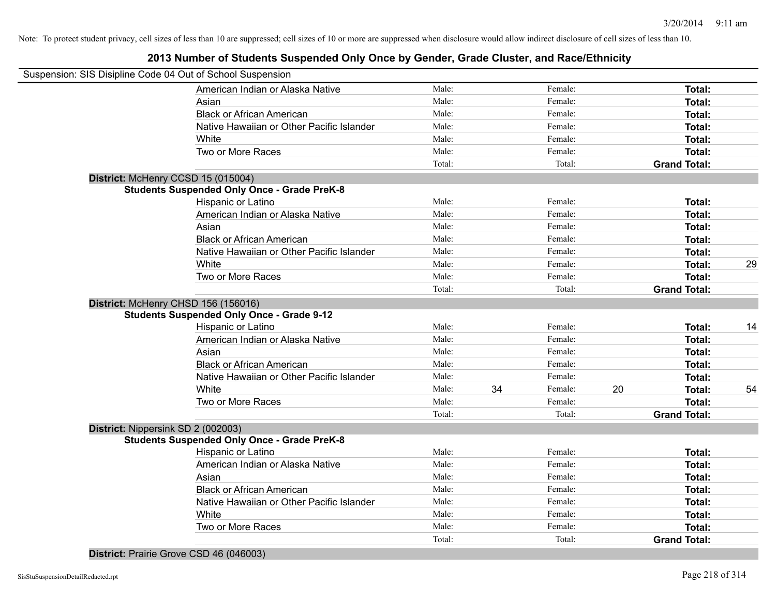### **2013 Number of Students Suspended Only Once by Gender, Grade Cluster, and Race/Ethnicity**

| Suspension: SIS Disipline Code 04 Out of School Suspension |        |    |         |    |                     |    |
|------------------------------------------------------------|--------|----|---------|----|---------------------|----|
| American Indian or Alaska Native                           | Male:  |    | Female: |    | Total:              |    |
| Asian                                                      | Male:  |    | Female: |    | Total:              |    |
| <b>Black or African American</b>                           | Male:  |    | Female: |    | Total:              |    |
| Native Hawaiian or Other Pacific Islander                  | Male:  |    | Female: |    | Total:              |    |
| White                                                      | Male:  |    | Female: |    | Total:              |    |
| Two or More Races                                          | Male:  |    | Female: |    | Total:              |    |
|                                                            | Total: |    | Total:  |    | <b>Grand Total:</b> |    |
| District: McHenry CCSD 15 (015004)                         |        |    |         |    |                     |    |
| <b>Students Suspended Only Once - Grade PreK-8</b>         |        |    |         |    |                     |    |
| Hispanic or Latino                                         | Male:  |    | Female: |    | Total:              |    |
| American Indian or Alaska Native                           | Male:  |    | Female: |    | Total:              |    |
| Asian                                                      | Male:  |    | Female: |    | Total:              |    |
| <b>Black or African American</b>                           | Male:  |    | Female: |    | Total:              |    |
| Native Hawaiian or Other Pacific Islander                  | Male:  |    | Female: |    | Total:              |    |
| White                                                      | Male:  |    | Female: |    | Total:              | 29 |
| Two or More Races                                          | Male:  |    | Female: |    | Total:              |    |
|                                                            | Total: |    | Total:  |    | <b>Grand Total:</b> |    |
| District: McHenry CHSD 156 (156016)                        |        |    |         |    |                     |    |
| <b>Students Suspended Only Once - Grade 9-12</b>           |        |    |         |    |                     |    |
| Hispanic or Latino                                         | Male:  |    | Female: |    | Total:              | 14 |
| American Indian or Alaska Native                           | Male:  |    | Female: |    | Total:              |    |
| Asian                                                      | Male:  |    | Female: |    | Total:              |    |
| <b>Black or African American</b>                           | Male:  |    | Female: |    | Total:              |    |
| Native Hawaiian or Other Pacific Islander                  | Male:  |    | Female: |    | Total:              |    |
| White                                                      | Male:  | 34 | Female: | 20 | Total:              | 54 |
| Two or More Races                                          | Male:  |    | Female: |    | Total:              |    |
|                                                            | Total: |    | Total:  |    | <b>Grand Total:</b> |    |
| District: Nippersink SD 2 (002003)                         |        |    |         |    |                     |    |
| <b>Students Suspended Only Once - Grade PreK-8</b>         |        |    |         |    |                     |    |
| Hispanic or Latino                                         | Male:  |    | Female: |    | Total:              |    |
| American Indian or Alaska Native                           | Male:  |    | Female: |    | Total:              |    |
| Asian                                                      | Male:  |    | Female: |    | Total:              |    |
| <b>Black or African American</b>                           | Male:  |    | Female: |    | Total:              |    |
| Native Hawaiian or Other Pacific Islander                  | Male:  |    | Female: |    | Total:              |    |
| White                                                      | Male:  |    | Female: |    | Total:              |    |
| Two or More Races                                          | Male:  |    | Female: |    | Total:              |    |
|                                                            | Total: |    | Total:  |    | <b>Grand Total:</b> |    |

**District:** Prairie Grove CSD 46 (046003)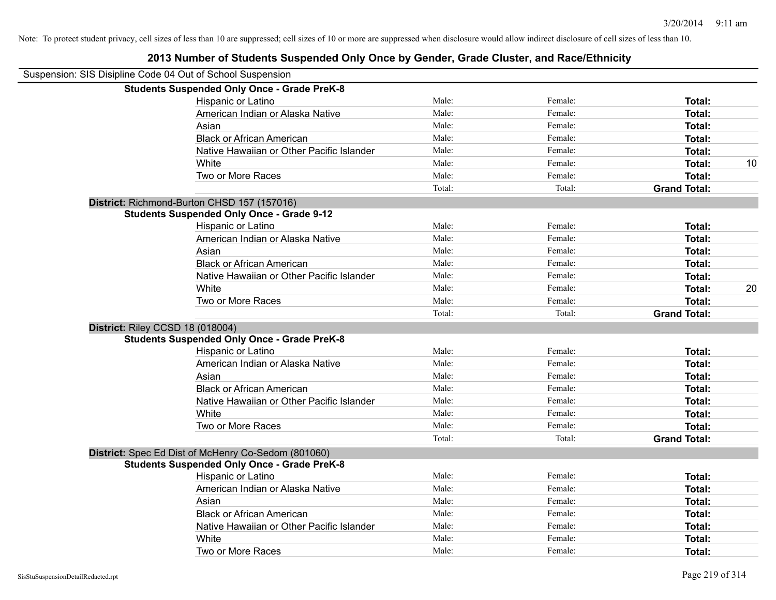| 2013 Number of Students Suspended Only Once by Gender, Grade Cluster, and Race/Ethnicity |        |         |                     |    |
|------------------------------------------------------------------------------------------|--------|---------|---------------------|----|
| Suspension: SIS Disipline Code 04 Out of School Suspension                               |        |         |                     |    |
| <b>Students Suspended Only Once - Grade PreK-8</b>                                       |        |         |                     |    |
| Hispanic or Latino                                                                       | Male:  | Female: | Total:              |    |
| American Indian or Alaska Native                                                         | Male:  | Female: | Total:              |    |
| Asian                                                                                    | Male:  | Female: | Total:              |    |
| <b>Black or African American</b>                                                         | Male:  | Female: | Total:              |    |
| Native Hawaiian or Other Pacific Islander                                                | Male:  | Female: | Total:              |    |
| White                                                                                    | Male:  | Female: | Total:              | 10 |
| Two or More Races                                                                        | Male:  | Female: | Total:              |    |
|                                                                                          | Total: | Total:  | <b>Grand Total:</b> |    |
| District: Richmond-Burton CHSD 157 (157016)                                              |        |         |                     |    |
| <b>Students Suspended Only Once - Grade 9-12</b>                                         |        |         |                     |    |
| Hispanic or Latino                                                                       | Male:  | Female: | Total:              |    |
| American Indian or Alaska Native                                                         | Male:  | Female: | Total:              |    |
| Asian                                                                                    | Male:  | Female: | Total:              |    |
| <b>Black or African American</b>                                                         | Male:  | Female: | Total:              |    |
| Native Hawaiian or Other Pacific Islander                                                | Male:  | Female: | Total:              |    |
| White                                                                                    | Male:  | Female: | Total:              | 20 |
| Two or More Races                                                                        | Male:  | Female: | Total:              |    |
|                                                                                          | Total: | Total:  | <b>Grand Total:</b> |    |
| District: Riley CCSD 18 (018004)                                                         |        |         |                     |    |
| <b>Students Suspended Only Once - Grade PreK-8</b>                                       |        |         |                     |    |
| Hispanic or Latino                                                                       | Male:  | Female: | Total:              |    |
| American Indian or Alaska Native                                                         | Male:  | Female: | Total:              |    |
| Asian                                                                                    | Male:  | Female: | Total:              |    |
| <b>Black or African American</b>                                                         | Male:  | Female: | Total:              |    |
| Native Hawaiian or Other Pacific Islander                                                | Male:  | Female: | Total:              |    |
| White                                                                                    | Male:  | Female: | Total:              |    |
| Two or More Races                                                                        | Male:  | Female: | Total:              |    |
|                                                                                          | Total: | Total:  | <b>Grand Total:</b> |    |
| District: Spec Ed Dist of McHenry Co-Sedom (801060)                                      |        |         |                     |    |
| <b>Students Suspended Only Once - Grade PreK-8</b>                                       |        |         |                     |    |
| Hispanic or Latino                                                                       | Male:  | Female: | Total:              |    |
| American Indian or Alaska Native                                                         | Male:  | Female: | Total:              |    |
| Asian                                                                                    | Male:  | Female: | Total:              |    |
| <b>Black or African American</b>                                                         | Male:  | Female: | Total:              |    |
| Native Hawaiian or Other Pacific Islander                                                | Male:  | Female: | Total:              |    |
| White                                                                                    | Male:  | Female: | Total:              |    |
| Two or More Races                                                                        | Male:  | Female: | Total:              |    |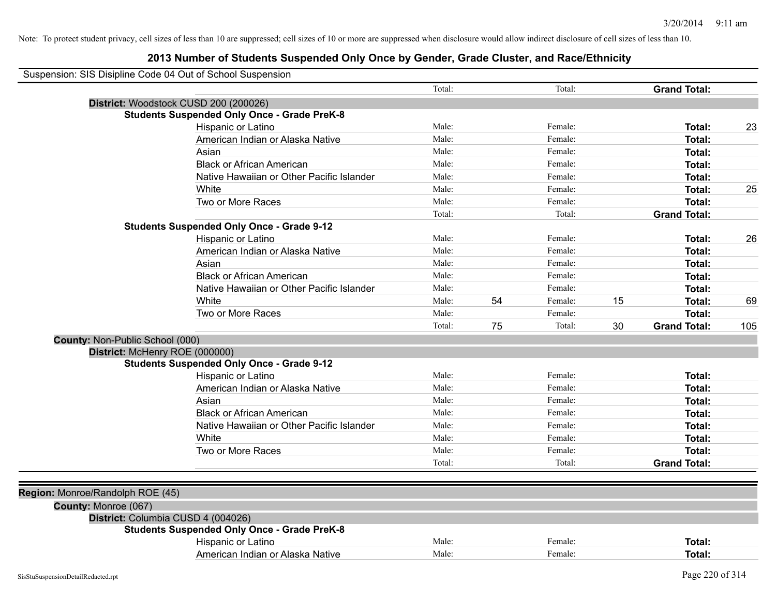|                                  | Suspension: SIS Disipline Code 04 Out of School Suspension |        |    |         |    |                     |     |
|----------------------------------|------------------------------------------------------------|--------|----|---------|----|---------------------|-----|
|                                  |                                                            | Total: |    | Total:  |    | <b>Grand Total:</b> |     |
|                                  | District: Woodstock CUSD 200 (200026)                      |        |    |         |    |                     |     |
|                                  | <b>Students Suspended Only Once - Grade PreK-8</b>         |        |    |         |    |                     |     |
|                                  | Hispanic or Latino                                         | Male:  |    | Female: |    | Total:              | 23  |
|                                  | American Indian or Alaska Native                           | Male:  |    | Female: |    | Total:              |     |
|                                  | Asian                                                      | Male:  |    | Female: |    | Total:              |     |
|                                  | <b>Black or African American</b>                           | Male:  |    | Female: |    | Total:              |     |
|                                  | Native Hawaiian or Other Pacific Islander                  | Male:  |    | Female: |    | Total:              |     |
|                                  | White                                                      | Male:  |    | Female: |    | Total:              | 25  |
|                                  | Two or More Races                                          | Male:  |    | Female: |    | Total:              |     |
|                                  |                                                            | Total: |    | Total:  |    | <b>Grand Total:</b> |     |
|                                  | <b>Students Suspended Only Once - Grade 9-12</b>           |        |    |         |    |                     |     |
|                                  | Hispanic or Latino                                         | Male:  |    | Female: |    | Total:              | 26  |
|                                  | American Indian or Alaska Native                           | Male:  |    | Female: |    | Total:              |     |
|                                  | Asian                                                      | Male:  |    | Female: |    | Total:              |     |
|                                  | <b>Black or African American</b>                           | Male:  |    | Female: |    | Total:              |     |
|                                  | Native Hawaiian or Other Pacific Islander                  | Male:  |    | Female: |    | Total:              |     |
|                                  | White                                                      | Male:  | 54 | Female: | 15 | Total:              | 69  |
|                                  | Two or More Races                                          | Male:  |    | Female: |    | Total:              |     |
|                                  |                                                            | Total: | 75 | Total:  | 30 | <b>Grand Total:</b> | 105 |
| County: Non-Public School (000)  |                                                            |        |    |         |    |                     |     |
|                                  | District: McHenry ROE (000000)                             |        |    |         |    |                     |     |
|                                  | <b>Students Suspended Only Once - Grade 9-12</b>           |        |    |         |    |                     |     |
|                                  | Hispanic or Latino                                         | Male:  |    | Female: |    | Total:              |     |
|                                  | American Indian or Alaska Native                           | Male:  |    | Female: |    | Total:              |     |
|                                  | Asian                                                      | Male:  |    | Female: |    | Total:              |     |
|                                  | <b>Black or African American</b>                           | Male:  |    | Female: |    | Total:              |     |
|                                  | Native Hawaiian or Other Pacific Islander                  | Male:  |    | Female: |    | Total:              |     |
|                                  | White                                                      | Male:  |    | Female: |    | Total:              |     |
|                                  | Two or More Races                                          | Male:  |    | Female: |    | Total:              |     |
|                                  |                                                            | Total: |    | Total:  |    | <b>Grand Total:</b> |     |
|                                  |                                                            |        |    |         |    |                     |     |
| Region: Monroe/Randolph ROE (45) |                                                            |        |    |         |    |                     |     |
| County: Monroe (067)             |                                                            |        |    |         |    |                     |     |
|                                  | District: Columbia CUSD 4 (004026)                         |        |    |         |    |                     |     |
|                                  | <b>Students Suspended Only Once - Grade PreK-8</b>         |        |    |         |    |                     |     |
|                                  | Hispanic or Latino                                         | Male:  |    | Female: |    | Total:              |     |
|                                  | American Indian or Alaska Native                           | Male:  |    | Female: |    | Total:              |     |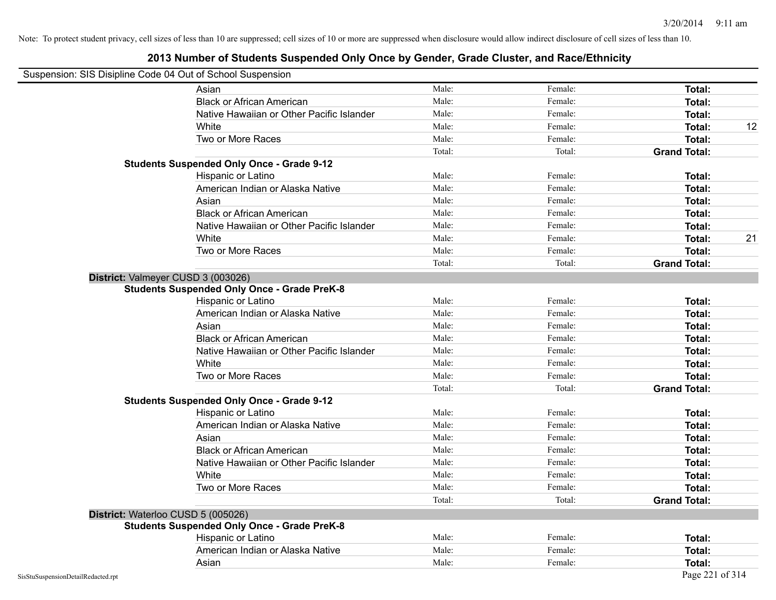#### **2013 Number of Students Suspended Only Once by Gender, Grade Cluster, and Race/Ethnicity**

## Suspension: SIS Disipline Code 04 Out of School Suspension

| asperision. Sio Disipline Code 04 Out of Scribbi Susperision<br>Asian | Male:  | Female: | Total:              |    |
|-----------------------------------------------------------------------|--------|---------|---------------------|----|
| <b>Black or African American</b>                                      | Male:  | Female: | Total:              |    |
| Native Hawaiian or Other Pacific Islander                             | Male:  | Female: | Total:              |    |
| White                                                                 | Male:  | Female: | <b>Total:</b>       | 12 |
| Two or More Races                                                     | Male:  | Female: | Total:              |    |
|                                                                       | Total: | Total:  | <b>Grand Total:</b> |    |
| <b>Students Suspended Only Once - Grade 9-12</b>                      |        |         |                     |    |
| Hispanic or Latino                                                    | Male:  | Female: | Total:              |    |
| American Indian or Alaska Native                                      | Male:  | Female: | Total:              |    |
| Asian                                                                 | Male:  | Female: | Total:              |    |
| <b>Black or African American</b>                                      | Male:  | Female: | <b>Total:</b>       |    |
| Native Hawaiian or Other Pacific Islander                             | Male:  | Female: | Total:              |    |
| White                                                                 | Male:  | Female: | Total:              | 21 |
| Two or More Races                                                     | Male:  | Female: | <b>Total:</b>       |    |
|                                                                       | Total: | Total:  | <b>Grand Total:</b> |    |
| District: Valmeyer CUSD 3 (003026)                                    |        |         |                     |    |
| <b>Students Suspended Only Once - Grade PreK-8</b>                    |        |         |                     |    |
| Hispanic or Latino                                                    | Male:  | Female: | Total:              |    |
| American Indian or Alaska Native                                      | Male:  | Female: | Total:              |    |
| Asian                                                                 | Male:  | Female: | Total:              |    |
| <b>Black or African American</b>                                      | Male:  | Female: | Total:              |    |
| Native Hawaiian or Other Pacific Islander                             | Male:  | Female: | Total:              |    |
| White                                                                 | Male:  | Female: | Total:              |    |
| Two or More Races                                                     | Male:  | Female: | Total:              |    |
|                                                                       | Total: | Total:  | <b>Grand Total:</b> |    |
| <b>Students Suspended Only Once - Grade 9-12</b>                      |        |         |                     |    |
| Hispanic or Latino                                                    | Male:  | Female: | Total:              |    |
| American Indian or Alaska Native                                      | Male:  | Female: | Total:              |    |
| Asian                                                                 | Male:  | Female: | Total:              |    |
| <b>Black or African American</b>                                      | Male:  | Female: | Total:              |    |
| Native Hawaiian or Other Pacific Islander                             | Male:  | Female: | Total:              |    |
| White                                                                 | Male:  | Female: | Total:              |    |
| Two or More Races                                                     | Male:  | Female: | Total:              |    |
|                                                                       | Total: | Total:  | <b>Grand Total:</b> |    |
| District: Waterloo CUSD 5 (005026)                                    |        |         |                     |    |
| <b>Students Suspended Only Once - Grade PreK-8</b>                    |        |         |                     |    |
| Hispanic or Latino                                                    | Male:  | Female: | Total:              |    |
| American Indian or Alaska Native                                      | Male:  | Female: | <b>Total:</b>       |    |
| Asian                                                                 | Male:  | Female: | Total:              |    |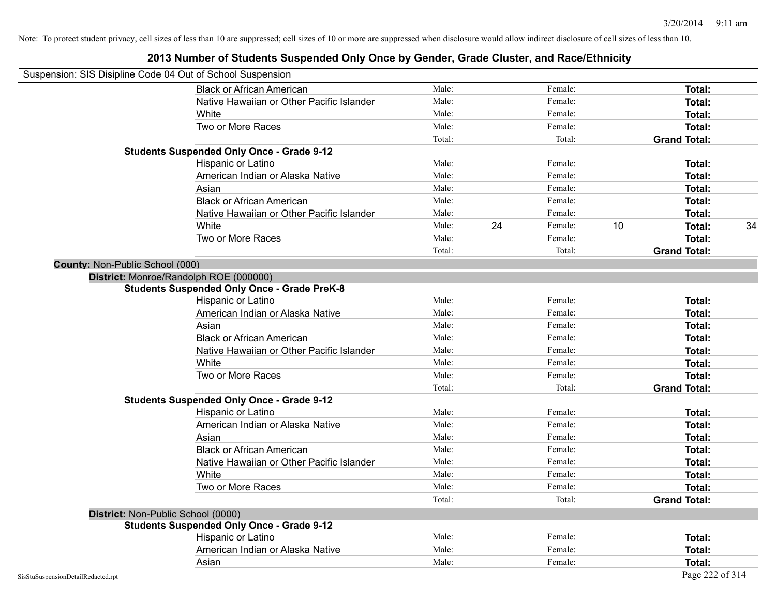| Suspension: SIS Disipline Code 04 Out of School Suspension |                                                    |        |    |         |    |                     |    |
|------------------------------------------------------------|----------------------------------------------------|--------|----|---------|----|---------------------|----|
|                                                            | <b>Black or African American</b>                   | Male:  |    | Female: |    | <b>Total:</b>       |    |
|                                                            | Native Hawaiian or Other Pacific Islander          | Male:  |    | Female: |    | Total:              |    |
|                                                            | White                                              | Male:  |    | Female: |    | Total:              |    |
|                                                            | Two or More Races                                  | Male:  |    | Female: |    | <b>Total:</b>       |    |
|                                                            |                                                    | Total: |    | Total:  |    | <b>Grand Total:</b> |    |
|                                                            | <b>Students Suspended Only Once - Grade 9-12</b>   |        |    |         |    |                     |    |
|                                                            | Hispanic or Latino                                 | Male:  |    | Female: |    | Total:              |    |
|                                                            | American Indian or Alaska Native                   | Male:  |    | Female: |    | Total:              |    |
|                                                            | Asian                                              | Male:  |    | Female: |    | Total:              |    |
|                                                            | <b>Black or African American</b>                   | Male:  |    | Female: |    | Total:              |    |
|                                                            | Native Hawaiian or Other Pacific Islander          | Male:  |    | Female: |    | Total:              |    |
|                                                            | White                                              | Male:  | 24 | Female: | 10 | Total:              | 34 |
|                                                            | Two or More Races                                  | Male:  |    | Female: |    | <b>Total:</b>       |    |
|                                                            |                                                    | Total: |    | Total:  |    | <b>Grand Total:</b> |    |
| County: Non-Public School (000)                            |                                                    |        |    |         |    |                     |    |
|                                                            | District: Monroe/Randolph ROE (000000)             |        |    |         |    |                     |    |
|                                                            | <b>Students Suspended Only Once - Grade PreK-8</b> |        |    |         |    |                     |    |
|                                                            | Hispanic or Latino                                 | Male:  |    | Female: |    | <b>Total:</b>       |    |
|                                                            | American Indian or Alaska Native                   | Male:  |    | Female: |    | Total:              |    |
|                                                            | Asian                                              | Male:  |    | Female: |    | Total:              |    |
|                                                            | <b>Black or African American</b>                   | Male:  |    | Female: |    | Total:              |    |
|                                                            | Native Hawaiian or Other Pacific Islander          | Male:  |    | Female: |    | Total:              |    |
|                                                            | White                                              | Male:  |    | Female: |    | Total:              |    |
|                                                            | Two or More Races                                  | Male:  |    | Female: |    | Total:              |    |
|                                                            |                                                    | Total: |    | Total:  |    | <b>Grand Total:</b> |    |
|                                                            | <b>Students Suspended Only Once - Grade 9-12</b>   |        |    |         |    |                     |    |
|                                                            | Hispanic or Latino                                 | Male:  |    | Female: |    | Total:              |    |
|                                                            | American Indian or Alaska Native                   | Male:  |    | Female: |    | Total:              |    |
|                                                            | Asian                                              | Male:  |    | Female: |    | Total:              |    |
|                                                            | <b>Black or African American</b>                   | Male:  |    | Female: |    | Total:              |    |
|                                                            | Native Hawaiian or Other Pacific Islander          | Male:  |    | Female: |    | Total:              |    |
|                                                            | White                                              | Male:  |    | Female: |    | Total:              |    |
|                                                            | Two or More Races                                  | Male:  |    | Female: |    | Total:              |    |
|                                                            |                                                    | Total: |    | Total:  |    | <b>Grand Total:</b> |    |
|                                                            | District: Non-Public School (0000)                 |        |    |         |    |                     |    |
|                                                            | <b>Students Suspended Only Once - Grade 9-12</b>   |        |    |         |    |                     |    |
|                                                            | Hispanic or Latino                                 | Male:  |    | Female: |    | Total:              |    |
|                                                            | American Indian or Alaska Native                   | Male:  |    | Female: |    | Total:              |    |
|                                                            | Asian                                              | Male:  |    | Female: |    | Total:              |    |
| SisStuSuspensionDetailRedacted.rpt                         |                                                    |        |    |         |    | Page 222 of 314     |    |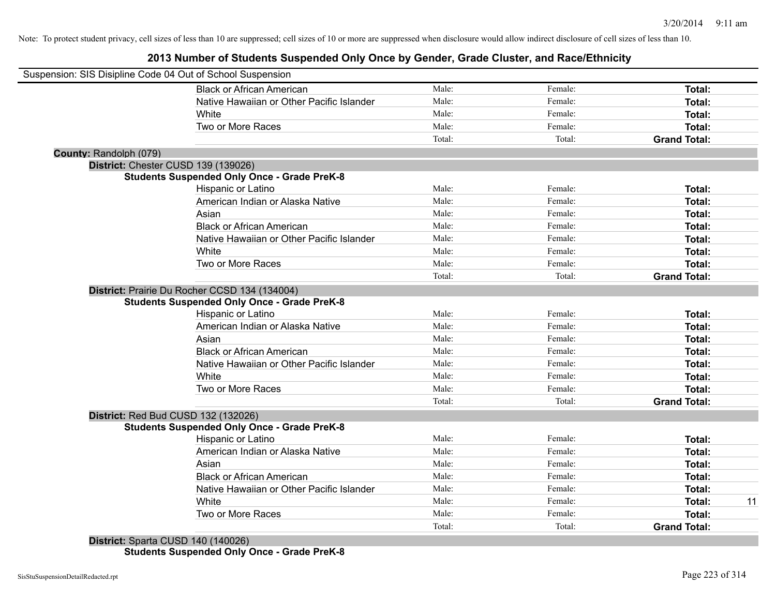**2013 Number of Students Suspended Only Once by Gender, Grade Cluster, and Race/Ethnicity**

|                        | Suspension: SIS Disipline Code 04 Out of School Suspension |        |         |                     |    |
|------------------------|------------------------------------------------------------|--------|---------|---------------------|----|
|                        | <b>Black or African American</b>                           | Male:  | Female: | Total:              |    |
|                        | Native Hawaiian or Other Pacific Islander                  | Male:  | Female: | Total:              |    |
|                        | White                                                      | Male:  | Female: | Total:              |    |
|                        | Two or More Races                                          | Male:  | Female: | Total:              |    |
|                        |                                                            | Total: | Total:  | <b>Grand Total:</b> |    |
| County: Randolph (079) |                                                            |        |         |                     |    |
|                        | District: Chester CUSD 139 (139026)                        |        |         |                     |    |
|                        | <b>Students Suspended Only Once - Grade PreK-8</b>         |        |         |                     |    |
|                        | Hispanic or Latino                                         | Male:  | Female: | Total:              |    |
|                        | American Indian or Alaska Native                           | Male:  | Female: | Total:              |    |
|                        | Asian                                                      | Male:  | Female: | Total:              |    |
|                        | <b>Black or African American</b>                           | Male:  | Female: | Total:              |    |
|                        | Native Hawaiian or Other Pacific Islander                  | Male:  | Female: | Total:              |    |
|                        | White                                                      | Male:  | Female: | Total:              |    |
|                        | Two or More Races                                          | Male:  | Female: | Total:              |    |
|                        |                                                            | Total: | Total:  | <b>Grand Total:</b> |    |
|                        | District: Prairie Du Rocher CCSD 134 (134004)              |        |         |                     |    |
|                        | <b>Students Suspended Only Once - Grade PreK-8</b>         |        |         |                     |    |
|                        | Hispanic or Latino                                         | Male:  | Female: | Total:              |    |
|                        | American Indian or Alaska Native                           | Male:  | Female: | Total:              |    |
|                        | Asian                                                      | Male:  | Female: | Total:              |    |
|                        | <b>Black or African American</b>                           | Male:  | Female: | Total:              |    |
|                        | Native Hawaiian or Other Pacific Islander                  | Male:  | Female: | Total:              |    |
|                        | White                                                      | Male:  | Female: | Total:              |    |
|                        | Two or More Races                                          | Male:  | Female: | Total:              |    |
|                        |                                                            | Total: | Total:  | <b>Grand Total:</b> |    |
|                        | District: Red Bud CUSD 132 (132026)                        |        |         |                     |    |
|                        | <b>Students Suspended Only Once - Grade PreK-8</b>         |        |         |                     |    |
|                        | Hispanic or Latino                                         | Male:  | Female: | Total:              |    |
|                        | American Indian or Alaska Native                           | Male:  | Female: | Total:              |    |
|                        | Asian                                                      | Male:  | Female: | Total:              |    |
|                        | <b>Black or African American</b>                           | Male:  | Female: | Total:              |    |
|                        | Native Hawaiian or Other Pacific Islander                  | Male:  | Female: | Total:              |    |
|                        | White                                                      | Male:  | Female: | Total:              | 11 |
|                        | Two or More Races                                          | Male:  | Female: | <b>Total:</b>       |    |
|                        |                                                            | Total: | Total:  | <b>Grand Total:</b> |    |
|                        |                                                            |        |         |                     |    |

**District:** Sparta CUSD 140 (140026) **Students Suspended Only Once - Grade PreK-8**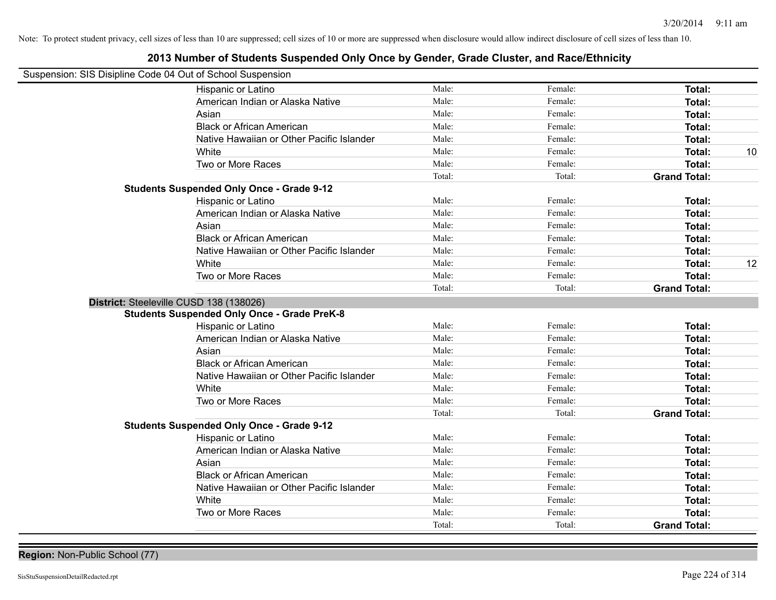### **2013 Number of Students Suspended Only Once by Gender, Grade Cluster, and Race/Ethnicity**

| Suspension: SIS Disipline Code 04 Out of School Suspension |                                                    |        |         |                     |    |
|------------------------------------------------------------|----------------------------------------------------|--------|---------|---------------------|----|
|                                                            |                                                    |        |         |                     |    |
|                                                            | Hispanic or Latino                                 | Male:  | Female: | Total:              |    |
|                                                            | American Indian or Alaska Native                   | Male:  | Female: | Total:              |    |
|                                                            | Asian                                              | Male:  | Female: | Total:              |    |
|                                                            | <b>Black or African American</b>                   | Male:  | Female: | Total:              |    |
|                                                            | Native Hawaiian or Other Pacific Islander          | Male:  | Female: | Total:              |    |
|                                                            | White                                              | Male:  | Female: | Total:              | 10 |
|                                                            | Two or More Races                                  | Male:  | Female: | Total:              |    |
|                                                            |                                                    | Total: | Total:  | <b>Grand Total:</b> |    |
|                                                            | <b>Students Suspended Only Once - Grade 9-12</b>   |        |         |                     |    |
|                                                            | Hispanic or Latino                                 | Male:  | Female: | Total:              |    |
|                                                            | American Indian or Alaska Native                   | Male:  | Female: | Total:              |    |
|                                                            | Asian                                              | Male:  | Female: | Total:              |    |
|                                                            | <b>Black or African American</b>                   | Male:  | Female: | Total:              |    |
|                                                            | Native Hawaiian or Other Pacific Islander          | Male:  | Female: | Total:              |    |
|                                                            | White                                              | Male:  | Female: | Total:              | 12 |
|                                                            | Two or More Races                                  | Male:  | Female: | Total:              |    |
|                                                            |                                                    | Total: | Total:  | <b>Grand Total:</b> |    |
|                                                            | District: Steeleville CUSD 138 (138026)            |        |         |                     |    |
|                                                            | <b>Students Suspended Only Once - Grade PreK-8</b> |        |         |                     |    |
|                                                            | Hispanic or Latino                                 | Male:  | Female: | Total:              |    |
|                                                            | American Indian or Alaska Native                   | Male:  | Female: | Total:              |    |
|                                                            | Asian                                              | Male:  | Female: | Total:              |    |
|                                                            | <b>Black or African American</b>                   | Male:  | Female: | Total:              |    |
|                                                            | Native Hawaiian or Other Pacific Islander          | Male:  | Female: | Total:              |    |
|                                                            | White                                              | Male:  | Female: | Total:              |    |
|                                                            | Two or More Races                                  | Male:  | Female: | Total:              |    |
|                                                            |                                                    | Total: | Total:  | <b>Grand Total:</b> |    |
|                                                            | <b>Students Suspended Only Once - Grade 9-12</b>   |        |         |                     |    |
|                                                            | Hispanic or Latino                                 | Male:  | Female: | Total:              |    |
|                                                            | American Indian or Alaska Native                   | Male:  | Female: | Total:              |    |
|                                                            | Asian                                              | Male:  | Female: | Total:              |    |
|                                                            | <b>Black or African American</b>                   | Male:  | Female: | Total:              |    |
|                                                            | Native Hawaiian or Other Pacific Islander          | Male:  | Female: | Total:              |    |
|                                                            | White                                              | Male:  | Female: | Total:              |    |
|                                                            | Two or More Races                                  | Male:  | Female: | Total:              |    |
|                                                            |                                                    | Total: | Total:  | <b>Grand Total:</b> |    |
|                                                            |                                                    |        |         |                     |    |

**Region:** Non-Public School (77)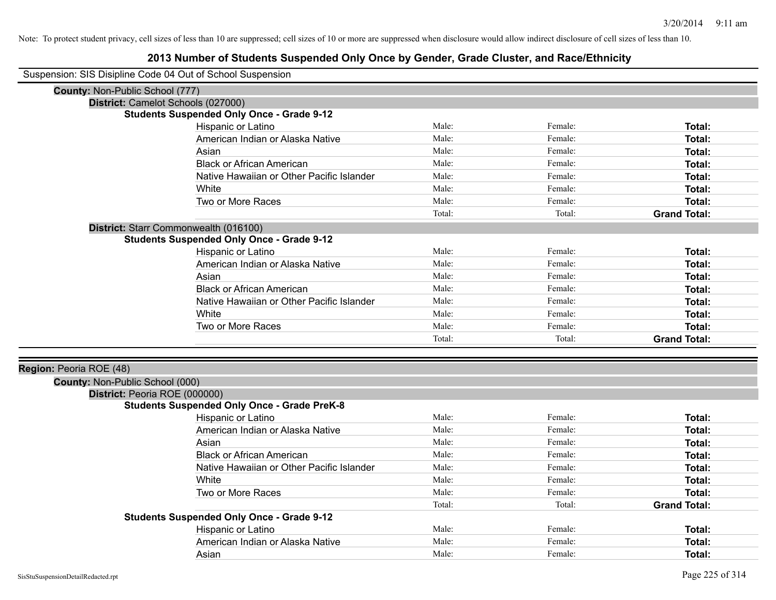| Suspension: SIS Disipline Code 04 Out of School Suspension |  |  |  |
|------------------------------------------------------------|--|--|--|
|------------------------------------------------------------|--|--|--|

| <b>County: Non-Public School (777)</b> |                                                    |        |         |                     |
|----------------------------------------|----------------------------------------------------|--------|---------|---------------------|
|                                        | District: Camelot Schools (027000)                 |        |         |                     |
|                                        | <b>Students Suspended Only Once - Grade 9-12</b>   |        |         |                     |
|                                        | Hispanic or Latino                                 | Male:  | Female: | Total:              |
|                                        | American Indian or Alaska Native                   | Male:  | Female: | Total:              |
|                                        | Asian                                              | Male:  | Female: | Total:              |
|                                        | <b>Black or African American</b>                   | Male:  | Female: | Total:              |
|                                        | Native Hawaiian or Other Pacific Islander          | Male:  | Female: | Total:              |
|                                        | White                                              | Male:  | Female: | Total:              |
|                                        | Two or More Races                                  | Male:  | Female: | Total:              |
|                                        |                                                    | Total: | Total:  | <b>Grand Total:</b> |
|                                        | District: Starr Commonwealth (016100)              |        |         |                     |
|                                        | <b>Students Suspended Only Once - Grade 9-12</b>   |        |         |                     |
|                                        | Hispanic or Latino                                 | Male:  | Female: | Total:              |
|                                        | American Indian or Alaska Native                   | Male:  | Female: | Total:              |
|                                        | Asian                                              | Male:  | Female: | Total:              |
|                                        | <b>Black or African American</b>                   | Male:  | Female: | Total:              |
|                                        | Native Hawaiian or Other Pacific Islander          | Male:  | Female: | Total:              |
|                                        | White                                              | Male:  | Female: | Total:              |
|                                        | Two or More Races                                  | Male:  | Female: | Total:              |
|                                        |                                                    | Total: | Total:  | <b>Grand Total:</b> |
|                                        |                                                    |        |         |                     |
| Region: Peoria ROE (48)                |                                                    |        |         |                     |
| County: Non-Public School (000)        |                                                    |        |         |                     |
| District: Peoria ROE (000000)          |                                                    |        |         |                     |
|                                        | <b>Students Suspended Only Once - Grade PreK-8</b> |        |         |                     |
|                                        | Hispanic or Latino                                 | Male:  | Female: | Total:              |
|                                        | American Indian or Alaska Native                   | Male:  | Female: | Total:              |
|                                        | Asian                                              | Male:  | Female: | Total:              |
|                                        | <b>Black or African American</b>                   | Male:  | Female: | Total:              |
|                                        | Native Hawaiian or Other Pacific Islander          | Male:  | Female: | Total:              |
|                                        | White                                              | Male:  | Female: | Total:              |
|                                        | Two or More Races                                  | Male:  | Female: | Total:              |
|                                        |                                                    | Total: | Total:  | <b>Grand Total:</b> |
|                                        | <b>Students Suspended Only Once - Grade 9-12</b>   |        |         |                     |
|                                        | Hispanic or Latino                                 | Male:  | Female: | Total:              |
|                                        | American Indian or Alaska Native                   | Male:  | Female: | Total:              |
|                                        | Asian                                              | Male:  | Female: | Total:              |
|                                        |                                                    |        |         |                     |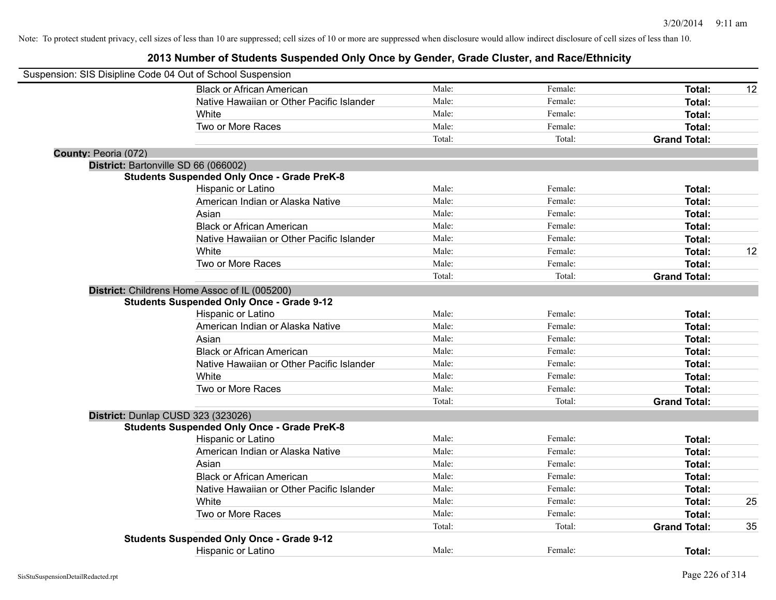|                      | Suspension: SIS Disipline Code 04 Out of School Suspension |        |         |                     |    |
|----------------------|------------------------------------------------------------|--------|---------|---------------------|----|
|                      | <b>Black or African American</b>                           | Male:  | Female: | Total:              | 12 |
|                      | Native Hawaiian or Other Pacific Islander                  | Male:  | Female: | Total:              |    |
|                      | White                                                      | Male:  | Female: | Total:              |    |
|                      | Two or More Races                                          | Male:  | Female: | Total:              |    |
|                      |                                                            | Total: | Total:  | <b>Grand Total:</b> |    |
| County: Peoria (072) |                                                            |        |         |                     |    |
|                      | District: Bartonville SD 66 (066002)                       |        |         |                     |    |
|                      | <b>Students Suspended Only Once - Grade PreK-8</b>         |        |         |                     |    |
|                      | Hispanic or Latino                                         | Male:  | Female: | Total:              |    |
|                      | American Indian or Alaska Native                           | Male:  | Female: | Total:              |    |
|                      | Asian                                                      | Male:  | Female: | Total:              |    |
|                      | <b>Black or African American</b>                           | Male:  | Female: | Total:              |    |
|                      | Native Hawaiian or Other Pacific Islander                  | Male:  | Female: | Total:              |    |
|                      | White                                                      | Male:  | Female: | Total:              | 12 |
|                      | Two or More Races                                          | Male:  | Female: | Total:              |    |
|                      |                                                            | Total: | Total:  | <b>Grand Total:</b> |    |
|                      | District: Childrens Home Assoc of IL (005200)              |        |         |                     |    |
|                      | <b>Students Suspended Only Once - Grade 9-12</b>           |        |         |                     |    |
|                      | Hispanic or Latino                                         | Male:  | Female: | Total:              |    |
|                      | American Indian or Alaska Native                           | Male:  | Female: | Total:              |    |
|                      | Asian                                                      | Male:  | Female: | Total:              |    |
|                      | <b>Black or African American</b>                           | Male:  | Female: | Total:              |    |
|                      | Native Hawaiian or Other Pacific Islander                  | Male:  | Female: | Total:              |    |
|                      | White                                                      | Male:  | Female: | Total:              |    |
|                      | Two or More Races                                          | Male:  | Female: | Total:              |    |
|                      |                                                            | Total: | Total:  | <b>Grand Total:</b> |    |
|                      | District: Dunlap CUSD 323 (323026)                         |        |         |                     |    |
|                      | <b>Students Suspended Only Once - Grade PreK-8</b>         |        |         |                     |    |
|                      | Hispanic or Latino                                         | Male:  | Female: | Total:              |    |
|                      | American Indian or Alaska Native                           | Male:  | Female: | Total:              |    |
|                      | Asian                                                      | Male:  | Female: | Total:              |    |
|                      | <b>Black or African American</b>                           | Male:  | Female: | Total:              |    |
|                      | Native Hawaiian or Other Pacific Islander                  | Male:  | Female: | Total:              |    |
|                      | White                                                      | Male:  | Female: | Total:              | 25 |
|                      | Two or More Races                                          | Male:  | Female: | Total:              |    |
|                      |                                                            | Total: | Total:  | <b>Grand Total:</b> | 35 |
|                      | <b>Students Suspended Only Once - Grade 9-12</b>           |        |         |                     |    |
|                      | <b>Hispanic or Latino</b>                                  | Male:  | Female: | Total:              |    |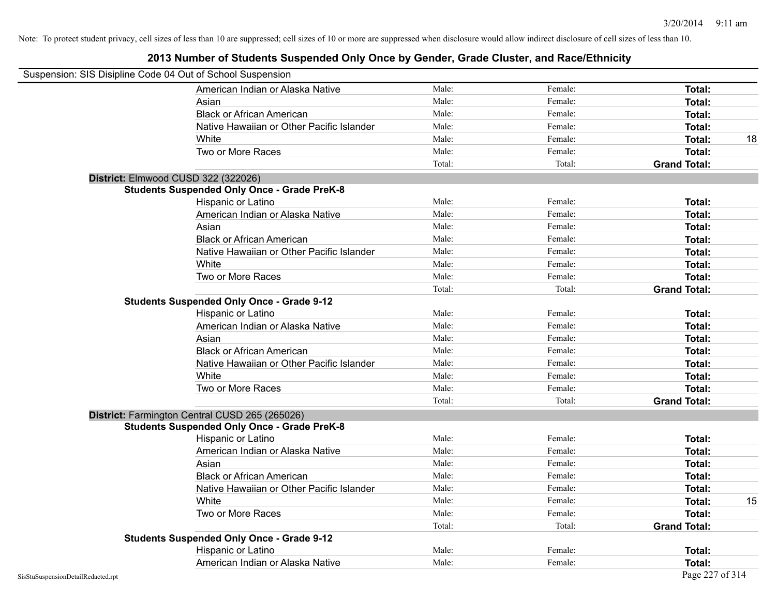| Suspension: SIS Disipline Code 04 Out of School Suspension |                                                    |        |         |                     |    |
|------------------------------------------------------------|----------------------------------------------------|--------|---------|---------------------|----|
|                                                            | American Indian or Alaska Native                   | Male:  | Female: | Total:              |    |
|                                                            | Asian                                              | Male:  | Female: | <b>Total:</b>       |    |
|                                                            | <b>Black or African American</b>                   | Male:  | Female: | <b>Total:</b>       |    |
|                                                            | Native Hawaiian or Other Pacific Islander          | Male:  | Female: | Total:              |    |
|                                                            | White                                              | Male:  | Female: | Total:              | 18 |
|                                                            | Two or More Races                                  | Male:  | Female: | <b>Total:</b>       |    |
|                                                            |                                                    | Total: | Total:  | <b>Grand Total:</b> |    |
|                                                            | District: Elmwood CUSD 322 (322026)                |        |         |                     |    |
|                                                            | <b>Students Suspended Only Once - Grade PreK-8</b> |        |         |                     |    |
|                                                            | Hispanic or Latino                                 | Male:  | Female: | <b>Total:</b>       |    |
|                                                            | American Indian or Alaska Native                   | Male:  | Female: | <b>Total:</b>       |    |
|                                                            | Asian                                              | Male:  | Female: | Total:              |    |
|                                                            | <b>Black or African American</b>                   | Male:  | Female: | Total:              |    |
|                                                            | Native Hawaiian or Other Pacific Islander          | Male:  | Female: | Total:              |    |
|                                                            | White                                              | Male:  | Female: | <b>Total:</b>       |    |
|                                                            | Two or More Races                                  | Male:  | Female: | Total:              |    |
|                                                            |                                                    | Total: | Total:  | <b>Grand Total:</b> |    |
|                                                            | <b>Students Suspended Only Once - Grade 9-12</b>   |        |         |                     |    |
|                                                            | Hispanic or Latino                                 | Male:  | Female: | Total:              |    |
|                                                            | American Indian or Alaska Native                   | Male:  | Female: | Total:              |    |
|                                                            | Asian                                              | Male:  | Female: | Total:              |    |
|                                                            | <b>Black or African American</b>                   | Male:  | Female: | Total:              |    |
|                                                            | Native Hawaiian or Other Pacific Islander          | Male:  | Female: | <b>Total:</b>       |    |
|                                                            | White                                              | Male:  | Female: | <b>Total:</b>       |    |
|                                                            | Two or More Races                                  | Male:  | Female: | Total:              |    |
|                                                            |                                                    | Total: | Total:  | <b>Grand Total:</b> |    |
|                                                            | District: Farmington Central CUSD 265 (265026)     |        |         |                     |    |
|                                                            | <b>Students Suspended Only Once - Grade PreK-8</b> |        |         |                     |    |
|                                                            | Hispanic or Latino                                 | Male:  | Female: | Total:              |    |
|                                                            | American Indian or Alaska Native                   | Male:  | Female: | Total:              |    |
|                                                            | Asian                                              | Male:  | Female: | Total:              |    |
|                                                            | <b>Black or African American</b>                   | Male:  | Female: | Total:              |    |
|                                                            | Native Hawaiian or Other Pacific Islander          | Male:  | Female: | <b>Total:</b>       |    |
|                                                            | White                                              | Male:  | Female: | Total:              | 15 |
|                                                            | Two or More Races                                  | Male:  | Female: | <b>Total:</b>       |    |
|                                                            |                                                    | Total: | Total:  | <b>Grand Total:</b> |    |
|                                                            | <b>Students Suspended Only Once - Grade 9-12</b>   |        |         |                     |    |
|                                                            | Hispanic or Latino                                 | Male:  | Female: | Total:              |    |
|                                                            | American Indian or Alaska Native                   | Male:  | Female: | Total:              |    |
| SisStuSuspensionDetailRedacted.rpt                         |                                                    |        |         | Page 227 of 314     |    |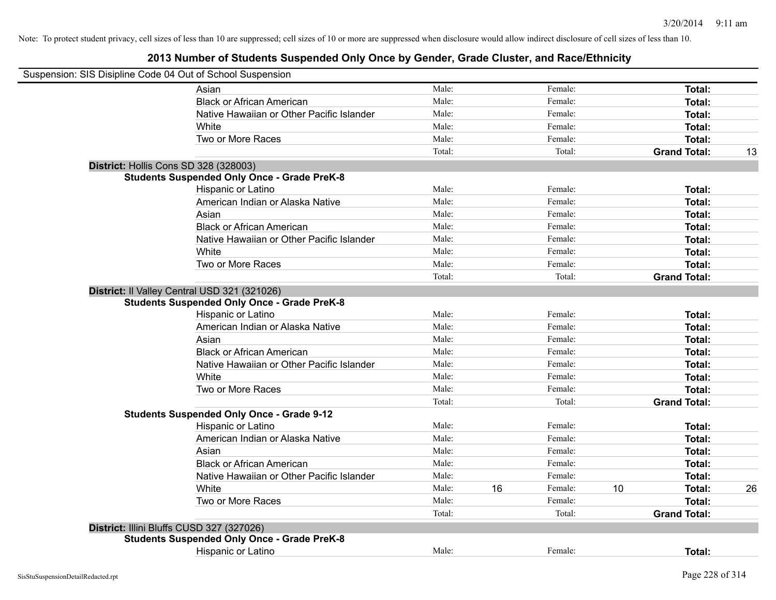| Suspension: SIS Disipline Code 04 Out of School Suspension |                                                                                                    |                |    |                    |    |                     |    |
|------------------------------------------------------------|----------------------------------------------------------------------------------------------------|----------------|----|--------------------|----|---------------------|----|
|                                                            | Asian                                                                                              | Male:          |    | Female:            |    | Total:              |    |
|                                                            | <b>Black or African American</b>                                                                   | Male:          |    | Female:            |    | Total:              |    |
|                                                            | Native Hawaiian or Other Pacific Islander                                                          | Male:          |    | Female:            |    | Total:              |    |
|                                                            | White                                                                                              | Male:          |    | Female:            |    | Total:              |    |
|                                                            | Two or More Races                                                                                  | Male:          |    | Female:            |    | Total:              |    |
|                                                            |                                                                                                    | Total:         |    | Total:             |    | <b>Grand Total:</b> | 13 |
|                                                            | District: Hollis Cons SD 328 (328003)                                                              |                |    |                    |    |                     |    |
|                                                            | <b>Students Suspended Only Once - Grade PreK-8</b>                                                 |                |    |                    |    |                     |    |
|                                                            | Hispanic or Latino                                                                                 | Male:          |    | Female:            |    | Total:              |    |
|                                                            | American Indian or Alaska Native                                                                   | Male:          |    | Female:            |    | Total:              |    |
|                                                            | Asian                                                                                              | Male:          |    | Female:            |    | Total:              |    |
|                                                            | <b>Black or African American</b>                                                                   | Male:          |    | Female:            |    | Total:              |    |
|                                                            | Native Hawaiian or Other Pacific Islander                                                          | Male:          |    | Female:            |    | Total:              |    |
|                                                            | White                                                                                              | Male:          |    | Female:            |    | Total:              |    |
|                                                            | Two or More Races                                                                                  | Male:          |    | Female:            |    | Total:              |    |
|                                                            |                                                                                                    | Total:         |    | Total:             |    | <b>Grand Total:</b> |    |
|                                                            | District: Il Valley Central USD 321 (321026)<br><b>Students Suspended Only Once - Grade PreK-8</b> |                |    |                    |    |                     |    |
|                                                            | Hispanic or Latino                                                                                 | Male:          |    | Female:            |    | Total:              |    |
|                                                            | American Indian or Alaska Native                                                                   | Male:          |    | Female:            |    | Total:              |    |
|                                                            | Asian                                                                                              | Male:          |    | Female:            |    | Total:              |    |
|                                                            | <b>Black or African American</b>                                                                   | Male:          |    | Female:            |    | Total:              |    |
|                                                            | Native Hawaiian or Other Pacific Islander                                                          | Male:          |    | Female:            |    | Total:              |    |
|                                                            | White                                                                                              | Male:          |    | Female:            |    | Total:              |    |
|                                                            | Two or More Races                                                                                  | Male:          |    | Female:            |    | Total:              |    |
|                                                            |                                                                                                    | Total:         |    | Total:             |    | <b>Grand Total:</b> |    |
|                                                            | <b>Students Suspended Only Once - Grade 9-12</b>                                                   |                |    |                    |    |                     |    |
|                                                            | Hispanic or Latino                                                                                 | Male:<br>Male: |    | Female:<br>Female: |    | Total:              |    |
|                                                            | American Indian or Alaska Native<br>Asian                                                          | Male:          |    | Female:            |    | Total:<br>Total:    |    |
|                                                            | <b>Black or African American</b>                                                                   | Male:          |    | Female:            |    | Total:              |    |
|                                                            |                                                                                                    | Male:          |    | Female:            |    | Total:              |    |
|                                                            | Native Hawaiian or Other Pacific Islander<br><b>White</b>                                          | Male:          | 16 | Female:            | 10 | Total:              | 26 |
|                                                            | Two or More Races                                                                                  | Male:          |    | Female:            |    | Total:              |    |
|                                                            |                                                                                                    | Total:         |    | Total:             |    |                     |    |
|                                                            |                                                                                                    |                |    |                    |    | <b>Grand Total:</b> |    |
|                                                            | District: Illini Bluffs CUSD 327 (327026)                                                          |                |    |                    |    |                     |    |
|                                                            | <b>Students Suspended Only Once - Grade PreK-8</b>                                                 | Male:          |    | Female:            |    |                     |    |
|                                                            | Hispanic or Latino                                                                                 |                |    |                    |    | Total:              |    |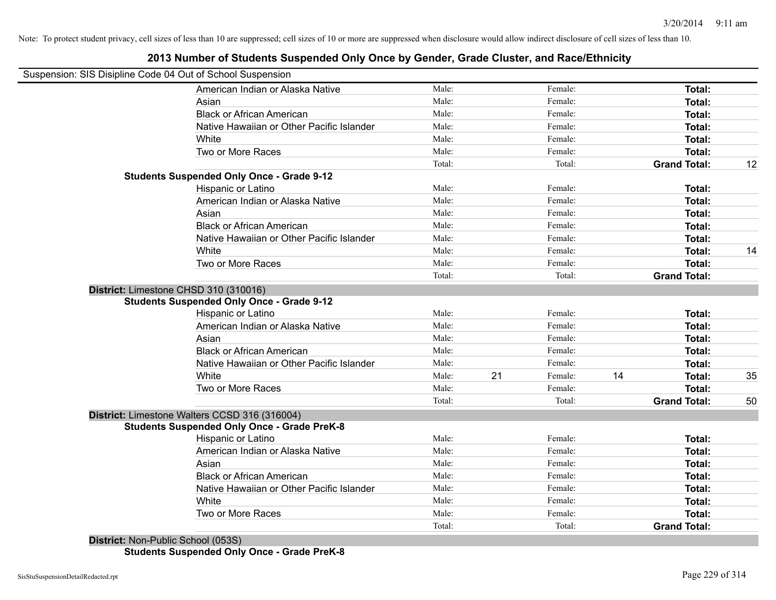### **2013 Number of Students Suspended Only Once by Gender, Grade Cluster, and Race/Ethnicity**

| Suspension: SIS Disipline Code 04 Out of School Suspension |        |               |                     |    |
|------------------------------------------------------------|--------|---------------|---------------------|----|
| American Indian or Alaska Native                           | Male:  | Female:       | Total:              |    |
| Asian                                                      | Male:  | Female:       | Total:              |    |
| <b>Black or African American</b>                           | Male:  | Female:       | Total:              |    |
| Native Hawaiian or Other Pacific Islander                  | Male:  | Female:       | Total:              |    |
| White                                                      | Male:  | Female:       | Total:              |    |
| Two or More Races                                          | Male:  | Female:       | Total:              |    |
|                                                            | Total: | Total:        | <b>Grand Total:</b> | 12 |
| <b>Students Suspended Only Once - Grade 9-12</b>           |        |               |                     |    |
| Hispanic or Latino                                         | Male:  | Female:       | Total:              |    |
| American Indian or Alaska Native                           | Male:  | Female:       | Total:              |    |
| Asian                                                      | Male:  | Female:       | Total:              |    |
| <b>Black or African American</b>                           | Male:  | Female:       | Total:              |    |
| Native Hawaiian or Other Pacific Islander                  | Male:  | Female:       | Total:              |    |
| White                                                      | Male:  | Female:       | Total:              | 14 |
| Two or More Races                                          | Male:  | Female:       | Total:              |    |
|                                                            | Total: | Total:        | <b>Grand Total:</b> |    |
| District: Limestone CHSD 310 (310016)                      |        |               |                     |    |
| <b>Students Suspended Only Once - Grade 9-12</b>           |        |               |                     |    |
| Hispanic or Latino                                         | Male:  | Female:       | Total:              |    |
| American Indian or Alaska Native                           | Male:  | Female:       | Total:              |    |
| Asian                                                      | Male:  | Female:       | Total:              |    |
| <b>Black or African American</b>                           | Male:  | Female:       | Total:              |    |
| Native Hawaiian or Other Pacific Islander                  | Male:  | Female:       | Total:              |    |
| White                                                      | Male:  | 21<br>Female: | 14<br>Total:        | 35 |
| Two or More Races                                          | Male:  | Female:       | Total:              |    |
|                                                            | Total: | Total:        | <b>Grand Total:</b> | 50 |
| District: Limestone Walters CCSD 316 (316004)              |        |               |                     |    |
| <b>Students Suspended Only Once - Grade PreK-8</b>         |        |               |                     |    |
| Hispanic or Latino                                         | Male:  | Female:       | <b>Total:</b>       |    |
| American Indian or Alaska Native                           | Male:  | Female:       | Total:              |    |
| Asian                                                      | Male:  | Female:       | Total:              |    |
| <b>Black or African American</b>                           | Male:  | Female:       | Total:              |    |
| Native Hawaiian or Other Pacific Islander                  | Male:  | Female:       | Total:              |    |
| White                                                      | Male:  | Female:       | Total:              |    |
| Two or More Races                                          | Male:  | Female:       | Total:              |    |
|                                                            | Total: | Total:        | <b>Grand Total:</b> |    |

**District:** Non-Public School (053S) **Students Suspended Only Once - Grade PreK-8**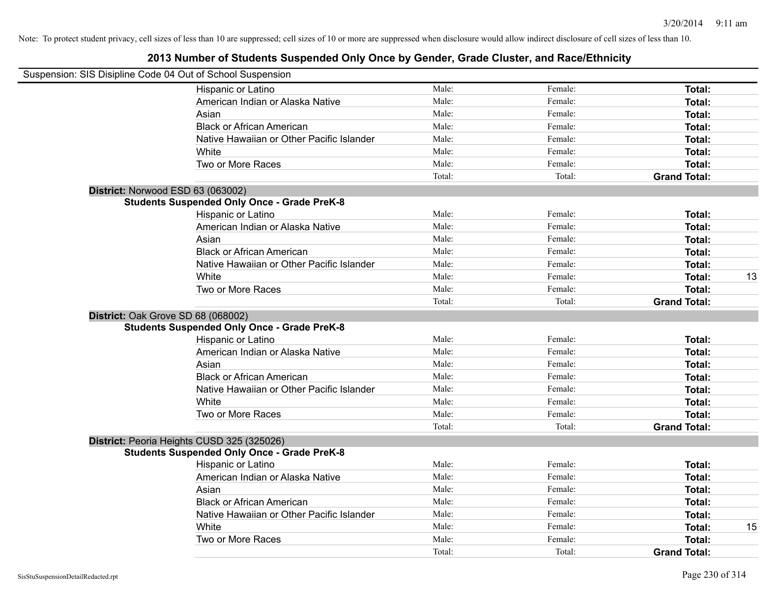| Suspension: SIS Disipline Code 04 Out of School Suspension |        |         |                     |    |
|------------------------------------------------------------|--------|---------|---------------------|----|
| Hispanic or Latino                                         | Male:  | Female: | Total:              |    |
| American Indian or Alaska Native                           | Male:  | Female: | Total:              |    |
| Asian                                                      | Male:  | Female: | Total:              |    |
| <b>Black or African American</b>                           | Male:  | Female: | Total:              |    |
| Native Hawaiian or Other Pacific Islander                  | Male:  | Female: | Total:              |    |
| White                                                      | Male:  | Female: | Total:              |    |
| Two or More Races                                          | Male:  | Female: | Total:              |    |
|                                                            | Total: | Total:  | <b>Grand Total:</b> |    |
| District: Norwood ESD 63 (063002)                          |        |         |                     |    |
| <b>Students Suspended Only Once - Grade PreK-8</b>         |        |         |                     |    |
| Hispanic or Latino                                         | Male:  | Female: | Total:              |    |
| American Indian or Alaska Native                           | Male:  | Female: | Total:              |    |
| Asian                                                      | Male:  | Female: | Total:              |    |
| <b>Black or African American</b>                           | Male:  | Female: | Total:              |    |
| Native Hawaiian or Other Pacific Islander                  | Male:  | Female: | Total:              |    |
| White                                                      | Male:  | Female: | Total:              | 13 |
| Two or More Races                                          | Male:  | Female: | Total:              |    |
|                                                            | Total: | Total:  | <b>Grand Total:</b> |    |
| District: Oak Grove SD 68 (068002)                         |        |         |                     |    |
| <b>Students Suspended Only Once - Grade PreK-8</b>         |        |         |                     |    |
| Hispanic or Latino                                         | Male:  | Female: | Total:              |    |
| American Indian or Alaska Native                           | Male:  | Female: | Total:              |    |
| Asian                                                      | Male:  | Female: | Total:              |    |
| <b>Black or African American</b>                           | Male:  | Female: | Total:              |    |
| Native Hawaiian or Other Pacific Islander                  | Male:  | Female: | Total:              |    |
| White                                                      | Male:  | Female: | Total:              |    |
| Two or More Races                                          | Male:  | Female: | Total:              |    |
|                                                            | Total: | Total:  | <b>Grand Total:</b> |    |
| District: Peoria Heights CUSD 325 (325026)                 |        |         |                     |    |
| <b>Students Suspended Only Once - Grade PreK-8</b>         |        |         |                     |    |
| Hispanic or Latino                                         | Male:  | Female: | Total:              |    |
| American Indian or Alaska Native                           | Male:  | Female: | Total:              |    |
| Asian                                                      | Male:  | Female: | Total:              |    |
| <b>Black or African American</b>                           | Male:  | Female: | Total:              |    |
| Native Hawaiian or Other Pacific Islander                  | Male:  | Female: | Total:              |    |
| White                                                      | Male:  | Female: | Total:              | 15 |
| Two or More Races                                          | Male:  | Female: | Total:              |    |
|                                                            | Total: | Total:  | <b>Grand Total:</b> |    |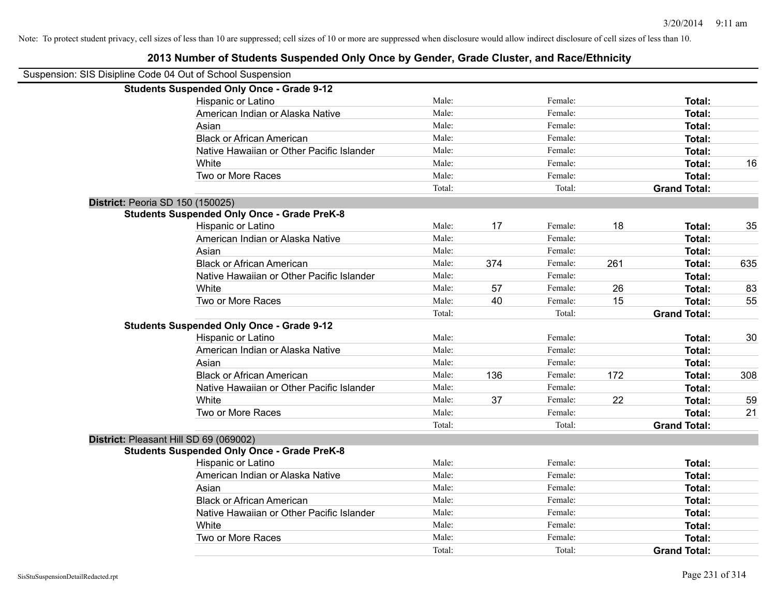| Suspension: SIS Disipline Code 04 Out of School Suspension |        |     |         |     |                     |     |
|------------------------------------------------------------|--------|-----|---------|-----|---------------------|-----|
| <b>Students Suspended Only Once - Grade 9-12</b>           |        |     |         |     |                     |     |
| Hispanic or Latino                                         | Male:  |     | Female: |     | Total:              |     |
| American Indian or Alaska Native                           | Male:  |     | Female: |     | Total:              |     |
| Asian                                                      | Male:  |     | Female: |     | Total:              |     |
| <b>Black or African American</b>                           | Male:  |     | Female: |     | Total:              |     |
| Native Hawaiian or Other Pacific Islander                  | Male:  |     | Female: |     | Total:              |     |
| White                                                      | Male:  |     | Female: |     | Total:              | 16  |
| Two or More Races                                          | Male:  |     | Female: |     | Total:              |     |
|                                                            | Total: |     | Total:  |     | <b>Grand Total:</b> |     |
| <b>District: Peoria SD 150 (150025)</b>                    |        |     |         |     |                     |     |
| <b>Students Suspended Only Once - Grade PreK-8</b>         |        |     |         |     |                     |     |
| Hispanic or Latino                                         | Male:  | 17  | Female: | 18  | Total:              | 35  |
| American Indian or Alaska Native                           | Male:  |     | Female: |     | Total:              |     |
| Asian                                                      | Male:  |     | Female: |     | Total:              |     |
| <b>Black or African American</b>                           | Male:  | 374 | Female: | 261 | Total:              | 635 |
| Native Hawaiian or Other Pacific Islander                  | Male:  |     | Female: |     | Total:              |     |
| White                                                      | Male:  | 57  | Female: | 26  | Total:              | 83  |
| Two or More Races                                          | Male:  | 40  | Female: | 15  | Total:              | 55  |
|                                                            | Total: |     | Total:  |     | <b>Grand Total:</b> |     |
| <b>Students Suspended Only Once - Grade 9-12</b>           |        |     |         |     |                     |     |
| Hispanic or Latino                                         | Male:  |     | Female: |     | Total:              | 30  |
| American Indian or Alaska Native                           | Male:  |     | Female: |     | Total:              |     |
| Asian                                                      | Male:  |     | Female: |     | Total:              |     |
| <b>Black or African American</b>                           | Male:  | 136 | Female: | 172 | Total:              | 308 |
| Native Hawaiian or Other Pacific Islander                  | Male:  |     | Female: |     | Total:              |     |
| White                                                      | Male:  | 37  | Female: | 22  | Total:              | 59  |
| Two or More Races                                          | Male:  |     | Female: |     | Total:              | 21  |
|                                                            | Total: |     | Total:  |     | <b>Grand Total:</b> |     |
| District: Pleasant Hill SD 69 (069002)                     |        |     |         |     |                     |     |
| <b>Students Suspended Only Once - Grade PreK-8</b>         |        |     |         |     |                     |     |
| Hispanic or Latino                                         | Male:  |     | Female: |     | Total:              |     |
| American Indian or Alaska Native                           | Male:  |     | Female: |     | Total:              |     |
| Asian                                                      | Male:  |     | Female: |     | Total:              |     |
| <b>Black or African American</b>                           | Male:  |     | Female: |     | Total:              |     |
| Native Hawaiian or Other Pacific Islander                  | Male:  |     | Female: |     | Total:              |     |
| White                                                      | Male:  |     | Female: |     | Total:              |     |
| Two or More Races                                          | Male:  |     | Female: |     | Total:              |     |
|                                                            | Total: |     | Total:  |     | <b>Grand Total:</b> |     |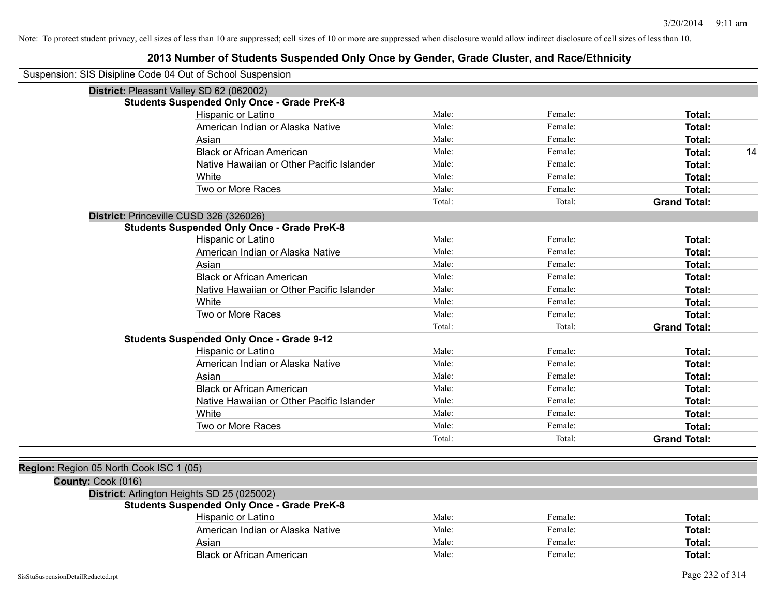| Suspension: SIS Disipline Code 04 Out of School Suspension |                                                    |        |         |                     |
|------------------------------------------------------------|----------------------------------------------------|--------|---------|---------------------|
|                                                            | District: Pleasant Valley SD 62 (062002)           |        |         |                     |
|                                                            | <b>Students Suspended Only Once - Grade PreK-8</b> |        |         |                     |
|                                                            | Hispanic or Latino                                 | Male:  | Female: | Total:              |
|                                                            | American Indian or Alaska Native                   | Male:  | Female: | Total:              |
|                                                            | Asian                                              | Male:  | Female: | Total:              |
|                                                            | <b>Black or African American</b>                   | Male:  | Female: | 14<br>Total:        |
|                                                            | Native Hawaiian or Other Pacific Islander          | Male:  | Female: | Total:              |
|                                                            | White                                              | Male:  | Female: | Total:              |
|                                                            | Two or More Races                                  | Male:  | Female: | Total:              |
|                                                            |                                                    | Total: | Total:  | <b>Grand Total:</b> |
|                                                            | District: Princeville CUSD 326 (326026)            |        |         |                     |
|                                                            | <b>Students Suspended Only Once - Grade PreK-8</b> |        |         |                     |
|                                                            | Hispanic or Latino                                 | Male:  | Female: | Total:              |
|                                                            | American Indian or Alaska Native                   | Male:  | Female: | Total:              |
|                                                            | Asian                                              | Male:  | Female: | Total:              |
|                                                            | <b>Black or African American</b>                   | Male:  | Female: | Total:              |
|                                                            | Native Hawaiian or Other Pacific Islander          | Male:  | Female: | Total:              |
|                                                            | White                                              | Male:  | Female: | Total:              |
|                                                            | Two or More Races                                  | Male:  | Female: | Total:              |
|                                                            |                                                    | Total: | Total:  | <b>Grand Total:</b> |
|                                                            | <b>Students Suspended Only Once - Grade 9-12</b>   |        |         |                     |
|                                                            | Hispanic or Latino                                 | Male:  | Female: | Total:              |
|                                                            | American Indian or Alaska Native                   | Male:  | Female: | Total:              |
|                                                            | Asian                                              | Male:  | Female: | Total:              |
|                                                            | <b>Black or African American</b>                   | Male:  | Female: | Total:              |
|                                                            | Native Hawaiian or Other Pacific Islander          | Male:  | Female: | Total:              |
|                                                            | White                                              | Male:  | Female: | Total:              |
|                                                            | Two or More Races                                  | Male:  | Female: | Total:              |
|                                                            |                                                    | Total: | Total:  | <b>Grand Total:</b> |
|                                                            |                                                    |        |         |                     |
| Region: Region 05 North Cook ISC 1 (05)                    |                                                    |        |         |                     |
| County: Cook (016)                                         |                                                    |        |         |                     |
|                                                            | District: Arlington Heights SD 25 (025002)         |        |         |                     |
|                                                            | <b>Students Suspended Only Once - Grade PreK-8</b> |        |         |                     |
|                                                            | Hispanic or Latino                                 | Male:  | Female: | Total:              |
|                                                            | American Indian or Alaska Native                   | Male:  | Female: | Total:              |
|                                                            | Asian                                              | Male:  | Female: | Total:              |
|                                                            | <b>Black or African American</b>                   | Male:  | Female: | Total:              |
|                                                            |                                                    |        |         |                     |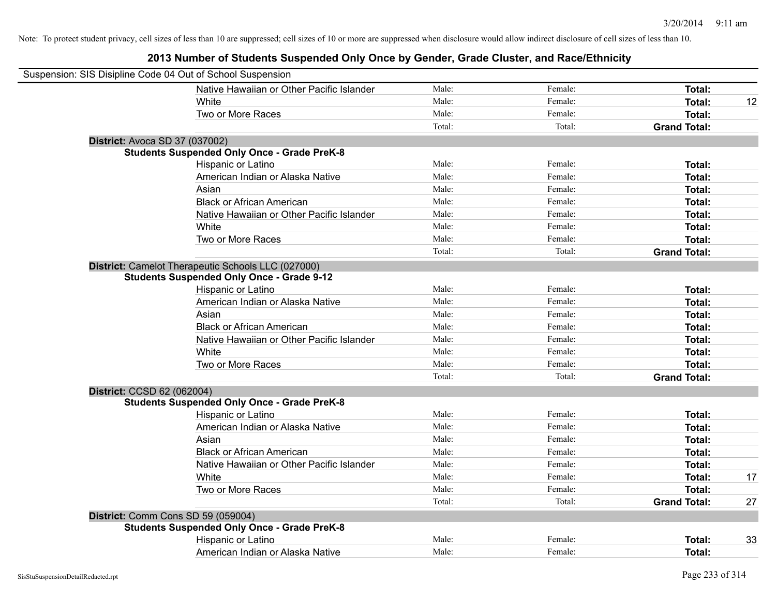| Suspension: SIS Disipline Code 04 Out of School Suspension |                                                    |        |         |                     |    |
|------------------------------------------------------------|----------------------------------------------------|--------|---------|---------------------|----|
|                                                            | Native Hawaiian or Other Pacific Islander          | Male:  | Female: | <b>Total:</b>       |    |
|                                                            | White                                              | Male:  | Female: | <b>Total:</b>       | 12 |
|                                                            | Two or More Races                                  | Male:  | Female: | <b>Total:</b>       |    |
|                                                            |                                                    | Total: | Total:  | <b>Grand Total:</b> |    |
| District: Avoca SD 37 (037002)                             |                                                    |        |         |                     |    |
|                                                            | <b>Students Suspended Only Once - Grade PreK-8</b> |        |         |                     |    |
|                                                            | Hispanic or Latino                                 | Male:  | Female: | Total:              |    |
|                                                            | American Indian or Alaska Native                   | Male:  | Female: | Total:              |    |
|                                                            | Asian                                              | Male:  | Female: | Total:              |    |
|                                                            | <b>Black or African American</b>                   | Male:  | Female: | Total:              |    |
|                                                            | Native Hawaiian or Other Pacific Islander          | Male:  | Female: | <b>Total:</b>       |    |
|                                                            | White                                              | Male:  | Female: | Total:              |    |
|                                                            | Two or More Races                                  | Male:  | Female: | <b>Total:</b>       |    |
|                                                            |                                                    | Total: | Total:  | <b>Grand Total:</b> |    |
|                                                            | District: Camelot Therapeutic Schools LLC (027000) |        |         |                     |    |
|                                                            | <b>Students Suspended Only Once - Grade 9-12</b>   |        |         |                     |    |
|                                                            | Hispanic or Latino                                 | Male:  | Female: | Total:              |    |
|                                                            | American Indian or Alaska Native                   | Male:  | Female: | Total:              |    |
|                                                            | Asian                                              | Male:  | Female: | Total:              |    |
|                                                            | <b>Black or African American</b>                   | Male:  | Female: | Total:              |    |
|                                                            | Native Hawaiian or Other Pacific Islander          | Male:  | Female: | Total:              |    |
|                                                            | White                                              | Male:  | Female: | <b>Total:</b>       |    |
|                                                            | Two or More Races                                  | Male:  | Female: | <b>Total:</b>       |    |
|                                                            |                                                    | Total: | Total:  | <b>Grand Total:</b> |    |
| District: CCSD 62 (062004)                                 |                                                    |        |         |                     |    |
|                                                            | <b>Students Suspended Only Once - Grade PreK-8</b> |        |         |                     |    |
|                                                            | Hispanic or Latino                                 | Male:  | Female: | <b>Total:</b>       |    |
|                                                            | American Indian or Alaska Native                   | Male:  | Female: | Total:              |    |
|                                                            | Asian                                              | Male:  | Female: | <b>Total:</b>       |    |
|                                                            | <b>Black or African American</b>                   | Male:  | Female: | Total:              |    |
|                                                            | Native Hawaiian or Other Pacific Islander          | Male:  | Female: | Total:              |    |
|                                                            | White                                              | Male:  | Female: | <b>Total:</b>       | 17 |
|                                                            | Two or More Races                                  | Male:  | Female: | <b>Total:</b>       |    |
|                                                            |                                                    | Total: | Total:  | <b>Grand Total:</b> | 27 |
|                                                            | District: Comm Cons SD 59 (059004)                 |        |         |                     |    |
|                                                            | <b>Students Suspended Only Once - Grade PreK-8</b> |        |         |                     |    |
|                                                            | Hispanic or Latino                                 | Male:  | Female: | <b>Total:</b>       | 33 |
|                                                            | American Indian or Alaska Native                   | Male:  | Female: | Total:              |    |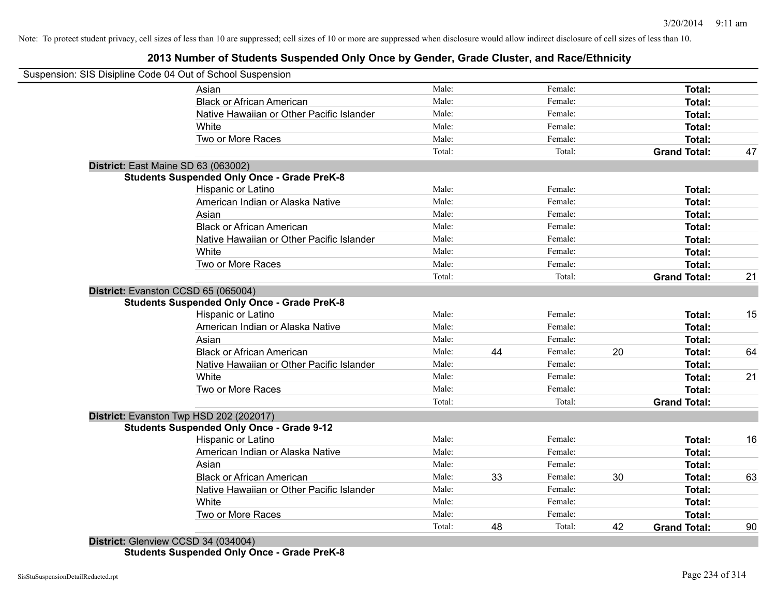### **2013 Number of Students Suspended Only Once by Gender, Grade Cluster, and Race/Ethnicity**

|                                     | Suspension: SIS Disipline Code 04 Out of School Suspension |        |    |         |    |                     |    |
|-------------------------------------|------------------------------------------------------------|--------|----|---------|----|---------------------|----|
|                                     | Asian                                                      | Male:  |    | Female: |    | Total:              |    |
|                                     | <b>Black or African American</b>                           | Male:  |    | Female: |    | Total:              |    |
|                                     | Native Hawaiian or Other Pacific Islander                  | Male:  |    | Female: |    | Total:              |    |
|                                     | White                                                      | Male:  |    | Female: |    | Total:              |    |
|                                     | Two or More Races                                          | Male:  |    | Female: |    | Total:              |    |
|                                     |                                                            | Total: |    | Total:  |    | <b>Grand Total:</b> | 47 |
| District: East Maine SD 63 (063002) |                                                            |        |    |         |    |                     |    |
|                                     | <b>Students Suspended Only Once - Grade PreK-8</b>         |        |    |         |    |                     |    |
|                                     | <b>Hispanic or Latino</b>                                  | Male:  |    | Female: |    | Total:              |    |
|                                     | American Indian or Alaska Native                           | Male:  |    | Female: |    | Total:              |    |
|                                     | Asian                                                      | Male:  |    | Female: |    | Total:              |    |
|                                     | <b>Black or African American</b>                           | Male:  |    | Female: |    | Total:              |    |
|                                     | Native Hawaiian or Other Pacific Islander                  | Male:  |    | Female: |    | Total:              |    |
|                                     | White                                                      | Male:  |    | Female: |    | Total:              |    |
|                                     | Two or More Races                                          | Male:  |    | Female: |    | <b>Total:</b>       |    |
|                                     |                                                            | Total: |    | Total:  |    | <b>Grand Total:</b> | 21 |
| District: Evanston CCSD 65 (065004) |                                                            |        |    |         |    |                     |    |
|                                     | <b>Students Suspended Only Once - Grade PreK-8</b>         |        |    |         |    |                     |    |
|                                     | Hispanic or Latino                                         | Male:  |    | Female: |    | Total:              | 15 |
|                                     | American Indian or Alaska Native                           | Male:  |    | Female: |    | Total:              |    |
|                                     | Asian                                                      | Male:  |    | Female: |    | Total:              |    |
|                                     | <b>Black or African American</b>                           | Male:  | 44 | Female: | 20 | Total:              | 64 |
|                                     | Native Hawaiian or Other Pacific Islander                  | Male:  |    | Female: |    | Total:              |    |
|                                     | White                                                      | Male:  |    | Female: |    | Total:              | 21 |
|                                     | Two or More Races                                          | Male:  |    | Female: |    | Total:              |    |
|                                     |                                                            | Total: |    | Total:  |    | <b>Grand Total:</b> |    |
|                                     | District: Evanston Twp HSD 202 (202017)                    |        |    |         |    |                     |    |
|                                     | <b>Students Suspended Only Once - Grade 9-12</b>           |        |    |         |    |                     |    |
|                                     | Hispanic or Latino                                         | Male:  |    | Female: |    | <b>Total:</b>       | 16 |
|                                     | American Indian or Alaska Native                           | Male:  |    | Female: |    | Total:              |    |
|                                     | Asian                                                      | Male:  |    | Female: |    | Total:              |    |
|                                     | <b>Black or African American</b>                           | Male:  | 33 | Female: | 30 | Total:              | 63 |
|                                     | Native Hawaiian or Other Pacific Islander                  | Male:  |    | Female: |    | Total:              |    |
|                                     | White                                                      | Male:  |    | Female: |    | Total:              |    |
|                                     | Two or More Races                                          | Male:  |    | Female: |    | <b>Total:</b>       |    |
|                                     |                                                            | Total: | 48 | Total:  | 42 | <b>Grand Total:</b> | 90 |
| District: Glenview CCSD 34 (034004) |                                                            |        |    |         |    |                     |    |

**Students Suspended Only Once - Grade PreK-8**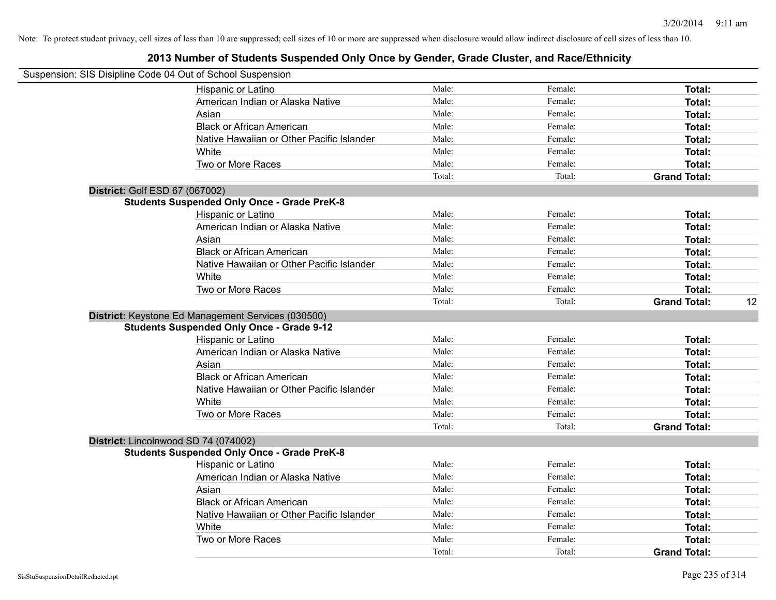|                                | Suspension: SIS Disipline Code 04 Out of School Suspension |        |         |                     |    |
|--------------------------------|------------------------------------------------------------|--------|---------|---------------------|----|
|                                | Hispanic or Latino                                         | Male:  | Female: | Total:              |    |
|                                | American Indian or Alaska Native                           | Male:  | Female: | Total:              |    |
|                                | Asian                                                      | Male:  | Female: | Total:              |    |
|                                | <b>Black or African American</b>                           | Male:  | Female: | Total:              |    |
|                                | Native Hawaiian or Other Pacific Islander                  | Male:  | Female: | Total:              |    |
|                                | White                                                      | Male:  | Female: | Total:              |    |
|                                | Two or More Races                                          | Male:  | Female: | Total:              |    |
|                                |                                                            | Total: | Total:  | <b>Grand Total:</b> |    |
| District: Golf ESD 67 (067002) |                                                            |        |         |                     |    |
|                                | <b>Students Suspended Only Once - Grade PreK-8</b>         |        |         |                     |    |
|                                | Hispanic or Latino                                         | Male:  | Female: | Total:              |    |
|                                | American Indian or Alaska Native                           | Male:  | Female: | Total:              |    |
|                                | Asian                                                      | Male:  | Female: | Total:              |    |
|                                | <b>Black or African American</b>                           | Male:  | Female: | Total:              |    |
|                                | Native Hawaiian or Other Pacific Islander                  | Male:  | Female: | Total:              |    |
|                                | White                                                      | Male:  | Female: | Total:              |    |
|                                | Two or More Races                                          | Male:  | Female: | Total:              |    |
|                                |                                                            | Total: | Total:  | <b>Grand Total:</b> | 12 |
|                                | District: Keystone Ed Management Services (030500)         |        |         |                     |    |
|                                | <b>Students Suspended Only Once - Grade 9-12</b>           |        |         |                     |    |
|                                | Hispanic or Latino                                         | Male:  | Female: | Total:              |    |
|                                | American Indian or Alaska Native                           | Male:  | Female: | Total:              |    |
|                                | Asian                                                      | Male:  | Female: | Total:              |    |
|                                | <b>Black or African American</b>                           | Male:  | Female: | Total:              |    |
|                                | Native Hawaiian or Other Pacific Islander                  | Male:  | Female: | Total:              |    |
|                                | White                                                      | Male:  | Female: | Total:              |    |
|                                | Two or More Races                                          | Male:  | Female: | Total:              |    |
|                                |                                                            | Total: | Total:  | <b>Grand Total:</b> |    |
|                                | District: Lincolnwood SD 74 (074002)                       |        |         |                     |    |
|                                | <b>Students Suspended Only Once - Grade PreK-8</b>         |        |         |                     |    |
|                                | Hispanic or Latino                                         | Male:  | Female: | Total:              |    |
|                                | American Indian or Alaska Native                           | Male:  | Female: | Total:              |    |
|                                | Asian                                                      | Male:  | Female: | Total:              |    |
|                                | <b>Black or African American</b>                           | Male:  | Female: | Total:              |    |
|                                | Native Hawaiian or Other Pacific Islander                  | Male:  | Female: | Total:              |    |
|                                | White                                                      | Male:  | Female: | Total:              |    |
|                                | Two or More Races                                          | Male:  | Female: | Total:              |    |
|                                |                                                            | Total: | Total:  | <b>Grand Total:</b> |    |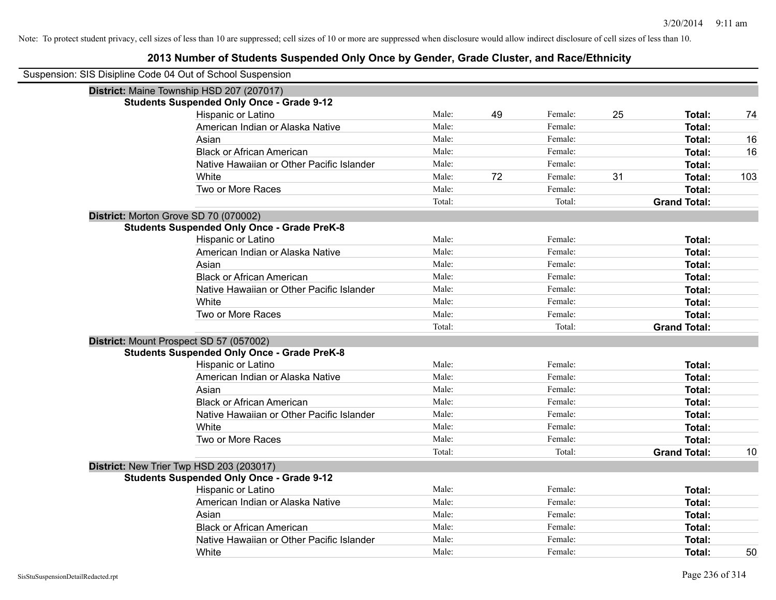| Suspension: SIS Disipline Code 04 Out of School Suspension |                                                                                               |        |    |         |    |                     |     |
|------------------------------------------------------------|-----------------------------------------------------------------------------------------------|--------|----|---------|----|---------------------|-----|
|                                                            | District: Maine Township HSD 207 (207017)<br><b>Students Suspended Only Once - Grade 9-12</b> |        |    |         |    |                     |     |
|                                                            | Hispanic or Latino                                                                            | Male:  | 49 | Female: | 25 | Total:              | 74  |
|                                                            | American Indian or Alaska Native                                                              | Male:  |    | Female: |    | Total:              |     |
|                                                            | Asian                                                                                         | Male:  |    | Female: |    | Total:              | 16  |
|                                                            | <b>Black or African American</b>                                                              | Male:  |    | Female: |    | Total:              | 16  |
|                                                            | Native Hawaiian or Other Pacific Islander                                                     | Male:  |    | Female: |    | Total:              |     |
|                                                            | White                                                                                         | Male:  | 72 | Female: | 31 | Total:              | 103 |
|                                                            | Two or More Races                                                                             | Male:  |    | Female: |    | Total:              |     |
|                                                            |                                                                                               | Total: |    | Total:  |    | <b>Grand Total:</b> |     |
|                                                            | District: Morton Grove SD 70 (070002)                                                         |        |    |         |    |                     |     |
|                                                            | <b>Students Suspended Only Once - Grade PreK-8</b>                                            |        |    |         |    |                     |     |
|                                                            | Hispanic or Latino                                                                            | Male:  |    | Female: |    | Total:              |     |
|                                                            | American Indian or Alaska Native                                                              | Male:  |    | Female: |    | Total:              |     |
|                                                            | Asian                                                                                         | Male:  |    | Female: |    | Total:              |     |
|                                                            | <b>Black or African American</b>                                                              | Male:  |    | Female: |    | Total:              |     |
|                                                            | Native Hawaiian or Other Pacific Islander                                                     | Male:  |    | Female: |    | Total:              |     |
|                                                            | White                                                                                         | Male:  |    | Female: |    | Total:              |     |
|                                                            | Two or More Races                                                                             | Male:  |    | Female: |    | Total:              |     |
|                                                            |                                                                                               | Total: |    | Total:  |    | <b>Grand Total:</b> |     |
|                                                            | District: Mount Prospect SD 57 (057002)                                                       |        |    |         |    |                     |     |
|                                                            | <b>Students Suspended Only Once - Grade PreK-8</b>                                            |        |    |         |    |                     |     |
|                                                            | Hispanic or Latino                                                                            | Male:  |    | Female: |    | Total:              |     |
|                                                            | American Indian or Alaska Native                                                              | Male:  |    | Female: |    | Total:              |     |
|                                                            | Asian                                                                                         | Male:  |    | Female: |    | Total:              |     |
|                                                            | <b>Black or African American</b>                                                              | Male:  |    | Female: |    | Total:              |     |
|                                                            | Native Hawaiian or Other Pacific Islander                                                     | Male:  |    | Female: |    | Total:              |     |
|                                                            | White                                                                                         | Male:  |    | Female: |    | Total:              |     |
|                                                            | Two or More Races                                                                             | Male:  |    | Female: |    | Total:              |     |
|                                                            |                                                                                               | Total: |    | Total:  |    | <b>Grand Total:</b> | 10  |
|                                                            | District: New Trier Twp HSD 203 (203017)                                                      |        |    |         |    |                     |     |
|                                                            | <b>Students Suspended Only Once - Grade 9-12</b>                                              |        |    |         |    |                     |     |
|                                                            | Hispanic or Latino                                                                            | Male:  |    | Female: |    | Total:              |     |
|                                                            | American Indian or Alaska Native                                                              | Male:  |    | Female: |    | Total:              |     |
|                                                            | Asian                                                                                         | Male:  |    | Female: |    | Total:              |     |
|                                                            | <b>Black or African American</b>                                                              | Male:  |    | Female: |    | Total:              |     |
|                                                            | Native Hawaiian or Other Pacific Islander                                                     | Male:  |    | Female: |    | Total:              |     |
|                                                            | White                                                                                         | Male:  |    | Female: |    | Total:              | 50  |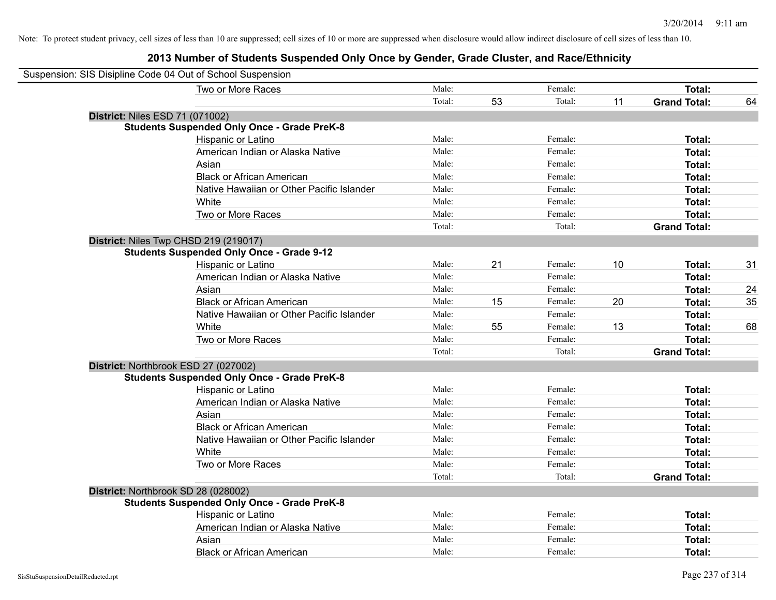| Suspension: SIS Disipline Code 04 Out of School Suspension |        |    |         |    |                     |    |
|------------------------------------------------------------|--------|----|---------|----|---------------------|----|
| Two or More Races                                          | Male:  |    | Female: |    | Total:              |    |
|                                                            | Total: | 53 | Total:  | 11 | <b>Grand Total:</b> | 64 |
| <b>District: Niles ESD 71 (071002)</b>                     |        |    |         |    |                     |    |
| <b>Students Suspended Only Once - Grade PreK-8</b>         |        |    |         |    |                     |    |
| Hispanic or Latino                                         | Male:  |    | Female: |    | Total:              |    |
| American Indian or Alaska Native                           | Male:  |    | Female: |    | <b>Total:</b>       |    |
| Asian                                                      | Male:  |    | Female: |    | Total:              |    |
| <b>Black or African American</b>                           | Male:  |    | Female: |    | Total:              |    |
| Native Hawaiian or Other Pacific Islander                  | Male:  |    | Female: |    | Total:              |    |
| White                                                      | Male:  |    | Female: |    | Total:              |    |
| Two or More Races                                          | Male:  |    | Female: |    | <b>Total:</b>       |    |
|                                                            | Total: |    | Total:  |    | <b>Grand Total:</b> |    |
| District: Niles Twp CHSD 219 (219017)                      |        |    |         |    |                     |    |
| <b>Students Suspended Only Once - Grade 9-12</b>           |        |    |         |    |                     |    |
| Hispanic or Latino                                         | Male:  | 21 | Female: | 10 | <b>Total:</b>       | 31 |
| American Indian or Alaska Native                           | Male:  |    | Female: |    | <b>Total:</b>       |    |
| Asian                                                      | Male:  |    | Female: |    | Total:              | 24 |
| <b>Black or African American</b>                           | Male:  | 15 | Female: | 20 | Total:              | 35 |
| Native Hawaiian or Other Pacific Islander                  | Male:  |    | Female: |    | Total:              |    |
| White                                                      | Male:  | 55 | Female: | 13 | Total:              | 68 |
| Two or More Races                                          | Male:  |    | Female: |    | <b>Total:</b>       |    |
|                                                            | Total: |    | Total:  |    | <b>Grand Total:</b> |    |
| District: Northbrook ESD 27 (027002)                       |        |    |         |    |                     |    |
| <b>Students Suspended Only Once - Grade PreK-8</b>         |        |    |         |    |                     |    |
| Hispanic or Latino                                         | Male:  |    | Female: |    | <b>Total:</b>       |    |
| American Indian or Alaska Native                           | Male:  |    | Female: |    | <b>Total:</b>       |    |
| Asian                                                      | Male:  |    | Female: |    | <b>Total:</b>       |    |
| <b>Black or African American</b>                           | Male:  |    | Female: |    | Total:              |    |
| Native Hawaiian or Other Pacific Islander                  | Male:  |    | Female: |    | <b>Total:</b>       |    |
| White                                                      | Male:  |    | Female: |    | Total:              |    |
| Two or More Races                                          | Male:  |    | Female: |    | Total:              |    |
|                                                            | Total: |    | Total:  |    | <b>Grand Total:</b> |    |
| District: Northbrook SD 28 (028002)                        |        |    |         |    |                     |    |
| <b>Students Suspended Only Once - Grade PreK-8</b>         |        |    |         |    |                     |    |
| Hispanic or Latino                                         | Male:  |    | Female: |    | Total:              |    |
| American Indian or Alaska Native                           | Male:  |    | Female: |    | <b>Total:</b>       |    |
| Asian                                                      | Male:  |    | Female: |    | <b>Total:</b>       |    |
| <b>Black or African American</b>                           | Male:  |    | Female: |    | Total:              |    |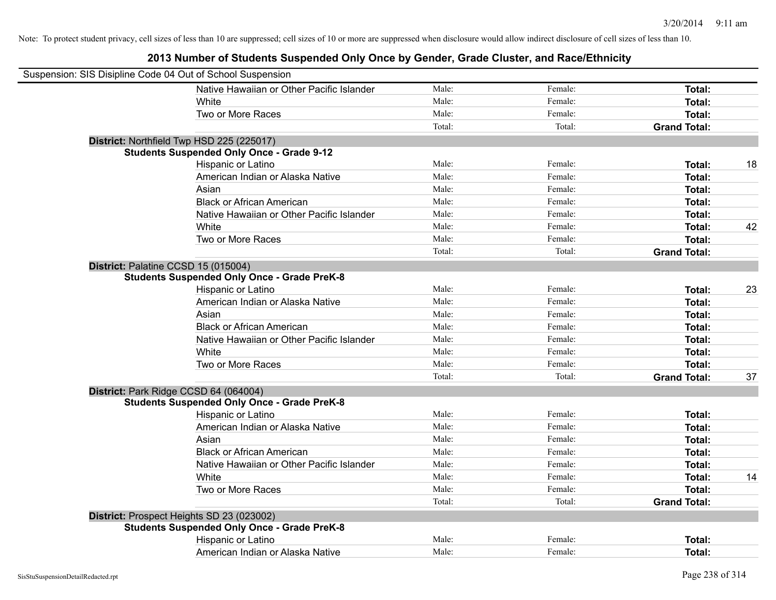| Suspension: SIS Disipline Code 04 Out of School Suspension |                                                    |        |         |                     |    |
|------------------------------------------------------------|----------------------------------------------------|--------|---------|---------------------|----|
|                                                            | Native Hawaiian or Other Pacific Islander          | Male:  | Female: | <b>Total:</b>       |    |
|                                                            | White                                              | Male:  | Female: | Total:              |    |
|                                                            | Two or More Races                                  | Male:  | Female: | Total:              |    |
|                                                            |                                                    | Total: | Total:  | <b>Grand Total:</b> |    |
|                                                            | District: Northfield Twp HSD 225 (225017)          |        |         |                     |    |
|                                                            | <b>Students Suspended Only Once - Grade 9-12</b>   |        |         |                     |    |
|                                                            | Hispanic or Latino                                 | Male:  | Female: | Total:              | 18 |
|                                                            | American Indian or Alaska Native                   | Male:  | Female: | Total:              |    |
|                                                            | Asian                                              | Male:  | Female: | Total:              |    |
|                                                            | <b>Black or African American</b>                   | Male:  | Female: | Total:              |    |
|                                                            | Native Hawaiian or Other Pacific Islander          | Male:  | Female: | Total:              |    |
|                                                            | White                                              | Male:  | Female: | <b>Total:</b>       | 42 |
|                                                            | Two or More Races                                  | Male:  | Female: | <b>Total:</b>       |    |
|                                                            |                                                    | Total: | Total:  | <b>Grand Total:</b> |    |
|                                                            | District: Palatine CCSD 15 (015004)                |        |         |                     |    |
|                                                            | <b>Students Suspended Only Once - Grade PreK-8</b> |        |         |                     |    |
|                                                            | Hispanic or Latino                                 | Male:  | Female: | Total:              | 23 |
|                                                            | American Indian or Alaska Native                   | Male:  | Female: | Total:              |    |
|                                                            | Asian                                              | Male:  | Female: | <b>Total:</b>       |    |
|                                                            | <b>Black or African American</b>                   | Male:  | Female: | Total:              |    |
|                                                            | Native Hawaiian or Other Pacific Islander          | Male:  | Female: | Total:              |    |
|                                                            | White                                              | Male:  | Female: | Total:              |    |
|                                                            | Two or More Races                                  | Male:  | Female: | <b>Total:</b>       |    |
|                                                            |                                                    | Total: | Total:  | <b>Grand Total:</b> | 37 |
|                                                            | District: Park Ridge CCSD 64 (064004)              |        |         |                     |    |
|                                                            | <b>Students Suspended Only Once - Grade PreK-8</b> |        |         |                     |    |
|                                                            | Hispanic or Latino                                 | Male:  | Female: | Total:              |    |
|                                                            | American Indian or Alaska Native                   | Male:  | Female: | <b>Total:</b>       |    |
|                                                            | Asian                                              | Male:  | Female: | <b>Total:</b>       |    |
|                                                            | <b>Black or African American</b>                   | Male:  | Female: | <b>Total:</b>       |    |
|                                                            | Native Hawaiian or Other Pacific Islander          | Male:  | Female: | <b>Total:</b>       |    |
|                                                            | White                                              | Male:  | Female: | Total:              | 14 |
|                                                            | Two or More Races                                  | Male:  | Female: | <b>Total:</b>       |    |
|                                                            |                                                    | Total: | Total:  | <b>Grand Total:</b> |    |
|                                                            | District: Prospect Heights SD 23 (023002)          |        |         |                     |    |
|                                                            | <b>Students Suspended Only Once - Grade PreK-8</b> |        |         |                     |    |
|                                                            | Hispanic or Latino                                 | Male:  | Female: | Total:              |    |
|                                                            | American Indian or Alaska Native                   | Male:  | Female: | Total:              |    |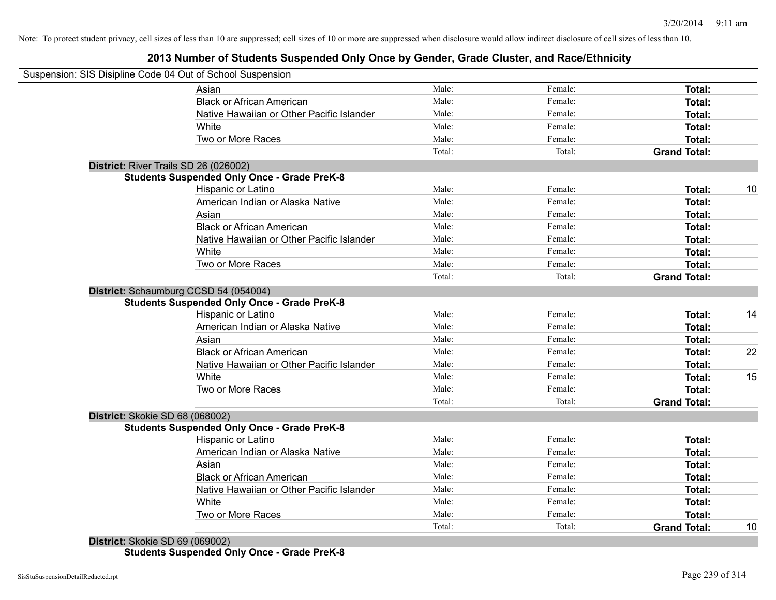### **2013 Number of Students Suspended Only Once by Gender, Grade Cluster, and Race/Ethnicity**

|                                       | Suspension: SIS Disipline Code 04 Out of School Suspension |        |         |                     |    |
|---------------------------------------|------------------------------------------------------------|--------|---------|---------------------|----|
|                                       | Asian                                                      | Male:  | Female: | Total:              |    |
|                                       | <b>Black or African American</b>                           | Male:  | Female: | Total:              |    |
|                                       | Native Hawaiian or Other Pacific Islander                  | Male:  | Female: | Total:              |    |
|                                       | White                                                      | Male:  | Female: | Total:              |    |
|                                       | Two or More Races                                          | Male:  | Female: | Total:              |    |
|                                       |                                                            | Total: | Total:  | <b>Grand Total:</b> |    |
| District: River Trails SD 26 (026002) |                                                            |        |         |                     |    |
|                                       | <b>Students Suspended Only Once - Grade PreK-8</b>         |        |         |                     |    |
|                                       | Hispanic or Latino                                         | Male:  | Female: | Total:              | 10 |
|                                       | American Indian or Alaska Native                           | Male:  | Female: | Total:              |    |
|                                       | Asian                                                      | Male:  | Female: | Total:              |    |
|                                       | <b>Black or African American</b>                           | Male:  | Female: | Total:              |    |
|                                       | Native Hawaiian or Other Pacific Islander                  | Male:  | Female: | Total:              |    |
|                                       | White                                                      | Male:  | Female: | Total:              |    |
|                                       | Two or More Races                                          | Male:  | Female: | Total:              |    |
|                                       |                                                            | Total: | Total:  | <b>Grand Total:</b> |    |
|                                       | District: Schaumburg CCSD 54 (054004)                      |        |         |                     |    |
|                                       | <b>Students Suspended Only Once - Grade PreK-8</b>         |        |         |                     |    |
|                                       | Hispanic or Latino                                         | Male:  | Female: | Total:              | 14 |
|                                       | American Indian or Alaska Native                           | Male:  | Female: | Total:              |    |
|                                       | Asian                                                      | Male:  | Female: | Total:              |    |
|                                       | <b>Black or African American</b>                           | Male:  | Female: | Total:              | 22 |
|                                       | Native Hawaiian or Other Pacific Islander                  | Male:  | Female: | Total:              |    |
|                                       | White                                                      | Male:  | Female: | Total:              | 15 |
|                                       | Two or More Races                                          | Male:  | Female: | Total:              |    |
|                                       |                                                            | Total: | Total:  | <b>Grand Total:</b> |    |
| District: Skokie SD 68 (068002)       |                                                            |        |         |                     |    |
|                                       | <b>Students Suspended Only Once - Grade PreK-8</b>         |        |         |                     |    |
|                                       | Hispanic or Latino                                         | Male:  | Female: | Total:              |    |
|                                       | American Indian or Alaska Native                           | Male:  | Female: | Total:              |    |
|                                       | Asian                                                      | Male:  | Female: | Total:              |    |
|                                       | <b>Black or African American</b>                           | Male:  | Female: | Total:              |    |
|                                       | Native Hawaiian or Other Pacific Islander                  | Male:  | Female: | Total:              |    |
|                                       | White                                                      | Male:  | Female: | Total:              |    |
|                                       | Two or More Races                                          | Male:  | Female: | Total:              |    |
|                                       |                                                            | Total: | Total:  | <b>Grand Total:</b> | 10 |

**District:** Skokie SD 69 (069002) **Students Suspended Only Once - Grade PreK-8**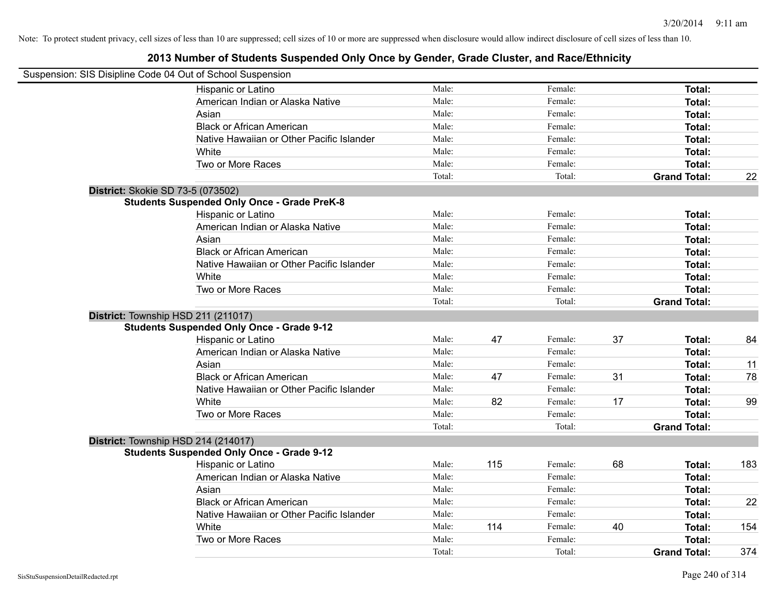| Suspension: SIS Disipline Code 04 Out of School Suspension |        |     |         |    |                     |     |
|------------------------------------------------------------|--------|-----|---------|----|---------------------|-----|
| Hispanic or Latino                                         | Male:  |     | Female: |    | Total:              |     |
| American Indian or Alaska Native                           | Male:  |     | Female: |    | Total:              |     |
| Asian                                                      | Male:  |     | Female: |    | Total:              |     |
| <b>Black or African American</b>                           | Male:  |     | Female: |    | Total:              |     |
| Native Hawaiian or Other Pacific Islander                  | Male:  |     | Female: |    | Total:              |     |
| White                                                      | Male:  |     | Female: |    | <b>Total:</b>       |     |
| Two or More Races                                          | Male:  |     | Female: |    | Total:              |     |
|                                                            | Total: |     | Total:  |    | <b>Grand Total:</b> | 22  |
| District: Skokie SD 73-5 (073502)                          |        |     |         |    |                     |     |
| <b>Students Suspended Only Once - Grade PreK-8</b>         |        |     |         |    |                     |     |
| Hispanic or Latino                                         | Male:  |     | Female: |    | Total:              |     |
| American Indian or Alaska Native                           | Male:  |     | Female: |    | Total:              |     |
| Asian                                                      | Male:  |     | Female: |    | Total:              |     |
| <b>Black or African American</b>                           | Male:  |     | Female: |    | Total:              |     |
| Native Hawaiian or Other Pacific Islander                  | Male:  |     | Female: |    | Total:              |     |
| White                                                      | Male:  |     | Female: |    | Total:              |     |
| Two or More Races                                          | Male:  |     | Female: |    | Total:              |     |
|                                                            | Total: |     | Total:  |    | <b>Grand Total:</b> |     |
| District: Township HSD 211 (211017)                        |        |     |         |    |                     |     |
| <b>Students Suspended Only Once - Grade 9-12</b>           |        |     |         |    |                     |     |
| Hispanic or Latino                                         | Male:  | 47  | Female: | 37 | Total:              | 84  |
| American Indian or Alaska Native                           | Male:  |     | Female: |    | Total:              |     |
| Asian                                                      | Male:  |     | Female: |    | Total:              | 11  |
| <b>Black or African American</b>                           | Male:  | 47  | Female: | 31 | Total:              | 78  |
| Native Hawaiian or Other Pacific Islander                  | Male:  |     | Female: |    | Total:              |     |
| White                                                      | Male:  | 82  | Female: | 17 | Total:              | 99  |
| Two or More Races                                          | Male:  |     | Female: |    | <b>Total:</b>       |     |
|                                                            | Total: |     | Total:  |    | <b>Grand Total:</b> |     |
| District: Township HSD 214 (214017)                        |        |     |         |    |                     |     |
| <b>Students Suspended Only Once - Grade 9-12</b>           |        |     |         |    |                     |     |
| Hispanic or Latino                                         | Male:  | 115 | Female: | 68 | Total:              | 183 |
| American Indian or Alaska Native                           | Male:  |     | Female: |    | Total:              |     |
| Asian                                                      | Male:  |     | Female: |    | Total:              |     |
| <b>Black or African American</b>                           | Male:  |     | Female: |    | Total:              | 22  |
| Native Hawaiian or Other Pacific Islander                  | Male:  |     | Female: |    | Total:              |     |
| White                                                      | Male:  | 114 | Female: | 40 | <b>Total:</b>       | 154 |
| Two or More Races                                          | Male:  |     | Female: |    | <b>Total:</b>       |     |
|                                                            | Total: |     | Total:  |    | <b>Grand Total:</b> | 374 |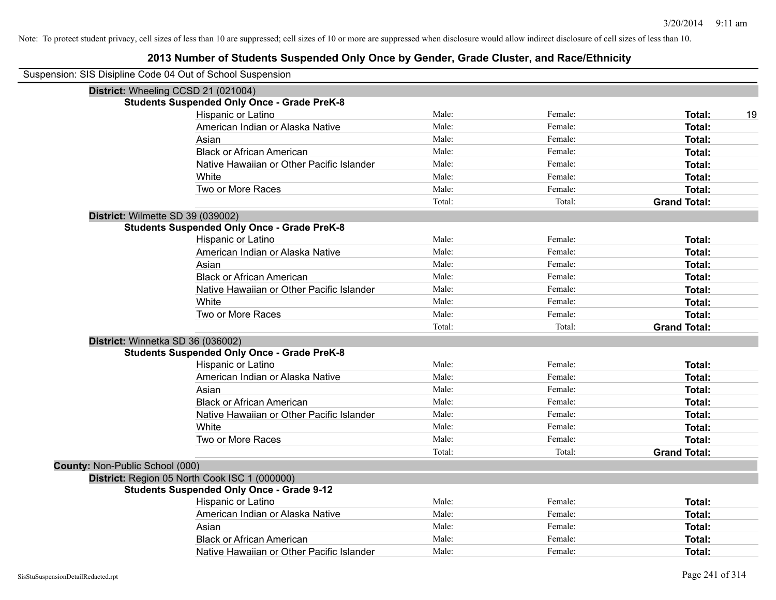|                                 | Suspension: SIS Disipline Code 04 Out of School Suspension |        |         |                     |
|---------------------------------|------------------------------------------------------------|--------|---------|---------------------|
|                                 | District: Wheeling CCSD 21 (021004)                        |        |         |                     |
|                                 | <b>Students Suspended Only Once - Grade PreK-8</b>         |        |         |                     |
|                                 | Hispanic or Latino                                         | Male:  | Female: | 19<br>Total:        |
|                                 | American Indian or Alaska Native                           | Male:  | Female: | <b>Total:</b>       |
|                                 | Asian                                                      | Male:  | Female: | <b>Total:</b>       |
|                                 | <b>Black or African American</b>                           | Male:  | Female: | Total:              |
|                                 | Native Hawaiian or Other Pacific Islander                  | Male:  | Female: | <b>Total:</b>       |
|                                 | White                                                      | Male:  | Female: | <b>Total:</b>       |
|                                 | Two or More Races                                          | Male:  | Female: | Total:              |
|                                 |                                                            | Total: | Total:  | <b>Grand Total:</b> |
|                                 | District: Wilmette SD 39 (039002)                          |        |         |                     |
|                                 | <b>Students Suspended Only Once - Grade PreK-8</b>         |        |         |                     |
|                                 | Hispanic or Latino                                         | Male:  | Female: | Total:              |
|                                 | American Indian or Alaska Native                           | Male:  | Female: | <b>Total:</b>       |
|                                 | Asian                                                      | Male:  | Female: | <b>Total:</b>       |
|                                 | <b>Black or African American</b>                           | Male:  | Female: | <b>Total:</b>       |
|                                 | Native Hawaiian or Other Pacific Islander                  | Male:  | Female: | Total:              |
|                                 | White                                                      | Male:  | Female: | Total:              |
|                                 | Two or More Races                                          | Male:  | Female: | Total:              |
|                                 |                                                            | Total: | Total:  | <b>Grand Total:</b> |
|                                 | District: Winnetka SD 36 (036002)                          |        |         |                     |
|                                 | <b>Students Suspended Only Once - Grade PreK-8</b>         |        |         |                     |
|                                 | Hispanic or Latino                                         | Male:  | Female: | Total:              |
|                                 | American Indian or Alaska Native                           | Male:  | Female: | <b>Total:</b>       |
|                                 | Asian                                                      | Male:  | Female: | <b>Total:</b>       |
|                                 | <b>Black or African American</b>                           | Male:  | Female: | <b>Total:</b>       |
|                                 | Native Hawaiian or Other Pacific Islander                  | Male:  | Female: | <b>Total:</b>       |
|                                 | White                                                      | Male:  | Female: | Total:              |
|                                 | Two or More Races                                          | Male:  | Female: | Total:              |
|                                 |                                                            | Total: | Total:  | <b>Grand Total:</b> |
| County: Non-Public School (000) |                                                            |        |         |                     |
|                                 | District: Region 05 North Cook ISC 1 (000000)              |        |         |                     |
|                                 | <b>Students Suspended Only Once - Grade 9-12</b>           |        |         |                     |
|                                 | Hispanic or Latino                                         | Male:  | Female: | Total:              |
|                                 | American Indian or Alaska Native                           | Male:  | Female: | <b>Total:</b>       |
|                                 | Asian                                                      | Male:  | Female: | <b>Total:</b>       |
|                                 | <b>Black or African American</b>                           | Male:  | Female: | <b>Total:</b>       |
|                                 | Native Hawaiian or Other Pacific Islander                  | Male:  | Female: | Total:              |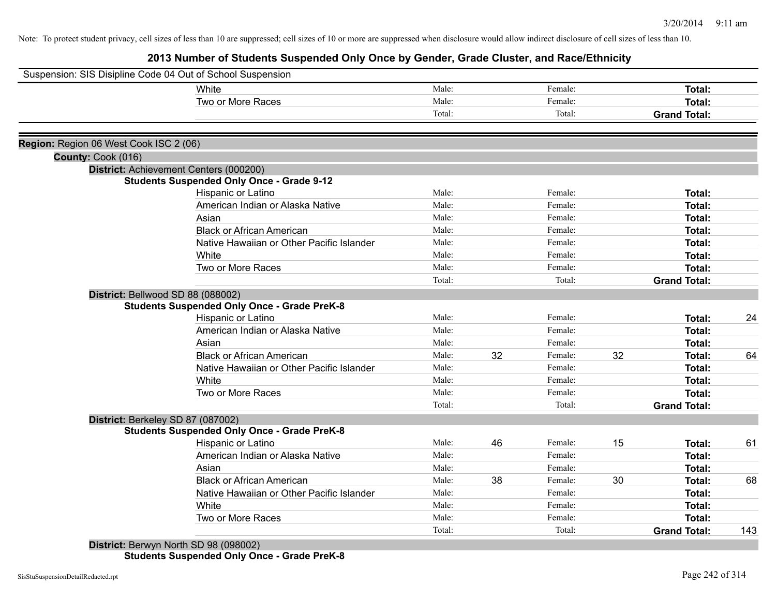**2013 Number of Students Suspended Only Once by Gender, Grade Cluster, and Race/Ethnicity**

|                                        | Suspension: SIS Disipline Code 04 Out of School Suspension |        |    |         |    |                     |     |
|----------------------------------------|------------------------------------------------------------|--------|----|---------|----|---------------------|-----|
|                                        | White                                                      | Male:  |    | Female: |    | Total:              |     |
|                                        | Two or More Races                                          | Male:  |    | Female: |    | Total:              |     |
|                                        |                                                            | Total: |    | Total:  |    | <b>Grand Total:</b> |     |
|                                        |                                                            |        |    |         |    |                     |     |
| Region: Region 06 West Cook ISC 2 (06) |                                                            |        |    |         |    |                     |     |
| County: Cook (016)                     |                                                            |        |    |         |    |                     |     |
|                                        | District: Achievement Centers (000200)                     |        |    |         |    |                     |     |
|                                        | <b>Students Suspended Only Once - Grade 9-12</b>           |        |    |         |    |                     |     |
|                                        | Hispanic or Latino                                         | Male:  |    | Female: |    | Total:              |     |
|                                        | American Indian or Alaska Native                           | Male:  |    | Female: |    | Total:              |     |
|                                        | Asian                                                      | Male:  |    | Female: |    | Total:              |     |
|                                        | <b>Black or African American</b>                           | Male:  |    | Female: |    | Total:              |     |
|                                        | Native Hawaiian or Other Pacific Islander                  | Male:  |    | Female: |    | Total:              |     |
|                                        | White                                                      | Male:  |    | Female: |    | Total:              |     |
|                                        | Two or More Races                                          | Male:  |    | Female: |    | Total:              |     |
|                                        |                                                            | Total: |    | Total:  |    | <b>Grand Total:</b> |     |
| District: Bellwood SD 88 (088002)      |                                                            |        |    |         |    |                     |     |
|                                        | <b>Students Suspended Only Once - Grade PreK-8</b>         |        |    |         |    |                     |     |
|                                        | Hispanic or Latino                                         | Male:  |    | Female: |    | Total:              | 24  |
|                                        | American Indian or Alaska Native                           | Male:  |    | Female: |    | Total:              |     |
|                                        | Asian                                                      | Male:  |    | Female: |    | Total:              |     |
|                                        | <b>Black or African American</b>                           | Male:  | 32 | Female: | 32 | Total:              | 64  |
|                                        | Native Hawaiian or Other Pacific Islander                  | Male:  |    | Female: |    | Total:              |     |
|                                        | White                                                      | Male:  |    | Female: |    | Total:              |     |
|                                        | Two or More Races                                          | Male:  |    | Female: |    | Total:              |     |
|                                        |                                                            | Total: |    | Total:  |    | <b>Grand Total:</b> |     |
| District: Berkeley SD 87 (087002)      |                                                            |        |    |         |    |                     |     |
|                                        | <b>Students Suspended Only Once - Grade PreK-8</b>         |        |    |         |    |                     |     |
|                                        | Hispanic or Latino                                         | Male:  | 46 | Female: | 15 | Total:              | 61  |
|                                        | American Indian or Alaska Native                           | Male:  |    | Female: |    | Total:              |     |
|                                        | Asian                                                      | Male:  |    | Female: |    | Total:              |     |
|                                        | <b>Black or African American</b>                           | Male:  | 38 | Female: | 30 | Total:              | 68  |
|                                        | Native Hawaiian or Other Pacific Islander                  | Male:  |    | Female: |    | Total:              |     |
|                                        | White                                                      | Male:  |    | Female: |    | Total:              |     |
|                                        | Two or More Races                                          | Male:  |    | Female: |    |                     |     |
|                                        |                                                            | Total: |    | Total:  |    | Total:              |     |
|                                        | District: Berwyn North SD 98 (098002)                      |        |    |         |    | <b>Grand Total:</b> | 143 |

**Students Suspended Only Once - Grade PreK-8**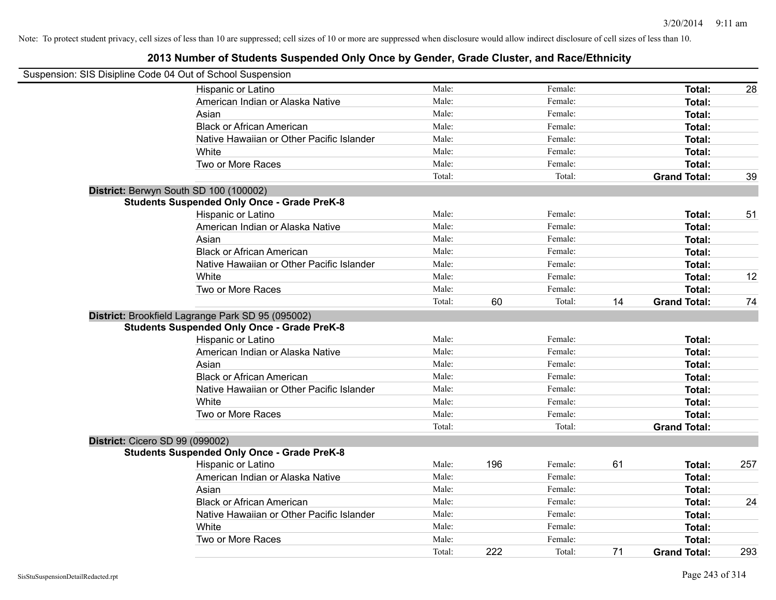| Suspension: SIS Disipline Code 04 Out of School Suspension |        |     |         |    |                     |     |
|------------------------------------------------------------|--------|-----|---------|----|---------------------|-----|
| Hispanic or Latino                                         | Male:  |     | Female: |    | <b>Total:</b>       | 28  |
| American Indian or Alaska Native                           | Male:  |     | Female: |    | Total:              |     |
| Asian                                                      | Male:  |     | Female: |    | Total:              |     |
| <b>Black or African American</b>                           | Male:  |     | Female: |    | Total:              |     |
| Native Hawaiian or Other Pacific Islander                  | Male:  |     | Female: |    | Total:              |     |
| White                                                      | Male:  |     | Female: |    | <b>Total:</b>       |     |
| Two or More Races                                          | Male:  |     | Female: |    | <b>Total:</b>       |     |
|                                                            | Total: |     | Total:  |    | <b>Grand Total:</b> | 39  |
| District: Berwyn South SD 100 (100002)                     |        |     |         |    |                     |     |
| <b>Students Suspended Only Once - Grade PreK-8</b>         |        |     |         |    |                     |     |
| Hispanic or Latino                                         | Male:  |     | Female: |    | Total:              | 51  |
| American Indian or Alaska Native                           | Male:  |     | Female: |    | Total:              |     |
| Asian                                                      | Male:  |     | Female: |    | Total:              |     |
| <b>Black or African American</b>                           | Male:  |     | Female: |    | Total:              |     |
| Native Hawaiian or Other Pacific Islander                  | Male:  |     | Female: |    | Total:              |     |
| White                                                      | Male:  |     | Female: |    | <b>Total:</b>       | 12  |
| Two or More Races                                          | Male:  |     | Female: |    | <b>Total:</b>       |     |
|                                                            | Total: | 60  | Total:  | 14 | <b>Grand Total:</b> | 74  |
| District: Brookfield Lagrange Park SD 95 (095002)          |        |     |         |    |                     |     |
| <b>Students Suspended Only Once - Grade PreK-8</b>         |        |     |         |    |                     |     |
| Hispanic or Latino                                         | Male:  |     | Female: |    | Total:              |     |
| American Indian or Alaska Native                           | Male:  |     | Female: |    | Total:              |     |
| Asian                                                      | Male:  |     | Female: |    | Total:              |     |
| <b>Black or African American</b>                           | Male:  |     | Female: |    | Total:              |     |
| Native Hawaiian or Other Pacific Islander                  | Male:  |     | Female: |    | Total:              |     |
| White                                                      | Male:  |     | Female: |    | Total:              |     |
| Two or More Races                                          | Male:  |     | Female: |    | Total:              |     |
|                                                            | Total: |     | Total:  |    | <b>Grand Total:</b> |     |
| District: Cicero SD 99 (099002)                            |        |     |         |    |                     |     |
| <b>Students Suspended Only Once - Grade PreK-8</b>         |        |     |         |    |                     |     |
| Hispanic or Latino                                         | Male:  | 196 | Female: | 61 | Total:              | 257 |
| American Indian or Alaska Native                           | Male:  |     | Female: |    | Total:              |     |
| Asian                                                      | Male:  |     | Female: |    | Total:              |     |
| <b>Black or African American</b>                           | Male:  |     | Female: |    | Total:              | 24  |
| Native Hawaiian or Other Pacific Islander                  | Male:  |     | Female: |    | Total:              |     |
| White                                                      | Male:  |     | Female: |    | <b>Total:</b>       |     |
| Two or More Races                                          | Male:  |     | Female: |    | <b>Total:</b>       |     |
|                                                            | Total: | 222 | Total:  | 71 | <b>Grand Total:</b> | 293 |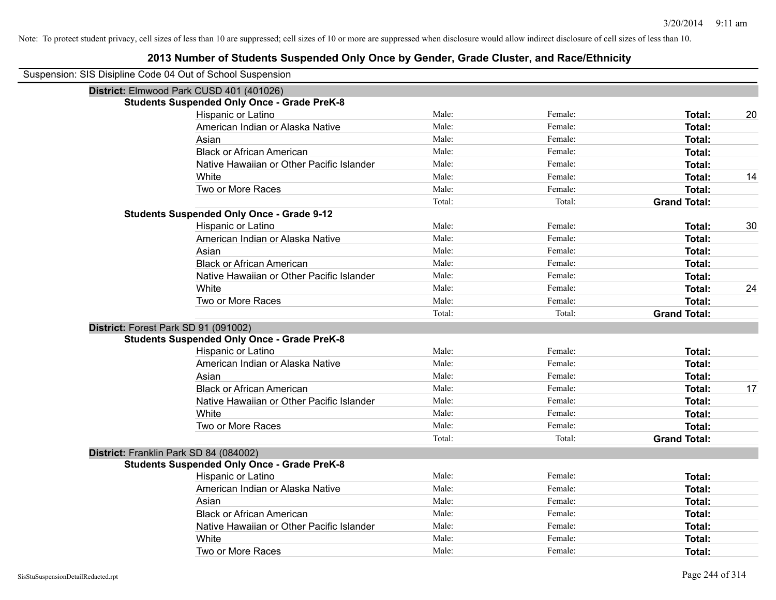| Suspension: SIS Disipline Code 04 Out of School Suspension |                                                    |        |         |                     |    |
|------------------------------------------------------------|----------------------------------------------------|--------|---------|---------------------|----|
|                                                            | District: Elmwood Park CUSD 401 (401026)           |        |         |                     |    |
|                                                            | <b>Students Suspended Only Once - Grade PreK-8</b> |        |         |                     |    |
|                                                            | Hispanic or Latino                                 | Male:  | Female: | Total:              | 20 |
|                                                            | American Indian or Alaska Native                   | Male:  | Female: | Total:              |    |
|                                                            | Asian                                              | Male:  | Female: | Total:              |    |
|                                                            | <b>Black or African American</b>                   | Male:  | Female: | Total:              |    |
|                                                            | Native Hawaiian or Other Pacific Islander          | Male:  | Female: | Total:              |    |
|                                                            | White                                              | Male:  | Female: | Total:              | 14 |
|                                                            | Two or More Races                                  | Male:  | Female: | Total:              |    |
|                                                            |                                                    | Total: | Total:  | <b>Grand Total:</b> |    |
|                                                            | <b>Students Suspended Only Once - Grade 9-12</b>   |        |         |                     |    |
|                                                            | Hispanic or Latino                                 | Male:  | Female: | Total:              | 30 |
|                                                            | American Indian or Alaska Native                   | Male:  | Female: | Total:              |    |
|                                                            | Asian                                              | Male:  | Female: | Total:              |    |
|                                                            | <b>Black or African American</b>                   | Male:  | Female: | Total:              |    |
|                                                            | Native Hawaiian or Other Pacific Islander          | Male:  | Female: | Total:              |    |
|                                                            | White                                              | Male:  | Female: | Total:              | 24 |
|                                                            | Two or More Races                                  | Male:  | Female: | Total:              |    |
|                                                            |                                                    | Total: | Total:  | <b>Grand Total:</b> |    |
| District: Forest Park SD 91 (091002)                       |                                                    |        |         |                     |    |
|                                                            | <b>Students Suspended Only Once - Grade PreK-8</b> |        |         |                     |    |
|                                                            | Hispanic or Latino                                 | Male:  | Female: | Total:              |    |
|                                                            | American Indian or Alaska Native                   | Male:  | Female: | Total:              |    |
|                                                            | Asian                                              | Male:  | Female: | Total:              |    |
|                                                            | <b>Black or African American</b>                   | Male:  | Female: | Total:              | 17 |
|                                                            | Native Hawaiian or Other Pacific Islander          | Male:  | Female: | Total:              |    |
|                                                            | White                                              | Male:  | Female: | Total:              |    |
|                                                            | Two or More Races                                  | Male:  | Female: | Total:              |    |
|                                                            |                                                    | Total: | Total:  | <b>Grand Total:</b> |    |
| District: Franklin Park SD 84 (084002)                     |                                                    |        |         |                     |    |
|                                                            | <b>Students Suspended Only Once - Grade PreK-8</b> |        |         |                     |    |
|                                                            | Hispanic or Latino                                 | Male:  | Female: | Total:              |    |
|                                                            | American Indian or Alaska Native                   | Male:  | Female: | Total:              |    |
|                                                            | Asian                                              | Male:  | Female: | Total:              |    |
|                                                            | <b>Black or African American</b>                   | Male:  | Female: | Total:              |    |
|                                                            | Native Hawaiian or Other Pacific Islander          | Male:  | Female: | Total:              |    |
|                                                            | White                                              | Male:  | Female: | Total:              |    |
|                                                            | Two or More Races                                  | Male:  | Female: | Total:              |    |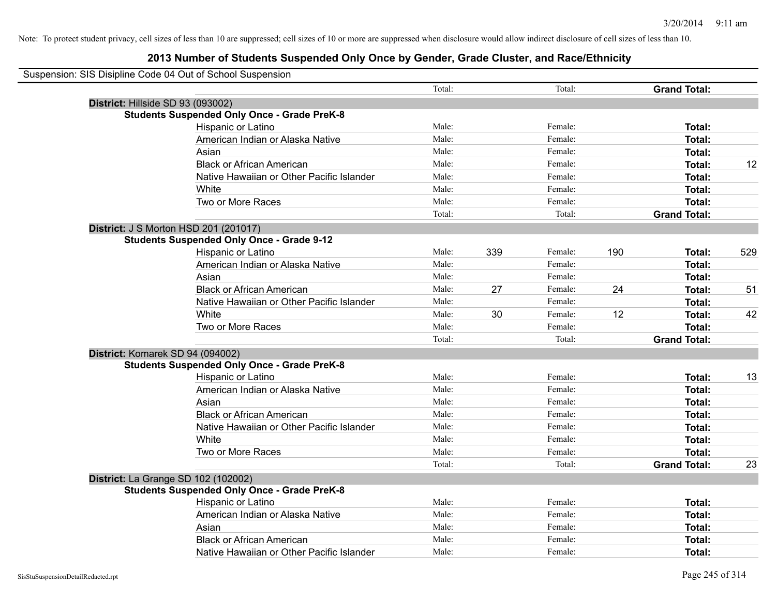| Suspension: SIS Disipline Code 04 Out of School Suspension |                |     |         |     |                     |     |
|------------------------------------------------------------|----------------|-----|---------|-----|---------------------|-----|
|                                                            | Total:         |     | Total:  |     | <b>Grand Total:</b> |     |
| District: Hillside SD 93 (093002)                          |                |     |         |     |                     |     |
| <b>Students Suspended Only Once - Grade PreK-8</b>         |                |     |         |     |                     |     |
| Hispanic or Latino                                         | Male:          |     | Female: |     | Total:              |     |
| American Indian or Alaska Native                           | Male:          |     | Female: |     | Total:              |     |
| Asian                                                      | Male:          |     | Female: |     | Total:              |     |
| <b>Black or African American</b>                           | Male:          |     | Female: |     | Total:              | 12  |
| Native Hawaiian or Other Pacific Islander                  | Male:          |     | Female: |     | Total:              |     |
| White                                                      | Male:          |     | Female: |     | Total:              |     |
| Two or More Races                                          | Male:          |     | Female: |     | Total:              |     |
|                                                            | Total:         |     | Total:  |     | <b>Grand Total:</b> |     |
| District: J S Morton HSD 201 (201017)                      |                |     |         |     |                     |     |
| <b>Students Suspended Only Once - Grade 9-12</b>           |                |     |         |     |                     |     |
| Hispanic or Latino                                         | Male:          | 339 | Female: | 190 | Total:              | 529 |
| American Indian or Alaska Native                           | Male:          |     | Female: |     | Total:              |     |
| Asian                                                      | Male:          |     | Female: |     | Total:              |     |
| <b>Black or African American</b>                           | Male:          | 27  | Female: | 24  | Total:              | 51  |
| Native Hawaiian or Other Pacific Islander                  | Male:          |     | Female: |     | Total:              |     |
| White                                                      | Male:          | 30  | Female: | 12  | Total:              | 42  |
| Two or More Races                                          | Male:          |     | Female: |     | Total:              |     |
|                                                            | Total:         |     | Total:  |     | <b>Grand Total:</b> |     |
| District: Komarek SD 94 (094002)                           |                |     |         |     |                     |     |
| <b>Students Suspended Only Once - Grade PreK-8</b>         |                |     |         |     |                     |     |
| Hispanic or Latino                                         | Male:          |     | Female: |     | Total:              | 13  |
| American Indian or Alaska Native                           | Male:          |     | Female: |     | Total:              |     |
| Asian                                                      | Male:          |     | Female: |     | Total:              |     |
| <b>Black or African American</b>                           | Male:          |     | Female: |     | Total:              |     |
| Native Hawaiian or Other Pacific Islander                  | Male:          |     | Female: |     | Total:              |     |
| White                                                      | Male:          |     | Female: |     | Total:              |     |
| Two or More Races                                          | Male:          |     | Female: |     | Total:              |     |
|                                                            | Total:         |     | Total:  |     | <b>Grand Total:</b> | 23  |
| District: La Grange SD 102 (102002)                        |                |     |         |     |                     |     |
| <b>Students Suspended Only Once - Grade PreK-8</b>         |                |     |         |     |                     |     |
| Hispanic or Latino                                         | Male:<br>Male: |     | Female: |     | Total:              |     |
| American Indian or Alaska Native                           | Male:          |     | Female: |     | Total:              |     |
| Asian                                                      | Male:          |     | Female: |     | Total:              |     |
| <b>Black or African American</b>                           |                |     | Female: |     | Total:              |     |
| Native Hawaiian or Other Pacific Islander                  | Male:          |     | Female: |     | Total:              |     |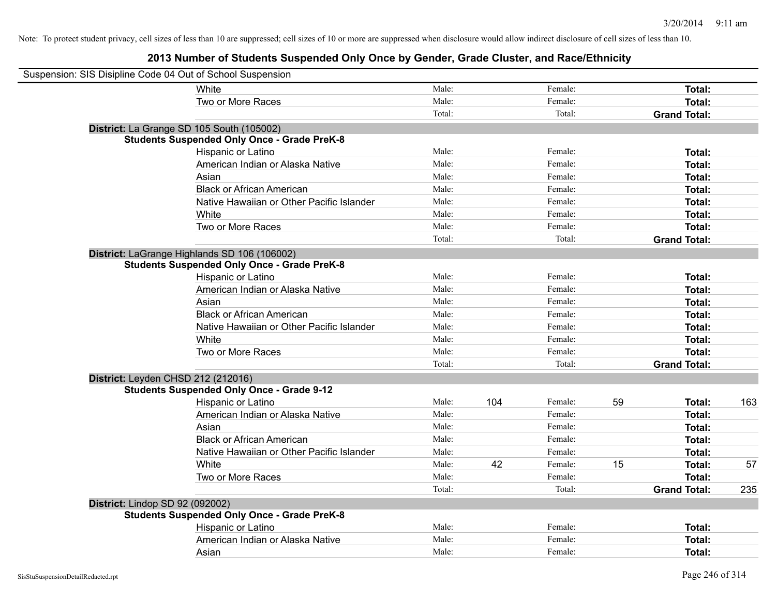| Suspension: SIS Disipline Code 04 Out of School Suspension |                                                    |        |     |         |    |                     |     |
|------------------------------------------------------------|----------------------------------------------------|--------|-----|---------|----|---------------------|-----|
|                                                            | White                                              | Male:  |     | Female: |    | Total:              |     |
|                                                            | Two or More Races                                  | Male:  |     | Female: |    | Total:              |     |
|                                                            |                                                    | Total: |     | Total:  |    | <b>Grand Total:</b> |     |
|                                                            | District: La Grange SD 105 South (105002)          |        |     |         |    |                     |     |
|                                                            | <b>Students Suspended Only Once - Grade PreK-8</b> |        |     |         |    |                     |     |
|                                                            | Hispanic or Latino                                 | Male:  |     | Female: |    | Total:              |     |
|                                                            | American Indian or Alaska Native                   | Male:  |     | Female: |    | Total:              |     |
|                                                            | Asian                                              | Male:  |     | Female: |    | Total:              |     |
|                                                            | <b>Black or African American</b>                   | Male:  |     | Female: |    | Total:              |     |
|                                                            | Native Hawaiian or Other Pacific Islander          | Male:  |     | Female: |    | Total:              |     |
|                                                            | White                                              | Male:  |     | Female: |    | Total:              |     |
|                                                            | Two or More Races                                  | Male:  |     | Female: |    | Total:              |     |
|                                                            |                                                    | Total: |     | Total:  |    | <b>Grand Total:</b> |     |
|                                                            | District: LaGrange Highlands SD 106 (106002)       |        |     |         |    |                     |     |
|                                                            | <b>Students Suspended Only Once - Grade PreK-8</b> |        |     |         |    |                     |     |
|                                                            | Hispanic or Latino                                 | Male:  |     | Female: |    | Total:              |     |
|                                                            | American Indian or Alaska Native                   | Male:  |     | Female: |    | Total:              |     |
|                                                            | Asian                                              | Male:  |     | Female: |    | Total:              |     |
|                                                            | <b>Black or African American</b>                   | Male:  |     | Female: |    | Total:              |     |
|                                                            | Native Hawaiian or Other Pacific Islander          | Male:  |     | Female: |    | Total:              |     |
|                                                            | White                                              | Male:  |     | Female: |    | Total:              |     |
|                                                            | Two or More Races                                  | Male:  |     | Female: |    | Total:              |     |
|                                                            |                                                    | Total: |     | Total:  |    | <b>Grand Total:</b> |     |
| District: Leyden CHSD 212 (212016)                         |                                                    |        |     |         |    |                     |     |
|                                                            | <b>Students Suspended Only Once - Grade 9-12</b>   |        |     |         |    |                     |     |
|                                                            | Hispanic or Latino                                 | Male:  | 104 | Female: | 59 | Total:              | 163 |
|                                                            | American Indian or Alaska Native                   | Male:  |     | Female: |    | Total:              |     |
|                                                            | Asian                                              | Male:  |     | Female: |    | Total:              |     |
|                                                            | <b>Black or African American</b>                   | Male:  |     | Female: |    | Total:              |     |
|                                                            | Native Hawaiian or Other Pacific Islander          | Male:  |     | Female: |    | Total:              |     |
|                                                            | White                                              | Male:  | 42  | Female: | 15 | Total:              | 57  |
|                                                            | Two or More Races                                  | Male:  |     | Female: |    | Total:              |     |
|                                                            |                                                    | Total: |     | Total:  |    | <b>Grand Total:</b> | 235 |
| District: Lindop SD 92 (092002)                            |                                                    |        |     |         |    |                     |     |
|                                                            | <b>Students Suspended Only Once - Grade PreK-8</b> |        |     |         |    |                     |     |
|                                                            | Hispanic or Latino                                 | Male:  |     | Female: |    | Total:              |     |
|                                                            | American Indian or Alaska Native                   | Male:  |     | Female: |    | Total:              |     |
|                                                            | Asian                                              | Male:  |     | Female: |    | Total:              |     |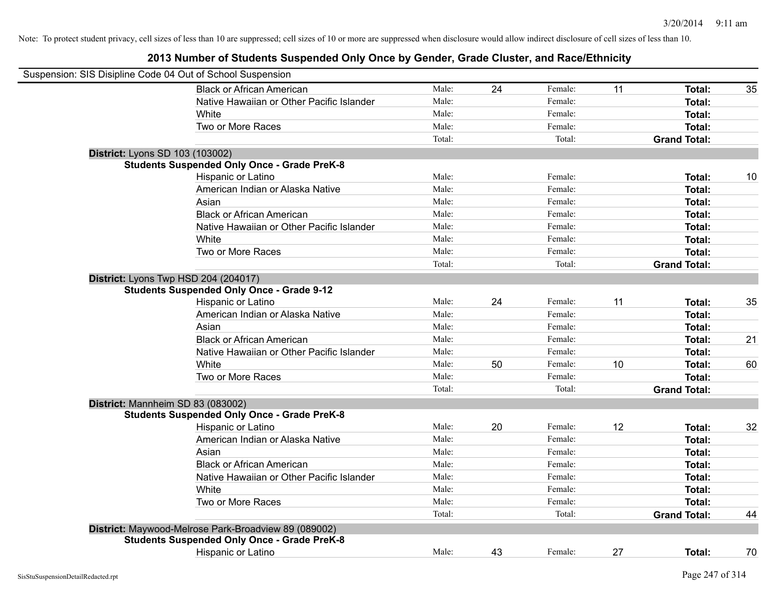| Suspension: SIS Disipline Code 04 Out of School Suspension |        |    |         |    |                     |    |
|------------------------------------------------------------|--------|----|---------|----|---------------------|----|
| <b>Black or African American</b>                           | Male:  | 24 | Female: | 11 | Total:              | 35 |
| Native Hawaiian or Other Pacific Islander                  | Male:  |    | Female: |    | Total:              |    |
| White                                                      | Male:  |    | Female: |    | Total:              |    |
| Two or More Races                                          | Male:  |    | Female: |    | Total:              |    |
|                                                            | Total: |    | Total:  |    | <b>Grand Total:</b> |    |
| District: Lyons SD 103 (103002)                            |        |    |         |    |                     |    |
| <b>Students Suspended Only Once - Grade PreK-8</b>         |        |    |         |    |                     |    |
| Hispanic or Latino                                         | Male:  |    | Female: |    | Total:              | 10 |
| American Indian or Alaska Native                           | Male:  |    | Female: |    | Total:              |    |
| Asian                                                      | Male:  |    | Female: |    | Total:              |    |
| <b>Black or African American</b>                           | Male:  |    | Female: |    | Total:              |    |
| Native Hawaiian or Other Pacific Islander                  | Male:  |    | Female: |    | Total:              |    |
| White                                                      | Male:  |    | Female: |    | Total:              |    |
| Two or More Races                                          | Male:  |    | Female: |    | Total:              |    |
|                                                            | Total: |    | Total:  |    | <b>Grand Total:</b> |    |
| District: Lyons Twp HSD 204 (204017)                       |        |    |         |    |                     |    |
| <b>Students Suspended Only Once - Grade 9-12</b>           |        |    |         |    |                     |    |
| Hispanic or Latino                                         | Male:  | 24 | Female: | 11 | Total:              | 35 |
| American Indian or Alaska Native                           | Male:  |    | Female: |    | Total:              |    |
| Asian                                                      | Male:  |    | Female: |    | Total:              |    |
| <b>Black or African American</b>                           | Male:  |    | Female: |    | Total:              | 21 |
| Native Hawaiian or Other Pacific Islander                  | Male:  |    | Female: |    | Total:              |    |
| White                                                      | Male:  | 50 | Female: | 10 | Total:              | 60 |
| Two or More Races                                          | Male:  |    | Female: |    | Total:              |    |
|                                                            | Total: |    | Total:  |    | <b>Grand Total:</b> |    |
| District: Mannheim SD 83 (083002)                          |        |    |         |    |                     |    |
| <b>Students Suspended Only Once - Grade PreK-8</b>         |        |    |         |    |                     |    |
| Hispanic or Latino                                         | Male:  | 20 | Female: | 12 | Total:              | 32 |
| American Indian or Alaska Native                           | Male:  |    | Female: |    | Total:              |    |
| Asian                                                      | Male:  |    | Female: |    | Total:              |    |
| <b>Black or African American</b>                           | Male:  |    | Female: |    | Total:              |    |
| Native Hawaiian or Other Pacific Islander                  | Male:  |    | Female: |    | Total:              |    |
| White                                                      | Male:  |    | Female: |    | Total:              |    |
| Two or More Races                                          | Male:  |    | Female: |    | Total:              |    |
|                                                            | Total: |    | Total:  |    | <b>Grand Total:</b> | 44 |
| District: Maywood-Melrose Park-Broadview 89 (089002)       |        |    |         |    |                     |    |
| <b>Students Suspended Only Once - Grade PreK-8</b>         |        |    |         |    |                     |    |
| <b>Hispanic or Latino</b>                                  | Male:  | 43 | Female: | 27 | Total:              | 70 |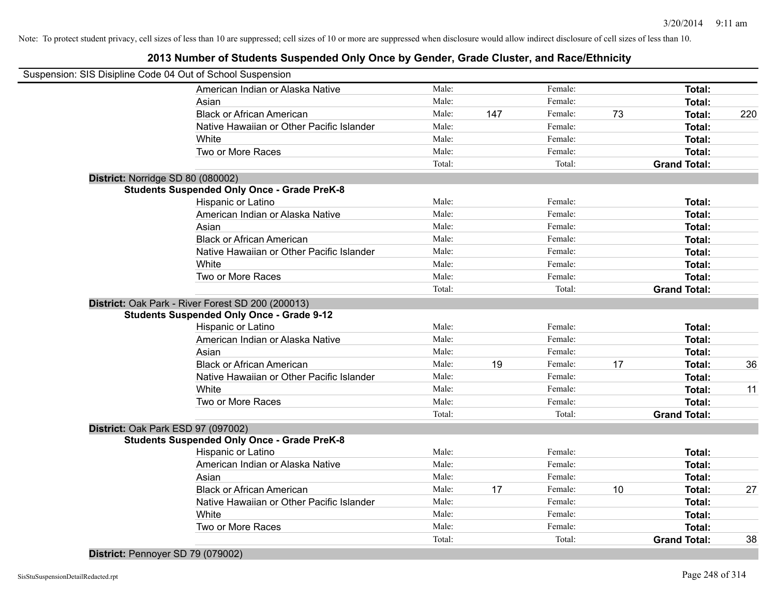### **2013 Number of Students Suspended Only Once by Gender, Grade Cluster, and Race/Ethnicity**

|                                   | Suspension: SIS Disipline Code 04 Out of School Suspension |        |     |         |    |                     |     |
|-----------------------------------|------------------------------------------------------------|--------|-----|---------|----|---------------------|-----|
|                                   | American Indian or Alaska Native                           | Male:  |     | Female: |    | Total:              |     |
|                                   | Asian                                                      | Male:  |     | Female: |    | Total:              |     |
|                                   | <b>Black or African American</b>                           | Male:  | 147 | Female: | 73 | Total:              | 220 |
|                                   | Native Hawaiian or Other Pacific Islander                  | Male:  |     | Female: |    | Total:              |     |
|                                   | White                                                      | Male:  |     | Female: |    | Total:              |     |
|                                   | Two or More Races                                          | Male:  |     | Female: |    | Total:              |     |
|                                   |                                                            | Total: |     | Total:  |    | <b>Grand Total:</b> |     |
| District: Norridge SD 80 (080002) |                                                            |        |     |         |    |                     |     |
|                                   | <b>Students Suspended Only Once - Grade PreK-8</b>         |        |     |         |    |                     |     |
|                                   | Hispanic or Latino                                         | Male:  |     | Female: |    | Total:              |     |
|                                   | American Indian or Alaska Native                           | Male:  |     | Female: |    | Total:              |     |
|                                   | Asian                                                      | Male:  |     | Female: |    | Total:              |     |
|                                   | <b>Black or African American</b>                           | Male:  |     | Female: |    | Total:              |     |
|                                   | Native Hawaiian or Other Pacific Islander                  | Male:  |     | Female: |    | Total:              |     |
|                                   | White                                                      | Male:  |     | Female: |    | Total:              |     |
|                                   | Two or More Races                                          | Male:  |     | Female: |    | Total:              |     |
|                                   |                                                            | Total: |     | Total:  |    | <b>Grand Total:</b> |     |
|                                   | District: Oak Park - River Forest SD 200 (200013)          |        |     |         |    |                     |     |
|                                   | <b>Students Suspended Only Once - Grade 9-12</b>           |        |     |         |    |                     |     |
|                                   | Hispanic or Latino                                         | Male:  |     | Female: |    | Total:              |     |
|                                   | American Indian or Alaska Native                           | Male:  |     | Female: |    | Total:              |     |
|                                   | Asian                                                      | Male:  |     | Female: |    | Total:              |     |
|                                   | <b>Black or African American</b>                           | Male:  | 19  | Female: | 17 | Total:              | 36  |
|                                   | Native Hawaiian or Other Pacific Islander                  | Male:  |     | Female: |    | Total:              |     |
|                                   | White                                                      | Male:  |     | Female: |    | Total:              | 11  |
|                                   | Two or More Races                                          | Male:  |     | Female: |    | Total:              |     |
|                                   |                                                            | Total: |     | Total:  |    | <b>Grand Total:</b> |     |
|                                   | District: Oak Park ESD 97 (097002)                         |        |     |         |    |                     |     |
|                                   | <b>Students Suspended Only Once - Grade PreK-8</b>         |        |     |         |    |                     |     |
|                                   | Hispanic or Latino                                         | Male:  |     | Female: |    | Total:              |     |
|                                   | American Indian or Alaska Native                           | Male:  |     | Female: |    | Total:              |     |
|                                   | Asian                                                      | Male:  |     | Female: |    | Total:              |     |
|                                   | <b>Black or African American</b>                           | Male:  | 17  | Female: | 10 | Total:              | 27  |
|                                   | Native Hawaiian or Other Pacific Islander                  | Male:  |     | Female: |    | Total:              |     |
|                                   | White                                                      | Male:  |     | Female: |    | Total:              |     |
|                                   | Two or More Races                                          | Male:  |     | Female: |    | Total:              |     |
|                                   |                                                            | Total: |     | Total:  |    | <b>Grand Total:</b> | 38  |
|                                   |                                                            |        |     |         |    |                     |     |

**District:** Pennoyer SD 79 (079002)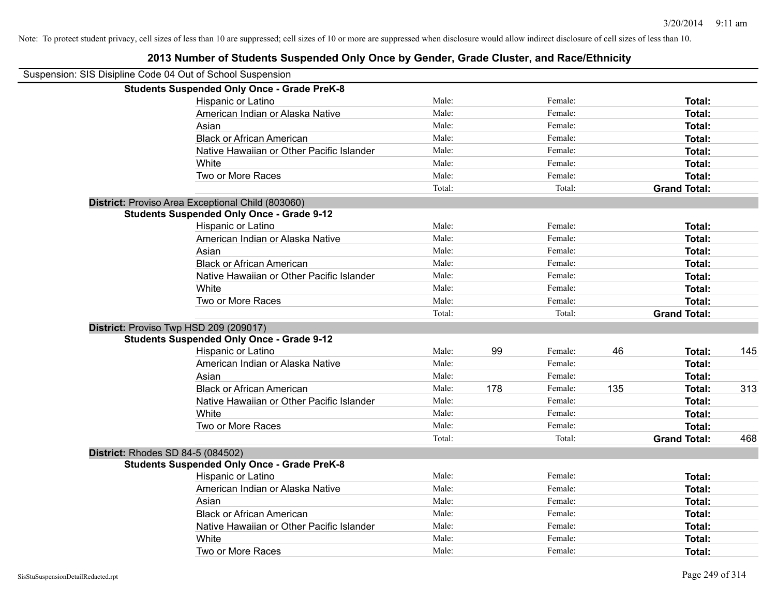| 2013 Number of Students Suspended Only Once by Gender, Grade Cluster, and Race/Ethnicity |        |     |         |     |                     |     |
|------------------------------------------------------------------------------------------|--------|-----|---------|-----|---------------------|-----|
| Suspension: SIS Disipline Code 04 Out of School Suspension                               |        |     |         |     |                     |     |
| <b>Students Suspended Only Once - Grade PreK-8</b>                                       |        |     |         |     |                     |     |
| Hispanic or Latino                                                                       | Male:  |     | Female: |     | Total:              |     |
| American Indian or Alaska Native                                                         | Male:  |     | Female: |     | Total:              |     |
| Asian                                                                                    | Male:  |     | Female: |     | Total:              |     |
| <b>Black or African American</b>                                                         | Male:  |     | Female: |     | Total:              |     |
| Native Hawaiian or Other Pacific Islander                                                | Male:  |     | Female: |     | Total:              |     |
| White                                                                                    | Male:  |     | Female: |     | Total:              |     |
| Two or More Races                                                                        | Male:  |     | Female: |     | Total:              |     |
|                                                                                          | Total: |     | Total:  |     | <b>Grand Total:</b> |     |
| District: Proviso Area Exceptional Child (803060)                                        |        |     |         |     |                     |     |
| <b>Students Suspended Only Once - Grade 9-12</b>                                         |        |     |         |     |                     |     |
| Hispanic or Latino                                                                       | Male:  |     | Female: |     | Total:              |     |
| American Indian or Alaska Native                                                         | Male:  |     | Female: |     | Total:              |     |
| Asian                                                                                    | Male:  |     | Female: |     | Total:              |     |
| <b>Black or African American</b>                                                         | Male:  |     | Female: |     | Total:              |     |
| Native Hawaiian or Other Pacific Islander                                                | Male:  |     | Female: |     | Total:              |     |
| White                                                                                    | Male:  |     | Female: |     | Total:              |     |
| Two or More Races                                                                        | Male:  |     | Female: |     | Total:              |     |
|                                                                                          | Total: |     | Total:  |     | <b>Grand Total:</b> |     |
| District: Proviso Twp HSD 209 (209017)                                                   |        |     |         |     |                     |     |
| <b>Students Suspended Only Once - Grade 9-12</b>                                         |        |     |         |     |                     |     |
| Hispanic or Latino                                                                       | Male:  | 99  | Female: | 46  | Total:              | 145 |
| American Indian or Alaska Native                                                         | Male:  |     | Female: |     | Total:              |     |
| Asian                                                                                    | Male:  |     | Female: |     | Total:              |     |
| <b>Black or African American</b>                                                         | Male:  | 178 | Female: | 135 | Total:              | 313 |
| Native Hawaiian or Other Pacific Islander                                                | Male:  |     | Female: |     | Total:              |     |
| White                                                                                    | Male:  |     | Female: |     | Total:              |     |
| Two or More Races                                                                        | Male:  |     | Female: |     | Total:              |     |
|                                                                                          | Total: |     | Total:  |     | <b>Grand Total:</b> | 468 |
| District: Rhodes SD 84-5 (084502)                                                        |        |     |         |     |                     |     |
| <b>Students Suspended Only Once - Grade PreK-8</b>                                       |        |     |         |     |                     |     |
| Hispanic or Latino                                                                       | Male:  |     | Female: |     | Total:              |     |
| American Indian or Alaska Native                                                         | Male:  |     | Female: |     | Total:              |     |
| Asian                                                                                    | Male:  |     | Female: |     | Total:              |     |
| <b>Black or African American</b>                                                         | Male:  |     | Female: |     | Total:              |     |
| Native Hawaiian or Other Pacific Islander                                                | Male:  |     | Female: |     | Total:              |     |
| White                                                                                    | Male:  |     | Female: |     | Total:              |     |
| Two or More Races                                                                        | Male:  |     | Female: |     | Total:              |     |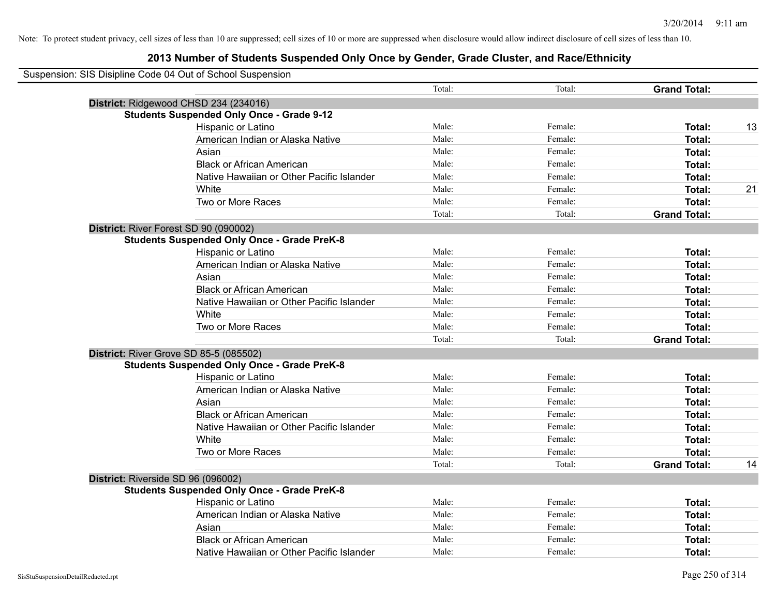| Suspension: SIS Disipline Code 04 Out of School Suspension |        |         |                     |    |
|------------------------------------------------------------|--------|---------|---------------------|----|
|                                                            | Total: | Total:  | <b>Grand Total:</b> |    |
| District: Ridgewood CHSD 234 (234016)                      |        |         |                     |    |
| <b>Students Suspended Only Once - Grade 9-12</b>           |        |         |                     |    |
| Hispanic or Latino                                         | Male:  | Female: | Total:              | 13 |
| American Indian or Alaska Native                           | Male:  | Female: | Total:              |    |
| Asian                                                      | Male:  | Female: | Total:              |    |
| <b>Black or African American</b>                           | Male:  | Female: | Total:              |    |
| Native Hawaiian or Other Pacific Islander                  | Male:  | Female: | Total:              |    |
| White                                                      | Male:  | Female: | Total:              | 21 |
| Two or More Races                                          | Male:  | Female: | Total:              |    |
|                                                            | Total: | Total:  | <b>Grand Total:</b> |    |
| District: River Forest SD 90 (090002)                      |        |         |                     |    |
| <b>Students Suspended Only Once - Grade PreK-8</b>         |        |         |                     |    |
| Hispanic or Latino                                         | Male:  | Female: | Total:              |    |
| American Indian or Alaska Native                           | Male:  | Female: | Total:              |    |
| Asian                                                      | Male:  | Female: | Total:              |    |
| <b>Black or African American</b>                           | Male:  | Female: | Total:              |    |
| Native Hawaiian or Other Pacific Islander                  | Male:  | Female: | Total:              |    |
| White                                                      | Male:  | Female: | Total:              |    |
| Two or More Races                                          | Male:  | Female: | Total:              |    |
|                                                            | Total: | Total:  | <b>Grand Total:</b> |    |
| District: River Grove SD 85-5 (085502)                     |        |         |                     |    |
| <b>Students Suspended Only Once - Grade PreK-8</b>         |        |         |                     |    |
| Hispanic or Latino                                         | Male:  | Female: | <b>Total:</b>       |    |
| American Indian or Alaska Native                           | Male:  | Female: | Total:              |    |
| Asian                                                      | Male:  | Female: | Total:              |    |
| <b>Black or African American</b>                           | Male:  | Female: | Total:              |    |
| Native Hawaiian or Other Pacific Islander                  | Male:  | Female: | Total:              |    |
| White                                                      | Male:  | Female: | Total:              |    |
| Two or More Races                                          | Male:  | Female: | Total:              |    |
|                                                            | Total: | Total:  | <b>Grand Total:</b> | 14 |
| District: Riverside SD 96 (096002)                         |        |         |                     |    |
| <b>Students Suspended Only Once - Grade PreK-8</b>         |        |         |                     |    |
| Hispanic or Latino                                         | Male:  | Female: | Total:              |    |
| American Indian or Alaska Native                           | Male:  | Female: | Total:              |    |
| Asian                                                      | Male:  | Female: | Total:              |    |
| <b>Black or African American</b>                           | Male:  | Female: | Total:              |    |
| Native Hawaiian or Other Pacific Islander                  | Male:  | Female: | Total:              |    |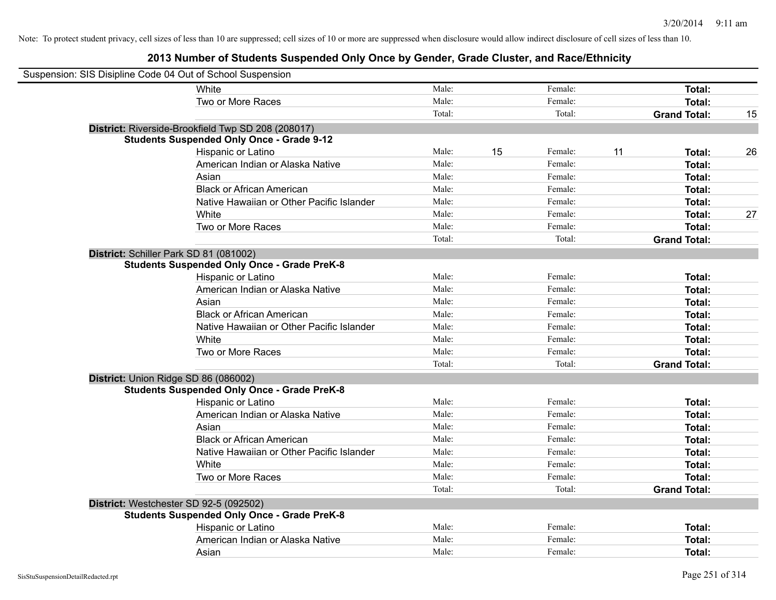| Suspension: SIS Disipline Code 04 Out of School Suspension |                                                    |        |               |                     |    |
|------------------------------------------------------------|----------------------------------------------------|--------|---------------|---------------------|----|
|                                                            | White                                              | Male:  | Female:       | Total:              |    |
|                                                            | Two or More Races                                  | Male:  | Female:       | Total:              |    |
|                                                            |                                                    | Total: | Total:        | <b>Grand Total:</b> | 15 |
|                                                            | District: Riverside-Brookfield Twp SD 208 (208017) |        |               |                     |    |
|                                                            | <b>Students Suspended Only Once - Grade 9-12</b>   |        |               |                     |    |
|                                                            | Hispanic or Latino                                 | Male:  | 15<br>Female: | 11<br>Total:        | 26 |
|                                                            | American Indian or Alaska Native                   | Male:  | Female:       | Total:              |    |
|                                                            | Asian                                              | Male:  | Female:       | Total:              |    |
|                                                            | <b>Black or African American</b>                   | Male:  | Female:       | Total:              |    |
|                                                            | Native Hawaiian or Other Pacific Islander          | Male:  | Female:       | Total:              |    |
|                                                            | White                                              | Male:  | Female:       | Total:              | 27 |
|                                                            | Two or More Races                                  | Male:  | Female:       | Total:              |    |
|                                                            |                                                    | Total: | Total:        | <b>Grand Total:</b> |    |
| District: Schiller Park SD 81 (081002)                     |                                                    |        |               |                     |    |
|                                                            | <b>Students Suspended Only Once - Grade PreK-8</b> |        |               |                     |    |
|                                                            | Hispanic or Latino                                 | Male:  | Female:       | Total:              |    |
|                                                            | American Indian or Alaska Native                   | Male:  | Female:       | Total:              |    |
|                                                            | Asian                                              | Male:  | Female:       | Total:              |    |
|                                                            | <b>Black or African American</b>                   | Male:  | Female:       | Total:              |    |
|                                                            | Native Hawaiian or Other Pacific Islander          | Male:  | Female:       | Total:              |    |
|                                                            | White                                              | Male:  | Female:       | Total:              |    |
|                                                            | Two or More Races                                  | Male:  | Female:       | Total:              |    |
|                                                            |                                                    | Total: | Total:        | <b>Grand Total:</b> |    |
| District: Union Ridge SD 86 (086002)                       |                                                    |        |               |                     |    |
|                                                            | <b>Students Suspended Only Once - Grade PreK-8</b> |        |               |                     |    |
|                                                            | Hispanic or Latino                                 | Male:  | Female:       | Total:              |    |
|                                                            | American Indian or Alaska Native                   | Male:  | Female:       | Total:              |    |
|                                                            | Asian                                              | Male:  | Female:       | Total:              |    |
|                                                            | <b>Black or African American</b>                   | Male:  | Female:       | Total:              |    |
|                                                            | Native Hawaiian or Other Pacific Islander          | Male:  | Female:       | Total:              |    |
|                                                            | White                                              | Male:  | Female:       | Total:              |    |
|                                                            | Two or More Races                                  | Male:  | Female:       | Total:              |    |
|                                                            |                                                    | Total: | Total:        | <b>Grand Total:</b> |    |
| District: Westchester SD 92-5 (092502)                     |                                                    |        |               |                     |    |
|                                                            | <b>Students Suspended Only Once - Grade PreK-8</b> |        |               |                     |    |
|                                                            | Hispanic or Latino                                 | Male:  | Female:       | Total:              |    |
|                                                            | American Indian or Alaska Native                   | Male:  | Female:       | Total:              |    |
|                                                            | Asian                                              | Male:  | Female:       | Total:              |    |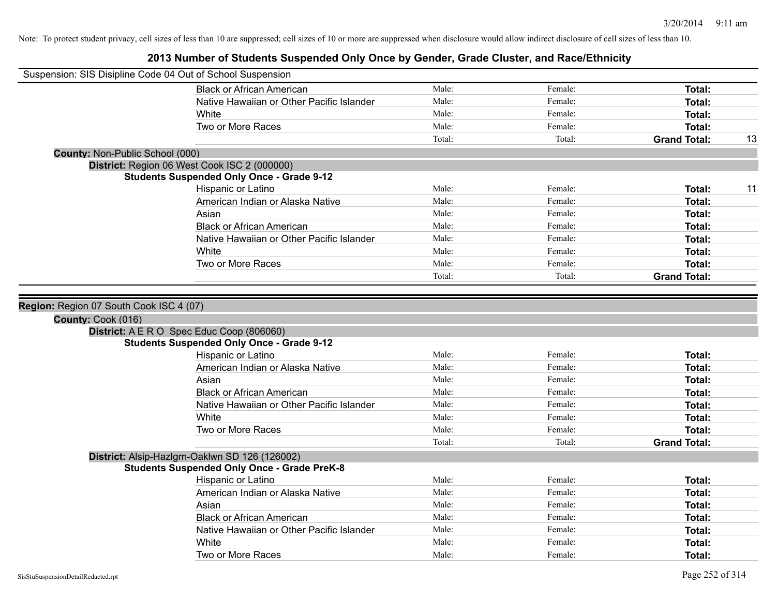| Suspension: SIS Disipline Code 04 Out of School Suspension |                                                                                                      |        |         |                     |    |
|------------------------------------------------------------|------------------------------------------------------------------------------------------------------|--------|---------|---------------------|----|
|                                                            | <b>Black or African American</b>                                                                     | Male:  | Female: | Total:              |    |
|                                                            | Native Hawaiian or Other Pacific Islander                                                            | Male:  | Female: | Total:              |    |
|                                                            | White                                                                                                | Male:  | Female: | <b>Total:</b>       |    |
|                                                            | Two or More Races                                                                                    | Male:  | Female: | <b>Total:</b>       |    |
|                                                            |                                                                                                      | Total: | Total:  | <b>Grand Total:</b> | 13 |
| <b>County: Non-Public School (000)</b>                     |                                                                                                      |        |         |                     |    |
|                                                            | District: Region 06 West Cook ISC 2 (000000)                                                         |        |         |                     |    |
|                                                            | <b>Students Suspended Only Once - Grade 9-12</b>                                                     |        |         |                     |    |
|                                                            | Hispanic or Latino                                                                                   | Male:  | Female: | Total:              | 11 |
|                                                            | American Indian or Alaska Native                                                                     | Male:  | Female: | Total:              |    |
|                                                            | Asian                                                                                                | Male:  | Female: | <b>Total:</b>       |    |
|                                                            | <b>Black or African American</b>                                                                     | Male:  | Female: | <b>Total:</b>       |    |
|                                                            | Native Hawaiian or Other Pacific Islander                                                            | Male:  | Female: | Total:              |    |
|                                                            | White                                                                                                | Male:  | Female: | Total:              |    |
|                                                            | Two or More Races                                                                                    | Male:  | Female: | <b>Total:</b>       |    |
|                                                            |                                                                                                      | Total: | Total:  | <b>Grand Total:</b> |    |
| County: Cook (016)                                         | District: A E R O Spec Educ Coop (806060)                                                            |        |         |                     |    |
|                                                            | <b>Students Suspended Only Once - Grade 9-12</b>                                                     |        |         |                     |    |
|                                                            | Hispanic or Latino                                                                                   | Male:  | Female: | Total:              |    |
|                                                            | American Indian or Alaska Native                                                                     | Male:  | Female: | Total:              |    |
|                                                            | Asian                                                                                                | Male:  | Female: | Total:              |    |
|                                                            | <b>Black or African American</b>                                                                     | Male:  | Female: | Total:              |    |
|                                                            | Native Hawaiian or Other Pacific Islander                                                            | Male:  | Female: | <b>Total:</b>       |    |
|                                                            | White                                                                                                | Male:  | Female: | <b>Total:</b>       |    |
|                                                            | Two or More Races                                                                                    | Male:  | Female: | <b>Total:</b>       |    |
|                                                            |                                                                                                      | Total: | Total:  | <b>Grand Total:</b> |    |
|                                                            | District: Alsip-Hazlgrn-Oaklwn SD 126 (126002)<br><b>Students Suspended Only Once - Grade PreK-8</b> |        |         |                     |    |
|                                                            | Hispanic or Latino                                                                                   | Male:  | Female: | Total:              |    |
|                                                            | American Indian or Alaska Native                                                                     | Male:  | Female: | Total:              |    |
|                                                            | Asian                                                                                                | Male:  | Female: | <b>Total:</b>       |    |
|                                                            | <b>Black or African American</b>                                                                     | Male:  | Female: | Total:              |    |
|                                                            | Native Hawaiian or Other Pacific Islander                                                            | Male:  | Female: | <b>Total:</b>       |    |
|                                                            | White                                                                                                | Male:  | Female: | <b>Total:</b>       |    |
|                                                            |                                                                                                      |        | Female: |                     |    |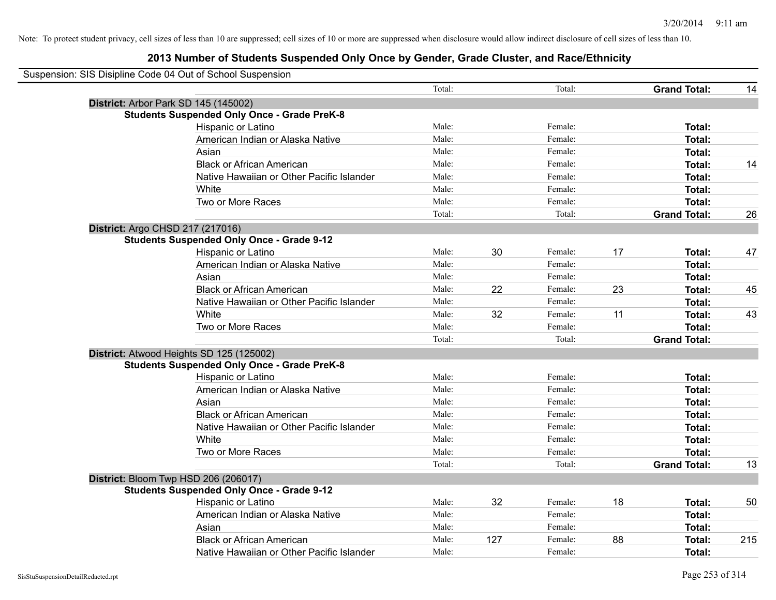| Suspension: SIS Disipline Code 04 Out of School Suspension |        |     |         |    |                     |     |
|------------------------------------------------------------|--------|-----|---------|----|---------------------|-----|
|                                                            | Total: |     | Total:  |    | <b>Grand Total:</b> | 14  |
| District: Arbor Park SD 145 (145002)                       |        |     |         |    |                     |     |
| <b>Students Suspended Only Once - Grade PreK-8</b>         |        |     |         |    |                     |     |
| Hispanic or Latino                                         | Male:  |     | Female: |    | Total:              |     |
| American Indian or Alaska Native                           | Male:  |     | Female: |    | Total:              |     |
| Asian                                                      | Male:  |     | Female: |    | Total:              |     |
| <b>Black or African American</b>                           | Male:  |     | Female: |    | Total:              | 14  |
| Native Hawaiian or Other Pacific Islander                  | Male:  |     | Female: |    | Total:              |     |
| White                                                      | Male:  |     | Female: |    | Total:              |     |
| Two or More Races                                          | Male:  |     | Female: |    | Total:              |     |
|                                                            | Total: |     | Total:  |    | <b>Grand Total:</b> | 26  |
| District: Argo CHSD 217 (217016)                           |        |     |         |    |                     |     |
| <b>Students Suspended Only Once - Grade 9-12</b>           |        |     |         |    |                     |     |
| Hispanic or Latino                                         | Male:  | 30  | Female: | 17 | Total:              | 47  |
| American Indian or Alaska Native                           | Male:  |     | Female: |    | Total:              |     |
| Asian                                                      | Male:  |     | Female: |    | Total:              |     |
| <b>Black or African American</b>                           | Male:  | 22  | Female: | 23 | Total:              | 45  |
| Native Hawaiian or Other Pacific Islander                  | Male:  |     | Female: |    | Total:              |     |
| White                                                      | Male:  | 32  | Female: | 11 | Total:              | 43  |
| Two or More Races                                          | Male:  |     | Female: |    | Total:              |     |
|                                                            | Total: |     | Total:  |    | <b>Grand Total:</b> |     |
| District: Atwood Heights SD 125 (125002)                   |        |     |         |    |                     |     |
| <b>Students Suspended Only Once - Grade PreK-8</b>         |        |     |         |    |                     |     |
| Hispanic or Latino                                         | Male:  |     | Female: |    | Total:              |     |
| American Indian or Alaska Native                           | Male:  |     | Female: |    | Total:              |     |
| Asian                                                      | Male:  |     | Female: |    | Total:              |     |
| <b>Black or African American</b>                           | Male:  |     | Female: |    | Total:              |     |
| Native Hawaiian or Other Pacific Islander                  | Male:  |     | Female: |    | Total:              |     |
| White                                                      | Male:  |     | Female: |    | Total:              |     |
| Two or More Races                                          | Male:  |     | Female: |    | Total:              |     |
|                                                            | Total: |     | Total:  |    | <b>Grand Total:</b> | 13  |
| District: Bloom Twp HSD 206 (206017)                       |        |     |         |    |                     |     |
| <b>Students Suspended Only Once - Grade 9-12</b>           |        |     |         |    |                     |     |
| Hispanic or Latino                                         | Male:  | 32  | Female: | 18 | Total:              | 50  |
| American Indian or Alaska Native                           | Male:  |     | Female: |    | Total:              |     |
| Asian                                                      | Male:  |     | Female: |    | Total:              |     |
| <b>Black or African American</b>                           | Male:  | 127 | Female: | 88 | Total:              | 215 |
| Native Hawaiian or Other Pacific Islander                  | Male:  |     | Female: |    | Total:              |     |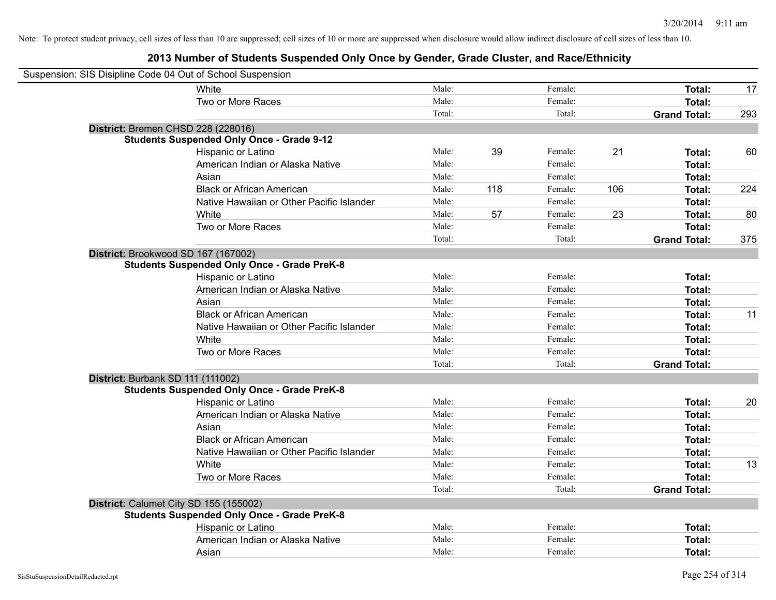| Suspension: SIS Disipline Code 04 Out of School Suspension |                                                    |        |     |         |     |                     |     |
|------------------------------------------------------------|----------------------------------------------------|--------|-----|---------|-----|---------------------|-----|
|                                                            | White                                              | Male:  |     | Female: |     | Total:              | 17  |
|                                                            | Two or More Races                                  | Male:  |     | Female: |     | Total:              |     |
|                                                            |                                                    | Total: |     | Total:  |     | <b>Grand Total:</b> | 293 |
| District: Bremen CHSD 228 (228016)                         |                                                    |        |     |         |     |                     |     |
|                                                            | <b>Students Suspended Only Once - Grade 9-12</b>   |        |     |         |     |                     |     |
|                                                            | Hispanic or Latino                                 | Male:  | 39  | Female: | 21  | Total:              | 60  |
|                                                            | American Indian or Alaska Native                   | Male:  |     | Female: |     | Total:              |     |
|                                                            | Asian                                              | Male:  |     | Female: |     | Total:              |     |
|                                                            | <b>Black or African American</b>                   | Male:  | 118 | Female: | 106 | Total:              | 224 |
|                                                            | Native Hawaiian or Other Pacific Islander          | Male:  |     | Female: |     | Total:              |     |
|                                                            | White                                              | Male:  | 57  | Female: | 23  | Total:              | 80  |
|                                                            | Two or More Races                                  | Male:  |     | Female: |     | Total:              |     |
|                                                            |                                                    | Total: |     | Total:  |     | <b>Grand Total:</b> | 375 |
| District: Brookwood SD 167 (167002)                        |                                                    |        |     |         |     |                     |     |
|                                                            | <b>Students Suspended Only Once - Grade PreK-8</b> |        |     |         |     |                     |     |
|                                                            | Hispanic or Latino                                 | Male:  |     | Female: |     | Total:              |     |
|                                                            | American Indian or Alaska Native                   | Male:  |     | Female: |     | Total:              |     |
|                                                            | Asian                                              | Male:  |     | Female: |     | Total:              |     |
|                                                            | <b>Black or African American</b>                   | Male:  |     | Female: |     | Total:              | 11  |
|                                                            | Native Hawaiian or Other Pacific Islander          | Male:  |     | Female: |     | Total:              |     |
|                                                            | White                                              | Male:  |     | Female: |     | Total:              |     |
|                                                            | Two or More Races                                  | Male:  |     | Female: |     | Total:              |     |
|                                                            |                                                    | Total: |     | Total:  |     | <b>Grand Total:</b> |     |
| District: Burbank SD 111 (111002)                          |                                                    |        |     |         |     |                     |     |
|                                                            | <b>Students Suspended Only Once - Grade PreK-8</b> |        |     |         |     |                     |     |
|                                                            | Hispanic or Latino                                 | Male:  |     | Female: |     | Total:              | 20  |
|                                                            | American Indian or Alaska Native                   | Male:  |     | Female: |     | Total:              |     |
|                                                            | Asian                                              | Male:  |     | Female: |     | Total:              |     |
|                                                            | <b>Black or African American</b>                   | Male:  |     | Female: |     | Total:              |     |
|                                                            | Native Hawaiian or Other Pacific Islander          | Male:  |     | Female: |     | Total:              |     |
|                                                            | White                                              | Male:  |     | Female: |     | Total:              | 13  |
|                                                            | Two or More Races                                  | Male:  |     | Female: |     | Total:              |     |
|                                                            |                                                    | Total: |     | Total:  |     | <b>Grand Total:</b> |     |
| District: Calumet City SD 155 (155002)                     |                                                    |        |     |         |     |                     |     |
|                                                            | <b>Students Suspended Only Once - Grade PreK-8</b> |        |     |         |     |                     |     |
|                                                            | Hispanic or Latino                                 | Male:  |     | Female: |     | Total:              |     |
|                                                            | American Indian or Alaska Native                   | Male:  |     | Female: |     | Total:              |     |
|                                                            | Asian                                              | Male:  |     | Female: |     | Total:              |     |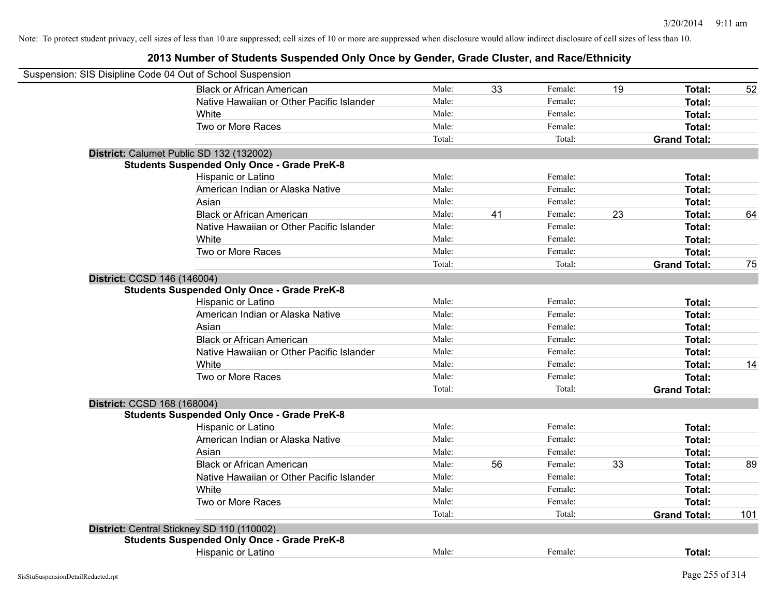| Suspension: SIS Disipline Code 04 Out of School Suspension |                                                    |        |    |         |    |                     |     |
|------------------------------------------------------------|----------------------------------------------------|--------|----|---------|----|---------------------|-----|
|                                                            | <b>Black or African American</b>                   | Male:  | 33 | Female: | 19 | Total:              | 52  |
|                                                            | Native Hawaiian or Other Pacific Islander          | Male:  |    | Female: |    | Total:              |     |
|                                                            | White                                              | Male:  |    | Female: |    | Total:              |     |
|                                                            | Two or More Races                                  | Male:  |    | Female: |    | Total:              |     |
|                                                            |                                                    | Total: |    | Total:  |    | <b>Grand Total:</b> |     |
|                                                            | District: Calumet Public SD 132 (132002)           |        |    |         |    |                     |     |
|                                                            | <b>Students Suspended Only Once - Grade PreK-8</b> |        |    |         |    |                     |     |
|                                                            | Hispanic or Latino                                 | Male:  |    | Female: |    | Total:              |     |
|                                                            | American Indian or Alaska Native                   | Male:  |    | Female: |    | Total:              |     |
|                                                            | Asian                                              | Male:  |    | Female: |    | Total:              |     |
|                                                            | <b>Black or African American</b>                   | Male:  | 41 | Female: | 23 | Total:              | 64  |
|                                                            | Native Hawaiian or Other Pacific Islander          | Male:  |    | Female: |    | Total:              |     |
|                                                            | White                                              | Male:  |    | Female: |    | Total:              |     |
|                                                            | Two or More Races                                  | Male:  |    | Female: |    | Total:              |     |
|                                                            |                                                    | Total: |    | Total:  |    | <b>Grand Total:</b> | 75  |
| District: CCSD 146 (146004)                                |                                                    |        |    |         |    |                     |     |
|                                                            | <b>Students Suspended Only Once - Grade PreK-8</b> |        |    |         |    |                     |     |
|                                                            | Hispanic or Latino                                 | Male:  |    | Female: |    | Total:              |     |
|                                                            | American Indian or Alaska Native                   | Male:  |    | Female: |    | Total:              |     |
|                                                            | Asian                                              | Male:  |    | Female: |    | Total:              |     |
|                                                            | <b>Black or African American</b>                   | Male:  |    | Female: |    | Total:              |     |
|                                                            | Native Hawaiian or Other Pacific Islander          | Male:  |    | Female: |    | Total:              |     |
|                                                            | White                                              | Male:  |    | Female: |    | Total:              | 14  |
|                                                            | Two or More Races                                  | Male:  |    | Female: |    | Total:              |     |
|                                                            |                                                    | Total: |    | Total:  |    | <b>Grand Total:</b> |     |
| District: CCSD 168 (168004)                                |                                                    |        |    |         |    |                     |     |
|                                                            | <b>Students Suspended Only Once - Grade PreK-8</b> |        |    |         |    |                     |     |
|                                                            | Hispanic or Latino                                 | Male:  |    | Female: |    | Total:              |     |
|                                                            | American Indian or Alaska Native                   | Male:  |    | Female: |    | Total:              |     |
|                                                            | Asian                                              | Male:  |    | Female: |    | Total:              |     |
|                                                            | <b>Black or African American</b>                   | Male:  | 56 | Female: | 33 | Total:              | 89  |
|                                                            | Native Hawaiian or Other Pacific Islander          | Male:  |    | Female: |    | Total:              |     |
|                                                            | White                                              | Male:  |    | Female: |    | Total:              |     |
|                                                            | Two or More Races                                  | Male:  |    | Female: |    | Total:              |     |
|                                                            |                                                    | Total: |    | Total:  |    | <b>Grand Total:</b> | 101 |
|                                                            | District: Central Stickney SD 110 (110002)         |        |    |         |    |                     |     |
|                                                            | <b>Students Suspended Only Once - Grade PreK-8</b> |        |    |         |    |                     |     |
|                                                            | <b>Hispanic or Latino</b>                          | Male:  |    | Female: |    | <b>Total:</b>       |     |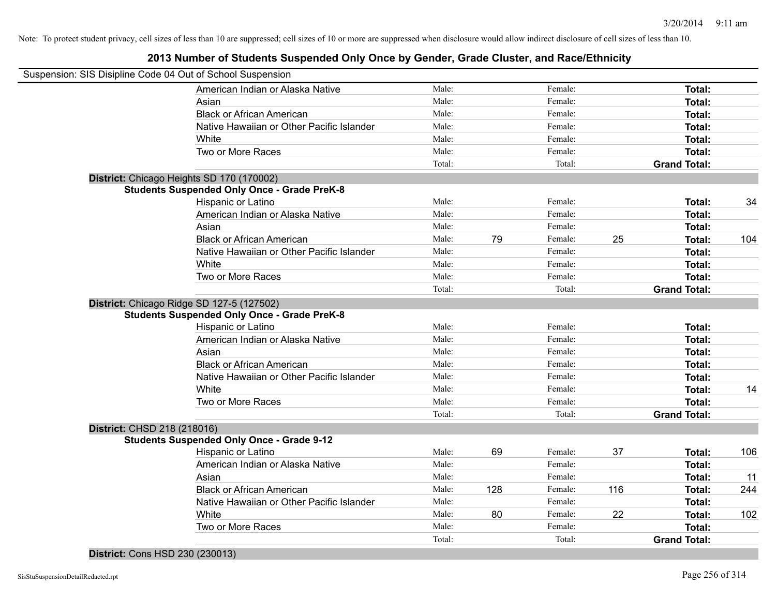|                             | Suspension: SIS Disipline Code 04 Out of School Suspension |        |     |         |     |                     |     |
|-----------------------------|------------------------------------------------------------|--------|-----|---------|-----|---------------------|-----|
|                             | American Indian or Alaska Native                           | Male:  |     | Female: |     | Total:              |     |
|                             | Asian                                                      | Male:  |     | Female: |     | Total:              |     |
|                             | <b>Black or African American</b>                           | Male:  |     | Female: |     | Total:              |     |
|                             | Native Hawaiian or Other Pacific Islander                  | Male:  |     | Female: |     | Total:              |     |
|                             | White                                                      | Male:  |     | Female: |     | Total:              |     |
|                             | Two or More Races                                          | Male:  |     | Female: |     | Total:              |     |
|                             |                                                            | Total: |     | Total:  |     | <b>Grand Total:</b> |     |
|                             | District: Chicago Heights SD 170 (170002)                  |        |     |         |     |                     |     |
|                             | <b>Students Suspended Only Once - Grade PreK-8</b>         |        |     |         |     |                     |     |
|                             | Hispanic or Latino                                         | Male:  |     | Female: |     | Total:              | 34  |
|                             | American Indian or Alaska Native                           | Male:  |     | Female: |     | Total:              |     |
|                             | Asian                                                      | Male:  |     | Female: |     | Total:              |     |
|                             | <b>Black or African American</b>                           | Male:  | 79  | Female: | 25  | Total:              | 104 |
|                             | Native Hawaiian or Other Pacific Islander                  | Male:  |     | Female: |     | Total:              |     |
|                             | White                                                      | Male:  |     | Female: |     | Total:              |     |
|                             | Two or More Races                                          | Male:  |     | Female: |     | Total:              |     |
|                             |                                                            | Total: |     | Total:  |     | <b>Grand Total:</b> |     |
|                             | District: Chicago Ridge SD 127-5 (127502)                  |        |     |         |     |                     |     |
|                             | <b>Students Suspended Only Once - Grade PreK-8</b>         |        |     |         |     |                     |     |
|                             | Hispanic or Latino                                         | Male:  |     | Female: |     | Total:              |     |
|                             | American Indian or Alaska Native                           | Male:  |     | Female: |     | Total:              |     |
|                             | Asian                                                      | Male:  |     | Female: |     | Total:              |     |
|                             | <b>Black or African American</b>                           | Male:  |     | Female: |     | Total:              |     |
|                             | Native Hawaiian or Other Pacific Islander                  | Male:  |     | Female: |     | Total:              |     |
|                             | White                                                      | Male:  |     | Female: |     | Total:              | 14  |
|                             | Two or More Races                                          | Male:  |     | Female: |     | Total:              |     |
|                             |                                                            | Total: |     | Total:  |     | <b>Grand Total:</b> |     |
| District: CHSD 218 (218016) |                                                            |        |     |         |     |                     |     |
|                             | <b>Students Suspended Only Once - Grade 9-12</b>           |        |     |         |     |                     |     |
|                             | Hispanic or Latino                                         | Male:  | 69  | Female: | 37  | Total:              | 106 |
|                             | American Indian or Alaska Native                           | Male:  |     | Female: |     | Total:              |     |
|                             | Asian                                                      | Male:  |     | Female: |     | Total:              | 11  |
|                             | <b>Black or African American</b>                           | Male:  | 128 | Female: | 116 | Total:              | 244 |
|                             | Native Hawaiian or Other Pacific Islander                  | Male:  |     | Female: |     | Total:              |     |
|                             | White                                                      | Male:  | 80  | Female: | 22  | Total:              | 102 |
|                             | Two or More Races                                          | Male:  |     | Female: |     | Total:              |     |
|                             |                                                            | Total: |     | Total:  |     | <b>Grand Total:</b> |     |
|                             |                                                            |        |     |         |     |                     |     |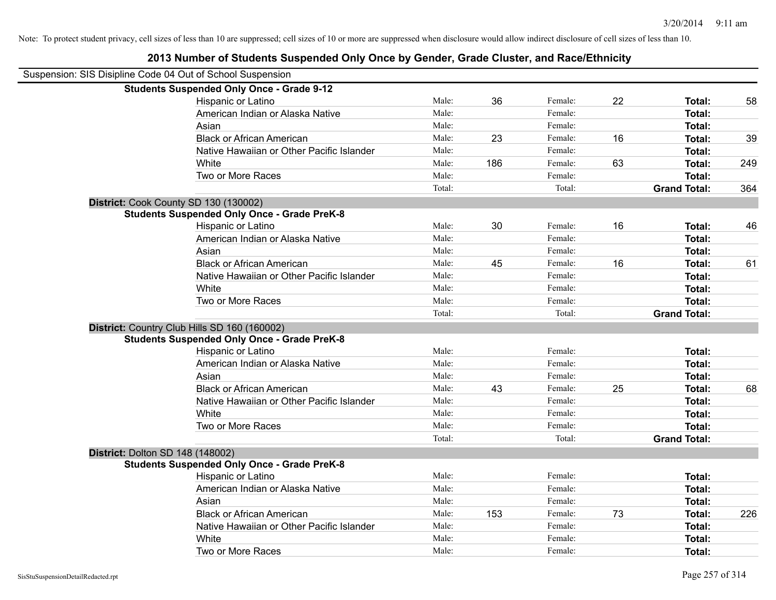| Suspension: SIS Disipline Code 04 Out of School Suspension |                                                    |        |     |         |    |                     |     |
|------------------------------------------------------------|----------------------------------------------------|--------|-----|---------|----|---------------------|-----|
|                                                            | <b>Students Suspended Only Once - Grade 9-12</b>   |        |     |         |    |                     |     |
|                                                            | Hispanic or Latino                                 | Male:  | 36  | Female: | 22 | Total:              | 58  |
|                                                            | American Indian or Alaska Native                   | Male:  |     | Female: |    | Total:              |     |
|                                                            | Asian                                              | Male:  |     | Female: |    | Total:              |     |
|                                                            | <b>Black or African American</b>                   | Male:  | 23  | Female: | 16 | Total:              | 39  |
|                                                            | Native Hawaiian or Other Pacific Islander          | Male:  |     | Female: |    | Total:              |     |
|                                                            | White                                              | Male:  | 186 | Female: | 63 | Total:              | 249 |
|                                                            | Two or More Races                                  | Male:  |     | Female: |    | Total:              |     |
|                                                            |                                                    | Total: |     | Total:  |    | <b>Grand Total:</b> | 364 |
|                                                            | District: Cook County SD 130 (130002)              |        |     |         |    |                     |     |
|                                                            | <b>Students Suspended Only Once - Grade PreK-8</b> |        |     |         |    |                     |     |
|                                                            | Hispanic or Latino                                 | Male:  | 30  | Female: | 16 | Total:              | 46  |
|                                                            | American Indian or Alaska Native                   | Male:  |     | Female: |    | Total:              |     |
|                                                            | Asian                                              | Male:  |     | Female: |    | Total:              |     |
|                                                            | <b>Black or African American</b>                   | Male:  | 45  | Female: | 16 | Total:              | 61  |
|                                                            | Native Hawaiian or Other Pacific Islander          | Male:  |     | Female: |    | Total:              |     |
|                                                            | White                                              | Male:  |     | Female: |    | Total:              |     |
|                                                            | Two or More Races                                  | Male:  |     | Female: |    | Total:              |     |
|                                                            |                                                    | Total: |     | Total:  |    | <b>Grand Total:</b> |     |
|                                                            | District: Country Club Hills SD 160 (160002)       |        |     |         |    |                     |     |
|                                                            | <b>Students Suspended Only Once - Grade PreK-8</b> |        |     |         |    |                     |     |
|                                                            | Hispanic or Latino                                 | Male:  |     | Female: |    | Total:              |     |
|                                                            | American Indian or Alaska Native                   | Male:  |     | Female: |    | Total:              |     |
|                                                            | Asian                                              | Male:  |     | Female: |    | Total:              |     |
|                                                            | <b>Black or African American</b>                   | Male:  | 43  | Female: | 25 | Total:              | 68  |
|                                                            | Native Hawaiian or Other Pacific Islander          | Male:  |     | Female: |    | Total:              |     |
|                                                            | White                                              | Male:  |     | Female: |    | Total:              |     |
|                                                            | Two or More Races                                  | Male:  |     | Female: |    | Total:              |     |
|                                                            |                                                    | Total: |     | Total:  |    | <b>Grand Total:</b> |     |
| District: Dolton SD 148 (148002)                           |                                                    |        |     |         |    |                     |     |
|                                                            | <b>Students Suspended Only Once - Grade PreK-8</b> |        |     |         |    |                     |     |
|                                                            | Hispanic or Latino                                 | Male:  |     | Female: |    | Total:              |     |
|                                                            | American Indian or Alaska Native                   | Male:  |     | Female: |    | Total:              |     |
|                                                            | Asian                                              | Male:  |     | Female: |    | Total:              |     |
|                                                            | <b>Black or African American</b>                   | Male:  | 153 | Female: | 73 | Total:              | 226 |
|                                                            | Native Hawaiian or Other Pacific Islander          | Male:  |     | Female: |    | Total:              |     |
|                                                            | White                                              | Male:  |     | Female: |    | Total:              |     |
|                                                            | Two or More Races                                  | Male:  |     | Female: |    | Total:              |     |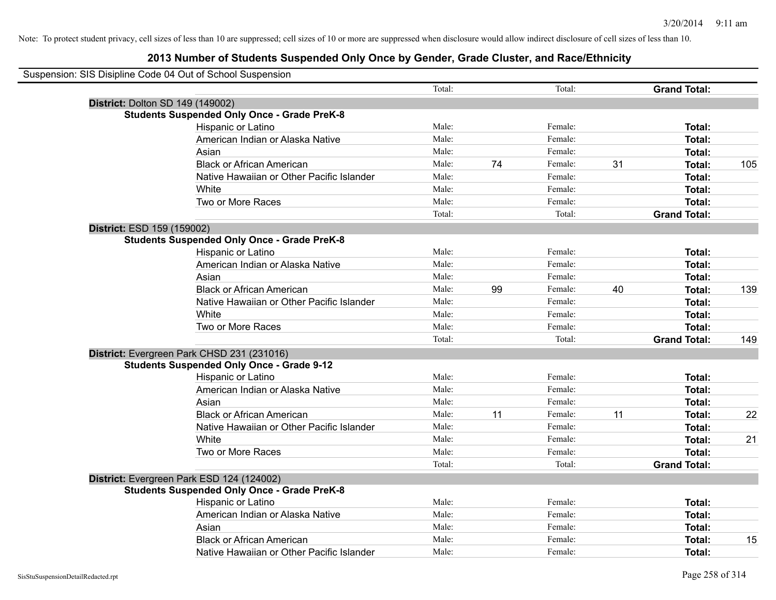| Suspension: SIS Disipline Code 04 Out of School Suspension |        |    |         |    |                     |     |
|------------------------------------------------------------|--------|----|---------|----|---------------------|-----|
|                                                            | Total: |    | Total:  |    | <b>Grand Total:</b> |     |
| District: Dolton SD 149 (149002)                           |        |    |         |    |                     |     |
| <b>Students Suspended Only Once - Grade PreK-8</b>         |        |    |         |    |                     |     |
| Hispanic or Latino                                         | Male:  |    | Female: |    | Total:              |     |
| American Indian or Alaska Native                           | Male:  |    | Female: |    | Total:              |     |
| Asian                                                      | Male:  |    | Female: |    | Total:              |     |
| <b>Black or African American</b>                           | Male:  | 74 | Female: | 31 | Total:              | 105 |
| Native Hawaiian or Other Pacific Islander                  | Male:  |    | Female: |    | Total:              |     |
| White                                                      | Male:  |    | Female: |    | Total:              |     |
| Two or More Races                                          | Male:  |    | Female: |    | Total:              |     |
|                                                            | Total: |    | Total:  |    | <b>Grand Total:</b> |     |
| District: ESD 159 (159002)                                 |        |    |         |    |                     |     |
| <b>Students Suspended Only Once - Grade PreK-8</b>         |        |    |         |    |                     |     |
| Hispanic or Latino                                         | Male:  |    | Female: |    | Total:              |     |
| American Indian or Alaska Native                           | Male:  |    | Female: |    | Total:              |     |
| Asian                                                      | Male:  |    | Female: |    | Total:              |     |
| <b>Black or African American</b>                           | Male:  | 99 | Female: | 40 | Total:              | 139 |
| Native Hawaiian or Other Pacific Islander                  | Male:  |    | Female: |    | Total:              |     |
| White                                                      | Male:  |    | Female: |    | Total:              |     |
| Two or More Races                                          | Male:  |    | Female: |    | Total:              |     |
|                                                            | Total: |    | Total:  |    | <b>Grand Total:</b> | 149 |
| District: Evergreen Park CHSD 231 (231016)                 |        |    |         |    |                     |     |
| <b>Students Suspended Only Once - Grade 9-12</b>           |        |    |         |    |                     |     |
| Hispanic or Latino                                         | Male:  |    | Female: |    | Total:              |     |
| American Indian or Alaska Native                           | Male:  |    | Female: |    | Total:              |     |
| Asian                                                      | Male:  |    | Female: |    | Total:              |     |
| <b>Black or African American</b>                           | Male:  | 11 | Female: | 11 | Total:              | 22  |
| Native Hawaiian or Other Pacific Islander                  | Male:  |    | Female: |    | Total:              |     |
| White                                                      | Male:  |    | Female: |    | Total:              | 21  |
| Two or More Races                                          | Male:  |    | Female: |    | Total:              |     |
|                                                            | Total: |    | Total:  |    | <b>Grand Total:</b> |     |
| District: Evergreen Park ESD 124 (124002)                  |        |    |         |    |                     |     |
| <b>Students Suspended Only Once - Grade PreK-8</b>         |        |    |         |    |                     |     |
| Hispanic or Latino                                         | Male:  |    | Female: |    | Total:              |     |
| American Indian or Alaska Native                           | Male:  |    | Female: |    | Total:              |     |
| Asian                                                      | Male:  |    | Female: |    | Total:              |     |
| <b>Black or African American</b>                           | Male:  |    | Female: |    | Total:              | 15  |
| Native Hawaiian or Other Pacific Islander                  | Male:  |    | Female: |    | Total:              |     |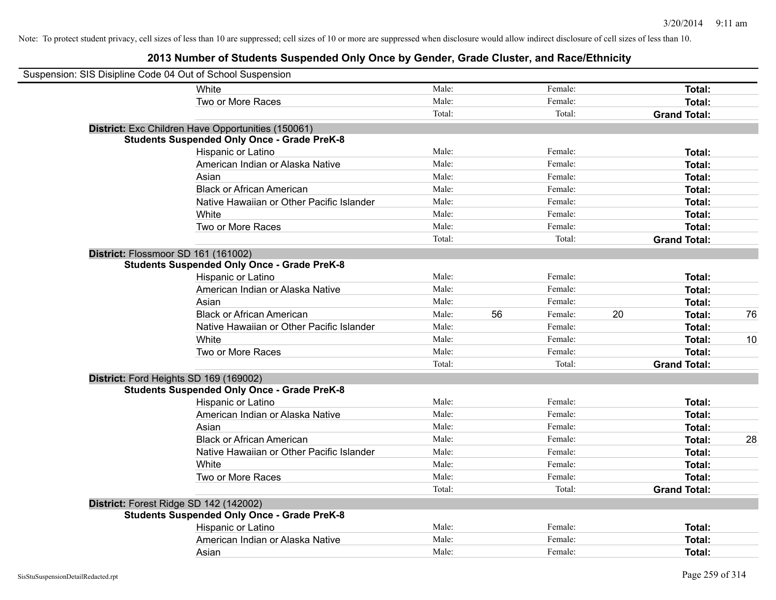| Suspension: SIS Disipline Code 04 Out of School Suspension |                                                    |        |    |         |    |                     |    |
|------------------------------------------------------------|----------------------------------------------------|--------|----|---------|----|---------------------|----|
|                                                            | White                                              | Male:  |    | Female: |    | Total:              |    |
|                                                            | Two or More Races                                  | Male:  |    | Female: |    | Total:              |    |
|                                                            |                                                    | Total: |    | Total:  |    | <b>Grand Total:</b> |    |
|                                                            | District: Exc Children Have Opportunities (150061) |        |    |         |    |                     |    |
|                                                            | <b>Students Suspended Only Once - Grade PreK-8</b> |        |    |         |    |                     |    |
|                                                            | Hispanic or Latino                                 | Male:  |    | Female: |    | Total:              |    |
|                                                            | American Indian or Alaska Native                   | Male:  |    | Female: |    | Total:              |    |
|                                                            | Asian                                              | Male:  |    | Female: |    | Total:              |    |
|                                                            | <b>Black or African American</b>                   | Male:  |    | Female: |    | Total:              |    |
|                                                            | Native Hawaiian or Other Pacific Islander          | Male:  |    | Female: |    | Total:              |    |
|                                                            | White                                              | Male:  |    | Female: |    | Total:              |    |
|                                                            | Two or More Races                                  | Male:  |    | Female: |    | Total:              |    |
|                                                            |                                                    | Total: |    | Total:  |    | <b>Grand Total:</b> |    |
| District: Flossmoor SD 161 (161002)                        |                                                    |        |    |         |    |                     |    |
|                                                            | <b>Students Suspended Only Once - Grade PreK-8</b> |        |    |         |    |                     |    |
|                                                            | Hispanic or Latino                                 | Male:  |    | Female: |    | Total:              |    |
|                                                            | American Indian or Alaska Native                   | Male:  |    | Female: |    | Total:              |    |
|                                                            | Asian                                              | Male:  |    | Female: |    | Total:              |    |
|                                                            | <b>Black or African American</b>                   | Male:  | 56 | Female: | 20 | Total:              | 76 |
|                                                            | Native Hawaiian or Other Pacific Islander          | Male:  |    | Female: |    | Total:              |    |
|                                                            | White                                              | Male:  |    | Female: |    | Total:              | 10 |
|                                                            | Two or More Races                                  | Male:  |    | Female: |    | Total:              |    |
|                                                            |                                                    | Total: |    | Total:  |    | <b>Grand Total:</b> |    |
| District: Ford Heights SD 169 (169002)                     |                                                    |        |    |         |    |                     |    |
|                                                            | <b>Students Suspended Only Once - Grade PreK-8</b> |        |    |         |    |                     |    |
|                                                            | Hispanic or Latino                                 | Male:  |    | Female: |    | Total:              |    |
|                                                            | American Indian or Alaska Native                   | Male:  |    | Female: |    | Total:              |    |
|                                                            | Asian                                              | Male:  |    | Female: |    | Total:              |    |
|                                                            | <b>Black or African American</b>                   | Male:  |    | Female: |    | Total:              | 28 |
|                                                            | Native Hawaiian or Other Pacific Islander          | Male:  |    | Female: |    | Total:              |    |
|                                                            | White                                              | Male:  |    | Female: |    | Total:              |    |
|                                                            | Two or More Races                                  | Male:  |    | Female: |    | Total:              |    |
|                                                            |                                                    | Total: |    | Total:  |    | <b>Grand Total:</b> |    |
| District: Forest Ridge SD 142 (142002)                     |                                                    |        |    |         |    |                     |    |
|                                                            | <b>Students Suspended Only Once - Grade PreK-8</b> |        |    |         |    |                     |    |
|                                                            | Hispanic or Latino                                 | Male:  |    | Female: |    | Total:              |    |
|                                                            | American Indian or Alaska Native                   | Male:  |    | Female: |    | Total:              |    |
|                                                            | Asian                                              | Male:  |    | Female: |    | Total:              |    |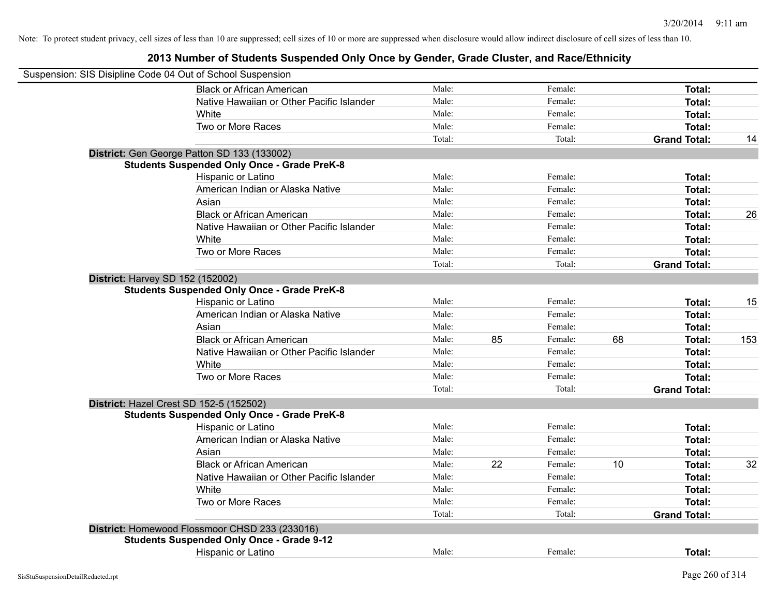| Suspension: SIS Disipline Code 04 Out of School Suspension |                                                    |        |    |         |    |                     |     |
|------------------------------------------------------------|----------------------------------------------------|--------|----|---------|----|---------------------|-----|
|                                                            | <b>Black or African American</b>                   | Male:  |    | Female: |    | Total:              |     |
|                                                            | Native Hawaiian or Other Pacific Islander          | Male:  |    | Female: |    | Total:              |     |
|                                                            | White                                              | Male:  |    | Female: |    | Total:              |     |
|                                                            | Two or More Races                                  | Male:  |    | Female: |    | Total:              |     |
|                                                            |                                                    | Total: |    | Total:  |    | <b>Grand Total:</b> | 14  |
|                                                            | District: Gen George Patton SD 133 (133002)        |        |    |         |    |                     |     |
|                                                            | <b>Students Suspended Only Once - Grade PreK-8</b> |        |    |         |    |                     |     |
|                                                            | Hispanic or Latino                                 | Male:  |    | Female: |    | Total:              |     |
|                                                            | American Indian or Alaska Native                   | Male:  |    | Female: |    | Total:              |     |
|                                                            | Asian                                              | Male:  |    | Female: |    | Total:              |     |
|                                                            | <b>Black or African American</b>                   | Male:  |    | Female: |    | Total:              | 26  |
|                                                            | Native Hawaiian or Other Pacific Islander          | Male:  |    | Female: |    | Total:              |     |
|                                                            | White                                              | Male:  |    | Female: |    | Total:              |     |
|                                                            | Two or More Races                                  | Male:  |    | Female: |    | Total:              |     |
|                                                            |                                                    | Total: |    | Total:  |    | <b>Grand Total:</b> |     |
|                                                            | <b>District: Harvey SD 152 (152002)</b>            |        |    |         |    |                     |     |
|                                                            | <b>Students Suspended Only Once - Grade PreK-8</b> |        |    |         |    |                     |     |
|                                                            | Hispanic or Latino                                 | Male:  |    | Female: |    | Total:              | 15  |
|                                                            | American Indian or Alaska Native                   | Male:  |    | Female: |    | Total:              |     |
|                                                            | Asian                                              | Male:  |    | Female: |    | Total:              |     |
|                                                            | <b>Black or African American</b>                   | Male:  | 85 | Female: | 68 | Total:              | 153 |
|                                                            | Native Hawaiian or Other Pacific Islander          | Male:  |    | Female: |    | Total:              |     |
|                                                            | White                                              | Male:  |    | Female: |    | Total:              |     |
|                                                            | Two or More Races                                  | Male:  |    | Female: |    | Total:              |     |
|                                                            |                                                    | Total: |    | Total:  |    | <b>Grand Total:</b> |     |
|                                                            | District: Hazel Crest SD 152-5 (152502)            |        |    |         |    |                     |     |
|                                                            | <b>Students Suspended Only Once - Grade PreK-8</b> |        |    |         |    |                     |     |
|                                                            | Hispanic or Latino                                 | Male:  |    | Female: |    | Total:              |     |
|                                                            | American Indian or Alaska Native                   | Male:  |    | Female: |    | Total:              |     |
|                                                            | Asian                                              | Male:  |    | Female: |    | Total:              |     |
|                                                            | <b>Black or African American</b>                   | Male:  | 22 | Female: | 10 | Total:              | 32  |
|                                                            | Native Hawaiian or Other Pacific Islander          | Male:  |    | Female: |    | Total:              |     |
|                                                            | White                                              | Male:  |    | Female: |    | Total:              |     |
|                                                            | Two or More Races                                  | Male:  |    | Female: |    | Total:              |     |
|                                                            |                                                    | Total: |    | Total:  |    | <b>Grand Total:</b> |     |
|                                                            | District: Homewood Flossmoor CHSD 233 (233016)     |        |    |         |    |                     |     |
|                                                            | <b>Students Suspended Only Once - Grade 9-12</b>   |        |    |         |    |                     |     |
|                                                            | <b>Hispanic or Latino</b>                          | Male:  |    | Female: |    | Total:              |     |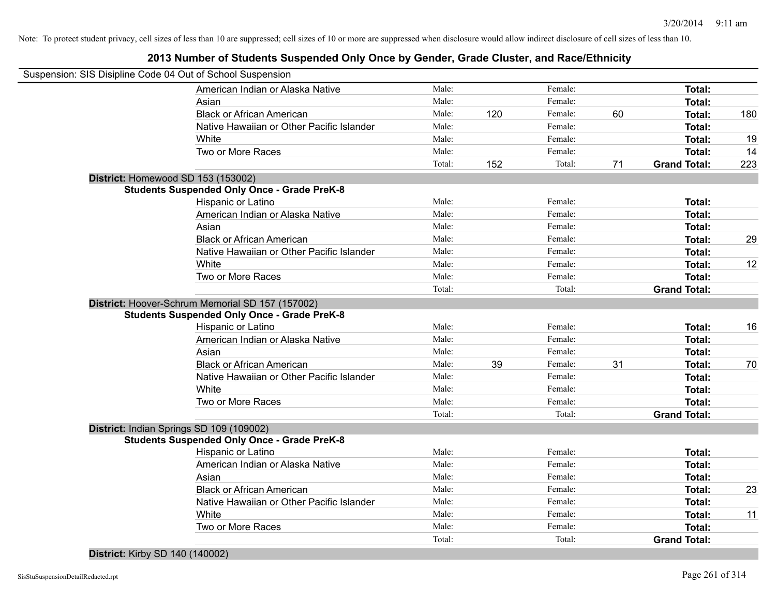#### **2013 Number of Students Suspended Only Once by Gender, Grade Cluster, and Race/Ethnicity**

| Suspension: SIS Disipline Code 04 Out of School Suspension |        |     |         |    |                     |     |
|------------------------------------------------------------|--------|-----|---------|----|---------------------|-----|
| American Indian or Alaska Native                           | Male:  |     | Female: |    | Total:              |     |
| Asian                                                      | Male:  |     | Female: |    | Total:              |     |
| <b>Black or African American</b>                           | Male:  | 120 | Female: | 60 | Total:              | 180 |
| Native Hawaiian or Other Pacific Islander                  | Male:  |     | Female: |    | Total:              |     |
| White                                                      | Male:  |     | Female: |    | Total:              | 19  |
| Two or More Races                                          | Male:  |     | Female: |    | Total:              | 14  |
|                                                            | Total: | 152 | Total:  | 71 | <b>Grand Total:</b> | 223 |
| District: Homewood SD 153 (153002)                         |        |     |         |    |                     |     |
| <b>Students Suspended Only Once - Grade PreK-8</b>         |        |     |         |    |                     |     |
| Hispanic or Latino                                         | Male:  |     | Female: |    | Total:              |     |
| American Indian or Alaska Native                           | Male:  |     | Female: |    | Total:              |     |
| Asian                                                      | Male:  |     | Female: |    | Total:              |     |
| <b>Black or African American</b>                           | Male:  |     | Female: |    | Total:              | 29  |
| Native Hawaiian or Other Pacific Islander                  | Male:  |     | Female: |    | Total:              |     |
| White                                                      | Male:  |     | Female: |    | Total:              | 12  |
| Two or More Races                                          | Male:  |     | Female: |    | Total:              |     |
|                                                            | Total: |     | Total:  |    | <b>Grand Total:</b> |     |
| District: Hoover-Schrum Memorial SD 157 (157002)           |        |     |         |    |                     |     |
| <b>Students Suspended Only Once - Grade PreK-8</b>         |        |     |         |    |                     |     |
| Hispanic or Latino                                         | Male:  |     | Female: |    | Total:              | 16  |
| American Indian or Alaska Native                           | Male:  |     | Female: |    | Total:              |     |
| Asian                                                      | Male:  |     | Female: |    | Total:              |     |
| <b>Black or African American</b>                           | Male:  | 39  | Female: | 31 | Total:              | 70  |
| Native Hawaiian or Other Pacific Islander                  | Male:  |     | Female: |    | Total:              |     |
| White                                                      | Male:  |     | Female: |    | Total:              |     |
| Two or More Races                                          | Male:  |     | Female: |    | Total:              |     |
|                                                            | Total: |     | Total:  |    | <b>Grand Total:</b> |     |
| District: Indian Springs SD 109 (109002)                   |        |     |         |    |                     |     |
| <b>Students Suspended Only Once - Grade PreK-8</b>         |        |     |         |    |                     |     |
| Hispanic or Latino                                         | Male:  |     | Female: |    | Total:              |     |
| American Indian or Alaska Native                           | Male:  |     | Female: |    | Total:              |     |
| Asian                                                      | Male:  |     | Female: |    | Total:              |     |
| <b>Black or African American</b>                           | Male:  |     | Female: |    | Total:              | 23  |
| Native Hawaiian or Other Pacific Islander                  | Male:  |     | Female: |    | Total:              |     |
| White                                                      | Male:  |     | Female: |    | Total:              | 11  |
| Two or More Races                                          | Male:  |     | Female: |    | Total:              |     |
|                                                            | Total: |     | Total:  |    | <b>Grand Total:</b> |     |
|                                                            |        |     |         |    |                     |     |

**District:** Kirby SD 140 (140002)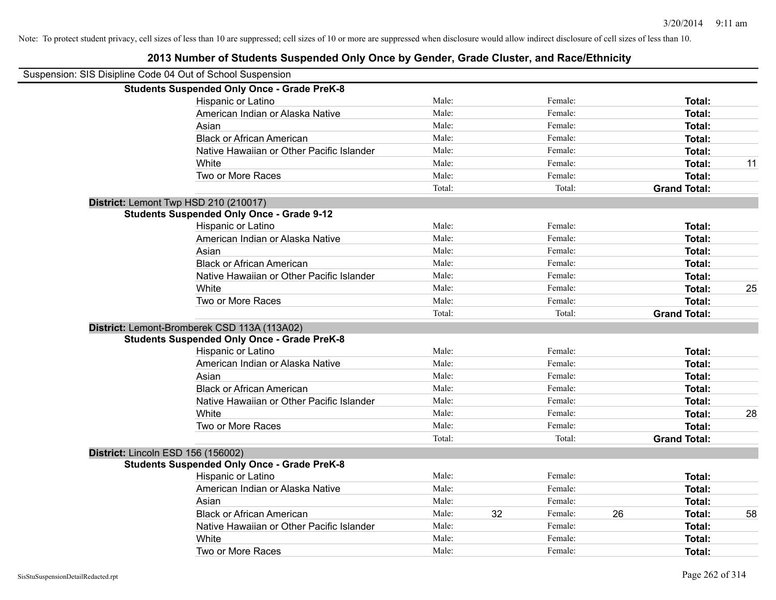### Suspension: SIS Disipline Code 04 Out of School Suspension **Students Suspended Only Once - Grade PreK-8** Hispanic or Latino **Finale:** Female: **Female:** Female: **Total:** Female: **Total:** Female: **Female:** Female: **Total:** Female: **Female:** Female: **Female:** Female: **Female:** Female: **Female:** Female: **Female:** Female: **Female:** American Indian or Alaska Native **Male:** Male: Female: Female: **Total:** Total: Asian Male: Female: **Total:** Black or African American **Figure 1.1 and Total:** Male: Female: Female: **Total:** Total: Native Hawaiian or Other Pacific Islander **Male:** Male: Female: Female: **Total:** Total: White **Male:** Male: **Total: 11** Male: **Total: 11** Male: **Total: 11** Male: **Total:** 11 Two or More Races **Total:** Total: Male: Female: Female: **Total:** Total: Total: Total: **Grand Total: District:** Lemont Twp HSD 210 (210017) **Students Suspended Only Once - Grade 9-12** Hispanic or Latino **Finally Hispanic or Latino** *Total:* Male: Female: **Female: Total: Total: Total:** American Indian or Alaska Native **Male:** Male: Female: Female: **Total:** Total: Asian **Female:** Total: Male: Female: **Total: Total:** Total: Total: Female: Total: Total: Total: Total: Total: Total: Total: Total: Total: Total: Total: Total: Total: Total: Total: Total: Total: Total: Total: Total: Total: Black or African American **Figure 1.1 and Total:** Male: Female: Female: **Total: Total:** Total: Native Hawaiian or Other Pacific Islander **Male:** Male: Female: Female: **Total:** Total: White **Male:** Male: **Total: 25** Male: **Total: 25** Male: **Total: 25** Two or More Races **Total:** Total: Male: Female: Female: **Total:** Total: Total: Total: **Grand Total: District:** Lemont-Bromberek CSD 113A (113A02) **Students Suspended Only Once - Grade PreK-8** Hispanic or Latino **Finally Hispanic or Latino** *Total:* Male: Female: **Female: Total: Total: Total:** American Indian or Alaska Native **Male:** Male: Female: Female: **Total:** Total: Asian Male: Female: **Total:** Black or African American **Figure 1.1 and Total:** Male: Female: Female: **Total: Total:** Total: Native Hawaiian or Other Pacific Islander **Male:** Male: Female: Female: **Total:** Total: White **Male:** Male: **Total: 28** Male: **Total: 28** Male: **Total: 28** Two or More Races **Total:** Total: Male: Female: Female: **Total:** Total: Female: Total: Total: Total: **Grand Total: District:** Lincoln ESD 156 (156002) **Students Suspended Only Once - Grade PreK-8** Hispanic or Latino **Total:** Total: Male: Female: Female: **Total:** Total: Female: Total: Total: American Indian or Alaska Native **Male:** Male: Female: Female: **Total:** Total: Asian **Female:** Total: Male: Female: **Total: Total:** Total: Total: Female: Total: Total: Total: Total: Total: Total: Total: Total: Total: Total: Total: Total: Total: Total: Total: Total: Total: Total: Total: Total: Total: Black or African American **Male:** 32 Female: 26 Total: 58 Native Hawaiian or Other Pacific Islander Male: Total: Female: Female: Total: Total: White **Total:** Male: Female: **Total:** Total: **Total:** Female: **Total:** Total: Two or More Races **Total:** The Male: Female: Female: **Total:** Female: **Total:** Total: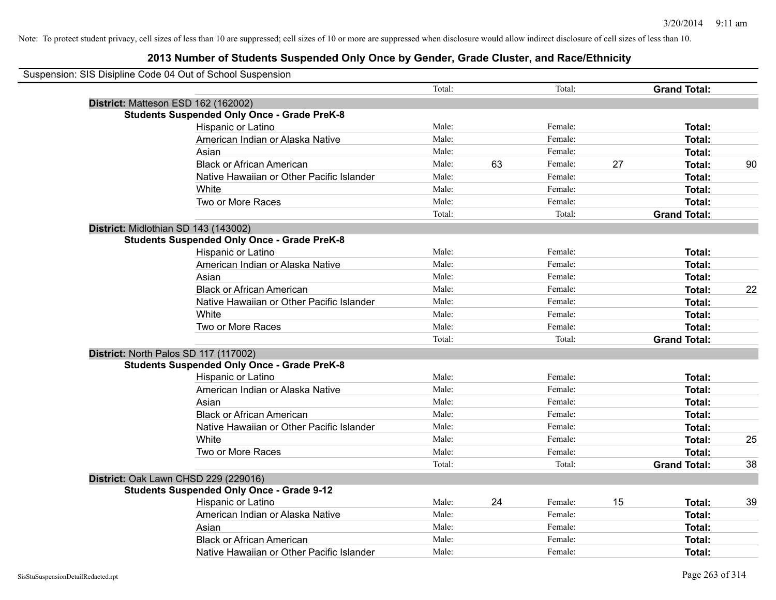| Suspension: SIS Disipline Code 04 Out of School Suspension |                                                    |        |    |         |    |                     |    |
|------------------------------------------------------------|----------------------------------------------------|--------|----|---------|----|---------------------|----|
|                                                            |                                                    | Total: |    | Total:  |    | <b>Grand Total:</b> |    |
|                                                            | District: Matteson ESD 162 (162002)                |        |    |         |    |                     |    |
|                                                            | <b>Students Suspended Only Once - Grade PreK-8</b> |        |    |         |    |                     |    |
|                                                            | <b>Hispanic or Latino</b>                          | Male:  |    | Female: |    | Total:              |    |
|                                                            | American Indian or Alaska Native                   | Male:  |    | Female: |    | Total:              |    |
|                                                            | Asian                                              | Male:  |    | Female: |    | Total:              |    |
|                                                            | <b>Black or African American</b>                   | Male:  | 63 | Female: | 27 | Total:              | 90 |
|                                                            | Native Hawaiian or Other Pacific Islander          | Male:  |    | Female: |    | Total:              |    |
|                                                            | White                                              | Male:  |    | Female: |    | Total:              |    |
|                                                            | Two or More Races                                  | Male:  |    | Female: |    | Total:              |    |
|                                                            |                                                    | Total: |    | Total:  |    | <b>Grand Total:</b> |    |
|                                                            | District: Midlothian SD 143 (143002)               |        |    |         |    |                     |    |
|                                                            | <b>Students Suspended Only Once - Grade PreK-8</b> |        |    |         |    |                     |    |
|                                                            | Hispanic or Latino                                 | Male:  |    | Female: |    | Total:              |    |
|                                                            | American Indian or Alaska Native                   | Male:  |    | Female: |    | Total:              |    |
|                                                            | Asian                                              | Male:  |    | Female: |    | Total:              |    |
|                                                            | <b>Black or African American</b>                   | Male:  |    | Female: |    | Total:              | 22 |
|                                                            | Native Hawaiian or Other Pacific Islander          | Male:  |    | Female: |    | Total:              |    |
|                                                            | White                                              | Male:  |    | Female: |    | Total:              |    |
|                                                            | Two or More Races                                  | Male:  |    | Female: |    | Total:              |    |
|                                                            |                                                    | Total: |    | Total:  |    | <b>Grand Total:</b> |    |
|                                                            | District: North Palos SD 117 (117002)              |        |    |         |    |                     |    |
|                                                            | <b>Students Suspended Only Once - Grade PreK-8</b> |        |    |         |    |                     |    |
|                                                            | Hispanic or Latino                                 | Male:  |    | Female: |    | Total:              |    |
|                                                            | American Indian or Alaska Native                   | Male:  |    | Female: |    | Total:              |    |
|                                                            | Asian                                              | Male:  |    | Female: |    | Total:              |    |
|                                                            | <b>Black or African American</b>                   | Male:  |    | Female: |    | Total:              |    |
|                                                            | Native Hawaiian or Other Pacific Islander          | Male:  |    | Female: |    | Total:              |    |
|                                                            | White                                              | Male:  |    | Female: |    | Total:              | 25 |
|                                                            | Two or More Races                                  | Male:  |    | Female: |    | Total:              |    |
|                                                            |                                                    | Total: |    | Total:  |    | <b>Grand Total:</b> | 38 |
|                                                            | District: Oak Lawn CHSD 229 (229016)               |        |    |         |    |                     |    |
|                                                            | <b>Students Suspended Only Once - Grade 9-12</b>   |        |    |         |    |                     |    |
|                                                            | Hispanic or Latino                                 | Male:  | 24 | Female: | 15 | Total:              | 39 |
|                                                            | American Indian or Alaska Native                   | Male:  |    | Female: |    | Total:              |    |
|                                                            | Asian                                              | Male:  |    | Female: |    | Total:              |    |
|                                                            | <b>Black or African American</b>                   | Male:  |    | Female: |    | Total:              |    |
|                                                            | Native Hawaiian or Other Pacific Islander          | Male:  |    | Female: |    | Total:              |    |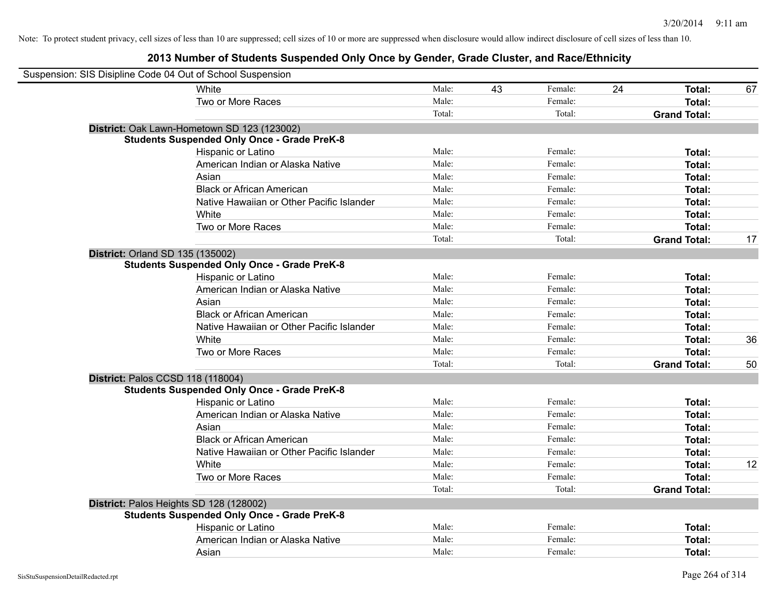| Suspension: SIS Disipline Code 04 Out of School Suspension |                                                    |        |    |         |                     |        |    |
|------------------------------------------------------------|----------------------------------------------------|--------|----|---------|---------------------|--------|----|
|                                                            | White                                              | Male:  | 43 | Female: | 24                  | Total: | 67 |
|                                                            | Two or More Races                                  | Male:  |    | Female: |                     | Total: |    |
|                                                            |                                                    | Total: |    | Total:  | <b>Grand Total:</b> |        |    |
|                                                            | District: Oak Lawn-Hometown SD 123 (123002)        |        |    |         |                     |        |    |
|                                                            | <b>Students Suspended Only Once - Grade PreK-8</b> |        |    |         |                     |        |    |
|                                                            | Hispanic or Latino                                 | Male:  |    | Female: |                     | Total: |    |
|                                                            | American Indian or Alaska Native                   | Male:  |    | Female: |                     | Total: |    |
|                                                            | Asian                                              | Male:  |    | Female: |                     | Total: |    |
|                                                            | <b>Black or African American</b>                   | Male:  |    | Female: |                     | Total: |    |
|                                                            | Native Hawaiian or Other Pacific Islander          | Male:  |    | Female: |                     | Total: |    |
|                                                            | White                                              | Male:  |    | Female: |                     | Total: |    |
|                                                            | Two or More Races                                  | Male:  |    | Female: |                     | Total: |    |
|                                                            |                                                    | Total: |    | Total:  | <b>Grand Total:</b> |        | 17 |
| <b>District: Orland SD 135 (135002)</b>                    |                                                    |        |    |         |                     |        |    |
|                                                            | <b>Students Suspended Only Once - Grade PreK-8</b> |        |    |         |                     |        |    |
|                                                            | Hispanic or Latino                                 | Male:  |    | Female: |                     | Total: |    |
|                                                            | American Indian or Alaska Native                   | Male:  |    | Female: |                     | Total: |    |
|                                                            | Asian                                              | Male:  |    | Female: |                     | Total: |    |
|                                                            | <b>Black or African American</b>                   | Male:  |    | Female: |                     | Total: |    |
|                                                            | Native Hawaiian or Other Pacific Islander          | Male:  |    | Female: |                     | Total: |    |
|                                                            | White                                              | Male:  |    | Female: |                     | Total: | 36 |
|                                                            | Two or More Races                                  | Male:  |    | Female: |                     | Total: |    |
|                                                            |                                                    | Total: |    | Total:  | <b>Grand Total:</b> |        | 50 |
| District: Palos CCSD 118 (118004)                          |                                                    |        |    |         |                     |        |    |
|                                                            | <b>Students Suspended Only Once - Grade PreK-8</b> |        |    |         |                     |        |    |
|                                                            | Hispanic or Latino                                 | Male:  |    | Female: |                     | Total: |    |
|                                                            | American Indian or Alaska Native                   | Male:  |    | Female: |                     | Total: |    |
|                                                            | Asian                                              | Male:  |    | Female: |                     | Total: |    |
|                                                            | <b>Black or African American</b>                   | Male:  |    | Female: |                     | Total: |    |
|                                                            | Native Hawaiian or Other Pacific Islander          | Male:  |    | Female: |                     | Total: |    |
|                                                            | White                                              | Male:  |    | Female: |                     | Total: | 12 |
|                                                            | Two or More Races                                  | Male:  |    | Female: |                     | Total: |    |
|                                                            |                                                    | Total: |    | Total:  | <b>Grand Total:</b> |        |    |
| District: Palos Heights SD 128 (128002)                    |                                                    |        |    |         |                     |        |    |
|                                                            | <b>Students Suspended Only Once - Grade PreK-8</b> |        |    |         |                     |        |    |
|                                                            | Hispanic or Latino                                 | Male:  |    | Female: |                     | Total: |    |
|                                                            | American Indian or Alaska Native                   | Male:  |    | Female: |                     | Total: |    |
|                                                            | Asian                                              | Male:  |    | Female: |                     | Total: |    |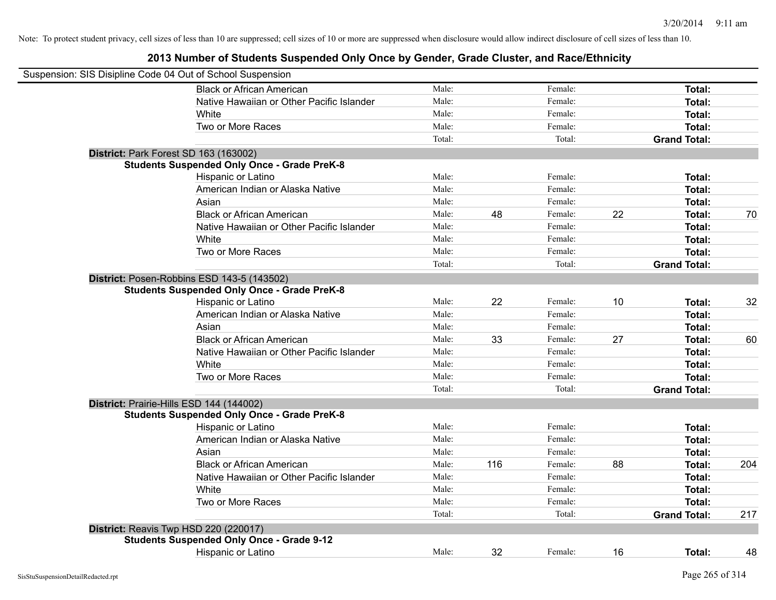| Suspension: SIS Disipline Code 04 Out of School Suspension |        |     |         |    |                     |     |
|------------------------------------------------------------|--------|-----|---------|----|---------------------|-----|
| <b>Black or African American</b>                           | Male:  |     | Female: |    | Total:              |     |
| Native Hawaiian or Other Pacific Islander                  | Male:  |     | Female: |    | Total:              |     |
| White                                                      | Male:  |     | Female: |    | Total:              |     |
| Two or More Races                                          | Male:  |     | Female: |    | Total:              |     |
|                                                            | Total: |     | Total:  |    | <b>Grand Total:</b> |     |
| District: Park Forest SD 163 (163002)                      |        |     |         |    |                     |     |
| <b>Students Suspended Only Once - Grade PreK-8</b>         |        |     |         |    |                     |     |
| Hispanic or Latino                                         | Male:  |     | Female: |    | Total:              |     |
| American Indian or Alaska Native                           | Male:  |     | Female: |    | Total:              |     |
| Asian                                                      | Male:  |     | Female: |    | Total:              |     |
| <b>Black or African American</b>                           | Male:  | 48  | Female: | 22 | Total:              | 70  |
| Native Hawaiian or Other Pacific Islander                  | Male:  |     | Female: |    | Total:              |     |
| White                                                      | Male:  |     | Female: |    | Total:              |     |
| Two or More Races                                          | Male:  |     | Female: |    | Total:              |     |
|                                                            | Total: |     | Total:  |    | <b>Grand Total:</b> |     |
| District: Posen-Robbins ESD 143-5 (143502)                 |        |     |         |    |                     |     |
| <b>Students Suspended Only Once - Grade PreK-8</b>         |        |     |         |    |                     |     |
| Hispanic or Latino                                         | Male:  | 22  | Female: | 10 | Total:              | 32  |
| American Indian or Alaska Native                           | Male:  |     | Female: |    | Total:              |     |
| Asian                                                      | Male:  |     | Female: |    | Total:              |     |
| <b>Black or African American</b>                           | Male:  | 33  | Female: | 27 | Total:              | 60  |
| Native Hawaiian or Other Pacific Islander                  | Male:  |     | Female: |    | Total:              |     |
| White                                                      | Male:  |     | Female: |    | Total:              |     |
| Two or More Races                                          | Male:  |     | Female: |    | Total:              |     |
|                                                            | Total: |     | Total:  |    | <b>Grand Total:</b> |     |
| District: Prairie-Hills ESD 144 (144002)                   |        |     |         |    |                     |     |
| <b>Students Suspended Only Once - Grade PreK-8</b>         |        |     |         |    |                     |     |
| Hispanic or Latino                                         | Male:  |     | Female: |    | Total:              |     |
| American Indian or Alaska Native                           | Male:  |     | Female: |    | Total:              |     |
| Asian                                                      | Male:  |     | Female: |    | Total:              |     |
| <b>Black or African American</b>                           | Male:  | 116 | Female: | 88 | Total:              | 204 |
| Native Hawaiian or Other Pacific Islander                  | Male:  |     | Female: |    | Total:              |     |
| White                                                      | Male:  |     | Female: |    | Total:              |     |
| Two or More Races                                          | Male:  |     | Female: |    | <b>Total:</b>       |     |
|                                                            | Total: |     | Total:  |    | <b>Grand Total:</b> | 217 |
| District: Reavis Twp HSD 220 (220017)                      |        |     |         |    |                     |     |
| <b>Students Suspended Only Once - Grade 9-12</b>           |        |     |         |    |                     |     |
| <b>Hispanic or Latino</b>                                  | Male:  | 32  | Female: | 16 | Total:              | 48  |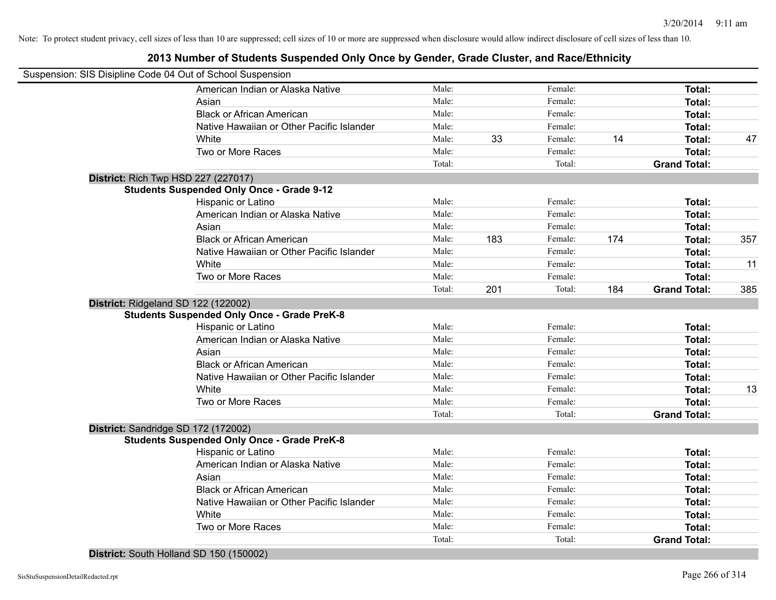#### **2013 Number of Students Suspended Only Once by Gender, Grade Cluster, and Race/Ethnicity**

| Suspension: SIS Disipline Code 04 Out of School Suspension |        |     |         |     |                     |     |
|------------------------------------------------------------|--------|-----|---------|-----|---------------------|-----|
| American Indian or Alaska Native                           | Male:  |     | Female: |     | Total:              |     |
| Asian                                                      | Male:  |     | Female: |     | Total:              |     |
| <b>Black or African American</b>                           | Male:  |     | Female: |     | Total:              |     |
| Native Hawaiian or Other Pacific Islander                  | Male:  |     | Female: |     | Total:              |     |
| White                                                      | Male:  | 33  | Female: | 14  | <b>Total:</b>       | 47  |
| Two or More Races                                          | Male:  |     | Female: |     | <b>Total:</b>       |     |
|                                                            | Total: |     | Total:  |     | <b>Grand Total:</b> |     |
| <b>District: Rich Twp HSD 227 (227017)</b>                 |        |     |         |     |                     |     |
| <b>Students Suspended Only Once - Grade 9-12</b>           |        |     |         |     |                     |     |
| Hispanic or Latino                                         | Male:  |     | Female: |     | Total:              |     |
| American Indian or Alaska Native                           | Male:  |     | Female: |     | <b>Total:</b>       |     |
| Asian                                                      | Male:  |     | Female: |     | Total:              |     |
| <b>Black or African American</b>                           | Male:  | 183 | Female: | 174 | <b>Total:</b>       | 357 |
| Native Hawaiian or Other Pacific Islander                  | Male:  |     | Female: |     | <b>Total:</b>       |     |
| White                                                      | Male:  |     | Female: |     | Total:              | 11  |
| Two or More Races                                          | Male:  |     | Female: |     | <b>Total:</b>       |     |
|                                                            | Total: | 201 | Total:  | 184 | <b>Grand Total:</b> | 385 |
| District: Ridgeland SD 122 (122002)                        |        |     |         |     |                     |     |
| <b>Students Suspended Only Once - Grade PreK-8</b>         |        |     |         |     |                     |     |
| Hispanic or Latino                                         | Male:  |     | Female: |     | Total:              |     |
| American Indian or Alaska Native                           | Male:  |     | Female: |     | Total:              |     |
| Asian                                                      | Male:  |     | Female: |     | Total:              |     |
| <b>Black or African American</b>                           | Male:  |     | Female: |     | <b>Total:</b>       |     |
| Native Hawaiian or Other Pacific Islander                  | Male:  |     | Female: |     | <b>Total:</b>       |     |
| White                                                      | Male:  |     | Female: |     | <b>Total:</b>       | 13  |
| Two or More Races                                          | Male:  |     | Female: |     | <b>Total:</b>       |     |
|                                                            | Total: |     | Total:  |     | <b>Grand Total:</b> |     |
| District: Sandridge SD 172 (172002)                        |        |     |         |     |                     |     |
| <b>Students Suspended Only Once - Grade PreK-8</b>         |        |     |         |     |                     |     |
| Hispanic or Latino                                         | Male:  |     | Female: |     | Total:              |     |
| American Indian or Alaska Native                           | Male:  |     | Female: |     | <b>Total:</b>       |     |
| Asian                                                      | Male:  |     | Female: |     | <b>Total:</b>       |     |
| <b>Black or African American</b>                           | Male:  |     | Female: |     | <b>Total:</b>       |     |
| Native Hawaiian or Other Pacific Islander                  | Male:  |     | Female: |     | <b>Total:</b>       |     |
| White                                                      | Male:  |     | Female: |     | <b>Total:</b>       |     |
| Two or More Races                                          | Male:  |     | Female: |     | <b>Total:</b>       |     |
|                                                            | Total: |     | Total:  |     | <b>Grand Total:</b> |     |
|                                                            |        |     |         |     |                     |     |

**District:** South Holland SD 150 (150002)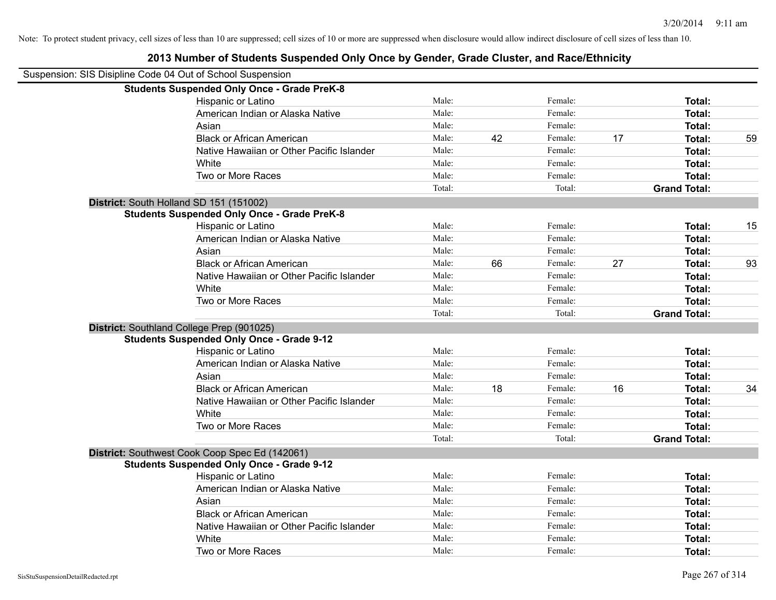| Suspension: SIS Disipline Code 04 Out of School Suspension |        |    |         |    |                     |    |
|------------------------------------------------------------|--------|----|---------|----|---------------------|----|
| <b>Students Suspended Only Once - Grade PreK-8</b>         |        |    |         |    |                     |    |
| Hispanic or Latino                                         | Male:  |    | Female: |    | Total:              |    |
| American Indian or Alaska Native                           | Male:  |    | Female: |    | Total:              |    |
| Asian                                                      | Male:  |    | Female: |    | <b>Total:</b>       |    |
| <b>Black or African American</b>                           | Male:  | 42 | Female: | 17 | Total:              | 59 |
| Native Hawaiian or Other Pacific Islander                  | Male:  |    | Female: |    | <b>Total:</b>       |    |
| White                                                      | Male:  |    | Female: |    | Total:              |    |
| Two or More Races                                          | Male:  |    | Female: |    | <b>Total:</b>       |    |
|                                                            | Total: |    | Total:  |    | <b>Grand Total:</b> |    |
| District: South Holland SD 151 (151002)                    |        |    |         |    |                     |    |
| <b>Students Suspended Only Once - Grade PreK-8</b>         |        |    |         |    |                     |    |
| Hispanic or Latino                                         | Male:  |    | Female: |    | Total:              | 15 |
| American Indian or Alaska Native                           | Male:  |    | Female: |    | <b>Total:</b>       |    |
| Asian                                                      | Male:  |    | Female: |    | <b>Total:</b>       |    |
| <b>Black or African American</b>                           | Male:  | 66 | Female: | 27 | Total:              | 93 |
| Native Hawaiian or Other Pacific Islander                  | Male:  |    | Female: |    | <b>Total:</b>       |    |
| White                                                      | Male:  |    | Female: |    | Total:              |    |
| Two or More Races                                          | Male:  |    | Female: |    | <b>Total:</b>       |    |
|                                                            | Total: |    | Total:  |    | <b>Grand Total:</b> |    |
| District: Southland College Prep (901025)                  |        |    |         |    |                     |    |
| <b>Students Suspended Only Once - Grade 9-12</b>           |        |    |         |    |                     |    |
| Hispanic or Latino                                         | Male:  |    | Female: |    | Total:              |    |
| American Indian or Alaska Native                           | Male:  |    | Female: |    | <b>Total:</b>       |    |
| Asian                                                      | Male:  |    | Female: |    | Total:              |    |
| <b>Black or African American</b>                           | Male:  | 18 | Female: | 16 | <b>Total:</b>       | 34 |
| Native Hawaiian or Other Pacific Islander                  | Male:  |    | Female: |    | <b>Total:</b>       |    |
| White                                                      | Male:  |    | Female: |    | <b>Total:</b>       |    |
| Two or More Races                                          | Male:  |    | Female: |    | Total:              |    |
|                                                            | Total: |    | Total:  |    | <b>Grand Total:</b> |    |
| District: Southwest Cook Coop Spec Ed (142061)             |        |    |         |    |                     |    |
| <b>Students Suspended Only Once - Grade 9-12</b>           |        |    |         |    |                     |    |
| Hispanic or Latino                                         | Male:  |    | Female: |    | <b>Total:</b>       |    |
| American Indian or Alaska Native                           | Male:  |    | Female: |    | <b>Total:</b>       |    |
| Asian                                                      | Male:  |    | Female: |    | Total:              |    |
| <b>Black or African American</b>                           | Male:  |    | Female: |    | <b>Total:</b>       |    |
| Native Hawaiian or Other Pacific Islander                  | Male:  |    | Female: |    | Total:              |    |
| White                                                      | Male:  |    | Female: |    | <b>Total:</b>       |    |
| Two or More Races                                          | Male:  |    | Female: |    | Total:              |    |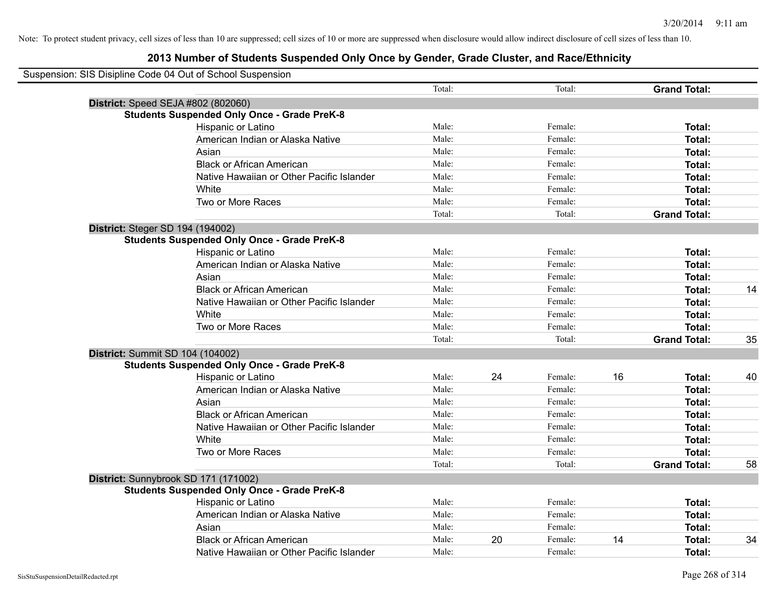| Suspension: SIS Disipline Code 04 Out of School Suspension |        |    |         |    |                     |    |
|------------------------------------------------------------|--------|----|---------|----|---------------------|----|
|                                                            | Total: |    | Total:  |    | <b>Grand Total:</b> |    |
| District: Speed SEJA #802 (802060)                         |        |    |         |    |                     |    |
| <b>Students Suspended Only Once - Grade PreK-8</b>         |        |    |         |    |                     |    |
| Hispanic or Latino                                         | Male:  |    | Female: |    | Total:              |    |
| American Indian or Alaska Native                           | Male:  |    | Female: |    | Total:              |    |
| Asian                                                      | Male:  |    | Female: |    | Total:              |    |
| <b>Black or African American</b>                           | Male:  |    | Female: |    | Total:              |    |
| Native Hawaiian or Other Pacific Islander                  | Male:  |    | Female: |    | Total:              |    |
| White                                                      | Male:  |    | Female: |    | Total:              |    |
| Two or More Races                                          | Male:  |    | Female: |    | Total:              |    |
|                                                            | Total: |    | Total:  |    | <b>Grand Total:</b> |    |
| District: Steger SD 194 (194002)                           |        |    |         |    |                     |    |
| <b>Students Suspended Only Once - Grade PreK-8</b>         |        |    |         |    |                     |    |
| Hispanic or Latino                                         | Male:  |    | Female: |    | Total:              |    |
| American Indian or Alaska Native                           | Male:  |    | Female: |    | Total:              |    |
| Asian                                                      | Male:  |    | Female: |    | Total:              |    |
| <b>Black or African American</b>                           | Male:  |    | Female: |    | Total:              | 14 |
| Native Hawaiian or Other Pacific Islander                  | Male:  |    | Female: |    | Total:              |    |
| White                                                      | Male:  |    | Female: |    | Total:              |    |
| Two or More Races                                          | Male:  |    | Female: |    | Total:              |    |
|                                                            | Total: |    | Total:  |    | <b>Grand Total:</b> | 35 |
| District: Summit SD 104 (104002)                           |        |    |         |    |                     |    |
| <b>Students Suspended Only Once - Grade PreK-8</b>         |        |    |         |    |                     |    |
| Hispanic or Latino                                         | Male:  | 24 | Female: | 16 | Total:              | 40 |
| American Indian or Alaska Native                           | Male:  |    | Female: |    | Total:              |    |
| Asian                                                      | Male:  |    | Female: |    | Total:              |    |
| <b>Black or African American</b>                           | Male:  |    | Female: |    | Total:              |    |
| Native Hawaiian or Other Pacific Islander                  | Male:  |    | Female: |    | Total:              |    |
| White                                                      | Male:  |    | Female: |    | Total:              |    |
| Two or More Races                                          | Male:  |    | Female: |    | Total:              |    |
|                                                            | Total: |    | Total:  |    | <b>Grand Total:</b> | 58 |
| District: Sunnybrook SD 171 (171002)                       |        |    |         |    |                     |    |
| <b>Students Suspended Only Once - Grade PreK-8</b>         |        |    |         |    |                     |    |
| Hispanic or Latino                                         | Male:  |    | Female: |    | <b>Total:</b>       |    |
| American Indian or Alaska Native                           | Male:  |    | Female: |    | Total:              |    |
| Asian                                                      | Male:  |    | Female: |    | Total:              |    |
| <b>Black or African American</b>                           | Male:  | 20 | Female: | 14 | Total:              | 34 |
| Native Hawaiian or Other Pacific Islander                  | Male:  |    | Female: |    | Total:              |    |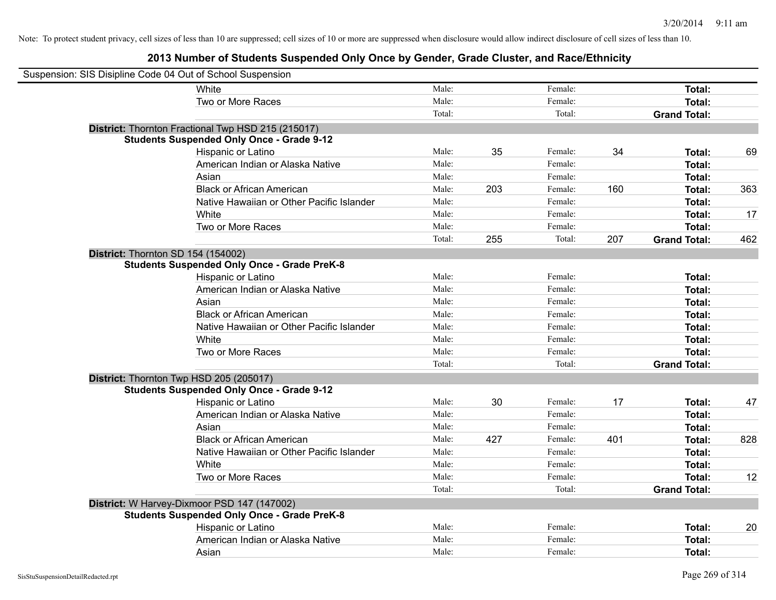| Suspension: SIS Disipline Code 04 Out of School Suspension |                                                    |        |     |         |     |                     |     |
|------------------------------------------------------------|----------------------------------------------------|--------|-----|---------|-----|---------------------|-----|
|                                                            | <b>White</b>                                       | Male:  |     | Female: |     | Total:              |     |
|                                                            | Two or More Races                                  | Male:  |     | Female: |     | Total:              |     |
|                                                            |                                                    | Total: |     | Total:  |     | <b>Grand Total:</b> |     |
|                                                            | District: Thornton Fractional Twp HSD 215 (215017) |        |     |         |     |                     |     |
|                                                            | <b>Students Suspended Only Once - Grade 9-12</b>   |        |     |         |     |                     |     |
|                                                            | Hispanic or Latino                                 | Male:  | 35  | Female: | 34  | Total:              | 69  |
|                                                            | American Indian or Alaska Native                   | Male:  |     | Female: |     | Total:              |     |
|                                                            | Asian                                              | Male:  |     | Female: |     | Total:              |     |
|                                                            | <b>Black or African American</b>                   | Male:  | 203 | Female: | 160 | Total:              | 363 |
|                                                            | Native Hawaiian or Other Pacific Islander          | Male:  |     | Female: |     | Total:              |     |
|                                                            | White                                              | Male:  |     | Female: |     | Total:              | 17  |
|                                                            | Two or More Races                                  | Male:  |     | Female: |     | Total:              |     |
|                                                            |                                                    | Total: | 255 | Total:  | 207 | <b>Grand Total:</b> | 462 |
| District: Thornton SD 154 (154002)                         |                                                    |        |     |         |     |                     |     |
|                                                            | <b>Students Suspended Only Once - Grade PreK-8</b> |        |     |         |     |                     |     |
|                                                            | Hispanic or Latino                                 | Male:  |     | Female: |     | Total:              |     |
|                                                            | American Indian or Alaska Native                   | Male:  |     | Female: |     | Total:              |     |
|                                                            | Asian                                              | Male:  |     | Female: |     | Total:              |     |
|                                                            | <b>Black or African American</b>                   | Male:  |     | Female: |     | Total:              |     |
|                                                            | Native Hawaiian or Other Pacific Islander          | Male:  |     | Female: |     | Total:              |     |
|                                                            | White                                              | Male:  |     | Female: |     | Total:              |     |
|                                                            | Two or More Races                                  | Male:  |     | Female: |     | Total:              |     |
|                                                            |                                                    | Total: |     | Total:  |     | <b>Grand Total:</b> |     |
| District: Thornton Twp HSD 205 (205017)                    |                                                    |        |     |         |     |                     |     |
|                                                            | <b>Students Suspended Only Once - Grade 9-12</b>   |        |     |         |     |                     |     |
|                                                            | Hispanic or Latino                                 | Male:  | 30  | Female: | 17  | Total:              | 47  |
|                                                            | American Indian or Alaska Native                   | Male:  |     | Female: |     | Total:              |     |
|                                                            | Asian                                              | Male:  |     | Female: |     | Total:              |     |
|                                                            | <b>Black or African American</b>                   | Male:  | 427 | Female: | 401 | Total:              | 828 |
|                                                            | Native Hawaiian or Other Pacific Islander          | Male:  |     | Female: |     | Total:              |     |
|                                                            | White                                              | Male:  |     | Female: |     | Total:              |     |
|                                                            | Two or More Races                                  | Male:  |     | Female: |     | Total:              | 12  |
|                                                            |                                                    | Total: |     | Total:  |     | <b>Grand Total:</b> |     |
|                                                            | District: W Harvey-Dixmoor PSD 147 (147002)        |        |     |         |     |                     |     |
|                                                            | <b>Students Suspended Only Once - Grade PreK-8</b> |        |     |         |     |                     |     |
|                                                            | Hispanic or Latino                                 | Male:  |     | Female: |     | Total:              | 20  |
|                                                            | American Indian or Alaska Native                   | Male:  |     | Female: |     | Total:              |     |
|                                                            | Asian                                              | Male:  |     | Female: |     | Total:              |     |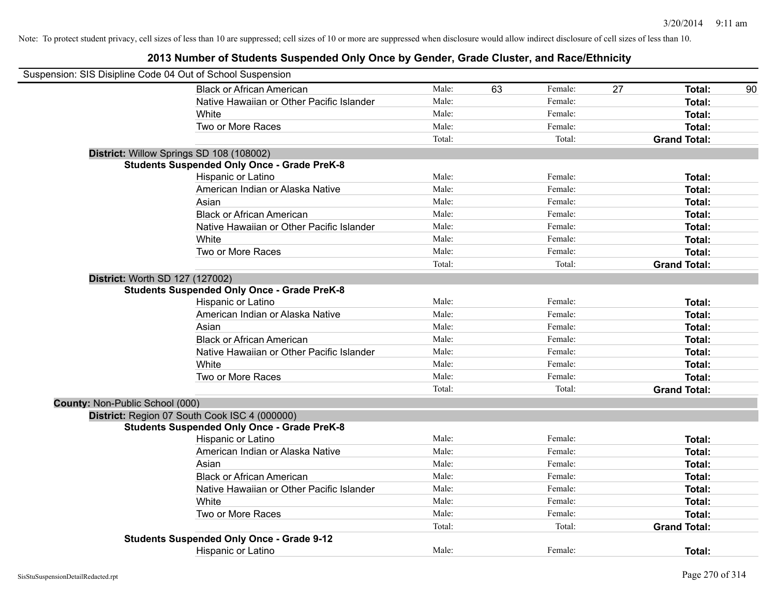| Suspension: SIS Disipline Code 04 Out of School Suspension |                                                    |        |    |         |    |                     |    |
|------------------------------------------------------------|----------------------------------------------------|--------|----|---------|----|---------------------|----|
|                                                            | <b>Black or African American</b>                   | Male:  | 63 | Female: | 27 | Total:              | 90 |
|                                                            | Native Hawaiian or Other Pacific Islander          | Male:  |    | Female: |    | Total:              |    |
|                                                            | White                                              | Male:  |    | Female: |    | Total:              |    |
|                                                            | Two or More Races                                  | Male:  |    | Female: |    | Total:              |    |
|                                                            |                                                    | Total: |    | Total:  |    | <b>Grand Total:</b> |    |
|                                                            | District: Willow Springs SD 108 (108002)           |        |    |         |    |                     |    |
|                                                            | <b>Students Suspended Only Once - Grade PreK-8</b> |        |    |         |    |                     |    |
|                                                            | Hispanic or Latino                                 | Male:  |    | Female: |    | Total:              |    |
|                                                            | American Indian or Alaska Native                   | Male:  |    | Female: |    | Total:              |    |
|                                                            | Asian                                              | Male:  |    | Female: |    | Total:              |    |
|                                                            | <b>Black or African American</b>                   | Male:  |    | Female: |    | Total:              |    |
|                                                            | Native Hawaiian or Other Pacific Islander          | Male:  |    | Female: |    | Total:              |    |
|                                                            | White                                              | Male:  |    | Female: |    | Total:              |    |
|                                                            | Two or More Races                                  | Male:  |    | Female: |    | Total:              |    |
|                                                            |                                                    | Total: |    | Total:  |    | <b>Grand Total:</b> |    |
| <b>District: Worth SD 127 (127002)</b>                     |                                                    |        |    |         |    |                     |    |
|                                                            | <b>Students Suspended Only Once - Grade PreK-8</b> |        |    |         |    |                     |    |
|                                                            | Hispanic or Latino                                 | Male:  |    | Female: |    | Total:              |    |
|                                                            | American Indian or Alaska Native                   | Male:  |    | Female: |    | Total:              |    |
|                                                            | Asian                                              | Male:  |    | Female: |    | Total:              |    |
|                                                            | <b>Black or African American</b>                   | Male:  |    | Female: |    | Total:              |    |
|                                                            | Native Hawaiian or Other Pacific Islander          | Male:  |    | Female: |    | Total:              |    |
|                                                            | White                                              | Male:  |    | Female: |    | Total:              |    |
|                                                            | Two or More Races                                  | Male:  |    | Female: |    | Total:              |    |
|                                                            |                                                    | Total: |    | Total:  |    | <b>Grand Total:</b> |    |
| <b>County: Non-Public School (000)</b>                     |                                                    |        |    |         |    |                     |    |
|                                                            | District: Region 07 South Cook ISC 4 (000000)      |        |    |         |    |                     |    |
|                                                            | <b>Students Suspended Only Once - Grade PreK-8</b> |        |    |         |    |                     |    |
|                                                            | Hispanic or Latino                                 | Male:  |    | Female: |    | Total:              |    |
|                                                            | American Indian or Alaska Native                   | Male:  |    | Female: |    | Total:              |    |
|                                                            | Asian                                              | Male:  |    | Female: |    | Total:              |    |
|                                                            | <b>Black or African American</b>                   | Male:  |    | Female: |    | Total:              |    |
|                                                            | Native Hawaiian or Other Pacific Islander          | Male:  |    | Female: |    | Total:              |    |
|                                                            | White                                              | Male:  |    | Female: |    | Total:              |    |
|                                                            | Two or More Races                                  | Male:  |    | Female: |    | Total:              |    |
|                                                            |                                                    | Total: |    | Total:  |    | <b>Grand Total:</b> |    |
|                                                            | <b>Students Suspended Only Once - Grade 9-12</b>   |        |    |         |    |                     |    |
|                                                            | <b>Hispanic or Latino</b>                          | Male:  |    | Female: |    | Total:              |    |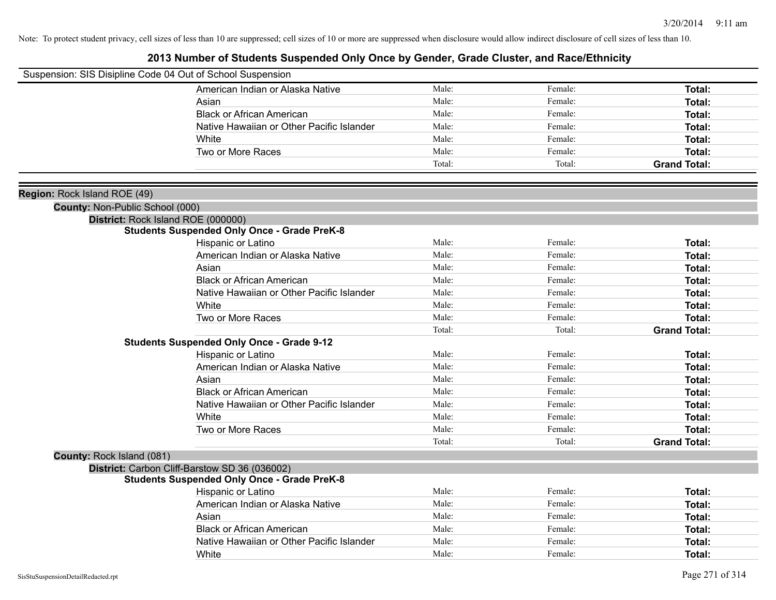| Suspension: SIS Disipline Code 04 Out of School Suspension |                                                    |        |         |                     |
|------------------------------------------------------------|----------------------------------------------------|--------|---------|---------------------|
|                                                            | American Indian or Alaska Native                   | Male:  | Female: | <b>Total:</b>       |
|                                                            | Asian                                              | Male:  | Female: | Total:              |
|                                                            | <b>Black or African American</b>                   | Male:  | Female: | Total:              |
|                                                            | Native Hawaiian or Other Pacific Islander          | Male:  | Female: | Total:              |
|                                                            | White                                              | Male:  | Female: | <b>Total:</b>       |
|                                                            | Two or More Races                                  | Male:  | Female: | Total:              |
|                                                            |                                                    | Total: | Total:  | <b>Grand Total:</b> |
|                                                            |                                                    |        |         |                     |
| Region: Rock Island ROE (49)                               |                                                    |        |         |                     |
| County: Non-Public School (000)                            |                                                    |        |         |                     |
|                                                            | District: Rock Island ROE (000000)                 |        |         |                     |
|                                                            | <b>Students Suspended Only Once - Grade PreK-8</b> |        |         |                     |
|                                                            | Hispanic or Latino                                 | Male:  | Female: | <b>Total:</b>       |
|                                                            | American Indian or Alaska Native                   | Male:  | Female: | <b>Total:</b>       |
|                                                            | Asian                                              | Male:  | Female: | Total:              |
|                                                            | <b>Black or African American</b>                   | Male:  | Female: | <b>Total:</b>       |
|                                                            | Native Hawaiian or Other Pacific Islander          | Male:  | Female: | Total:              |
|                                                            | White                                              | Male:  | Female: | Total:              |
|                                                            | Two or More Races                                  | Male:  | Female: | <b>Total:</b>       |
|                                                            |                                                    | Total: | Total:  | <b>Grand Total:</b> |
|                                                            | <b>Students Suspended Only Once - Grade 9-12</b>   |        |         |                     |
|                                                            | Hispanic or Latino                                 | Male:  | Female: | <b>Total:</b>       |
|                                                            | American Indian or Alaska Native                   | Male:  | Female: | <b>Total:</b>       |
|                                                            | Asian                                              | Male:  | Female: | Total:              |
|                                                            | <b>Black or African American</b>                   | Male:  | Female: | Total:              |
|                                                            | Native Hawaiian or Other Pacific Islander          | Male:  | Female: | <b>Total:</b>       |
|                                                            | White                                              | Male:  | Female: | Total:              |
|                                                            | Two or More Races                                  | Male:  | Female: | <b>Total:</b>       |
|                                                            |                                                    | Total: | Total:  | <b>Grand Total:</b> |
| County: Rock Island (081)                                  |                                                    |        |         |                     |
|                                                            | District: Carbon Cliff-Barstow SD 36 (036002)      |        |         |                     |
|                                                            | <b>Students Suspended Only Once - Grade PreK-8</b> |        |         |                     |
|                                                            | Hispanic or Latino                                 | Male:  | Female: | Total:              |
|                                                            | American Indian or Alaska Native                   | Male:  | Female: | Total:              |
|                                                            | Asian                                              | Male:  | Female: | Total:              |
|                                                            | <b>Black or African American</b>                   | Male:  | Female: | <b>Total:</b>       |
|                                                            | Native Hawaiian or Other Pacific Islander          | Male:  | Female: | <b>Total:</b>       |
|                                                            | White                                              | Male:  | Female: | Total:              |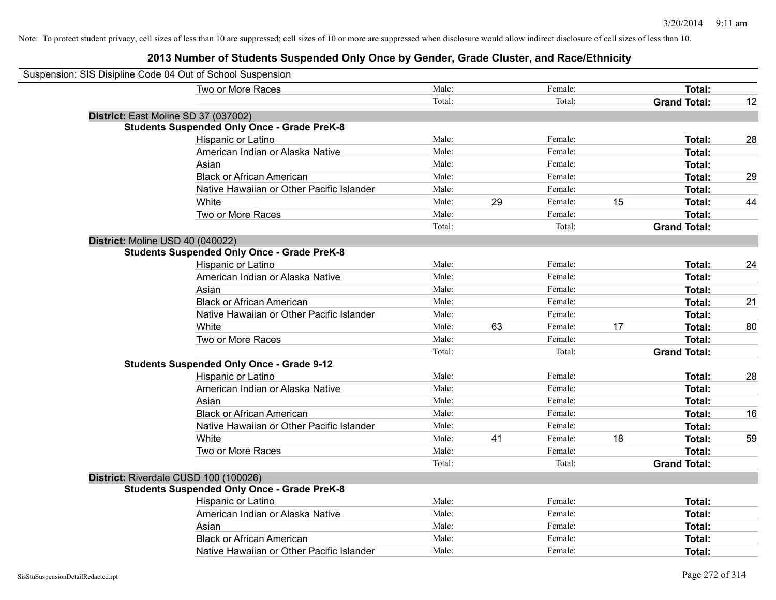| Suspension: SIS Disipline Code 04 Out of School Suspension |                                                    |        |    |         |    |                     |    |
|------------------------------------------------------------|----------------------------------------------------|--------|----|---------|----|---------------------|----|
|                                                            | Two or More Races                                  | Male:  |    | Female: |    | <b>Total:</b>       |    |
|                                                            |                                                    | Total: |    | Total:  |    | <b>Grand Total:</b> | 12 |
| District: East Moline SD 37 (037002)                       |                                                    |        |    |         |    |                     |    |
|                                                            | <b>Students Suspended Only Once - Grade PreK-8</b> |        |    |         |    |                     |    |
|                                                            | Hispanic or Latino                                 | Male:  |    | Female: |    | Total:              | 28 |
|                                                            | American Indian or Alaska Native                   | Male:  |    | Female: |    | Total:              |    |
|                                                            | Asian                                              | Male:  |    | Female: |    | Total:              |    |
|                                                            | <b>Black or African American</b>                   | Male:  |    | Female: |    | Total:              | 29 |
|                                                            | Native Hawaiian or Other Pacific Islander          | Male:  |    | Female: |    | Total:              |    |
|                                                            | White                                              | Male:  | 29 | Female: | 15 | Total:              | 44 |
|                                                            | Two or More Races                                  | Male:  |    | Female: |    | <b>Total:</b>       |    |
|                                                            |                                                    | Total: |    | Total:  |    | <b>Grand Total:</b> |    |
| District: Moline USD 40 (040022)                           |                                                    |        |    |         |    |                     |    |
|                                                            | <b>Students Suspended Only Once - Grade PreK-8</b> |        |    |         |    |                     |    |
|                                                            | Hispanic or Latino                                 | Male:  |    | Female: |    | Total:              | 24 |
|                                                            | American Indian or Alaska Native                   | Male:  |    | Female: |    | Total:              |    |
|                                                            | Asian                                              | Male:  |    | Female: |    | Total:              |    |
|                                                            | <b>Black or African American</b>                   | Male:  |    | Female: |    | Total:              | 21 |
|                                                            | Native Hawaiian or Other Pacific Islander          | Male:  |    | Female: |    | Total:              |    |
|                                                            | White                                              | Male:  | 63 | Female: | 17 | <b>Total:</b>       | 80 |
|                                                            | Two or More Races                                  | Male:  |    | Female: |    | Total:              |    |
|                                                            |                                                    | Total: |    | Total:  |    | <b>Grand Total:</b> |    |
|                                                            | <b>Students Suspended Only Once - Grade 9-12</b>   |        |    |         |    |                     |    |
|                                                            | Hispanic or Latino                                 | Male:  |    | Female: |    | Total:              | 28 |
|                                                            | American Indian or Alaska Native                   | Male:  |    | Female: |    | <b>Total:</b>       |    |
|                                                            | Asian                                              | Male:  |    | Female: |    | <b>Total:</b>       |    |
|                                                            | <b>Black or African American</b>                   | Male:  |    | Female: |    | Total:              | 16 |
|                                                            | Native Hawaiian or Other Pacific Islander          | Male:  |    | Female: |    | Total:              |    |
|                                                            | White                                              | Male:  | 41 | Female: | 18 | Total:              | 59 |
|                                                            | Two or More Races                                  | Male:  |    | Female: |    | Total:              |    |
|                                                            |                                                    | Total: |    | Total:  |    | <b>Grand Total:</b> |    |
| District: Riverdale CUSD 100 (100026)                      |                                                    |        |    |         |    |                     |    |
|                                                            | <b>Students Suspended Only Once - Grade PreK-8</b> |        |    |         |    |                     |    |
|                                                            | Hispanic or Latino                                 | Male:  |    | Female: |    | <b>Total:</b>       |    |
|                                                            | American Indian or Alaska Native                   | Male:  |    | Female: |    | Total:              |    |
|                                                            | Asian                                              | Male:  |    | Female: |    | <b>Total:</b>       |    |
|                                                            | <b>Black or African American</b>                   | Male:  |    | Female: |    | Total:              |    |
|                                                            | Native Hawaiian or Other Pacific Islander          | Male:  |    | Female: |    | Total:              |    |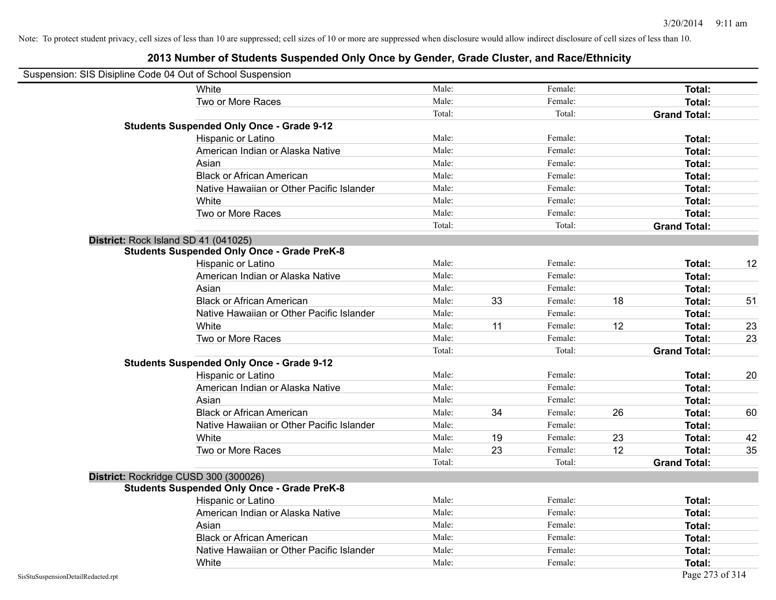|                                    | Suspension: SIS Disipline Code 04 Out of School Suspension |        |    |         |    |                     |    |
|------------------------------------|------------------------------------------------------------|--------|----|---------|----|---------------------|----|
|                                    | White                                                      | Male:  |    | Female: |    | Total:              |    |
|                                    | Two or More Races                                          | Male:  |    | Female: |    | Total:              |    |
|                                    |                                                            | Total: |    | Total:  |    | <b>Grand Total:</b> |    |
|                                    | <b>Students Suspended Only Once - Grade 9-12</b>           |        |    |         |    |                     |    |
|                                    | Hispanic or Latino                                         | Male:  |    | Female: |    | Total:              |    |
|                                    | American Indian or Alaska Native                           | Male:  |    | Female: |    | Total:              |    |
|                                    | Asian                                                      | Male:  |    | Female: |    | Total:              |    |
|                                    | <b>Black or African American</b>                           | Male:  |    | Female: |    | Total:              |    |
|                                    | Native Hawaiian or Other Pacific Islander                  | Male:  |    | Female: |    | Total:              |    |
|                                    | White                                                      | Male:  |    | Female: |    | Total:              |    |
|                                    | Two or More Races                                          | Male:  |    | Female: |    | <b>Total:</b>       |    |
|                                    |                                                            | Total: |    | Total:  |    | <b>Grand Total:</b> |    |
|                                    | District: Rock Island SD 41 (041025)                       |        |    |         |    |                     |    |
|                                    | <b>Students Suspended Only Once - Grade PreK-8</b>         |        |    |         |    |                     |    |
|                                    | Hispanic or Latino                                         | Male:  |    | Female: |    | Total:              | 12 |
|                                    | American Indian or Alaska Native                           | Male:  |    | Female: |    | <b>Total:</b>       |    |
|                                    | Asian                                                      | Male:  |    | Female: |    | Total:              |    |
|                                    | <b>Black or African American</b>                           | Male:  | 33 | Female: | 18 | Total:              | 51 |
|                                    | Native Hawaiian or Other Pacific Islander                  | Male:  |    | Female: |    | Total:              |    |
|                                    | White                                                      | Male:  | 11 | Female: | 12 | Total:              | 23 |
|                                    | Two or More Races                                          | Male:  |    | Female: |    | <b>Total:</b>       | 23 |
|                                    |                                                            | Total: |    | Total:  |    | <b>Grand Total:</b> |    |
|                                    | <b>Students Suspended Only Once - Grade 9-12</b>           |        |    |         |    |                     |    |
|                                    | Hispanic or Latino                                         | Male:  |    | Female: |    | Total:              | 20 |
|                                    | American Indian or Alaska Native                           | Male:  |    | Female: |    | <b>Total:</b>       |    |
|                                    | Asian                                                      | Male:  |    | Female: |    | Total:              |    |
|                                    | <b>Black or African American</b>                           | Male:  | 34 | Female: | 26 | Total:              | 60 |
|                                    | Native Hawaiian or Other Pacific Islander                  | Male:  |    | Female: |    | Total:              |    |
|                                    | White                                                      | Male:  | 19 | Female: | 23 | Total:              | 42 |
|                                    | Two or More Races                                          | Male:  | 23 | Female: | 12 | <b>Total:</b>       | 35 |
|                                    |                                                            | Total: |    | Total:  |    | <b>Grand Total:</b> |    |
|                                    | District: Rockridge CUSD 300 (300026)                      |        |    |         |    |                     |    |
|                                    | <b>Students Suspended Only Once - Grade PreK-8</b>         |        |    |         |    |                     |    |
|                                    | <b>Hispanic or Latino</b>                                  | Male:  |    | Female: |    | Total:              |    |
|                                    | American Indian or Alaska Native                           | Male:  |    | Female: |    | <b>Total:</b>       |    |
|                                    | Asian                                                      | Male:  |    | Female: |    | <b>Total:</b>       |    |
|                                    | <b>Black or African American</b>                           | Male:  |    | Female: |    | Total:              |    |
|                                    | Native Hawaiian or Other Pacific Islander                  | Male:  |    | Female: |    | Total:              |    |
|                                    | White                                                      | Male:  |    | Female: |    | Total:              |    |
| SisStuSuspensionDetailRedacted.rpt |                                                            |        |    |         |    | Page 273 of 314     |    |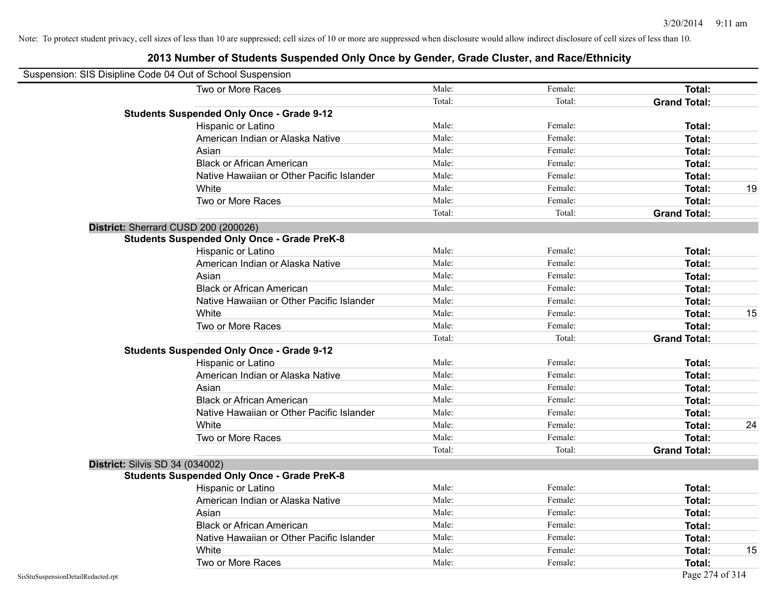| Suspension: SIS Disipline Code 04 Out of School Suspension |                                                    |        |         |                     |    |
|------------------------------------------------------------|----------------------------------------------------|--------|---------|---------------------|----|
|                                                            | Two or More Races                                  | Male:  | Female: | Total:              |    |
|                                                            |                                                    | Total: | Total:  | <b>Grand Total:</b> |    |
|                                                            | <b>Students Suspended Only Once - Grade 9-12</b>   |        |         |                     |    |
|                                                            | Hispanic or Latino                                 | Male:  | Female: | Total:              |    |
|                                                            | American Indian or Alaska Native                   | Male:  | Female: | Total:              |    |
|                                                            | Asian                                              | Male:  | Female: | Total:              |    |
|                                                            | <b>Black or African American</b>                   | Male:  | Female: | Total:              |    |
|                                                            | Native Hawaiian or Other Pacific Islander          | Male:  | Female: | Total:              |    |
|                                                            | White                                              | Male:  | Female: | Total:              | 19 |
|                                                            | Two or More Races                                  | Male:  | Female: | Total:              |    |
|                                                            |                                                    | Total: | Total:  | <b>Grand Total:</b> |    |
|                                                            | District: Sherrard CUSD 200 (200026)               |        |         |                     |    |
|                                                            | <b>Students Suspended Only Once - Grade PreK-8</b> |        |         |                     |    |
|                                                            | Hispanic or Latino                                 | Male:  | Female: | Total:              |    |
|                                                            | American Indian or Alaska Native                   | Male:  | Female: | Total:              |    |
|                                                            | Asian                                              | Male:  | Female: | Total:              |    |
|                                                            | <b>Black or African American</b>                   | Male:  | Female: | Total:              |    |
|                                                            | Native Hawaiian or Other Pacific Islander          | Male:  | Female: | Total:              |    |
|                                                            | White                                              | Male:  | Female: | Total:              | 15 |
|                                                            | Two or More Races                                  | Male:  | Female: | Total:              |    |
|                                                            |                                                    | Total: | Total:  | <b>Grand Total:</b> |    |
|                                                            | <b>Students Suspended Only Once - Grade 9-12</b>   |        |         |                     |    |
|                                                            | Hispanic or Latino                                 | Male:  | Female: | Total:              |    |
|                                                            | American Indian or Alaska Native                   | Male:  | Female: | Total:              |    |
|                                                            | Asian                                              | Male:  | Female: | Total:              |    |
|                                                            | <b>Black or African American</b>                   | Male:  | Female: | Total:              |    |
|                                                            | Native Hawaiian or Other Pacific Islander          | Male:  | Female: | Total:              |    |
|                                                            | White                                              | Male:  | Female: | Total:              | 24 |
|                                                            | Two or More Races                                  | Male:  | Female: | Total:              |    |
|                                                            |                                                    | Total: | Total:  | <b>Grand Total:</b> |    |
| <b>District: Silvis SD 34 (034002)</b>                     |                                                    |        |         |                     |    |
|                                                            | <b>Students Suspended Only Once - Grade PreK-8</b> |        |         |                     |    |
|                                                            | Hispanic or Latino                                 | Male:  | Female: | Total:              |    |
|                                                            | American Indian or Alaska Native                   | Male:  | Female: | Total:              |    |
|                                                            | Asian                                              | Male:  | Female: | Total:              |    |
|                                                            | <b>Black or African American</b>                   | Male:  | Female: | Total:              |    |
|                                                            | Native Hawaiian or Other Pacific Islander          | Male:  | Female: | Total:              |    |
|                                                            | White                                              | Male:  | Female: | Total:              | 15 |
|                                                            | Two or More Races                                  | Male:  | Female: | Total:              |    |
| SisStuSuspensionDetailRedacted.rpt                         |                                                    |        |         | Page 274 of 314     |    |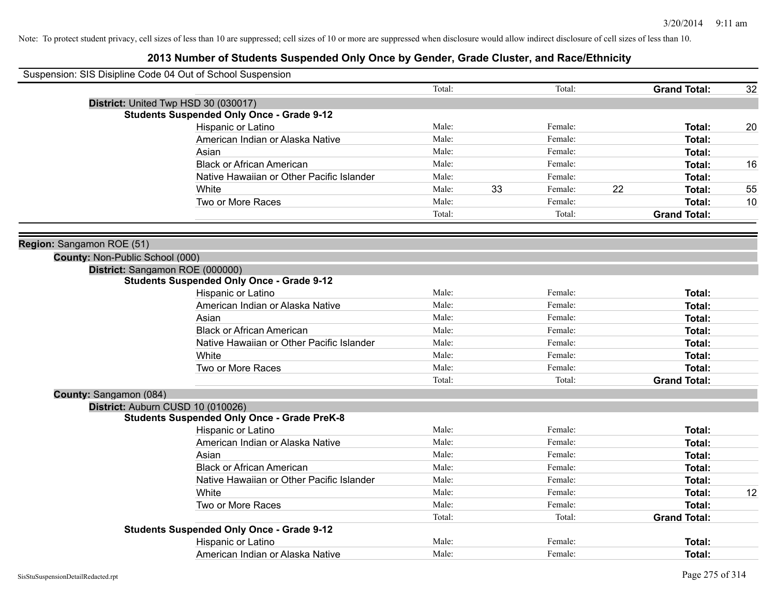| Suspension: SIS Disipline Code 04 Out of School Suspension |                                                    |        |    |         |    |                     |    |
|------------------------------------------------------------|----------------------------------------------------|--------|----|---------|----|---------------------|----|
|                                                            |                                                    | Total: |    | Total:  |    | <b>Grand Total:</b> | 32 |
| District: United Twp HSD 30 (030017)                       |                                                    |        |    |         |    |                     |    |
|                                                            | <b>Students Suspended Only Once - Grade 9-12</b>   |        |    |         |    |                     |    |
|                                                            | Hispanic or Latino                                 | Male:  |    | Female: |    | Total:              | 20 |
|                                                            | American Indian or Alaska Native                   | Male:  |    | Female: |    | Total:              |    |
|                                                            | Asian                                              | Male:  |    | Female: |    | <b>Total:</b>       |    |
|                                                            | <b>Black or African American</b>                   | Male:  |    | Female: |    | Total:              | 16 |
|                                                            | Native Hawaiian or Other Pacific Islander          | Male:  |    | Female: |    | Total:              |    |
|                                                            | White                                              | Male:  | 33 | Female: | 22 | <b>Total:</b>       | 55 |
|                                                            | Two or More Races                                  | Male:  |    | Female: |    | Total:              | 10 |
|                                                            |                                                    | Total: |    | Total:  |    | <b>Grand Total:</b> |    |
|                                                            |                                                    |        |    |         |    |                     |    |
| Region: Sangamon ROE (51)                                  |                                                    |        |    |         |    |                     |    |
| County: Non-Public School (000)                            |                                                    |        |    |         |    |                     |    |
| District: Sangamon ROE (000000)                            |                                                    |        |    |         |    |                     |    |
|                                                            | <b>Students Suspended Only Once - Grade 9-12</b>   |        |    |         |    |                     |    |
|                                                            | Hispanic or Latino                                 | Male:  |    | Female: |    | Total:              |    |
|                                                            | American Indian or Alaska Native                   | Male:  |    | Female: |    | <b>Total:</b>       |    |
|                                                            | Asian                                              | Male:  |    | Female: |    | Total:              |    |
|                                                            | <b>Black or African American</b>                   | Male:  |    | Female: |    | Total:              |    |
|                                                            | Native Hawaiian or Other Pacific Islander          | Male:  |    | Female: |    | <b>Total:</b>       |    |
|                                                            | White                                              | Male:  |    | Female: |    | <b>Total:</b>       |    |
|                                                            | Two or More Races                                  | Male:  |    | Female: |    | <b>Total:</b>       |    |
|                                                            |                                                    | Total: |    | Total:  |    | <b>Grand Total:</b> |    |
| County: Sangamon (084)                                     |                                                    |        |    |         |    |                     |    |
| District: Auburn CUSD 10 (010026)                          |                                                    |        |    |         |    |                     |    |
|                                                            | <b>Students Suspended Only Once - Grade PreK-8</b> |        |    |         |    |                     |    |
|                                                            | Hispanic or Latino                                 | Male:  |    | Female: |    | <b>Total:</b>       |    |
|                                                            | American Indian or Alaska Native                   | Male:  |    | Female: |    | <b>Total:</b>       |    |
|                                                            | Asian                                              | Male:  |    | Female: |    | <b>Total:</b>       |    |
|                                                            | <b>Black or African American</b>                   | Male:  |    | Female: |    | <b>Total:</b>       |    |
|                                                            | Native Hawaiian or Other Pacific Islander          | Male:  |    | Female: |    | <b>Total:</b>       |    |
|                                                            | White                                              | Male:  |    | Female: |    | <b>Total:</b>       | 12 |
|                                                            | Two or More Races                                  | Male:  |    | Female: |    | <b>Total:</b>       |    |
|                                                            |                                                    | Total: |    | Total:  |    | <b>Grand Total:</b> |    |
|                                                            | <b>Students Suspended Only Once - Grade 9-12</b>   |        |    |         |    |                     |    |
|                                                            | Hispanic or Latino                                 | Male:  |    | Female: |    | <b>Total:</b>       |    |
|                                                            | American Indian or Alaska Native                   | Male:  |    | Female: |    | Total:              |    |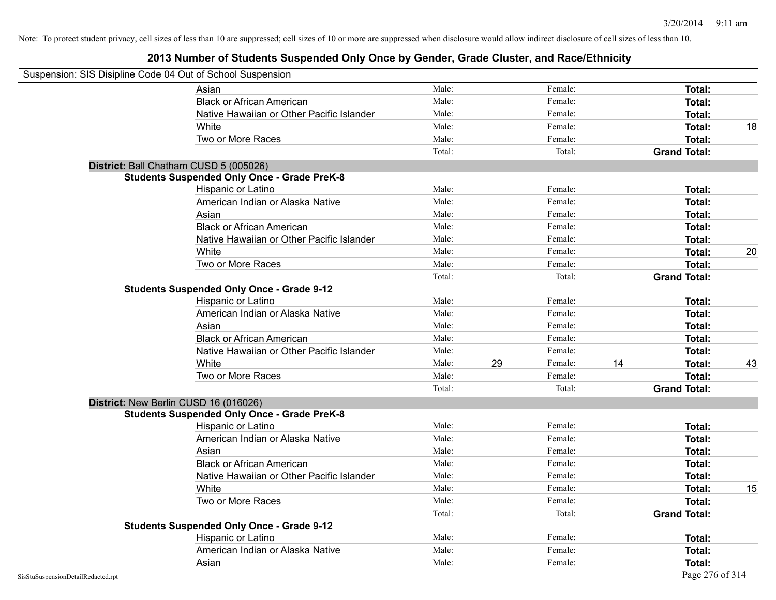|                                    | Suspension: SIS Disipline Code 04 Out of School Suspension |        |    |         |    |                     |    |
|------------------------------------|------------------------------------------------------------|--------|----|---------|----|---------------------|----|
|                                    | Asian                                                      | Male:  |    | Female: |    | Total:              |    |
|                                    | <b>Black or African American</b>                           | Male:  |    | Female: |    | Total:              |    |
|                                    | Native Hawaiian or Other Pacific Islander                  | Male:  |    | Female: |    | Total:              |    |
|                                    | White                                                      | Male:  |    | Female: |    | Total:              | 18 |
|                                    | Two or More Races                                          | Male:  |    | Female: |    | Total:              |    |
|                                    |                                                            | Total: |    | Total:  |    | <b>Grand Total:</b> |    |
|                                    | District: Ball Chatham CUSD 5 (005026)                     |        |    |         |    |                     |    |
|                                    | <b>Students Suspended Only Once - Grade PreK-8</b>         |        |    |         |    |                     |    |
|                                    | Hispanic or Latino                                         | Male:  |    | Female: |    | Total:              |    |
|                                    | American Indian or Alaska Native                           | Male:  |    | Female: |    | Total:              |    |
|                                    | Asian                                                      | Male:  |    | Female: |    | Total:              |    |
|                                    | <b>Black or African American</b>                           | Male:  |    | Female: |    | Total:              |    |
|                                    | Native Hawaiian or Other Pacific Islander                  | Male:  |    | Female: |    | Total:              |    |
|                                    | White                                                      | Male:  |    | Female: |    | Total:              | 20 |
|                                    | Two or More Races                                          | Male:  |    | Female: |    | Total:              |    |
|                                    |                                                            | Total: |    | Total:  |    | <b>Grand Total:</b> |    |
|                                    | <b>Students Suspended Only Once - Grade 9-12</b>           |        |    |         |    |                     |    |
|                                    | Hispanic or Latino                                         | Male:  |    | Female: |    | Total:              |    |
|                                    | American Indian or Alaska Native                           | Male:  |    | Female: |    | Total:              |    |
|                                    | Asian                                                      | Male:  |    | Female: |    | Total:              |    |
|                                    | <b>Black or African American</b>                           | Male:  |    | Female: |    | Total:              |    |
|                                    | Native Hawaiian or Other Pacific Islander                  | Male:  |    | Female: |    | Total:              |    |
|                                    | White                                                      | Male:  | 29 | Female: | 14 | Total:              | 43 |
|                                    | Two or More Races                                          | Male:  |    | Female: |    | Total:              |    |
|                                    |                                                            | Total: |    | Total:  |    | <b>Grand Total:</b> |    |
|                                    | District: New Berlin CUSD 16 (016026)                      |        |    |         |    |                     |    |
|                                    | <b>Students Suspended Only Once - Grade PreK-8</b>         |        |    |         |    |                     |    |
|                                    | Hispanic or Latino                                         | Male:  |    | Female: |    | Total:              |    |
|                                    | American Indian or Alaska Native                           | Male:  |    | Female: |    | Total:              |    |
|                                    | Asian                                                      | Male:  |    | Female: |    | Total:              |    |
|                                    | <b>Black or African American</b>                           | Male:  |    | Female: |    | Total:              |    |
|                                    | Native Hawaiian or Other Pacific Islander                  | Male:  |    | Female: |    | Total:              |    |
|                                    | White                                                      | Male:  |    | Female: |    | Total:              | 15 |
|                                    | Two or More Races                                          | Male:  |    | Female: |    | Total:              |    |
|                                    |                                                            | Total: |    | Total:  |    | <b>Grand Total:</b> |    |
|                                    | <b>Students Suspended Only Once - Grade 9-12</b>           |        |    |         |    |                     |    |
|                                    | Hispanic or Latino                                         | Male:  |    | Female: |    | Total:              |    |
|                                    | American Indian or Alaska Native                           | Male:  |    | Female: |    | Total:              |    |
|                                    | Asian                                                      | Male:  |    | Female: |    | Total:              |    |
| SisStuSuspensionDetailRedacted.rpt |                                                            |        |    |         |    | Page 276 of 314     |    |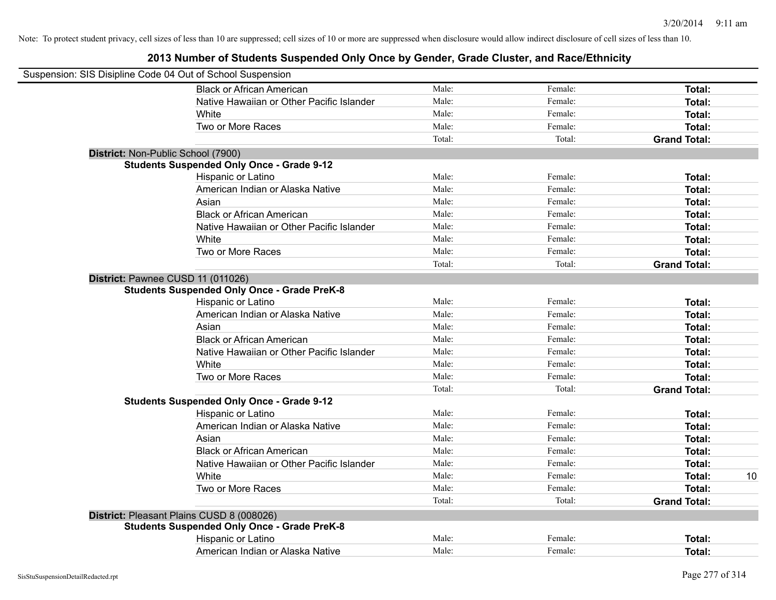| Suspension: SIS Disipline Code 04 Out of School Suspension |        |         |                     |    |
|------------------------------------------------------------|--------|---------|---------------------|----|
| <b>Black or African American</b>                           | Male:  | Female: | Total:              |    |
| Native Hawaiian or Other Pacific Islander                  | Male:  | Female: | Total:              |    |
| White                                                      | Male:  | Female: | Total:              |    |
| Two or More Races                                          | Male:  | Female: | Total:              |    |
|                                                            | Total: | Total:  | <b>Grand Total:</b> |    |
| District: Non-Public School (7900)                         |        |         |                     |    |
| <b>Students Suspended Only Once - Grade 9-12</b>           |        |         |                     |    |
| Hispanic or Latino                                         | Male:  | Female: | Total:              |    |
| American Indian or Alaska Native                           | Male:  | Female: | Total:              |    |
| Asian                                                      | Male:  | Female: | Total:              |    |
| <b>Black or African American</b>                           | Male:  | Female: | Total:              |    |
| Native Hawaiian or Other Pacific Islander                  | Male:  | Female: | Total:              |    |
| White                                                      | Male:  | Female: | Total:              |    |
| Two or More Races                                          | Male:  | Female: | Total:              |    |
|                                                            | Total: | Total:  | <b>Grand Total:</b> |    |
| District: Pawnee CUSD 11 (011026)                          |        |         |                     |    |
| <b>Students Suspended Only Once - Grade PreK-8</b>         |        |         |                     |    |
| Hispanic or Latino                                         | Male:  | Female: | Total:              |    |
| American Indian or Alaska Native                           | Male:  | Female: | Total:              |    |
| Asian                                                      | Male:  | Female: | Total:              |    |
| <b>Black or African American</b>                           | Male:  | Female: | Total:              |    |
| Native Hawaiian or Other Pacific Islander                  | Male:  | Female: | Total:              |    |
| White                                                      | Male:  | Female: | Total:              |    |
| Two or More Races                                          | Male:  | Female: | Total:              |    |
|                                                            | Total: | Total:  | <b>Grand Total:</b> |    |
| <b>Students Suspended Only Once - Grade 9-12</b>           |        |         |                     |    |
| Hispanic or Latino                                         | Male:  | Female: | Total:              |    |
| American Indian or Alaska Native                           | Male:  | Female: | Total:              |    |
| Asian                                                      | Male:  | Female: | Total:              |    |
| <b>Black or African American</b>                           | Male:  | Female: | Total:              |    |
| Native Hawaiian or Other Pacific Islander                  | Male:  | Female: | Total:              |    |
| White                                                      | Male:  | Female: | Total:              | 10 |
| Two or More Races                                          | Male:  | Female: | <b>Total:</b>       |    |
|                                                            | Total: | Total:  | <b>Grand Total:</b> |    |
| District: Pleasant Plains CUSD 8 (008026)                  |        |         |                     |    |
| <b>Students Suspended Only Once - Grade PreK-8</b>         |        |         |                     |    |
| Hispanic or Latino                                         | Male:  | Female: | Total:              |    |
| American Indian or Alaska Native                           | Male:  | Female: | Total:              |    |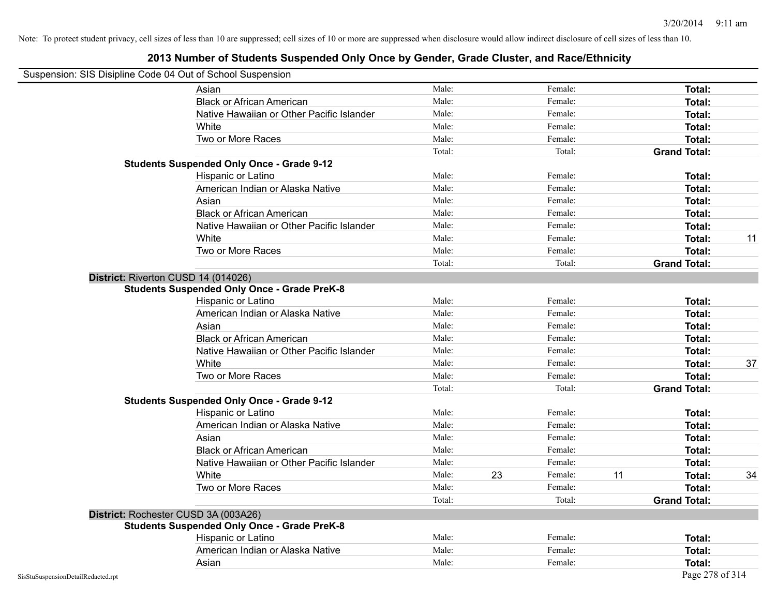#### **2013 Number of Students Suspended Only Once by Gender, Grade Cluster, and Race/Ethnicity**

# Suspension: SIS Disipline Code 04 Out of School Suspension

| usperision. Sis Disiplifie Code 04 Out of Scribol Susperision<br>Asian | Male:  |    | Female: |    | <b>Total:</b>       |    |
|------------------------------------------------------------------------|--------|----|---------|----|---------------------|----|
| <b>Black or African American</b>                                       | Male:  |    | Female: |    | Total:              |    |
| Native Hawaiian or Other Pacific Islander                              | Male:  |    | Female: |    | Total:              |    |
| White                                                                  | Male:  |    | Female: |    | Total:              |    |
| Two or More Races                                                      | Male:  |    | Female: |    | Total:              |    |
|                                                                        | Total: |    | Total:  |    | <b>Grand Total:</b> |    |
| <b>Students Suspended Only Once - Grade 9-12</b>                       |        |    |         |    |                     |    |
| Hispanic or Latino                                                     | Male:  |    | Female: |    | Total:              |    |
| American Indian or Alaska Native                                       | Male:  |    | Female: |    | Total:              |    |
| Asian                                                                  | Male:  |    | Female: |    | Total:              |    |
| <b>Black or African American</b>                                       | Male:  |    | Female: |    | <b>Total:</b>       |    |
| Native Hawaiian or Other Pacific Islander                              | Male:  |    | Female: |    | Total:              |    |
| White                                                                  | Male:  |    | Female: |    | Total:              | 11 |
| Two or More Races                                                      | Male:  |    | Female: |    | Total:              |    |
|                                                                        | Total: |    | Total:  |    | <b>Grand Total:</b> |    |
| District: Riverton CUSD 14 (014026)                                    |        |    |         |    |                     |    |
| <b>Students Suspended Only Once - Grade PreK-8</b>                     |        |    |         |    |                     |    |
| Hispanic or Latino                                                     | Male:  |    | Female: |    | Total:              |    |
| American Indian or Alaska Native                                       | Male:  |    | Female: |    | Total:              |    |
| Asian                                                                  | Male:  |    | Female: |    | Total:              |    |
| <b>Black or African American</b>                                       | Male:  |    | Female: |    | Total:              |    |
| Native Hawaiian or Other Pacific Islander                              | Male:  |    | Female: |    | Total:              |    |
| White                                                                  | Male:  |    | Female: |    | Total:              | 37 |
| Two or More Races                                                      | Male:  |    | Female: |    | Total:              |    |
|                                                                        | Total: |    | Total:  |    | <b>Grand Total:</b> |    |
| <b>Students Suspended Only Once - Grade 9-12</b>                       |        |    |         |    |                     |    |
| Hispanic or Latino                                                     | Male:  |    | Female: |    | Total:              |    |
| American Indian or Alaska Native                                       | Male:  |    | Female: |    | Total:              |    |
| Asian                                                                  | Male:  |    | Female: |    | Total:              |    |
| <b>Black or African American</b>                                       | Male:  |    | Female: |    | Total:              |    |
| Native Hawaiian or Other Pacific Islander                              | Male:  |    | Female: |    | Total:              |    |
| White                                                                  | Male:  | 23 | Female: | 11 | Total:              | 34 |
| Two or More Races                                                      | Male:  |    | Female: |    | Total:              |    |
|                                                                        | Total: |    | Total:  |    | <b>Grand Total:</b> |    |
| District: Rochester CUSD 3A (003A26)                                   |        |    |         |    |                     |    |
| <b>Students Suspended Only Once - Grade PreK-8</b>                     |        |    |         |    |                     |    |
| Hispanic or Latino                                                     | Male:  |    | Female: |    | Total:              |    |
| American Indian or Alaska Native                                       | Male:  |    | Female: |    | Total:              |    |
| Asian                                                                  | Male:  |    | Female: |    | Total:              |    |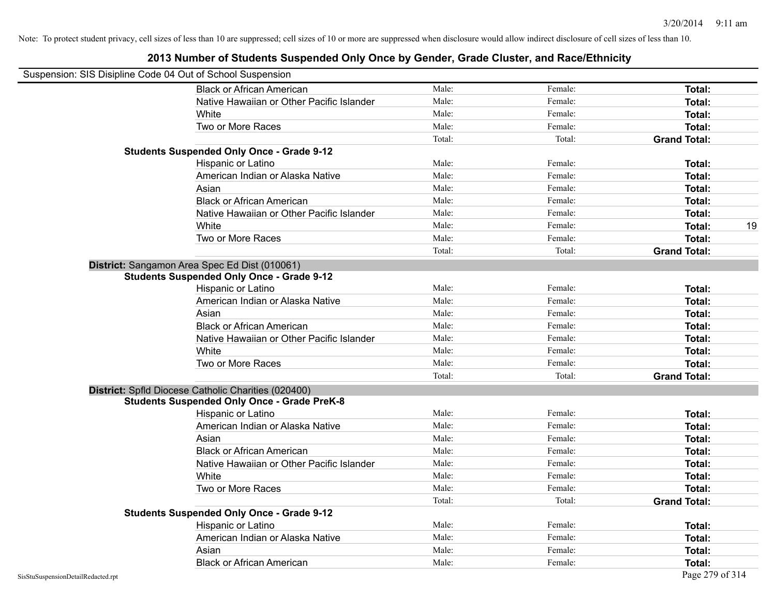| Suspension: SIS Disipline Code 04 Out of School Suspension |                                                     |        |         |                     |    |
|------------------------------------------------------------|-----------------------------------------------------|--------|---------|---------------------|----|
|                                                            | <b>Black or African American</b>                    | Male:  | Female: | Total:              |    |
|                                                            | Native Hawaiian or Other Pacific Islander           | Male:  | Female: | Total:              |    |
|                                                            | White                                               | Male:  | Female: | Total:              |    |
|                                                            | Two or More Races                                   | Male:  | Female: | Total:              |    |
|                                                            |                                                     | Total: | Total:  | <b>Grand Total:</b> |    |
|                                                            | <b>Students Suspended Only Once - Grade 9-12</b>    |        |         |                     |    |
|                                                            | Hispanic or Latino                                  | Male:  | Female: | Total:              |    |
|                                                            | American Indian or Alaska Native                    | Male:  | Female: | Total:              |    |
|                                                            | Asian                                               | Male:  | Female: | Total:              |    |
|                                                            | <b>Black or African American</b>                    | Male:  | Female: | Total:              |    |
|                                                            | Native Hawaiian or Other Pacific Islander           | Male:  | Female: | Total:              |    |
|                                                            | White                                               | Male:  | Female: | Total:              | 19 |
|                                                            | Two or More Races                                   | Male:  | Female: | Total:              |    |
|                                                            |                                                     | Total: | Total:  | <b>Grand Total:</b> |    |
|                                                            | District: Sangamon Area Spec Ed Dist (010061)       |        |         |                     |    |
|                                                            | <b>Students Suspended Only Once - Grade 9-12</b>    |        |         |                     |    |
|                                                            | Hispanic or Latino                                  | Male:  | Female: | Total:              |    |
|                                                            | American Indian or Alaska Native                    | Male:  | Female: | Total:              |    |
|                                                            | Asian                                               | Male:  | Female: | Total:              |    |
|                                                            | <b>Black or African American</b>                    | Male:  | Female: | Total:              |    |
|                                                            | Native Hawaiian or Other Pacific Islander           | Male:  | Female: | Total:              |    |
|                                                            | White                                               | Male:  | Female: | Total:              |    |
|                                                            | Two or More Races                                   | Male:  | Female: | Total:              |    |
|                                                            |                                                     | Total: | Total:  | <b>Grand Total:</b> |    |
|                                                            | District: Spfld Diocese Catholic Charities (020400) |        |         |                     |    |
|                                                            | <b>Students Suspended Only Once - Grade PreK-8</b>  |        |         |                     |    |
|                                                            | Hispanic or Latino                                  | Male:  | Female: | Total:              |    |
|                                                            | American Indian or Alaska Native                    | Male:  | Female: | Total:              |    |
|                                                            | Asian                                               | Male:  | Female: | Total:              |    |
|                                                            | <b>Black or African American</b>                    | Male:  | Female: | Total:              |    |
|                                                            | Native Hawaiian or Other Pacific Islander           | Male:  | Female: | Total:              |    |
|                                                            | White                                               | Male:  | Female: | Total:              |    |
|                                                            | Two or More Races                                   | Male:  | Female: | Total:              |    |
|                                                            |                                                     | Total: | Total:  | <b>Grand Total:</b> |    |
|                                                            | <b>Students Suspended Only Once - Grade 9-12</b>    |        |         |                     |    |
|                                                            | Hispanic or Latino                                  | Male:  | Female: | Total:              |    |
|                                                            | American Indian or Alaska Native                    | Male:  | Female: | Total:              |    |
|                                                            | Asian                                               | Male:  | Female: | Total:              |    |
|                                                            | <b>Black or African American</b>                    | Male:  | Female: | Total:              |    |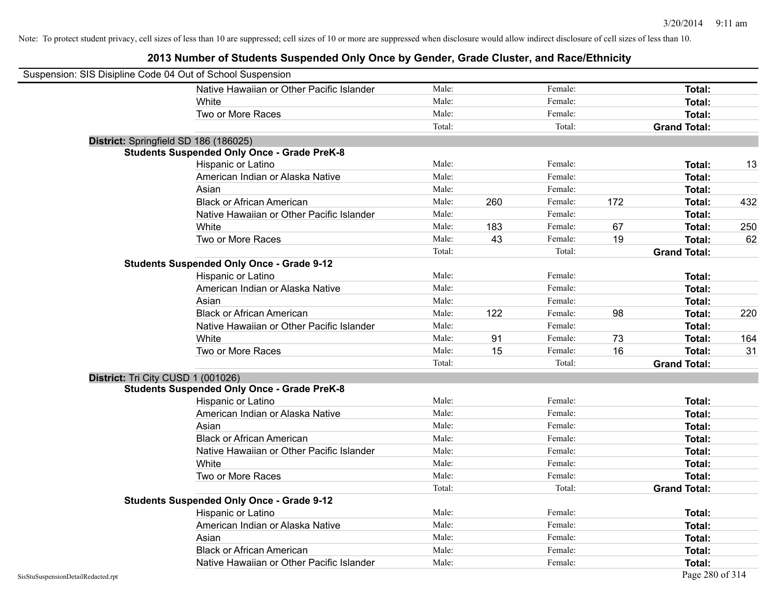| Suspension: SIS Disipline Code 04 Out of School Suspension |                                                    |        |     |         |     |                     |     |
|------------------------------------------------------------|----------------------------------------------------|--------|-----|---------|-----|---------------------|-----|
|                                                            | Native Hawaiian or Other Pacific Islander          | Male:  |     | Female: |     | Total:              |     |
|                                                            | White                                              | Male:  |     | Female: |     | Total:              |     |
|                                                            | Two or More Races                                  | Male:  |     | Female: |     | Total:              |     |
|                                                            |                                                    | Total: |     | Total:  |     | <b>Grand Total:</b> |     |
| District: Springfield SD 186 (186025)                      |                                                    |        |     |         |     |                     |     |
|                                                            | <b>Students Suspended Only Once - Grade PreK-8</b> |        |     |         |     |                     |     |
|                                                            | Hispanic or Latino                                 | Male:  |     | Female: |     | Total:              | 13  |
|                                                            | American Indian or Alaska Native                   | Male:  |     | Female: |     | Total:              |     |
|                                                            | Asian                                              | Male:  |     | Female: |     | Total:              |     |
|                                                            | <b>Black or African American</b>                   | Male:  | 260 | Female: | 172 | Total:              | 432 |
|                                                            | Native Hawaiian or Other Pacific Islander          | Male:  |     | Female: |     | Total:              |     |
|                                                            | White                                              | Male:  | 183 | Female: | 67  | Total:              | 250 |
|                                                            | Two or More Races                                  | Male:  | 43  | Female: | 19  | Total:              | 62  |
|                                                            |                                                    | Total: |     | Total:  |     | <b>Grand Total:</b> |     |
|                                                            | <b>Students Suspended Only Once - Grade 9-12</b>   |        |     |         |     |                     |     |
|                                                            | Hispanic or Latino                                 | Male:  |     | Female: |     | Total:              |     |
|                                                            | American Indian or Alaska Native                   | Male:  |     | Female: |     | Total:              |     |
|                                                            | Asian                                              | Male:  |     | Female: |     | Total:              |     |
|                                                            | <b>Black or African American</b>                   | Male:  | 122 | Female: | 98  | Total:              | 220 |
|                                                            | Native Hawaiian or Other Pacific Islander          | Male:  |     | Female: |     | Total:              |     |
|                                                            | White                                              | Male:  | 91  | Female: | 73  | Total:              | 164 |
|                                                            | Two or More Races                                  | Male:  | 15  | Female: | 16  | <b>Total:</b>       | 31  |
|                                                            |                                                    | Total: |     | Total:  |     | <b>Grand Total:</b> |     |
| District: Tri City CUSD 1 (001026)                         |                                                    |        |     |         |     |                     |     |
|                                                            | <b>Students Suspended Only Once - Grade PreK-8</b> |        |     |         |     |                     |     |
|                                                            | Hispanic or Latino                                 | Male:  |     | Female: |     | Total:              |     |
|                                                            | American Indian or Alaska Native                   | Male:  |     | Female: |     | Total:              |     |
|                                                            | Asian                                              | Male:  |     | Female: |     | Total:              |     |
|                                                            | <b>Black or African American</b>                   | Male:  |     | Female: |     | Total:              |     |
|                                                            | Native Hawaiian or Other Pacific Islander          | Male:  |     | Female: |     | Total:              |     |
|                                                            | White                                              | Male:  |     | Female: |     | Total:              |     |
|                                                            | Two or More Races                                  | Male:  |     | Female: |     | Total:              |     |
|                                                            |                                                    | Total: |     | Total:  |     | <b>Grand Total:</b> |     |
|                                                            | <b>Students Suspended Only Once - Grade 9-12</b>   |        |     |         |     |                     |     |
|                                                            | Hispanic or Latino                                 | Male:  |     | Female: |     | Total:              |     |
|                                                            | American Indian or Alaska Native                   | Male:  |     | Female: |     | Total:              |     |
|                                                            | Asian                                              | Male:  |     | Female: |     | Total:              |     |
|                                                            | <b>Black or African American</b>                   | Male:  |     | Female: |     | <b>Total:</b>       |     |
|                                                            | Native Hawaiian or Other Pacific Islander          | Male:  |     | Female: |     | Total:              |     |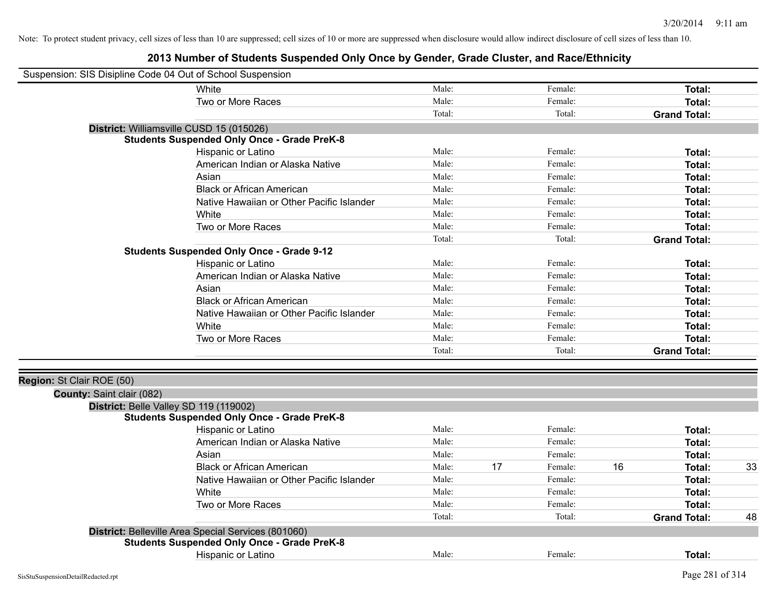| Suspension: SIS Disipline Code 04 Out of School Suspension |                                                     |        |    |         |    |                     |    |
|------------------------------------------------------------|-----------------------------------------------------|--------|----|---------|----|---------------------|----|
|                                                            | White                                               | Male:  |    | Female: |    | Total:              |    |
|                                                            | Two or More Races                                   | Male:  |    | Female: |    | Total:              |    |
|                                                            |                                                     | Total: |    | Total:  |    | <b>Grand Total:</b> |    |
| District: Williamsville CUSD 15 (015026)                   |                                                     |        |    |         |    |                     |    |
|                                                            | <b>Students Suspended Only Once - Grade PreK-8</b>  |        |    |         |    |                     |    |
|                                                            | Hispanic or Latino                                  | Male:  |    | Female: |    | <b>Total:</b>       |    |
|                                                            | American Indian or Alaska Native                    | Male:  |    | Female: |    | <b>Total:</b>       |    |
|                                                            | Asian                                               | Male:  |    | Female: |    | Total:              |    |
|                                                            | <b>Black or African American</b>                    | Male:  |    | Female: |    | Total:              |    |
|                                                            | Native Hawaiian or Other Pacific Islander           | Male:  |    | Female: |    | Total:              |    |
|                                                            | White                                               | Male:  |    | Female: |    | Total:              |    |
|                                                            | Two or More Races                                   | Male:  |    | Female: |    | Total:              |    |
|                                                            |                                                     | Total: |    | Total:  |    | <b>Grand Total:</b> |    |
|                                                            | <b>Students Suspended Only Once - Grade 9-12</b>    |        |    |         |    |                     |    |
|                                                            | Hispanic or Latino                                  | Male:  |    | Female: |    | Total:              |    |
|                                                            | American Indian or Alaska Native                    | Male:  |    | Female: |    | <b>Total:</b>       |    |
|                                                            | Asian                                               | Male:  |    | Female: |    | Total:              |    |
|                                                            | <b>Black or African American</b>                    | Male:  |    | Female: |    | Total:              |    |
|                                                            | Native Hawaiian or Other Pacific Islander           | Male:  |    | Female: |    | Total:              |    |
|                                                            | White                                               | Male:  |    | Female: |    | Total:              |    |
|                                                            | Two or More Races                                   | Male:  |    | Female: |    | <b>Total:</b>       |    |
|                                                            |                                                     | Total: |    | Total:  |    | <b>Grand Total:</b> |    |
|                                                            |                                                     |        |    |         |    |                     |    |
| Region: St Clair ROE (50)                                  |                                                     |        |    |         |    |                     |    |
| County: Saint clair (082)                                  |                                                     |        |    |         |    |                     |    |
| District: Belle Valley SD 119 (119002)                     |                                                     |        |    |         |    |                     |    |
|                                                            | <b>Students Suspended Only Once - Grade PreK-8</b>  |        |    |         |    |                     |    |
|                                                            | <b>Hispanic or Latino</b>                           | Male:  |    | Female: |    | Total:              |    |
|                                                            | American Indian or Alaska Native                    | Male:  |    | Female: |    | <b>Total:</b>       |    |
|                                                            | Asian                                               | Male:  |    | Female: |    | <b>Total:</b>       |    |
|                                                            | <b>Black or African American</b>                    | Male:  | 17 | Female: | 16 | Total:              | 33 |
|                                                            | Native Hawaiian or Other Pacific Islander           | Male:  |    | Female: |    | Total:              |    |
|                                                            | White                                               | Male:  |    | Female: |    | Total:              |    |
|                                                            | Two or More Races                                   | Male:  |    | Female: |    | <b>Total:</b>       |    |
|                                                            |                                                     | Total: |    | Total:  |    | <b>Grand Total:</b> | 48 |
|                                                            | District: Belleville Area Special Services (801060) |        |    |         |    |                     |    |
|                                                            | <b>Students Suspended Only Once - Grade PreK-8</b>  |        |    |         |    |                     |    |
|                                                            | <b>Hispanic or Latino</b>                           | Male:  |    | Female: |    | <b>Total:</b>       |    |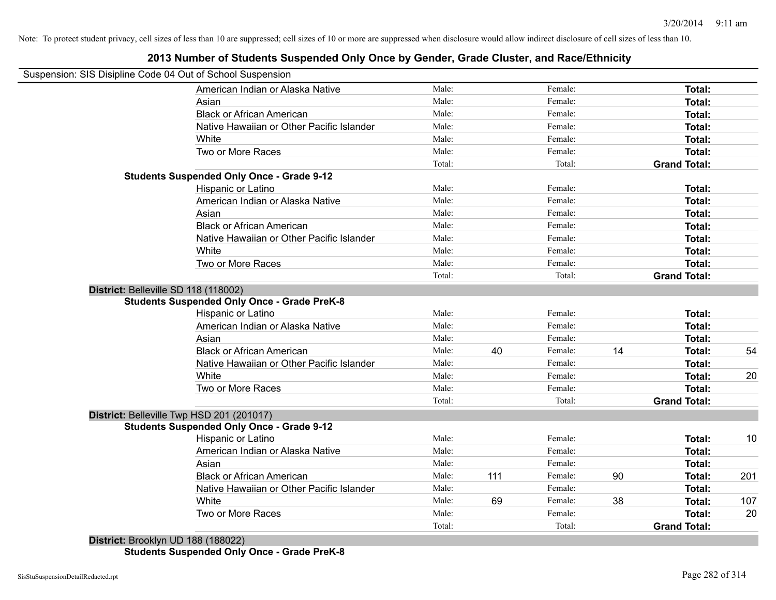#### **2013 Number of Students Suspended Only Once by Gender, Grade Cluster, and Race/Ethnicity**

|                                      | Suspension: SIS Disipline Code 04 Out of School Suspension |        |     |         |    |                     |     |
|--------------------------------------|------------------------------------------------------------|--------|-----|---------|----|---------------------|-----|
|                                      | American Indian or Alaska Native                           | Male:  |     | Female: |    | Total:              |     |
|                                      | Asian                                                      | Male:  |     | Female: |    | Total:              |     |
|                                      | <b>Black or African American</b>                           | Male:  |     | Female: |    | Total:              |     |
|                                      | Native Hawaiian or Other Pacific Islander                  | Male:  |     | Female: |    | Total:              |     |
|                                      | White                                                      | Male:  |     | Female: |    | Total:              |     |
|                                      | Two or More Races                                          | Male:  |     | Female: |    | Total:              |     |
|                                      |                                                            | Total: |     | Total:  |    | <b>Grand Total:</b> |     |
|                                      | <b>Students Suspended Only Once - Grade 9-12</b>           |        |     |         |    |                     |     |
|                                      | Hispanic or Latino                                         | Male:  |     | Female: |    | Total:              |     |
|                                      | American Indian or Alaska Native                           | Male:  |     | Female: |    | Total:              |     |
|                                      | Asian                                                      | Male:  |     | Female: |    | <b>Total:</b>       |     |
|                                      | <b>Black or African American</b>                           | Male:  |     | Female: |    | Total:              |     |
|                                      | Native Hawaiian or Other Pacific Islander                  | Male:  |     | Female: |    | Total:              |     |
|                                      | White                                                      | Male:  |     | Female: |    | Total:              |     |
|                                      | Two or More Races                                          | Male:  |     | Female: |    | Total:              |     |
|                                      |                                                            | Total: |     | Total:  |    | <b>Grand Total:</b> |     |
| District: Belleville SD 118 (118002) |                                                            |        |     |         |    |                     |     |
|                                      | <b>Students Suspended Only Once - Grade PreK-8</b>         |        |     |         |    |                     |     |
|                                      | Hispanic or Latino                                         | Male:  |     | Female: |    | Total:              |     |
|                                      | American Indian or Alaska Native                           | Male:  |     | Female: |    | Total:              |     |
|                                      | Asian                                                      | Male:  |     | Female: |    | Total:              |     |
|                                      | <b>Black or African American</b>                           | Male:  | 40  | Female: | 14 | Total:              | 54  |
|                                      | Native Hawaiian or Other Pacific Islander                  | Male:  |     | Female: |    | Total:              |     |
|                                      | White                                                      | Male:  |     | Female: |    | Total:              | 20  |
|                                      | Two or More Races                                          | Male:  |     | Female: |    | Total:              |     |
|                                      |                                                            | Total: |     | Total:  |    | <b>Grand Total:</b> |     |
|                                      | District: Belleville Twp HSD 201 (201017)                  |        |     |         |    |                     |     |
|                                      | <b>Students Suspended Only Once - Grade 9-12</b>           |        |     |         |    |                     |     |
|                                      | Hispanic or Latino                                         | Male:  |     | Female: |    | Total:              | 10  |
|                                      | American Indian or Alaska Native                           | Male:  |     | Female: |    | Total:              |     |
|                                      | Asian                                                      | Male:  |     | Female: |    | Total:              |     |
|                                      | <b>Black or African American</b>                           | Male:  | 111 | Female: | 90 | Total:              | 201 |
|                                      | Native Hawaiian or Other Pacific Islander                  | Male:  |     | Female: |    | Total:              |     |
|                                      | White                                                      | Male:  | 69  | Female: | 38 | Total:              | 107 |
|                                      | Two or More Races                                          | Male:  |     | Female: |    | Total:              | 20  |
|                                      |                                                            | Total: |     | Total:  |    | <b>Grand Total:</b> |     |

**Students Suspended Only Once - Grade PreK-8**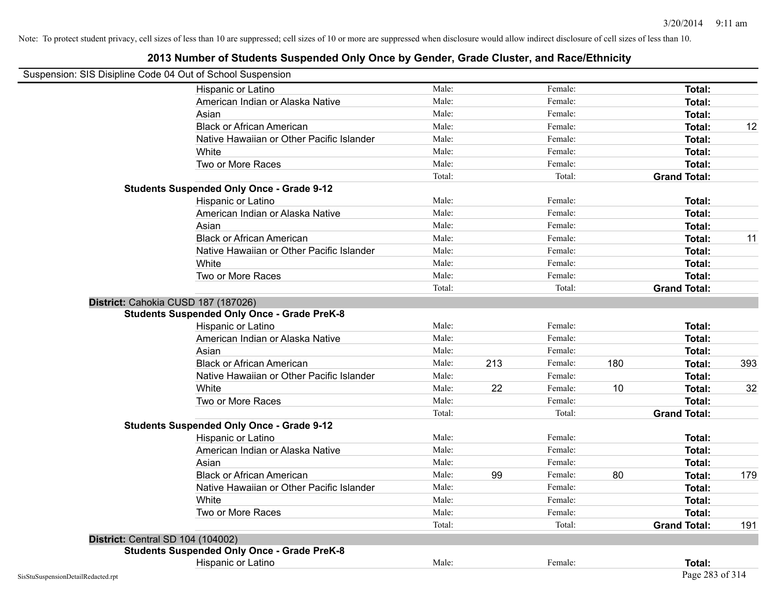| Suspension: SIS Disipline Code 04 Out of School Suspension |        |     |         |     |                     |     |
|------------------------------------------------------------|--------|-----|---------|-----|---------------------|-----|
| Hispanic or Latino                                         | Male:  |     | Female: |     | Total:              |     |
| American Indian or Alaska Native                           | Male:  |     | Female: |     | Total:              |     |
| Asian                                                      | Male:  |     | Female: |     | Total:              |     |
| <b>Black or African American</b>                           | Male:  |     | Female: |     | Total:              | 12  |
| Native Hawaiian or Other Pacific Islander                  | Male:  |     | Female: |     | Total:              |     |
| White                                                      | Male:  |     | Female: |     | Total:              |     |
| Two or More Races                                          | Male:  |     | Female: |     | Total:              |     |
|                                                            | Total: |     | Total:  |     | <b>Grand Total:</b> |     |
| <b>Students Suspended Only Once - Grade 9-12</b>           |        |     |         |     |                     |     |
| Hispanic or Latino                                         | Male:  |     | Female: |     | Total:              |     |
| American Indian or Alaska Native                           | Male:  |     | Female: |     | Total:              |     |
| Asian                                                      | Male:  |     | Female: |     | Total:              |     |
| <b>Black or African American</b>                           | Male:  |     | Female: |     | Total:              | 11  |
| Native Hawaiian or Other Pacific Islander                  | Male:  |     | Female: |     | Total:              |     |
| White                                                      | Male:  |     | Female: |     | Total:              |     |
| Two or More Races                                          | Male:  |     | Female: |     | Total:              |     |
|                                                            | Total: |     | Total:  |     | <b>Grand Total:</b> |     |
| District: Cahokia CUSD 187 (187026)                        |        |     |         |     |                     |     |
| <b>Students Suspended Only Once - Grade PreK-8</b>         |        |     |         |     |                     |     |
| Hispanic or Latino                                         | Male:  |     | Female: |     | Total:              |     |
| American Indian or Alaska Native                           | Male:  |     | Female: |     | Total:              |     |
| Asian                                                      | Male:  |     | Female: |     | Total:              |     |
| <b>Black or African American</b>                           | Male:  | 213 | Female: | 180 | Total:              | 393 |
| Native Hawaiian or Other Pacific Islander                  | Male:  |     | Female: |     | Total:              |     |
| White                                                      | Male:  | 22  | Female: | 10  | Total:              | 32  |
| Two or More Races                                          | Male:  |     | Female: |     | Total:              |     |
|                                                            | Total: |     | Total:  |     | <b>Grand Total:</b> |     |
| <b>Students Suspended Only Once - Grade 9-12</b>           |        |     |         |     |                     |     |
| Hispanic or Latino                                         | Male:  |     | Female: |     | Total:              |     |
| American Indian or Alaska Native                           | Male:  |     | Female: |     | <b>Total:</b>       |     |
| Asian                                                      | Male:  |     | Female: |     | Total:              |     |
| <b>Black or African American</b>                           | Male:  | 99  | Female: | 80  | Total:              | 179 |
| Native Hawaiian or Other Pacific Islander                  | Male:  |     | Female: |     | Total:              |     |
| White                                                      | Male:  |     | Female: |     | Total:              |     |
| Two or More Races                                          | Male:  |     | Female: |     | Total:              |     |
|                                                            | Total: |     | Total:  |     | <b>Grand Total:</b> | 191 |
| <b>District: Central SD 104 (104002)</b>                   |        |     |         |     |                     |     |
| <b>Students Suspended Only Once - Grade PreK-8</b>         |        |     |         |     |                     |     |
| Hispanic or Latino                                         | Male:  |     | Female: |     | Total:              |     |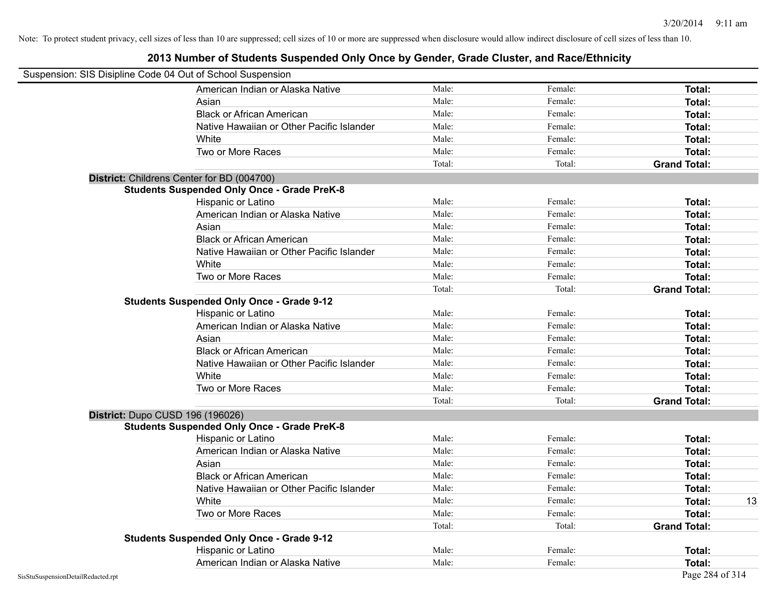|                                    | Suspension: SIS Disipline Code 04 Out of School Suspension |        |         |                     |    |
|------------------------------------|------------------------------------------------------------|--------|---------|---------------------|----|
|                                    | American Indian or Alaska Native                           | Male:  | Female: | Total:              |    |
|                                    | Asian                                                      | Male:  | Female: | Total:              |    |
|                                    | <b>Black or African American</b>                           | Male:  | Female: | Total:              |    |
|                                    | Native Hawaiian or Other Pacific Islander                  | Male:  | Female: | Total:              |    |
|                                    | White                                                      | Male:  | Female: | Total:              |    |
|                                    | Two or More Races                                          | Male:  | Female: | Total:              |    |
|                                    |                                                            | Total: | Total:  | <b>Grand Total:</b> |    |
|                                    | District: Childrens Center for BD (004700)                 |        |         |                     |    |
|                                    | <b>Students Suspended Only Once - Grade PreK-8</b>         |        |         |                     |    |
|                                    | Hispanic or Latino                                         | Male:  | Female: | Total:              |    |
|                                    | American Indian or Alaska Native                           | Male:  | Female: | Total:              |    |
|                                    | Asian                                                      | Male:  | Female: | Total:              |    |
|                                    | <b>Black or African American</b>                           | Male:  | Female: | Total:              |    |
|                                    | Native Hawaiian or Other Pacific Islander                  | Male:  | Female: | Total:              |    |
|                                    | White                                                      | Male:  | Female: | Total:              |    |
|                                    | Two or More Races                                          | Male:  | Female: | Total:              |    |
|                                    |                                                            | Total: | Total:  | <b>Grand Total:</b> |    |
|                                    | <b>Students Suspended Only Once - Grade 9-12</b>           |        |         |                     |    |
|                                    | Hispanic or Latino                                         | Male:  | Female: | Total:              |    |
|                                    | American Indian or Alaska Native                           | Male:  | Female: | Total:              |    |
|                                    | Asian                                                      | Male:  | Female: | Total:              |    |
|                                    | <b>Black or African American</b>                           | Male:  | Female: | Total:              |    |
|                                    | Native Hawaiian or Other Pacific Islander                  | Male:  | Female: | Total:              |    |
|                                    | White                                                      | Male:  | Female: | Total:              |    |
|                                    | Two or More Races                                          | Male:  | Female: | Total:              |    |
|                                    |                                                            | Total: | Total:  | <b>Grand Total:</b> |    |
|                                    | District: Dupo CUSD 196 (196026)                           |        |         |                     |    |
|                                    | <b>Students Suspended Only Once - Grade PreK-8</b>         |        |         |                     |    |
|                                    | Hispanic or Latino                                         | Male:  | Female: | Total:              |    |
|                                    | American Indian or Alaska Native                           | Male:  | Female: | Total:              |    |
|                                    | Asian                                                      | Male:  | Female: | Total:              |    |
|                                    | <b>Black or African American</b>                           | Male:  | Female: | Total:              |    |
|                                    | Native Hawaiian or Other Pacific Islander                  | Male:  | Female: | Total:              |    |
|                                    | White                                                      | Male:  | Female: | Total:              | 13 |
|                                    | Two or More Races                                          | Male:  | Female: | Total:              |    |
|                                    |                                                            | Total: | Total:  | <b>Grand Total:</b> |    |
|                                    | <b>Students Suspended Only Once - Grade 9-12</b>           |        |         |                     |    |
|                                    | Hispanic or Latino                                         | Male:  | Female: | Total:              |    |
|                                    | American Indian or Alaska Native                           | Male:  | Female: | Total:              |    |
| SisStuSuspensionDetailRedacted.rpt |                                                            |        |         | Page 284 of 314     |    |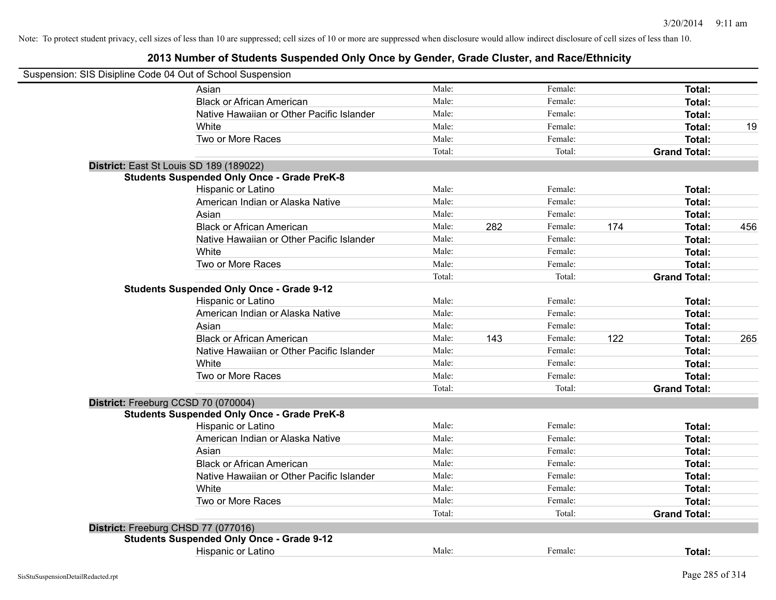| Suspension: SIS Disipline Code 04 Out of School Suspension |                                                    |        |     |         |     |                     |     |
|------------------------------------------------------------|----------------------------------------------------|--------|-----|---------|-----|---------------------|-----|
|                                                            | Asian                                              | Male:  |     | Female: |     | Total:              |     |
|                                                            | <b>Black or African American</b>                   | Male:  |     | Female: |     | Total:              |     |
|                                                            | Native Hawaiian or Other Pacific Islander          | Male:  |     | Female: |     | Total:              |     |
|                                                            | White                                              | Male:  |     | Female: |     | <b>Total:</b>       | 19  |
|                                                            | Two or More Races                                  | Male:  |     | Female: |     | Total:              |     |
|                                                            |                                                    | Total: |     | Total:  |     | <b>Grand Total:</b> |     |
|                                                            | District: East St Louis SD 189 (189022)            |        |     |         |     |                     |     |
|                                                            | <b>Students Suspended Only Once - Grade PreK-8</b> |        |     |         |     |                     |     |
|                                                            | Hispanic or Latino                                 | Male:  |     | Female: |     | Total:              |     |
|                                                            | American Indian or Alaska Native                   | Male:  |     | Female: |     | <b>Total:</b>       |     |
|                                                            | Asian                                              | Male:  |     | Female: |     | <b>Total:</b>       |     |
|                                                            | <b>Black or African American</b>                   | Male:  | 282 | Female: | 174 | Total:              | 456 |
|                                                            | Native Hawaiian or Other Pacific Islander          | Male:  |     | Female: |     | <b>Total:</b>       |     |
|                                                            | White                                              | Male:  |     | Female: |     | Total:              |     |
|                                                            | Two or More Races                                  | Male:  |     | Female: |     | Total:              |     |
|                                                            |                                                    | Total: |     | Total:  |     | <b>Grand Total:</b> |     |
|                                                            | <b>Students Suspended Only Once - Grade 9-12</b>   |        |     |         |     |                     |     |
|                                                            | Hispanic or Latino                                 | Male:  |     | Female: |     | Total:              |     |
|                                                            | American Indian or Alaska Native                   | Male:  |     | Female: |     | <b>Total:</b>       |     |
|                                                            | Asian                                              | Male:  |     | Female: |     | <b>Total:</b>       |     |
|                                                            | <b>Black or African American</b>                   | Male:  | 143 | Female: | 122 | Total:              | 265 |
|                                                            | Native Hawaiian or Other Pacific Islander          | Male:  |     | Female: |     | Total:              |     |
|                                                            | White                                              | Male:  |     | Female: |     | Total:              |     |
|                                                            | Two or More Races                                  | Male:  |     | Female: |     | <b>Total:</b>       |     |
|                                                            |                                                    | Total: |     | Total:  |     | <b>Grand Total:</b> |     |
|                                                            | District: Freeburg CCSD 70 (070004)                |        |     |         |     |                     |     |
|                                                            | <b>Students Suspended Only Once - Grade PreK-8</b> |        |     |         |     |                     |     |
|                                                            | Hispanic or Latino                                 | Male:  |     | Female: |     | Total:              |     |
|                                                            | American Indian or Alaska Native                   | Male:  |     | Female: |     | <b>Total:</b>       |     |
|                                                            | Asian                                              | Male:  |     | Female: |     | Total:              |     |
|                                                            | <b>Black or African American</b>                   | Male:  |     | Female: |     | Total:              |     |
|                                                            | Native Hawaiian or Other Pacific Islander          | Male:  |     | Female: |     | Total:              |     |
|                                                            | White                                              | Male:  |     | Female: |     | Total:              |     |
|                                                            | Two or More Races                                  | Male:  |     | Female: |     | <b>Total:</b>       |     |
|                                                            |                                                    | Total: |     | Total:  |     | <b>Grand Total:</b> |     |
|                                                            | District: Freeburg CHSD 77 (077016)                |        |     |         |     |                     |     |
|                                                            | <b>Students Suspended Only Once - Grade 9-12</b>   |        |     |         |     |                     |     |
|                                                            | Hispanic or Latino                                 | Male:  |     | Female: |     | Total:              |     |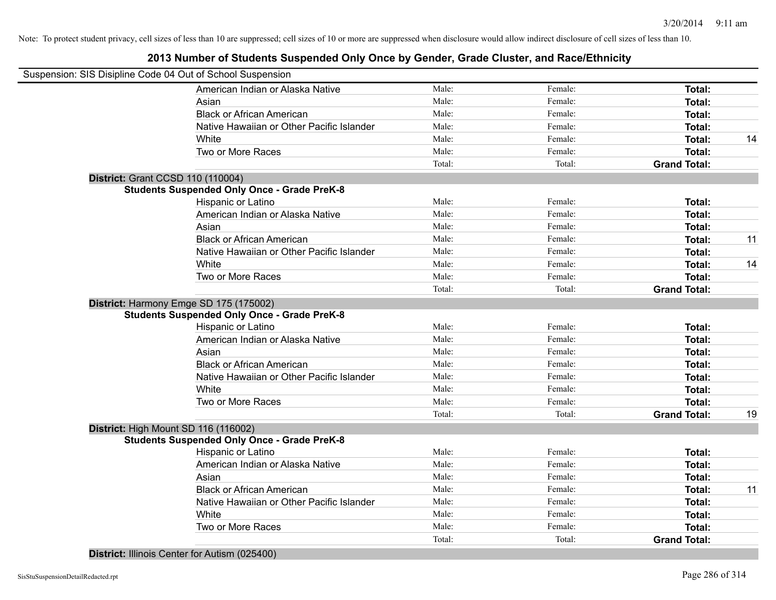#### **2013 Number of Students Suspended Only Once by Gender, Grade Cluster, and Race/Ethnicity**

|                                          | Suspension: SIS Disipline Code 04 Out of School Suspension |        |         |                     |    |
|------------------------------------------|------------------------------------------------------------|--------|---------|---------------------|----|
|                                          | American Indian or Alaska Native                           | Male:  | Female: | Total:              |    |
|                                          | Asian                                                      | Male:  | Female: | Total:              |    |
|                                          | <b>Black or African American</b>                           | Male:  | Female: | Total:              |    |
|                                          | Native Hawaiian or Other Pacific Islander                  | Male:  | Female: | Total:              |    |
|                                          | White                                                      | Male:  | Female: | Total:              | 14 |
|                                          | Two or More Races                                          | Male:  | Female: | Total:              |    |
|                                          |                                                            | Total: | Total:  | <b>Grand Total:</b> |    |
| <b>District: Grant CCSD 110 (110004)</b> |                                                            |        |         |                     |    |
|                                          | <b>Students Suspended Only Once - Grade PreK-8</b>         |        |         |                     |    |
|                                          | Hispanic or Latino                                         | Male:  | Female: | Total:              |    |
|                                          | American Indian or Alaska Native                           | Male:  | Female: | Total:              |    |
|                                          | Asian                                                      | Male:  | Female: | Total:              |    |
|                                          | <b>Black or African American</b>                           | Male:  | Female: | <b>Total:</b>       | 11 |
|                                          | Native Hawaiian or Other Pacific Islander                  | Male:  | Female: | <b>Total:</b>       |    |
|                                          | White                                                      | Male:  | Female: | <b>Total:</b>       | 14 |
|                                          | Two or More Races                                          | Male:  | Female: | <b>Total:</b>       |    |
|                                          |                                                            | Total: | Total:  | <b>Grand Total:</b> |    |
|                                          | District: Harmony Emge SD 175 (175002)                     |        |         |                     |    |
|                                          | <b>Students Suspended Only Once - Grade PreK-8</b>         |        |         |                     |    |
|                                          | Hispanic or Latino                                         | Male:  | Female: | Total:              |    |
|                                          | American Indian or Alaska Native                           | Male:  | Female: | Total:              |    |
|                                          | Asian                                                      | Male:  | Female: | Total:              |    |
|                                          | <b>Black or African American</b>                           | Male:  | Female: | Total:              |    |
|                                          | Native Hawaiian or Other Pacific Islander                  | Male:  | Female: | Total:              |    |
|                                          | White                                                      | Male:  | Female: | Total:              |    |
|                                          | Two or More Races                                          | Male:  | Female: | <b>Total:</b>       |    |
|                                          |                                                            | Total: | Total:  | <b>Grand Total:</b> | 19 |
|                                          | District: High Mount SD 116 (116002)                       |        |         |                     |    |
|                                          | <b>Students Suspended Only Once - Grade PreK-8</b>         |        |         |                     |    |
|                                          | Hispanic or Latino                                         | Male:  | Female: | Total:              |    |
|                                          | American Indian or Alaska Native                           | Male:  | Female: | Total:              |    |
|                                          | Asian                                                      | Male:  | Female: | Total:              |    |
|                                          | <b>Black or African American</b>                           | Male:  | Female: | Total:              | 11 |
|                                          | Native Hawaiian or Other Pacific Islander                  | Male:  | Female: | Total:              |    |
|                                          | White                                                      | Male:  | Female: | Total:              |    |
|                                          | Two or More Races                                          | Male:  | Female: | Total:              |    |
|                                          |                                                            | Total: | Total:  | <b>Grand Total:</b> |    |
|                                          |                                                            |        |         |                     |    |

**District:** Illinois Center for Autism (025400)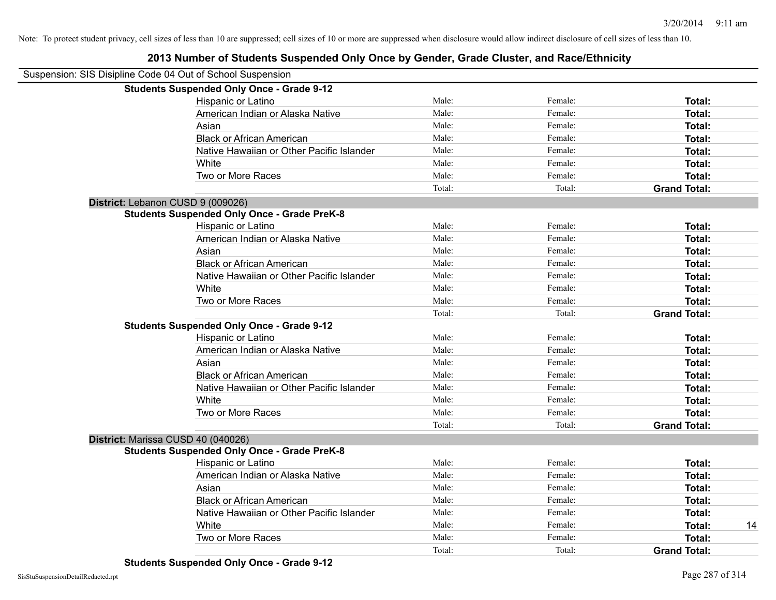| Suspension: SIS Disipline Code 04 Out of School Suspension |                                                    |        |         |                     |
|------------------------------------------------------------|----------------------------------------------------|--------|---------|---------------------|
|                                                            | <b>Students Suspended Only Once - Grade 9-12</b>   |        |         |                     |
|                                                            | Hispanic or Latino                                 | Male:  | Female: | Total:              |
|                                                            | American Indian or Alaska Native                   | Male:  | Female: | Total:              |
|                                                            | Asian                                              | Male:  | Female: | Total:              |
|                                                            | <b>Black or African American</b>                   | Male:  | Female: | Total:              |
|                                                            | Native Hawaiian or Other Pacific Islander          | Male:  | Female: | Total:              |
|                                                            | White                                              | Male:  | Female: | Total:              |
|                                                            | Two or More Races                                  | Male:  | Female: | Total:              |
|                                                            |                                                    | Total: | Total:  | <b>Grand Total:</b> |
|                                                            | District: Lebanon CUSD 9 (009026)                  |        |         |                     |
|                                                            | <b>Students Suspended Only Once - Grade PreK-8</b> |        |         |                     |
|                                                            | Hispanic or Latino                                 | Male:  | Female: | Total:              |
|                                                            | American Indian or Alaska Native                   | Male:  | Female: | Total:              |
|                                                            | Asian                                              | Male:  | Female: | Total:              |
|                                                            | <b>Black or African American</b>                   | Male:  | Female: | Total:              |
|                                                            | Native Hawaiian or Other Pacific Islander          | Male:  | Female: | Total:              |
|                                                            | White                                              | Male:  | Female: | Total:              |
|                                                            | Two or More Races                                  | Male:  | Female: | Total:              |
|                                                            |                                                    | Total: | Total:  | <b>Grand Total:</b> |
|                                                            | <b>Students Suspended Only Once - Grade 9-12</b>   |        |         |                     |
|                                                            | Hispanic or Latino                                 | Male:  | Female: | Total:              |
|                                                            | American Indian or Alaska Native                   | Male:  | Female: | Total:              |
|                                                            | Asian                                              | Male:  | Female: | Total:              |
|                                                            | <b>Black or African American</b>                   | Male:  | Female: | Total:              |
|                                                            | Native Hawaiian or Other Pacific Islander          | Male:  | Female: | Total:              |
|                                                            | White                                              | Male:  | Female: | Total:              |
|                                                            | Two or More Races                                  | Male:  | Female: | Total:              |
|                                                            |                                                    | Total: | Total:  | <b>Grand Total:</b> |
|                                                            | District: Marissa CUSD 40 (040026)                 |        |         |                     |
|                                                            | <b>Students Suspended Only Once - Grade PreK-8</b> |        |         |                     |
|                                                            | Hispanic or Latino                                 | Male:  | Female: | Total:              |
|                                                            | American Indian or Alaska Native                   | Male:  | Female: | Total:              |
|                                                            | Asian                                              | Male:  | Female: | Total:              |
|                                                            | <b>Black or African American</b>                   | Male:  | Female: | Total:              |
|                                                            | Native Hawaiian or Other Pacific Islander          | Male:  | Female: | Total:              |
|                                                            | White                                              | Male:  | Female: | Total:<br>14        |
|                                                            | Two or More Races                                  | Male:  | Female: | Total:              |
|                                                            |                                                    | Total: | Total:  | <b>Grand Total:</b> |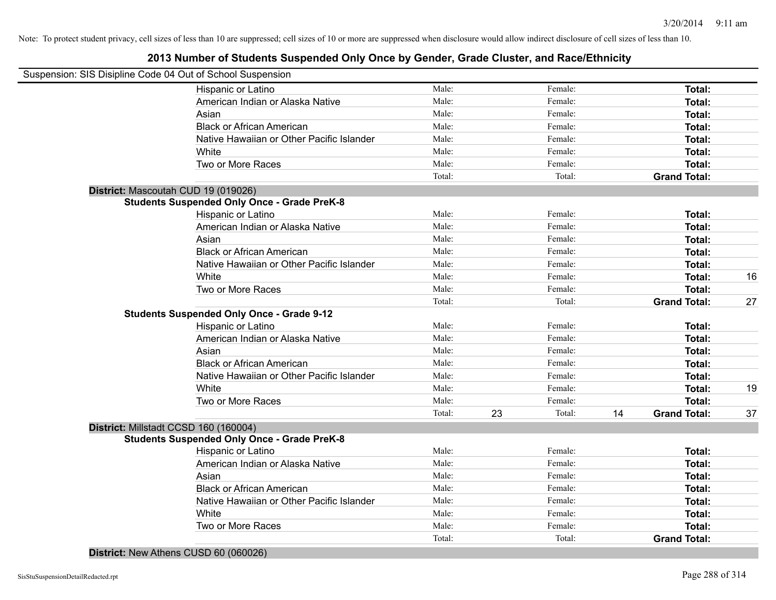#### **2013 Number of Students Suspended Only Once by Gender, Grade Cluster, and Race/Ethnicity**

| Suspension: SIS Disipline Code 04 Out of School Suspension<br>Male:<br>Female:<br>Total:<br>Hispanic or Latino<br>Male:<br>American Indian or Alaska Native<br>Female:<br>Total:<br>Male:<br>Female:<br>Asian<br>Total:<br><b>Black or African American</b><br>Male:<br>Female:<br>Total:<br>Native Hawaiian or Other Pacific Islander<br>Male:<br>Female:<br>Total:<br>Male:<br>Female:<br>White<br>Total:<br>Two or More Races<br>Male:<br>Female:<br>Total:<br>Total:<br>Total:<br><b>Grand Total:</b><br>District: Mascoutah CUD 19 (019026)<br><b>Students Suspended Only Once - Grade PreK-8</b><br>Male:<br>Female:<br>Hispanic or Latino<br>Total:<br>Male:<br>American Indian or Alaska Native<br>Female:<br>Total:<br>Male:<br>Asian<br>Female:<br>Total:<br><b>Black or African American</b><br>Male:<br>Female:<br>Total:<br>Native Hawaiian or Other Pacific Islander<br>Male:<br>Female:<br>Total:<br>White<br>Male:<br>Female:<br>Total:<br>Two or More Races<br>Male:<br>Female:<br>Total:<br>Total:<br>Total:<br><b>Grand Total:</b><br><b>Students Suspended Only Once - Grade 9-12</b><br>Male:<br>Hispanic or Latino<br>Female:<br>Total:<br>Male:<br>American Indian or Alaska Native<br>Female:<br>Total:<br>Male:<br>Asian<br>Female:<br>Total:<br>Male:<br><b>Black or African American</b><br>Female:<br>Total:<br>Male:<br>Native Hawaiian or Other Pacific Islander<br>Female:<br>Total:<br>Male:<br>White<br>Female:<br>Total:<br>Male:<br>Two or More Races<br>Female:<br>Total:<br>23<br>14<br>Total:<br>Total:<br><b>Grand Total:</b><br>District: Millstadt CCSD 160 (160004)<br><b>Students Suspended Only Once - Grade PreK-8</b><br>Male:<br>Female:<br>Total:<br>Hispanic or Latino<br>Male:<br>Female:<br>American Indian or Alaska Native<br>Total:<br>Male:<br>Female:<br>Asian<br>Total:<br>Male:<br><b>Black or African American</b><br>Female:<br>Total:<br>Male:<br>Female:<br>Native Hawaiian or Other Pacific Islander<br>Total:<br>Male:<br>Female:<br>White<br>Total:<br>Two or More Races<br>Male:<br>Female:<br>Total:<br>Total:<br>Total:<br><b>Grand Total:</b> |  |  |  |    |
|--------------------------------------------------------------------------------------------------------------------------------------------------------------------------------------------------------------------------------------------------------------------------------------------------------------------------------------------------------------------------------------------------------------------------------------------------------------------------------------------------------------------------------------------------------------------------------------------------------------------------------------------------------------------------------------------------------------------------------------------------------------------------------------------------------------------------------------------------------------------------------------------------------------------------------------------------------------------------------------------------------------------------------------------------------------------------------------------------------------------------------------------------------------------------------------------------------------------------------------------------------------------------------------------------------------------------------------------------------------------------------------------------------------------------------------------------------------------------------------------------------------------------------------------------------------------------------------------------------------------------------------------------------------------------------------------------------------------------------------------------------------------------------------------------------------------------------------------------------------------------------------------------------------------------------------------------------------------------------------------------------------------------------------------------------------------------------------------------------------------|--|--|--|----|
|                                                                                                                                                                                                                                                                                                                                                                                                                                                                                                                                                                                                                                                                                                                                                                                                                                                                                                                                                                                                                                                                                                                                                                                                                                                                                                                                                                                                                                                                                                                                                                                                                                                                                                                                                                                                                                                                                                                                                                                                                                                                                                                    |  |  |  |    |
|                                                                                                                                                                                                                                                                                                                                                                                                                                                                                                                                                                                                                                                                                                                                                                                                                                                                                                                                                                                                                                                                                                                                                                                                                                                                                                                                                                                                                                                                                                                                                                                                                                                                                                                                                                                                                                                                                                                                                                                                                                                                                                                    |  |  |  |    |
|                                                                                                                                                                                                                                                                                                                                                                                                                                                                                                                                                                                                                                                                                                                                                                                                                                                                                                                                                                                                                                                                                                                                                                                                                                                                                                                                                                                                                                                                                                                                                                                                                                                                                                                                                                                                                                                                                                                                                                                                                                                                                                                    |  |  |  |    |
|                                                                                                                                                                                                                                                                                                                                                                                                                                                                                                                                                                                                                                                                                                                                                                                                                                                                                                                                                                                                                                                                                                                                                                                                                                                                                                                                                                                                                                                                                                                                                                                                                                                                                                                                                                                                                                                                                                                                                                                                                                                                                                                    |  |  |  |    |
|                                                                                                                                                                                                                                                                                                                                                                                                                                                                                                                                                                                                                                                                                                                                                                                                                                                                                                                                                                                                                                                                                                                                                                                                                                                                                                                                                                                                                                                                                                                                                                                                                                                                                                                                                                                                                                                                                                                                                                                                                                                                                                                    |  |  |  |    |
|                                                                                                                                                                                                                                                                                                                                                                                                                                                                                                                                                                                                                                                                                                                                                                                                                                                                                                                                                                                                                                                                                                                                                                                                                                                                                                                                                                                                                                                                                                                                                                                                                                                                                                                                                                                                                                                                                                                                                                                                                                                                                                                    |  |  |  |    |
|                                                                                                                                                                                                                                                                                                                                                                                                                                                                                                                                                                                                                                                                                                                                                                                                                                                                                                                                                                                                                                                                                                                                                                                                                                                                                                                                                                                                                                                                                                                                                                                                                                                                                                                                                                                                                                                                                                                                                                                                                                                                                                                    |  |  |  |    |
|                                                                                                                                                                                                                                                                                                                                                                                                                                                                                                                                                                                                                                                                                                                                                                                                                                                                                                                                                                                                                                                                                                                                                                                                                                                                                                                                                                                                                                                                                                                                                                                                                                                                                                                                                                                                                                                                                                                                                                                                                                                                                                                    |  |  |  |    |
|                                                                                                                                                                                                                                                                                                                                                                                                                                                                                                                                                                                                                                                                                                                                                                                                                                                                                                                                                                                                                                                                                                                                                                                                                                                                                                                                                                                                                                                                                                                                                                                                                                                                                                                                                                                                                                                                                                                                                                                                                                                                                                                    |  |  |  |    |
|                                                                                                                                                                                                                                                                                                                                                                                                                                                                                                                                                                                                                                                                                                                                                                                                                                                                                                                                                                                                                                                                                                                                                                                                                                                                                                                                                                                                                                                                                                                                                                                                                                                                                                                                                                                                                                                                                                                                                                                                                                                                                                                    |  |  |  |    |
|                                                                                                                                                                                                                                                                                                                                                                                                                                                                                                                                                                                                                                                                                                                                                                                                                                                                                                                                                                                                                                                                                                                                                                                                                                                                                                                                                                                                                                                                                                                                                                                                                                                                                                                                                                                                                                                                                                                                                                                                                                                                                                                    |  |  |  |    |
|                                                                                                                                                                                                                                                                                                                                                                                                                                                                                                                                                                                                                                                                                                                                                                                                                                                                                                                                                                                                                                                                                                                                                                                                                                                                                                                                                                                                                                                                                                                                                                                                                                                                                                                                                                                                                                                                                                                                                                                                                                                                                                                    |  |  |  |    |
|                                                                                                                                                                                                                                                                                                                                                                                                                                                                                                                                                                                                                                                                                                                                                                                                                                                                                                                                                                                                                                                                                                                                                                                                                                                                                                                                                                                                                                                                                                                                                                                                                                                                                                                                                                                                                                                                                                                                                                                                                                                                                                                    |  |  |  |    |
|                                                                                                                                                                                                                                                                                                                                                                                                                                                                                                                                                                                                                                                                                                                                                                                                                                                                                                                                                                                                                                                                                                                                                                                                                                                                                                                                                                                                                                                                                                                                                                                                                                                                                                                                                                                                                                                                                                                                                                                                                                                                                                                    |  |  |  |    |
|                                                                                                                                                                                                                                                                                                                                                                                                                                                                                                                                                                                                                                                                                                                                                                                                                                                                                                                                                                                                                                                                                                                                                                                                                                                                                                                                                                                                                                                                                                                                                                                                                                                                                                                                                                                                                                                                                                                                                                                                                                                                                                                    |  |  |  |    |
|                                                                                                                                                                                                                                                                                                                                                                                                                                                                                                                                                                                                                                                                                                                                                                                                                                                                                                                                                                                                                                                                                                                                                                                                                                                                                                                                                                                                                                                                                                                                                                                                                                                                                                                                                                                                                                                                                                                                                                                                                                                                                                                    |  |  |  |    |
|                                                                                                                                                                                                                                                                                                                                                                                                                                                                                                                                                                                                                                                                                                                                                                                                                                                                                                                                                                                                                                                                                                                                                                                                                                                                                                                                                                                                                                                                                                                                                                                                                                                                                                                                                                                                                                                                                                                                                                                                                                                                                                                    |  |  |  | 16 |
|                                                                                                                                                                                                                                                                                                                                                                                                                                                                                                                                                                                                                                                                                                                                                                                                                                                                                                                                                                                                                                                                                                                                                                                                                                                                                                                                                                                                                                                                                                                                                                                                                                                                                                                                                                                                                                                                                                                                                                                                                                                                                                                    |  |  |  |    |
|                                                                                                                                                                                                                                                                                                                                                                                                                                                                                                                                                                                                                                                                                                                                                                                                                                                                                                                                                                                                                                                                                                                                                                                                                                                                                                                                                                                                                                                                                                                                                                                                                                                                                                                                                                                                                                                                                                                                                                                                                                                                                                                    |  |  |  | 27 |
|                                                                                                                                                                                                                                                                                                                                                                                                                                                                                                                                                                                                                                                                                                                                                                                                                                                                                                                                                                                                                                                                                                                                                                                                                                                                                                                                                                                                                                                                                                                                                                                                                                                                                                                                                                                                                                                                                                                                                                                                                                                                                                                    |  |  |  |    |
|                                                                                                                                                                                                                                                                                                                                                                                                                                                                                                                                                                                                                                                                                                                                                                                                                                                                                                                                                                                                                                                                                                                                                                                                                                                                                                                                                                                                                                                                                                                                                                                                                                                                                                                                                                                                                                                                                                                                                                                                                                                                                                                    |  |  |  |    |
|                                                                                                                                                                                                                                                                                                                                                                                                                                                                                                                                                                                                                                                                                                                                                                                                                                                                                                                                                                                                                                                                                                                                                                                                                                                                                                                                                                                                                                                                                                                                                                                                                                                                                                                                                                                                                                                                                                                                                                                                                                                                                                                    |  |  |  |    |
|                                                                                                                                                                                                                                                                                                                                                                                                                                                                                                                                                                                                                                                                                                                                                                                                                                                                                                                                                                                                                                                                                                                                                                                                                                                                                                                                                                                                                                                                                                                                                                                                                                                                                                                                                                                                                                                                                                                                                                                                                                                                                                                    |  |  |  |    |
|                                                                                                                                                                                                                                                                                                                                                                                                                                                                                                                                                                                                                                                                                                                                                                                                                                                                                                                                                                                                                                                                                                                                                                                                                                                                                                                                                                                                                                                                                                                                                                                                                                                                                                                                                                                                                                                                                                                                                                                                                                                                                                                    |  |  |  |    |
|                                                                                                                                                                                                                                                                                                                                                                                                                                                                                                                                                                                                                                                                                                                                                                                                                                                                                                                                                                                                                                                                                                                                                                                                                                                                                                                                                                                                                                                                                                                                                                                                                                                                                                                                                                                                                                                                                                                                                                                                                                                                                                                    |  |  |  |    |
|                                                                                                                                                                                                                                                                                                                                                                                                                                                                                                                                                                                                                                                                                                                                                                                                                                                                                                                                                                                                                                                                                                                                                                                                                                                                                                                                                                                                                                                                                                                                                                                                                                                                                                                                                                                                                                                                                                                                                                                                                                                                                                                    |  |  |  | 19 |
|                                                                                                                                                                                                                                                                                                                                                                                                                                                                                                                                                                                                                                                                                                                                                                                                                                                                                                                                                                                                                                                                                                                                                                                                                                                                                                                                                                                                                                                                                                                                                                                                                                                                                                                                                                                                                                                                                                                                                                                                                                                                                                                    |  |  |  |    |
|                                                                                                                                                                                                                                                                                                                                                                                                                                                                                                                                                                                                                                                                                                                                                                                                                                                                                                                                                                                                                                                                                                                                                                                                                                                                                                                                                                                                                                                                                                                                                                                                                                                                                                                                                                                                                                                                                                                                                                                                                                                                                                                    |  |  |  | 37 |
|                                                                                                                                                                                                                                                                                                                                                                                                                                                                                                                                                                                                                                                                                                                                                                                                                                                                                                                                                                                                                                                                                                                                                                                                                                                                                                                                                                                                                                                                                                                                                                                                                                                                                                                                                                                                                                                                                                                                                                                                                                                                                                                    |  |  |  |    |
|                                                                                                                                                                                                                                                                                                                                                                                                                                                                                                                                                                                                                                                                                                                                                                                                                                                                                                                                                                                                                                                                                                                                                                                                                                                                                                                                                                                                                                                                                                                                                                                                                                                                                                                                                                                                                                                                                                                                                                                                                                                                                                                    |  |  |  |    |
|                                                                                                                                                                                                                                                                                                                                                                                                                                                                                                                                                                                                                                                                                                                                                                                                                                                                                                                                                                                                                                                                                                                                                                                                                                                                                                                                                                                                                                                                                                                                                                                                                                                                                                                                                                                                                                                                                                                                                                                                                                                                                                                    |  |  |  |    |
|                                                                                                                                                                                                                                                                                                                                                                                                                                                                                                                                                                                                                                                                                                                                                                                                                                                                                                                                                                                                                                                                                                                                                                                                                                                                                                                                                                                                                                                                                                                                                                                                                                                                                                                                                                                                                                                                                                                                                                                                                                                                                                                    |  |  |  |    |
|                                                                                                                                                                                                                                                                                                                                                                                                                                                                                                                                                                                                                                                                                                                                                                                                                                                                                                                                                                                                                                                                                                                                                                                                                                                                                                                                                                                                                                                                                                                                                                                                                                                                                                                                                                                                                                                                                                                                                                                                                                                                                                                    |  |  |  |    |
|                                                                                                                                                                                                                                                                                                                                                                                                                                                                                                                                                                                                                                                                                                                                                                                                                                                                                                                                                                                                                                                                                                                                                                                                                                                                                                                                                                                                                                                                                                                                                                                                                                                                                                                                                                                                                                                                                                                                                                                                                                                                                                                    |  |  |  |    |
|                                                                                                                                                                                                                                                                                                                                                                                                                                                                                                                                                                                                                                                                                                                                                                                                                                                                                                                                                                                                                                                                                                                                                                                                                                                                                                                                                                                                                                                                                                                                                                                                                                                                                                                                                                                                                                                                                                                                                                                                                                                                                                                    |  |  |  |    |
|                                                                                                                                                                                                                                                                                                                                                                                                                                                                                                                                                                                                                                                                                                                                                                                                                                                                                                                                                                                                                                                                                                                                                                                                                                                                                                                                                                                                                                                                                                                                                                                                                                                                                                                                                                                                                                                                                                                                                                                                                                                                                                                    |  |  |  |    |
|                                                                                                                                                                                                                                                                                                                                                                                                                                                                                                                                                                                                                                                                                                                                                                                                                                                                                                                                                                                                                                                                                                                                                                                                                                                                                                                                                                                                                                                                                                                                                                                                                                                                                                                                                                                                                                                                                                                                                                                                                                                                                                                    |  |  |  |    |
|                                                                                                                                                                                                                                                                                                                                                                                                                                                                                                                                                                                                                                                                                                                                                                                                                                                                                                                                                                                                                                                                                                                                                                                                                                                                                                                                                                                                                                                                                                                                                                                                                                                                                                                                                                                                                                                                                                                                                                                                                                                                                                                    |  |  |  |    |

**District:** New Athens CUSD 60 (060026)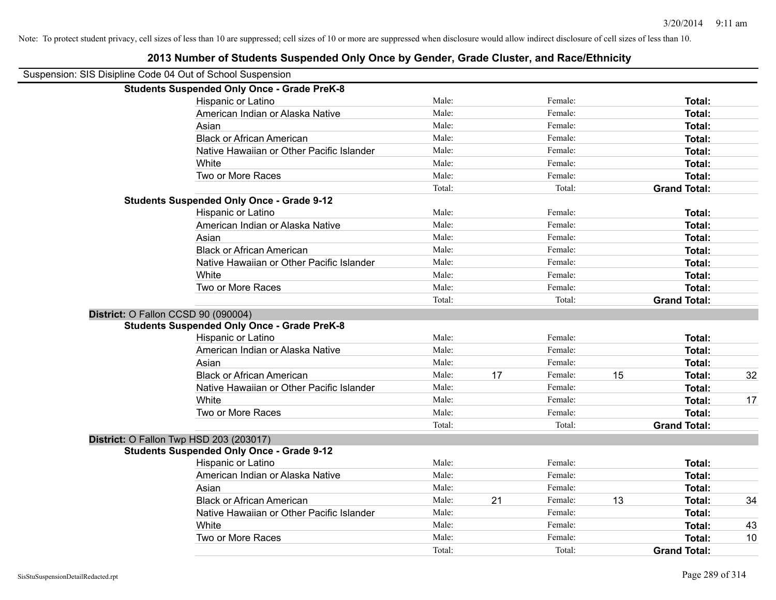| Suspension: SIS Disipline Code 04 Out of School Suspension |        |    |         |    |                     |    |
|------------------------------------------------------------|--------|----|---------|----|---------------------|----|
| <b>Students Suspended Only Once - Grade PreK-8</b>         |        |    |         |    |                     |    |
| Hispanic or Latino                                         | Male:  |    | Female: |    | Total:              |    |
| American Indian or Alaska Native                           | Male:  |    | Female: |    | Total:              |    |
| Asian                                                      | Male:  |    | Female: |    | Total:              |    |
| <b>Black or African American</b>                           | Male:  |    | Female: |    | Total:              |    |
| Native Hawaiian or Other Pacific Islander                  | Male:  |    | Female: |    | Total:              |    |
| White                                                      | Male:  |    | Female: |    | Total:              |    |
| Two or More Races                                          | Male:  |    | Female: |    | Total:              |    |
|                                                            | Total: |    | Total:  |    | <b>Grand Total:</b> |    |
| <b>Students Suspended Only Once - Grade 9-12</b>           |        |    |         |    |                     |    |
| Hispanic or Latino                                         | Male:  |    | Female: |    | Total:              |    |
| American Indian or Alaska Native                           | Male:  |    | Female: |    | Total:              |    |
| Asian                                                      | Male:  |    | Female: |    | Total:              |    |
| <b>Black or African American</b>                           | Male:  |    | Female: |    | Total:              |    |
| Native Hawaiian or Other Pacific Islander                  | Male:  |    | Female: |    | Total:              |    |
| White                                                      | Male:  |    | Female: |    | Total:              |    |
| Two or More Races                                          | Male:  |    | Female: |    | Total:              |    |
|                                                            | Total: |    | Total:  |    | <b>Grand Total:</b> |    |
| District: O Fallon CCSD 90 (090004)                        |        |    |         |    |                     |    |
| <b>Students Suspended Only Once - Grade PreK-8</b>         |        |    |         |    |                     |    |
| Hispanic or Latino                                         | Male:  |    | Female: |    | Total:              |    |
| American Indian or Alaska Native                           | Male:  |    | Female: |    | Total:              |    |
| Asian                                                      | Male:  |    | Female: |    | Total:              |    |
| <b>Black or African American</b>                           | Male:  | 17 | Female: | 15 | Total:              | 32 |
| Native Hawaiian or Other Pacific Islander                  | Male:  |    | Female: |    | Total:              |    |
| White                                                      | Male:  |    | Female: |    | Total:              | 17 |
| Two or More Races                                          | Male:  |    | Female: |    | Total:              |    |
|                                                            | Total: |    | Total:  |    | <b>Grand Total:</b> |    |
| District: O Fallon Twp HSD 203 (203017)                    |        |    |         |    |                     |    |
| <b>Students Suspended Only Once - Grade 9-12</b>           |        |    |         |    |                     |    |
| Hispanic or Latino                                         | Male:  |    | Female: |    | Total:              |    |
| American Indian or Alaska Native                           | Male:  |    | Female: |    | Total:              |    |
| Asian                                                      | Male:  |    | Female: |    | Total:              |    |
| <b>Black or African American</b>                           | Male:  | 21 | Female: | 13 | Total:              | 34 |
| Native Hawaiian or Other Pacific Islander                  | Male:  |    | Female: |    | Total:              |    |
| White                                                      | Male:  |    | Female: |    | Total:              | 43 |
| Two or More Races                                          | Male:  |    | Female: |    | Total:              | 10 |
|                                                            | Total: |    | Total:  |    | <b>Grand Total:</b> |    |
|                                                            |        |    |         |    |                     |    |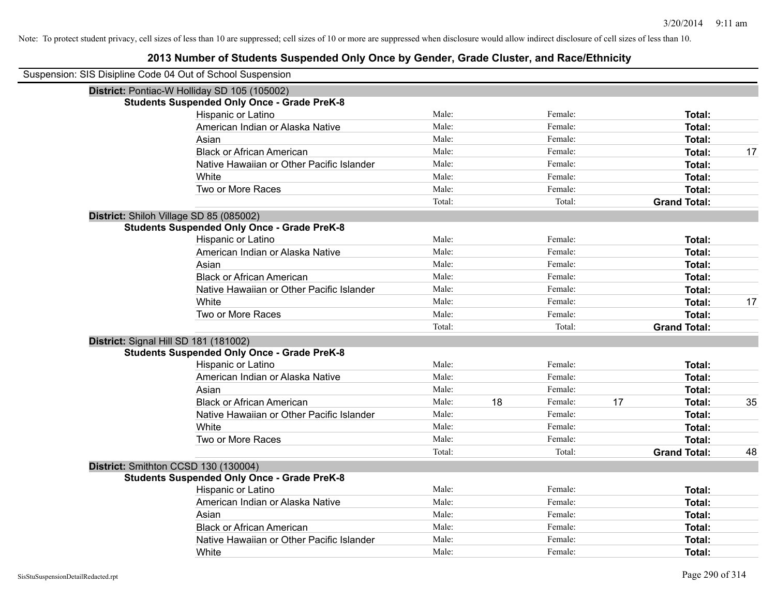| Suspension: SIS Disipline Code 04 Out of School Suspension |        |    |         |    |                     |    |
|------------------------------------------------------------|--------|----|---------|----|---------------------|----|
| District: Pontiac-W Holliday SD 105 (105002)               |        |    |         |    |                     |    |
| <b>Students Suspended Only Once - Grade PreK-8</b>         |        |    |         |    |                     |    |
| Hispanic or Latino                                         | Male:  |    | Female: |    | Total:              |    |
| American Indian or Alaska Native                           | Male:  |    | Female: |    | Total:              |    |
| Asian                                                      | Male:  |    | Female: |    | Total:              |    |
| <b>Black or African American</b>                           | Male:  |    | Female: |    | <b>Total:</b>       | 17 |
| Native Hawaiian or Other Pacific Islander                  | Male:  |    | Female: |    | Total:              |    |
| White                                                      | Male:  |    | Female: |    | Total:              |    |
| Two or More Races                                          | Male:  |    | Female: |    | Total:              |    |
|                                                            | Total: |    | Total:  |    | <b>Grand Total:</b> |    |
| District: Shiloh Village SD 85 (085002)                    |        |    |         |    |                     |    |
| <b>Students Suspended Only Once - Grade PreK-8</b>         |        |    |         |    |                     |    |
| Hispanic or Latino                                         | Male:  |    | Female: |    | Total:              |    |
| American Indian or Alaska Native                           | Male:  |    | Female: |    | Total:              |    |
| Asian                                                      | Male:  |    | Female: |    | <b>Total:</b>       |    |
| <b>Black or African American</b>                           | Male:  |    | Female: |    | Total:              |    |
| Native Hawaiian or Other Pacific Islander                  | Male:  |    | Female: |    | <b>Total:</b>       |    |
| White                                                      | Male:  |    | Female: |    | Total:              | 17 |
| Two or More Races                                          | Male:  |    | Female: |    | Total:              |    |
|                                                            | Total: |    | Total:  |    | <b>Grand Total:</b> |    |
| District: Signal Hill SD 181 (181002)                      |        |    |         |    |                     |    |
| <b>Students Suspended Only Once - Grade PreK-8</b>         |        |    |         |    |                     |    |
| Hispanic or Latino                                         | Male:  |    | Female: |    | Total:              |    |
| American Indian or Alaska Native                           | Male:  |    | Female: |    | Total:              |    |
| Asian                                                      | Male:  |    | Female: |    | Total:              |    |
| <b>Black or African American</b>                           | Male:  | 18 | Female: | 17 | Total:              | 35 |
| Native Hawaiian or Other Pacific Islander                  | Male:  |    | Female: |    | <b>Total:</b>       |    |
| White                                                      | Male:  |    | Female: |    | Total:              |    |
| Two or More Races                                          | Male:  |    | Female: |    | Total:              |    |
|                                                            | Total: |    | Total:  |    | <b>Grand Total:</b> | 48 |
| District: Smithton CCSD 130 (130004)                       |        |    |         |    |                     |    |
| <b>Students Suspended Only Once - Grade PreK-8</b>         |        |    |         |    |                     |    |
| Hispanic or Latino                                         | Male:  |    | Female: |    | Total:              |    |
| American Indian or Alaska Native                           | Male:  |    | Female: |    | Total:              |    |
| Asian                                                      | Male:  |    | Female: |    | Total:              |    |
| <b>Black or African American</b>                           | Male:  |    | Female: |    | Total:              |    |
| Native Hawaiian or Other Pacific Islander                  | Male:  |    | Female: |    | Total:              |    |
| White                                                      | Male:  |    | Female: |    | Total:              |    |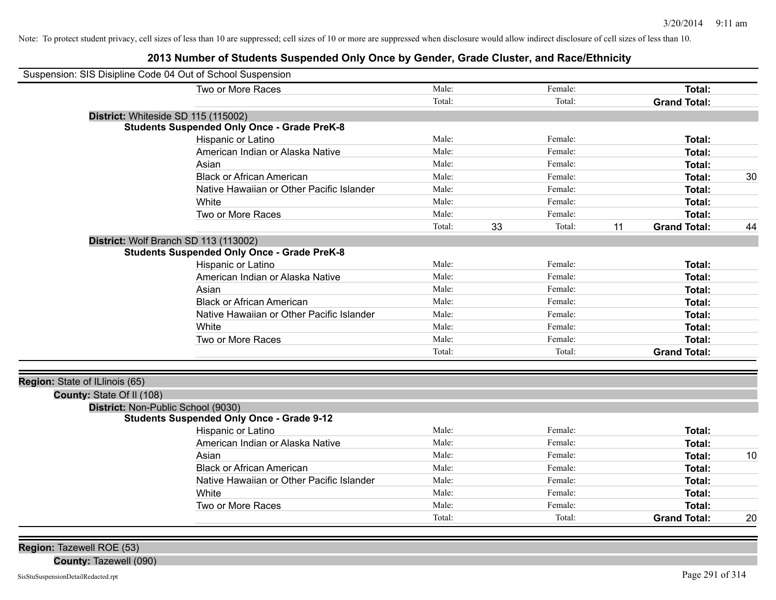# **2013 Number of Students Suspended Only Once by Gender, Grade Cluster, and Race/Ethnicity**

| Suspension: SIS Disipline Code 04 Out of School Suspension |                                                    |        |              |                           |    |
|------------------------------------------------------------|----------------------------------------------------|--------|--------------|---------------------------|----|
|                                                            | Two or More Races                                  | Male:  | Female:      | <b>Total:</b>             |    |
|                                                            |                                                    | Total: | Total:       | <b>Grand Total:</b>       |    |
| District: Whiteside SD 115 (115002)                        |                                                    |        |              |                           |    |
|                                                            | <b>Students Suspended Only Once - Grade PreK-8</b> |        |              |                           |    |
|                                                            | Hispanic or Latino                                 | Male:  | Female:      | Total:                    |    |
|                                                            | American Indian or Alaska Native                   | Male:  | Female:      | Total:                    |    |
|                                                            | Asian                                              | Male:  | Female:      | Total:                    |    |
|                                                            | <b>Black or African American</b>                   | Male:  | Female:      | Total:                    | 30 |
|                                                            | Native Hawaiian or Other Pacific Islander          | Male:  | Female:      | Total:                    |    |
|                                                            | White                                              | Male:  | Female:      | Total:                    |    |
|                                                            | Two or More Races                                  | Male:  | Female:      | Total:                    |    |
|                                                            |                                                    | Total: | 33<br>Total: | 11<br><b>Grand Total:</b> | 44 |
| District: Wolf Branch SD 113 (113002)                      |                                                    |        |              |                           |    |
|                                                            | <b>Students Suspended Only Once - Grade PreK-8</b> |        |              |                           |    |
|                                                            | Hispanic or Latino                                 | Male:  | Female:      | Total:                    |    |
|                                                            | American Indian or Alaska Native                   | Male:  | Female:      | <b>Total:</b>             |    |
|                                                            | Asian                                              | Male:  | Female:      | <b>Total:</b>             |    |
|                                                            | <b>Black or African American</b>                   | Male:  | Female:      | Total:                    |    |
|                                                            | Native Hawaiian or Other Pacific Islander          | Male:  | Female:      | <b>Total:</b>             |    |
|                                                            | White                                              | Male:  | Female:      | <b>Total:</b>             |    |
|                                                            | Two or More Races                                  | Male:  | Female:      | Total:                    |    |
|                                                            |                                                    | Total: | Total:       | <b>Grand Total:</b>       |    |
|                                                            |                                                    |        |              |                           |    |
| Region: State of ILlinois (65)                             |                                                    |        |              |                           |    |
| County: State Of II (108)                                  |                                                    |        |              |                           |    |
| District: Non-Public School (9030)                         |                                                    |        |              |                           |    |
|                                                            | <b>Students Suspended Only Once - Grade 9-12</b>   |        |              |                           |    |
|                                                            | Hispanic or Latino                                 | Male:  | Female:      | <b>Total:</b>             |    |
|                                                            | American Indian or Alaska Native                   | Male:  | Female:      | <b>Total:</b>             |    |
|                                                            | Asian                                              | Male:  | Female:      | <b>Total:</b>             | 10 |
|                                                            | <b>Black or African American</b>                   | Male:  | Female:      | Total:                    |    |
|                                                            | Native Hawaiian or Other Pacific Islander          | Male:  | Female:      | Total:                    |    |
|                                                            | White                                              | Male:  | Female:      | Total:                    |    |
|                                                            | Two or More Races                                  | Male:  | Female:      | Total:                    |    |
|                                                            |                                                    | Total: | Total:       | <b>Grand Total:</b>       | 20 |
|                                                            |                                                    |        |              |                           |    |

**Region:** Tazewell ROE (53)

**County:** Tazewell (090)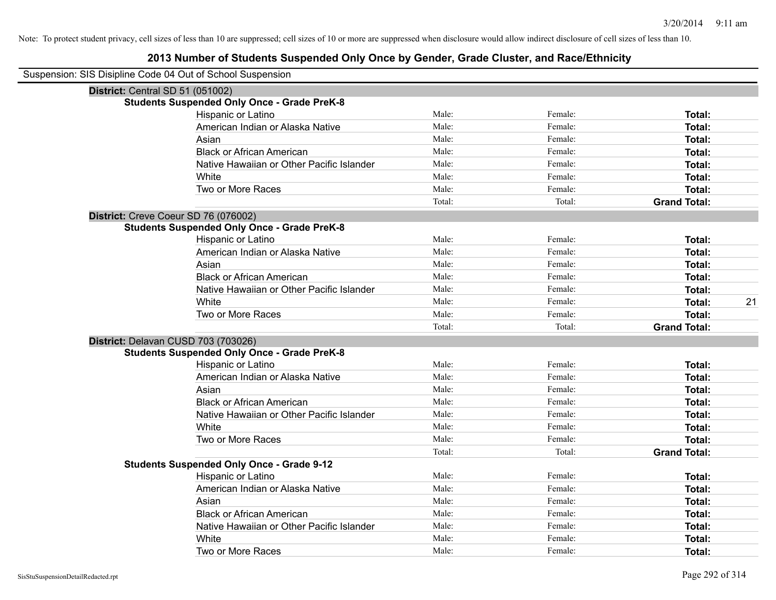| Suspension: SIS Disipline Code 04 Out of School Suspension |                                                    |        |         |                     |    |
|------------------------------------------------------------|----------------------------------------------------|--------|---------|---------------------|----|
| District: Central SD 51 (051002)                           |                                                    |        |         |                     |    |
|                                                            | <b>Students Suspended Only Once - Grade PreK-8</b> |        |         |                     |    |
|                                                            | Hispanic or Latino                                 | Male:  | Female: | Total:              |    |
|                                                            | American Indian or Alaska Native                   | Male:  | Female: | Total:              |    |
|                                                            | Asian                                              | Male:  | Female: | Total:              |    |
|                                                            | <b>Black or African American</b>                   | Male:  | Female: | Total:              |    |
|                                                            | Native Hawaiian or Other Pacific Islander          | Male:  | Female: | Total:              |    |
|                                                            | White                                              | Male:  | Female: | Total:              |    |
|                                                            | Two or More Races                                  | Male:  | Female: | Total:              |    |
|                                                            |                                                    | Total: | Total:  | <b>Grand Total:</b> |    |
|                                                            | District: Creve Coeur SD 76 (076002)               |        |         |                     |    |
|                                                            | <b>Students Suspended Only Once - Grade PreK-8</b> |        |         |                     |    |
|                                                            | Hispanic or Latino                                 | Male:  | Female: | Total:              |    |
|                                                            | American Indian or Alaska Native                   | Male:  | Female: | Total:              |    |
|                                                            | Asian                                              | Male:  | Female: | Total:              |    |
|                                                            | <b>Black or African American</b>                   | Male:  | Female: | Total:              |    |
|                                                            | Native Hawaiian or Other Pacific Islander          | Male:  | Female: | Total:              |    |
|                                                            | White                                              | Male:  | Female: | Total:              | 21 |
|                                                            | Two or More Races                                  | Male:  | Female: | Total:              |    |
|                                                            |                                                    | Total: | Total:  | <b>Grand Total:</b> |    |
|                                                            | District: Delavan CUSD 703 (703026)                |        |         |                     |    |
|                                                            | <b>Students Suspended Only Once - Grade PreK-8</b> |        |         |                     |    |
|                                                            | Hispanic or Latino                                 | Male:  | Female: | Total:              |    |
|                                                            | American Indian or Alaska Native                   | Male:  | Female: | Total:              |    |
|                                                            | Asian                                              | Male:  | Female: | Total:              |    |
|                                                            | <b>Black or African American</b>                   | Male:  | Female: | Total:              |    |
|                                                            | Native Hawaiian or Other Pacific Islander          | Male:  | Female: | Total:              |    |
|                                                            | White                                              | Male:  | Female: | Total:              |    |
|                                                            | Two or More Races                                  | Male:  | Female: | Total:              |    |
|                                                            |                                                    | Total: | Total:  | <b>Grand Total:</b> |    |
|                                                            | <b>Students Suspended Only Once - Grade 9-12</b>   |        |         |                     |    |
|                                                            | Hispanic or Latino                                 | Male:  | Female: | Total:              |    |
|                                                            | American Indian or Alaska Native                   | Male:  | Female: | Total:              |    |
|                                                            | Asian                                              | Male:  | Female: | Total:              |    |
|                                                            | <b>Black or African American</b>                   | Male:  | Female: | Total:              |    |
|                                                            | Native Hawaiian or Other Pacific Islander          | Male:  | Female: | Total:              |    |
|                                                            | White                                              | Male:  | Female: | Total:              |    |
|                                                            | Two or More Races                                  | Male:  | Female: | Total:              |    |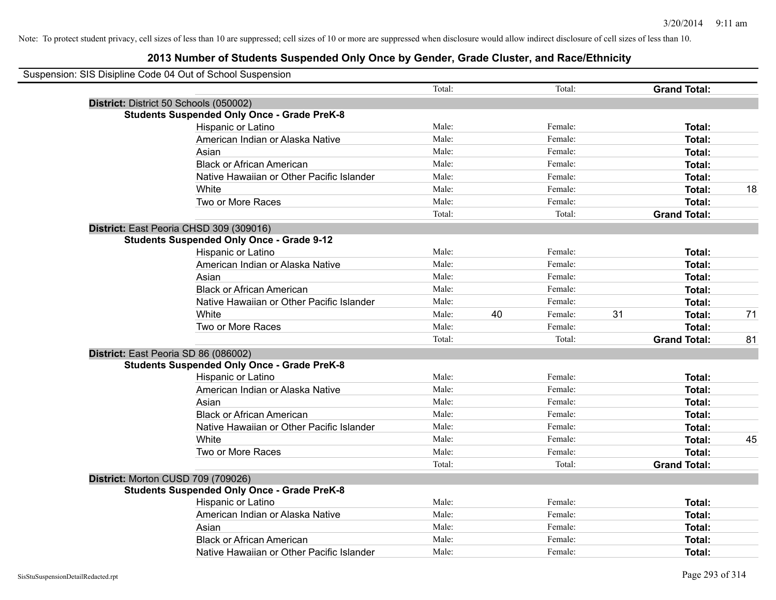| Suspension: SIS Disipline Code 04 Out of School Suspension |        |    |         |    |                     |    |
|------------------------------------------------------------|--------|----|---------|----|---------------------|----|
|                                                            | Total: |    | Total:  |    | <b>Grand Total:</b> |    |
| District: District 50 Schools (050002)                     |        |    |         |    |                     |    |
| <b>Students Suspended Only Once - Grade PreK-8</b>         |        |    |         |    |                     |    |
| Hispanic or Latino                                         | Male:  |    | Female: |    | Total:              |    |
| American Indian or Alaska Native                           | Male:  |    | Female: |    | Total:              |    |
| Asian                                                      | Male:  |    | Female: |    | Total:              |    |
| <b>Black or African American</b>                           | Male:  |    | Female: |    | Total:              |    |
| Native Hawaiian or Other Pacific Islander                  | Male:  |    | Female: |    | Total:              |    |
| White                                                      | Male:  |    | Female: |    | Total:              | 18 |
| Two or More Races                                          | Male:  |    | Female: |    | Total:              |    |
|                                                            | Total: |    | Total:  |    | <b>Grand Total:</b> |    |
| District: East Peoria CHSD 309 (309016)                    |        |    |         |    |                     |    |
| <b>Students Suspended Only Once - Grade 9-12</b>           |        |    |         |    |                     |    |
| Hispanic or Latino                                         | Male:  |    | Female: |    | Total:              |    |
| American Indian or Alaska Native                           | Male:  |    | Female: |    | Total:              |    |
| Asian                                                      | Male:  |    | Female: |    | Total:              |    |
| <b>Black or African American</b>                           | Male:  |    | Female: |    | Total:              |    |
| Native Hawaiian or Other Pacific Islander                  | Male:  |    | Female: |    | Total:              |    |
| White                                                      | Male:  | 40 | Female: | 31 | Total:              | 71 |
| Two or More Races                                          | Male:  |    | Female: |    | Total:              |    |
|                                                            | Total: |    | Total:  |    | <b>Grand Total:</b> | 81 |
| District: East Peoria SD 86 (086002)                       |        |    |         |    |                     |    |
| <b>Students Suspended Only Once - Grade PreK-8</b>         |        |    |         |    |                     |    |
| Hispanic or Latino                                         | Male:  |    | Female: |    | Total:              |    |
| American Indian or Alaska Native                           | Male:  |    | Female: |    | Total:              |    |
| Asian                                                      | Male:  |    | Female: |    | Total:              |    |
| <b>Black or African American</b>                           | Male:  |    | Female: |    | Total:              |    |
| Native Hawaiian or Other Pacific Islander                  | Male:  |    | Female: |    | Total:              |    |
| <b>White</b>                                               | Male:  |    | Female: |    | Total:              | 45 |
| Two or More Races                                          | Male:  |    | Female: |    | Total:              |    |
|                                                            | Total: |    | Total:  |    | <b>Grand Total:</b> |    |
| District: Morton CUSD 709 (709026)                         |        |    |         |    |                     |    |
| <b>Students Suspended Only Once - Grade PreK-8</b>         |        |    |         |    |                     |    |
| Hispanic or Latino                                         | Male:  |    | Female: |    | Total:              |    |
| American Indian or Alaska Native                           | Male:  |    | Female: |    | Total:              |    |
| Asian                                                      | Male:  |    | Female: |    | Total:              |    |
| <b>Black or African American</b>                           | Male:  |    | Female: |    | Total:              |    |
| Native Hawaiian or Other Pacific Islander                  | Male:  |    | Female: |    | Total:              |    |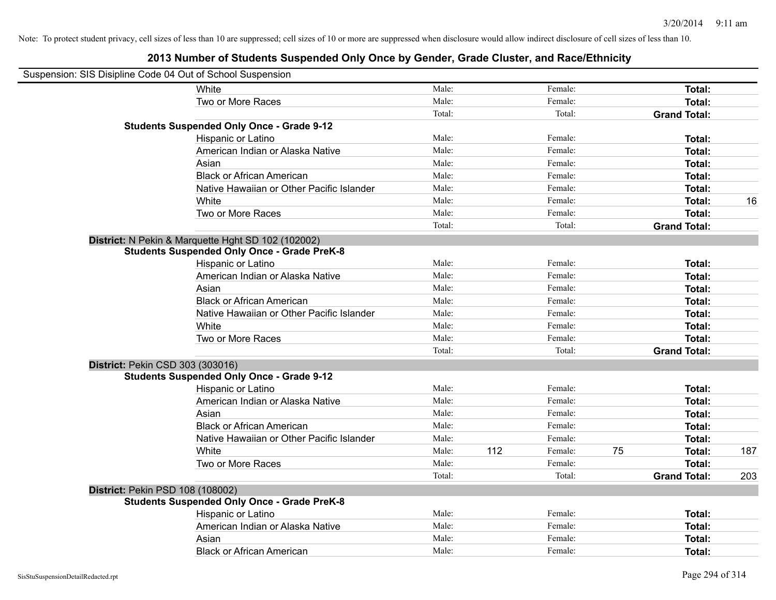| Suspension: SIS Disipline Code 04 Out of School Suspension |                                                    |        |     |         |    |                     |     |
|------------------------------------------------------------|----------------------------------------------------|--------|-----|---------|----|---------------------|-----|
|                                                            | White                                              | Male:  |     | Female: |    | Total:              |     |
|                                                            | Two or More Races                                  | Male:  |     | Female: |    | Total:              |     |
|                                                            |                                                    | Total: |     | Total:  |    | <b>Grand Total:</b> |     |
|                                                            | <b>Students Suspended Only Once - Grade 9-12</b>   |        |     |         |    |                     |     |
|                                                            | Hispanic or Latino                                 | Male:  |     | Female: |    | Total:              |     |
|                                                            | American Indian or Alaska Native                   | Male:  |     | Female: |    | Total:              |     |
|                                                            | Asian                                              | Male:  |     | Female: |    | Total:              |     |
|                                                            | <b>Black or African American</b>                   | Male:  |     | Female: |    | Total:              |     |
|                                                            | Native Hawaiian or Other Pacific Islander          | Male:  |     | Female: |    | Total:              |     |
|                                                            | White                                              | Male:  |     | Female: |    | Total:              | 16  |
|                                                            | Two or More Races                                  | Male:  |     | Female: |    | Total:              |     |
|                                                            |                                                    | Total: |     | Total:  |    | <b>Grand Total:</b> |     |
|                                                            | District: N Pekin & Marquette Hght SD 102 (102002) |        |     |         |    |                     |     |
|                                                            | <b>Students Suspended Only Once - Grade PreK-8</b> |        |     |         |    |                     |     |
|                                                            | Hispanic or Latino                                 | Male:  |     | Female: |    | Total:              |     |
|                                                            | American Indian or Alaska Native                   | Male:  |     | Female: |    | Total:              |     |
|                                                            | Asian                                              | Male:  |     | Female: |    | Total:              |     |
|                                                            | <b>Black or African American</b>                   | Male:  |     | Female: |    | Total:              |     |
|                                                            | Native Hawaiian or Other Pacific Islander          | Male:  |     | Female: |    | Total:              |     |
|                                                            | White                                              | Male:  |     | Female: |    | Total:              |     |
|                                                            | Two or More Races                                  | Male:  |     | Female: |    | Total:              |     |
|                                                            |                                                    | Total: |     | Total:  |    | <b>Grand Total:</b> |     |
| District: Pekin CSD 303 (303016)                           |                                                    |        |     |         |    |                     |     |
|                                                            | <b>Students Suspended Only Once - Grade 9-12</b>   |        |     |         |    |                     |     |
|                                                            | Hispanic or Latino                                 | Male:  |     | Female: |    | Total:              |     |
|                                                            | American Indian or Alaska Native                   | Male:  |     | Female: |    | Total:              |     |
|                                                            | Asian                                              | Male:  |     | Female: |    | Total:              |     |
|                                                            | <b>Black or African American</b>                   | Male:  |     | Female: |    | Total:              |     |
|                                                            | Native Hawaiian or Other Pacific Islander          | Male:  |     | Female: |    | Total:              |     |
|                                                            | White                                              | Male:  | 112 | Female: | 75 | Total:              | 187 |
|                                                            | Two or More Races                                  | Male:  |     | Female: |    | Total:              |     |
|                                                            |                                                    | Total: |     | Total:  |    | <b>Grand Total:</b> | 203 |
| District: Pekin PSD 108 (108002)                           |                                                    |        |     |         |    |                     |     |
|                                                            | <b>Students Suspended Only Once - Grade PreK-8</b> |        |     |         |    |                     |     |
|                                                            | Hispanic or Latino                                 | Male:  |     | Female: |    | Total:              |     |
|                                                            | American Indian or Alaska Native                   | Male:  |     | Female: |    | Total:              |     |
|                                                            | Asian                                              | Male:  |     | Female: |    | Total:              |     |
|                                                            | <b>Black or African American</b>                   | Male:  |     | Female: |    | Total:              |     |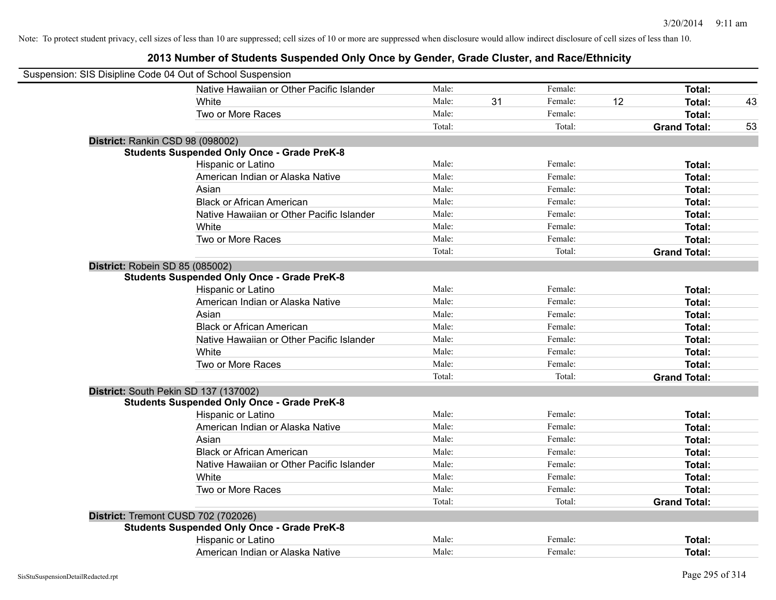| Suspension: SIS Disipline Code 04 Out of School Suspension |                                                    |        |    |         |    |                     |    |
|------------------------------------------------------------|----------------------------------------------------|--------|----|---------|----|---------------------|----|
|                                                            | Native Hawaiian or Other Pacific Islander          | Male:  |    | Female: |    | Total:              |    |
|                                                            | White                                              | Male:  | 31 | Female: | 12 | Total:              | 43 |
|                                                            | Two or More Races                                  | Male:  |    | Female: |    | Total:              |    |
|                                                            |                                                    | Total: |    | Total:  |    | <b>Grand Total:</b> | 53 |
|                                                            | District: Rankin CSD 98 (098002)                   |        |    |         |    |                     |    |
|                                                            | <b>Students Suspended Only Once - Grade PreK-8</b> |        |    |         |    |                     |    |
|                                                            | Hispanic or Latino                                 | Male:  |    | Female: |    | Total:              |    |
|                                                            | American Indian or Alaska Native                   | Male:  |    | Female: |    | Total:              |    |
|                                                            | Asian                                              | Male:  |    | Female: |    | Total:              |    |
|                                                            | <b>Black or African American</b>                   | Male:  |    | Female: |    | Total:              |    |
|                                                            | Native Hawaiian or Other Pacific Islander          | Male:  |    | Female: |    | Total:              |    |
|                                                            | White                                              | Male:  |    | Female: |    | Total:              |    |
|                                                            | Two or More Races                                  | Male:  |    | Female: |    | Total:              |    |
|                                                            |                                                    | Total: |    | Total:  |    | <b>Grand Total:</b> |    |
| District: Robein SD 85 (085002)                            |                                                    |        |    |         |    |                     |    |
|                                                            | <b>Students Suspended Only Once - Grade PreK-8</b> |        |    |         |    |                     |    |
|                                                            | Hispanic or Latino                                 | Male:  |    | Female: |    | Total:              |    |
|                                                            | American Indian or Alaska Native                   | Male:  |    | Female: |    | Total:              |    |
|                                                            | Asian                                              | Male:  |    | Female: |    | Total:              |    |
|                                                            | <b>Black or African American</b>                   | Male:  |    | Female: |    | Total:              |    |
|                                                            | Native Hawaiian or Other Pacific Islander          | Male:  |    | Female: |    | Total:              |    |
|                                                            | White                                              | Male:  |    | Female: |    | Total:              |    |
|                                                            | Two or More Races                                  | Male:  |    | Female: |    | Total:              |    |
|                                                            |                                                    | Total: |    | Total:  |    | <b>Grand Total:</b> |    |
|                                                            | District: South Pekin SD 137 (137002)              |        |    |         |    |                     |    |
|                                                            | <b>Students Suspended Only Once - Grade PreK-8</b> |        |    |         |    |                     |    |
|                                                            | Hispanic or Latino                                 | Male:  |    | Female: |    | Total:              |    |
|                                                            | American Indian or Alaska Native                   | Male:  |    | Female: |    | Total:              |    |
|                                                            | Asian                                              | Male:  |    | Female: |    | Total:              |    |
|                                                            | <b>Black or African American</b>                   | Male:  |    | Female: |    | Total:              |    |
|                                                            | Native Hawaiian or Other Pacific Islander          | Male:  |    | Female: |    | Total:              |    |
|                                                            | White                                              | Male:  |    | Female: |    | Total:              |    |
|                                                            | Two or More Races                                  | Male:  |    | Female: |    | Total:              |    |
|                                                            |                                                    | Total: |    | Total:  |    | <b>Grand Total:</b> |    |
|                                                            | District: Tremont CUSD 702 (702026)                |        |    |         |    |                     |    |
|                                                            | <b>Students Suspended Only Once - Grade PreK-8</b> |        |    |         |    |                     |    |
|                                                            | Hispanic or Latino                                 | Male:  |    | Female: |    | Total:              |    |
|                                                            | American Indian or Alaska Native                   | Male:  |    | Female: |    | Total:              |    |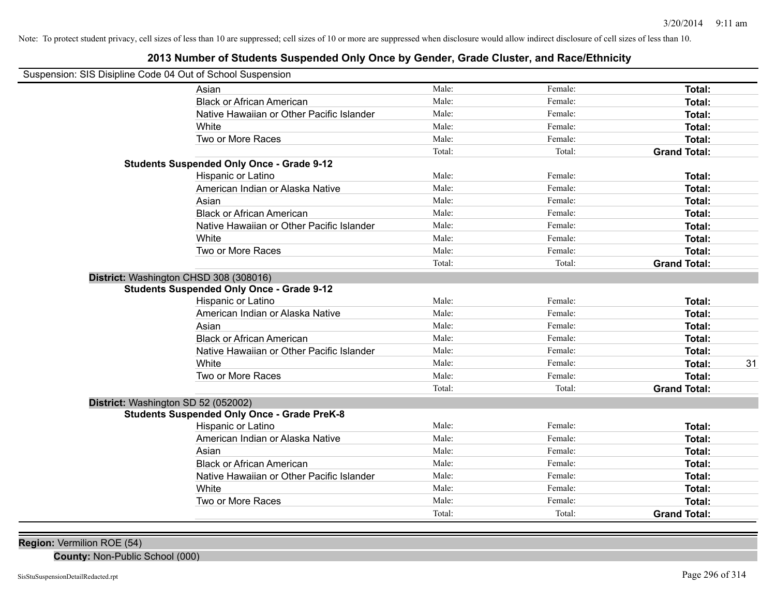# **2013 Number of Students Suspended Only Once by Gender, Grade Cluster, and Race/Ethnicity**

| Suspension: SIS Disipline Code 04 Out of School Suspension |  |  |  |
|------------------------------------------------------------|--|--|--|
|------------------------------------------------------------|--|--|--|

| usperision. Sis Disiplifie Code 04 Out of Scribol Susperision |                                                    |        |         |                     |    |
|---------------------------------------------------------------|----------------------------------------------------|--------|---------|---------------------|----|
|                                                               | Asian                                              | Male:  | Female: | Total:              |    |
|                                                               | <b>Black or African American</b>                   | Male:  | Female: | Total:              |    |
|                                                               | Native Hawaiian or Other Pacific Islander          | Male:  | Female: | Total:              |    |
|                                                               | White                                              | Male:  | Female: | Total:              |    |
|                                                               | Two or More Races                                  | Male:  | Female: | Total:              |    |
|                                                               |                                                    | Total: | Total:  | <b>Grand Total:</b> |    |
|                                                               | <b>Students Suspended Only Once - Grade 9-12</b>   |        |         |                     |    |
|                                                               | Hispanic or Latino                                 | Male:  | Female: | Total:              |    |
|                                                               | American Indian or Alaska Native                   | Male:  | Female: | Total:              |    |
|                                                               | Asian                                              | Male:  | Female: | Total:              |    |
|                                                               | <b>Black or African American</b>                   | Male:  | Female: | Total:              |    |
|                                                               | Native Hawaiian or Other Pacific Islander          | Male:  | Female: | Total:              |    |
|                                                               | White                                              | Male:  | Female: | Total:              |    |
|                                                               | Two or More Races                                  | Male:  | Female: | Total:              |    |
|                                                               |                                                    | Total: | Total:  | <b>Grand Total:</b> |    |
|                                                               | District: Washington CHSD 308 (308016)             |        |         |                     |    |
|                                                               | <b>Students Suspended Only Once - Grade 9-12</b>   |        |         |                     |    |
|                                                               | Hispanic or Latino                                 | Male:  | Female: | Total:              |    |
|                                                               | American Indian or Alaska Native                   | Male:  | Female: | <b>Total:</b>       |    |
|                                                               | Asian                                              | Male:  | Female: | Total:              |    |
|                                                               | <b>Black or African American</b>                   | Male:  | Female: | Total:              |    |
|                                                               | Native Hawaiian or Other Pacific Islander          | Male:  | Female: | Total:              |    |
|                                                               | White                                              | Male:  | Female: | Total:              | 31 |
|                                                               | Two or More Races                                  | Male:  | Female: | Total:              |    |
|                                                               |                                                    | Total: | Total:  | <b>Grand Total:</b> |    |
|                                                               | District: Washington SD 52 (052002)                |        |         |                     |    |
|                                                               | <b>Students Suspended Only Once - Grade PreK-8</b> |        |         |                     |    |
|                                                               | Hispanic or Latino                                 | Male:  | Female: | Total:              |    |
|                                                               | American Indian or Alaska Native                   | Male:  | Female: | <b>Total:</b>       |    |
|                                                               | Asian                                              | Male:  | Female: | Total:              |    |
|                                                               | <b>Black or African American</b>                   | Male:  | Female: | Total:              |    |
|                                                               | Native Hawaiian or Other Pacific Islander          | Male:  | Female: | Total:              |    |
|                                                               | White                                              | Male:  | Female: | Total:              |    |
|                                                               | Two or More Races                                  | Male:  | Female: | Total:              |    |
|                                                               |                                                    | Total: | Total:  | <b>Grand Total:</b> |    |
|                                                               |                                                    |        |         |                     |    |

**County:** Non-Public School (000)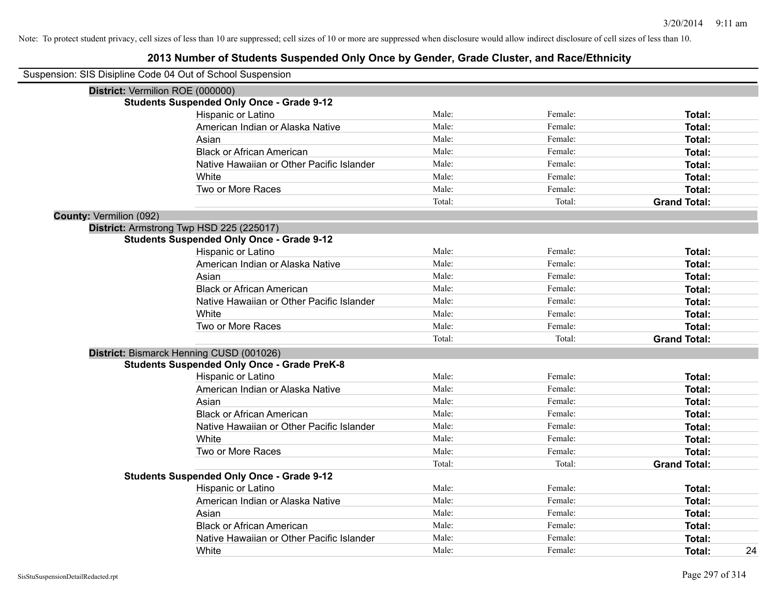# **2013 Number of Students Suspended Only Once by Gender, Grade Cluster, and Race/Ethnicity**

| Suspension: SIS Disipline Code 04 Out of School Suspension |                                                    |        |         |                     |
|------------------------------------------------------------|----------------------------------------------------|--------|---------|---------------------|
| District: Vermilion ROE (000000)                           |                                                    |        |         |                     |
|                                                            | <b>Students Suspended Only Once - Grade 9-12</b>   |        |         |                     |
|                                                            | Hispanic or Latino                                 | Male:  | Female: | Total:              |
|                                                            | American Indian or Alaska Native                   | Male:  | Female: | Total:              |
|                                                            | Asian                                              | Male:  | Female: | Total:              |
|                                                            | <b>Black or African American</b>                   | Male:  | Female: | Total:              |
|                                                            | Native Hawaiian or Other Pacific Islander          | Male:  | Female: | Total:              |
|                                                            | White                                              | Male:  | Female: | Total:              |
|                                                            | Two or More Races                                  | Male:  | Female: | Total:              |
|                                                            |                                                    | Total: | Total:  | <b>Grand Total:</b> |
| County: Vermilion (092)                                    |                                                    |        |         |                     |
|                                                            | District: Armstrong Twp HSD 225 (225017)           |        |         |                     |
|                                                            | <b>Students Suspended Only Once - Grade 9-12</b>   |        |         |                     |
|                                                            | Hispanic or Latino                                 | Male:  | Female: | Total:              |
|                                                            | American Indian or Alaska Native                   | Male:  | Female: | Total:              |
|                                                            | Asian                                              | Male:  | Female: | Total:              |
|                                                            | <b>Black or African American</b>                   | Male:  | Female: | Total:              |
|                                                            | Native Hawaiian or Other Pacific Islander          | Male:  | Female: | Total:              |
|                                                            | White                                              | Male:  | Female: | Total:              |
|                                                            | Two or More Races                                  | Male:  | Female: | Total:              |
|                                                            |                                                    | Total: | Total:  | <b>Grand Total:</b> |
|                                                            | District: Bismarck Henning CUSD (001026)           |        |         |                     |
|                                                            | <b>Students Suspended Only Once - Grade PreK-8</b> |        |         |                     |
|                                                            | Hispanic or Latino                                 | Male:  | Female: | Total:              |
|                                                            | American Indian or Alaska Native                   | Male:  | Female: | Total:              |
|                                                            | Asian                                              | Male:  | Female: | Total:              |
|                                                            | <b>Black or African American</b>                   | Male:  | Female: | Total:              |
|                                                            | Native Hawaiian or Other Pacific Islander          | Male:  | Female: | Total:              |
|                                                            | White                                              | Male:  | Female: | Total:              |
|                                                            | Two or More Races                                  | Male:  | Female: | Total:              |
|                                                            |                                                    | Total: | Total:  | <b>Grand Total:</b> |
|                                                            | <b>Students Suspended Only Once - Grade 9-12</b>   |        |         |                     |
|                                                            | Hispanic or Latino                                 | Male:  | Female: | Total:              |
|                                                            | American Indian or Alaska Native                   | Male:  | Female: | Total:              |
|                                                            | Asian                                              | Male:  | Female: | Total:              |
|                                                            | <b>Black or African American</b>                   | Male:  | Female: | Total:              |
|                                                            | Native Hawaiian or Other Pacific Islander          | Male:  | Female: | Total:              |
|                                                            | White                                              | Male:  | Female: | 24<br>Total:        |

 $\overline{\phantom{0}}$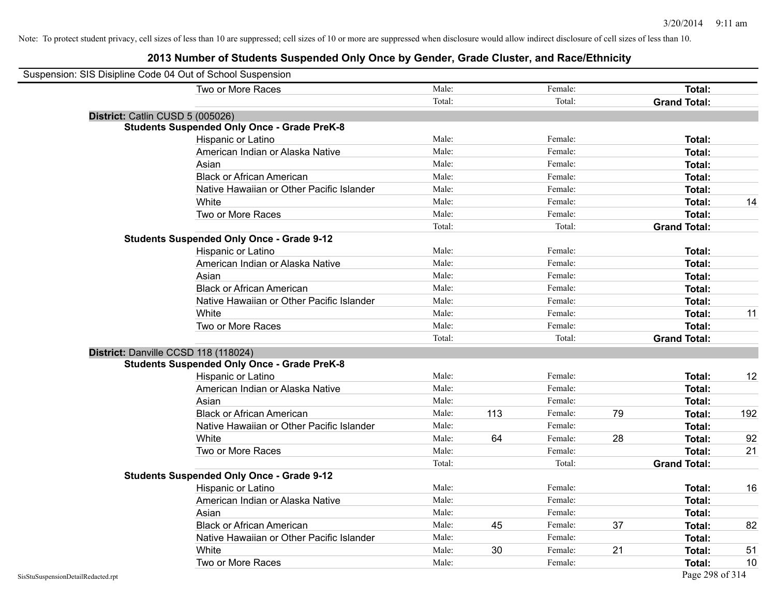|                                    | Suspension: SIS Disipline Code 04 Out of School Suspension |        |     |         |    |                     |     |
|------------------------------------|------------------------------------------------------------|--------|-----|---------|----|---------------------|-----|
|                                    | Two or More Races                                          | Male:  |     | Female: |    | Total:              |     |
|                                    |                                                            | Total: |     | Total:  |    | <b>Grand Total:</b> |     |
|                                    | District: Catlin CUSD 5 (005026)                           |        |     |         |    |                     |     |
|                                    | <b>Students Suspended Only Once - Grade PreK-8</b>         |        |     |         |    |                     |     |
|                                    | Hispanic or Latino                                         | Male:  |     | Female: |    | Total:              |     |
|                                    | American Indian or Alaska Native                           | Male:  |     | Female: |    | Total:              |     |
|                                    | Asian                                                      | Male:  |     | Female: |    | Total:              |     |
|                                    | <b>Black or African American</b>                           | Male:  |     | Female: |    | Total:              |     |
|                                    | Native Hawaiian or Other Pacific Islander                  | Male:  |     | Female: |    | Total:              |     |
|                                    | White                                                      | Male:  |     | Female: |    | Total:              | 14  |
|                                    | Two or More Races                                          | Male:  |     | Female: |    | Total:              |     |
|                                    |                                                            | Total: |     | Total:  |    | <b>Grand Total:</b> |     |
|                                    | <b>Students Suspended Only Once - Grade 9-12</b>           |        |     |         |    |                     |     |
|                                    | Hispanic or Latino                                         | Male:  |     | Female: |    | Total:              |     |
|                                    | American Indian or Alaska Native                           | Male:  |     | Female: |    | Total:              |     |
|                                    | Asian                                                      | Male:  |     | Female: |    | Total:              |     |
|                                    | <b>Black or African American</b>                           | Male:  |     | Female: |    | Total:              |     |
|                                    | Native Hawaiian or Other Pacific Islander                  | Male:  |     | Female: |    | Total:              |     |
|                                    | White                                                      | Male:  |     | Female: |    | Total:              | 11  |
|                                    | Two or More Races                                          | Male:  |     | Female: |    | Total:              |     |
|                                    |                                                            | Total: |     | Total:  |    | <b>Grand Total:</b> |     |
|                                    | District: Danville CCSD 118 (118024)                       |        |     |         |    |                     |     |
|                                    | <b>Students Suspended Only Once - Grade PreK-8</b>         |        |     |         |    |                     |     |
|                                    | Hispanic or Latino                                         | Male:  |     | Female: |    | Total:              | 12  |
|                                    | American Indian or Alaska Native                           | Male:  |     | Female: |    | Total:              |     |
|                                    | Asian                                                      | Male:  |     | Female: |    | Total:              |     |
|                                    | <b>Black or African American</b>                           | Male:  | 113 | Female: | 79 | Total:              | 192 |
|                                    | Native Hawaiian or Other Pacific Islander                  | Male:  |     | Female: |    | Total:              |     |
|                                    | White                                                      | Male:  | 64  | Female: | 28 | Total:              | 92  |
|                                    | Two or More Races                                          | Male:  |     | Female: |    | Total:              | 21  |
|                                    |                                                            | Total: |     | Total:  |    | <b>Grand Total:</b> |     |
|                                    | <b>Students Suspended Only Once - Grade 9-12</b>           |        |     |         |    |                     |     |
|                                    | Hispanic or Latino                                         | Male:  |     | Female: |    | Total:              | 16  |
|                                    | American Indian or Alaska Native                           | Male:  |     | Female: |    | Total:              |     |
|                                    | Asian                                                      | Male:  |     | Female: |    | Total:              |     |
|                                    | <b>Black or African American</b>                           | Male:  | 45  | Female: | 37 | Total:              | 82  |
|                                    | Native Hawaiian or Other Pacific Islander                  | Male:  |     | Female: |    | Total:              |     |
|                                    | White                                                      | Male:  | 30  | Female: | 21 | Total:              | 51  |
|                                    | Two or More Races                                          | Male:  |     | Female: |    | Total:              | 10  |
| SisStuSuspensionDetailRedacted.rpt |                                                            |        |     |         |    | Page 298 of 314     |     |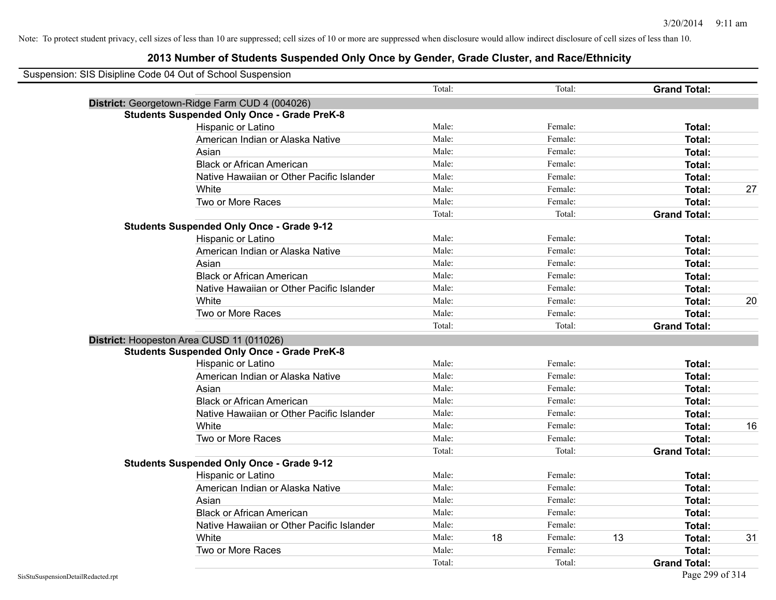| Suspension: SIS Disipline Code 04 Out of School Suspension |                                                    |        |    |         |    |                     |    |
|------------------------------------------------------------|----------------------------------------------------|--------|----|---------|----|---------------------|----|
|                                                            |                                                    | Total: |    | Total:  |    | <b>Grand Total:</b> |    |
|                                                            | District: Georgetown-Ridge Farm CUD 4 (004026)     |        |    |         |    |                     |    |
|                                                            | <b>Students Suspended Only Once - Grade PreK-8</b> |        |    |         |    |                     |    |
|                                                            | Hispanic or Latino                                 | Male:  |    | Female: |    | Total:              |    |
|                                                            | American Indian or Alaska Native                   | Male:  |    | Female: |    | Total:              |    |
|                                                            | Asian                                              | Male:  |    | Female: |    | Total:              |    |
|                                                            | <b>Black or African American</b>                   | Male:  |    | Female: |    | Total:              |    |
|                                                            | Native Hawaiian or Other Pacific Islander          | Male:  |    | Female: |    | Total:              |    |
|                                                            | White                                              | Male:  |    | Female: |    | Total:              | 27 |
|                                                            | Two or More Races                                  | Male:  |    | Female: |    | Total:              |    |
|                                                            |                                                    | Total: |    | Total:  |    | <b>Grand Total:</b> |    |
|                                                            | <b>Students Suspended Only Once - Grade 9-12</b>   |        |    |         |    |                     |    |
|                                                            | Hispanic or Latino                                 | Male:  |    | Female: |    | Total:              |    |
|                                                            | American Indian or Alaska Native                   | Male:  |    | Female: |    | Total:              |    |
|                                                            | Asian                                              | Male:  |    | Female: |    | Total:              |    |
|                                                            | <b>Black or African American</b>                   | Male:  |    | Female: |    | Total:              |    |
|                                                            | Native Hawaiian or Other Pacific Islander          | Male:  |    | Female: |    | Total:              |    |
|                                                            | White                                              | Male:  |    | Female: |    | Total:              | 20 |
|                                                            | Two or More Races                                  | Male:  |    | Female: |    | Total:              |    |
|                                                            |                                                    | Total: |    | Total:  |    | <b>Grand Total:</b> |    |
|                                                            | District: Hoopeston Area CUSD 11 (011026)          |        |    |         |    |                     |    |
|                                                            | <b>Students Suspended Only Once - Grade PreK-8</b> |        |    |         |    |                     |    |
|                                                            | Hispanic or Latino                                 | Male:  |    | Female: |    | Total:              |    |
|                                                            | American Indian or Alaska Native                   | Male:  |    | Female: |    | Total:              |    |
|                                                            | Asian                                              | Male:  |    | Female: |    | Total:              |    |
|                                                            | <b>Black or African American</b>                   | Male:  |    | Female: |    | Total:              |    |
|                                                            | Native Hawaiian or Other Pacific Islander          | Male:  |    | Female: |    | Total:              |    |
|                                                            | White                                              | Male:  |    | Female: |    | Total:              | 16 |
|                                                            | Two or More Races                                  | Male:  |    | Female: |    | Total:              |    |
|                                                            |                                                    | Total: |    | Total:  |    | <b>Grand Total:</b> |    |
|                                                            | <b>Students Suspended Only Once - Grade 9-12</b>   |        |    |         |    |                     |    |
|                                                            | Hispanic or Latino                                 | Male:  |    | Female: |    | Total:              |    |
|                                                            | American Indian or Alaska Native                   | Male:  |    | Female: |    | Total:              |    |
|                                                            | Asian                                              | Male:  |    | Female: |    | Total:              |    |
|                                                            | <b>Black or African American</b>                   | Male:  |    | Female: |    | Total:              |    |
|                                                            | Native Hawaiian or Other Pacific Islander          | Male:  |    | Female: |    | Total:              |    |
|                                                            | White                                              | Male:  | 18 | Female: | 13 | Total:              | 31 |
|                                                            | Two or More Races                                  | Male:  |    | Female: |    | Total:              |    |
|                                                            |                                                    | Total: |    | Total:  |    | <b>Grand Total:</b> |    |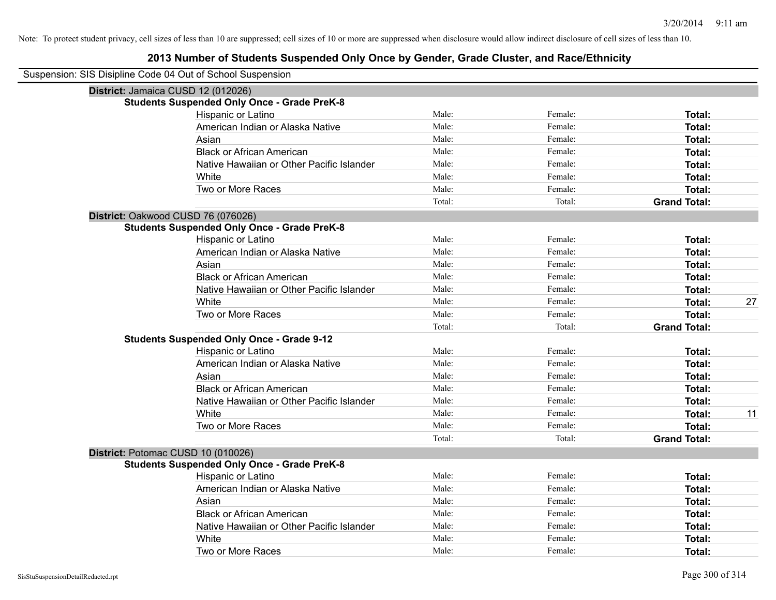| Suspension: SIS Disipline Code 04 Out of School Suspension |                                                    |        |         |                     |    |
|------------------------------------------------------------|----------------------------------------------------|--------|---------|---------------------|----|
|                                                            | District: Jamaica CUSD 12 (012026)                 |        |         |                     |    |
|                                                            | <b>Students Suspended Only Once - Grade PreK-8</b> |        |         |                     |    |
|                                                            | Hispanic or Latino                                 | Male:  | Female: | Total:              |    |
|                                                            | American Indian or Alaska Native                   | Male:  | Female: | Total:              |    |
|                                                            | Asian                                              | Male:  | Female: | Total:              |    |
|                                                            | <b>Black or African American</b>                   | Male:  | Female: | Total:              |    |
|                                                            | Native Hawaiian or Other Pacific Islander          | Male:  | Female: | Total:              |    |
|                                                            | White                                              | Male:  | Female: | Total:              |    |
|                                                            | Two or More Races                                  | Male:  | Female: | Total:              |    |
|                                                            |                                                    | Total: | Total:  | <b>Grand Total:</b> |    |
|                                                            | District: Oakwood CUSD 76 (076026)                 |        |         |                     |    |
|                                                            | <b>Students Suspended Only Once - Grade PreK-8</b> |        |         |                     |    |
|                                                            | Hispanic or Latino                                 | Male:  | Female: | Total:              |    |
|                                                            | American Indian or Alaska Native                   | Male:  | Female: | Total:              |    |
|                                                            | Asian                                              | Male:  | Female: | Total:              |    |
|                                                            | <b>Black or African American</b>                   | Male:  | Female: | Total:              |    |
|                                                            | Native Hawaiian or Other Pacific Islander          | Male:  | Female: | Total:              |    |
|                                                            | White                                              | Male:  | Female: | Total:              | 27 |
|                                                            | Two or More Races                                  | Male:  | Female: | Total:              |    |
|                                                            |                                                    | Total: | Total:  | <b>Grand Total:</b> |    |
|                                                            | <b>Students Suspended Only Once - Grade 9-12</b>   |        |         |                     |    |
|                                                            | Hispanic or Latino                                 | Male:  | Female: | Total:              |    |
|                                                            | American Indian or Alaska Native                   | Male:  | Female: | Total:              |    |
|                                                            | Asian                                              | Male:  | Female: | Total:              |    |
|                                                            | <b>Black or African American</b>                   | Male:  | Female: | Total:              |    |
|                                                            | Native Hawaiian or Other Pacific Islander          | Male:  | Female: | Total:              |    |
|                                                            | White                                              | Male:  | Female: | Total:              | 11 |
|                                                            | Two or More Races                                  | Male:  | Female: | Total:              |    |
|                                                            |                                                    | Total: | Total:  | <b>Grand Total:</b> |    |
|                                                            | District: Potomac CUSD 10 (010026)                 |        |         |                     |    |
|                                                            | <b>Students Suspended Only Once - Grade PreK-8</b> |        |         |                     |    |
|                                                            | Hispanic or Latino                                 | Male:  | Female: | Total:              |    |
|                                                            | American Indian or Alaska Native                   | Male:  | Female: | Total:              |    |
|                                                            | Asian                                              | Male:  | Female: | Total:              |    |
|                                                            | <b>Black or African American</b>                   | Male:  | Female: | Total:              |    |
|                                                            | Native Hawaiian or Other Pacific Islander          | Male:  | Female: | Total:              |    |
|                                                            | White                                              | Male:  | Female: | Total:              |    |
|                                                            | Two or More Races                                  | Male:  | Female: | Total:              |    |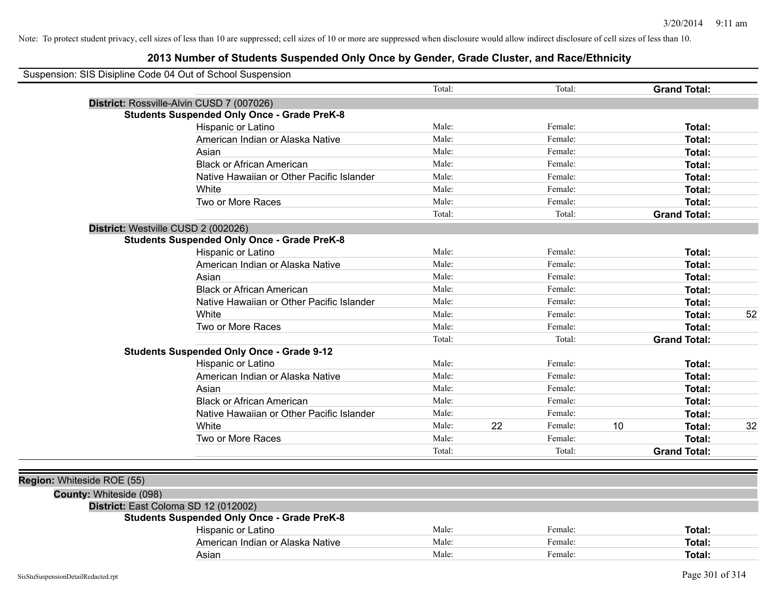|                            | Suspension: SIS Disipline Code 04 Out of School Suspension |                                           |        |    |         |    |                     |    |
|----------------------------|------------------------------------------------------------|-------------------------------------------|--------|----|---------|----|---------------------|----|
|                            |                                                            |                                           | Total: |    | Total:  |    | <b>Grand Total:</b> |    |
|                            | District: Rossville-Alvin CUSD 7 (007026)                  |                                           |        |    |         |    |                     |    |
|                            | <b>Students Suspended Only Once - Grade PreK-8</b>         |                                           |        |    |         |    |                     |    |
|                            | Hispanic or Latino                                         |                                           | Male:  |    | Female: |    | Total:              |    |
|                            |                                                            | American Indian or Alaska Native          | Male:  |    | Female: |    | Total:              |    |
|                            | Asian                                                      |                                           | Male:  |    | Female: |    | Total:              |    |
|                            | <b>Black or African American</b>                           |                                           | Male:  |    | Female: |    | Total:              |    |
|                            |                                                            | Native Hawaiian or Other Pacific Islander | Male:  |    | Female: |    | Total:              |    |
|                            | White                                                      |                                           | Male:  |    | Female: |    | Total:              |    |
|                            | Two or More Races                                          |                                           | Male:  |    | Female: |    | Total:              |    |
|                            |                                                            |                                           | Total: |    | Total:  |    | <b>Grand Total:</b> |    |
|                            | District: Westville CUSD 2 (002026)                        |                                           |        |    |         |    |                     |    |
|                            | <b>Students Suspended Only Once - Grade PreK-8</b>         |                                           |        |    |         |    |                     |    |
|                            | Hispanic or Latino                                         |                                           | Male:  |    | Female: |    | Total:              |    |
|                            |                                                            | American Indian or Alaska Native          | Male:  |    | Female: |    | Total:              |    |
|                            | Asian                                                      |                                           | Male:  |    | Female: |    | Total:              |    |
|                            | <b>Black or African American</b>                           |                                           | Male:  |    | Female: |    | Total:              |    |
|                            |                                                            | Native Hawaiian or Other Pacific Islander | Male:  |    | Female: |    | Total:              |    |
|                            | White                                                      |                                           | Male:  |    | Female: |    | Total:              | 52 |
|                            | Two or More Races                                          |                                           | Male:  |    | Female: |    | Total:              |    |
|                            |                                                            |                                           | Total: |    | Total:  |    | <b>Grand Total:</b> |    |
|                            | <b>Students Suspended Only Once - Grade 9-12</b>           |                                           |        |    |         |    |                     |    |
|                            | Hispanic or Latino                                         |                                           | Male:  |    | Female: |    | Total:              |    |
|                            |                                                            | American Indian or Alaska Native          | Male:  |    | Female: |    | Total:              |    |
|                            | Asian                                                      |                                           | Male:  |    | Female: |    | Total:              |    |
|                            | <b>Black or African American</b>                           |                                           | Male:  |    | Female: |    | Total:              |    |
|                            |                                                            | Native Hawaiian or Other Pacific Islander | Male:  |    | Female: |    | Total:              |    |
|                            | White                                                      |                                           | Male:  | 22 | Female: | 10 | Total:              | 32 |
|                            | Two or More Races                                          |                                           | Male:  |    | Female: |    | Total:              |    |
|                            |                                                            |                                           | Total: |    | Total:  |    | <b>Grand Total:</b> |    |
|                            |                                                            |                                           |        |    |         |    |                     |    |
| Region: Whiteside ROE (55) |                                                            |                                           |        |    |         |    |                     |    |
|                            | County: Whiteside (098)                                    |                                           |        |    |         |    |                     |    |
|                            | District: East Coloma SD 12 (012002)                       |                                           |        |    |         |    |                     |    |
|                            | <b>Students Suspended Only Once - Grade PreK-8</b>         |                                           |        |    |         |    |                     |    |
|                            | <b>Hispanic or Latino</b>                                  |                                           | Male:  |    | Female: |    | Total:              |    |
|                            |                                                            | American Indian or Alaska Native          | Male:  |    | Female: |    | Total:              |    |
|                            | Asian                                                      |                                           | Male:  |    | Female: |    | Total:              |    |
|                            |                                                            |                                           |        |    |         |    |                     |    |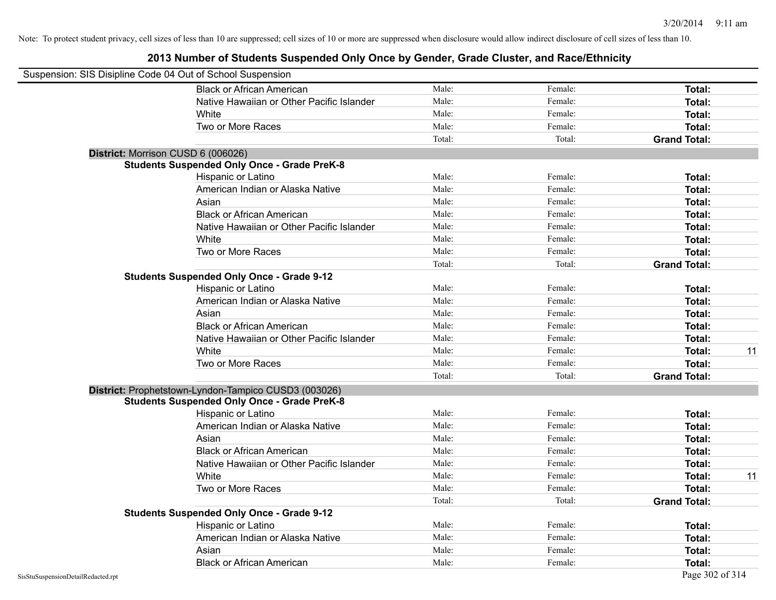|                                    | Suspension: SIS Disipline Code 04 Out of School Suspension |        |         |                     |    |
|------------------------------------|------------------------------------------------------------|--------|---------|---------------------|----|
|                                    | <b>Black or African American</b>                           | Male:  | Female: | Total:              |    |
|                                    | Native Hawaiian or Other Pacific Islander                  | Male:  | Female: | Total:              |    |
|                                    | White                                                      | Male:  | Female: | Total:              |    |
|                                    | Two or More Races                                          | Male:  | Female: | Total:              |    |
|                                    |                                                            | Total: | Total:  | <b>Grand Total:</b> |    |
|                                    | District: Morrison CUSD 6 (006026)                         |        |         |                     |    |
|                                    | <b>Students Suspended Only Once - Grade PreK-8</b>         |        |         |                     |    |
|                                    | Hispanic or Latino                                         | Male:  | Female: | <b>Total:</b>       |    |
|                                    | American Indian or Alaska Native                           | Male:  | Female: | Total:              |    |
|                                    | Asian                                                      | Male:  | Female: | Total:              |    |
|                                    | <b>Black or African American</b>                           | Male:  | Female: | Total:              |    |
|                                    | Native Hawaiian or Other Pacific Islander                  | Male:  | Female: | Total:              |    |
|                                    | White                                                      | Male:  | Female: | Total:              |    |
|                                    | Two or More Races                                          | Male:  | Female: | Total:              |    |
|                                    |                                                            | Total: | Total:  | <b>Grand Total:</b> |    |
|                                    | <b>Students Suspended Only Once - Grade 9-12</b>           |        |         |                     |    |
|                                    | Hispanic or Latino                                         | Male:  | Female: | Total:              |    |
|                                    | American Indian or Alaska Native                           | Male:  | Female: | Total:              |    |
|                                    | Asian                                                      | Male:  | Female: | Total:              |    |
|                                    | <b>Black or African American</b>                           | Male:  | Female: | Total:              |    |
|                                    | Native Hawaiian or Other Pacific Islander                  | Male:  | Female: | Total:              |    |
|                                    | White                                                      | Male:  | Female: | Total:              | 11 |
|                                    | Two or More Races                                          | Male:  | Female: | Total:              |    |
|                                    |                                                            | Total: | Total:  | <b>Grand Total:</b> |    |
|                                    | District: Prophetstown-Lyndon-Tampico CUSD3 (003026)       |        |         |                     |    |
|                                    | <b>Students Suspended Only Once - Grade PreK-8</b>         |        |         |                     |    |
|                                    | Hispanic or Latino                                         | Male:  | Female: | Total:              |    |
|                                    | American Indian or Alaska Native                           | Male:  | Female: | Total:              |    |
|                                    | Asian                                                      | Male:  | Female: | Total:              |    |
|                                    | <b>Black or African American</b>                           | Male:  | Female: | Total:              |    |
|                                    | Native Hawaiian or Other Pacific Islander                  | Male:  | Female: | Total:              |    |
|                                    | White                                                      | Male:  | Female: | Total:              | 11 |
|                                    | Two or More Races                                          | Male:  | Female: | Total:              |    |
|                                    |                                                            | Total: | Total:  | <b>Grand Total:</b> |    |
|                                    | <b>Students Suspended Only Once - Grade 9-12</b>           |        |         |                     |    |
|                                    | Hispanic or Latino                                         | Male:  | Female: | Total:              |    |
|                                    | American Indian or Alaska Native                           | Male:  | Female: | Total:              |    |
|                                    | Asian                                                      | Male:  | Female: | Total:              |    |
|                                    | <b>Black or African American</b>                           | Male:  | Female: | Total:              |    |
| SisStuSuspensionDetailRedacted.rpt |                                                            |        |         | Page 302 of 314     |    |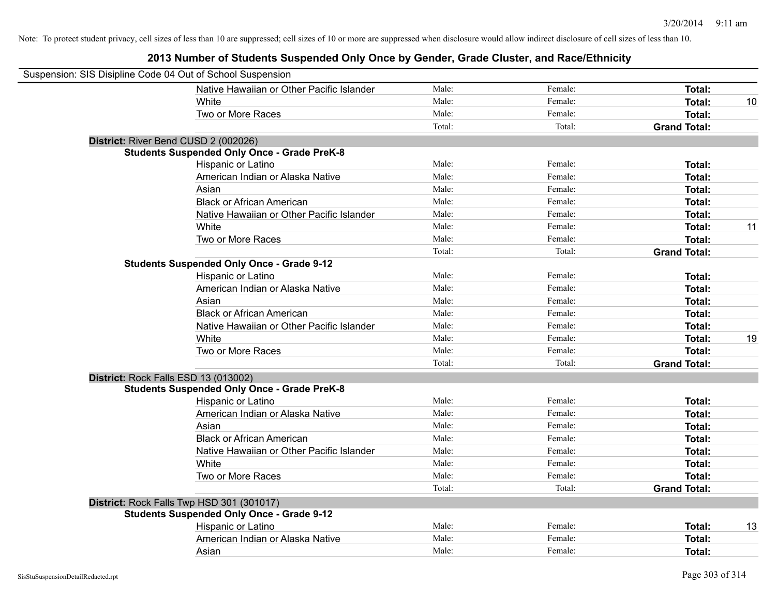| Suspension: SIS Disipline Code 04 Out of School Suspension |                                                    |        |         |                     |    |
|------------------------------------------------------------|----------------------------------------------------|--------|---------|---------------------|----|
|                                                            | Native Hawaiian or Other Pacific Islander          | Male:  | Female: | <b>Total:</b>       |    |
|                                                            | White                                              | Male:  | Female: | Total:              | 10 |
|                                                            | Two or More Races                                  | Male:  | Female: | Total:              |    |
|                                                            |                                                    | Total: | Total:  | <b>Grand Total:</b> |    |
| District: River Bend CUSD 2 (002026)                       |                                                    |        |         |                     |    |
|                                                            | <b>Students Suspended Only Once - Grade PreK-8</b> |        |         |                     |    |
|                                                            | Hispanic or Latino                                 | Male:  | Female: | Total:              |    |
|                                                            | American Indian or Alaska Native                   | Male:  | Female: | Total:              |    |
|                                                            | Asian                                              | Male:  | Female: | Total:              |    |
|                                                            | <b>Black or African American</b>                   | Male:  | Female: | Total:              |    |
|                                                            | Native Hawaiian or Other Pacific Islander          | Male:  | Female: | <b>Total:</b>       |    |
|                                                            | White                                              | Male:  | Female: | <b>Total:</b>       | 11 |
|                                                            | Two or More Races                                  | Male:  | Female: | <b>Total:</b>       |    |
|                                                            |                                                    | Total: | Total:  | <b>Grand Total:</b> |    |
|                                                            | <b>Students Suspended Only Once - Grade 9-12</b>   |        |         |                     |    |
|                                                            | Hispanic or Latino                                 | Male:  | Female: | Total:              |    |
|                                                            | American Indian or Alaska Native                   | Male:  | Female: | <b>Total:</b>       |    |
|                                                            | Asian                                              | Male:  | Female: | Total:              |    |
|                                                            | <b>Black or African American</b>                   | Male:  | Female: | <b>Total:</b>       |    |
|                                                            | Native Hawaiian or Other Pacific Islander          | Male:  | Female: | Total:              |    |
|                                                            | White                                              | Male:  | Female: | <b>Total:</b>       | 19 |
|                                                            | Two or More Races                                  | Male:  | Female: | Total:              |    |
|                                                            |                                                    | Total: | Total:  | <b>Grand Total:</b> |    |
| District: Rock Falls ESD 13 (013002)                       |                                                    |        |         |                     |    |
|                                                            | <b>Students Suspended Only Once - Grade PreK-8</b> |        |         |                     |    |
|                                                            | Hispanic or Latino                                 | Male:  | Female: | Total:              |    |
|                                                            | American Indian or Alaska Native                   | Male:  | Female: | Total:              |    |
|                                                            | Asian                                              | Male:  | Female: | Total:              |    |
|                                                            | <b>Black or African American</b>                   | Male:  | Female: | Total:              |    |
|                                                            | Native Hawaiian or Other Pacific Islander          | Male:  | Female: | Total:              |    |
|                                                            | White                                              | Male:  | Female: | Total:              |    |
|                                                            | Two or More Races                                  | Male:  | Female: | Total:              |    |
|                                                            |                                                    | Total: | Total:  | <b>Grand Total:</b> |    |
|                                                            | District: Rock Falls Twp HSD 301 (301017)          |        |         |                     |    |
|                                                            | <b>Students Suspended Only Once - Grade 9-12</b>   |        |         |                     |    |
|                                                            | Hispanic or Latino                                 | Male:  | Female: | Total:              | 13 |
|                                                            | American Indian or Alaska Native                   | Male:  | Female: | <b>Total:</b>       |    |
|                                                            | Asian                                              | Male:  | Female: | Total:              |    |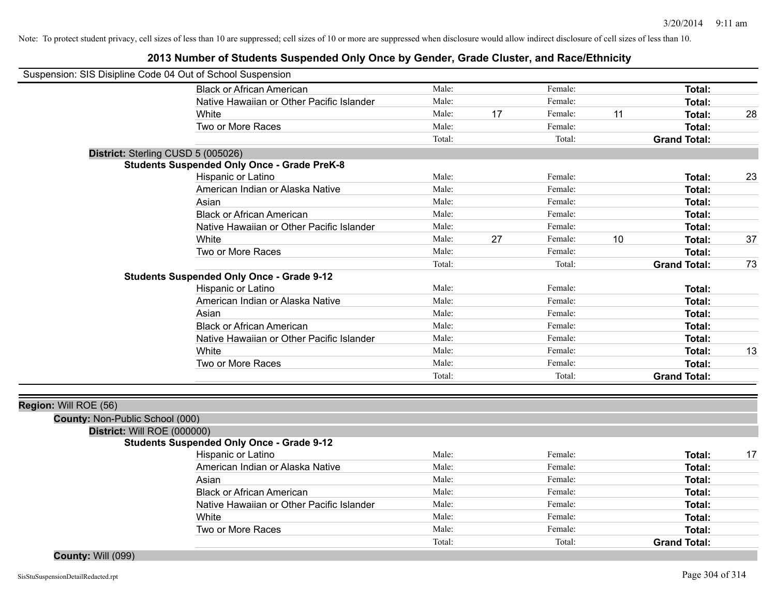# **2013 Number of Students Suspended Only Once by Gender, Grade Cluster, and Race/Ethnicity**

| Suspension: SIS Disipline Code 04 Out of School Suspension |        |    |         |    |                     |    |
|------------------------------------------------------------|--------|----|---------|----|---------------------|----|
| <b>Black or African American</b>                           | Male:  |    | Female: |    | <b>Total:</b>       |    |
| Native Hawaiian or Other Pacific Islander                  | Male:  |    | Female: |    | Total:              |    |
| White                                                      | Male:  | 17 | Female: | 11 | Total:              | 28 |
| Two or More Races                                          | Male:  |    | Female: |    | Total:              |    |
|                                                            | Total: |    | Total:  |    | <b>Grand Total:</b> |    |
| District: Sterling CUSD 5 (005026)                         |        |    |         |    |                     |    |
| <b>Students Suspended Only Once - Grade PreK-8</b>         |        |    |         |    |                     |    |
| Hispanic or Latino                                         | Male:  |    | Female: |    | Total:              | 23 |
| American Indian or Alaska Native                           | Male:  |    | Female: |    | <b>Total:</b>       |    |
| Asian                                                      | Male:  |    | Female: |    | <b>Total:</b>       |    |
| <b>Black or African American</b>                           | Male:  |    | Female: |    | Total:              |    |
| Native Hawaiian or Other Pacific Islander                  | Male:  |    | Female: |    | Total:              |    |
| White                                                      | Male:  | 27 | Female: | 10 | Total:              | 37 |
| Two or More Races                                          | Male:  |    | Female: |    | Total:              |    |
|                                                            | Total: |    | Total:  |    | <b>Grand Total:</b> | 73 |
| <b>Students Suspended Only Once - Grade 9-12</b>           |        |    |         |    |                     |    |
| Hispanic or Latino                                         | Male:  |    | Female: |    | Total:              |    |
| American Indian or Alaska Native                           | Male:  |    | Female: |    | <b>Total:</b>       |    |
| Asian                                                      | Male:  |    | Female: |    | <b>Total:</b>       |    |
| <b>Black or African American</b>                           | Male:  |    | Female: |    | <b>Total:</b>       |    |
| Native Hawaiian or Other Pacific Islander                  | Male:  |    | Female: |    | <b>Total:</b>       |    |
| White                                                      | Male:  |    | Female: |    | <b>Total:</b>       | 13 |
| Two or More Races                                          | Male:  |    | Female: |    | Total:              |    |
|                                                            | Total: |    | Total:  |    | <b>Grand Total:</b> |    |
| Region: Will ROE (56)                                      |        |    |         |    |                     |    |
| County: Non-Public School (000)                            |        |    |         |    |                     |    |
| District: Will ROE (000000)                                |        |    |         |    |                     |    |
| <b>Students Suspended Only Once - Grade 9-12</b>           |        |    |         |    |                     |    |
| Hispanic or Latino                                         | Male:  |    | Female: |    | <b>Total:</b>       | 17 |
| American Indian or Alaska Native                           | Male:  |    | Female: |    | Total:              |    |
| Asian                                                      | Male:  |    | Female: |    | Total:              |    |
| <b>Black or African American</b>                           | Male:  |    | Female: |    | Total:              |    |
| Native Hawaiian or Other Pacific Islander                  | Male:  |    | Female: |    | Total:              |    |
| White                                                      | Male:  |    | Female: |    | Total:              |    |
| Two or More Races                                          | Male:  |    | Female: |    | <b>Total:</b>       |    |
|                                                            | Total: |    | Total:  |    | <b>Grand Total:</b> |    |

**County:** Will (099)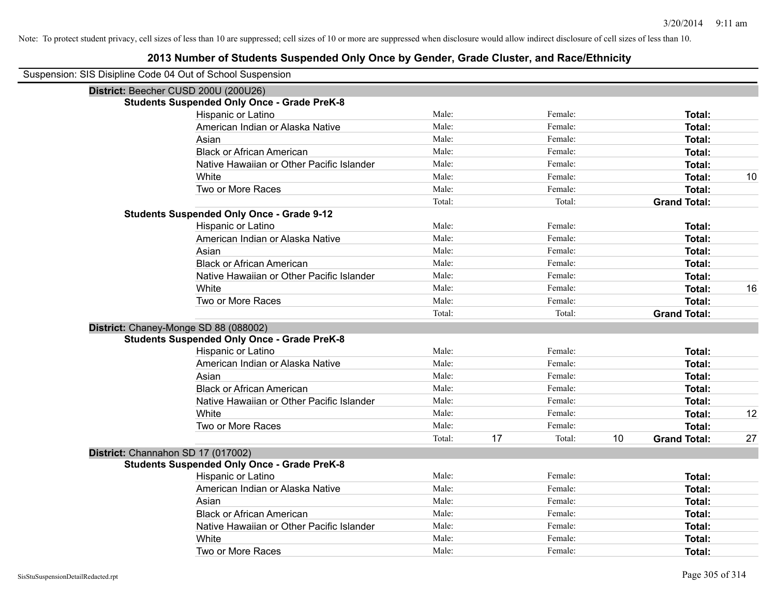| Suspension: SIS Disipline Code 04 Out of School Suspension |                                                    |        |    |         |    |                     |    |
|------------------------------------------------------------|----------------------------------------------------|--------|----|---------|----|---------------------|----|
| District: Beecher CUSD 200U (200U26)                       |                                                    |        |    |         |    |                     |    |
|                                                            | <b>Students Suspended Only Once - Grade PreK-8</b> |        |    |         |    |                     |    |
|                                                            | Hispanic or Latino                                 | Male:  |    | Female: |    | Total:              |    |
|                                                            | American Indian or Alaska Native                   | Male:  |    | Female: |    | Total:              |    |
|                                                            | Asian                                              | Male:  |    | Female: |    | Total:              |    |
|                                                            | <b>Black or African American</b>                   | Male:  |    | Female: |    | Total:              |    |
|                                                            | Native Hawaiian or Other Pacific Islander          | Male:  |    | Female: |    | Total:              |    |
|                                                            | White                                              | Male:  |    | Female: |    | Total:              | 10 |
|                                                            | Two or More Races                                  | Male:  |    | Female: |    | Total:              |    |
|                                                            |                                                    | Total: |    | Total:  |    | <b>Grand Total:</b> |    |
|                                                            | <b>Students Suspended Only Once - Grade 9-12</b>   |        |    |         |    |                     |    |
|                                                            | Hispanic or Latino                                 | Male:  |    | Female: |    | Total:              |    |
|                                                            | American Indian or Alaska Native                   | Male:  |    | Female: |    | Total:              |    |
|                                                            | Asian                                              | Male:  |    | Female: |    | Total:              |    |
|                                                            | <b>Black or African American</b>                   | Male:  |    | Female: |    | Total:              |    |
|                                                            | Native Hawaiian or Other Pacific Islander          | Male:  |    | Female: |    | Total:              |    |
|                                                            | White                                              | Male:  |    | Female: |    | Total:              | 16 |
|                                                            | Two or More Races                                  | Male:  |    | Female: |    | Total:              |    |
|                                                            |                                                    | Total: |    | Total:  |    | <b>Grand Total:</b> |    |
|                                                            | District: Chaney-Monge SD 88 (088002)              |        |    |         |    |                     |    |
|                                                            | <b>Students Suspended Only Once - Grade PreK-8</b> |        |    |         |    |                     |    |
|                                                            | Hispanic or Latino                                 | Male:  |    | Female: |    | Total:              |    |
|                                                            | American Indian or Alaska Native                   | Male:  |    | Female: |    | Total:              |    |
|                                                            | Asian                                              | Male:  |    | Female: |    | Total:              |    |
|                                                            | <b>Black or African American</b>                   | Male:  |    | Female: |    | Total:              |    |
|                                                            | Native Hawaiian or Other Pacific Islander          | Male:  |    | Female: |    | Total:              |    |
|                                                            | White                                              | Male:  |    | Female: |    | Total:              | 12 |
|                                                            | Two or More Races                                  | Male:  |    | Female: |    | Total:              |    |
|                                                            |                                                    | Total: | 17 | Total:  | 10 | <b>Grand Total:</b> | 27 |
| District: Channahon SD 17 (017002)                         |                                                    |        |    |         |    |                     |    |
|                                                            | <b>Students Suspended Only Once - Grade PreK-8</b> |        |    |         |    |                     |    |
|                                                            | Hispanic or Latino                                 | Male:  |    | Female: |    | Total:              |    |
|                                                            | American Indian or Alaska Native                   | Male:  |    | Female: |    | Total:              |    |
|                                                            | Asian                                              | Male:  |    | Female: |    | Total:              |    |
|                                                            | <b>Black or African American</b>                   | Male:  |    | Female: |    | Total:              |    |
|                                                            | Native Hawaiian or Other Pacific Islander          | Male:  |    | Female: |    | Total:              |    |
|                                                            | White                                              | Male:  |    | Female: |    | Total:              |    |
|                                                            | Two or More Races                                  | Male:  |    | Female: |    | Total:              |    |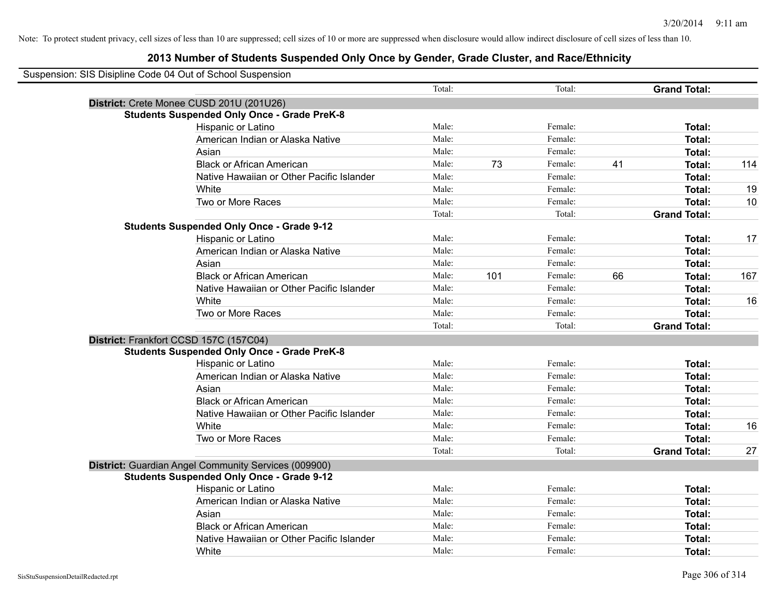| Suspension: SIS Disipline Code 04 Out of School Suspension |        |     |         |    |                     |     |
|------------------------------------------------------------|--------|-----|---------|----|---------------------|-----|
|                                                            | Total: |     | Total:  |    | <b>Grand Total:</b> |     |
| District: Crete Monee CUSD 201U (201U26)                   |        |     |         |    |                     |     |
| <b>Students Suspended Only Once - Grade PreK-8</b>         |        |     |         |    |                     |     |
| Hispanic or Latino                                         | Male:  |     | Female: |    | Total:              |     |
| American Indian or Alaska Native                           | Male:  |     | Female: |    | Total:              |     |
| Asian                                                      | Male:  |     | Female: |    | Total:              |     |
| <b>Black or African American</b>                           | Male:  | 73  | Female: | 41 | Total:              | 114 |
| Native Hawaiian or Other Pacific Islander                  | Male:  |     | Female: |    | Total:              |     |
| White                                                      | Male:  |     | Female: |    | Total:              | 19  |
| Two or More Races                                          | Male:  |     | Female: |    | Total:              | 10  |
|                                                            | Total: |     | Total:  |    | <b>Grand Total:</b> |     |
| <b>Students Suspended Only Once - Grade 9-12</b>           |        |     |         |    |                     |     |
| Hispanic or Latino                                         | Male:  |     | Female: |    | Total:              | 17  |
| American Indian or Alaska Native                           | Male:  |     | Female: |    | Total:              |     |
| Asian                                                      | Male:  |     | Female: |    | Total:              |     |
| <b>Black or African American</b>                           | Male:  | 101 | Female: | 66 | Total:              | 167 |
| Native Hawaiian or Other Pacific Islander                  | Male:  |     | Female: |    | Total:              |     |
| White                                                      | Male:  |     | Female: |    | Total:              | 16  |
| Two or More Races                                          | Male:  |     | Female: |    | Total:              |     |
|                                                            | Total: |     | Total:  |    | <b>Grand Total:</b> |     |
| District: Frankfort CCSD 157C (157C04)                     |        |     |         |    |                     |     |
| <b>Students Suspended Only Once - Grade PreK-8</b>         |        |     |         |    |                     |     |
| Hispanic or Latino                                         | Male:  |     | Female: |    | Total:              |     |
| American Indian or Alaska Native                           | Male:  |     | Female: |    | Total:              |     |
| Asian                                                      | Male:  |     | Female: |    | Total:              |     |
| <b>Black or African American</b>                           | Male:  |     | Female: |    | Total:              |     |
| Native Hawaiian or Other Pacific Islander                  | Male:  |     | Female: |    | Total:              |     |
| White                                                      | Male:  |     | Female: |    | Total:              | 16  |
| Two or More Races                                          | Male:  |     | Female: |    | Total:              |     |
|                                                            | Total: |     | Total:  |    | <b>Grand Total:</b> | 27  |
| District: Guardian Angel Community Services (009900)       |        |     |         |    |                     |     |
| <b>Students Suspended Only Once - Grade 9-12</b>           |        |     |         |    |                     |     |
| Hispanic or Latino                                         | Male:  |     | Female: |    | Total:              |     |
| American Indian or Alaska Native                           | Male:  |     | Female: |    | Total:              |     |
| Asian                                                      | Male:  |     | Female: |    | Total:              |     |
| <b>Black or African American</b>                           | Male:  |     | Female: |    | Total:              |     |
| Native Hawaiian or Other Pacific Islander                  | Male:  |     | Female: |    | <b>Total:</b>       |     |
| White                                                      | Male:  |     | Female: |    | Total:              |     |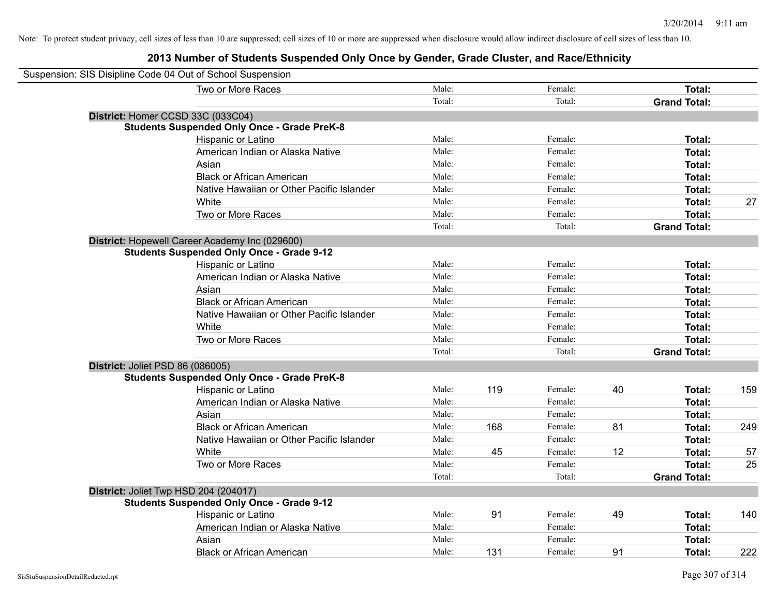| Suspension: SIS Disipline Code 04 Out of School Suspension |        |     |         |    |                     |     |
|------------------------------------------------------------|--------|-----|---------|----|---------------------|-----|
| Two or More Races                                          | Male:  |     | Female: |    | Total:              |     |
|                                                            | Total: |     | Total:  |    | <b>Grand Total:</b> |     |
| District: Homer CCSD 33C (033C04)                          |        |     |         |    |                     |     |
| <b>Students Suspended Only Once - Grade PreK-8</b>         |        |     |         |    |                     |     |
| Hispanic or Latino                                         | Male:  |     | Female: |    | Total:              |     |
| American Indian or Alaska Native                           | Male:  |     | Female: |    | Total:              |     |
| Asian                                                      | Male:  |     | Female: |    | Total:              |     |
| <b>Black or African American</b>                           | Male:  |     | Female: |    | Total:              |     |
| Native Hawaiian or Other Pacific Islander                  | Male:  |     | Female: |    | Total:              |     |
| White                                                      | Male:  |     | Female: |    | Total:              | 27  |
| Two or More Races                                          | Male:  |     | Female: |    | Total:              |     |
|                                                            | Total: |     | Total:  |    | <b>Grand Total:</b> |     |
| District: Hopewell Career Academy Inc (029600)             |        |     |         |    |                     |     |
| <b>Students Suspended Only Once - Grade 9-12</b>           |        |     |         |    |                     |     |
| Hispanic or Latino                                         | Male:  |     | Female: |    | Total:              |     |
| American Indian or Alaska Native                           | Male:  |     | Female: |    | Total:              |     |
| Asian                                                      | Male:  |     | Female: |    | Total:              |     |
| <b>Black or African American</b>                           | Male:  |     | Female: |    | Total:              |     |
| Native Hawaiian or Other Pacific Islander                  | Male:  |     | Female: |    | Total:              |     |
| White                                                      | Male:  |     | Female: |    | Total:              |     |
| Two or More Races                                          | Male:  |     | Female: |    | Total:              |     |
|                                                            | Total: |     | Total:  |    | <b>Grand Total:</b> |     |
| District: Joliet PSD 86 (086005)                           |        |     |         |    |                     |     |
| <b>Students Suspended Only Once - Grade PreK-8</b>         |        |     |         |    |                     |     |
| Hispanic or Latino                                         | Male:  | 119 | Female: | 40 | Total:              | 159 |
| American Indian or Alaska Native                           | Male:  |     | Female: |    | Total:              |     |
| Asian                                                      | Male:  |     | Female: |    | Total:              |     |
| <b>Black or African American</b>                           | Male:  | 168 | Female: | 81 | Total:              | 249 |
| Native Hawaiian or Other Pacific Islander                  | Male:  |     | Female: |    | Total:              |     |
| White                                                      | Male:  | 45  | Female: | 12 | Total:              | 57  |
| Two or More Races                                          | Male:  |     | Female: |    | Total:              | 25  |
|                                                            | Total: |     | Total:  |    | <b>Grand Total:</b> |     |
| District: Joliet Twp HSD 204 (204017)                      |        |     |         |    |                     |     |
| <b>Students Suspended Only Once - Grade 9-12</b>           |        |     |         |    |                     |     |
| Hispanic or Latino                                         | Male:  | 91  | Female: | 49 | Total:              | 140 |
| American Indian or Alaska Native                           | Male:  |     | Female: |    | Total:              |     |
| Asian                                                      | Male:  |     | Female: |    | Total:              |     |
| <b>Black or African American</b>                           | Male:  | 131 | Female: | 91 | Total:              | 222 |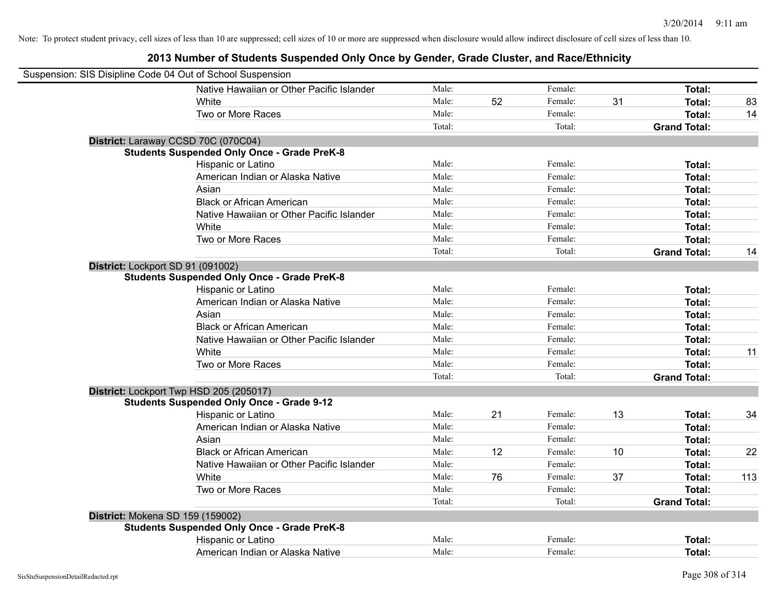| Suspension: SIS Disipline Code 04 Out of School Suspension |        |    |         |    |                     |     |
|------------------------------------------------------------|--------|----|---------|----|---------------------|-----|
| Native Hawaiian or Other Pacific Islander                  | Male:  |    | Female: |    | <b>Total:</b>       |     |
| White                                                      | Male:  | 52 | Female: | 31 | Total:              | 83  |
| Two or More Races                                          | Male:  |    | Female: |    | <b>Total:</b>       | 14  |
|                                                            | Total: |    | Total:  |    | <b>Grand Total:</b> |     |
| District: Laraway CCSD 70C (070C04)                        |        |    |         |    |                     |     |
| <b>Students Suspended Only Once - Grade PreK-8</b>         |        |    |         |    |                     |     |
| Hispanic or Latino                                         | Male:  |    | Female: |    | Total:              |     |
| American Indian or Alaska Native                           | Male:  |    | Female: |    | Total:              |     |
| Asian                                                      | Male:  |    | Female: |    | Total:              |     |
| <b>Black or African American</b>                           | Male:  |    | Female: |    | Total:              |     |
| Native Hawaiian or Other Pacific Islander                  | Male:  |    | Female: |    | Total:              |     |
| White                                                      | Male:  |    | Female: |    | <b>Total:</b>       |     |
| Two or More Races                                          | Male:  |    | Female: |    | Total:              |     |
|                                                            | Total: |    | Total:  |    | <b>Grand Total:</b> | 14  |
| District: Lockport SD 91 (091002)                          |        |    |         |    |                     |     |
| <b>Students Suspended Only Once - Grade PreK-8</b>         |        |    |         |    |                     |     |
| Hispanic or Latino                                         | Male:  |    | Female: |    | Total:              |     |
| American Indian or Alaska Native                           | Male:  |    | Female: |    | Total:              |     |
| Asian                                                      | Male:  |    | Female: |    | Total:              |     |
| <b>Black or African American</b>                           | Male:  |    | Female: |    | Total:              |     |
| Native Hawaiian or Other Pacific Islander                  | Male:  |    | Female: |    | Total:              |     |
| White                                                      | Male:  |    | Female: |    | <b>Total:</b>       | 11  |
| Two or More Races                                          | Male:  |    | Female: |    | Total:              |     |
|                                                            | Total: |    | Total:  |    | <b>Grand Total:</b> |     |
| District: Lockport Twp HSD 205 (205017)                    |        |    |         |    |                     |     |
| <b>Students Suspended Only Once - Grade 9-12</b>           |        |    |         |    |                     |     |
| Hispanic or Latino                                         | Male:  | 21 | Female: | 13 | Total:              | 34  |
| American Indian or Alaska Native                           | Male:  |    | Female: |    | Total:              |     |
| Asian                                                      | Male:  |    | Female: |    | Total:              |     |
| <b>Black or African American</b>                           | Male:  | 12 | Female: | 10 | <b>Total:</b>       | 22  |
| Native Hawaiian or Other Pacific Islander                  | Male:  |    | Female: |    | Total:              |     |
| White                                                      | Male:  | 76 | Female: | 37 | <b>Total:</b>       | 113 |
| Two or More Races                                          | Male:  |    | Female: |    | <b>Total:</b>       |     |
|                                                            | Total: |    | Total:  |    | <b>Grand Total:</b> |     |
| District: Mokena SD 159 (159002)                           |        |    |         |    |                     |     |
| <b>Students Suspended Only Once - Grade PreK-8</b>         |        |    |         |    |                     |     |
| Hispanic or Latino                                         | Male:  |    | Female: |    | Total:              |     |
| American Indian or Alaska Native                           | Male:  |    | Female: |    | Total:              |     |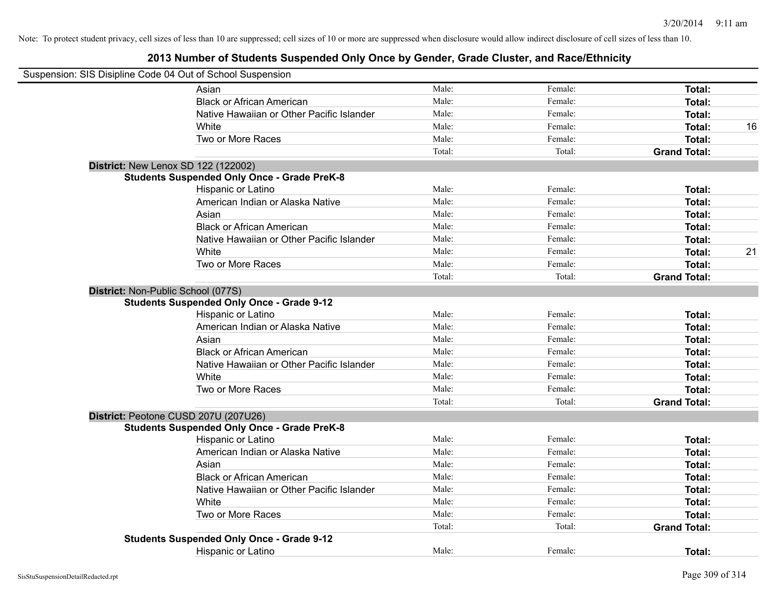| Suspension: SIS Disipline Code 04 Out of School Suspension |                                                    |        |         |                     |    |
|------------------------------------------------------------|----------------------------------------------------|--------|---------|---------------------|----|
|                                                            | Asian                                              | Male:  | Female: | Total:              |    |
|                                                            | <b>Black or African American</b>                   | Male:  | Female: | Total:              |    |
|                                                            | Native Hawaiian or Other Pacific Islander          | Male:  | Female: | Total:              |    |
|                                                            | White                                              | Male:  | Female: | Total:              | 16 |
|                                                            | Two or More Races                                  | Male:  | Female: | Total:              |    |
|                                                            |                                                    | Total: | Total:  | <b>Grand Total:</b> |    |
|                                                            | <b>District: New Lenox SD 122 (122002)</b>         |        |         |                     |    |
|                                                            | <b>Students Suspended Only Once - Grade PreK-8</b> |        |         |                     |    |
|                                                            | Hispanic or Latino                                 | Male:  | Female: | Total:              |    |
|                                                            | American Indian or Alaska Native                   | Male:  | Female: | Total:              |    |
|                                                            | Asian                                              | Male:  | Female: | Total:              |    |
|                                                            | <b>Black or African American</b>                   | Male:  | Female: | Total:              |    |
|                                                            | Native Hawaiian or Other Pacific Islander          | Male:  | Female: | Total:              |    |
|                                                            | White                                              | Male:  | Female: | Total:              | 21 |
|                                                            | Two or More Races                                  | Male:  | Female: | Total:              |    |
|                                                            |                                                    | Total: | Total:  | <b>Grand Total:</b> |    |
|                                                            | District: Non-Public School (077S)                 |        |         |                     |    |
|                                                            | <b>Students Suspended Only Once - Grade 9-12</b>   |        |         |                     |    |
|                                                            | Hispanic or Latino                                 | Male:  | Female: | Total:              |    |
|                                                            | American Indian or Alaska Native                   | Male:  | Female: | Total:              |    |
|                                                            | Asian                                              | Male:  | Female: | Total:              |    |
|                                                            | <b>Black or African American</b>                   | Male:  | Female: | Total:              |    |
|                                                            | Native Hawaiian or Other Pacific Islander          | Male:  | Female: | Total:              |    |
|                                                            | White                                              | Male:  | Female: | Total:              |    |
|                                                            | Two or More Races                                  | Male:  | Female: | Total:              |    |
|                                                            |                                                    | Total: | Total:  | <b>Grand Total:</b> |    |
|                                                            | District: Peotone CUSD 207U (207U26)               |        |         |                     |    |
|                                                            | <b>Students Suspended Only Once - Grade PreK-8</b> |        |         |                     |    |
|                                                            | Hispanic or Latino                                 | Male:  | Female: | Total:              |    |
|                                                            | American Indian or Alaska Native                   | Male:  | Female: | Total:              |    |
|                                                            | Asian                                              | Male:  | Female: | Total:              |    |
|                                                            | <b>Black or African American</b>                   | Male:  | Female: | Total:              |    |
|                                                            | Native Hawaiian or Other Pacific Islander          | Male:  | Female: | Total:              |    |
|                                                            | White                                              | Male:  | Female: | Total:              |    |
|                                                            | Two or More Races                                  | Male:  | Female: | Total:              |    |
|                                                            |                                                    | Total: | Total:  | <b>Grand Total:</b> |    |
|                                                            | <b>Students Suspended Only Once - Grade 9-12</b>   |        |         |                     |    |
|                                                            | <b>Hispanic or Latino</b>                          | Male:  | Female: | Total:              |    |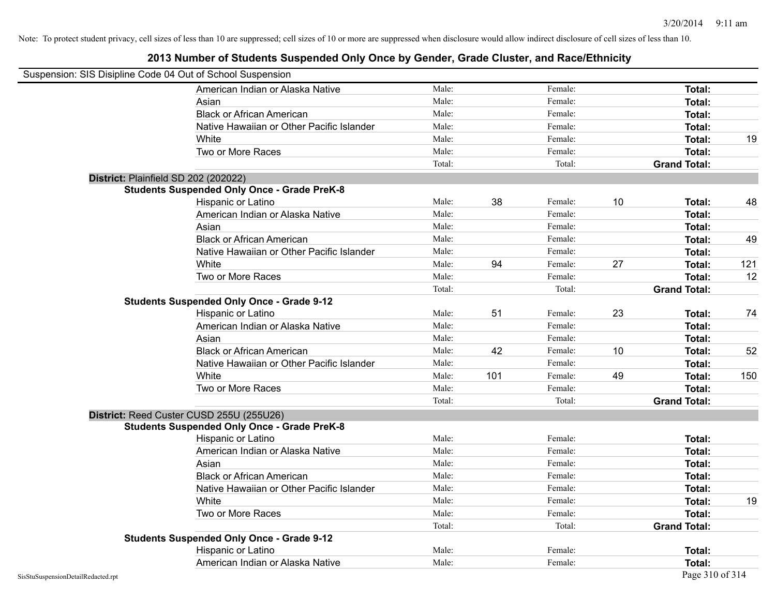|                                    | Suspension: SIS Disipline Code 04 Out of School Suspension |        |     |         |    |                     |     |
|------------------------------------|------------------------------------------------------------|--------|-----|---------|----|---------------------|-----|
|                                    | American Indian or Alaska Native                           | Male:  |     | Female: |    | Total:              |     |
|                                    | Asian                                                      | Male:  |     | Female: |    | Total:              |     |
|                                    | <b>Black or African American</b>                           | Male:  |     | Female: |    | Total:              |     |
|                                    | Native Hawaiian or Other Pacific Islander                  | Male:  |     | Female: |    | Total:              |     |
|                                    | White                                                      | Male:  |     | Female: |    | Total:              | 19  |
|                                    | Two or More Races                                          | Male:  |     | Female: |    | Total:              |     |
|                                    |                                                            | Total: |     | Total:  |    | <b>Grand Total:</b> |     |
|                                    | District: Plainfield SD 202 (202022)                       |        |     |         |    |                     |     |
|                                    | <b>Students Suspended Only Once - Grade PreK-8</b>         |        |     |         |    |                     |     |
|                                    | Hispanic or Latino                                         | Male:  | 38  | Female: | 10 | Total:              | 48  |
|                                    | American Indian or Alaska Native                           | Male:  |     | Female: |    | Total:              |     |
|                                    | Asian                                                      | Male:  |     | Female: |    | Total:              |     |
|                                    | <b>Black or African American</b>                           | Male:  |     | Female: |    | Total:              | 49  |
|                                    | Native Hawaiian or Other Pacific Islander                  | Male:  |     | Female: |    | Total:              |     |
|                                    | White                                                      | Male:  | 94  | Female: | 27 | Total:              | 121 |
|                                    | Two or More Races                                          | Male:  |     | Female: |    | <b>Total:</b>       | 12  |
|                                    |                                                            | Total: |     | Total:  |    | <b>Grand Total:</b> |     |
|                                    | <b>Students Suspended Only Once - Grade 9-12</b>           |        |     |         |    |                     |     |
|                                    | Hispanic or Latino                                         | Male:  | 51  | Female: | 23 | Total:              | 74  |
|                                    | American Indian or Alaska Native                           | Male:  |     | Female: |    | Total:              |     |
|                                    | Asian                                                      | Male:  |     | Female: |    | Total:              |     |
|                                    | <b>Black or African American</b>                           | Male:  | 42  | Female: | 10 | Total:              | 52  |
|                                    | Native Hawaiian or Other Pacific Islander                  | Male:  |     | Female: |    | Total:              |     |
|                                    | White                                                      | Male:  | 101 | Female: | 49 | Total:              | 150 |
|                                    | Two or More Races                                          | Male:  |     | Female: |    | <b>Total:</b>       |     |
|                                    |                                                            | Total: |     | Total:  |    | <b>Grand Total:</b> |     |
|                                    | District: Reed Custer CUSD 255U (255U26)                   |        |     |         |    |                     |     |
|                                    | <b>Students Suspended Only Once - Grade PreK-8</b>         |        |     |         |    |                     |     |
|                                    | Hispanic or Latino                                         | Male:  |     | Female: |    | Total:              |     |
|                                    | American Indian or Alaska Native                           | Male:  |     | Female: |    | Total:              |     |
|                                    | Asian                                                      | Male:  |     | Female: |    | Total:              |     |
|                                    | <b>Black or African American</b>                           | Male:  |     | Female: |    | Total:              |     |
|                                    | Native Hawaiian or Other Pacific Islander                  | Male:  |     | Female: |    | Total:              |     |
|                                    | White                                                      | Male:  |     | Female: |    | Total:              | 19  |
|                                    | Two or More Races                                          | Male:  |     | Female: |    | Total:              |     |
|                                    |                                                            | Total: |     | Total:  |    | <b>Grand Total:</b> |     |
|                                    | <b>Students Suspended Only Once - Grade 9-12</b>           |        |     |         |    |                     |     |
|                                    | Hispanic or Latino                                         | Male:  |     | Female: |    | Total:              |     |
|                                    | American Indian or Alaska Native                           | Male:  |     | Female: |    | Total:              |     |
| SisStuSuspensionDetailRedacted.rpt |                                                            |        |     |         |    | Page 310 of 314     |     |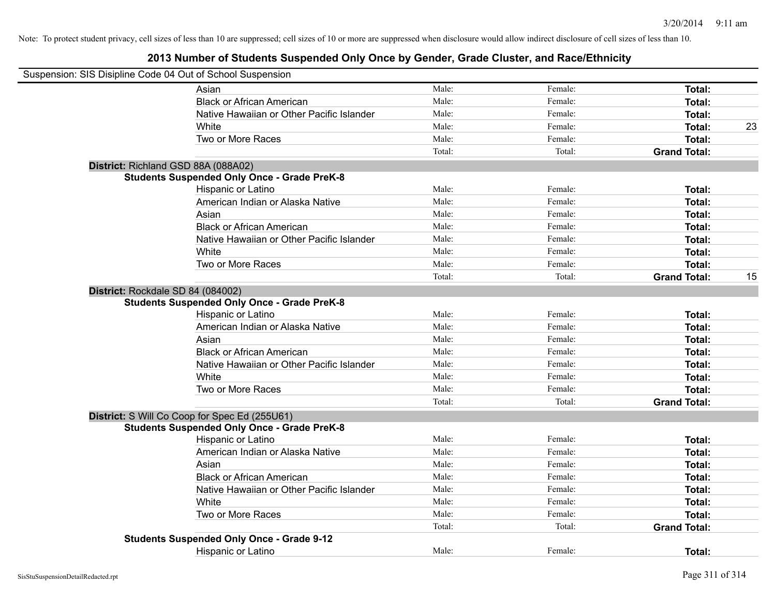| Suspension: SIS Disipline Code 04 Out of School Suspension |                                                    |        |         |                     |    |
|------------------------------------------------------------|----------------------------------------------------|--------|---------|---------------------|----|
|                                                            | Asian                                              | Male:  | Female: | Total:              |    |
|                                                            | <b>Black or African American</b>                   | Male:  | Female: | Total:              |    |
|                                                            | Native Hawaiian or Other Pacific Islander          | Male:  | Female: | Total:              |    |
|                                                            | White                                              | Male:  | Female: | Total:              | 23 |
|                                                            | Two or More Races                                  | Male:  | Female: | Total:              |    |
|                                                            |                                                    | Total: | Total:  | <b>Grand Total:</b> |    |
|                                                            | District: Richland GSD 88A (088A02)                |        |         |                     |    |
|                                                            | <b>Students Suspended Only Once - Grade PreK-8</b> |        |         |                     |    |
|                                                            | Hispanic or Latino                                 | Male:  | Female: | Total:              |    |
|                                                            | American Indian or Alaska Native                   | Male:  | Female: | Total:              |    |
|                                                            | Asian                                              | Male:  | Female: | Total:              |    |
|                                                            | <b>Black or African American</b>                   | Male:  | Female: | Total:              |    |
|                                                            | Native Hawaiian or Other Pacific Islander          | Male:  | Female: | Total:              |    |
|                                                            | White                                              | Male:  | Female: | Total:              |    |
|                                                            | Two or More Races                                  | Male:  | Female: | Total:              |    |
|                                                            |                                                    | Total: | Total:  | <b>Grand Total:</b> | 15 |
|                                                            | District: Rockdale SD 84 (084002)                  |        |         |                     |    |
|                                                            | <b>Students Suspended Only Once - Grade PreK-8</b> |        |         |                     |    |
|                                                            | Hispanic or Latino                                 | Male:  | Female: | Total:              |    |
|                                                            | American Indian or Alaska Native                   | Male:  | Female: | Total:              |    |
|                                                            | Asian                                              | Male:  | Female: | Total:              |    |
|                                                            | <b>Black or African American</b>                   | Male:  | Female: | Total:              |    |
|                                                            | Native Hawaiian or Other Pacific Islander          | Male:  | Female: | Total:              |    |
|                                                            | White                                              | Male:  | Female: | Total:              |    |
|                                                            | Two or More Races                                  | Male:  | Female: | Total:              |    |
|                                                            |                                                    | Total: | Total:  | <b>Grand Total:</b> |    |
|                                                            | District: S Will Co Coop for Spec Ed (255U61)      |        |         |                     |    |
|                                                            | <b>Students Suspended Only Once - Grade PreK-8</b> |        |         |                     |    |
|                                                            | Hispanic or Latino                                 | Male:  | Female: | Total:              |    |
|                                                            | American Indian or Alaska Native                   | Male:  | Female: | Total:              |    |
|                                                            | Asian                                              | Male:  | Female: | Total:              |    |
|                                                            | <b>Black or African American</b>                   | Male:  | Female: | Total:              |    |
|                                                            | Native Hawaiian or Other Pacific Islander          | Male:  | Female: | Total:              |    |
|                                                            | White                                              | Male:  | Female: | Total:              |    |
|                                                            | Two or More Races                                  | Male:  | Female: | Total:              |    |
|                                                            |                                                    | Total: | Total:  | <b>Grand Total:</b> |    |
|                                                            | <b>Students Suspended Only Once - Grade 9-12</b>   |        |         |                     |    |
|                                                            | <b>Hispanic or Latino</b>                          | Male:  | Female: | Total:              |    |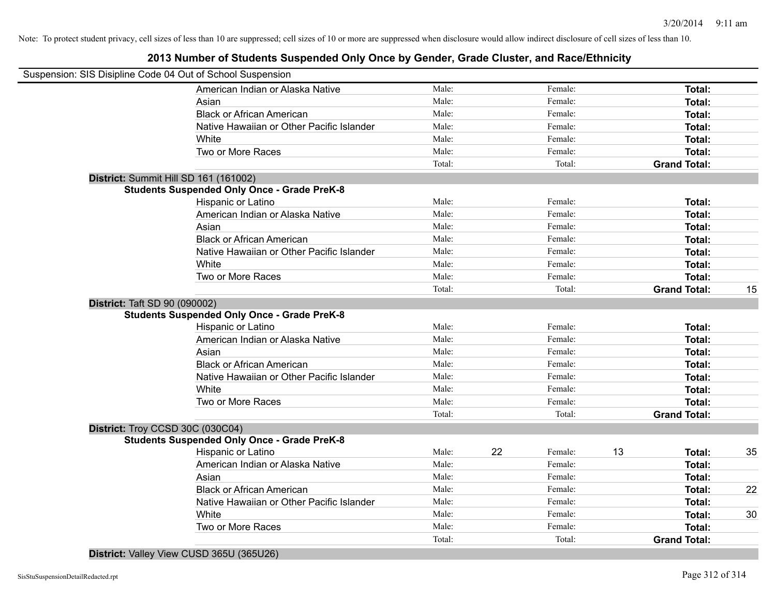# **2013 Number of Students Suspended Only Once by Gender, Grade Cluster, and Race/Ethnicity**

|                                      | Suspension: SIS Disipline Code 04 Out of School Suspension |        |    |         |    |                     |    |
|--------------------------------------|------------------------------------------------------------|--------|----|---------|----|---------------------|----|
|                                      | American Indian or Alaska Native                           | Male:  |    | Female: |    | Total:              |    |
|                                      | Asian                                                      | Male:  |    | Female: |    | Total:              |    |
|                                      | <b>Black or African American</b>                           | Male:  |    | Female: |    | Total:              |    |
|                                      | Native Hawaiian or Other Pacific Islander                  | Male:  |    | Female: |    | Total:              |    |
|                                      | White                                                      | Male:  |    | Female: |    | Total:              |    |
|                                      | Two or More Races                                          | Male:  |    | Female: |    | Total:              |    |
|                                      |                                                            | Total: |    | Total:  |    | <b>Grand Total:</b> |    |
|                                      | District: Summit Hill SD 161 (161002)                      |        |    |         |    |                     |    |
|                                      | <b>Students Suspended Only Once - Grade PreK-8</b>         |        |    |         |    |                     |    |
|                                      | Hispanic or Latino                                         | Male:  |    | Female: |    | Total:              |    |
|                                      | American Indian or Alaska Native                           | Male:  |    | Female: |    | Total:              |    |
|                                      | Asian                                                      | Male:  |    | Female: |    | Total:              |    |
|                                      | <b>Black or African American</b>                           | Male:  |    | Female: |    | Total:              |    |
|                                      | Native Hawaiian or Other Pacific Islander                  | Male:  |    | Female: |    | Total:              |    |
|                                      | White                                                      | Male:  |    | Female: |    | Total:              |    |
|                                      | Two or More Races                                          | Male:  |    | Female: |    | Total:              |    |
|                                      |                                                            | Total: |    | Total:  |    | <b>Grand Total:</b> | 15 |
| <b>District: Taft SD 90 (090002)</b> |                                                            |        |    |         |    |                     |    |
|                                      | <b>Students Suspended Only Once - Grade PreK-8</b>         |        |    |         |    |                     |    |
|                                      | Hispanic or Latino                                         | Male:  |    | Female: |    | Total:              |    |
|                                      | American Indian or Alaska Native                           | Male:  |    | Female: |    | Total:              |    |
|                                      | Asian                                                      | Male:  |    | Female: |    | Total:              |    |
|                                      | <b>Black or African American</b>                           | Male:  |    | Female: |    | Total:              |    |
|                                      | Native Hawaiian or Other Pacific Islander                  | Male:  |    | Female: |    | Total:              |    |
|                                      | White                                                      | Male:  |    | Female: |    | Total:              |    |
|                                      | Two or More Races                                          | Male:  |    | Female: |    | Total:              |    |
|                                      |                                                            | Total: |    | Total:  |    | <b>Grand Total:</b> |    |
|                                      | District: Troy CCSD 30C (030C04)                           |        |    |         |    |                     |    |
|                                      | <b>Students Suspended Only Once - Grade PreK-8</b>         |        |    |         |    |                     |    |
|                                      | Hispanic or Latino                                         | Male:  | 22 | Female: | 13 | Total:              | 35 |
|                                      | American Indian or Alaska Native                           | Male:  |    | Female: |    | Total:              |    |
|                                      | Asian                                                      | Male:  |    | Female: |    | Total:              |    |
|                                      | <b>Black or African American</b>                           | Male:  |    | Female: |    | Total:              | 22 |
|                                      | Native Hawaiian or Other Pacific Islander                  | Male:  |    | Female: |    | Total:              |    |
|                                      | White                                                      | Male:  |    | Female: |    | Total:              | 30 |
|                                      | Two or More Races                                          | Male:  |    | Female: |    | Total:              |    |
|                                      |                                                            | Total: |    | Total:  |    | <b>Grand Total:</b> |    |
|                                      |                                                            |        |    |         |    |                     |    |

**District:** Valley View CUSD 365U (365U26)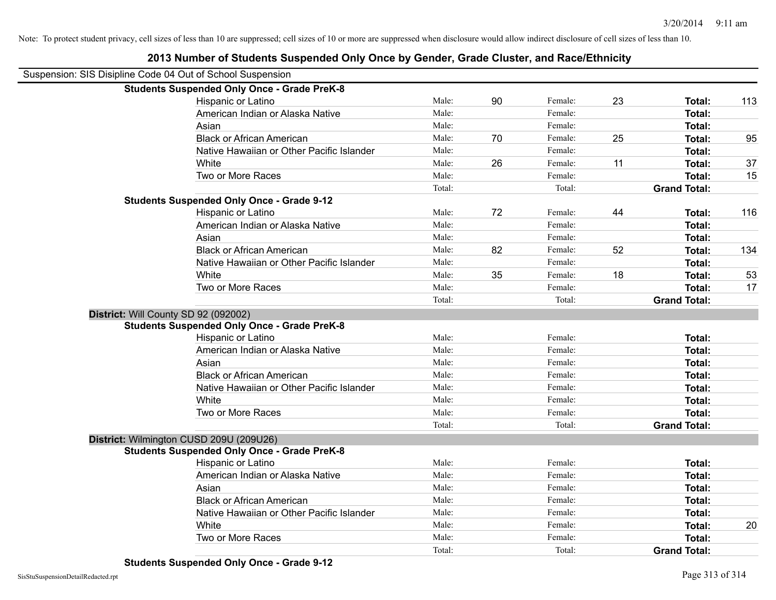|                                      | Suspension: SIS Disipline Code 04 Out of School Suspension |        |    |         |    |                     |     |
|--------------------------------------|------------------------------------------------------------|--------|----|---------|----|---------------------|-----|
|                                      | <b>Students Suspended Only Once - Grade PreK-8</b>         |        |    |         |    |                     |     |
|                                      | Hispanic or Latino                                         | Male:  | 90 | Female: | 23 | Total:              | 113 |
|                                      | American Indian or Alaska Native                           | Male:  |    | Female: |    | Total:              |     |
|                                      | Asian                                                      | Male:  |    | Female: |    | Total:              |     |
|                                      | <b>Black or African American</b>                           | Male:  | 70 | Female: | 25 | Total:              | 95  |
|                                      | Native Hawaiian or Other Pacific Islander                  | Male:  |    | Female: |    | <b>Total:</b>       |     |
|                                      | White                                                      | Male:  | 26 | Female: | 11 | <b>Total:</b>       | 37  |
|                                      | Two or More Races                                          | Male:  |    | Female: |    | Total:              | 15  |
|                                      |                                                            | Total: |    | Total:  |    | <b>Grand Total:</b> |     |
|                                      | <b>Students Suspended Only Once - Grade 9-12</b>           |        |    |         |    |                     |     |
|                                      | Hispanic or Latino                                         | Male:  | 72 | Female: | 44 | Total:              | 116 |
|                                      | American Indian or Alaska Native                           | Male:  |    | Female: |    | <b>Total:</b>       |     |
|                                      | Asian                                                      | Male:  |    | Female: |    | Total:              |     |
|                                      | <b>Black or African American</b>                           | Male:  | 82 | Female: | 52 | Total:              | 134 |
|                                      | Native Hawaiian or Other Pacific Islander                  | Male:  |    | Female: |    | Total:              |     |
|                                      | White                                                      | Male:  | 35 | Female: | 18 | Total:              | 53  |
|                                      | Two or More Races                                          | Male:  |    | Female: |    | Total:              | 17  |
|                                      |                                                            | Total: |    | Total:  |    | <b>Grand Total:</b> |     |
| District: Will County SD 92 (092002) |                                                            |        |    |         |    |                     |     |
|                                      | <b>Students Suspended Only Once - Grade PreK-8</b>         |        |    |         |    |                     |     |
|                                      | Hispanic or Latino                                         | Male:  |    | Female: |    | Total:              |     |
|                                      | American Indian or Alaska Native                           | Male:  |    | Female: |    | Total:              |     |
|                                      | Asian                                                      | Male:  |    | Female: |    | <b>Total:</b>       |     |
|                                      | <b>Black or African American</b>                           | Male:  |    | Female: |    | Total:              |     |
|                                      | Native Hawaiian or Other Pacific Islander                  | Male:  |    | Female: |    | <b>Total:</b>       |     |
|                                      | White                                                      | Male:  |    | Female: |    | Total:              |     |
|                                      | Two or More Races                                          | Male:  |    | Female: |    | Total:              |     |
|                                      |                                                            | Total: |    | Total:  |    | <b>Grand Total:</b> |     |
|                                      | District: Wilmington CUSD 209U (209U26)                    |        |    |         |    |                     |     |
|                                      | <b>Students Suspended Only Once - Grade PreK-8</b>         |        |    |         |    |                     |     |
|                                      | Hispanic or Latino                                         | Male:  |    | Female: |    | Total:              |     |
|                                      | American Indian or Alaska Native                           | Male:  |    | Female: |    | Total:              |     |
|                                      | Asian                                                      | Male:  |    | Female: |    | <b>Total:</b>       |     |
|                                      | <b>Black or African American</b>                           | Male:  |    | Female: |    | <b>Total:</b>       |     |
|                                      | Native Hawaiian or Other Pacific Islander                  | Male:  |    | Female: |    | Total:              |     |
|                                      | White                                                      | Male:  |    | Female: |    | Total:              | 20  |
|                                      | Two or More Races                                          | Male:  |    | Female: |    | Total:              |     |
|                                      |                                                            | Total: |    | Total:  |    | <b>Grand Total:</b> |     |
|                                      |                                                            |        |    |         |    |                     |     |